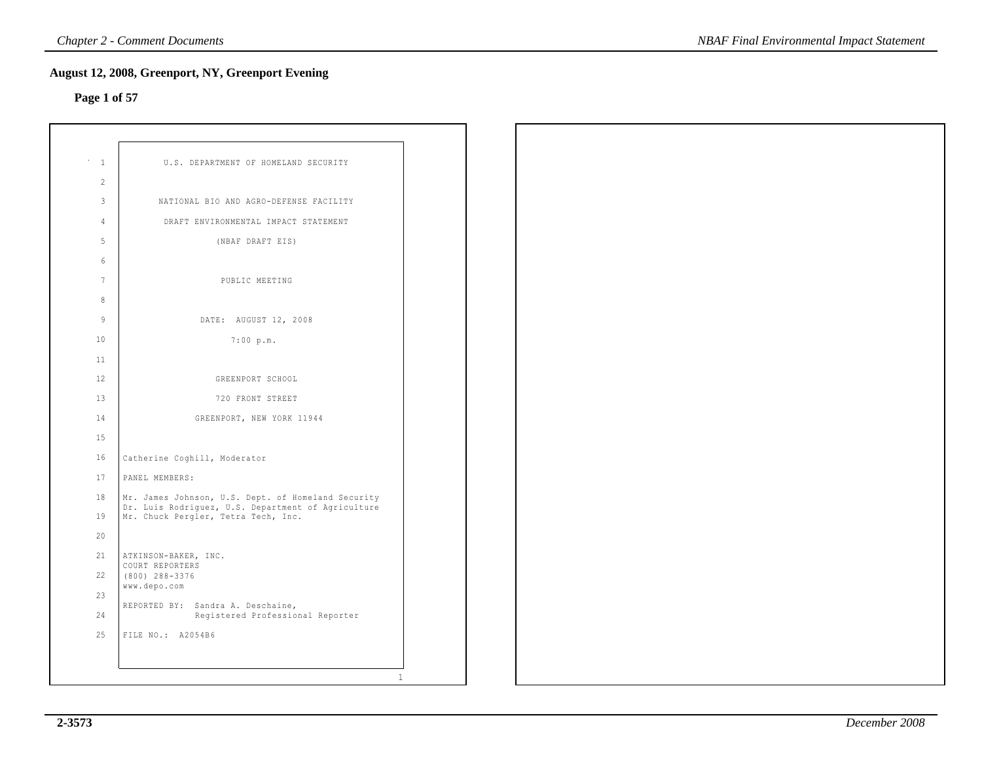## **Page 1 of 57**

| $\mathbf{1}$   | U.S. DEPARTMENT OF HOMELAND SECURITY                                                                     |  |
|----------------|----------------------------------------------------------------------------------------------------------|--|
| $\overline{2}$ |                                                                                                          |  |
| 3              | NATIONAL BIO AND AGRO-DEFENSE FACILITY                                                                   |  |
| 4              | DRAFT ENVIRONMENTAL IMPACT STATEMENT                                                                     |  |
| 5              | (NBAF DRAFT EIS)                                                                                         |  |
| 6              |                                                                                                          |  |
| $\overline{7}$ | PUBLIC MEETING                                                                                           |  |
| 8              |                                                                                                          |  |
| $\mathcal{Q}$  | DATE: AUGUST 12, 2008                                                                                    |  |
| 10             | 7:00 p.m.                                                                                                |  |
| 11             |                                                                                                          |  |
| $12^{1}$       | GREENPORT SCHOOL                                                                                         |  |
| 13             | 720 FRONT STREET                                                                                         |  |
| 14             | GREENPORT, NEW YORK 11944                                                                                |  |
| 15             |                                                                                                          |  |
| 16             | Catherine Coghill, Moderator                                                                             |  |
| 17             | PANEL MEMBERS:                                                                                           |  |
| 18             | Mr. James Johnson, U.S. Dept. of Homeland Security<br>Dr. Luis Rodriguez, U.S. Department of Agriculture |  |
| 19             | Mr. Chuck Pergler, Tetra Tech, Inc.                                                                      |  |
| 20             |                                                                                                          |  |
| 21<br>22       | ATKINSON-BAKER, INC.<br>COURT REPORTERS                                                                  |  |
| 23             | $(800)$ 288-3376<br>www.depo.com                                                                         |  |
| 24             | REPORTED BY: Sandra A. Deschaine,                                                                        |  |
| 25             | Registered Professional Reporter<br>FILE NO.: A2054B6                                                    |  |
|                |                                                                                                          |  |
|                |                                                                                                          |  |
|                | $\mathbf{1}$                                                                                             |  |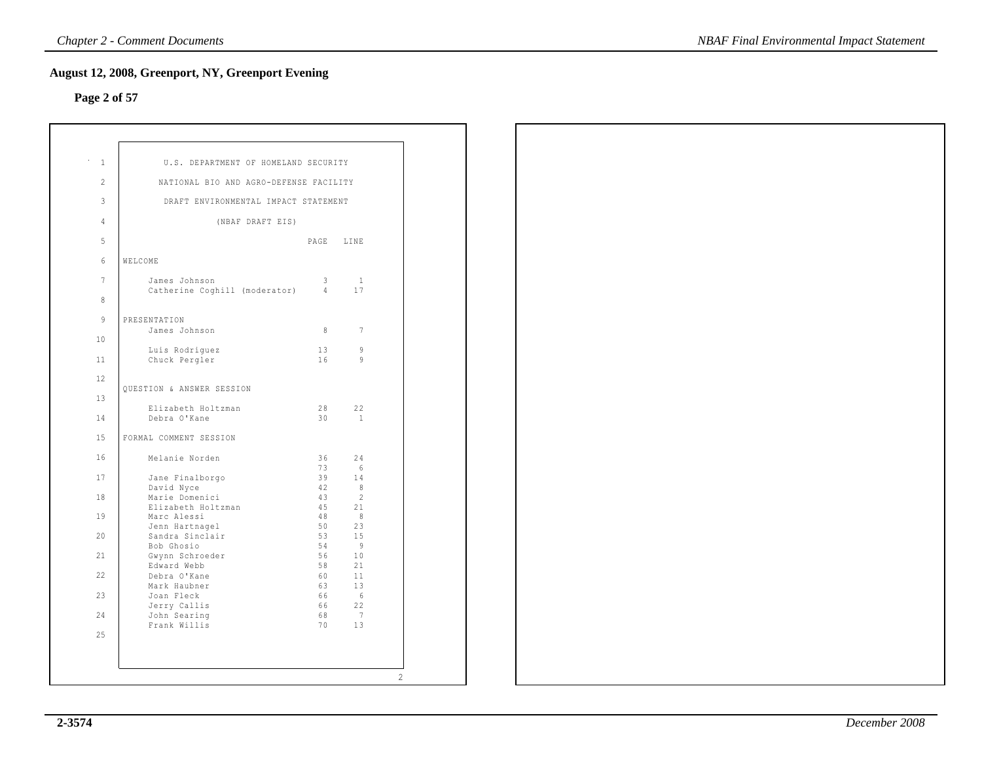## **Page 2 of 57**

| $\mathbf{1}$   | U.S. DEPARTMENT OF HOMELAND SECURITY   |                |                      |
|----------------|----------------------------------------|----------------|----------------------|
| $\overline{2}$ | NATIONAL BIO AND AGRO-DEFENSE FACILITY |                |                      |
| 3              | DRAFT ENVIRONMENTAL IMPACT STATEMENT   |                |                      |
| 4              | (NBAF DRAFT EIS)                       |                |                      |
| 5              |                                        | PAGE LINE      |                      |
| 6<br>WELCOME   |                                        |                |                      |
| $7\phantom{.}$ | James Johnson                          | 3              | $\mathbf{1}$         |
| 8              | Catherine Coghill (moderator)          | $\overline{4}$ | 17                   |
| 9              | PRESENTATION                           |                |                      |
|                | James Johnson                          | 8              | 7                    |
| 10             | Luis Rodriquez                         | 13             | 9                    |
| 11             | Chuck Pergler                          | 16             | 9                    |
| 12             | <b>OUESTION &amp; ANSWER SESSION</b>   |                |                      |
| 13             |                                        |                |                      |
| 14             | Elizabeth Holtzman<br>Debra O'Kane     | 28<br>30       | 22<br>$\overline{1}$ |
| 15             | FORMAL COMMENT SESSION                 |                |                      |
| 16             | Melanie Norden                         | 36             | 24                   |
| 17             | Jane Finalborgo                        | 73<br>39       | 6<br>14              |
|                | David Nyce                             | 42             | $\,8\,$              |
| 18             | Marie Domenici<br>Elizabeth Holtzman   | 43<br>45       | $\overline{2}$<br>21 |
| 19             | Marc Alessi                            | 48             | 8                    |
|                | Jenn Hartnagel                         | 50             | 23                   |
| 20             | Sandra Sinclair                        | 53             | 15                   |
| 21             | Bob Ghosio<br>Gwynn Schroeder          | 54<br>56       | 9<br>10              |
|                | Edward Webb                            | 58             | 21                   |
| 22             | Debra O'Kane                           | 60             | 11                   |
|                | Mark Haubner                           | 63             | 13                   |
| 23             | Joan Fleck                             | 66             | - 6                  |
|                | Jerry Callis                           | 66             | 22                   |
| 24             | John Searing<br>Frank Willis           | 68<br>70       | 7<br>13              |
| 2.5            |                                        |                |                      |
|                |                                        |                |                      |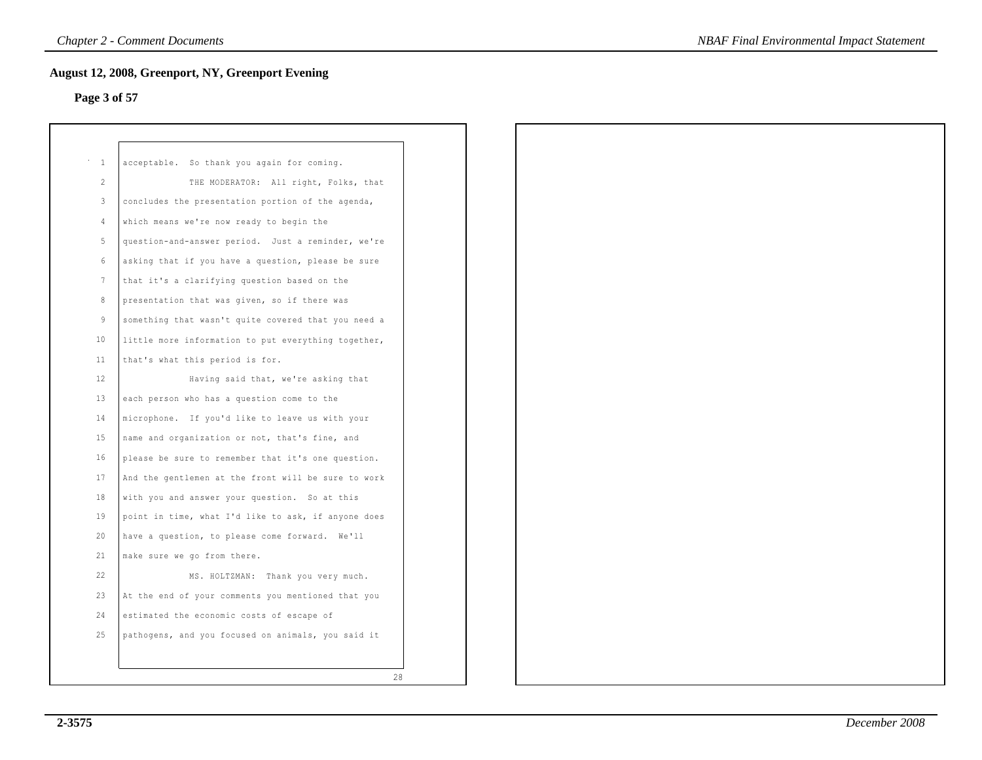## **Page 3 of 57**

| $\mathbf{1}$    | acceptable. So thank you again for coming.          |
|-----------------|-----------------------------------------------------|
| $\overline{2}$  | THE MODERATOR: All right, Folks, that               |
| $\mathbf{3}$    | concludes the presentation portion of the agenda,   |
| $\overline{4}$  | which means we're now ready to begin the            |
| $5 -$           | question-and-answer period. Just a reminder, we're  |
| $6\overline{6}$ | asking that if you have a question, please be sure  |
| $7\phantom{.0}$ | that it's a clarifying question based on the        |
| 8               | presentation that was given, so if there was        |
| 9               | something that wasn't quite covered that you need a |
| 10              | little more information to put everything together, |
| 11              | that's what this period is for.                     |
| 12              | Having said that, we're asking that                 |
| 13              | each person who has a question come to the          |
| 14              | microphone. If you'd like to leave us with your     |
| 15              | name and organization or not, that's fine, and      |
| 16              | please be sure to remember that it's one question.  |
| 17              | And the gentlemen at the front will be sure to work |
| 18              | with you and answer your question. So at this       |
| 19              | point in time, what I'd like to ask, if anyone does |
| 20              | have a question, to please come forward. We'll      |
| 21              | make sure we go from there.                         |
| 22              | MS. HOLTZMAN: Thank you very much.                  |
| 23              | At the end of your comments you mentioned that you  |
| 24              | estimated the economic costs of escape of           |
| 25              | pathogens, and you focused on animals, you said it  |
|                 |                                                     |
|                 | 28                                                  |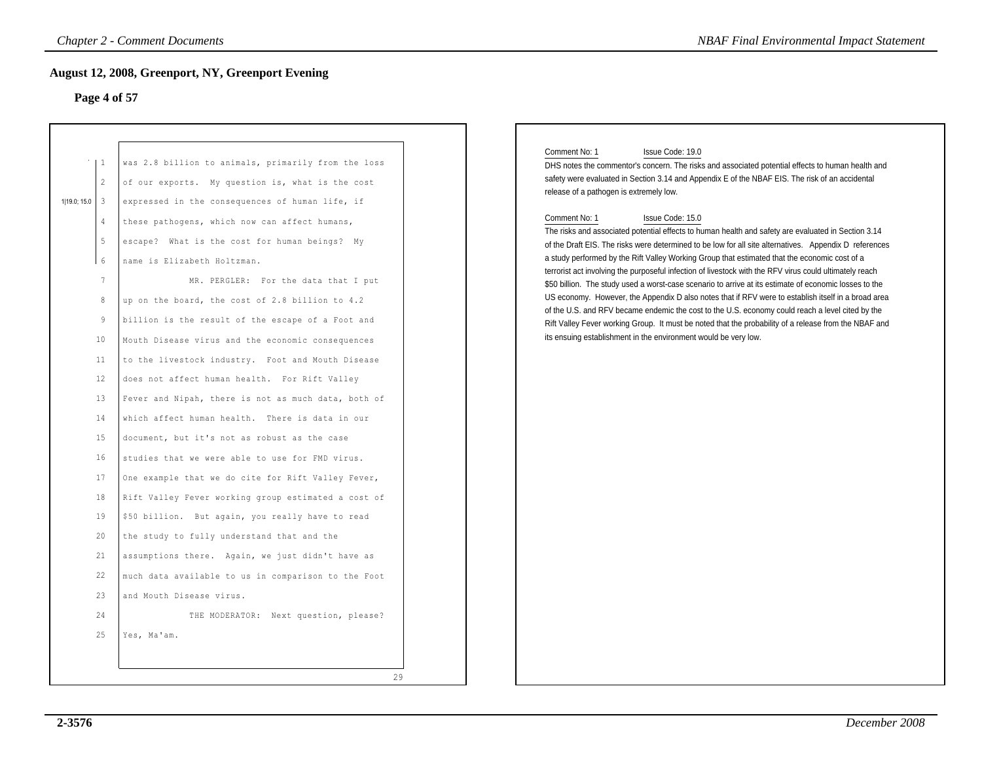### **Page 4 of 57**

| <b>Chapter 2 - Comment Documents</b><br><b>NBAF Final Environmental Impact Statement</b><br><b>August 12, 2008, Greenport, NY, Greenport Evening</b><br>Page 4 of 57                                                                                                                                                                                                                                                                                                                                                                                                                                                                                                                                                                                                                                                                                                                                                                                                                                                                                                                                                                                                                                                              |  |  |  |  |
|-----------------------------------------------------------------------------------------------------------------------------------------------------------------------------------------------------------------------------------------------------------------------------------------------------------------------------------------------------------------------------------------------------------------------------------------------------------------------------------------------------------------------------------------------------------------------------------------------------------------------------------------------------------------------------------------------------------------------------------------------------------------------------------------------------------------------------------------------------------------------------------------------------------------------------------------------------------------------------------------------------------------------------------------------------------------------------------------------------------------------------------------------------------------------------------------------------------------------------------|--|--|--|--|
| was 2.8 billion to animals, primarily from the loss<br>of our exports. My question is, what is the cost<br>expressed in the consequences of human life, if<br>these pathogens, which now can affect humans,<br>escape? What is the cost for human beings? My<br>name is Elizabeth Holtzman.<br>MR. PERGLER: For the data that I put<br>up on the board, the cost of 2.8 billion to 4.2<br>billion is the result of the escape of a Foot and<br>Mouth Disease virus and the economic consequences<br>to the livestock industry. Foot and Mouth Disease<br>does not affect human health. For Rift Valley<br>Fever and Nipah, there is not as much data, both of<br>which affect human health. There is data in our<br>document, but it's not as robust as the case<br>studies that we were able to use for FMD virus.<br>One example that we do cite for Rift Valley Fever,<br>Rift Valley Fever working group estimated a cost of<br>\$50 billion. But again, you really have to read<br>the study to fully understand that and the<br>assumptions there. Again, we just didn't have as<br>much data available to us in comparison to the Foot<br>and Mouth Disease virus.<br>THE MODERATOR: Next question, please?<br>Yes, Ma'am. |  |  |  |  |
|                                                                                                                                                                                                                                                                                                                                                                                                                                                                                                                                                                                                                                                                                                                                                                                                                                                                                                                                                                                                                                                                                                                                                                                                                                   |  |  |  |  |

### Comment No: 1 Issue Code: 19.0

### Comment No: 1 Issue Code: 15.0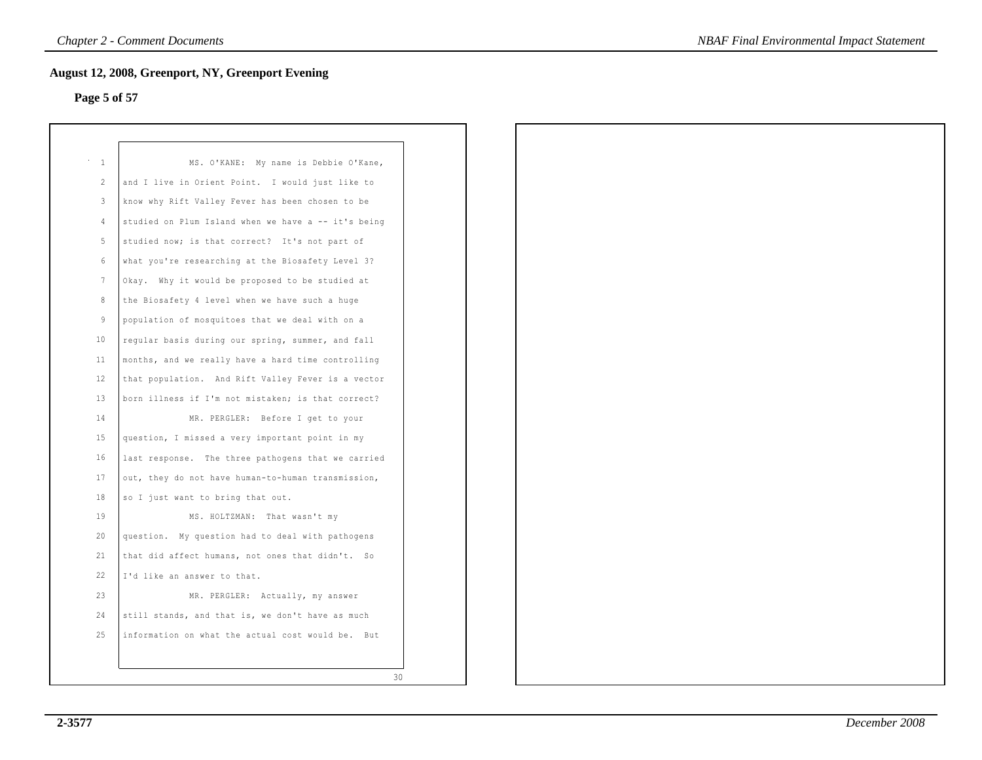## **Page 5 of 57**

| $\mathbf{1}$    | MS. O'KANE: My name is Debbie O'Kane,                |
|-----------------|------------------------------------------------------|
| $\mathcal{L}$   | and I live in Orient Point. I would just like to     |
| 3               | know why Rift Valley Fever has been chosen to be     |
| 4               | studied on Plum Island when we have a -- it's being  |
| 5               | studied now; is that correct? It's not part of       |
| 6               | what you're researching at the Biosafety Level 3?    |
| 7               | Okay. Why it would be proposed to be studied at      |
| 8               | the Biosafety 4 level when we have such a huge       |
| 9               | population of mosquitoes that we deal with on a      |
| 10              | regular basis during our spring, summer, and fall    |
| 11              | months, and we really have a hard time controlling   |
| 12 <sup>°</sup> | that population. And Rift Valley Fever is a vector   |
| 13              | born illness if I'm not mistaken; is that correct?   |
| 14              | MR. PERGLER: Before I get to your                    |
| 15              | question, I missed a very important point in my      |
| 16              | last response. The three pathogens that we carried   |
| 17              | out, they do not have human-to-human transmission,   |
| 18              | so I just want to bring that out.                    |
| 19              | MS. HOLTZMAN: That wasn't my                         |
| 20              | question. My question had to deal with pathogens     |
| 21              | that did affect humans, not ones that didn't. So     |
| 22              | I'd like an answer to that.                          |
| 23              | MR. PERGLER: Actually, my answer                     |
| 24              | still stands, and that is, we don't have as much     |
| 25              | information on what the actual cost would be.<br>But |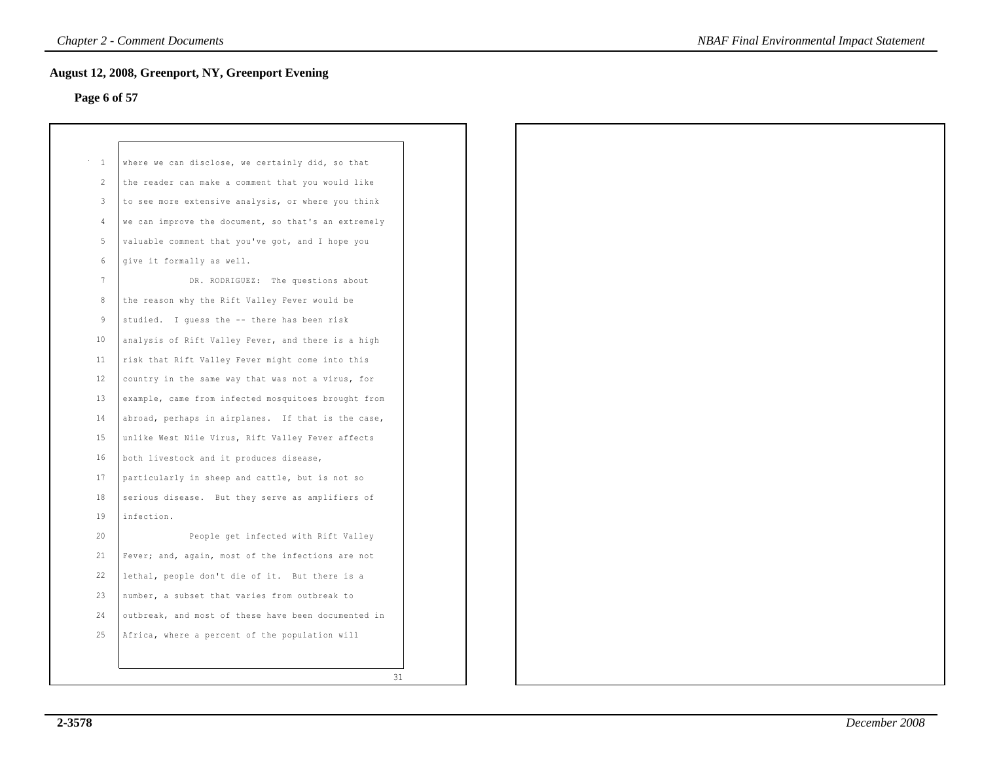## **Page 6 of 57**

| $\mathbf{1}$   | where we can disclose, we certainly did, so that    |    |
|----------------|-----------------------------------------------------|----|
| $\mathcal{L}$  | the reader can make a comment that you would like   |    |
| 3              | to see more extensive analysis, or where you think  |    |
| $\overline{4}$ | we can improve the document, so that's an extremely |    |
| 5.             | valuable comment that you've got, and I hope you    |    |
| 6              | give it formally as well.                           |    |
| 7              | DR. RODRIGUEZ: The questions about                  |    |
| 8              | the reason why the Rift Valley Fever would be       |    |
| 9              | studied. I quess the -- there has been risk         |    |
| 10             | analysis of Rift Valley Fever, and there is a high  |    |
| 11             | risk that Rift Valley Fever might come into this    |    |
| 12             | country in the same way that was not a virus, for   |    |
| 13             | example, came from infected mosquitoes brought from |    |
| 14             | abroad, perhaps in airplanes. If that is the case,  |    |
| 15             | unlike West Nile Virus, Rift Valley Fever affects   |    |
| 16             | both livestock and it produces disease,             |    |
| 17             | particularly in sheep and cattle, but is not so     |    |
| 18             | serious disease. But they serve as amplifiers of    |    |
| 19             | infection.                                          |    |
| 20             | People get infected with Rift Valley                |    |
| 21             | Fever; and, again, most of the infections are not   |    |
| 22             | lethal, people don't die of it. But there is a      |    |
| 23             | number, a subset that varies from outbreak to       |    |
| 24             | outbreak, and most of these have been documented in |    |
| 25             | Africa, where a percent of the population will      |    |
|                |                                                     |    |
|                |                                                     | 31 |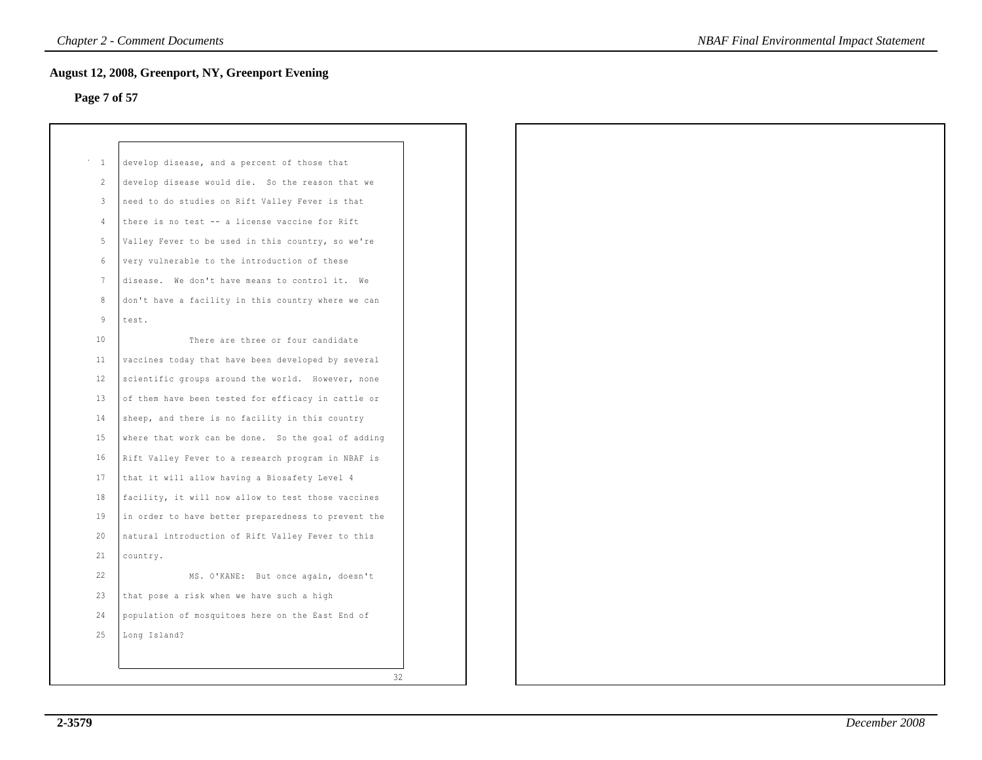## **Page 7 of 57**

| $\sim$ 1                | develop disease, and a percent of those that        |
|-------------------------|-----------------------------------------------------|
| $\overline{2}$          | develop disease would die. So the reason that we    |
| $\overline{\mathbf{3}}$ | need to do studies on Rift Valley Fever is that     |
| $\overline{4}$          | there is no test -- a license vaccine for Rift      |
| 5                       | Valley Fever to be used in this country, so we're   |
| $6\overline{6}$         | very vulnerable to the introduction of these        |
| $7\phantom{.0}$         | disease. We don't have means to control it. We      |
| 8                       | don't have a facility in this country where we can  |
| 9                       | test.                                               |
| 10                      | There are three or four candidate                   |
| 11                      | vaccines today that have been developed by several  |
| 12                      | scientific groups around the world. However, none   |
| 13                      | of them have been tested for efficacy in cattle or  |
| 14                      | sheep, and there is no facility in this country     |
| 15                      | where that work can be done. So the goal of adding  |
| 16                      | Rift Valley Fever to a research program in NBAF is  |
| 17                      | that it will allow having a Biosafety Level 4       |
| 18                      | facility, it will now allow to test those vaccines  |
| 19                      | in order to have better preparedness to prevent the |
| 20                      | natural introduction of Rift Valley Fever to this   |
| 21                      | country.                                            |
| 22                      | MS. O'KANE: But once again, doesn't                 |
| 23                      | that pose a risk when we have such a high           |
| 24                      | population of mosquitoes here on the East End of    |
| 25                      | Long Island?                                        |
|                         |                                                     |
|                         | 32                                                  |
|                         |                                                     |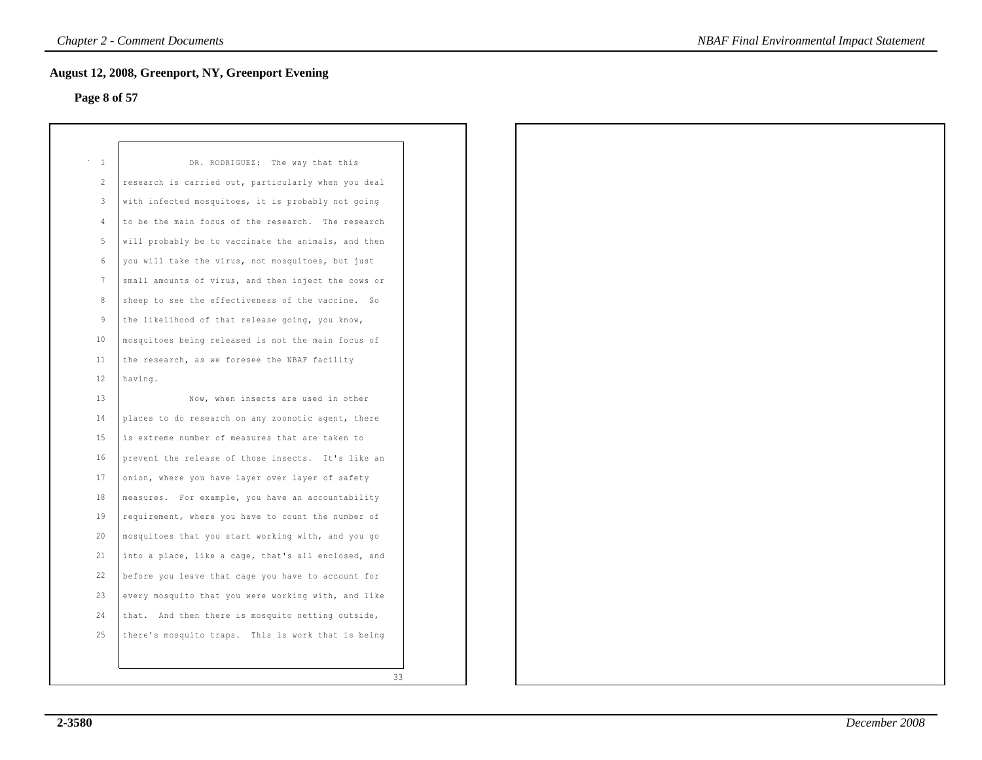## **Page 8 of 57**

| $\mathbf{1}$   | DR. RODRIGUEZ: The way that this                    |
|----------------|-----------------------------------------------------|
| $\overline{2}$ | research is carried out, particularly when you deal |
| 3              | with infected mosquitoes, it is probably not going  |
| 4              | to be the main focus of the research. The research  |
| 5.             | will probably be to vaccinate the animals, and then |
| 6              | you will take the virus, not mosquitoes, but just   |
| 7              | small amounts of virus, and then inject the cows or |
| 8              | sheep to see the effectiveness of the vaccine. So   |
| 9              | the likelihood of that release going, you know,     |
| 10             | mosquitoes being released is not the main focus of  |
| 11             | the research, as we foresee the NBAF facility       |
| 12             | having.                                             |
| 13             | Now, when insects are used in other                 |
| 14             | places to do research on any zoonotic agent, there  |
| 15             | is extreme number of measures that are taken to     |
| 16             | prevent the release of those insects. It's like an  |
| 17             | onion, where you have layer over layer of safety    |
| 18             | measures. For example, you have an accountability   |
| 19             | requirement, where you have to count the number of  |
| 20             | mosquitoes that you start working with, and you go  |
| 21             | into a place, like a cage, that's all enclosed, and |
| 22             | before you leave that cage you have to account for  |
| 23             | every mosquito that you were working with, and like |
| 24             | that. And then there is mosquito netting outside,   |
| 2.5            | there's mosquito traps. This is work that is being  |
|                |                                                     |
|                | 33                                                  |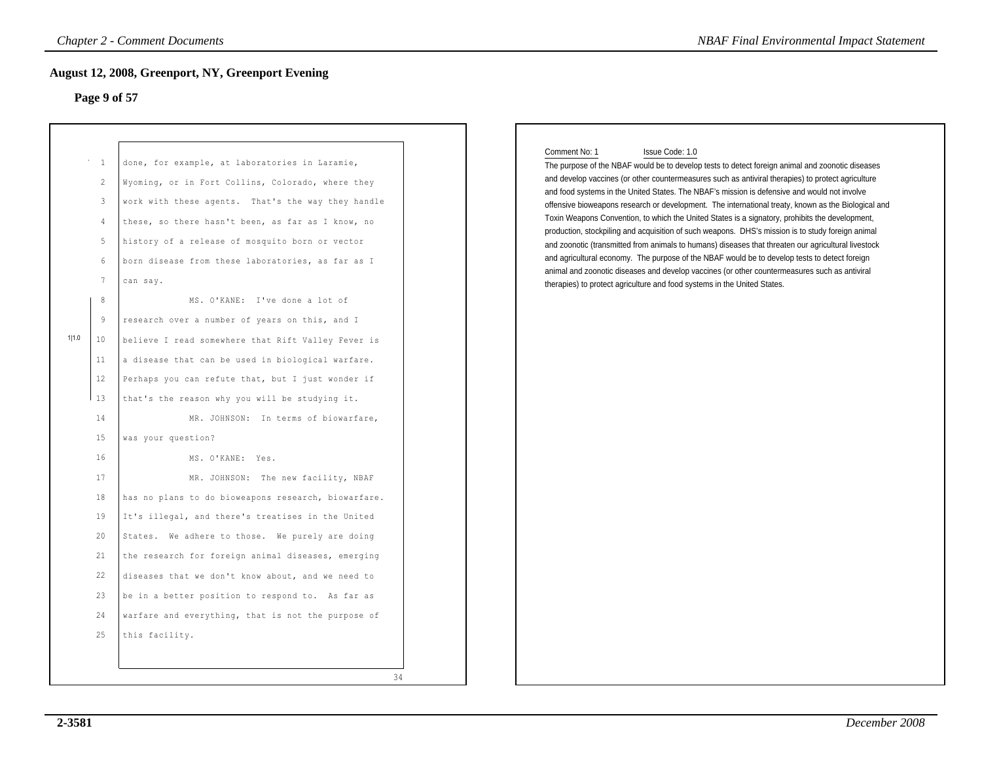### **Page 9 of 57**

|       | Page 9 of 57                                                 | ugust 12, 2008, Greenport, NY, Greenport Evening                                                                                                                                                                                                                                                                                                                     |                                                                                                                                                                                                                                                                                                                                                                                                                                                                                                                                                                                                                                                                                                                                                                                                                                                                                                                                                                                                                                                |
|-------|--------------------------------------------------------------|----------------------------------------------------------------------------------------------------------------------------------------------------------------------------------------------------------------------------------------------------------------------------------------------------------------------------------------------------------------------|------------------------------------------------------------------------------------------------------------------------------------------------------------------------------------------------------------------------------------------------------------------------------------------------------------------------------------------------------------------------------------------------------------------------------------------------------------------------------------------------------------------------------------------------------------------------------------------------------------------------------------------------------------------------------------------------------------------------------------------------------------------------------------------------------------------------------------------------------------------------------------------------------------------------------------------------------------------------------------------------------------------------------------------------|
|       | $\overline{1}$<br>2<br>$\mathbf{3}$<br>4<br>5<br>6<br>7<br>8 | done, for example, at laboratories in Laramie,<br>Wyoming, or in Fort Collins, Colorado, where they<br>work with these agents. That's the way they handle<br>these, so there hasn't been, as far as I know, no<br>history of a release of mosquito born or vector<br>born disease from these laboratories, as far as I<br>can say.<br>MS. O'KANE: I've done a lot of | Comment No: 1<br>Issue Code: 1.0<br>The purpose of the NBAF would be to develop tests to detect foreign animal and zoonotic diseases<br>and develop vaccines (or other countermeasures such as antiviral therapies) to protect agriculture<br>and food systems in the United States. The NBAF's mission is defensive and would not involve<br>offensive bioweapons research or development. The international treaty, known as the Biological and<br>Toxin Weapons Convention, to which the United States is a signatory, prohibits the development,<br>production, stockpiling and acquisition of such weapons. DHS's mission is to study foreign animal<br>and zoonotic (transmitted from animals to humans) diseases that threaten our agricultural livestock<br>and agricultural economy. The purpose of the NBAF would be to develop tests to detect foreign<br>animal and zoonotic diseases and develop vaccines (or other countermeasures such as antiviral<br>therapies) to protect agriculture and food systems in the United States. |
| 1 1.0 | 9<br>10<br>11                                                | research over a number of years on this, and I<br>believe I read somewhere that Rift Valley Fever is<br>a disease that can be used in biological warfare.                                                                                                                                                                                                            |                                                                                                                                                                                                                                                                                                                                                                                                                                                                                                                                                                                                                                                                                                                                                                                                                                                                                                                                                                                                                                                |
|       | 12<br>13<br>14                                               | Perhaps you can refute that, but I just wonder if<br>that's the reason why you will be studying it.<br>MR. JOHNSON: In terms of biowarfare,                                                                                                                                                                                                                          |                                                                                                                                                                                                                                                                                                                                                                                                                                                                                                                                                                                                                                                                                                                                                                                                                                                                                                                                                                                                                                                |
|       | 15<br>16<br>17<br>18                                         | was your question?<br>MS. O'KANE: Yes.<br>MR. JOHNSON: The new facility, NBAF<br>has no plans to do bioweapons research, biowarfare.                                                                                                                                                                                                                                 |                                                                                                                                                                                                                                                                                                                                                                                                                                                                                                                                                                                                                                                                                                                                                                                                                                                                                                                                                                                                                                                |
|       | 19<br>20<br>21                                               | It's illegal, and there's treatises in the United<br>States. We adhere to those. We purely are doing<br>the research for foreign animal diseases, emerging                                                                                                                                                                                                           |                                                                                                                                                                                                                                                                                                                                                                                                                                                                                                                                                                                                                                                                                                                                                                                                                                                                                                                                                                                                                                                |
|       | 22<br>23<br>24                                               | diseases that we don't know about, and we need to<br>be in a better position to respond to. As far as<br>warfare and everything, that is not the purpose of                                                                                                                                                                                                          |                                                                                                                                                                                                                                                                                                                                                                                                                                                                                                                                                                                                                                                                                                                                                                                                                                                                                                                                                                                                                                                |
|       | 25                                                           | this facility.<br>34                                                                                                                                                                                                                                                                                                                                                 |                                                                                                                                                                                                                                                                                                                                                                                                                                                                                                                                                                                                                                                                                                                                                                                                                                                                                                                                                                                                                                                |

### Comment No: 1 Issue Code: 1.0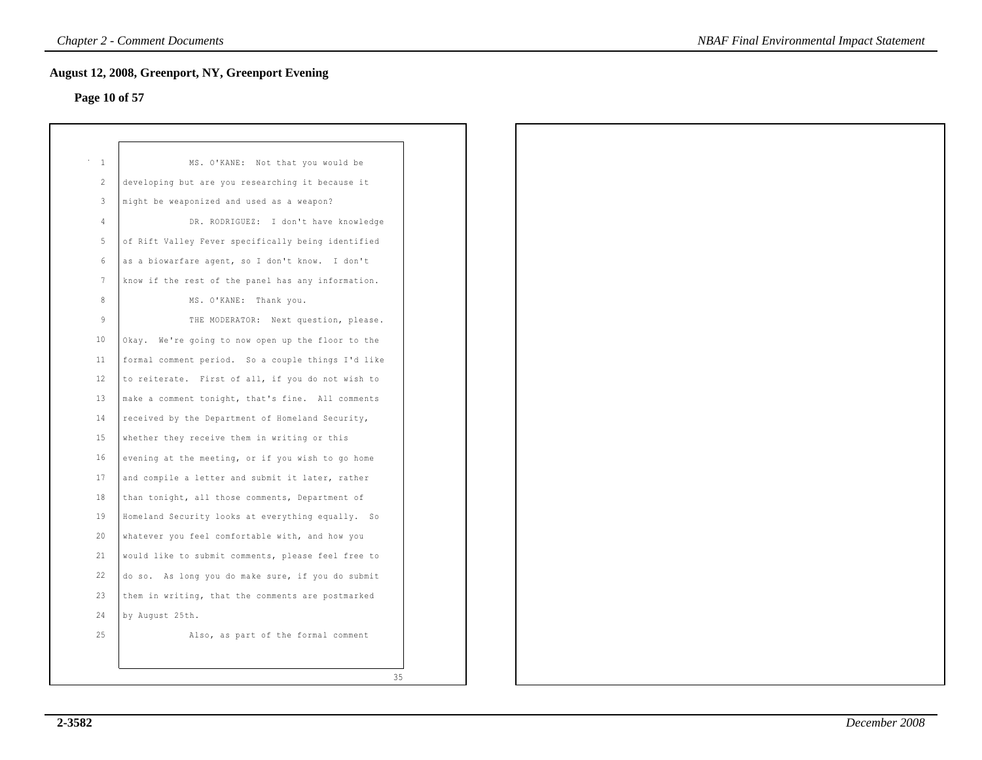## **Page 10 of 57**

| $\mathbf{1}$    | MS. O'KANE: Not that you would be                  |
|-----------------|----------------------------------------------------|
| $\overline{2}$  | developing but are you researching it because it   |
| 3               | might be weaponized and used as a weapon?          |
| 4               | DR. RODRIGUEZ: I don't have knowledge              |
| 5               | of Rift Valley Fever specifically being identified |
| 6               | as a biowarfare agent, so I don't know. I don't    |
| $7\phantom{.0}$ | know if the rest of the panel has any information. |
| 8               | MS. O'KANE:<br>Thank you.                          |
| 9               | THE MODERATOR: Next question, please.              |
| $10 \,$         | Okay. We're going to now open up the floor to the  |
| 11              | formal comment period. So a couple things I'd like |
| 12              | to reiterate. First of all, if you do not wish to  |
| 13              | make a comment tonight, that's fine. All comments  |
| 14              | received by the Department of Homeland Security,   |
| 15              | whether they receive them in writing or this       |
| 16              | evening at the meeting, or if you wish to go home  |
| 17              | and compile a letter and submit it later, rather   |
| 18              | than tonight, all those comments, Department of    |
| 19              | Homeland Security looks at everything equally. So  |
| 20              | whatever you feel comfortable with, and how you    |
| 21              | would like to submit comments, please feel free to |
| 22              | do so. As long you do make sure, if you do submit  |
| 23              | them in writing, that the comments are postmarked  |
| 24              | by August 25th.                                    |
| 25              | Also, as part of the formal comment                |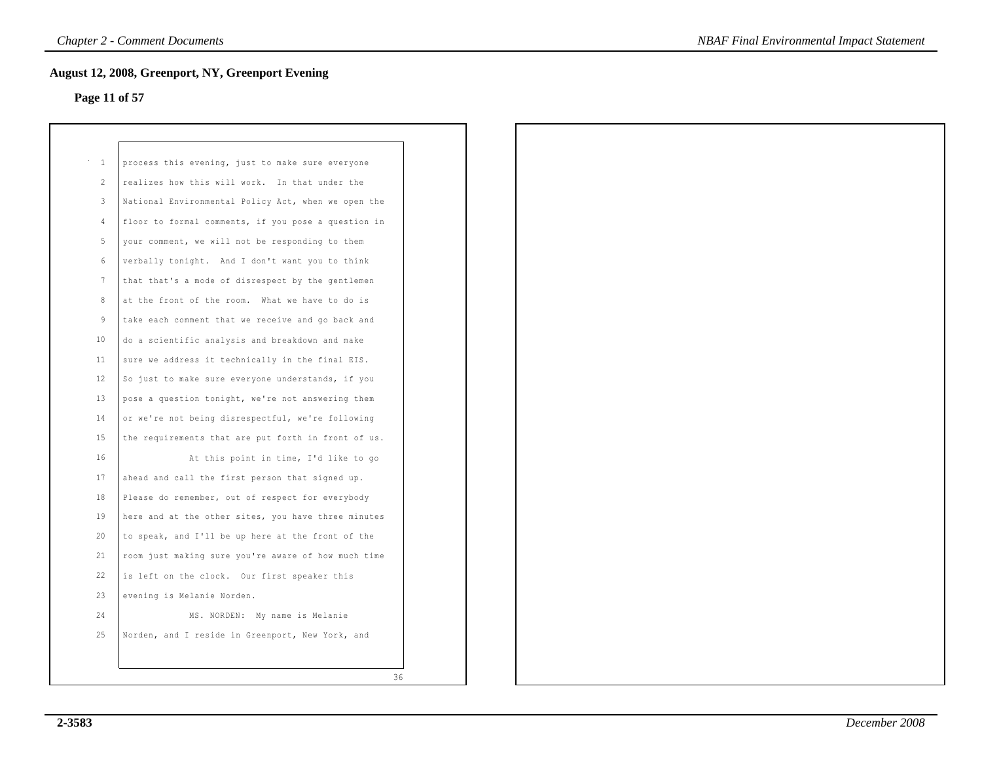## **Page 11 of 57**

| $\mathbf 1$ | process this evening, just to make sure everyone    |    |
|-------------|-----------------------------------------------------|----|
|             |                                                     |    |
| 2           | realizes how this will work. In that under the      |    |
| 3           | National Environmental Policy Act, when we open the |    |
| 4           | floor to formal comments, if you pose a question in |    |
| 5           | your comment, we will not be responding to them     |    |
| 6           | verbally tonight. And I don't want you to think     |    |
| 7           | that that's a mode of disrespect by the gentlemen   |    |
| 8           | at the front of the room. What we have to do is     |    |
| 9           | take each comment that we receive and go back and   |    |
| 10          | do a scientific analysis and breakdown and make     |    |
| 11          | sure we address it technically in the final EIS.    |    |
| 12          | So just to make sure everyone understands, if you   |    |
| 13          | pose a question tonight, we're not answering them   |    |
| 14          | or we're not being disrespectful, we're following   |    |
| 1.5         | the requirements that are put forth in front of us. |    |
| 16          | At this point in time, I'd like to go               |    |
| 17          | ahead and call the first person that signed up.     |    |
| 18          | Please do remember, out of respect for everybody    |    |
| 19          | here and at the other sites, you have three minutes |    |
| 20          | to speak, and I'll be up here at the front of the   |    |
| 21          | room just making sure you're aware of how much time |    |
| 22          | is left on the clock. Our first speaker this        |    |
| 23          | evening is Melanie Norden.                          |    |
| 24          | MS. NORDEN: My name is Melanie                      |    |
| 25          | Norden, and I reside in Greenport, New York, and    |    |
|             |                                                     |    |
|             |                                                     | 36 |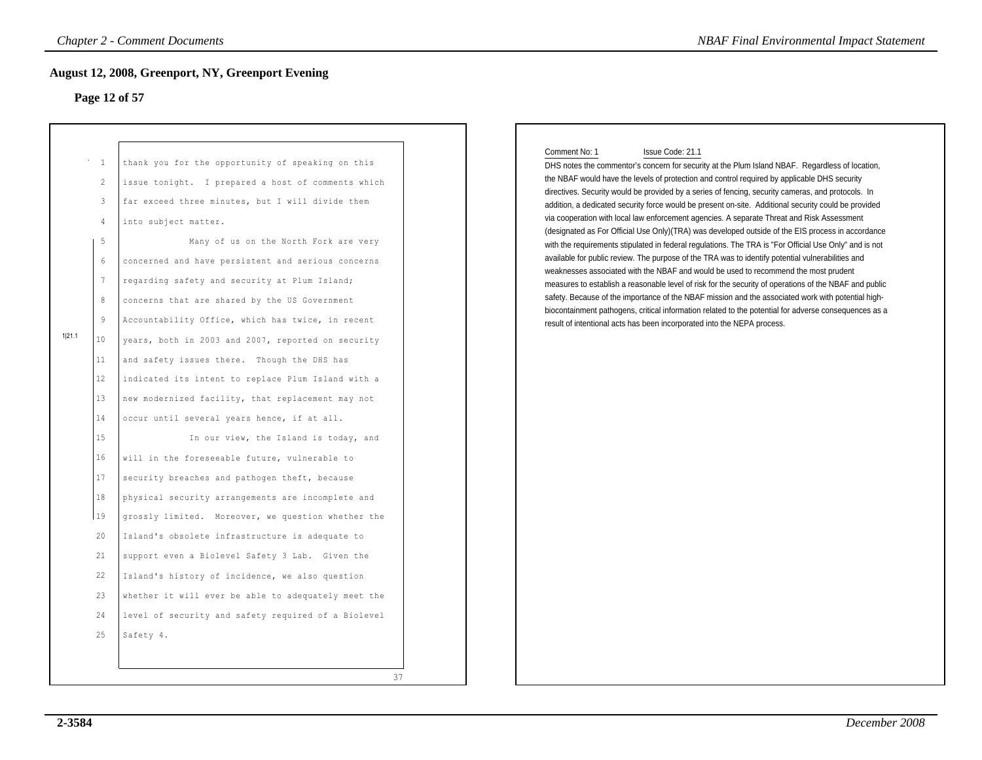### **Page 12 of 57**

|        |                                                                                                                                             | Chapter 2 - Comment Documents                                                                                                                                                                                                                                                                                                                                                                                                                                                                                                                                                                                                                                                                                                                     | <b>NBAF Final Environmental Impact Statement</b>                                                                                                                                                                                                                                                                                                                                                                                                                                                                                                                                                                                                                                                                                                                                                                                                                                                                                                                                                                                                                                                                                                                                                                                                                                                                                                                 |
|--------|---------------------------------------------------------------------------------------------------------------------------------------------|---------------------------------------------------------------------------------------------------------------------------------------------------------------------------------------------------------------------------------------------------------------------------------------------------------------------------------------------------------------------------------------------------------------------------------------------------------------------------------------------------------------------------------------------------------------------------------------------------------------------------------------------------------------------------------------------------------------------------------------------------|------------------------------------------------------------------------------------------------------------------------------------------------------------------------------------------------------------------------------------------------------------------------------------------------------------------------------------------------------------------------------------------------------------------------------------------------------------------------------------------------------------------------------------------------------------------------------------------------------------------------------------------------------------------------------------------------------------------------------------------------------------------------------------------------------------------------------------------------------------------------------------------------------------------------------------------------------------------------------------------------------------------------------------------------------------------------------------------------------------------------------------------------------------------------------------------------------------------------------------------------------------------------------------------------------------------------------------------------------------------|
|        |                                                                                                                                             | ugust 12, 2008, Greenport, NY, Greenport Evening                                                                                                                                                                                                                                                                                                                                                                                                                                                                                                                                                                                                                                                                                                  |                                                                                                                                                                                                                                                                                                                                                                                                                                                                                                                                                                                                                                                                                                                                                                                                                                                                                                                                                                                                                                                                                                                                                                                                                                                                                                                                                                  |
|        |                                                                                                                                             | Page 12 of 57                                                                                                                                                                                                                                                                                                                                                                                                                                                                                                                                                                                                                                                                                                                                     |                                                                                                                                                                                                                                                                                                                                                                                                                                                                                                                                                                                                                                                                                                                                                                                                                                                                                                                                                                                                                                                                                                                                                                                                                                                                                                                                                                  |
| 1 21.1 | $^{\circ}$ – $1$<br>2<br>$\overline{3}$<br>$\overline{4}$<br>-5<br>$6\,$<br>7<br>$^8$<br>$\overline{9}$<br>10<br>11<br>12<br>13<br>14<br>15 | thank you for the opportunity of speaking on this<br>issue tonight. I prepared a host of comments which<br>far exceed three minutes, but I will divide them<br>into subject matter.<br>Many of us on the North Fork are very<br>concerned and have persistent and serious concerns<br>regarding safety and security at Plum Island;<br>concerns that are shared by the US Government<br>Accountability Office, which has twice, in recent<br>years, both in 2003 and 2007, reported on security<br>and safety issues there. Though the DHS has<br>indicated its intent to replace Plum Island with a<br>new modernized facility, that replacement may not<br>occur until several years hence, if at all.<br>In our view, the Island is today, and | Comment No: 1<br>Issue Code: 21.1<br>DHS notes the commentor's concern for security at the Plum Island NBAF. Regardless of location,<br>the NBAF would have the levels of protection and control required by applicable DHS security<br>directives. Security would be provided by a series of fencing, security cameras, and protocols. In<br>addition, a dedicated security force would be present on-site. Additional security could be provided<br>via cooperation with local law enforcement agencies. A separate Threat and Risk Assessment<br>(designated as For Official Use Only) (TRA) was developed outside of the EIS process in accordance<br>with the requirements stipulated in federal regulations. The TRA is "For Official Use Only" and is not<br>available for public review. The purpose of the TRA was to identify potential vulnerabilities and<br>weaknesses associated with the NBAF and would be used to recommend the most prudent<br>measures to establish a reasonable level of risk for the security of operations of the NBAF and public<br>safety. Because of the importance of the NBAF mission and the associated work with potential high-<br>biocontainment pathogens, critical information related to the potential for adverse consequences as a<br>result of intentional acts has been incorporated into the NEPA process. |
|        | 16<br>17<br>18<br>19<br>20<br>21<br>22<br>23<br>24<br>25                                                                                    | will in the foreseeable future, vulnerable to<br>security breaches and pathogen theft, because<br>physical security arrangements are incomplete and<br>grossly limited. Moreover, we question whether the<br>Island's obsolete infrastructure is adequate to<br>support even a Biolevel Safety 3 Lab. Given the<br>Island's history of incidence, we also question<br>whether it will ever be able to adequately meet the<br>level of security and safety required of a Biolevel<br>Safety 4.<br>37                                                                                                                                                                                                                                               |                                                                                                                                                                                                                                                                                                                                                                                                                                                                                                                                                                                                                                                                                                                                                                                                                                                                                                                                                                                                                                                                                                                                                                                                                                                                                                                                                                  |

### Comment No: 1 Issue Code: 21.1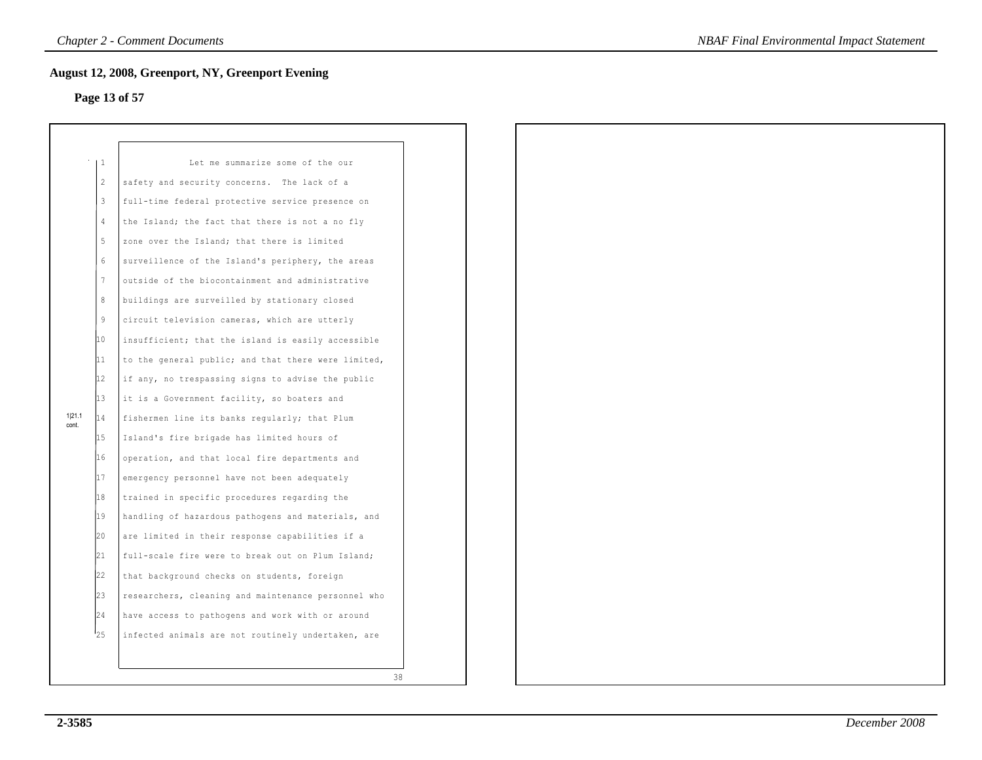## **Page 13 of 57**

|                | 1  | Let me summarize some of the our                    |
|----------------|----|-----------------------------------------------------|
|                | 2  | safety and security concerns.<br>The lack of a      |
|                | 3  | full-time federal protective service presence on    |
|                | 4  | the Island; the fact that there is not a no fly     |
|                | 5  | zone over the Island; that there is limited         |
|                | 6  | surveillence of the Island's periphery, the areas   |
|                | 7  | outside of the biocontainment and administrative    |
|                | 8  | buildings are surveilled by stationary closed       |
|                | 9  | circuit television cameras, which are utterly       |
|                | 10 | insufficient; that the island is easily accessible  |
|                | 11 | to the general public; and that there were limited, |
|                | 12 | if any, no trespassing signs to advise the public   |
|                | 13 | it is a Government facility, so boaters and         |
| 1121.1<br>cont | 14 | fishermen line its banks regularly; that Plum       |
|                | 15 | Island's fire brigade has limited hours of          |
|                | 16 | operation, and that local fire departments and      |
|                | 17 | emergency personnel have not been adequately        |
|                | 18 | trained in specific procedures regarding the        |
|                | 19 | handling of hazardous pathogens and materials, and  |
|                | 20 | are limited in their response capabilities if a     |
|                | 21 | full-scale fire were to break out on Plum Island;   |
|                | 22 | that background checks on students, foreign         |
|                | 23 | researchers, cleaning and maintenance personnel who |
|                | 24 | have access to pathogens and work with or around    |
|                | 25 | infected animals are not routinely undertaken, are  |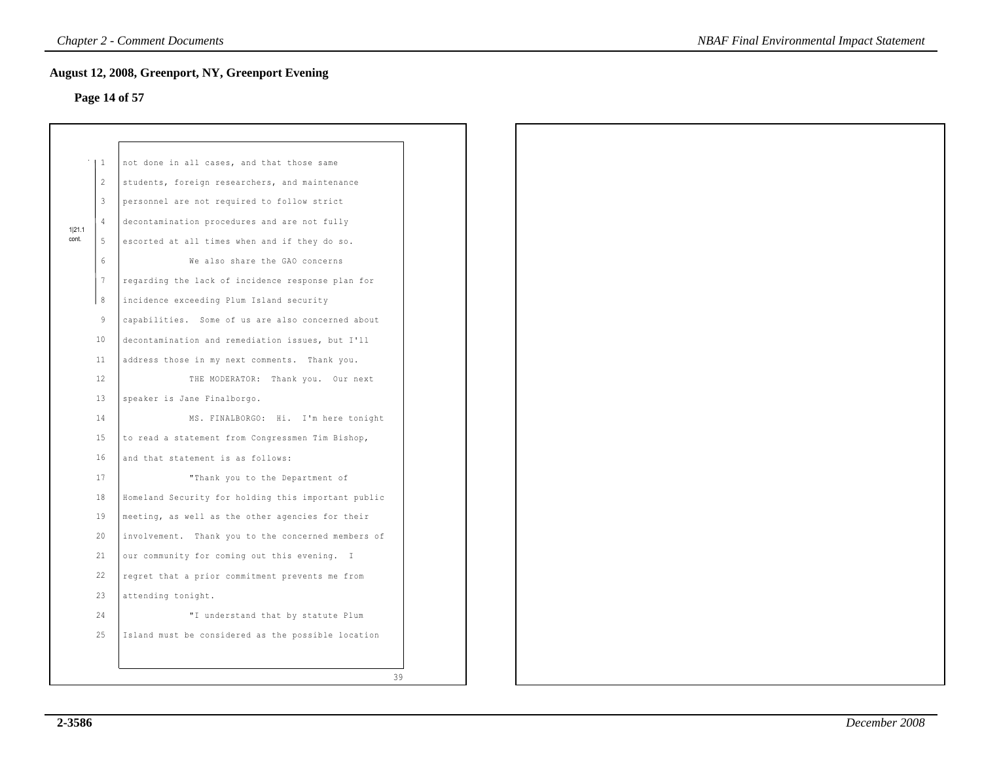## **Page 14 of 57**

|                 | $\vert 1 \vert$ | not done in all cases, and that those same          |
|-----------------|-----------------|-----------------------------------------------------|
|                 | 2               | students, foreign researchers, and maintenance      |
|                 | $\overline{3}$  | personnel are not required to follow strict         |
|                 | $\overline{4}$  | decontamination procedures and are not fully        |
| 1 21.1<br>cont. | -5              | escorted at all times when and if they do so.       |
|                 | $6\overline{6}$ | We also share the GAO concerns                      |
|                 | $7\phantom{.0}$ | regarding the lack of incidence response plan for   |
|                 | 8               | incidence exceeding Plum Island security            |
|                 | $\overline{9}$  | capabilities. Some of us are also concerned about   |
|                 | 10              | decontamination and remediation issues, but I'll    |
|                 | 11              | address those in my next comments. Thank you.       |
|                 | 12              | THE MODERATOR: Thank you. Our next                  |
|                 | 13              | speaker is Jane Finalborgo.                         |
|                 | 14              | MS. FINALBORGO: Hi. I'm here tonight                |
|                 | 15              | to read a statement from Congressmen Tim Bishop,    |
|                 | 16              | and that statement is as follows:                   |
|                 | 17              | "Thank you to the Department of                     |
|                 | 18              | Homeland Security for holding this important public |
|                 | 19              | meeting, as well as the other agencies for their    |
|                 | 20              | involvement. Thank you to the concerned members of  |
|                 | 21              | our community for coming out this evening. I        |
|                 | 22              | regret that a prior commitment prevents me from     |
|                 | 23              | attending tonight.                                  |
|                 | 24              | "I understand that by statute Plum                  |
|                 | 25              | Island must be considered as the possible location  |
|                 |                 |                                                     |
|                 |                 | 39                                                  |
|                 |                 |                                                     |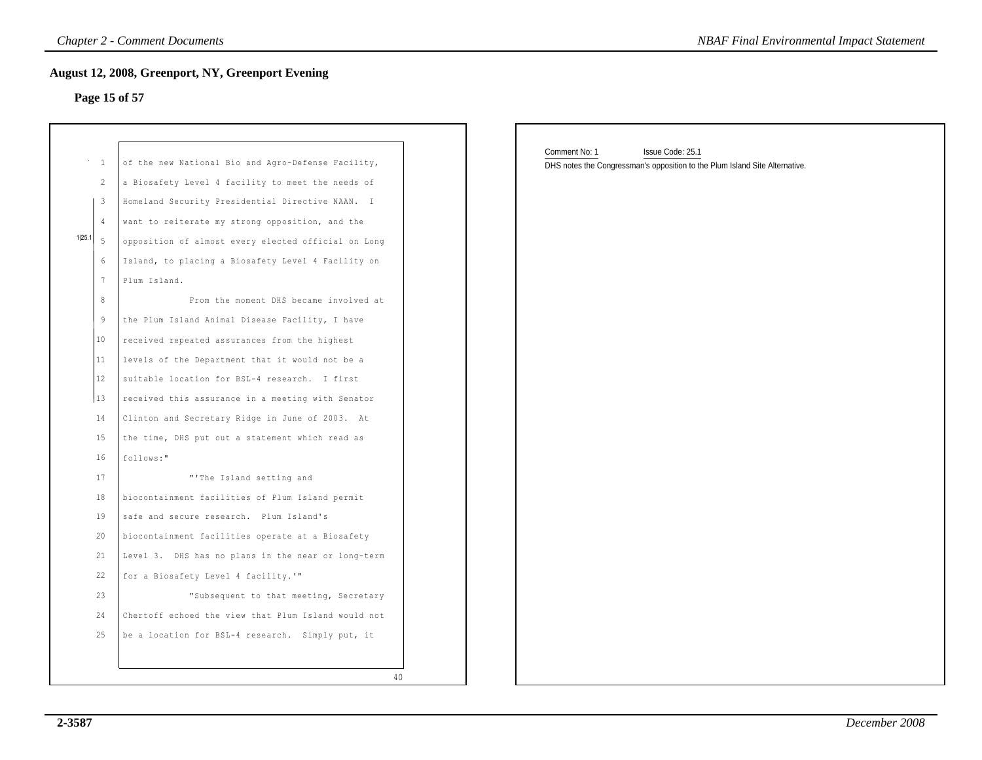## **Page 15 of 57**

|                                                                                                                                         | <b>Chapter 2 - Comment Documents</b>                                                                                                                                                                                                                                                                                                                                                                                                                                                      | <b>NBAF Final Environmental Impact Statement</b>                                                                 |
|-----------------------------------------------------------------------------------------------------------------------------------------|-------------------------------------------------------------------------------------------------------------------------------------------------------------------------------------------------------------------------------------------------------------------------------------------------------------------------------------------------------------------------------------------------------------------------------------------------------------------------------------------|------------------------------------------------------------------------------------------------------------------|
| Page 15 of 57                                                                                                                           | <b>August 12, 2008, Greenport, NY, Greenport Evening</b>                                                                                                                                                                                                                                                                                                                                                                                                                                  |                                                                                                                  |
| $^{\circ}$ – $1$<br>2<br>$\overline{\mathbf{3}}$<br>$\overline{4}$<br>1 25.1<br>- 5<br>6<br>7<br>8<br>$\overline{9}$<br>10 <sub>o</sub> | of the new National Bio and Agro-Defense Facility,<br>a Biosafety Level 4 facility to meet the needs of<br>Homeland Security Presidential Directive NAAN. I<br>want to reiterate my strong opposition, and the<br>opposition of almost every elected official on Long<br>Island, to placing a Biosafety Level 4 Facility on<br>Plum Island.<br>From the moment DHS became involved at<br>the Plum Island Animal Disease Facility, I have<br>received repeated assurances from the highest | Comment No: 1<br>Issue Code: 25.1<br>DHS notes the Congressman's opposition to the Plum Island Site Alternative. |
| 11<br>12<br>13<br>14<br>15<br>16<br>17<br>18                                                                                            | levels of the Department that it would not be a<br>suitable location for BSL-4 research. I first<br>received this assurance in a meeting with Senator<br>Clinton and Secretary Ridge in June of 2003. At<br>the time, DHS put out a statement which read as<br>follows:"<br>"'The Island setting and<br>biocontainment facilities of Plum Island permit                                                                                                                                   |                                                                                                                  |
| 19<br>20<br>21<br>22<br>23<br>24<br>25                                                                                                  | safe and secure research. Plum Island's<br>biocontainment facilities operate at a Biosafety<br>Level 3. DHS has no plans in the near or long-term<br>for a Biosafety Level 4 facility.'"<br>"Subsequent to that meeting, Secretary<br>Chertoff echoed the view that Plum Island would not<br>be a location for BSL-4 research. Simply put, it                                                                                                                                             |                                                                                                                  |
|                                                                                                                                         | 40                                                                                                                                                                                                                                                                                                                                                                                                                                                                                        |                                                                                                                  |

| Comment No: 1 | Issue Code: 25.1                                                            |
|---------------|-----------------------------------------------------------------------------|
|               | DHS notes the Congressman's opposition to the Plum Island Site Alternative. |
|               |                                                                             |
|               |                                                                             |
|               |                                                                             |
|               |                                                                             |
|               |                                                                             |
|               |                                                                             |
|               |                                                                             |
|               |                                                                             |
|               |                                                                             |
|               |                                                                             |
|               |                                                                             |
|               |                                                                             |
|               |                                                                             |
|               |                                                                             |
|               |                                                                             |
|               |                                                                             |
|               |                                                                             |
|               |                                                                             |
|               |                                                                             |
|               |                                                                             |
|               |                                                                             |
|               |                                                                             |
|               |                                                                             |
|               |                                                                             |
|               |                                                                             |
|               |                                                                             |
|               |                                                                             |
|               |                                                                             |
|               |                                                                             |
|               |                                                                             |
|               |                                                                             |
|               |                                                                             |
|               |                                                                             |
|               |                                                                             |
|               |                                                                             |
|               |                                                                             |
|               |                                                                             |
|               |                                                                             |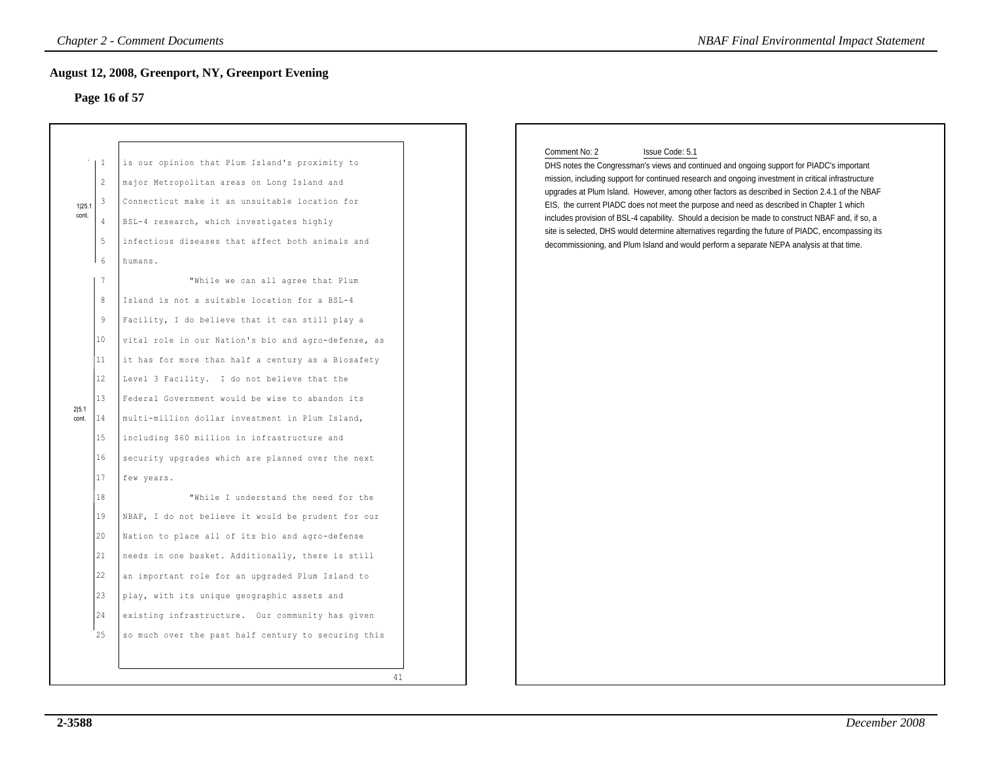### **Page 16 of 57**

|                |                                                                                            | <b>Chapter 2 - Comment Documents</b><br><b>August 12, 2008, Greenport, NY, Greenport Evening</b><br>Page 16 of 57                                                                                                                                                                                                                                                                                                                                                                                                                                                                                                                                                                                                                                                                              |    | <b>NBAF Final Environmental Impact Statement</b>                                                                                                                                                                                                                                                                                                                                                                                                                                                                                                                                                                                                                                                                                             |
|----------------|--------------------------------------------------------------------------------------------|------------------------------------------------------------------------------------------------------------------------------------------------------------------------------------------------------------------------------------------------------------------------------------------------------------------------------------------------------------------------------------------------------------------------------------------------------------------------------------------------------------------------------------------------------------------------------------------------------------------------------------------------------------------------------------------------------------------------------------------------------------------------------------------------|----|----------------------------------------------------------------------------------------------------------------------------------------------------------------------------------------------------------------------------------------------------------------------------------------------------------------------------------------------------------------------------------------------------------------------------------------------------------------------------------------------------------------------------------------------------------------------------------------------------------------------------------------------------------------------------------------------------------------------------------------------|
| 1 25.<br>cont. | -1<br>$\mathbf{2}$<br>3<br>$\overline{4}$<br>5<br>6<br>7                                   | is our opinion that Plum Island's proximity to<br>major Metropolitan areas on Long Island and<br>Connecticut make it an unsuitable location for<br>BSL-4 research, which investigates highly<br>infectious diseases that affect both animals and<br>humans.<br>"While we can all agree that Plum                                                                                                                                                                                                                                                                                                                                                                                                                                                                                               |    | Comment No: 2<br>Issue Code: 5.1<br>DHS notes the Congressman's views and continued and ongoing support for PIADC's important<br>mission, including support for continued research and ongoing investment in critical infrastructure<br>upgrades at Plum Island. However, among other factors as described in Section 2.4.1 of the NBAF<br>EIS, the current PIADC does not meet the purpose and need as described in Chapter 1 which<br>includes provision of BSL-4 capability. Should a decision be made to construct NBAF and, if so, a<br>site is selected, DHS would determine alternatives regarding the future of PIADC, encompassing its<br>decommissioning, and Plum Island and would perform a separate NEPA analysis at that time. |
| 2 5.1<br>cont. | 8<br>9<br>10<br>11<br>12<br>13<br>14<br>15<br>16<br>17<br>18<br>19<br>20<br>21<br>22<br>23 | Island is not a suitable location for a BSL-4<br>Facility, I do believe that it can still play a<br>vital role in our Nation's bio and agro-defense, as<br>it has for more than half a century as a Biosafety<br>Level 3 Facility. I do not believe that the<br>Federal Government would be wise to abandon its<br>multi-million dollar investment in Plum Island,<br>including \$60 million in infrastructure and<br>security upgrades which are planned over the next<br>few years.<br>"While I understand the need for the<br>NBAF, I do not believe it would be prudent for our<br>Nation to place all of its bio and agro-defense<br>needs in one basket. Additionally, there is still<br>an important role for an upgraded Plum Island to<br>play, with its unique geographic assets and |    |                                                                                                                                                                                                                                                                                                                                                                                                                                                                                                                                                                                                                                                                                                                                              |
|                | 24<br>25                                                                                   | existing infrastructure. Our community has given<br>so much over the past half century to securing this                                                                                                                                                                                                                                                                                                                                                                                                                                                                                                                                                                                                                                                                                        | 41 |                                                                                                                                                                                                                                                                                                                                                                                                                                                                                                                                                                                                                                                                                                                                              |

### Comment No: 2 Issue Code: 5.1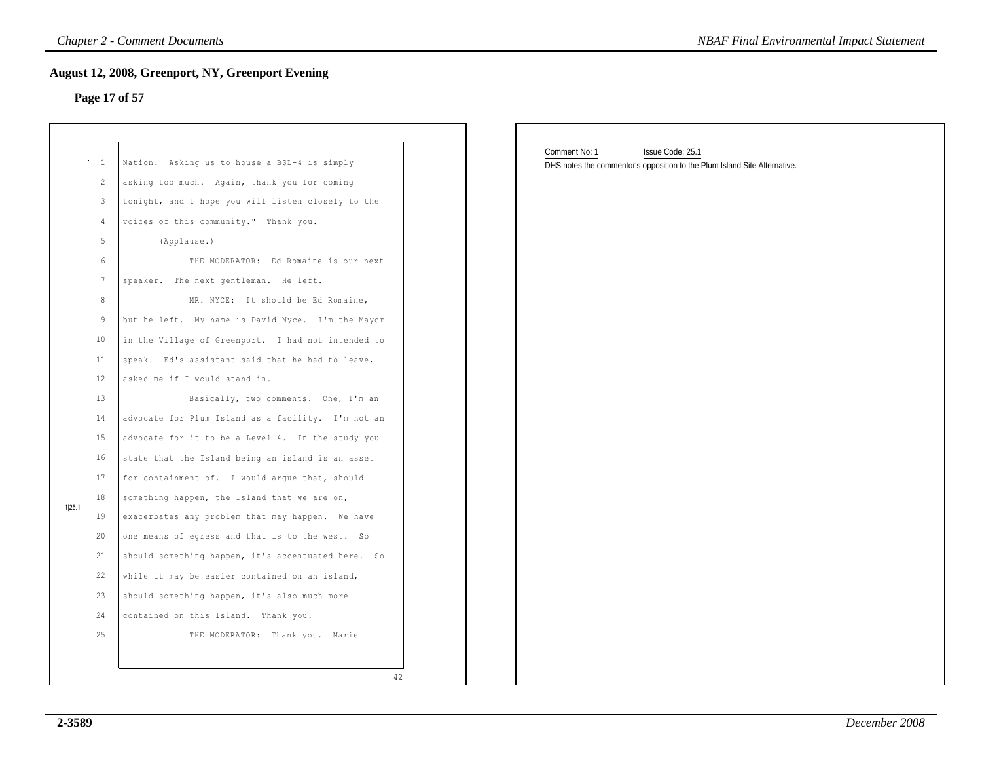## **Page 17 of 57**

|        | $\mathbf{1}$    | Nation. Asking us to house a BSL-4 is simply          |    |
|--------|-----------------|-------------------------------------------------------|----|
|        | $\overline{2}$  | asking too much. Again, thank you for coming          |    |
|        | 3               | tonight, and I hope you will listen closely to the    |    |
|        | 4               | voices of this community." Thank you.                 |    |
|        | 5               | (Applause.)                                           |    |
|        | 6               | THE MODERATOR: Ed Romaine is our next                 |    |
|        | $7\phantom{.0}$ | speaker. The next gentleman. He left.                 |    |
|        | 8               | MR. NYCE: It should be Ed Romaine,                    |    |
|        | 9               | but he left. My name is David Nyce. I'm the Mayor     |    |
|        | 10              | in the Village of Greenport. I had not intended to    |    |
|        | 11              | speak. Ed's assistant said that he had to leave,      |    |
|        | 12              | asked me if I would stand in.                         |    |
|        | 13              | Basically, two comments. One, I'm an                  |    |
|        | 14              | advocate for Plum Island as a facility. I'm not an    |    |
|        | 15              | advocate for it to be a Level 4. In the study you     |    |
|        | 16              | state that the Island being an island is an asset     |    |
|        | 17              | for containment of. I would arque that, should        |    |
|        | 18              | something happen, the Island that we are on,          |    |
| 1 25.1 | 19              | exacerbates any problem that may happen. We have      |    |
|        | 20              | one means of egress and that is to the west. So       |    |
|        | 21              | should something happen, it's accentuated here.<br>So |    |
|        | 22              | while it may be easier contained on an island,        |    |
|        | 23              | should something happen, it's also much more          |    |
|        | 24              | contained on this Island. Thank you.                  |    |
|        | 25              | THE MODERATOR: Thank you. Marie                       |    |
|        |                 |                                                       |    |
|        |                 |                                                       | 42 |

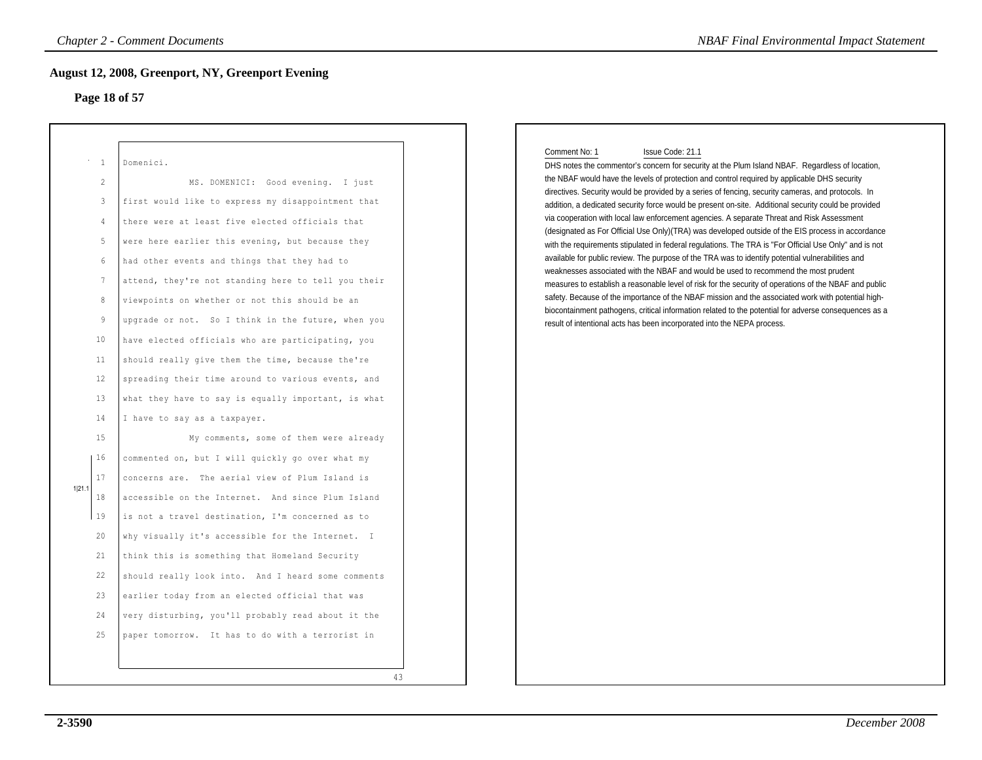### **Page 18 of 57**

|                                                                                                                                                                                                                             | <b>Chapter 2 - Comment Documents</b>                                                                                                                                                                                                                                                                                                                                                                                                                                                                                                                                                                                                                                                                                                                                                                                                                                                                                                                                                                                                                                                                                                                                                                                                                                       | <b>NBAF Final Environmental Impact Statement</b>                                                                                                                                                                                                                                                                                                                                                                                                                                                                                                                                                                                                                                                                                                                                                                                                                                                                                                                                                                                                                                                                                                                                                                                                                                                                                                                |
|-----------------------------------------------------------------------------------------------------------------------------------------------------------------------------------------------------------------------------|----------------------------------------------------------------------------------------------------------------------------------------------------------------------------------------------------------------------------------------------------------------------------------------------------------------------------------------------------------------------------------------------------------------------------------------------------------------------------------------------------------------------------------------------------------------------------------------------------------------------------------------------------------------------------------------------------------------------------------------------------------------------------------------------------------------------------------------------------------------------------------------------------------------------------------------------------------------------------------------------------------------------------------------------------------------------------------------------------------------------------------------------------------------------------------------------------------------------------------------------------------------------------|-----------------------------------------------------------------------------------------------------------------------------------------------------------------------------------------------------------------------------------------------------------------------------------------------------------------------------------------------------------------------------------------------------------------------------------------------------------------------------------------------------------------------------------------------------------------------------------------------------------------------------------------------------------------------------------------------------------------------------------------------------------------------------------------------------------------------------------------------------------------------------------------------------------------------------------------------------------------------------------------------------------------------------------------------------------------------------------------------------------------------------------------------------------------------------------------------------------------------------------------------------------------------------------------------------------------------------------------------------------------|
| Page 18 of 57                                                                                                                                                                                                               | <b>August 12, 2008, Greenport, NY, Greenport Evening</b>                                                                                                                                                                                                                                                                                                                                                                                                                                                                                                                                                                                                                                                                                                                                                                                                                                                                                                                                                                                                                                                                                                                                                                                                                   |                                                                                                                                                                                                                                                                                                                                                                                                                                                                                                                                                                                                                                                                                                                                                                                                                                                                                                                                                                                                                                                                                                                                                                                                                                                                                                                                                                 |
| $\overline{1}$<br>$\overline{c}$<br>3<br>$\overline{4}$<br>5<br>6<br>$7\phantom{.0}$<br>$\,8\,$<br>$\overline{9}$<br>10<br>11<br>12<br>13<br>14<br>15<br>16<br>17<br>1 21.1<br>18<br>19<br>20<br>21<br>22<br>23<br>24<br>25 | Domenici.<br>MS. DOMENICI: Good evening. I just<br>first would like to express my disappointment that<br>there were at least five elected officials that<br>were here earlier this evening, but because they<br>had other events and things that they had to<br>attend, they're not standing here to tell you their<br>viewpoints on whether or not this should be an<br>upgrade or not. So I think in the future, when you<br>have elected officials who are participating, you<br>should really give them the time, because the're<br>spreading their time around to various events, and<br>what they have to say is equally important, is what<br>I have to say as a taxpayer.<br>My comments, some of them were already<br>commented on, but I will quickly go over what my<br>concerns are. The aerial view of Plum Island is<br>accessible on the Internet. And since Plum Island<br>is not a travel destination, I'm concerned as to<br>why visually it's accessible for the Internet. I<br>think this is something that Homeland Security<br>should really look into. And I heard some comments<br>earlier today from an elected official that was<br>very disturbing, you'll probably read about it the<br>paper tomorrow. It has to do with a terrorist in<br>43 | Comment No: 1<br>Issue Code: 21.1<br>DHS notes the commentor's concern for security at the Plum Island NBAF. Regardless of location,<br>the NBAF would have the levels of protection and control required by applicable DHS security<br>directives. Security would be provided by a series of fencing, security cameras, and protocols. In<br>addition, a dedicated security force would be present on-site. Additional security could be provided<br>via cooperation with local law enforcement agencies. A separate Threat and Risk Assessment<br>(designated as For Official Use Only)(TRA) was developed outside of the EIS process in accordance<br>with the requirements stipulated in federal regulations. The TRA is "For Official Use Only" and is not<br>available for public review. The purpose of the TRA was to identify potential vulnerabilities and<br>weaknesses associated with the NBAF and would be used to recommend the most prudent<br>measures to establish a reasonable level of risk for the security of operations of the NBAF and public<br>safety. Because of the importance of the NBAF mission and the associated work with potential high-<br>biocontainment pathogens, critical information related to the potential for adverse consequences as a<br>result of intentional acts has been incorporated into the NEPA process. |
|                                                                                                                                                                                                                             |                                                                                                                                                                                                                                                                                                                                                                                                                                                                                                                                                                                                                                                                                                                                                                                                                                                                                                                                                                                                                                                                                                                                                                                                                                                                            |                                                                                                                                                                                                                                                                                                                                                                                                                                                                                                                                                                                                                                                                                                                                                                                                                                                                                                                                                                                                                                                                                                                                                                                                                                                                                                                                                                 |

### Comment No: 1 Issue Code: 21.1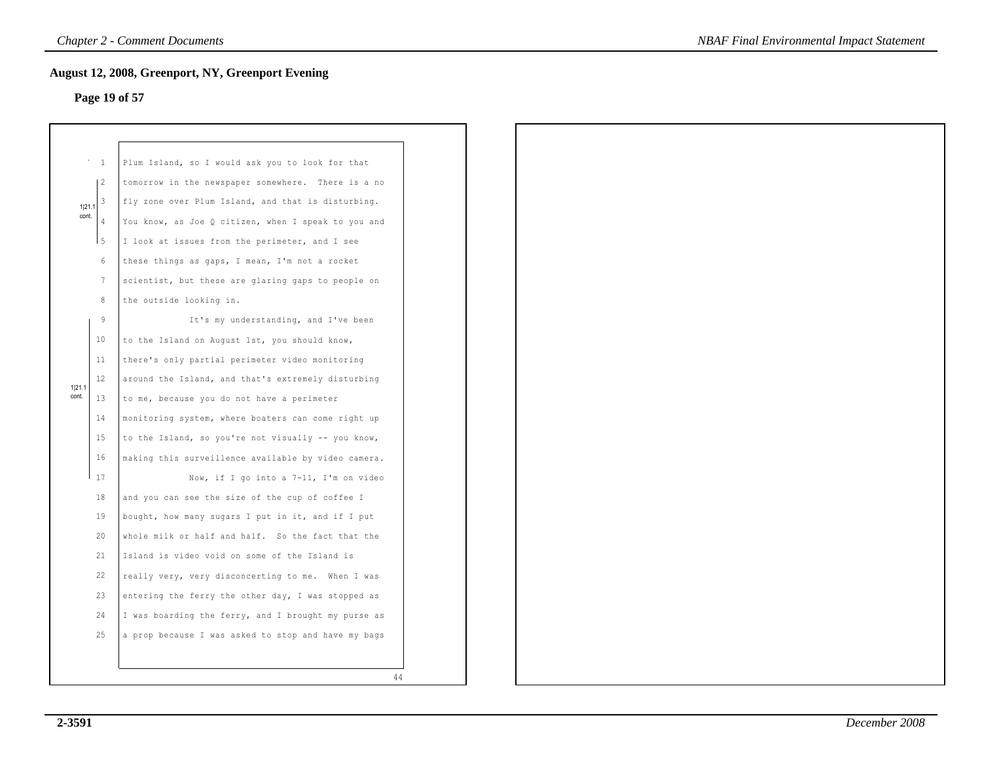## **Page 19 of 57**

|        | $\mathbf{1}$   | Plum Island, so I would ask you to look for that    |    |
|--------|----------------|-----------------------------------------------------|----|
|        | $\overline{c}$ | tomorrow in the newspaper somewhere. There is a no  |    |
| 1 21.1 | 3              | fly zone over Plum Island, and that is disturbing.  |    |
| cont.  | 4              | You know, as Joe Q citizen, when I speak to you and |    |
|        | $\overline{5}$ | I look at issues from the perimeter, and I see      |    |
|        | 6              | these things as gaps, I mean, I'm not a rocket      |    |
|        | 7              | scientist, but these are glaring gaps to people on  |    |
|        | 8              | the outside looking in.                             |    |
|        | 9              | It's my understanding, and I've been                |    |
|        | 10             | to the Island on August 1st, you should know,       |    |
|        | 11             | there's only partial perimeter video monitoring     |    |
| 1 21.1 | 12             | around the Island, and that's extremely disturbing  |    |
| cont.  | 13             | to me, because you do not have a perimeter          |    |
|        | 14             | monitoring system, where boaters can come right up  |    |
|        | 15             | to the Island, so you're not visually -- you know,  |    |
|        | 16             | making this surveillence available by video camera. |    |
|        | 17             | Now, if I go into a 7-11, I'm on video              |    |
|        | 18             | and you can see the size of the cup of coffee I     |    |
|        | 19             | bought, how many sugars I put in it, and if I put   |    |
|        | 20             | whole milk or half and half. So the fact that the   |    |
|        | 21             | Island is video void on some of the Island is       |    |
|        | 22             | really very, very disconcerting to me. When I was   |    |
|        | 23             | entering the ferry the other day, I was stopped as  |    |
|        | 24             | I was boarding the ferry, and I brought my purse as |    |
|        | 25             | a prop because I was asked to stop and have my bags |    |
|        |                |                                                     |    |
|        |                |                                                     | 44 |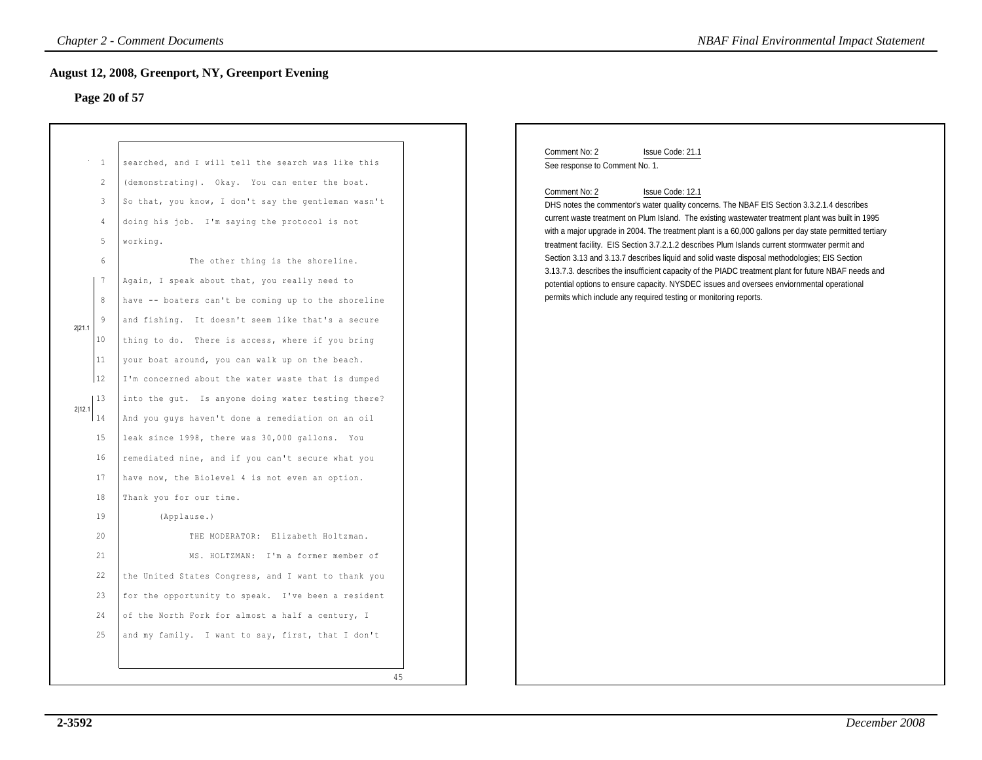## **Page 20 of 57**

|        |                                | <b>Chapter 2 - Comment Documents</b>                                                                                                                                                                                     | <b>NBAF Final Environmental Impact Statement</b>                                                                                                                                                                                                                                                                                                                                                                                                                                                                        |
|--------|--------------------------------|--------------------------------------------------------------------------------------------------------------------------------------------------------------------------------------------------------------------------|-------------------------------------------------------------------------------------------------------------------------------------------------------------------------------------------------------------------------------------------------------------------------------------------------------------------------------------------------------------------------------------------------------------------------------------------------------------------------------------------------------------------------|
|        |                                | <b>August 12, 2008, Greenport, NY, Greenport Evening</b>                                                                                                                                                                 |                                                                                                                                                                                                                                                                                                                                                                                                                                                                                                                         |
|        |                                | Page 20 of 57                                                                                                                                                                                                            |                                                                                                                                                                                                                                                                                                                                                                                                                                                                                                                         |
|        |                                |                                                                                                                                                                                                                          |                                                                                                                                                                                                                                                                                                                                                                                                                                                                                                                         |
|        | $\cdots$ 1<br>2<br>3<br>4<br>5 | searched, and I will tell the search was like this<br>(demonstrating). Okay. You can enter the boat.<br>So that, you know, I don't say the gentleman wasn't<br>doing his job. I'm saying the protocol is not<br>working. | Comment No: 2<br>Issue Code: 21.1<br>See response to Comment No. 1.<br>Comment No: 2<br>Issue Code: 12.1<br>DHS notes the commentor's water quality concerns. The NBAF EIS Section 3.3.2.1.4 describes<br>current waste treatment on Plum Island. The existing wastewater treatment plant was built in 1995<br>with a major upgrade in 2004. The treatment plant is a 60,000 gallons per day state permitted tertiary<br>treatment facility. EIS Section 3.7.2.1.2 describes Plum Islands current stormwater permit and |
|        | 6                              | The other thing is the shoreline.                                                                                                                                                                                        | Section 3.13 and 3.13.7 describes liquid and solid waste disposal methodologies; EIS Section<br>3.13.7.3. describes the insufficient capacity of the PIADC treatment plant for future NBAF needs and                                                                                                                                                                                                                                                                                                                    |
|        | 7                              | Again, I speak about that, you really need to                                                                                                                                                                            | potential options to ensure capacity. NYSDEC issues and oversees enviornmental operational                                                                                                                                                                                                                                                                                                                                                                                                                              |
|        | 8                              | have -- boaters can't be coming up to the shoreline                                                                                                                                                                      | permits which include any required testing or monitoring reports.                                                                                                                                                                                                                                                                                                                                                                                                                                                       |
| 2 21.1 | 9                              | and fishing. It doesn't seem like that's a secure                                                                                                                                                                        |                                                                                                                                                                                                                                                                                                                                                                                                                                                                                                                         |
|        | 10                             | thing to do. There is access, where if you bring                                                                                                                                                                         |                                                                                                                                                                                                                                                                                                                                                                                                                                                                                                                         |
|        | 11                             | your boat around, you can walk up on the beach.                                                                                                                                                                          |                                                                                                                                                                                                                                                                                                                                                                                                                                                                                                                         |
|        | 12                             | I'm concerned about the water waste that is dumped                                                                                                                                                                       |                                                                                                                                                                                                                                                                                                                                                                                                                                                                                                                         |
| 2 12.1 | 13                             | into the gut. Is anyone doing water testing there?                                                                                                                                                                       |                                                                                                                                                                                                                                                                                                                                                                                                                                                                                                                         |
|        | 14                             | And you guys haven't done a remediation on an oil                                                                                                                                                                        |                                                                                                                                                                                                                                                                                                                                                                                                                                                                                                                         |
|        | 15                             | leak since 1998, there was 30,000 gallons. You                                                                                                                                                                           |                                                                                                                                                                                                                                                                                                                                                                                                                                                                                                                         |
|        | 16                             | remediated nine, and if you can't secure what you                                                                                                                                                                        |                                                                                                                                                                                                                                                                                                                                                                                                                                                                                                                         |
|        | 17                             | have now, the Biolevel 4 is not even an option.                                                                                                                                                                          |                                                                                                                                                                                                                                                                                                                                                                                                                                                                                                                         |
|        | 18                             | Thank you for our time.                                                                                                                                                                                                  |                                                                                                                                                                                                                                                                                                                                                                                                                                                                                                                         |
|        | 19                             | (Applause.)                                                                                                                                                                                                              |                                                                                                                                                                                                                                                                                                                                                                                                                                                                                                                         |
|        | 20                             | THE MODERATOR: Elizabeth Holtzman.                                                                                                                                                                                       |                                                                                                                                                                                                                                                                                                                                                                                                                                                                                                                         |
|        | 21                             | MS. HOLTZMAN: I'm a former member of                                                                                                                                                                                     |                                                                                                                                                                                                                                                                                                                                                                                                                                                                                                                         |
|        | 22                             | the United States Congress, and I want to thank you                                                                                                                                                                      |                                                                                                                                                                                                                                                                                                                                                                                                                                                                                                                         |
|        | 23                             | for the opportunity to speak. I've been a resident                                                                                                                                                                       |                                                                                                                                                                                                                                                                                                                                                                                                                                                                                                                         |
|        | 24                             | of the North Fork for almost a half a century, I                                                                                                                                                                         |                                                                                                                                                                                                                                                                                                                                                                                                                                                                                                                         |
|        | 25                             | and my family. I want to say, first, that I don't                                                                                                                                                                        |                                                                                                                                                                                                                                                                                                                                                                                                                                                                                                                         |
|        |                                | 45                                                                                                                                                                                                                       |                                                                                                                                                                                                                                                                                                                                                                                                                                                                                                                         |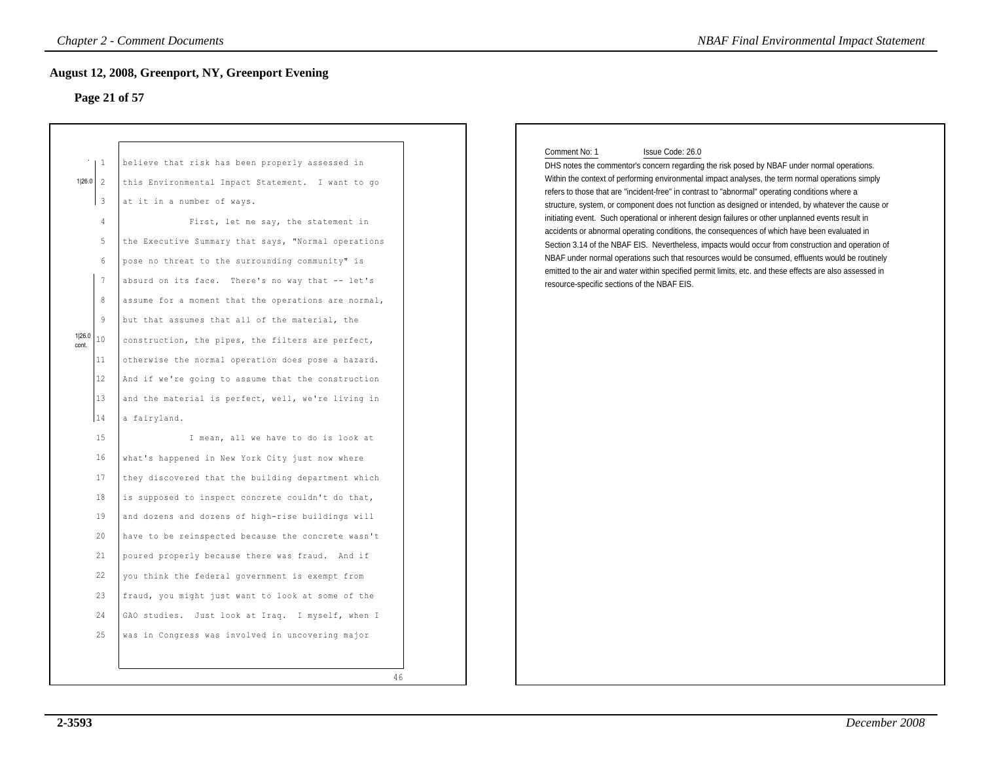### **Page 21 of 57**

|                                                                                                                                                                                                                     | <b>Chapter 2 - Comment Documents</b>                                                                                                                                                                                                                                                                                                                                                                                                                                                                                                                                                                                                                                                                                                                                                                                                                                                                                                                                                                                                                                                                                                                                                                                                                                        |    | <b>NBAF Final Environmental Impact Statement</b>                                                                                                                                                                                                                                                                                                                                                                                                                                                                                                                                                                                                                                                                                                                                                                                                                                                                                                                                                                           |
|---------------------------------------------------------------------------------------------------------------------------------------------------------------------------------------------------------------------|-----------------------------------------------------------------------------------------------------------------------------------------------------------------------------------------------------------------------------------------------------------------------------------------------------------------------------------------------------------------------------------------------------------------------------------------------------------------------------------------------------------------------------------------------------------------------------------------------------------------------------------------------------------------------------------------------------------------------------------------------------------------------------------------------------------------------------------------------------------------------------------------------------------------------------------------------------------------------------------------------------------------------------------------------------------------------------------------------------------------------------------------------------------------------------------------------------------------------------------------------------------------------------|----|----------------------------------------------------------------------------------------------------------------------------------------------------------------------------------------------------------------------------------------------------------------------------------------------------------------------------------------------------------------------------------------------------------------------------------------------------------------------------------------------------------------------------------------------------------------------------------------------------------------------------------------------------------------------------------------------------------------------------------------------------------------------------------------------------------------------------------------------------------------------------------------------------------------------------------------------------------------------------------------------------------------------------|
| Page 21 of 57                                                                                                                                                                                                       | <b>August 12, 2008, Greenport, NY, Greenport Evening</b>                                                                                                                                                                                                                                                                                                                                                                                                                                                                                                                                                                                                                                                                                                                                                                                                                                                                                                                                                                                                                                                                                                                                                                                                                    |    |                                                                                                                                                                                                                                                                                                                                                                                                                                                                                                                                                                                                                                                                                                                                                                                                                                                                                                                                                                                                                            |
| $\perp$ 1<br>1 26.0 2<br>$\overline{3}$<br>4<br>5<br>6<br>$7\phantom{.0}$<br>8<br>$\overline{9}$<br>1 26.0<br>10<br>cont.<br>11<br>12<br>13<br>14<br>15<br>16<br>17<br>18<br>19<br>20<br>21<br>22<br>23<br>24<br>25 | believe that risk has been properly assessed in<br>this Environmental Impact Statement. I want to go<br>at it in a number of ways.<br>First, let me say, the statement in<br>the Executive Summary that says, "Normal operations<br>pose no threat to the surrounding community" is<br>absurd on its face. There's no way that -- let's<br>assume for a moment that the operations are normal,<br>but that assumes that all of the material, the<br>construction, the pipes, the filters are perfect,<br>otherwise the normal operation does pose a hazard.<br>And if we're going to assume that the construction<br>and the material is perfect, well, we're living in<br>a fairyland.<br>I mean, all we have to do is look at<br>what's happened in New York City just now where<br>they discovered that the building department which<br>is supposed to inspect concrete couldn't do that,<br>and dozens and dozens of high-rise buildings will<br>have to be reinspected because the concrete wasn't<br>poured properly because there was fraud. And if<br>you think the federal government is exempt from<br>fraud, you might just want to look at some of the<br>GAO studies. Just look at Iraq. I myself, when I<br>was in Congress was involved in uncovering major | 46 | Issue Code: 26.0<br>Comment No: 1<br>DHS notes the commentor's concern regarding the risk posed by NBAF under normal operations.<br>Within the context of performing environmental impact analyses, the term normal operations simply<br>refers to those that are "incident-free" in contrast to "abnormal" operating conditions where a<br>structure, system, or component does not function as designed or intended, by whatever the cause or<br>initiating event. Such operational or inherent design failures or other unplanned events result in<br>accidents or abnormal operating conditions, the consequences of which have been evaluated in<br>Section 3.14 of the NBAF EIS. Nevertheless, impacts would occur from construction and operation of<br>NBAF under normal operations such that resources would be consumed, effluents would be routinely<br>emitted to the air and water within specified permit limits, etc. and these effects are also assessed in<br>resource-specific sections of the NBAF EIS. |
|                                                                                                                                                                                                                     |                                                                                                                                                                                                                                                                                                                                                                                                                                                                                                                                                                                                                                                                                                                                                                                                                                                                                                                                                                                                                                                                                                                                                                                                                                                                             |    |                                                                                                                                                                                                                                                                                                                                                                                                                                                                                                                                                                                                                                                                                                                                                                                                                                                                                                                                                                                                                            |

### Comment No: 1 Issue Code: 26.0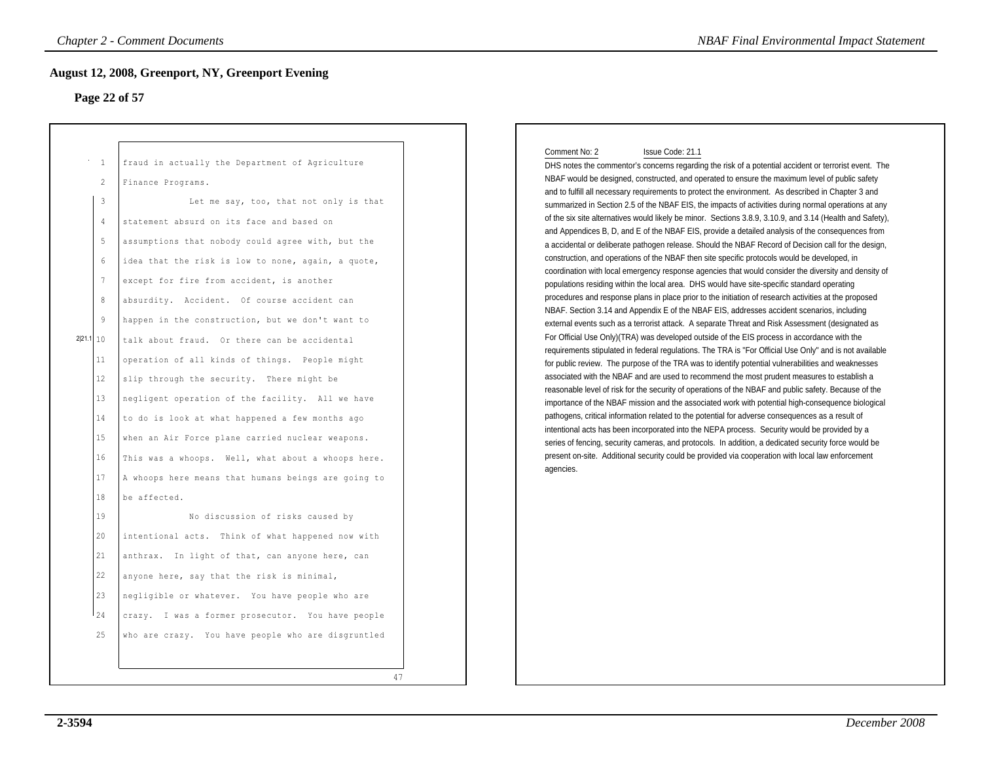### **Page 22 of 57**

| Page 22 of 57                                                                                                                                                                                                       | <b>August 12, 2008, Greenport, NY, Greenport Evening</b>                                                                                                                                                                                                                                                                                                                                                                                                                                                                                                                                                                                                                                                                                                                                                                                                                                                                                                                                                                                                                                                                                                                                                              |                                                                                                                                                                                                                                                                                                                                                                                                                                                                                                                                                                                                                                                                                                                                                                                                                                                                                                                                                                                                                                                                                                                                                                                                                                                                                                                                                                                                                                                                                                                                                                                                                                                                                                                                                                                                                                                                                                                                                                                                                                                                                                                                                                                                                                                                                                                                                                                                                                                                    |
|---------------------------------------------------------------------------------------------------------------------------------------------------------------------------------------------------------------------|-----------------------------------------------------------------------------------------------------------------------------------------------------------------------------------------------------------------------------------------------------------------------------------------------------------------------------------------------------------------------------------------------------------------------------------------------------------------------------------------------------------------------------------------------------------------------------------------------------------------------------------------------------------------------------------------------------------------------------------------------------------------------------------------------------------------------------------------------------------------------------------------------------------------------------------------------------------------------------------------------------------------------------------------------------------------------------------------------------------------------------------------------------------------------------------------------------------------------|--------------------------------------------------------------------------------------------------------------------------------------------------------------------------------------------------------------------------------------------------------------------------------------------------------------------------------------------------------------------------------------------------------------------------------------------------------------------------------------------------------------------------------------------------------------------------------------------------------------------------------------------------------------------------------------------------------------------------------------------------------------------------------------------------------------------------------------------------------------------------------------------------------------------------------------------------------------------------------------------------------------------------------------------------------------------------------------------------------------------------------------------------------------------------------------------------------------------------------------------------------------------------------------------------------------------------------------------------------------------------------------------------------------------------------------------------------------------------------------------------------------------------------------------------------------------------------------------------------------------------------------------------------------------------------------------------------------------------------------------------------------------------------------------------------------------------------------------------------------------------------------------------------------------------------------------------------------------------------------------------------------------------------------------------------------------------------------------------------------------------------------------------------------------------------------------------------------------------------------------------------------------------------------------------------------------------------------------------------------------------------------------------------------------------------------------------------------------|
| 1<br>2<br>$\overline{3}$<br>$\overline{4}$<br>5<br>$\sqrt{6}$<br>$\overline{7}$<br>8<br>$\overline{9}$<br>2 21.1 10<br>11<br>12<br>13<br>14<br>15<br>16<br>17<br>18<br>19<br>20<br>21<br>22<br>23<br>$1_{24}$<br>25 | fraud in actually the Department of Agriculture<br>Finance Programs.<br>Let me say, too, that not only is that<br>statement absurd on its face and based on<br>assumptions that nobody could agree with, but the<br>idea that the risk is low to none, again, a quote,<br>except for fire from accident, is another<br>absurdity. Accident. Of course accident can<br>happen in the construction, but we don't want to<br>talk about fraud. Or there can be accidental<br>operation of all kinds of things. People might<br>slip through the security. There might be<br>negligent operation of the facility. All we have<br>to do is look at what happened a few months ago<br>when an Air Force plane carried nuclear weapons.<br>This was a whoops. Well, what about a whoops here.<br>A whoops here means that humans beings are going to<br>be affected.<br>No discussion of risks caused by<br>intentional acts. Think of what happened now with<br>anthrax. In light of that, can anyone here, can<br>anyone here, say that the risk is minimal,<br>negligible or whatever. You have people who are<br>crazy. I was a former prosecutor. You have people<br>who are crazy. You have people who are disgruntled | Comment No: 2<br>Issue Code: 21.1<br>DHS notes the commentor's concerns regarding the risk of a potential accident or terrorist event. The<br>NBAF would be designed, constructed, and operated to ensure the maximum level of public safety<br>and to fulfill all necessary requirements to protect the environment. As described in Chapter 3 and<br>summarized in Section 2.5 of the NBAF EIS, the impacts of activities during normal operations at any<br>of the six site alternatives would likely be minor. Sections 3.8.9, 3.10.9, and 3.14 (Health and Safety),<br>and Appendices B, D, and E of the NBAF EIS, provide a detailed analysis of the consequences from<br>a accidental or deliberate pathogen release. Should the NBAF Record of Decision call for the design,<br>construction, and operations of the NBAF then site specific protocols would be developed, in<br>coordination with local emergency response agencies that would consider the diversity and density of<br>populations residing within the local area. DHS would have site-specific standard operating<br>procedures and response plans in place prior to the initiation of research activities at the proposed<br>NBAF. Section 3.14 and Appendix E of the NBAF EIS, addresses accident scenarios, including<br>external events such as a terrorist attack. A separate Threat and Risk Assessment (designated as<br>For Official Use Only)(TRA) was developed outside of the EIS process in accordance with the<br>requirements stipulated in federal regulations. The TRA is "For Official Use Only" and is not available<br>for public review. The purpose of the TRA was to identify potential vulnerabilities and weaknesses<br>associated with the NBAF and are used to recommend the most prudent measures to establish a<br>reasonable level of risk for the security of operations of the NBAF and public safety. Because of the<br>importance of the NBAF mission and the associated work with potential high-consequence biological<br>pathogens, critical information related to the potential for adverse consequences as a result of<br>intentional acts has been incorporated into the NEPA process. Security would be provided by a<br>series of fencing, security cameras, and protocols. In addition, a dedicated security force would be<br>present on-site. Additional security could be provided via cooperation with local law enforcement<br>agencies. |
|                                                                                                                                                                                                                     |                                                                                                                                                                                                                                                                                                                                                                                                                                                                                                                                                                                                                                                                                                                                                                                                                                                                                                                                                                                                                                                                                                                                                                                                                       | 47                                                                                                                                                                                                                                                                                                                                                                                                                                                                                                                                                                                                                                                                                                                                                                                                                                                                                                                                                                                                                                                                                                                                                                                                                                                                                                                                                                                                                                                                                                                                                                                                                                                                                                                                                                                                                                                                                                                                                                                                                                                                                                                                                                                                                                                                                                                                                                                                                                                                 |

### Comment No: 2 Issue Code: 21.1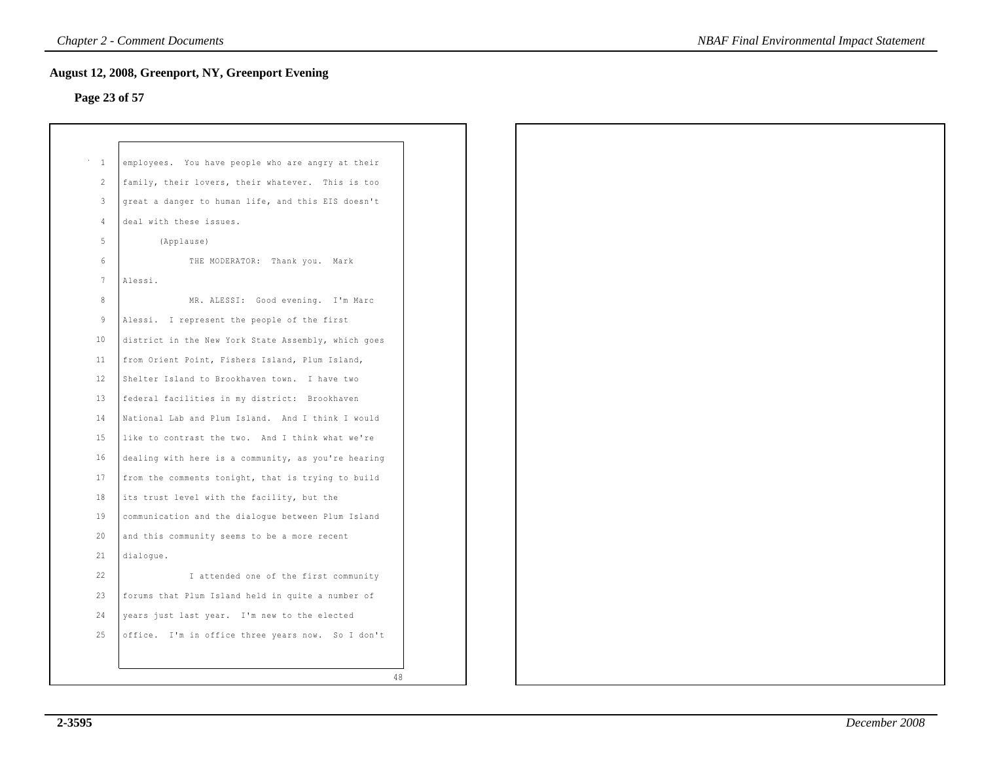## **Page 23 of 57**

| $\sim$ 1        | employees. You have people who are angry at their   |
|-----------------|-----------------------------------------------------|
| 2               | family, their lovers, their whatever. This is too   |
| $\mathbf{3}$    | great a danger to human life, and this EIS doesn't  |
| $\overline{4}$  | deal with these issues.                             |
| 5               | (Applause)                                          |
| $6\,$           | THE MODERATOR: Thank you. Mark                      |
| $7^{\circ}$     | Alessi.                                             |
| 8               | MR. ALESSI: Good evening. I'm Marc                  |
| 9               | Alessi. I represent the people of the first         |
| 10 <sub>1</sub> | district in the New York State Assembly, which goes |
| 11              | from Orient Point, Fishers Island, Plum Island,     |
| 12              | Shelter Island to Brookhaven town. I have two       |
| 13              | federal facilities in my district: Brookhaven       |
| 14              | National Lab and Plum Island. And I think I would   |
| 15              | like to contrast the two. And I think what we're    |
|                 |                                                     |
| 16              | dealing with here is a community, as you're hearing |
| 17              | from the comments tonight, that is trying to build  |
| 18              | its trust level with the facility, but the          |
| 19              | communication and the dialogue between Plum Island  |
| 20              | and this community seems to be a more recent        |
| 21              | dialogue.                                           |
| 22              | I attended one of the first community               |
| 23              | forums that Plum Island held in quite a number of   |
| 24              | years just last year. I'm new to the elected        |
| 25              | office. I'm in office three years now. So I don't   |
|                 |                                                     |
|                 | 48                                                  |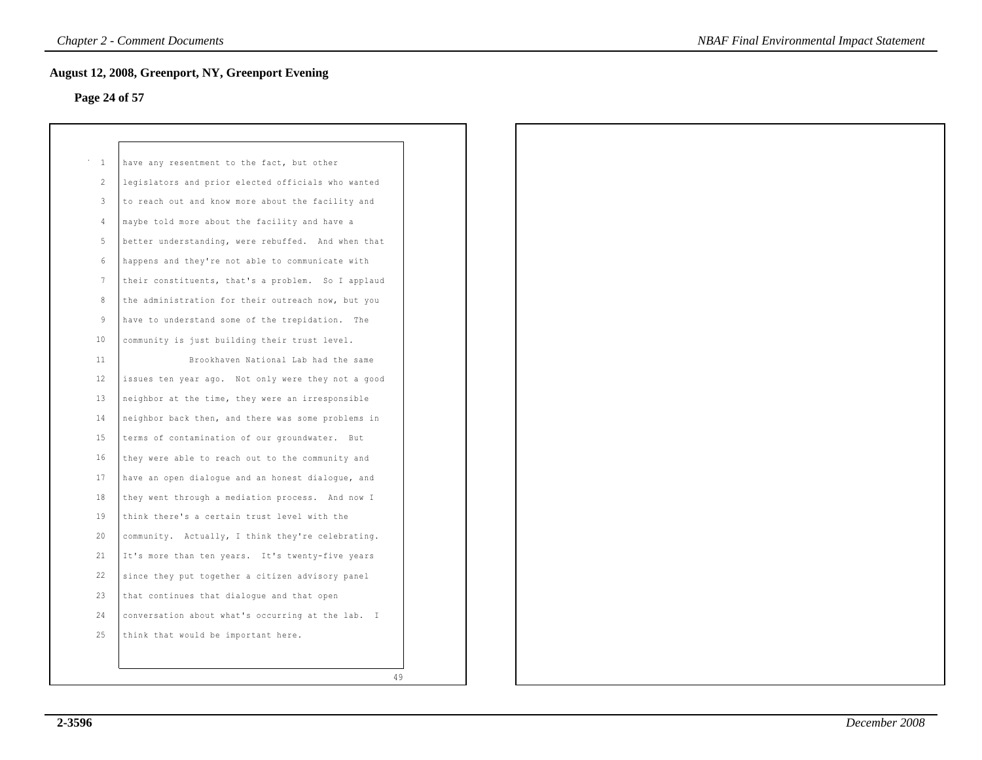## **Page 24 of 57**

| $\mathbf{1}$   | have any resentment to the fact, but other         |
|----------------|----------------------------------------------------|
| $\mathfrak{D}$ | legislators and prior elected officials who wanted |
| 3              | to reach out and know more about the facility and  |
| 4              | maybe told more about the facility and have a      |
| 5.             | better understanding, were rebuffed. And when that |
| 6              | happens and they're not able to communicate with   |
| 7              | their constituents, that's a problem. So I applaud |
| 8              | the administration for their outreach now, but you |
| 9              | have to understand some of the trepidation. The    |
| 10             | community is just building their trust level.      |
| 11             | Brookhaven National Lab had the same               |
| 12             | issues ten year ago. Not only were they not a good |
| 13             | neighbor at the time, they were an irresponsible   |
| 14             | neighbor back then, and there was some problems in |
| 15             | terms of contamination of our groundwater. But     |
| 16             | they were able to reach out to the community and   |
| 17             | have an open dialoque and an honest dialoque, and  |
| 18             | they went through a mediation process. And now I   |
| 19             | think there's a certain trust level with the       |
| 20             | community. Actually, I think they're celebrating.  |
| 21             | It's more than ten years. It's twenty-five years   |
| 22             | since they put together a citizen advisory panel   |
| 23             | that continues that dialogue and that open         |
| 24             | conversation about what's occurring at the lab. I  |
| 25             | think that would be important here.                |
|                |                                                    |
|                | 49                                                 |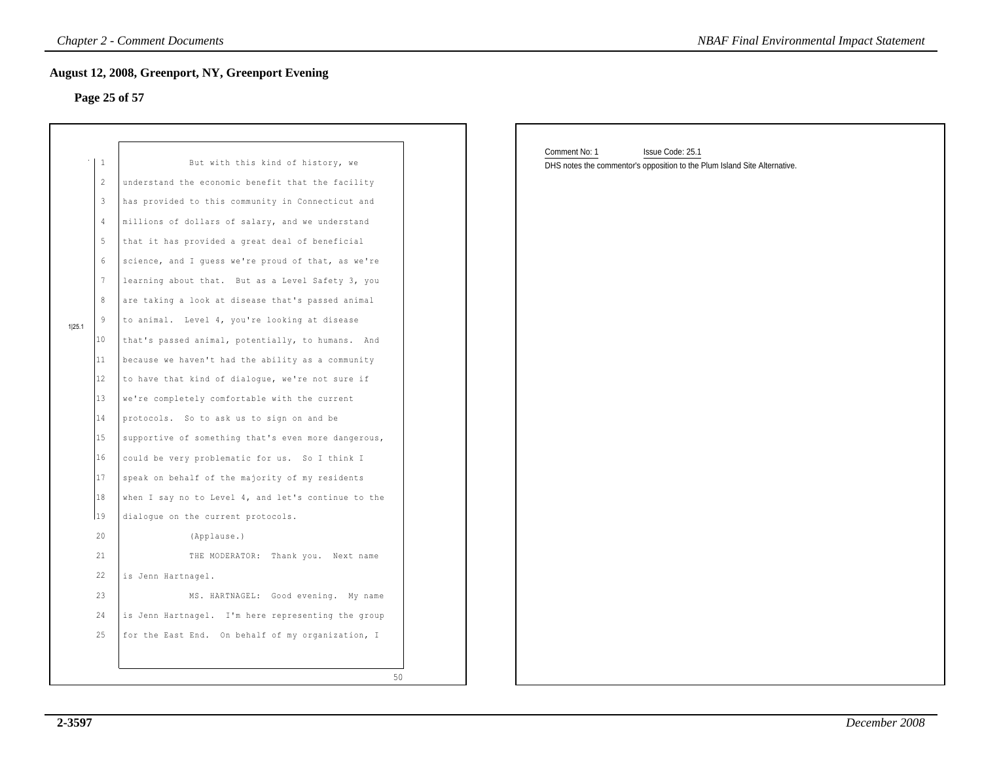## **Page 25 of 57**

|        | $\mathbf{1}$             | But with this kind of history, we                   |
|--------|--------------------------|-----------------------------------------------------|
|        | $\overline{\mathcal{L}}$ | understand the economic benefit that the facility   |
|        | 3                        | has provided to this community in Connecticut and   |
|        | 4                        | millions of dollars of salary, and we understand    |
|        | 5                        | that it has provided a great deal of beneficial     |
|        | 6                        | science, and I quess we're proud of that, as we're  |
|        | 7                        | learning about that. But as a Level Safety 3, you   |
|        | 8                        | are taking a look at disease that's passed animal   |
| 1 25.1 | 9                        | to animal. Level 4, you're looking at disease       |
|        | 10                       | that's passed animal, potentially, to humans. And   |
|        | 11                       | because we haven't had the ability as a community   |
|        | 12                       | to have that kind of dialoque, we're not sure if    |
|        | 13                       | we're completely comfortable with the current       |
|        | 14                       | protocols. So to ask us to sign on and be           |
|        | 15                       | supportive of something that's even more dangerous, |
|        | 16                       | could be very problematic for us. So I think I      |
|        | 17                       | speak on behalf of the majority of my residents     |
|        | 18                       | when I say no to Level 4, and let's continue to the |
|        | 19                       | dialoque on the current protocols.                  |
|        | 20                       | (Applause.)                                         |
|        | 21                       | THE MODERATOR: Thank you. Next name                 |
|        | 22.                      | is Jenn Hartnagel.                                  |
|        | 23                       | MS. HARTNAGEL: Good evening. My name                |
|        | 24                       | is Jenn Hartnagel. I'm here representing the group  |
|        | 25                       | for the East End. On behalf of my organization, I   |

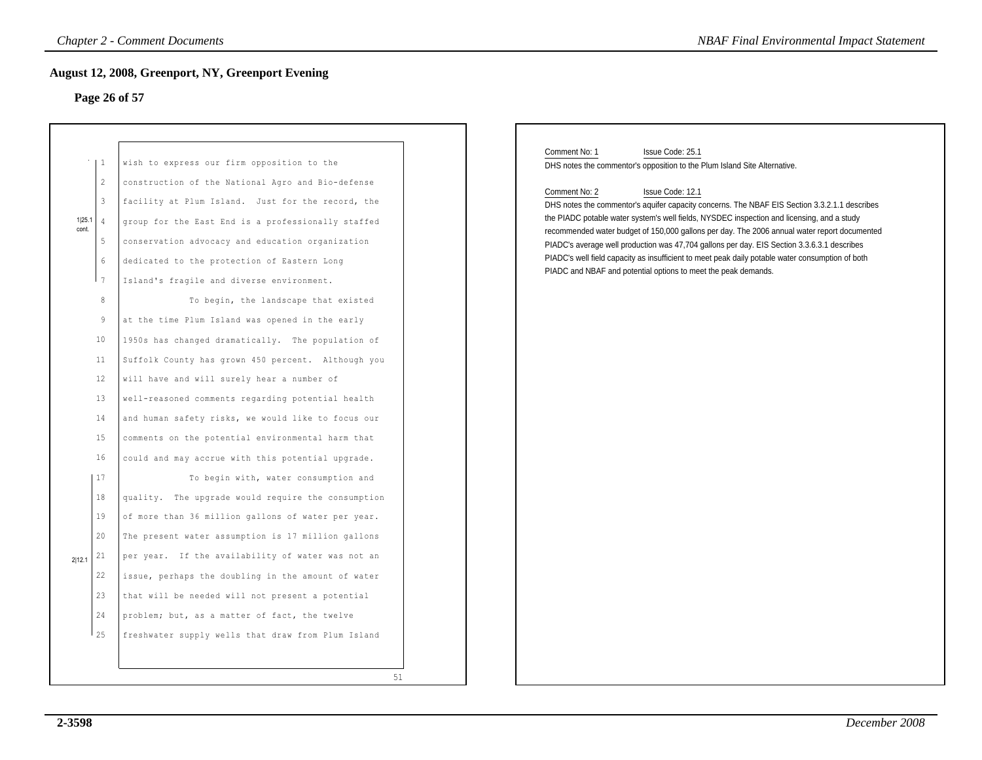## **Page 26 of 57**

|                           |                                                                                                                                                                                           | <b>Chapter 2 - Comment Documents</b>                                                                                                                                                                                                                                                                                                                                                                                                                                                                                                                                                                                                                                                                                                                                                                                                                                                                                                                                                                                                                                                                                                                                                                                                                                                                                | <b>NBAF Final Environmental Impact Statement</b>                                                                                                                                                                                                                                                                                                                                                                                                                                                                                                                                                                                                                                                                        |
|---------------------------|-------------------------------------------------------------------------------------------------------------------------------------------------------------------------------------------|---------------------------------------------------------------------------------------------------------------------------------------------------------------------------------------------------------------------------------------------------------------------------------------------------------------------------------------------------------------------------------------------------------------------------------------------------------------------------------------------------------------------------------------------------------------------------------------------------------------------------------------------------------------------------------------------------------------------------------------------------------------------------------------------------------------------------------------------------------------------------------------------------------------------------------------------------------------------------------------------------------------------------------------------------------------------------------------------------------------------------------------------------------------------------------------------------------------------------------------------------------------------------------------------------------------------|-------------------------------------------------------------------------------------------------------------------------------------------------------------------------------------------------------------------------------------------------------------------------------------------------------------------------------------------------------------------------------------------------------------------------------------------------------------------------------------------------------------------------------------------------------------------------------------------------------------------------------------------------------------------------------------------------------------------------|
|                           |                                                                                                                                                                                           | <b>August 12, 2008, Greenport, NY, Greenport Evening</b><br>Page 26 of 57                                                                                                                                                                                                                                                                                                                                                                                                                                                                                                                                                                                                                                                                                                                                                                                                                                                                                                                                                                                                                                                                                                                                                                                                                                           |                                                                                                                                                                                                                                                                                                                                                                                                                                                                                                                                                                                                                                                                                                                         |
| 1 25.1<br>cont.<br>2 12.1 | $\mathbf{1}$<br>$\overline{2}$<br>$\mathbf{3}$<br>$\overline{4}$<br>5<br>6<br>7<br>8<br>9<br>10<br>11<br>12<br>13<br>14<br>15<br>16<br>17<br>18<br>19<br>20<br>21<br>22<br>23<br>24<br>25 | wish to express our firm opposition to the<br>construction of the National Agro and Bio-defense<br>facility at Plum Island. Just for the record, the<br>group for the East End is a professionally staffed<br>conservation advocacy and education organization<br>dedicated to the protection of Eastern Long<br>Island's fragile and diverse environment.<br>To begin, the landscape that existed<br>at the time Plum Island was opened in the early<br>1950s has changed dramatically. The population of<br>Suffolk County has grown 450 percent. Although you<br>will have and will surely hear a number of<br>well-reasoned comments regarding potential health<br>and human safety risks, we would like to focus our<br>comments on the potential environmental harm that<br>could and may accrue with this potential upgrade.<br>To begin with, water consumption and<br>quality. The upgrade would require the consumption<br>of more than 36 million gallons of water per year.<br>The present water assumption is 17 million gallons<br>per year. If the availability of water was not an<br>issue, perhaps the doubling in the amount of water<br>that will be needed will not present a potential<br>problem; but, as a matter of fact, the twelve<br>freshwater supply wells that draw from Plum Island | Comment No: 1<br>Issue Code: 25.1<br>DHS notes the commentor's opposition to the Plum Island Site Alternative.<br>Comment No: 2<br>Issue Code: 12.1<br>DHS notes the commentor's aquifer capacity concerns. The NBAF EIS Section 3.3.2.1.1 describes<br>the PIADC potable water system's well fields, NYSDEC inspection and licensing, and a study<br>recommended water budget of 150,000 gallons per day. The 2006 annual water report documented<br>PIADC's average well production was 47,704 gallons per day. EIS Section 3.3.6.3.1 describes<br>PIADC's well field capacity as insufficient to meet peak daily potable water consumption of both<br>PIADC and NBAF and potential options to meet the peak demands. |
|                           |                                                                                                                                                                                           | 51                                                                                                                                                                                                                                                                                                                                                                                                                                                                                                                                                                                                                                                                                                                                                                                                                                                                                                                                                                                                                                                                                                                                                                                                                                                                                                                  |                                                                                                                                                                                                                                                                                                                                                                                                                                                                                                                                                                                                                                                                                                                         |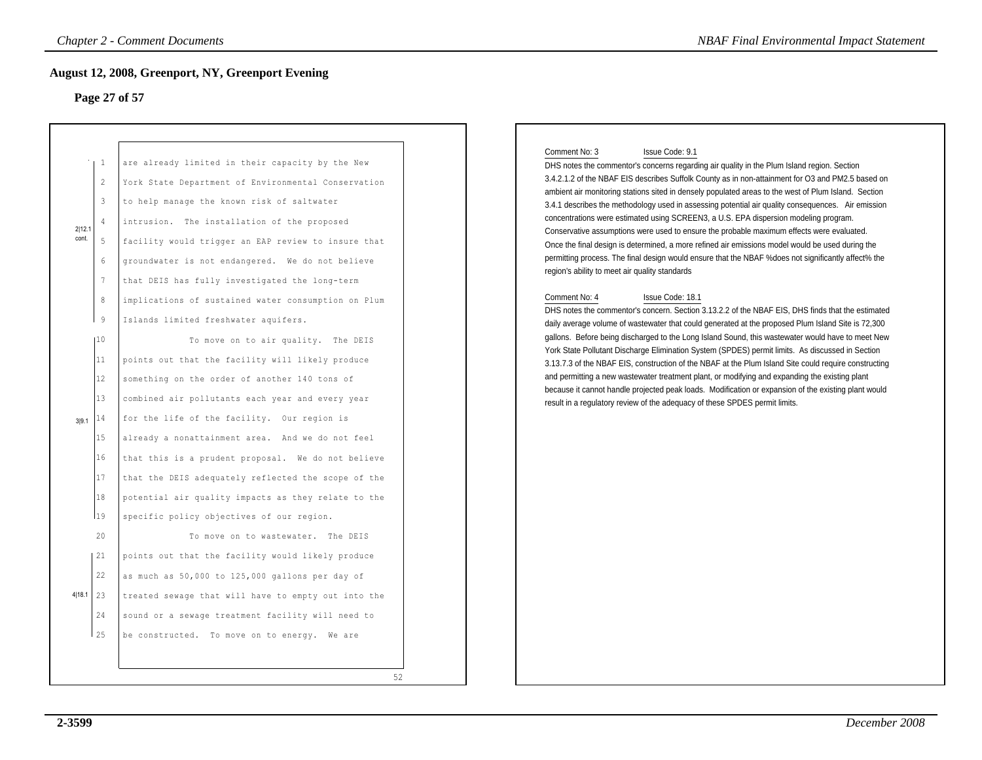## **Page 27 of 57**

|                 |                                                                                                               | <b>August 12, 2008, Greenport, NY, Greenport Evening</b><br>Page 27 of 57                                                                                                                                                                                                                                                                                                                                                                                                                                        |                                                                                                                                                                                                                                                                                                                                                                                                                                                                                                                                                                                                                                                                                                                                                                                                                                                                                                                                                                                                                                                                                                                                                       |
|-----------------|---------------------------------------------------------------------------------------------------------------|------------------------------------------------------------------------------------------------------------------------------------------------------------------------------------------------------------------------------------------------------------------------------------------------------------------------------------------------------------------------------------------------------------------------------------------------------------------------------------------------------------------|-------------------------------------------------------------------------------------------------------------------------------------------------------------------------------------------------------------------------------------------------------------------------------------------------------------------------------------------------------------------------------------------------------------------------------------------------------------------------------------------------------------------------------------------------------------------------------------------------------------------------------------------------------------------------------------------------------------------------------------------------------------------------------------------------------------------------------------------------------------------------------------------------------------------------------------------------------------------------------------------------------------------------------------------------------------------------------------------------------------------------------------------------------|
| 2 12.1<br>cont. | $\mathbf{1}$<br>2<br>$\mathbf{3}$<br>$\overline{4}$<br>5<br>6<br>$7\phantom{.0}$<br>$\,8\,$<br>$\overline{9}$ | are already limited in their capacity by the New<br>York State Department of Environmental Conservation<br>to help manage the known risk of saltwater<br>intrusion. The installation of the proposed<br>facility would trigger an EAP review to insure that<br>groundwater is not endangered. We do not believe<br>that DEIS has fully investigated the long-term<br>implications of sustained water consumption on Plum<br>Islands limited freshwater aquifers.                                                 | Comment No: 3<br>Issue Code: 9.1<br>DHS notes the commentor's concerns regarding air quality in the Plum Island region. Section<br>3.4.2.1.2 of the NBAF EIS describes Suffolk County as in non-attainment for O3 and PM2.5 based on<br>ambient air monitoring stations sited in densely populated areas to the west of Plum Island. Section<br>3.4.1 describes the methodology used in assessing potential air quality consequences. Air emission<br>concentrations were estimated using SCREEN3, a U.S. EPA dispersion modeling program.<br>Conservative assumptions were used to ensure the probable maximum effects were evaluated.<br>Once the final design is determined, a more refined air emissions model would be used during the<br>permitting process. The final design would ensure that the NBAF % does not significantly affect% the<br>region's ability to meet air quality standards<br>Comment No: 4<br>Issue Code: 18.1<br>DHS notes the commentor's concern. Section 3.13.2.2 of the NBAF EIS, DHS finds that the estimated<br>daily average volume of wastewater that could generated at the proposed Plum Island Site is 72,300 |
| 3 9.1           | 110<br>11<br>12<br>13<br>14<br>15<br>16<br>17<br>18<br>119                                                    | To move on to air quality. The DEIS<br>points out that the facility will likely produce<br>something on the order of another 140 tons of<br>combined air pollutants each year and every year<br>for the life of the facility. Our region is<br>already a nonattainment area. And we do not feel<br>that this is a prudent proposal. We do not believe<br>that the DEIS adequately reflected the scope of the<br>potential air quality impacts as they relate to the<br>specific policy objectives of our region. | gallons. Before being discharged to the Long Island Sound, this wastewater would have to meet New<br>York State Pollutant Discharge Elimination System (SPDES) permit limits. As discussed in Section<br>3.13.7.3 of the NBAF EIS, construction of the NBAF at the Plum Island Site could require constructing<br>and permitting a new wastewater treatment plant, or modifying and expanding the existing plant<br>because it cannot handle projected peak loads. Modification or expansion of the existing plant would<br>result in a regulatory review of the adequacy of these SPDES permit limits.                                                                                                                                                                                                                                                                                                                                                                                                                                                                                                                                               |
| 4 18.1          | 20<br>21<br>22<br>23<br>24<br>25                                                                              | To move on to wastewater. The DEIS<br>points out that the facility would likely produce<br>as much as 50,000 to 125,000 gallons per day of<br>treated sewage that will have to empty out into the<br>sound or a sewage treatment facility will need to<br>be constructed. To move on to energy. We are<br>52                                                                                                                                                                                                     |                                                                                                                                                                                                                                                                                                                                                                                                                                                                                                                                                                                                                                                                                                                                                                                                                                                                                                                                                                                                                                                                                                                                                       |

### Comment No: 3 Issue Code: 9.1

### Comment No: 4 Issue Code: 18.1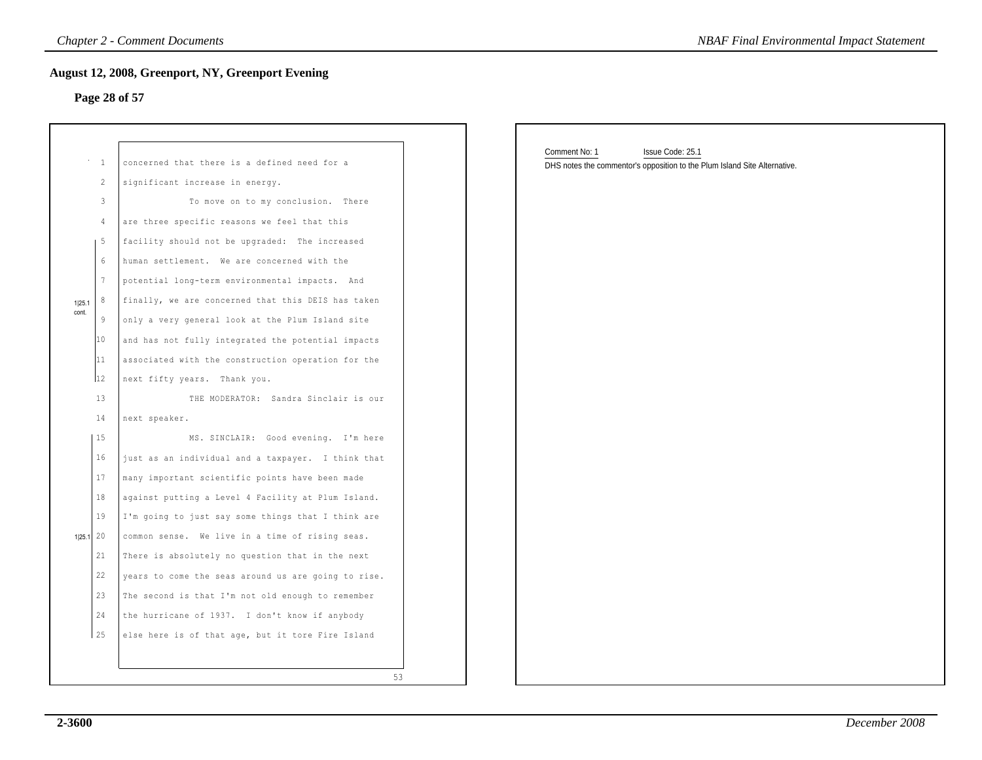## **Page 28 of 57**

| <b>Chapter 2 - Comment Documents</b><br><b>NBAF Final Environmental Impact Statement</b> |                 |                                                     |                                                                           |  |
|------------------------------------------------------------------------------------------|-----------------|-----------------------------------------------------|---------------------------------------------------------------------------|--|
|                                                                                          |                 | August 12, 2008, Greenport, NY, Greenport Evening   |                                                                           |  |
|                                                                                          |                 | Page 28 of 57                                       |                                                                           |  |
|                                                                                          |                 |                                                     |                                                                           |  |
|                                                                                          | $\cdots$ 1      | concerned that there is a defined need for a        | Comment No: 1<br>Issue Code: 25.1                                         |  |
|                                                                                          | 2               | significant increase in energy.                     | DHS notes the commentor's opposition to the Plum Island Site Alternative. |  |
|                                                                                          | 3               | To move on to my conclusion. There                  |                                                                           |  |
|                                                                                          | 4               | are three specific reasons we feel that this        |                                                                           |  |
|                                                                                          | $\vert 5$       | facility should not be upgraded: The increased      |                                                                           |  |
|                                                                                          | 6               | human settlement. We are concerned with the         |                                                                           |  |
|                                                                                          | $7\phantom{.0}$ | potential long-term environmental impacts. And      |                                                                           |  |
|                                                                                          | 8               | finally, we are concerned that this DEIS has taken  |                                                                           |  |
| 1 25.1<br>cont.                                                                          | -9              | only a very general look at the Plum Island site    |                                                                           |  |
|                                                                                          | $ 10\rangle$    | and has not fully integrated the potential impacts  |                                                                           |  |
|                                                                                          | $ 11\rangle$    | associated with the construction operation for the  |                                                                           |  |
|                                                                                          | 12              | next fifty years. Thank you.                        |                                                                           |  |
|                                                                                          | 13              | THE MODERATOR: Sandra Sinclair is our               |                                                                           |  |
|                                                                                          | 14              | next speaker.                                       |                                                                           |  |
|                                                                                          | 15              | MS. SINCLAIR: Good evening. I'm here                |                                                                           |  |
|                                                                                          | 16              | just as an individual and a taxpayer. I think that  |                                                                           |  |
|                                                                                          | 17              | many important scientific points have been made     |                                                                           |  |
|                                                                                          | 18              | against putting a Level 4 Facility at Plum Island.  |                                                                           |  |
|                                                                                          | 19              | I'm going to just say some things that I think are  |                                                                           |  |
|                                                                                          | 1 25.1 20       | common sense. We live in a time of rising seas.     |                                                                           |  |
|                                                                                          | 21              | There is absolutely no question that in the next    |                                                                           |  |
|                                                                                          | 22              | years to come the seas around us are going to rise. |                                                                           |  |
|                                                                                          | 23              | The second is that I'm not old enough to remember   |                                                                           |  |
|                                                                                          | 24              | the hurricane of 1937. I don't know if anybody      |                                                                           |  |
|                                                                                          | 25              | else here is of that age, but it tore Fire Island   |                                                                           |  |
|                                                                                          |                 |                                                     |                                                                           |  |
|                                                                                          |                 | 53                                                  |                                                                           |  |
|                                                                                          |                 |                                                     |                                                                           |  |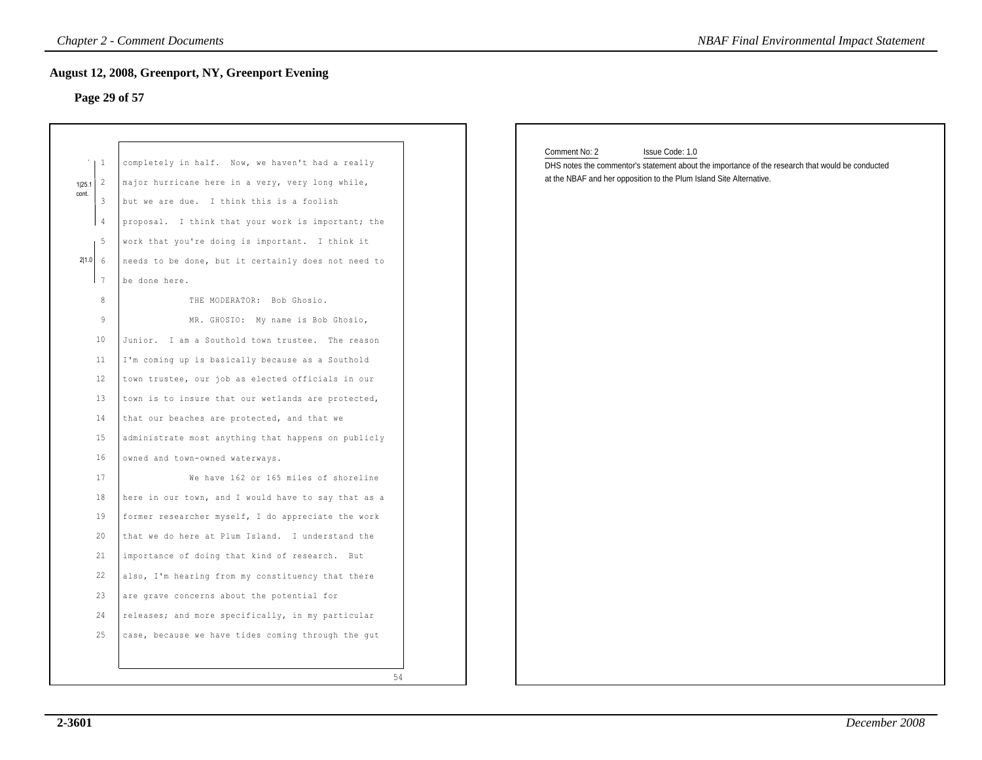## **Page 29 of 57**

| <b>Chapter 2 - Comment Documents</b><br><b>NBAF Final Environmental Impact Statement</b>                                                                                                   |                                                                                                                                                                                                                                                                                                                                                                                                                                                                                                                                                                                                                                                                                                                                                                                                                                                                                                                                                                              |    |                                                                                                                                                                                                             |  |
|--------------------------------------------------------------------------------------------------------------------------------------------------------------------------------------------|------------------------------------------------------------------------------------------------------------------------------------------------------------------------------------------------------------------------------------------------------------------------------------------------------------------------------------------------------------------------------------------------------------------------------------------------------------------------------------------------------------------------------------------------------------------------------------------------------------------------------------------------------------------------------------------------------------------------------------------------------------------------------------------------------------------------------------------------------------------------------------------------------------------------------------------------------------------------------|----|-------------------------------------------------------------------------------------------------------------------------------------------------------------------------------------------------------------|--|
| Page 29 of 57                                                                                                                                                                              | <b>August 12, 2008, Greenport, NY, Greenport Evening</b>                                                                                                                                                                                                                                                                                                                                                                                                                                                                                                                                                                                                                                                                                                                                                                                                                                                                                                                     |    |                                                                                                                                                                                                             |  |
| $\mathbf{1}$<br>$\overline{2}$<br>1 25.1<br>cont.<br>$\mathbf{3}$<br>$\overline{4}$<br>ı 5<br>$2 1.0 $ 6<br>17<br>8<br>9<br>10<br>11<br>12<br>13<br>14<br>15<br>16<br>17<br>18<br>19<br>20 | completely in half. Now, we haven't had a really<br>major hurricane here in a very, very long while,<br>but we are due. I think this is a foolish<br>proposal. I think that your work is important; the<br>work that you're doing is important. I think it<br>needs to be done, but it certainly does not need to<br>be done here.<br>THE MODERATOR: Bob Ghosio.<br>MR. GHOSIO: My name is Bob Ghosio,<br>Junior. I am a Southold town trustee. The reason<br>I'm coming up is basically because as a Southold<br>town trustee, our job as elected officials in our<br>town is to insure that our wetlands are protected,<br>that our beaches are protected, and that we<br>administrate most anything that happens on publicly<br>owned and town-owned waterways.<br>We have 162 or 165 miles of shoreline<br>here in our town, and I would have to say that as a<br>former researcher myself, I do appreciate the work<br>that we do here at Plum Island. I understand the |    | Comment No: 2<br>Issue Code: 1.0<br>DHS notes the commentor's statement about the importance of the research that would be conducted<br>at the NBAF and her opposition to the Plum Island Site Alternative. |  |
| 21<br>22<br>23                                                                                                                                                                             | importance of doing that kind of research. But<br>also, I'm hearing from my constituency that there<br>are grave concerns about the potential for                                                                                                                                                                                                                                                                                                                                                                                                                                                                                                                                                                                                                                                                                                                                                                                                                            |    |                                                                                                                                                                                                             |  |
| 24<br>25                                                                                                                                                                                   | releases; and more specifically, in my particular<br>case, because we have tides coming through the gut                                                                                                                                                                                                                                                                                                                                                                                                                                                                                                                                                                                                                                                                                                                                                                                                                                                                      | 54 |                                                                                                                                                                                                             |  |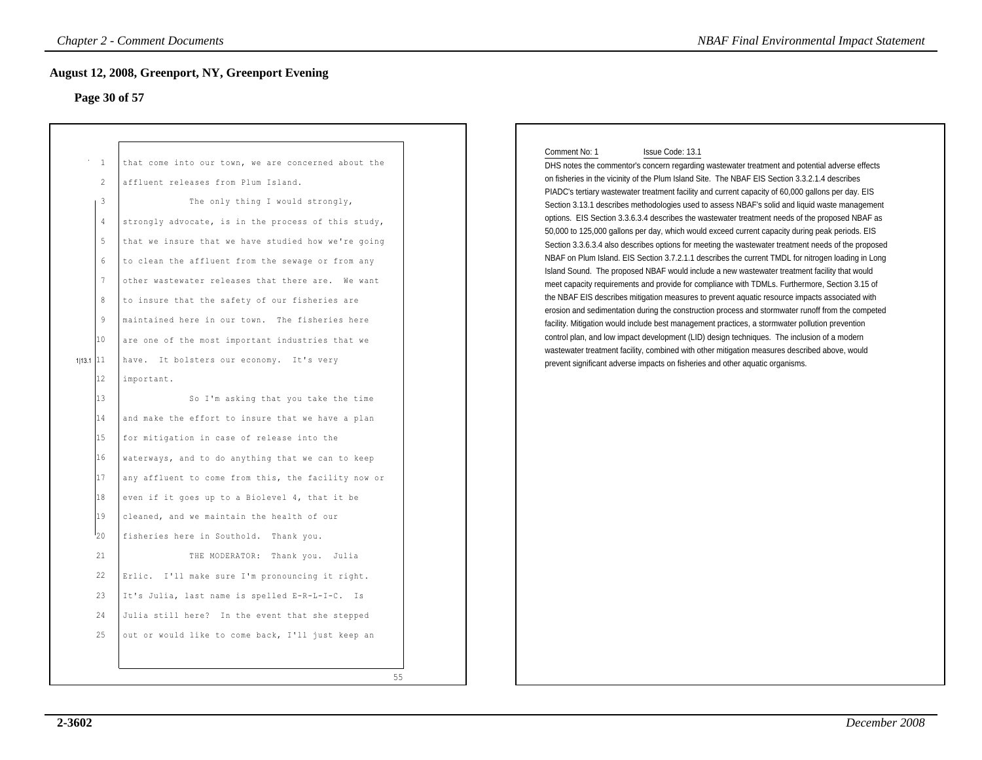### **Page 30 of 57**

| <b>Chapter 2 - Comment Documents</b><br><b>NBAF Final Environmental Impact Statement</b><br><b>August 12, 2008, Greenport, NY, Greenport Evening</b>                               |                                                                                                                                                                                                                                                                                                                                                                                                                                                                                                                                                                                                                                                                                                                                                                                                                                                                                                                                                                                                                                                                                                                                                                                                                                  |  |  |  |
|------------------------------------------------------------------------------------------------------------------------------------------------------------------------------------|----------------------------------------------------------------------------------------------------------------------------------------------------------------------------------------------------------------------------------------------------------------------------------------------------------------------------------------------------------------------------------------------------------------------------------------------------------------------------------------------------------------------------------------------------------------------------------------------------------------------------------------------------------------------------------------------------------------------------------------------------------------------------------------------------------------------------------------------------------------------------------------------------------------------------------------------------------------------------------------------------------------------------------------------------------------------------------------------------------------------------------------------------------------------------------------------------------------------------------|--|--|--|
| Page 30 of 57                                                                                                                                                                      |                                                                                                                                                                                                                                                                                                                                                                                                                                                                                                                                                                                                                                                                                                                                                                                                                                                                                                                                                                                                                                                                                                                                                                                                                                  |  |  |  |
| -1<br>2<br>3<br>4<br>$5\,$<br>$6\phantom{.}6$<br>7<br>8<br>$\overline{9}$<br>10<br>$113.1$ 11<br>12<br>13<br>14<br>15<br>16<br>17<br>18<br>19<br>120<br>21<br>22<br>23<br>24<br>25 | that come into our town, we are concerned about the<br>affluent releases from Plum Island.<br>The only thing I would strongly,<br>strongly advocate, is in the process of this study,<br>that we insure that we have studied how we're going<br>to clean the affluent from the sewage or from any<br>other wastewater releases that there are. We want<br>to insure that the safety of our fisheries are<br>maintained here in our town. The fisheries here<br>are one of the most important industries that we<br>have. It bolsters our economy. It's very<br>important.<br>So I'm asking that you take the time<br>and make the effort to insure that we have a plan<br>for mitigation in case of release into the<br>waterways, and to do anything that we can to keep<br>any affluent to come from this, the facility now or<br>even if it goes up to a Biolevel 4, that it be<br>cleaned, and we maintain the health of our<br>fisheries here in Southold. Thank you.<br>THE MODERATOR: Thank you. Julia<br>Erlic. I'll make sure I'm pronouncing it right.<br>It's Julia, last name is spelled E-R-L-I-C. Is<br>Julia still here? In the event that she stepped<br>out or would like to come back, I'll just keep an<br>55 |  |  |  |

### Comment No: 1 Issue Code: 13.1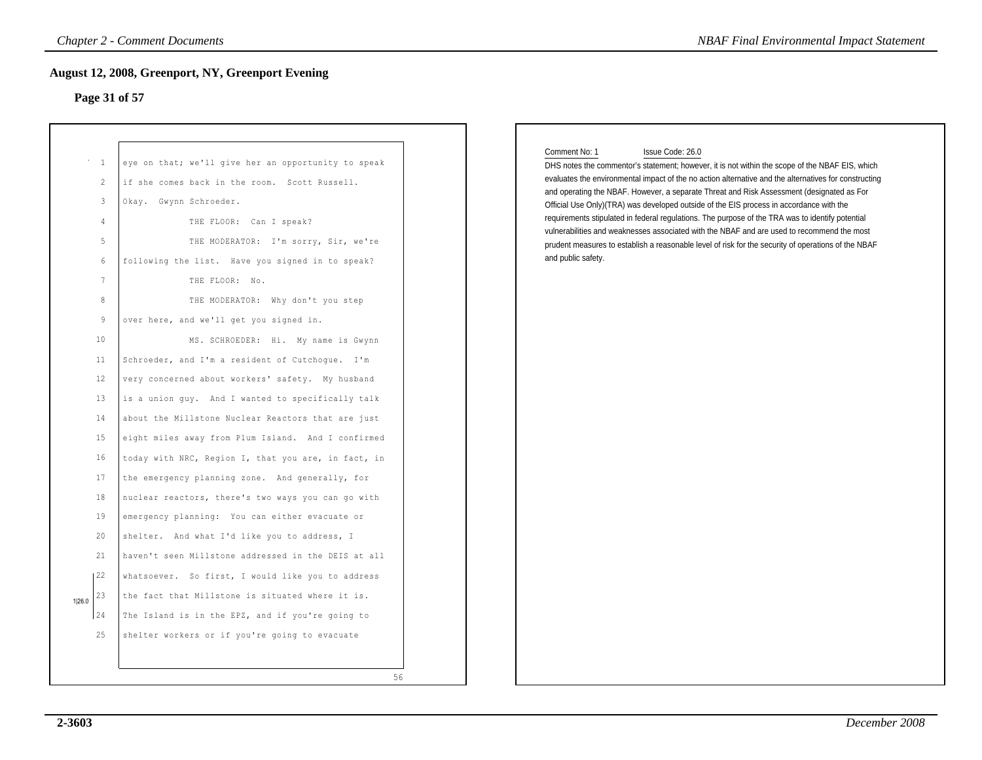### **Page 31 of 57**

| Chapter 2 - Comment Documents<br><b>NBAF Final Environmental Impact Statement</b><br><b>August 12, 2008, Greenport, NY, Greenport Evening</b><br>Page 31 of 57 |    |  |  |
|----------------------------------------------------------------------------------------------------------------------------------------------------------------|----|--|--|
|                                                                                                                                                                |    |  |  |
|                                                                                                                                                                | 56 |  |  |

### Comment No: 1 Issue Code: 26.0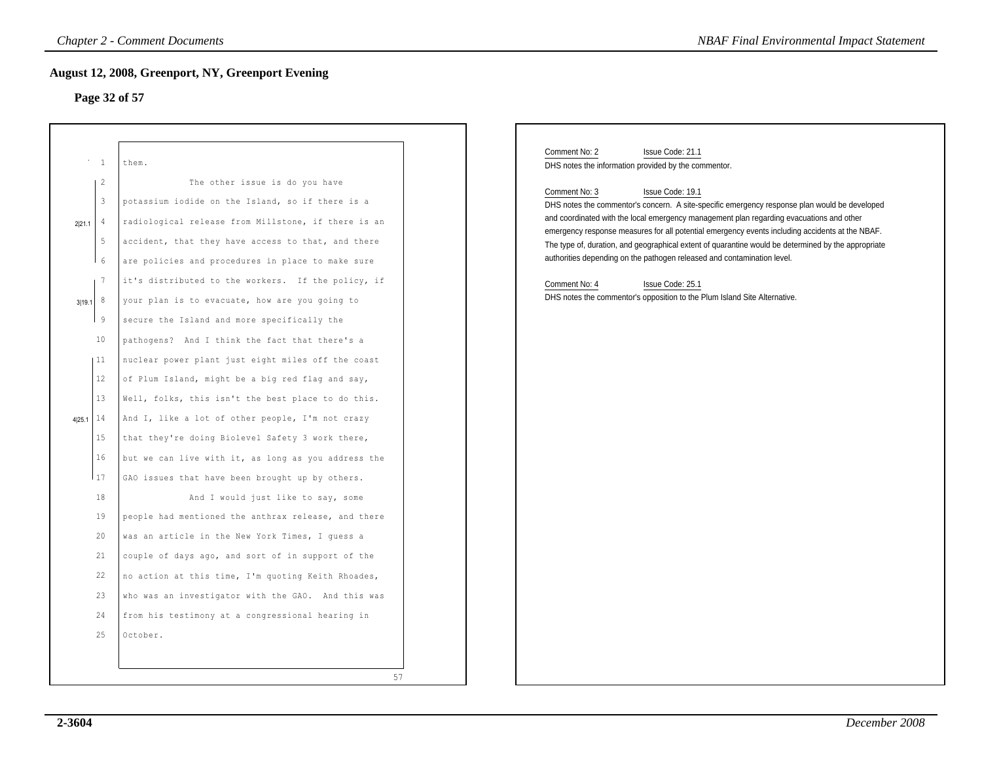## **Page 32 of 57**

|                                                                                                                                                                                                                       | <b>Chapter 2 - Comment Documents</b><br><b>NBAF Final Environmental Impact Statement</b><br><b>August 12, 2008, Greenport, NY, Greenport Evening</b><br>Page 32 of 57                                                                                                                                                                                                                                                                                                                                                                                                                                                                                                                                                                                                                                                                                                                                                                                                                                                                                                                                                                                                                                                                     |                                                                                                                                                                                                                                                                                                                                                                                                                                                                                                                                                                                                                                                                                                                                    |  |
|-----------------------------------------------------------------------------------------------------------------------------------------------------------------------------------------------------------------------|-------------------------------------------------------------------------------------------------------------------------------------------------------------------------------------------------------------------------------------------------------------------------------------------------------------------------------------------------------------------------------------------------------------------------------------------------------------------------------------------------------------------------------------------------------------------------------------------------------------------------------------------------------------------------------------------------------------------------------------------------------------------------------------------------------------------------------------------------------------------------------------------------------------------------------------------------------------------------------------------------------------------------------------------------------------------------------------------------------------------------------------------------------------------------------------------------------------------------------------------|------------------------------------------------------------------------------------------------------------------------------------------------------------------------------------------------------------------------------------------------------------------------------------------------------------------------------------------------------------------------------------------------------------------------------------------------------------------------------------------------------------------------------------------------------------------------------------------------------------------------------------------------------------------------------------------------------------------------------------|--|
| $^{\circ}$ – $1$<br>$\overline{2}$<br>$\overline{3}$<br>$2 21.1 $ 4<br>- 5<br>6<br>7<br>$3 19.1 $ 8<br>- 9<br>10<br> 11<br>12<br>13<br>14<br>4 25.1<br>15<br>16<br>17<br>18<br>19<br>20<br>21<br>22<br>23<br>24<br>25 | them.<br>The other issue is do you have<br>potassium iodide on the Island, so if there is a<br>radiological release from Millstone, if there is an<br>accident, that they have access to that, and there<br>are policies and procedures in place to make sure<br>it's distributed to the workers. If the policy, if<br>your plan is to evacuate, how are you going to<br>secure the Island and more specifically the<br>pathogens? And I think the fact that there's a<br>nuclear power plant just eight miles off the coast<br>of Plum Island, might be a big red flag and say,<br>Well, folks, this isn't the best place to do this.<br>And I, like a lot of other people, I'm not crazy<br>that they're doing Biolevel Safety 3 work there,<br>but we can live with it, as long as you address the<br>GAO issues that have been brought up by others.<br>And I would just like to say, some<br>people had mentioned the anthrax release, and there<br>was an article in the New York Times, I guess a<br>couple of days ago, and sort of in support of the<br>no action at this time, I'm quoting Keith Rhoades,<br>who was an investigator with the GAO. And this was<br>from his testimony at a congressional hearing in<br>October. | Comment No: 2<br>Issue Code: 21.1<br>DHS notes the information provided by the commentor.<br>Comment No: 3<br>Issue Code: 19.1<br>DHS notes the commentor's concern. A site-specific emergency response plan would be developed<br>and coordinated with the local emergency management plan regarding evacuations and other<br>emergency response measures for all potential emergency events including accidents at the NBAF.<br>The type of, duration, and geographical extent of quarantine would be determined by the appropriate<br>authorities depending on the pathogen released and contamination level.<br>Comment No: 4<br>Issue Code: 25.1<br>DHS notes the commentor's opposition to the Plum Island Site Alternative. |  |
|                                                                                                                                                                                                                       | 57                                                                                                                                                                                                                                                                                                                                                                                                                                                                                                                                                                                                                                                                                                                                                                                                                                                                                                                                                                                                                                                                                                                                                                                                                                        |                                                                                                                                                                                                                                                                                                                                                                                                                                                                                                                                                                                                                                                                                                                                    |  |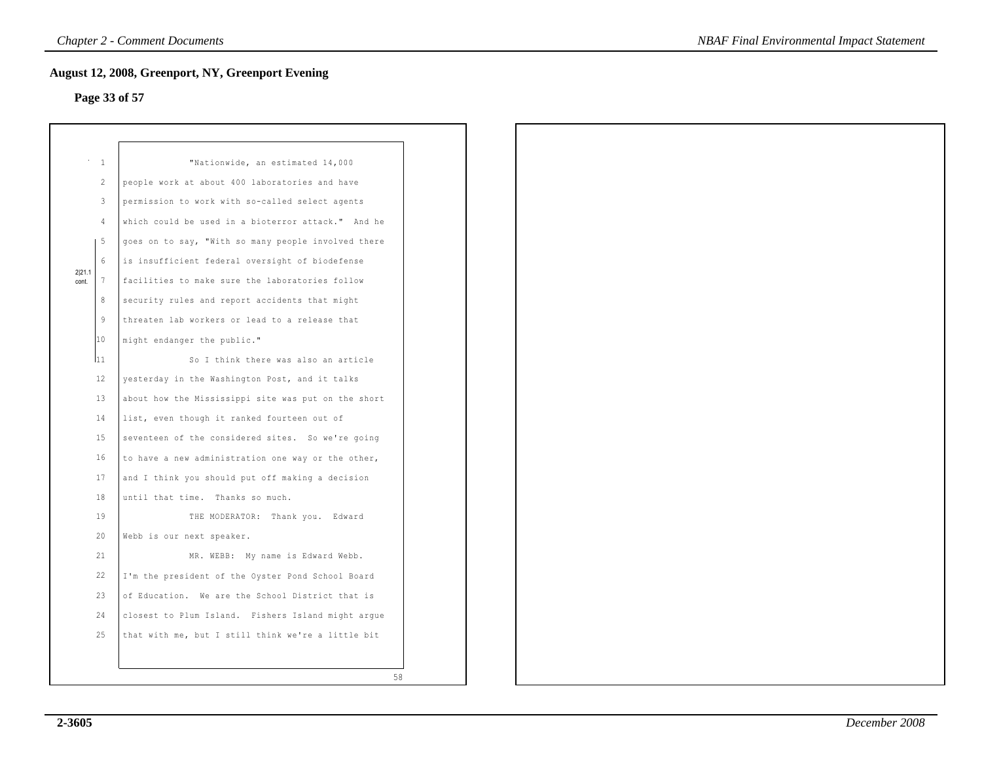## **Page 33 of 57**

| August 12, 2008, Greenport, NY, Greenport Evening<br>Page 33 of 57 |                 |                                                     |
|--------------------------------------------------------------------|-----------------|-----------------------------------------------------|
|                                                                    |                 |                                                     |
| $\sim$                                                             | 1               | "Nationwide, an estimated 14,000                    |
|                                                                    | 2               | people work at about 400 laboratories and have      |
|                                                                    | 3               | permission to work with so-called select agents     |
|                                                                    | $\overline{4}$  | which could be used in a bioterror attack." And he  |
|                                                                    | 5               | goes on to say, "With so many people involved there |
|                                                                    | $6\overline{6}$ | is insufficient federal oversight of biodefense     |
| 2 21.1<br>cont.                                                    | $7\phantom{.0}$ | facilities to make sure the laboratories follow     |
|                                                                    | 8               | security rules and report accidents that might      |
|                                                                    | $\overline{9}$  | threaten lab workers or lead to a release that      |
|                                                                    | 10              | might endanger the public."                         |
|                                                                    | l11             | So I think there was also an article                |
|                                                                    | 12              | yesterday in the Washington Post, and it talks      |
|                                                                    | 13              | about how the Mississippi site was put on the short |
|                                                                    | 14              | list, even though it ranked fourteen out of         |
|                                                                    | 15              | seventeen of the considered sites. So we're going   |
|                                                                    | 16              | to have a new administration one way or the other,  |
|                                                                    | 17              | and I think you should put off making a decision    |
|                                                                    | 18              | until that time. Thanks so much.                    |
|                                                                    | 19              | THE MODERATOR: Thank you. Edward                    |
|                                                                    | 20              | Webb is our next speaker.                           |
|                                                                    | 21              | MR. WEBB: My name is Edward Webb.                   |
|                                                                    | 22              | I'm the president of the Oyster Pond School Board   |
|                                                                    | 23              | of Education. We are the School District that is    |
|                                                                    | 24              | closest to Plum Island. Fishers Island might argue  |
|                                                                    | 25              | that with me, but I still think we're a little bit  |
|                                                                    |                 |                                                     |
|                                                                    |                 | 58                                                  |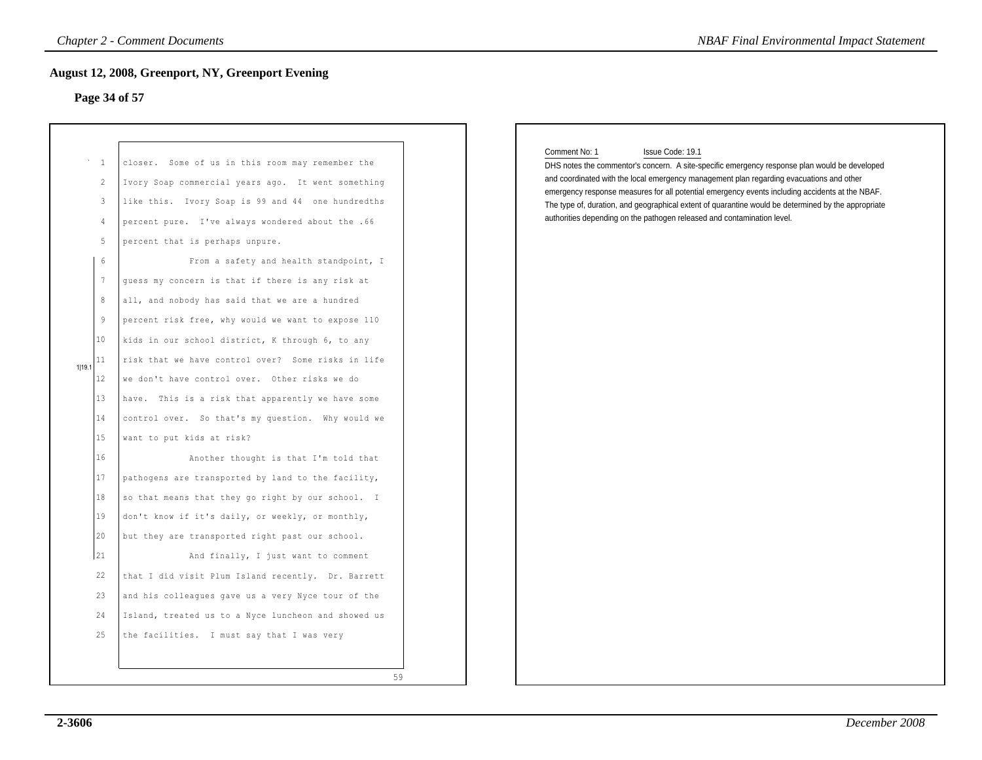### **Page 34 of 57**

| Page 34 of 57                                                                                                                                                                                          | <b>August 12, 2008, Greenport, NY, Greenport Evening</b>                                                                                                                                                                                                                                                                                                                                                                                                                                                                                                                                                                                                                                                                                                                                                                                                                                                                                                                                                                                                                                                                                                                                                                                                                      |                                                                                                                                                                                                                                                                                                                                                                                                                                                                                                                     |
|--------------------------------------------------------------------------------------------------------------------------------------------------------------------------------------------------------|-------------------------------------------------------------------------------------------------------------------------------------------------------------------------------------------------------------------------------------------------------------------------------------------------------------------------------------------------------------------------------------------------------------------------------------------------------------------------------------------------------------------------------------------------------------------------------------------------------------------------------------------------------------------------------------------------------------------------------------------------------------------------------------------------------------------------------------------------------------------------------------------------------------------------------------------------------------------------------------------------------------------------------------------------------------------------------------------------------------------------------------------------------------------------------------------------------------------------------------------------------------------------------|---------------------------------------------------------------------------------------------------------------------------------------------------------------------------------------------------------------------------------------------------------------------------------------------------------------------------------------------------------------------------------------------------------------------------------------------------------------------------------------------------------------------|
| $\,^{\circ}$ – $\,1$<br>$\overline{c}$<br>3<br>4<br>5<br>6<br>$7\phantom{.0}$<br>8<br>9<br>10<br>11<br>1 19.7<br>$12 \,$<br>13<br>14<br>15<br>16<br>17<br>18<br>19<br>20<br>21<br>22<br>23<br>24<br>25 | closer. Some of us in this room may remember the<br>Ivory Soap commercial years ago. It went something<br>like this. Ivory Soap is 99 and 44 one hundredths<br>percent pure. I've always wondered about the .66<br>percent that is perhaps unpure.<br>From a safety and health standpoint, I<br>guess my concern is that if there is any risk at<br>all, and nobody has said that we are a hundred<br>percent risk free, why would we want to expose 110<br>kids in our school district, K through 6, to any<br>risk that we have control over? Some risks in life<br>we don't have control over. Other risks we do<br>have. This is a risk that apparently we have some<br>control over. So that's my question. Why would we<br>want to put kids at risk?<br>Another thought is that I'm told that<br>pathogens are transported by land to the facility,<br>so that means that they go right by our school. I<br>don't know if it's daily, or weekly, or monthly,<br>but they are transported right past our school.<br>And finally, I just want to comment<br>that I did visit Plum Island recently. Dr. Barrett<br>and his colleagues gave us a very Nyce tour of the<br>Island, treated us to a Nyce luncheon and showed us<br>the facilities. I must say that I was very | Comment No: 1<br>Issue Code: 19.1<br>DHS notes the commentor's concern. A site-specific emergency response plan would be developed<br>and coordinated with the local emergency management plan regarding evacuations and other<br>emergency response measures for all potential emergency events including accidents at the NBAF.<br>The type of, duration, and geographical extent of quarantine would be determined by the appropriate<br>authorities depending on the pathogen released and contamination level. |

### Comment No: 1 Issue Code: 19.1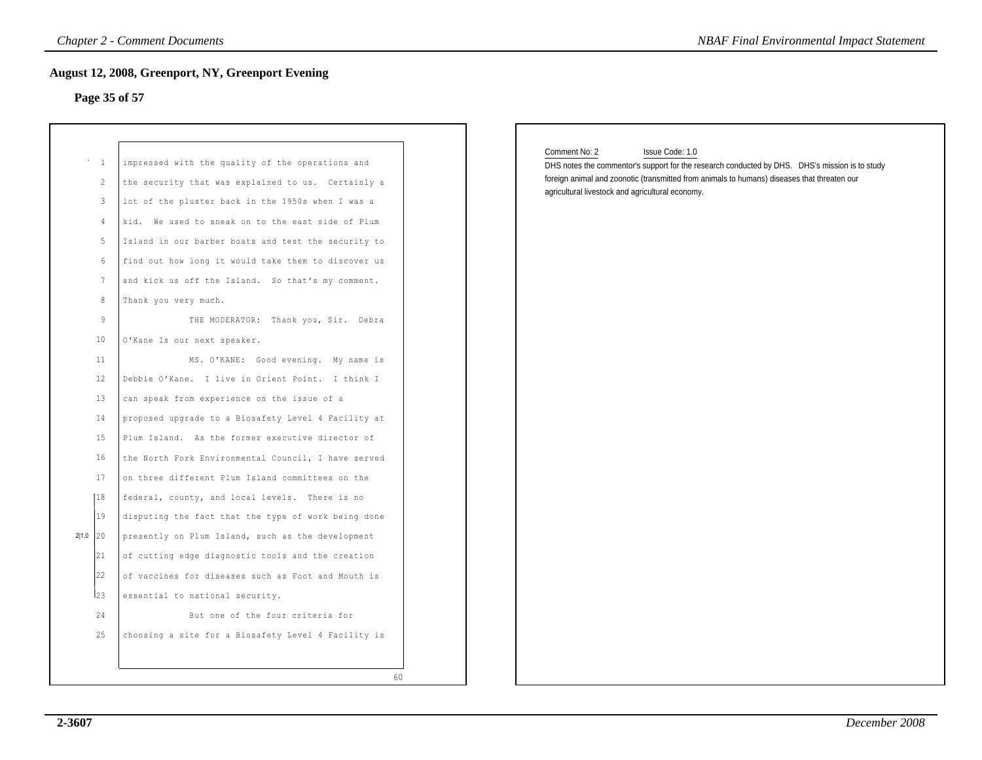## **Page 35 of 57**

| <b>Chapter 2 - Comment Documents</b><br><b>NBAF Final Environmental Impact Statement</b>                                                                                                            |                                                                                                                                                                                                                                                                                                                                                                                                                                                                                                                                                                                                                                                                                                                                                                                                                                                                                                                                                                                                                                                                                                                                                                                                                                                            |                                                                                                                                                                                                                                                                                       |  |  |
|-----------------------------------------------------------------------------------------------------------------------------------------------------------------------------------------------------|------------------------------------------------------------------------------------------------------------------------------------------------------------------------------------------------------------------------------------------------------------------------------------------------------------------------------------------------------------------------------------------------------------------------------------------------------------------------------------------------------------------------------------------------------------------------------------------------------------------------------------------------------------------------------------------------------------------------------------------------------------------------------------------------------------------------------------------------------------------------------------------------------------------------------------------------------------------------------------------------------------------------------------------------------------------------------------------------------------------------------------------------------------------------------------------------------------------------------------------------------------|---------------------------------------------------------------------------------------------------------------------------------------------------------------------------------------------------------------------------------------------------------------------------------------|--|--|
|                                                                                                                                                                                                     | <b>August 12, 2008, Greenport, NY, Greenport Evening</b><br>Page 35 of 57                                                                                                                                                                                                                                                                                                                                                                                                                                                                                                                                                                                                                                                                                                                                                                                                                                                                                                                                                                                                                                                                                                                                                                                  |                                                                                                                                                                                                                                                                                       |  |  |
| $\mathbf{1}$<br>$\overline{c}$<br>3<br>$\overline{4}$<br>5<br>6<br>$7\phantom{.0}$<br>8<br>9<br>10<br>11<br>12<br>13<br>14<br>15<br>16<br>17<br> 18<br>19<br>2 1.0 20<br>21<br>22<br>23<br>24<br>25 | impressed with the quality of the operations and<br>the security that was explained to us. Certainly a<br>lot of the pluster back in the 1950s when I was a<br>kid. We used to sneak on to the east side of Plum<br>Island in our barber boats and test the security to<br>find out how long it would take them to discover us<br>and kick us off the Island. So that's my comment.<br>Thank you very much.<br>THE MODERATOR: Thank you, Sir. Debra<br>O'Kane Is our next speaker.<br>MS. O'KANE: Good evening. My name is<br>Debbie O'Kane. I live in Orient Point. I think I<br>can speak from experience on the issue of a<br>proposed upgrade to a Biosafety Level 4 Facility at<br>Plum Island. As the former executive director of<br>the North Fork Environmental Council, I have served<br>on three different Plum Island committees on the<br>federal, county, and local levels. There is no<br>disputing the fact that the type of work being done<br>presently on Plum Island, such as the development<br>of cutting edge diagnostic tools and the creation<br>of vaccines for diseases such as Foot and Mouth is<br>essential to national security.<br>But one of the four criteria for<br>choosing a site for a Biosafety Level 4 Facility is | Comment No: 2<br>Issue Code: 1.0<br>DHS notes the commentor's support for the research conducted by DHS. DHS's mission is to study<br>foreign animal and zoonotic (transmitted from animals to humans) diseases that threaten our<br>agricultural livestock and agricultural economy. |  |  |
|                                                                                                                                                                                                     | 60                                                                                                                                                                                                                                                                                                                                                                                                                                                                                                                                                                                                                                                                                                                                                                                                                                                                                                                                                                                                                                                                                                                                                                                                                                                         |                                                                                                                                                                                                                                                                                       |  |  |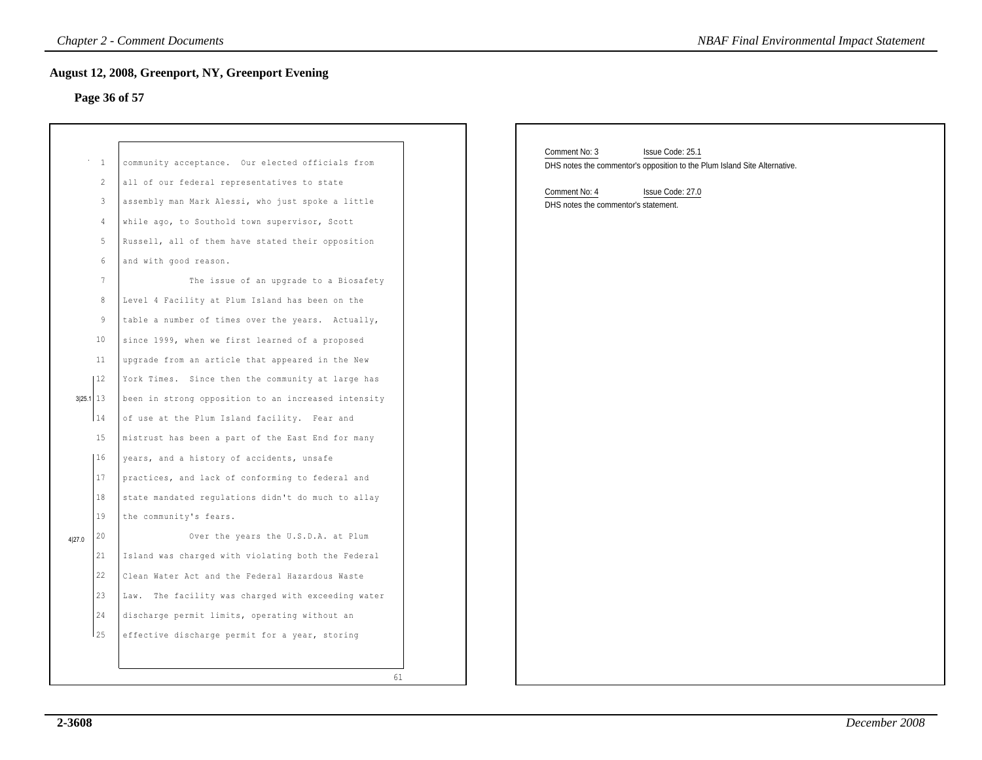### **Page 36 of 57**

|           | 1               | community acceptance. Our elected officials from      |    |
|-----------|-----------------|-------------------------------------------------------|----|
|           | $\overline{c}$  | all of our federal representatives to state           |    |
|           | 3               | assembly man Mark Alessi, who just spoke a little     |    |
|           | 4               | while ago, to Southold town supervisor, Scott         |    |
| 5<br>6    |                 | Russell, all of them have stated their opposition     |    |
|           |                 | and with good reason.                                 |    |
|           | $7\phantom{.0}$ | The issue of an upgrade to a Biosafety                |    |
|           | 8               | Level 4 Facility at Plum Island has been on the       |    |
|           | 9               | table a number of times over the years. Actually,     |    |
|           | 10              | since 1999, when we first learned of a proposed       |    |
|           | 11              | upgrade from an article that appeared in the New      |    |
|           | 12              | York Times. Since then the community at large has     |    |
| 3 25.1 13 |                 | been in strong opposition to an increased intensity   |    |
|           | 14              | of use at the Plum Island facility. Fear and          |    |
|           | 15              | mistrust has been a part of the East End for many     |    |
| 4 27.0    | 16              | years, and a history of accidents, unsafe             |    |
|           | 17              | practices, and lack of conforming to federal and      |    |
|           | 18              | state mandated regulations didn't do much to allay    |    |
|           | 19              | the community's fears.                                |    |
|           | 20              | Over the years the U.S.D.A. at Plum                   |    |
|           | 21              | Island was charged with violating both the Federal    |    |
|           | 22              | Clean Water Act and the Federal Hazardous Waste       |    |
|           | 23              | The facility was charged with exceeding water<br>Law. |    |
|           | 24              | discharge permit limits, operating without an         |    |
|           | 25              | effective discharge permit for a year, storing        |    |
|           |                 |                                                       |    |
|           |                 |                                                       | 61 |
|           |                 |                                                       |    |

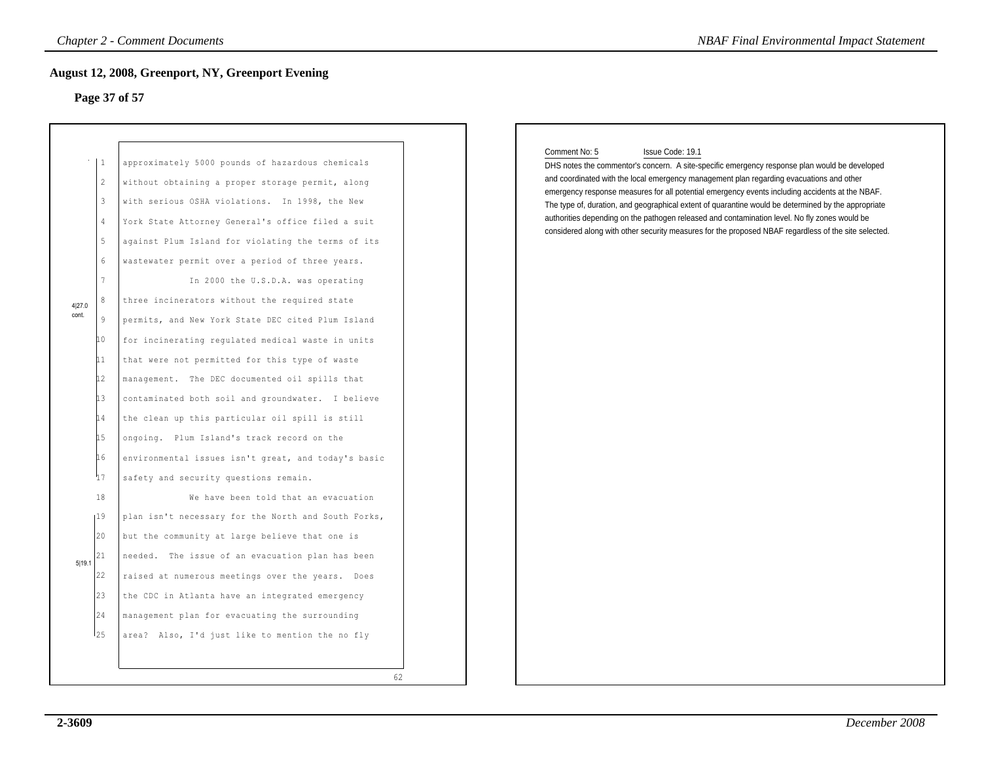## **Page 37 of 57**

|                           |                                                                                                                                                                                                                                           | <b>Chapter 2 - Comment Documents</b>                                                                                                                                                                                                                                                                                                                                                                                                                                                                                                                                                                                                                                                                                                                                                                                                                                                                                                                                                                                                                                                                                                                                                                                                                                                             |    | <b>NBAF Final Environmental Impact Statement</b>                                                                                                                                                                                                                                                                                                                                                                                                                                                                                                                                                                                                  |
|---------------------------|-------------------------------------------------------------------------------------------------------------------------------------------------------------------------------------------------------------------------------------------|--------------------------------------------------------------------------------------------------------------------------------------------------------------------------------------------------------------------------------------------------------------------------------------------------------------------------------------------------------------------------------------------------------------------------------------------------------------------------------------------------------------------------------------------------------------------------------------------------------------------------------------------------------------------------------------------------------------------------------------------------------------------------------------------------------------------------------------------------------------------------------------------------------------------------------------------------------------------------------------------------------------------------------------------------------------------------------------------------------------------------------------------------------------------------------------------------------------------------------------------------------------------------------------------------|----|---------------------------------------------------------------------------------------------------------------------------------------------------------------------------------------------------------------------------------------------------------------------------------------------------------------------------------------------------------------------------------------------------------------------------------------------------------------------------------------------------------------------------------------------------------------------------------------------------------------------------------------------------|
|                           |                                                                                                                                                                                                                                           | <b>August 12, 2008, Greenport, NY, Greenport Evening</b><br>Page 37 of 57                                                                                                                                                                                                                                                                                                                                                                                                                                                                                                                                                                                                                                                                                                                                                                                                                                                                                                                                                                                                                                                                                                                                                                                                                        |    |                                                                                                                                                                                                                                                                                                                                                                                                                                                                                                                                                                                                                                                   |
| 4 27.0<br>cont.<br>5 19.1 | $\vert 1 \vert$<br>$\mathbf{2}$<br>3<br>$\overline{4}$<br>$\overline{5}$<br>$\epsilon$<br>$7\phantom{.0}$<br>$\overline{9}$<br>10<br>11<br>12<br>13<br>14<br>15<br>16<br>Կ7<br>18<br>1 <sup>19</sup><br>20<br>21<br>22<br>23<br>24<br>125 | approximately 5000 pounds of hazardous chemicals<br>without obtaining a proper storage permit, along<br>with serious OSHA violations. In 1998, the New<br>York State Attorney General's office filed a suit<br>against Plum Island for violating the terms of its<br>wastewater permit over a period of three years.<br>In 2000 the U.S.D.A. was operating<br>three incinerators without the required state<br>permits, and New York State DEC cited Plum Island<br>for incinerating regulated medical waste in units<br>that were not permitted for this type of waste<br>management. The DEC documented oil spills that<br>contaminated both soil and groundwater. I believe<br>the clean up this particular oil spill is still<br>ongoing. Plum Island's track record on the<br>environmental issues isn't great, and today's basic<br>safety and security questions remain.<br>We have been told that an evacuation<br>plan isn't necessary for the North and South Forks,<br>but the community at large believe that one is<br>needed. The issue of an evacuation plan has been<br>raised at numerous meetings over the years. Does<br>the CDC in Atlanta have an integrated emergency<br>management plan for evacuating the surrounding<br>area? Also, I'd just like to mention the no fly |    | Comment No: 5<br>Issue Code: 19.1<br>DHS notes the commentor's concern. A site-specific emergency response plan would be developed<br>and coordinated with the local emergency management plan regarding evacuations and other<br>emergency response measures for all potential emergency events including accidents at the NBAF.<br>The type of, duration, and geographical extent of quarantine would be determined by the appropriate<br>authorities depending on the pathogen released and contamination level. No fly zones would be<br>considered along with other security measures for the proposed NBAF regardless of the site selected. |
|                           |                                                                                                                                                                                                                                           |                                                                                                                                                                                                                                                                                                                                                                                                                                                                                                                                                                                                                                                                                                                                                                                                                                                                                                                                                                                                                                                                                                                                                                                                                                                                                                  | 62 |                                                                                                                                                                                                                                                                                                                                                                                                                                                                                                                                                                                                                                                   |

#### Comment No: 5 Issue Code: 19.1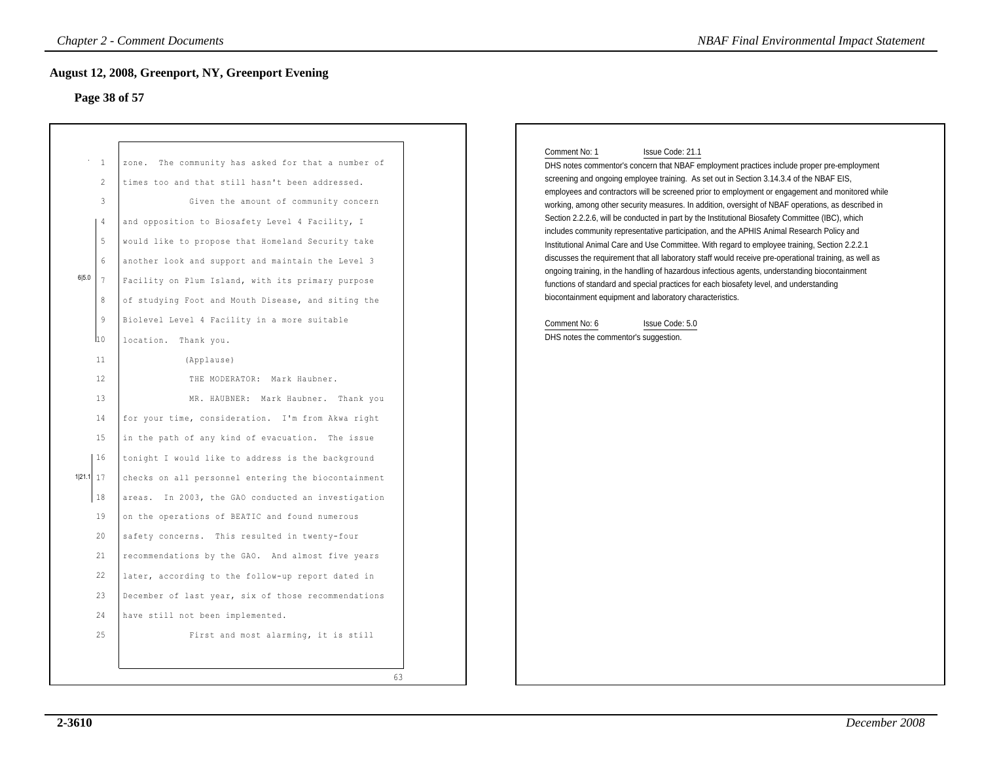## **Page 38 of 57**

| Page 38 of 57                                                                                       | August 12, 2008, Greenport, NY, Greenport Evening                                                                                                                                                                                                                                                                                                                                                                                                                                              |                                                                                                                                                                                                                                                                                                                                                                                                                                                                                                                                                                                                                                                                                                                                                                                                                                                                                                                                                                                                                                                                                                                                                                                          |
|-----------------------------------------------------------------------------------------------------|------------------------------------------------------------------------------------------------------------------------------------------------------------------------------------------------------------------------------------------------------------------------------------------------------------------------------------------------------------------------------------------------------------------------------------------------------------------------------------------------|------------------------------------------------------------------------------------------------------------------------------------------------------------------------------------------------------------------------------------------------------------------------------------------------------------------------------------------------------------------------------------------------------------------------------------------------------------------------------------------------------------------------------------------------------------------------------------------------------------------------------------------------------------------------------------------------------------------------------------------------------------------------------------------------------------------------------------------------------------------------------------------------------------------------------------------------------------------------------------------------------------------------------------------------------------------------------------------------------------------------------------------------------------------------------------------|
| <sup>1</sup><br>2<br>$\mathbf{3}$<br>$\overline{4}$<br>5<br>6<br>6 5.0<br>8<br>$\overline{9}$<br>10 | zone. The community has asked for that a number of<br>times too and that still hasn't been addressed.<br>Given the amount of community concern<br>and opposition to Biosafety Level 4 Facility, I<br>would like to propose that Homeland Security take<br>another look and support and maintain the Level 3<br>Facility on Plum Island, with its primary purpose<br>of studying Foot and Mouth Disease, and siting the<br>Biolevel Level 4 Facility in a more suitable<br>location. Thank you. | Comment No: 1<br>Issue Code: 21.1<br>DHS notes commentor's concern that NBAF employment practices include proper pre-employment<br>screening and ongoing employee training. As set out in Section 3.14.3.4 of the NBAF EIS,<br>employees and contractors will be screened prior to employment or engagement and monitored while<br>working, among other security measures. In addition, oversight of NBAF operations, as described in<br>Section 2.2.2.6, will be conducted in part by the Institutional Biosafety Committee (IBC), which<br>includes community representative participation, and the APHIS Animal Research Policy and<br>Institutional Animal Care and Use Committee. With regard to employee training, Section 2.2.2.1<br>discusses the requirement that all laboratory staff would receive pre-operational training, as well as<br>ongoing training, in the handling of hazardous infectious agents, understanding biocontainment<br>functions of standard and special practices for each biosafety level, and understanding<br>biocontainment equipment and laboratory characteristics.<br>Comment No: 6<br>Issue Code: 5.0<br>DHS notes the commentor's suggestion. |
| 11<br>$12 \overline{ }$<br>13<br>14<br>15                                                           | (Applause)<br>THE MODERATOR: Mark Haubner.<br>MR. HAUBNER: Mark Haubner. Thank you<br>for your time, consideration. I'm from Akwa right<br>in the path of any kind of evacuation. The issue                                                                                                                                                                                                                                                                                                    |                                                                                                                                                                                                                                                                                                                                                                                                                                                                                                                                                                                                                                                                                                                                                                                                                                                                                                                                                                                                                                                                                                                                                                                          |
| 16<br>1 21.1 <br>17<br>$1\,8$<br>19<br>20<br>21<br>22                                               | tonight I would like to address is the background<br>checks on all personnel entering the biocontainment<br>areas. In 2003, the GAO conducted an investigation<br>on the operations of BEATIC and found numerous<br>safety concerns. This resulted in twenty-four<br>recommendations by the GAO. And almost five years<br>later, according to the follow-up report dated in                                                                                                                    |                                                                                                                                                                                                                                                                                                                                                                                                                                                                                                                                                                                                                                                                                                                                                                                                                                                                                                                                                                                                                                                                                                                                                                                          |
| 23<br>24<br>25                                                                                      | December of last year, six of those recommendations<br>have still not been implemented.<br>First and most alarming, it is still<br>63                                                                                                                                                                                                                                                                                                                                                          |                                                                                                                                                                                                                                                                                                                                                                                                                                                                                                                                                                                                                                                                                                                                                                                                                                                                                                                                                                                                                                                                                                                                                                                          |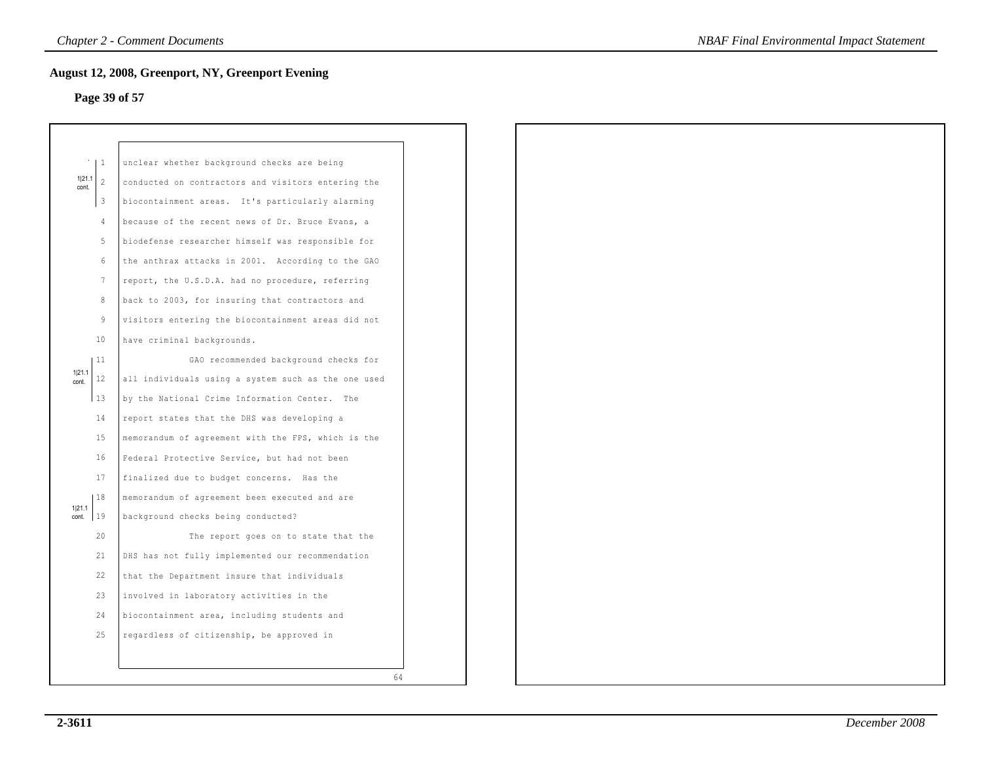# **Page 39 of 57**

|                 | 1                       | unclear whether background checks are being         |  |
|-----------------|-------------------------|-----------------------------------------------------|--|
| 1 21.1<br>cont. | 2                       | conducted on contractors and visitors entering the  |  |
|                 | $\overline{\mathbf{3}}$ | biocontainment areas. It's particularly alarming    |  |
|                 | 4                       | because of the recent news of Dr. Bruce Evans, a    |  |
|                 | 5                       | biodefense researcher himself was responsible for   |  |
|                 | 6                       | the anthrax attacks in 2001. According to the GAO   |  |
|                 | $7\phantom{.0}$         | report, the U.S.D.A. had no procedure, referring    |  |
|                 | $\,8\,$                 | back to 2003, for insuring that contractors and     |  |
|                 | $\overline{9}$          | visitors entering the biocontainment areas did not  |  |
|                 | 10                      | have criminal backgrounds.                          |  |
|                 | 11                      | GAO recommended background checks for               |  |
| 1 21.1<br>cont. | 12                      | all individuals using a system such as the one used |  |
|                 | 13                      | by the National Crime Information Center. The       |  |
|                 | 14                      | report states that the DHS was developing a         |  |
|                 | 15                      | memorandum of agreement with the FPS, which is the  |  |
|                 | 16                      | Federal Protective Service, but had not been        |  |
|                 | 17                      | finalized due to budget concerns. Has the           |  |
|                 | 18                      | memorandum of agreement been executed and are       |  |
| 1 21.1<br>cont. | 19                      | background checks being conducted?                  |  |
|                 | 20                      | The report goes on to state that the                |  |
|                 | 21                      | DHS has not fully implemented our recommendation    |  |
|                 | 22                      | that the Department insure that individuals         |  |
|                 | 23                      | involved in laboratory activities in the            |  |
|                 | 24                      | biocontainment area, including students and         |  |
|                 | 25                      | regardless of citizenship, be approved in           |  |
|                 |                         |                                                     |  |
|                 |                         | 64                                                  |  |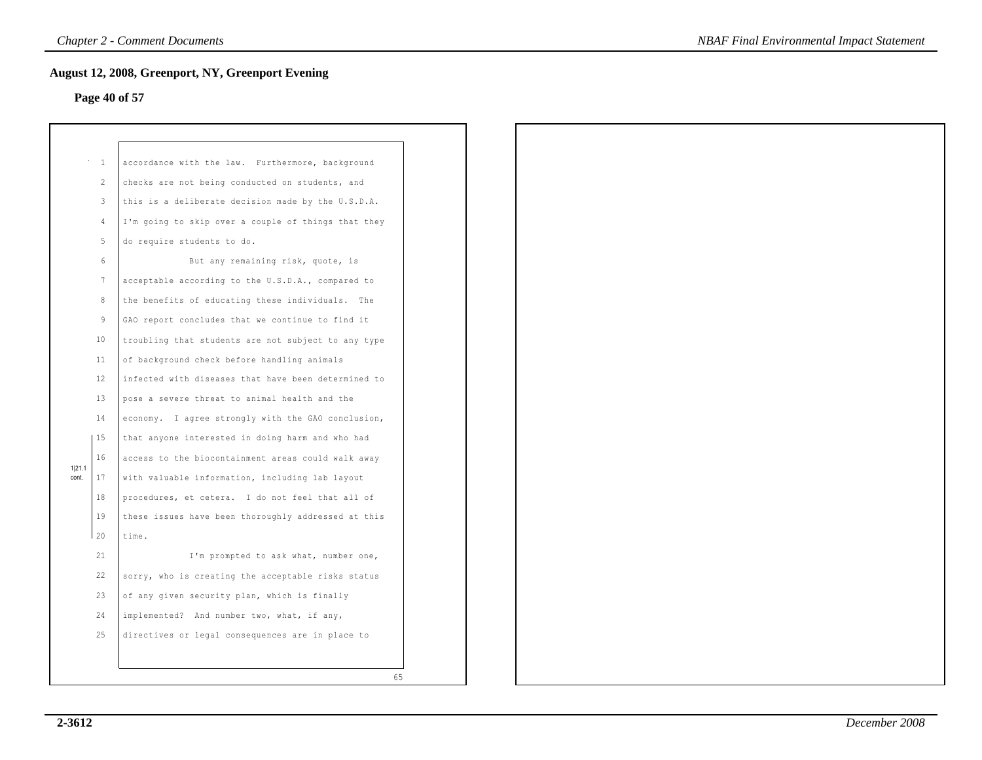# **Page 40 of 57**

|                 | $\mathbf{1}$   | accordance with the law. Furthermore, background    |
|-----------------|----------------|-----------------------------------------------------|
|                 | $\mathfrak{D}$ | checks are not being conducted on students, and     |
|                 | 3              | this is a deliberate decision made by the U.S.D.A.  |
|                 | $\overline{4}$ | I'm going to skip over a couple of things that they |
|                 | 5              | do require students to do.                          |
|                 | 6              | But any remaining risk, quote, is                   |
|                 | 7              | acceptable according to the U.S.D.A., compared to   |
|                 | 8              | the benefits of educating these individuals. The    |
|                 | 9              | GAO report concludes that we continue to find it    |
|                 | 10             | troubling that students are not subject to any type |
|                 | 11             | of background check before handling animals         |
|                 | 12             | infected with diseases that have been determined to |
|                 | 13             | pose a severe threat to animal health and the       |
|                 | 14             | economy. I agree strongly with the GAO conclusion,  |
|                 | 15             | that anyone interested in doing harm and who had    |
|                 | 16             | access to the biocontainment areas could walk away  |
| 1 21.1<br>cont. | 17             | with valuable information, including lab layout     |
|                 | 18             | procedures, et cetera. I do not feel that all of    |
|                 | 19             | these issues have been thoroughly addressed at this |
|                 | 20             | time.                                               |
|                 | 21             | I'm prompted to ask what, number one,               |
|                 | 22             | sorry, who is creating the acceptable risks status  |
|                 | 23             | of any given security plan, which is finally        |
|                 | 24             | implemented? And number two, what, if any,          |
|                 | 2.5            | directives or legal consequences are in place to    |
|                 |                |                                                     |
|                 |                | 65                                                  |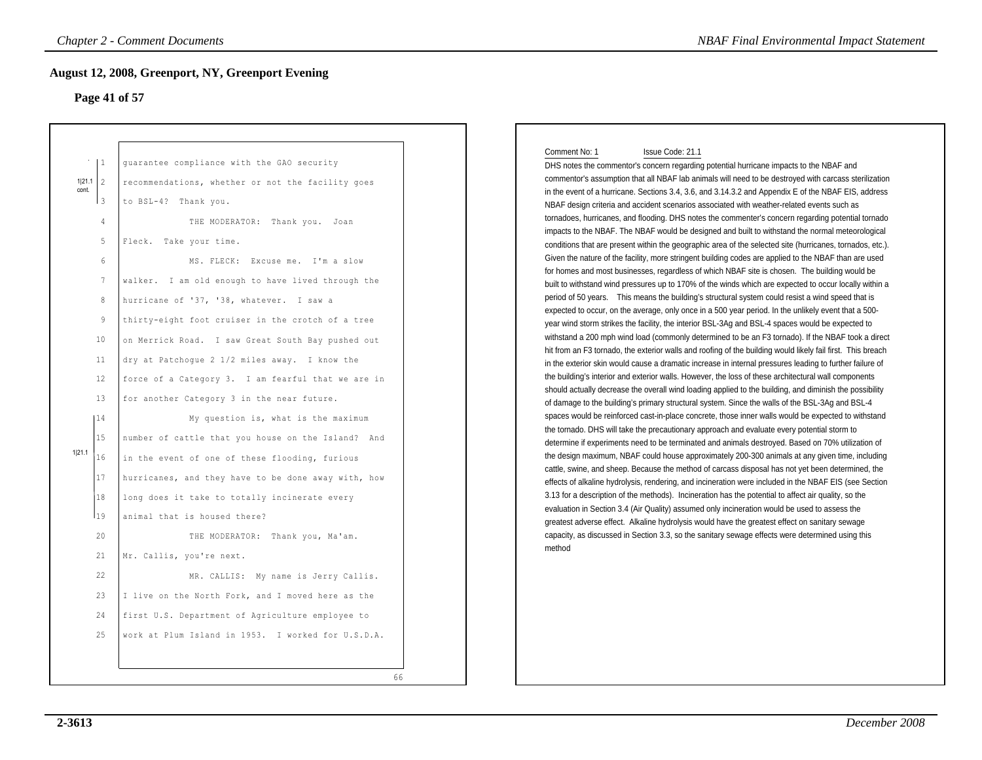### **Page 41 of 57**

| Page 41 of 57                                                                                                                                                                              | <b>August 12, 2008, Greenport, NY, Greenport Evening</b>                                                                                                                                                                                                                                                                                                                                                                                                                                                                                                                                                                                                                                                                                                                                                                                                                                                                                                                                                                                                                                                                                              |
|--------------------------------------------------------------------------------------------------------------------------------------------------------------------------------------------|-------------------------------------------------------------------------------------------------------------------------------------------------------------------------------------------------------------------------------------------------------------------------------------------------------------------------------------------------------------------------------------------------------------------------------------------------------------------------------------------------------------------------------------------------------------------------------------------------------------------------------------------------------------------------------------------------------------------------------------------------------------------------------------------------------------------------------------------------------------------------------------------------------------------------------------------------------------------------------------------------------------------------------------------------------------------------------------------------------------------------------------------------------|
| 1 <br>1 21.1 2<br>cont.<br>Iз<br>4<br>5<br>6<br>$7\phantom{.0}$<br>$\,8\,$<br>9<br>10<br>11<br>12<br>13<br>14<br>15<br>1 21.1<br>16<br>17<br>18<br>119<br>20<br>21<br>22<br>23<br>24<br>25 | guarantee compliance with the GAO security<br>recommendations, whether or not the facility goes<br>to BSL-4? Thank you.<br>THE MODERATOR: Thank you. Joan<br>Fleck. Take your time.<br>MS. FLECK: Excuse me. I'm a slow<br>walker. I am old enough to have lived through the<br>hurricane of '37, '38, whatever. I saw a<br>thirty-eight foot cruiser in the crotch of a tree<br>on Merrick Road. I saw Great South Bay pushed out<br>dry at Patchoque 2 1/2 miles away. I know the<br>force of a Category 3. I am fearful that we are in<br>for another Category 3 in the near future.<br>My question is, what is the maximum<br>number of cattle that you house on the Island? And<br>in the event of one of these flooding, furious<br>hurricanes, and they have to be done away with, how<br>long does it take to totally incinerate every<br>animal that is housed there?<br>THE MODERATOR: Thank you, Ma'am.<br>Mr. Callis, you're next.<br>MR. CALLIS: My name is Jerry Callis.<br>I live on the North Fork, and I moved here as the<br>first U.S. Department of Agriculture employee to<br>work at Plum Island in 1953. I worked for U.S.D.A. |

#### Comment No: 1 Issue Code: 21.1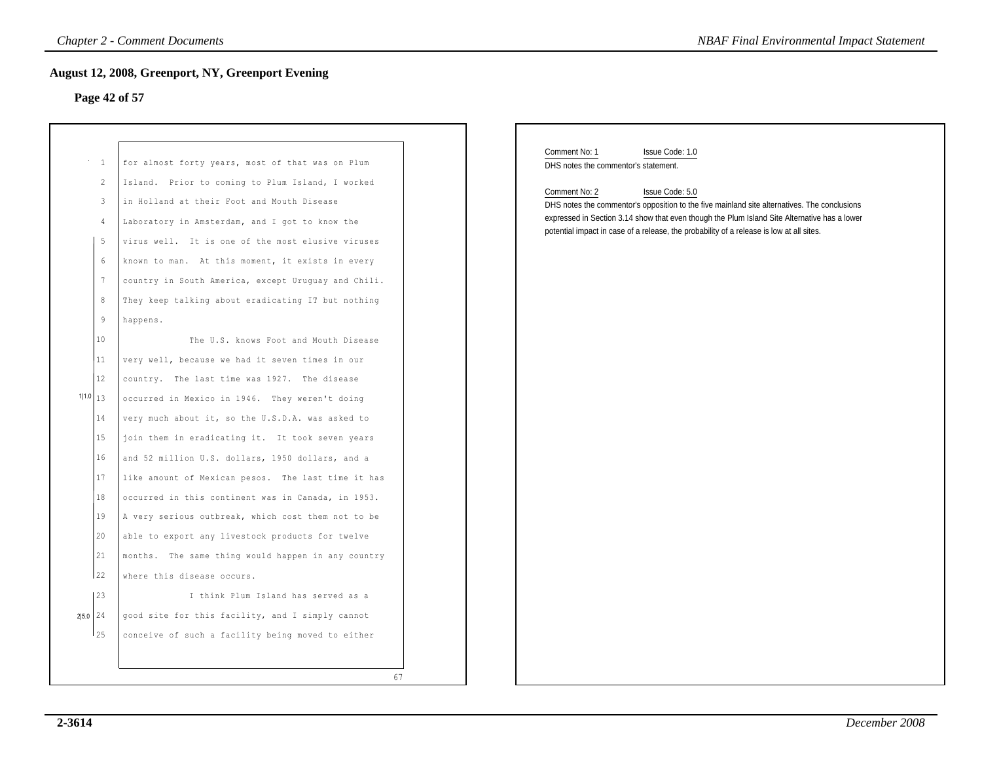# **Page 42 of 57**

| <b>Chapter 2 - Comment Documents</b><br><b>NBAF Final Environmental Impact Statement</b>                                   |                                                                                                                                                                                                                                                                                                                                                                                                                                                                                                                                                                                                                                                                                                                                              |                                                                                                                                                                                                                                                                                                                                                                                                          |  |  |  |  |  |
|----------------------------------------------------------------------------------------------------------------------------|----------------------------------------------------------------------------------------------------------------------------------------------------------------------------------------------------------------------------------------------------------------------------------------------------------------------------------------------------------------------------------------------------------------------------------------------------------------------------------------------------------------------------------------------------------------------------------------------------------------------------------------------------------------------------------------------------------------------------------------------|----------------------------------------------------------------------------------------------------------------------------------------------------------------------------------------------------------------------------------------------------------------------------------------------------------------------------------------------------------------------------------------------------------|--|--|--|--|--|
|                                                                                                                            | <b>August 12, 2008, Greenport, NY, Greenport Evening</b>                                                                                                                                                                                                                                                                                                                                                                                                                                                                                                                                                                                                                                                                                     |                                                                                                                                                                                                                                                                                                                                                                                                          |  |  |  |  |  |
| Page 42 of 57                                                                                                              |                                                                                                                                                                                                                                                                                                                                                                                                                                                                                                                                                                                                                                                                                                                                              |                                                                                                                                                                                                                                                                                                                                                                                                          |  |  |  |  |  |
|                                                                                                                            |                                                                                                                                                                                                                                                                                                                                                                                                                                                                                                                                                                                                                                                                                                                                              |                                                                                                                                                                                                                                                                                                                                                                                                          |  |  |  |  |  |
| $\cdots$ 1<br>$\overline{c}$<br>3<br>4<br>5<br>6<br>$7\phantom{.0}$<br>8<br>9<br>10<br>11<br>12<br>1 1.0<br>13<br>14<br>15 | for almost forty years, most of that was on Plum<br>Island. Prior to coming to Plum Island, I worked<br>in Holland at their Foot and Mouth Disease<br>Laboratory in Amsterdam, and I got to know the<br>virus well. It is one of the most elusive viruses<br>known to man. At this moment, it exists in every<br>country in South America, except Uruguay and Chili.<br>They keep talking about eradicating IT but nothing<br>happens.<br>The U.S. knows Foot and Mouth Disease<br>very well, because we had it seven times in our<br>country. The last time was 1927. The disease<br>occurred in Mexico in 1946. They weren't doing<br>very much about it, so the U.S.D.A. was asked to<br>join them in eradicating it. It took seven years | Comment No: 1<br>Issue Code: 1.0<br>DHS notes the commentor's statement.<br>Comment No: 2<br>Issue Code: 5.0<br>DHS notes the commentor's opposition to the five mainland site alternatives. The conclusions<br>expressed in Section 3.14 show that even though the Plum Island Site Alternative has a lower<br>potential impact in case of a release, the probability of a release is low at all sites. |  |  |  |  |  |
| 16<br>17<br>18<br>19<br>20<br>21<br>22<br> 23<br>2 5.0 24<br>125                                                           | and 52 million U.S. dollars, 1950 dollars, and a<br>like amount of Mexican pesos. The last time it has<br>occurred in this continent was in Canada, in 1953.<br>A very serious outbreak, which cost them not to be<br>able to export any livestock products for twelve<br>months. The same thing would happen in any country<br>where this disease occurs.<br>I think Plum Island has served as a<br>good site for this facility, and I simply cannot<br>conceive of such a facility being moved to either<br>67                                                                                                                                                                                                                             |                                                                                                                                                                                                                                                                                                                                                                                                          |  |  |  |  |  |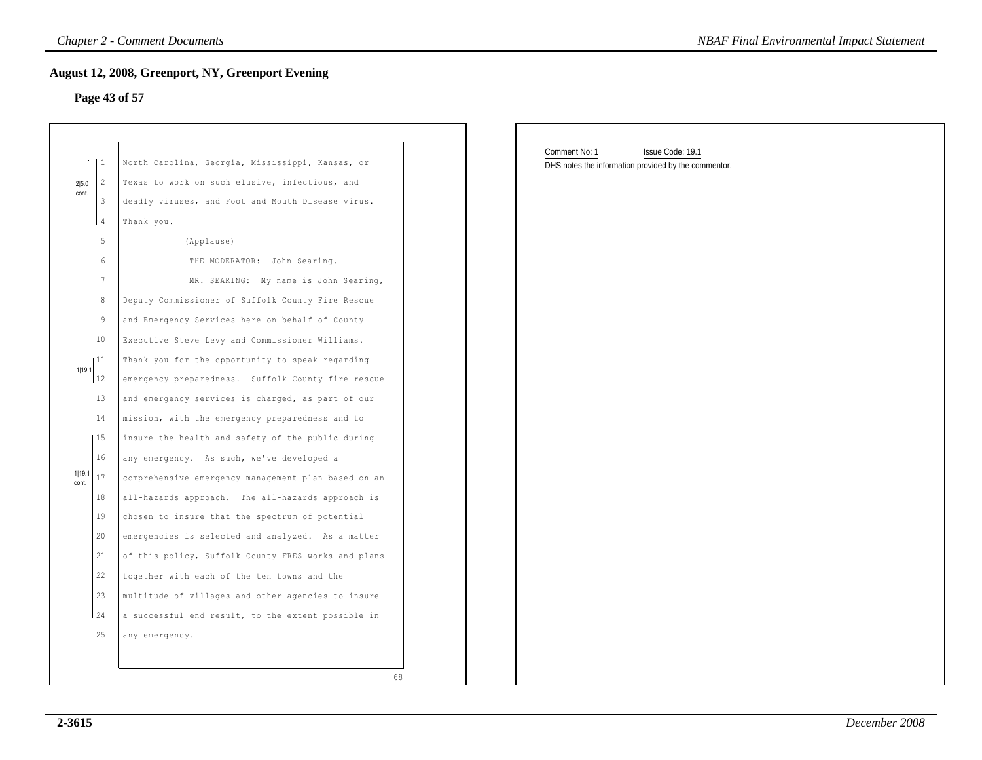## **Page 43 of 57**

|                 | $\mathbf{1}$   | North Carolina, Georgia, Mississippi, Kansas, or    |
|-----------------|----------------|-----------------------------------------------------|
| 2 5.0           | $\overline{2}$ | Texas to work on such elusive, infectious, and      |
| cont.           | 3              | deadly viruses, and Foot and Mouth Disease virus.   |
|                 | 4              | Thank you.                                          |
|                 | 5              | (Applause)                                          |
|                 | 6              | THE MODERATOR:<br>John Searing.                     |
|                 | 7              | MR. SEARING: My name is John Searing,               |
|                 | 8              | Deputy Commissioner of Suffolk County Fire Rescue   |
|                 | 9              | and Emergency Services here on behalf of County     |
|                 | 10             | Executive Steve Levy and Commissioner Williams.     |
|                 | 11             | Thank you for the opportunity to speak regarding    |
| 1 19.1          | 12             | emergency preparedness. Suffolk County fire rescue  |
|                 | 13             | and emergency services is charged, as part of our   |
|                 | 14             | mission, with the emergency preparedness and to     |
|                 | 15             | insure the health and safety of the public during   |
|                 | 16             | any emergency. As such, we've developed a           |
| 1 19.1<br>cont. | 17             | comprehensive emergency management plan based on an |
|                 | 18             | all-hazards approach. The all-hazards approach is   |
|                 | 19             | chosen to insure that the spectrum of potential     |
|                 | 20             | emergencies is selected and analyzed. As a matter   |
|                 | 21             | of this policy, Suffolk County FRES works and plans |
|                 | 22             | together with each of the ten towns and the         |
|                 | 23             | multitude of villages and other agencies to insure  |
|                 | 2.4            | a successful end result, to the extent possible in  |
|                 | 25             | any emergency.                                      |

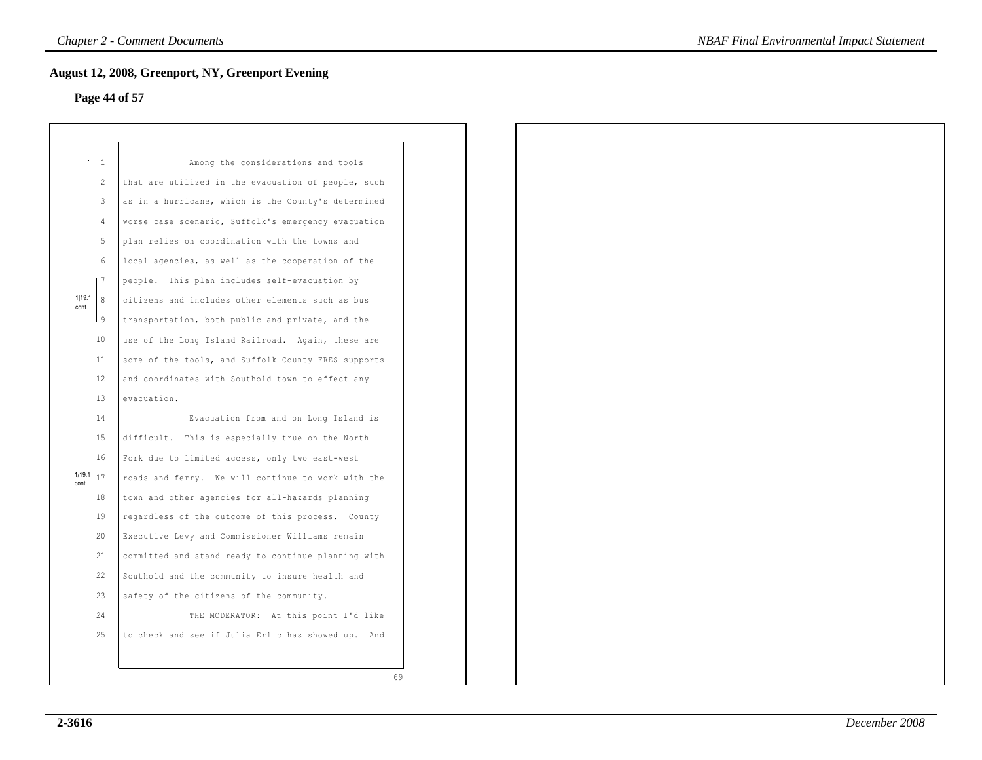# **Page 44 of 57**

|                 | $\mathbf{1}$ | Among the considerations and tools                  |
|-----------------|--------------|-----------------------------------------------------|
|                 | 2            | that are utilized in the evacuation of people, such |
|                 | 3            | as in a hurricane, which is the County's determined |
|                 | 4            | worse case scenario, Suffolk's emergency evacuation |
|                 | 5.           | plan relies on coordination with the towns and      |
|                 | 6            | local agencies, as well as the cooperation of the   |
|                 | -7           | people. This plan includes self-evacuation by       |
| 1 19.1<br>cont. | 8            | citizens and includes other elements such as bus    |
|                 | l 9          | transportation, both public and private, and the    |
|                 | 10           | use of the Long Island Railroad. Again, these are   |
|                 | 11           | some of the tools, and Suffolk County FRES supports |
|                 | 12           | and coordinates with Southold town to effect any    |
|                 | 13           | evacuation.                                         |
|                 | 14           | Evacuation from and on Long Island is               |
|                 | 15           | difficult. This is especially true on the North     |
|                 | 16           | Fork due to limited access, only two east-west      |
| 1/19.1<br>cont  | 17           | roads and ferry. We will continue to work with the  |
|                 | 18           | town and other agencies for all-hazards planning    |
|                 | 19           | regardless of the outcome of this process. County   |
|                 | 20           | Executive Levy and Commissioner Williams remain     |
|                 | 21           | committed and stand ready to continue planning with |
|                 | 22           | Southold and the community to insure health and     |
|                 | l23          | safety of the citizens of the community.            |
|                 | 24           | THE MODERATOR: At this point I'd like               |
|                 | 25           | to check and see if Julia Erlic has showed up. And  |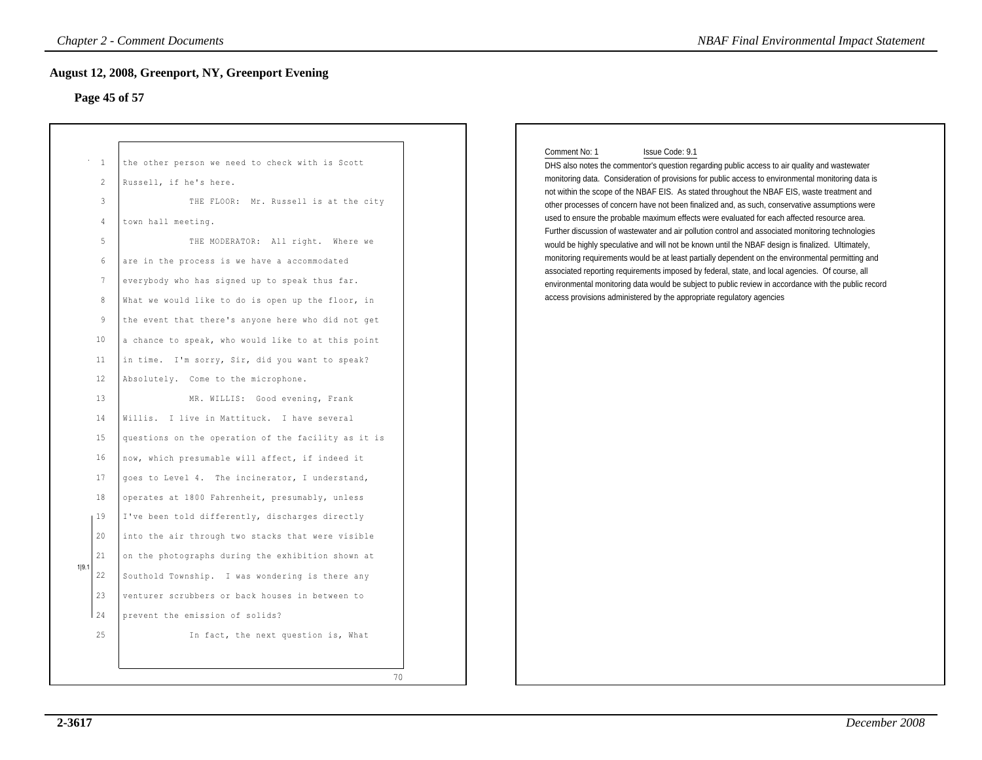## **Page 45 of 57**

| Comment No: 1<br>Issue Code: 9.1<br><sup>1</sup><br>the other person we need to check with is Scott<br>$\overline{c}$<br>Russell, if he's here.<br>3<br>THE FLOOR: Mr. Russell is at the city<br>town hall meeting.<br>4<br>5<br>THE MODERATOR: All right. Where we<br>6<br>are in the process is we have a accommodated<br>$7\phantom{.0}$<br>everybody who has signed up to speak thus far.<br>access provisions administered by the appropriate regulatory agencies<br>What we would like to do is open up the floor, in<br>8<br>9<br>the event that there's anyone here who did not get<br>10<br>a chance to speak, who would like to at this point<br>in time. I'm sorry, Sir, did you want to speak?<br>11<br>12<br>Absolutely. Come to the microphone.<br>13<br>MR. WILLIS: Good evening, Frank<br>Willis. I live in Mattituck. I have several<br>14<br>15<br>questions on the operation of the facility as it is<br>16<br>now, which presumable will affect, if indeed it<br>17<br>goes to Level 4. The incinerator, I understand,<br>18<br>operates at 1800 Fahrenheit, presumably, unless<br>19<br>I've been told differently, discharges directly<br>20<br>into the air through two stacks that were visible<br>21<br>on the photographs during the exhibition shown at<br>1 9.<br>22<br>Southold Township. I was wondering is there any<br>23<br>venturer scrubbers or back houses in between to | Page 45 of 57 | August 12, 2008, Greenport, NY, Greenport Evening |                                                                                                                                                                                                                                                                                                                                                                                                                                                                                                                                                                                                                                                                                                                                                                                                                                                                                                                                                                                                                                |
|--------------------------------------------------------------------------------------------------------------------------------------------------------------------------------------------------------------------------------------------------------------------------------------------------------------------------------------------------------------------------------------------------------------------------------------------------------------------------------------------------------------------------------------------------------------------------------------------------------------------------------------------------------------------------------------------------------------------------------------------------------------------------------------------------------------------------------------------------------------------------------------------------------------------------------------------------------------------------------------------------------------------------------------------------------------------------------------------------------------------------------------------------------------------------------------------------------------------------------------------------------------------------------------------------------------------------------------------------------------------------------------------------------------|---------------|---------------------------------------------------|--------------------------------------------------------------------------------------------------------------------------------------------------------------------------------------------------------------------------------------------------------------------------------------------------------------------------------------------------------------------------------------------------------------------------------------------------------------------------------------------------------------------------------------------------------------------------------------------------------------------------------------------------------------------------------------------------------------------------------------------------------------------------------------------------------------------------------------------------------------------------------------------------------------------------------------------------------------------------------------------------------------------------------|
|                                                                                                                                                                                                                                                                                                                                                                                                                                                                                                                                                                                                                                                                                                                                                                                                                                                                                                                                                                                                                                                                                                                                                                                                                                                                                                                                                                                                              |               |                                                   | DHS also notes the commentor's question regarding public access to air quality and wastewater<br>monitoring data. Consideration of provisions for public access to environmental monitoring data is<br>not within the scope of the NBAF EIS. As stated throughout the NBAF EIS, waste treatment and<br>other processes of concern have not been finalized and, as such, conservative assumptions were<br>used to ensure the probable maximum effects were evaluated for each affected resource area.<br>Further discussion of wastewater and air pollution control and associated monitoring technologies<br>would be highly speculative and will not be known until the NBAF design is finalized. Ultimately,<br>monitoring requirements would be at least partially dependent on the environmental permitting and<br>associated reporting requirements imposed by federal, state, and local agencies. Of course, all<br>environmental monitoring data would be subject to public review in accordance with the public record |
|                                                                                                                                                                                                                                                                                                                                                                                                                                                                                                                                                                                                                                                                                                                                                                                                                                                                                                                                                                                                                                                                                                                                                                                                                                                                                                                                                                                                              |               |                                                   |                                                                                                                                                                                                                                                                                                                                                                                                                                                                                                                                                                                                                                                                                                                                                                                                                                                                                                                                                                                                                                |
|                                                                                                                                                                                                                                                                                                                                                                                                                                                                                                                                                                                                                                                                                                                                                                                                                                                                                                                                                                                                                                                                                                                                                                                                                                                                                                                                                                                                              |               |                                                   |                                                                                                                                                                                                                                                                                                                                                                                                                                                                                                                                                                                                                                                                                                                                                                                                                                                                                                                                                                                                                                |
|                                                                                                                                                                                                                                                                                                                                                                                                                                                                                                                                                                                                                                                                                                                                                                                                                                                                                                                                                                                                                                                                                                                                                                                                                                                                                                                                                                                                              |               |                                                   |                                                                                                                                                                                                                                                                                                                                                                                                                                                                                                                                                                                                                                                                                                                                                                                                                                                                                                                                                                                                                                |
|                                                                                                                                                                                                                                                                                                                                                                                                                                                                                                                                                                                                                                                                                                                                                                                                                                                                                                                                                                                                                                                                                                                                                                                                                                                                                                                                                                                                              |               |                                                   |                                                                                                                                                                                                                                                                                                                                                                                                                                                                                                                                                                                                                                                                                                                                                                                                                                                                                                                                                                                                                                |
| 25<br>In fact, the next question is, What                                                                                                                                                                                                                                                                                                                                                                                                                                                                                                                                                                                                                                                                                                                                                                                                                                                                                                                                                                                                                                                                                                                                                                                                                                                                                                                                                                    | 24            | prevent the emission of solids?                   |                                                                                                                                                                                                                                                                                                                                                                                                                                                                                                                                                                                                                                                                                                                                                                                                                                                                                                                                                                                                                                |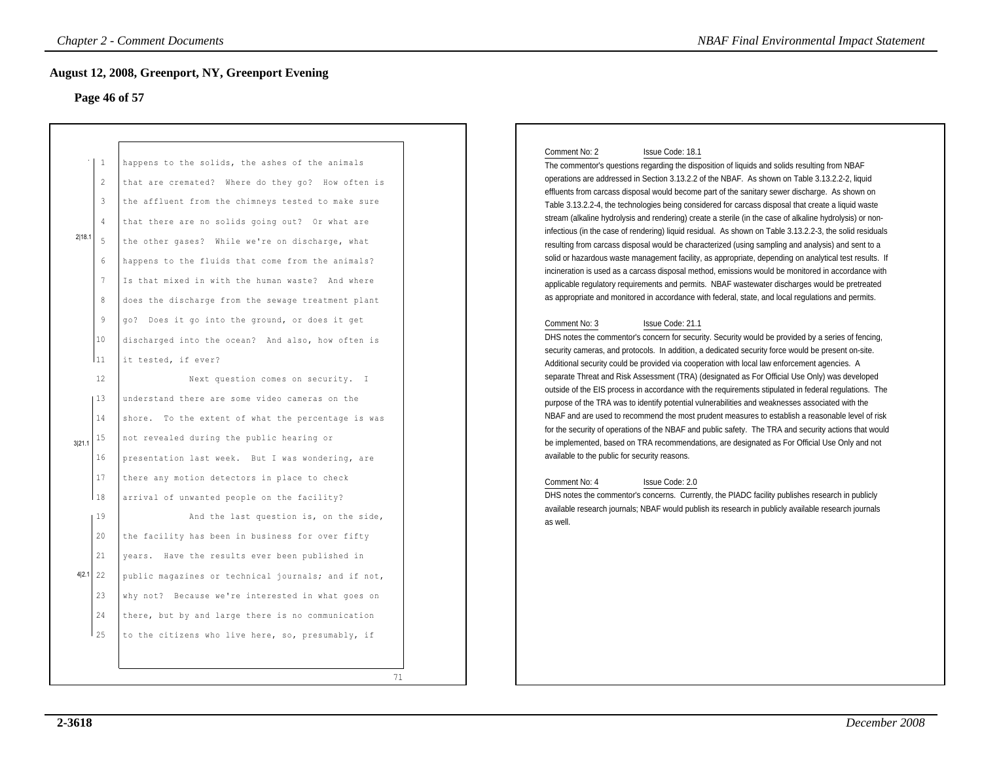#### **Page 46 of 57**

| Page 46 of 57                                                                          | <b>August 12, 2008, Greenport, NY, Greenport Evening</b>                                                                                                                                                                                                                                                                                                                                                                                                          |                                                                                                                                                                                                                                                                                                                                                                                                                                                                                                                                                                                                                                                                                                                                                                                                                                                                                                                                                                                                                                                                                                                                                                                                     |
|----------------------------------------------------------------------------------------|-------------------------------------------------------------------------------------------------------------------------------------------------------------------------------------------------------------------------------------------------------------------------------------------------------------------------------------------------------------------------------------------------------------------------------------------------------------------|-----------------------------------------------------------------------------------------------------------------------------------------------------------------------------------------------------------------------------------------------------------------------------------------------------------------------------------------------------------------------------------------------------------------------------------------------------------------------------------------------------------------------------------------------------------------------------------------------------------------------------------------------------------------------------------------------------------------------------------------------------------------------------------------------------------------------------------------------------------------------------------------------------------------------------------------------------------------------------------------------------------------------------------------------------------------------------------------------------------------------------------------------------------------------------------------------------|
| 1<br>$\overline{c}$<br>3<br>$\overline{4}$<br>2 18.1<br>5<br>6<br>$7\phantom{.0}$<br>8 | happens to the solids, the ashes of the animals<br>that are cremated? Where do they go? How often is<br>the affluent from the chimneys tested to make sure<br>that there are no solids going out? Or what are<br>the other gases? While we're on discharge, what<br>happens to the fluids that come from the animals?<br>Is that mixed in with the human waste? And where<br>does the discharge from the sewage treatment plant                                   | Comment No: 2<br>Issue Code: 18.1<br>The commentor's questions regarding the disposition of liquids and solids resulting from NBAF<br>operations are addressed in Section 3.13.2.2 of the NBAF. As shown on Table 3.13.2.2-2, liquid<br>effluents from carcass disposal would become part of the sanitary sewer discharge. As shown on<br>Table 3.13.2.2-4, the technologies being considered for carcass disposal that create a liquid waste<br>stream (alkaline hydrolysis and rendering) create a sterile (in the case of alkaline hydrolysis) or non-<br>infectious (in the case of rendering) liquid residual. As shown on Table 3.13.2.2-3, the solid residuals<br>resulting from carcass disposal would be characterized (using sampling and analysis) and sent to a<br>solid or hazardous waste management facility, as appropriate, depending on analytical test results. If<br>incineration is used as a carcass disposal method, emissions would be monitored in accordance with<br>applicable regulatory requirements and permits. NBAF wastewater discharges would be pretreated<br>as appropriate and monitored in accordance with federal, state, and local regulations and permits. |
| 9<br>$10 \,$<br> 11<br>12<br> 13<br>14<br>15<br>3 21.<br>16                            | go? Does it go into the ground, or does it get<br>discharged into the ocean? And also, how often is<br>it tested, if ever?<br>Next question comes on security. I<br>understand there are some video cameras on the<br>shore. To the extent of what the percentage is was<br>not revealed during the public hearing or<br>presentation last week. But I was wondering, are                                                                                         | Comment No: 3<br>Issue Code: 21.1<br>DHS notes the commentor's concern for security. Security would be provided by a series of fencing,<br>security cameras, and protocols. In addition, a dedicated security force would be present on-site.<br>Additional security could be provided via cooperation with local law enforcement agencies. A<br>separate Threat and Risk Assessment (TRA) (designated as For Official Use Only) was developed<br>outside of the EIS process in accordance with the requirements stipulated in federal regulations. The<br>purpose of the TRA was to identify potential vulnerabilities and weaknesses associated with the<br>NBAF and are used to recommend the most prudent measures to establish a reasonable level of risk<br>for the security of operations of the NBAF and public safety. The TRA and security actions that would<br>be implemented, based on TRA recommendations, are designated as For Official Use Only and not<br>available to the public for security reasons.                                                                                                                                                                           |
| 17<br> 18<br>19<br>20<br>21<br>4 2.1 22<br>23<br>24<br>125                             | there any motion detectors in place to check<br>arrival of unwanted people on the facility?<br>And the last question is, on the side,<br>the facility has been in business for over fifty<br>years. Have the results ever been published in<br>public magazines or technical journals; and if not,<br>why not? Because we're interested in what goes on<br>there, but by and large there is no communication<br>to the citizens who live here, so, presumably, if | Comment No: 4<br>Issue Code: 2.0<br>DHS notes the commentor's concerns. Currently, the PIADC facility publishes research in publicly<br>available research journals; NBAF would publish its research in publicly available research journals<br>as well.                                                                                                                                                                                                                                                                                                                                                                                                                                                                                                                                                                                                                                                                                                                                                                                                                                                                                                                                            |

#### Comment No: 2 Issue Code: 18.1

#### Comment No: 3 Issue Code: 21.1

#### Comment No: 4 Issue Code: 2.0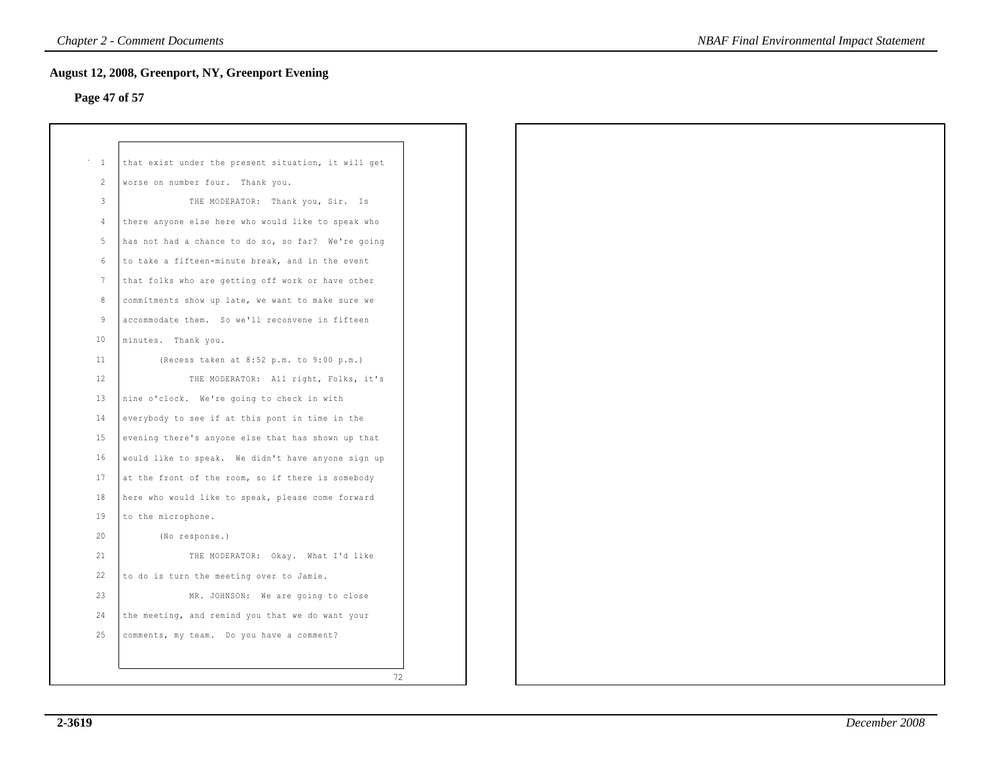# **Page 47 of 57**

| $\dot{\phantom{1}}$ – $1$ | that exist under the present situation, it will get |
|---------------------------|-----------------------------------------------------|
| 2                         | worse on number four. Thank you.                    |
| $\mathbf{3}$              | THE MODERATOR: Thank you, Sir. Is                   |
| $\overline{4}$            | there anyone else here who would like to speak who  |
| 5                         | has not had a chance to do so, so far? We're going  |
| $6\overline{6}$           | to take a fifteen-minute break, and in the event    |
| 7                         | that folks who are getting off work or have other   |
| 8                         | commitments show up late, we want to make sure we   |
| 9                         | accommodate them. So we'll reconvene in fifteen     |
| 10                        | minutes. Thank you.                                 |
| 11                        | (Recess taken at 8:52 p.m. to 9:00 p.m.)            |
| 12                        | THE MODERATOR: All right, Folks, it's               |
| 13                        | nine o'clock. We're going to check in with          |
| 14                        | everybody to see if at this pont in time in the     |
| 15                        | evening there's anyone else that has shown up that  |
| 16                        | would like to speak. We didn't have anyone sign up  |
| 17                        | at the front of the room, so if there is somebody   |
| 18                        | here who would like to speak, please come forward   |
| 19                        | to the microphone.                                  |
| 20                        | (No response.)                                      |
| 21                        | THE MODERATOR: Okay. What I'd like                  |
| 22                        | to do is turn the meeting over to Jamie.            |
| 23                        | MR. JOHNSON: We are going to close                  |
| 24                        | the meeting, and remind you that we do want your    |
| 25                        | comments, my team. Do you have a comment?           |
|                           |                                                     |
|                           | 72                                                  |
|                           |                                                     |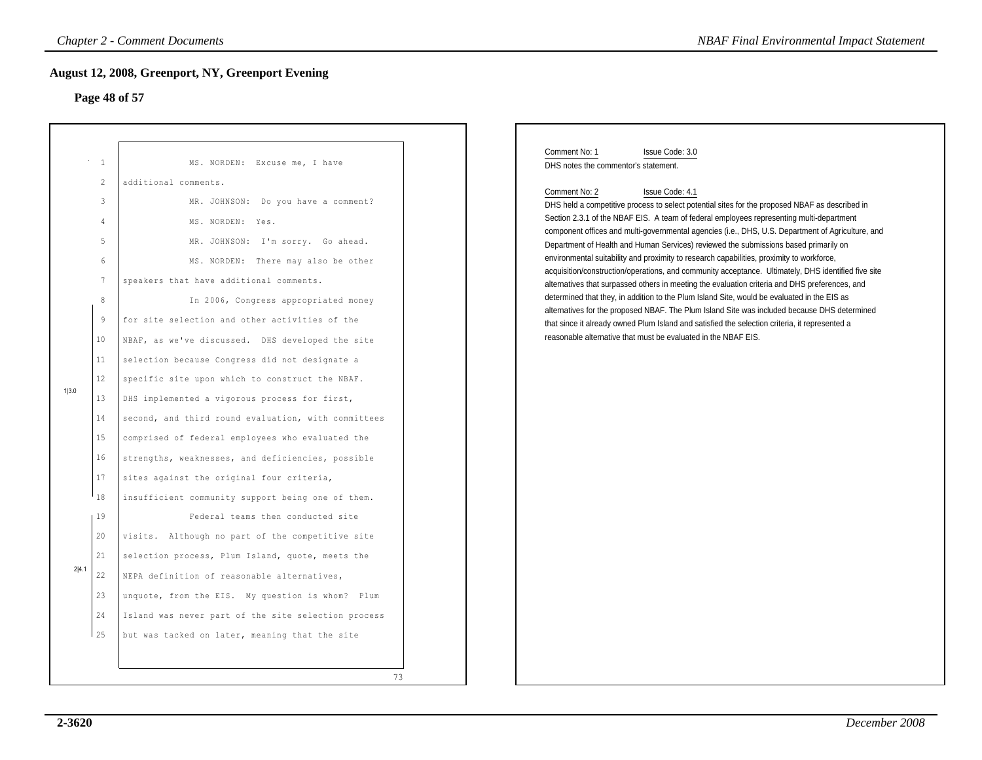# **Page 48 of 57**

|       |                 | <b>Chapter 2 - Comment Documents</b>                     | <b>NBAF Final Environmental Impact Statement</b>                                                                                                                                              |
|-------|-----------------|----------------------------------------------------------|-----------------------------------------------------------------------------------------------------------------------------------------------------------------------------------------------|
|       |                 | <b>August 12, 2008, Greenport, NY, Greenport Evening</b> |                                                                                                                                                                                               |
|       |                 | Page 48 of 57                                            |                                                                                                                                                                                               |
|       |                 |                                                          |                                                                                                                                                                                               |
|       | $\mathbf{1}$    | MS. NORDEN: Excuse me, I have                            | Comment No: 1<br>Issue Code: 3.0<br>DHS notes the commentor's statement.                                                                                                                      |
|       | $\overline{c}$  | additional comments.                                     |                                                                                                                                                                                               |
|       | 3               | MR. JOHNSON: Do you have a comment?                      | Comment No: 2<br>Issue Code: 4.1<br>DHS held a competitive process to select potential sites for the proposed NBAF as described in                                                            |
|       | 4               | MS. NORDEN: Yes.                                         | Section 2.3.1 of the NBAF EIS. A team of federal employees representing multi-department                                                                                                      |
|       | 5               | MR. JOHNSON: I'm sorry. Go ahead.                        | component offices and multi-governmental agencies (i.e., DHS, U.S. Department of Agriculture, and                                                                                             |
|       | 6               | MS. NORDEN: There may also be other                      | Department of Health and Human Services) reviewed the submissions based primarily on<br>environmental suitability and proximity to research capabilities, proximity to workforce,             |
|       | $7\phantom{.0}$ | speakers that have additional comments.                  | acquisition/construction/operations, and community acceptance. Ultimately, DHS identified five site                                                                                           |
|       | $\,8\,$         |                                                          | alternatives that surpassed others in meeting the evaluation criteria and DHS preferences, and<br>determined that they, in addition to the Plum Island Site, would be evaluated in the EIS as |
|       |                 | In 2006, Congress appropriated money                     | alternatives for the proposed NBAF. The Plum Island Site was included because DHS determined                                                                                                  |
|       | 9               | for site selection and other activities of the           | that since it already owned Plum Island and satisfied the selection criteria, it represented a<br>reasonable alternative that must be evaluated in the NBAF EIS.                              |
|       | 10              | NBAF, as we've discussed. DHS developed the site         |                                                                                                                                                                                               |
|       | 11              | selection because Congress did not designate a           |                                                                                                                                                                                               |
| 1 3.0 | 12              | specific site upon which to construct the NBAF.          |                                                                                                                                                                                               |
|       | 13              | DHS implemented a vigorous process for first,            |                                                                                                                                                                                               |
|       | 14              | second, and third round evaluation, with committees      |                                                                                                                                                                                               |
|       | 15              | comprised of federal employees who evaluated the         |                                                                                                                                                                                               |
|       | 16              | strengths, weaknesses, and deficiencies, possible        |                                                                                                                                                                                               |
|       | 17              | sites against the original four criteria,                |                                                                                                                                                                                               |
|       | 18              | insufficient community support being one of them.        |                                                                                                                                                                                               |
| 2 4.1 | 19              | Federal teams then conducted site                        |                                                                                                                                                                                               |
|       | 20              | visits. Although no part of the competitive site         |                                                                                                                                                                                               |
|       | 21              | selection process, Plum Island, quote, meets the         |                                                                                                                                                                                               |
|       | 22              | NEPA definition of reasonable alternatives,              |                                                                                                                                                                                               |
|       | 23              | unquote, from the EIS. My question is whom? Plum         |                                                                                                                                                                                               |
|       | 24              | Island was never part of the site selection process      |                                                                                                                                                                                               |
|       | 25              | but was tacked on later, meaning that the site           |                                                                                                                                                                                               |
|       |                 |                                                          |                                                                                                                                                                                               |
|       |                 | 73                                                       |                                                                                                                                                                                               |
|       |                 |                                                          |                                                                                                                                                                                               |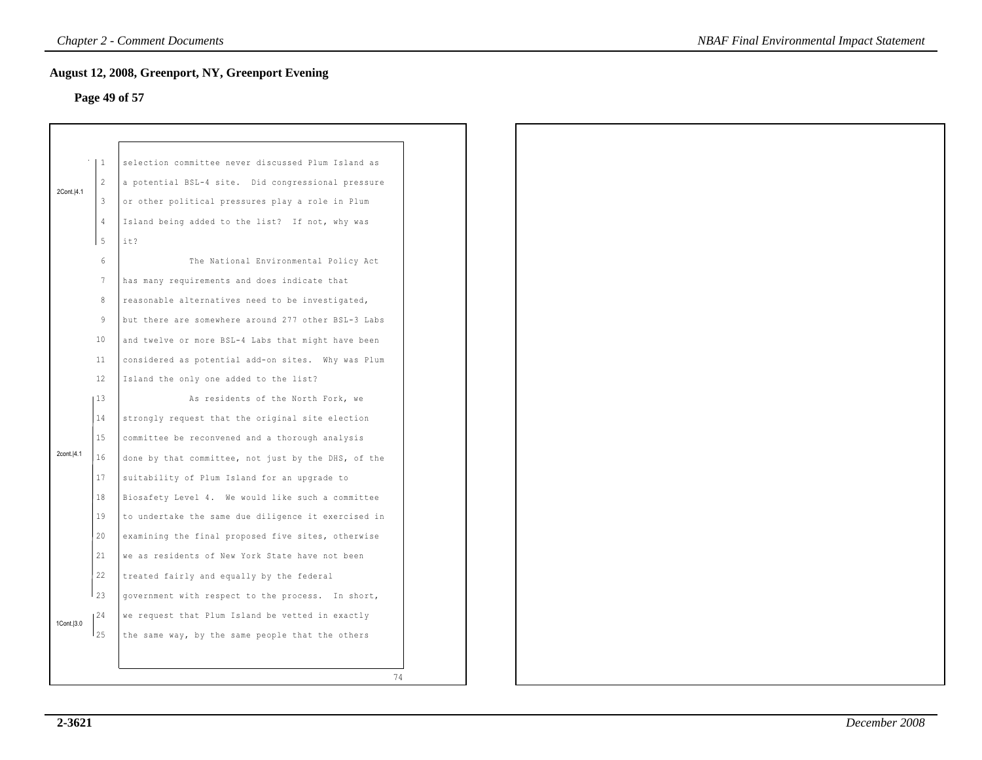# **Page 49 of 57**

|             | $\vert 1 \vert$ | selection committee never discussed Plum Island as  |
|-------------|-----------------|-----------------------------------------------------|
| 2Cont. 4.1  | $\overline{2}$  | a potential BSL-4 site. Did congressional pressure  |
|             | -3              | or other political pressures play a role in Plum    |
|             | $\overline{4}$  | Island being added to the list? If not, why was     |
|             | 5               | it?                                                 |
|             | $6\phantom{.}$  | The National Environmental Policy Act               |
|             | $7\phantom{.0}$ | has many requirements and does indicate that        |
|             | 8               | reasonable alternatives need to be investigated,    |
|             | 9               | but there are somewhere around 277 other BSL-3 Labs |
|             | 10              | and twelve or more BSL-4 Labs that might have been  |
|             | 11              | considered as potential add-on sites. Why was Plum  |
|             | 12              | Island the only one added to the list?              |
|             | 13              | As residents of the North Fork, we                  |
|             | 14              | strongly request that the original site election    |
|             | 15              | committee be reconvened and a thorough analysis     |
| 2cont. 4.1  | 16              | done by that committee, not just by the DHS, of the |
|             | 17              | suitability of Plum Island for an upgrade to        |
|             |                 |                                                     |
|             | 18              | Biosafety Level 4. We would like such a committee   |
|             | 19              | to undertake the same due diligence it exercised in |
|             | 20              | examining the final proposed five sites, otherwise  |
|             | 21              | we as residents of New York State have not been     |
|             | 22              | treated fairly and equally by the federal           |
|             | $1_{23}$        | government with respect to the process. In short,   |
| 1Cont. 13.0 | 24 ا            | we request that Plum Island be vetted in exactly    |
|             | 125             | the same way, by the same people that the others    |
|             |                 |                                                     |
|             |                 | 74                                                  |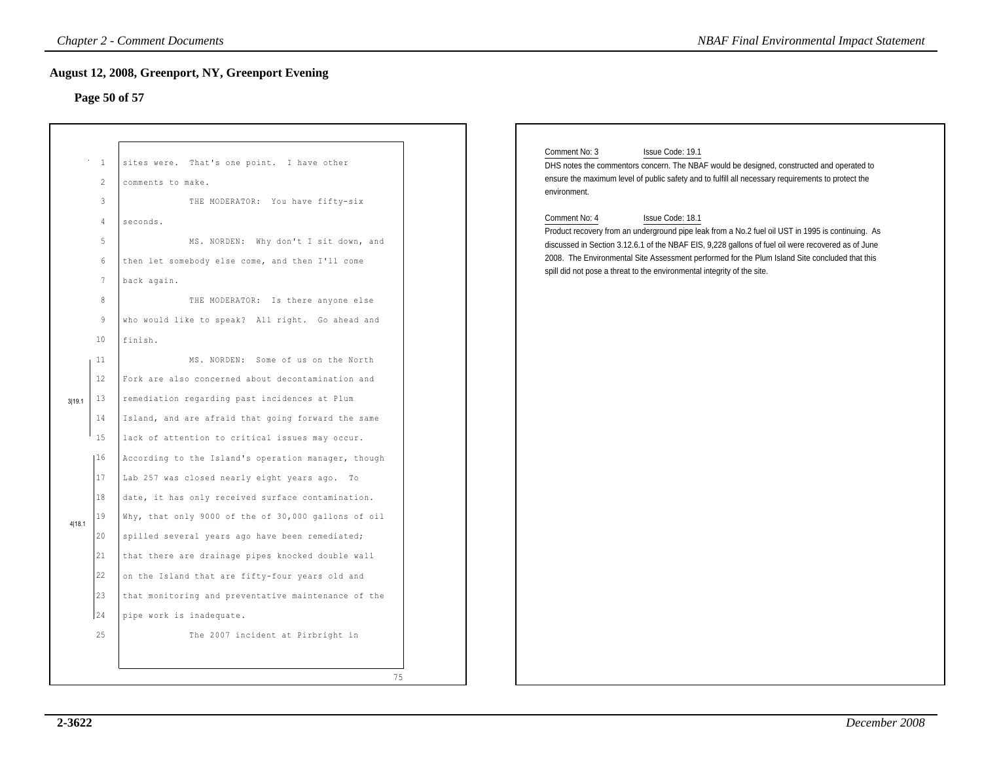# **Page 50 of 57**

|                                | August 12, 2008, Greenport, NY, Greenport Evening<br>Page 50 of 57                                                                                                                                             |                                                                                                                                                                                                                                                                                                                                                                                                                           |
|--------------------------------|----------------------------------------------------------------------------------------------------------------------------------------------------------------------------------------------------------------|---------------------------------------------------------------------------------------------------------------------------------------------------------------------------------------------------------------------------------------------------------------------------------------------------------------------------------------------------------------------------------------------------------------------------|
| $\overline{1}$<br>2<br>3       | sites were. That's one point. I have other<br>comments to make.<br>THE MODERATOR: You have fifty-six                                                                                                           | Comment No: 3<br>Issue Code: 19.1<br>DHS notes the commentors concern. The NBAF would be designed, constructed and operated to<br>ensure the maximum level of public safety and to fulfill all necessary requirements to protect the<br>environment.                                                                                                                                                                      |
| 4<br>5<br>6<br>7               | seconds.<br>MS. NORDEN: Why don't I sit down, and<br>then let somebody else come, and then I'll come<br>back again.                                                                                            | Comment No: 4<br>Issue Code: 18.1<br>Product recovery from an underground pipe leak from a No.2 fuel oil UST in 1995 is continuing. As<br>discussed in Section 3.12.6.1 of the NBAF EIS, 9,228 gallons of fuel oil were recovered as of June<br>2008. The Environmental Site Assessment performed for the Plum Island Site concluded that this<br>spill did not pose a threat to the environmental integrity of the site. |
| 8<br>9<br>10<br>11             | THE MODERATOR: Is there anyone else<br>who would like to speak? All right. Go ahead and<br>finish.<br>MS. NORDEN: Some of us on the North                                                                      |                                                                                                                                                                                                                                                                                                                                                                                                                           |
| 12<br>13<br>3 19.1<br>14<br>15 | Fork are also concerned about decontamination and<br>remediation regarding past incidences at Plum<br>Island, and are afraid that going forward the same<br>lack of attention to critical issues may occur.    |                                                                                                                                                                                                                                                                                                                                                                                                                           |
| 16<br>17<br>18                 | According to the Island's operation manager, though<br>Lab 257 was closed nearly eight years ago. To<br>date, it has only received surface contamination.                                                      |                                                                                                                                                                                                                                                                                                                                                                                                                           |
| 19<br>4 18.1<br>20<br>21<br>22 | Why, that only 9000 of the of 30,000 gallons of oil<br>spilled several years ago have been remediated;<br>that there are drainage pipes knocked double wall<br>on the Island that are fifty-four years old and |                                                                                                                                                                                                                                                                                                                                                                                                                           |
| 23<br>24<br>25                 | that monitoring and preventative maintenance of the<br>pipe work is inadequate.<br>The 2007 incident at Pirbright in                                                                                           |                                                                                                                                                                                                                                                                                                                                                                                                                           |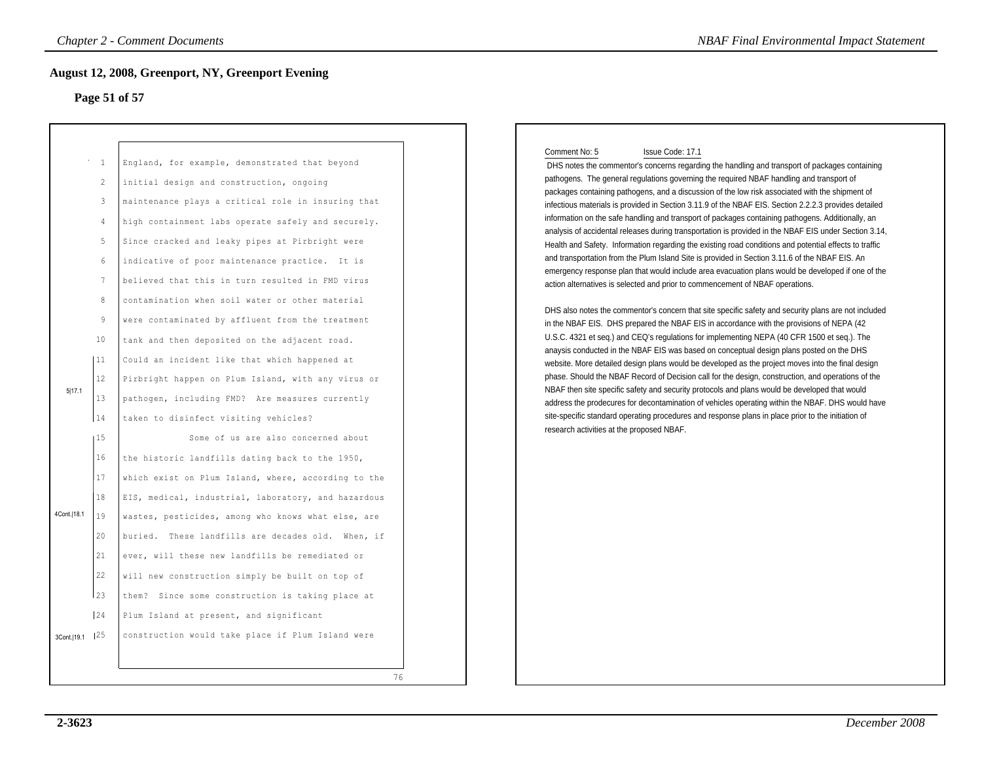### **Page 51 of 57**

| -1<br>2<br>3<br>$\overline{4}$<br>5<br>6<br>$7\phantom{.0}$<br>8<br>9<br>10<br>  11<br>12<br>5 17.1<br>13<br>14<br>15<br>16<br>17<br>18<br>4Cont. 18.1<br>19 |                                                                                                                                                                                                                                                                                                                                                                                                                                                                                                                                                                                                                                                                                                                                                                                                                                                                                                                                                                                                                                                                                                                                                                                                         |
|--------------------------------------------------------------------------------------------------------------------------------------------------------------|---------------------------------------------------------------------------------------------------------------------------------------------------------------------------------------------------------------------------------------------------------------------------------------------------------------------------------------------------------------------------------------------------------------------------------------------------------------------------------------------------------------------------------------------------------------------------------------------------------------------------------------------------------------------------------------------------------------------------------------------------------------------------------------------------------------------------------------------------------------------------------------------------------------------------------------------------------------------------------------------------------------------------------------------------------------------------------------------------------------------------------------------------------------------------------------------------------|
| 20<br>21<br>22<br>123                                                                                                                                        | England, for example, demonstrated that beyond<br>initial design and construction, ongoing<br>maintenance plays a critical role in insuring that<br>high containment labs operate safely and securely.<br>Since cracked and leaky pipes at Pirbright were<br>indicative of poor maintenance practice. It is<br>believed that this in turn resulted in FMD virus<br>contamination when soil water or other material<br>were contaminated by affluent from the treatment<br>tank and then deposited on the adjacent road.<br>Could an incident like that which happened at<br>Pirbright happen on Plum Island, with any virus or<br>pathogen, including FMD? Are measures currently<br>taken to disinfect visiting vehicles?<br>Some of us are also concerned about<br>the historic landfills dating back to the 1950,<br>which exist on Plum Island, where, according to the<br>EIS, medical, industrial, laboratory, and hazardous<br>wastes, pesticides, among who knows what else, are<br>buried. These landfills are decades old. When, if<br>ever, will these new landfills be remediated or<br>will new construction simply be built on top of<br>them? Since some construction is taking place at |
| $\begin{array}{c} 24 \end{array}$                                                                                                                            | Plum Island at present, and significant                                                                                                                                                                                                                                                                                                                                                                                                                                                                                                                                                                                                                                                                                                                                                                                                                                                                                                                                                                                                                                                                                                                                                                 |

#### Comment No: 5 Issue Code: 17.1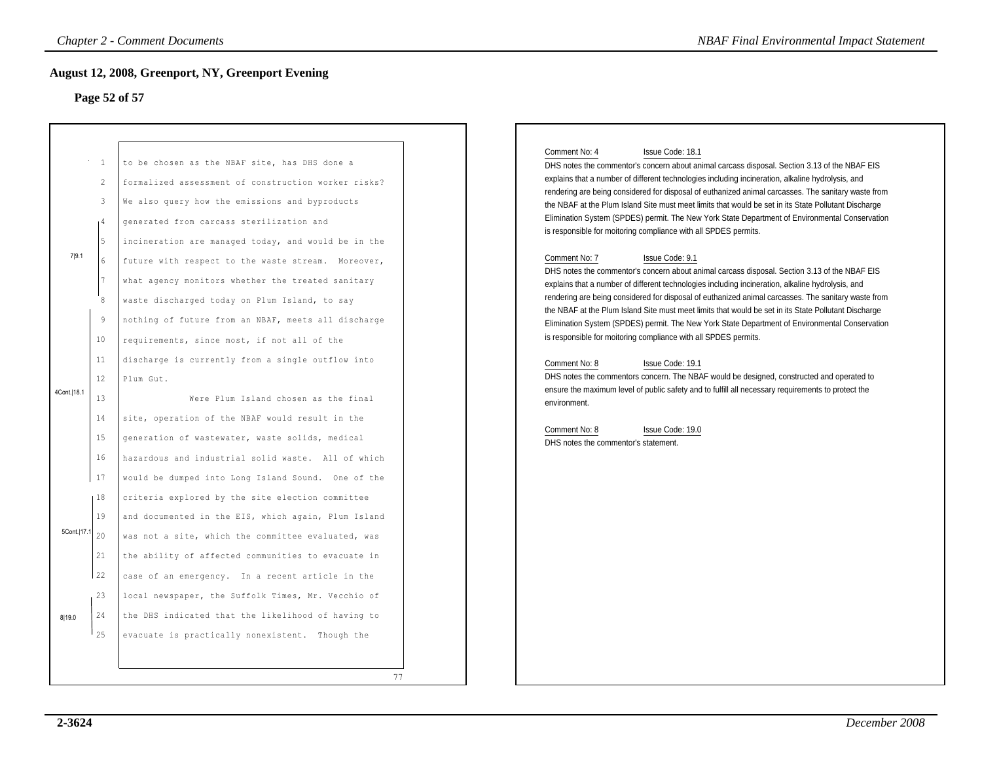### **Page 52 of 57**

|                         |                                                                                                                                              | <b>Chapter 2 - Comment Documents</b>                                                                                                                                                                                                                                                                                                                                                                                                                                                                                                                                                                                                                                                                                                                                                              | <b>NBAF Final Environmental Impact Statement</b>                                                                                                                                                                                                                                                                                                                                                                                                                                                                                                                                                                                                                                                                                                                                                                                                                                                                                                                                                                                                                                                                                                                                                                                                                                                                                                                                                                                                                                                                                                                                               |
|-------------------------|----------------------------------------------------------------------------------------------------------------------------------------------|---------------------------------------------------------------------------------------------------------------------------------------------------------------------------------------------------------------------------------------------------------------------------------------------------------------------------------------------------------------------------------------------------------------------------------------------------------------------------------------------------------------------------------------------------------------------------------------------------------------------------------------------------------------------------------------------------------------------------------------------------------------------------------------------------|------------------------------------------------------------------------------------------------------------------------------------------------------------------------------------------------------------------------------------------------------------------------------------------------------------------------------------------------------------------------------------------------------------------------------------------------------------------------------------------------------------------------------------------------------------------------------------------------------------------------------------------------------------------------------------------------------------------------------------------------------------------------------------------------------------------------------------------------------------------------------------------------------------------------------------------------------------------------------------------------------------------------------------------------------------------------------------------------------------------------------------------------------------------------------------------------------------------------------------------------------------------------------------------------------------------------------------------------------------------------------------------------------------------------------------------------------------------------------------------------------------------------------------------------------------------------------------------------|
|                         |                                                                                                                                              | <b>August 12, 2008, Greenport, NY, Greenport Evening</b><br>Page 52 of 57                                                                                                                                                                                                                                                                                                                                                                                                                                                                                                                                                                                                                                                                                                                         |                                                                                                                                                                                                                                                                                                                                                                                                                                                                                                                                                                                                                                                                                                                                                                                                                                                                                                                                                                                                                                                                                                                                                                                                                                                                                                                                                                                                                                                                                                                                                                                                |
| 7 9.1<br>4Cont.   18.1  | $^{\circ}$ – $1$<br>$\overline{c}$<br>3<br>1 <sup>4</sup><br>5<br>6<br>$7\phantom{.0}$<br>8<br>- 9<br>10<br>11<br>12<br>13<br>14<br>15<br>16 | to be chosen as the NBAF site, has DHS done a<br>formalized assessment of construction worker risks?<br>We also query how the emissions and byproducts<br>generated from carcass sterilization and<br>incineration are managed today, and would be in the<br>future with respect to the waste stream. Moreover,<br>what agency monitors whether the treated sanitary<br>waste discharged today on Plum Island, to say<br>nothing of future from an NBAF, meets all discharge<br>requirements, since most, if not all of the<br>discharge is currently from a single outflow into<br>Plum Gut.<br>Were Plum Island chosen as the final<br>site, operation of the NBAF would result in the<br>generation of wastewater, waste solids, medical<br>hazardous and industrial solid waste. All of which | Issue Code: 18.1<br>Comment No: 4<br>DHS notes the commentor's concern about animal carcass disposal. Section 3.13 of the NBAF EIS<br>explains that a number of different technologies including incineration, alkaline hydrolysis, and<br>rendering are being considered for disposal of euthanized animal carcasses. The sanitary waste from<br>the NBAF at the Plum Island Site must meet limits that would be set in its State Pollutant Discharge<br>Elimination System (SPDES) permit. The New York State Department of Environmental Conservation<br>is responsible for moitoring compliance with all SPDES permits.<br>Comment No: 7<br>Issue Code: 9.1<br>DHS notes the commentor's concern about animal carcass disposal. Section 3.13 of the NBAF EIS<br>explains that a number of different technologies including incineration, alkaline hydrolysis, and<br>rendering are being considered for disposal of euthanized animal carcasses. The sanitary waste from<br>the NBAF at the Plum Island Site must meet limits that would be set in its State Pollutant Discharge<br>Elimination System (SPDES) permit. The New York State Department of Environmental Conservation<br>is responsible for moitoring compliance with all SPDES permits.<br>Comment No: 8<br>Issue Code: 19.1<br>DHS notes the commentors concern. The NBAF would be designed, constructed and operated to<br>ensure the maximum level of public safety and to fulfill all necessary requirements to protect the<br>environment.<br>Comment No: 8<br>Issue Code: 19.0<br>DHS notes the commentor's statement. |
| 5Cont.   17.1<br>8 19.0 | 17<br>l 18<br>19<br>20<br>21<br>22<br>23<br>-24<br>125                                                                                       | would be dumped into Long Island Sound. One of the<br>criteria explored by the site election committee<br>and documented in the EIS, which again, Plum Island<br>was not a site, which the committee evaluated, was<br>the ability of affected communities to evacuate in<br>case of an emergency. In a recent article in the<br>local newspaper, the Suffolk Times, Mr. Vecchio of<br>the DHS indicated that the likelihood of having to<br>evacuate is practically nonexistent. Though the<br>77                                                                                                                                                                                                                                                                                                |                                                                                                                                                                                                                                                                                                                                                                                                                                                                                                                                                                                                                                                                                                                                                                                                                                                                                                                                                                                                                                                                                                                                                                                                                                                                                                                                                                                                                                                                                                                                                                                                |

#### Comment No: 4 Issue Code: 18.1

#### Comment No: 7 Issue Code: 9.1

#### Comment No: 8 Issue Code: 19.1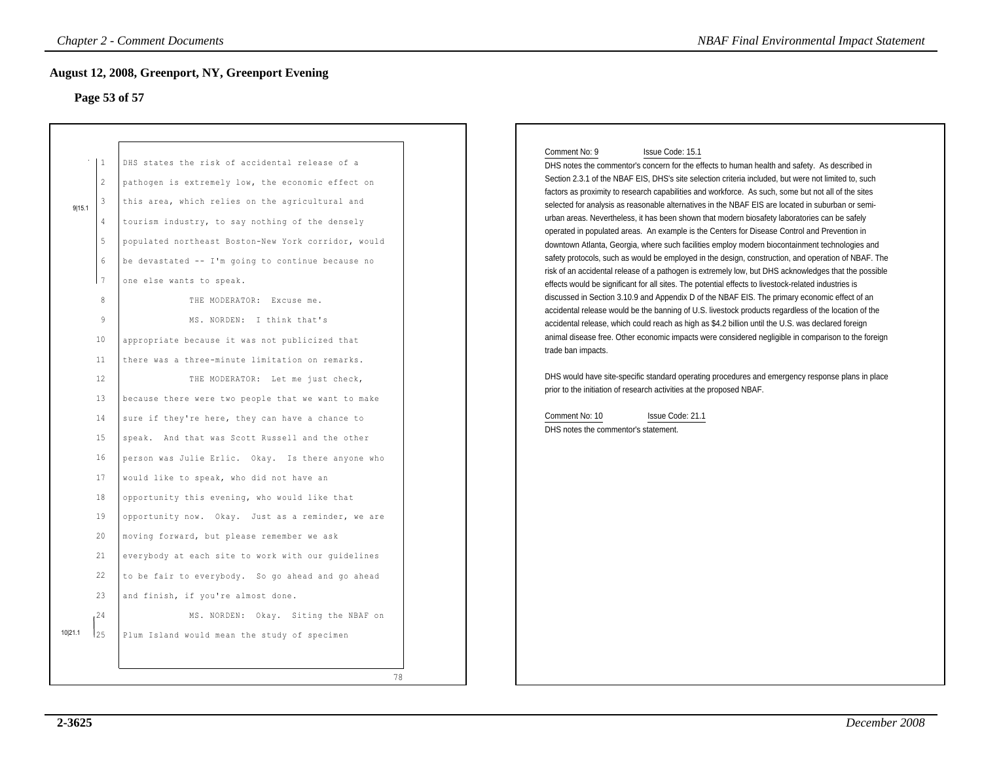#### **Page 53 of 57**

| Page 53 of 57                                                                                                                                                                      | ugust 12, 2008, Greenport, NY, Greenport Evening                                                                                                                                                                                                                                                                                                                                                                                                                                                                                                                                                                                                                                                                                                                                                                                                                                                                                                                                                                                                                                                                                                                                                                 |                                                                                                                                                                                                                                                                                                                                                                                                                                                                                                                                                                                                                                                                                                                                                                                                                                                                                                                                                                                                                                                                                                                                                                                                                                                                                                                                                                                                                                                                                                                                                                                                                                                                                                                                                                                        |
|------------------------------------------------------------------------------------------------------------------------------------------------------------------------------------|------------------------------------------------------------------------------------------------------------------------------------------------------------------------------------------------------------------------------------------------------------------------------------------------------------------------------------------------------------------------------------------------------------------------------------------------------------------------------------------------------------------------------------------------------------------------------------------------------------------------------------------------------------------------------------------------------------------------------------------------------------------------------------------------------------------------------------------------------------------------------------------------------------------------------------------------------------------------------------------------------------------------------------------------------------------------------------------------------------------------------------------------------------------------------------------------------------------|----------------------------------------------------------------------------------------------------------------------------------------------------------------------------------------------------------------------------------------------------------------------------------------------------------------------------------------------------------------------------------------------------------------------------------------------------------------------------------------------------------------------------------------------------------------------------------------------------------------------------------------------------------------------------------------------------------------------------------------------------------------------------------------------------------------------------------------------------------------------------------------------------------------------------------------------------------------------------------------------------------------------------------------------------------------------------------------------------------------------------------------------------------------------------------------------------------------------------------------------------------------------------------------------------------------------------------------------------------------------------------------------------------------------------------------------------------------------------------------------------------------------------------------------------------------------------------------------------------------------------------------------------------------------------------------------------------------------------------------------------------------------------------------|
| l 1<br>2<br>3<br>9 15.1<br>4<br>5<br>$\sqrt{6}$<br>  7<br>8<br>$\circ$<br>10<br>11<br>12<br>13<br>14<br>15<br>16<br>17<br>18<br>19<br>20<br>21<br>22<br>23<br>124<br>10 21.1<br>25 | DHS states the risk of accidental release of a<br>pathogen is extremely low, the economic effect on<br>this area, which relies on the agricultural and<br>tourism industry, to say nothing of the densely<br>populated northeast Boston-New York corridor, would<br>be devastated -- I'm going to continue because no<br>one else wants to speak.<br>THE MODERATOR: Excuse me.<br>MS. NORDEN: I think that's<br>appropriate because it was not publicized that<br>there was a three-minute limitation on remarks.<br>THE MODERATOR: Let me just check,<br>because there were two people that we want to make<br>sure if they're here, they can have a chance to<br>speak. And that was Scott Russell and the other<br>person was Julie Erlic. Okay. Is there anyone who<br>would like to speak, who did not have an<br>opportunity this evening, who would like that<br>opportunity now. Okay. Just as a reminder, we are<br>moving forward, but please remember we ask<br>everybody at each site to work with our guidelines<br>to be fair to everybody. So go ahead and go ahead<br>and finish, if you're almost done.<br>MS. NORDEN: Okay. Siting the NBAF on<br>Plum Island would mean the study of specimen | Comment No: 9<br>Issue Code: 15.1<br>DHS notes the commentor's concern for the effects to human health and safety. As described in<br>Section 2.3.1 of the NBAF EIS, DHS's site selection criteria included, but were not limited to, such<br>factors as proximity to research capabilities and workforce. As such, some but not all of the sites<br>selected for analysis as reasonable alternatives in the NBAF EIS are located in suburban or semi-<br>urban areas. Nevertheless, it has been shown that modern biosafety laboratories can be safely<br>operated in populated areas. An example is the Centers for Disease Control and Prevention in<br>downtown Atlanta, Georgia, where such facilities employ modern biocontainment technologies and<br>safety protocols, such as would be employed in the design, construction, and operation of NBAF. The<br>risk of an accidental release of a pathogen is extremely low, but DHS acknowledges that the possible<br>effects would be significant for all sites. The potential effects to livestock-related industries is<br>discussed in Section 3.10.9 and Appendix D of the NBAF EIS. The primary economic effect of an<br>accidental release would be the banning of U.S. livestock products regardless of the location of the<br>accidental release, which could reach as high as \$4.2 billion until the U.S. was declared foreign<br>animal disease free. Other economic impacts were considered negligible in comparison to the foreign<br>trade ban impacts.<br>DHS would have site-specific standard operating procedures and emergency response plans in place<br>prior to the initiation of research activities at the proposed NBAF.<br>Comment No: 10<br>Issue Code: 21.1<br>DHS notes the commentor's statement. |

#### Comment No: 9 Issue Code: 15.1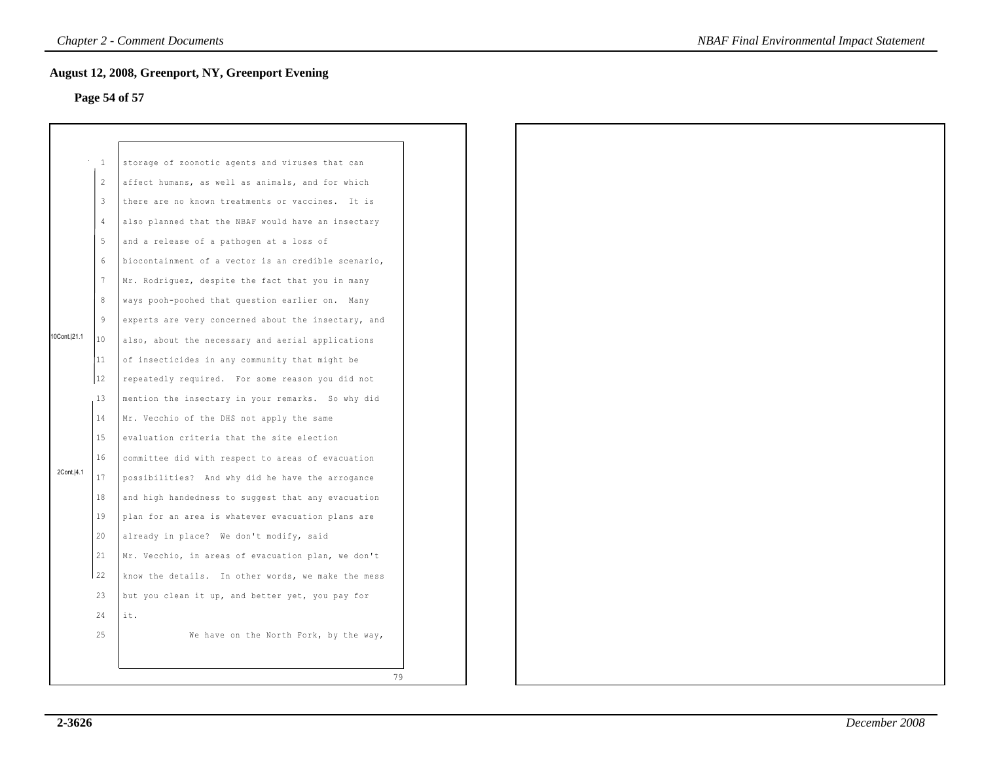# **Page 54 of 57**

|              | $\mathbf{1}$ | storage of zoonotic agents and viruses that can     |
|--------------|--------------|-----------------------------------------------------|
|              | 2            | affect humans, as well as animals, and for which    |
|              | 3            | there are no known treatments or vaccines. It is    |
|              | 4            | also planned that the NBAF would have an insectary  |
|              | 5            | and a release of a pathogen at a loss of            |
|              | 6            | biocontainment of a vector is an credible scenario, |
|              | 7            | Mr. Rodriguez, despite the fact that you in many    |
|              | 8            | ways pooh-poohed that question earlier on. Many     |
|              | 9            | experts are very concerned about the insectary, and |
| 10Cont. 21.1 | 10           | also, about the necessary and aerial applications   |
|              | 11           | of insecticides in any community that might be      |
|              | 12           | repeatedly required. For some reason you did not    |
|              | 13           | mention the insectary in your remarks. So why did   |
|              | 14           | Mr. Vecchio of the DHS not apply the same           |
|              | 15           | evaluation criteria that the site election          |
|              | 16           | committee did with respect to areas of evacuation   |
| 2Cont.   4.1 | 17           | possibilities? And why did he have the arrogance    |
|              | 18           | and high handedness to suggest that any evacuation  |
|              | 19           | plan for an area is whatever evacuation plans are   |
|              | 20           | already in place? We don't modify, said             |
|              | 21           | Mr. Vecchio, in areas of evacuation plan, we don't  |
|              | 22           | know the details. In other words, we make the mess  |
|              | 23           | but you clean it up, and better yet, you pay for    |
|              | 24           | it.                                                 |
|              | 25           | We have on the North Fork, by the way,              |
|              |              |                                                     |
|              |              | 79                                                  |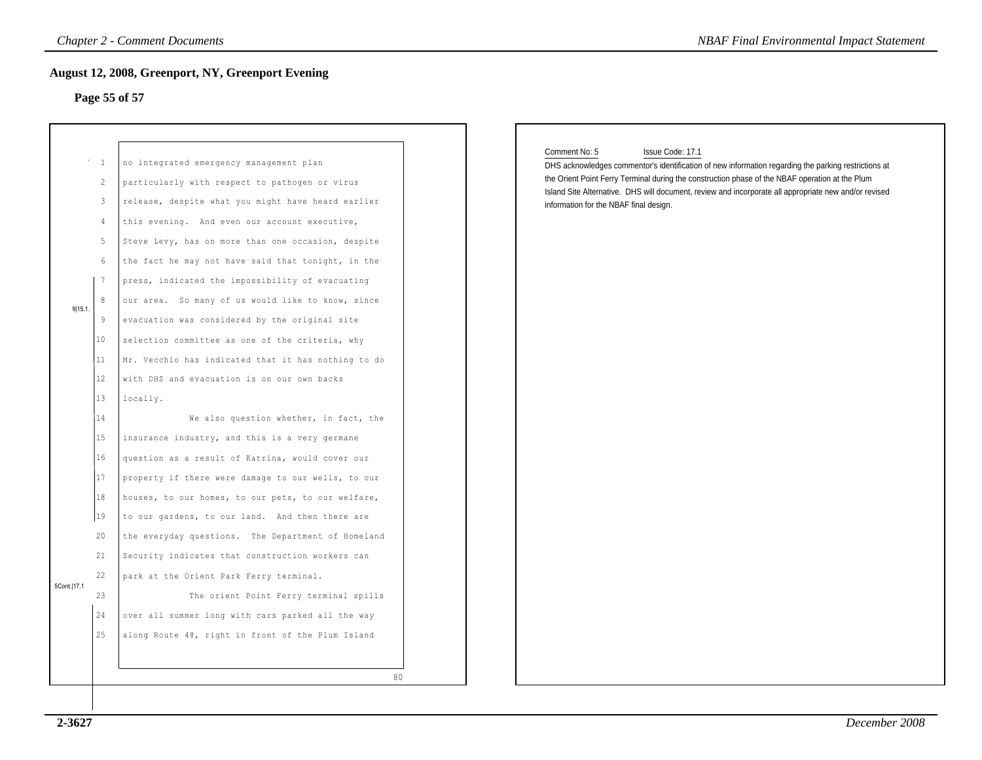## **Page 55 of 57**

|             |                                              | <b>Chapter 2 - Comment Documents</b>                                                                                                                                                                                                                                                                                                                                                                           | <b>NBAF Final Environmental Impact Statement</b>                                                                                                                                                                                                                                                                                                                                                |
|-------------|----------------------------------------------|----------------------------------------------------------------------------------------------------------------------------------------------------------------------------------------------------------------------------------------------------------------------------------------------------------------------------------------------------------------------------------------------------------------|-------------------------------------------------------------------------------------------------------------------------------------------------------------------------------------------------------------------------------------------------------------------------------------------------------------------------------------------------------------------------------------------------|
|             |                                              | <b>August 12, 2008, Greenport, NY, Greenport Evening</b>                                                                                                                                                                                                                                                                                                                                                       |                                                                                                                                                                                                                                                                                                                                                                                                 |
|             |                                              | Page 55 of 57                                                                                                                                                                                                                                                                                                                                                                                                  |                                                                                                                                                                                                                                                                                                                                                                                                 |
|             |                                              |                                                                                                                                                                                                                                                                                                                                                                                                                | Comment No: 5<br>Issue Code: 17.1<br>DHS acknowledges commentor's identification of new information regarding the parking restrictions at<br>the Orient Point Ferry Terminal during the construction phase of the NBAF operation at the Plum<br>Island Site Alternative. DHS will document, review and incorporate all appropriate new and/or revised<br>information for the NBAF final design. |
|             |                                              |                                                                                                                                                                                                                                                                                                                                                                                                                |                                                                                                                                                                                                                                                                                                                                                                                                 |
|             | $\sim$ 1<br>2<br>$\mathbf{3}$<br>4<br>5<br>6 | no integrated emergency management plan<br>particularly with respect to pathogen or virus<br>release, despite what you might have heard earlier<br>this evening. And even our account executive,<br>Steve Levy, has on more than one occasion, despite<br>the fact he may not have said that tonight, in the                                                                                                   |                                                                                                                                                                                                                                                                                                                                                                                                 |
| 9 15.1      | 7<br>8<br>9                                  | press, indicated the impossibility of evacuating<br>our area. So many of us would like to know, since<br>evacuation was considered by the original site                                                                                                                                                                                                                                                        |                                                                                                                                                                                                                                                                                                                                                                                                 |
|             | 10<br>11<br>12                               | selection committee as one of the criteria, why<br>Mr. Vecchio has indicated that it has nothing to do<br>with DHS and evacuation is on our own backs                                                                                                                                                                                                                                                          |                                                                                                                                                                                                                                                                                                                                                                                                 |
|             | 13<br>14<br>15<br>16<br>17                   | locally.<br>We also question whether, in fact, the<br>insurance industry, and this is a very germane<br>question as a result of Katrina, would cover our<br>property if there were damage to our wells, to our                                                                                                                                                                                                 |                                                                                                                                                                                                                                                                                                                                                                                                 |
| 5Cont. 17.1 | 18<br>19<br>20<br>21<br>22<br>23<br>24<br>25 | houses, to our homes, to our pets, to our welfare,<br>to our gardens, to our land. And then there are<br>the everyday questions. The Department of Homeland<br>Security indicates that construction workers can<br>park at the Orient Park Ferry terminal.<br>The orient Point Ferry terminal spills<br>over all summer long with cars parked all the way<br>along Route 48, right in front of the Plum Island |                                                                                                                                                                                                                                                                                                                                                                                                 |
|             |                                              |                                                                                                                                                                                                                                                                                                                                                                                                                | 80                                                                                                                                                                                                                                                                                                                                                                                              |

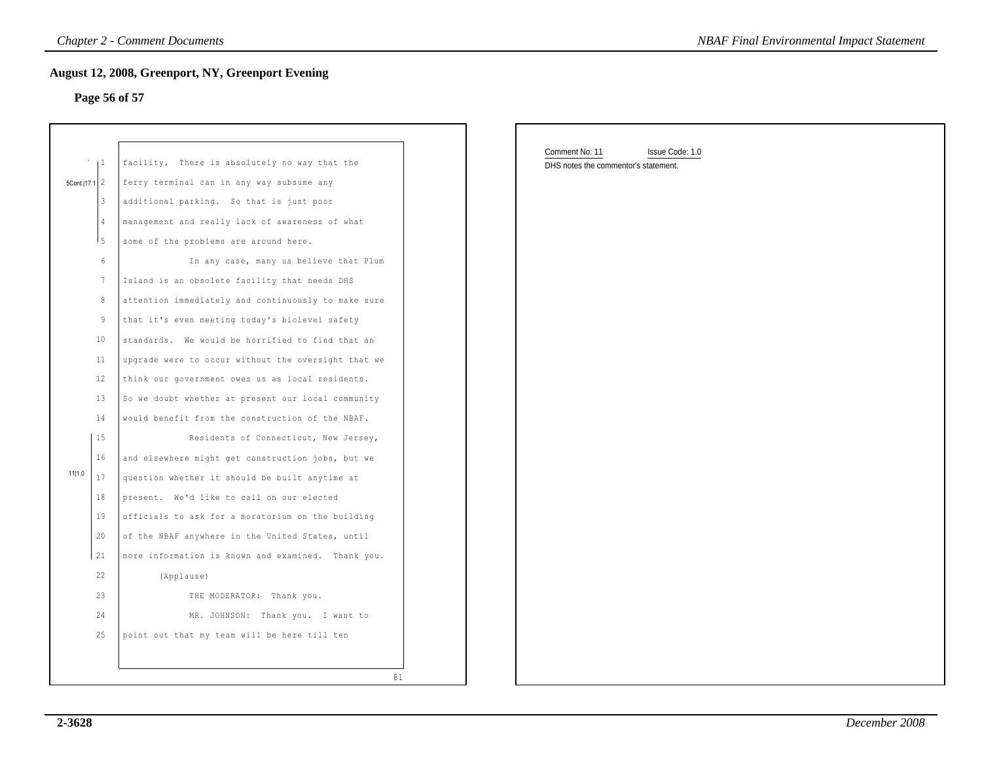# **Page 56 of 57**

| August 12, 2008, Greenport, NY, Greenport Evening<br>Page 56 of 57<br>Comment No: 11<br>Issue Code: 1.0<br>facility. There is absolutely no way that the<br>1 <sup>1</sup><br>DHS notes the commentor's statement.<br>ferry terminal can in any way subsume any<br>5Cont.   17.1   2<br>$\vert$ 3<br>additional parking. So that is just poor<br>management and really lack of awareness of what<br>$\sqrt{4}$<br>I 5<br>some of the problems are around here.<br>$6\,$<br>In any case, many us believe that Plum<br>Island is an obsolete facility that needs DHS<br>7<br>8<br>attention immediately and continuously to make sure<br>9<br>that it's even meeting today's biolevel safety<br>10<br>standards. We would be horrified to find that an<br>upgrade were to occur without the oversight that we<br>11<br>$12 \overline{ }$<br>think our government owes us as local residents.<br>13<br>So we doubt whether at present our local community<br>14<br>would benefit from the construction of the NBAF.<br>15<br>Residents of Connecticut, New Jersey,<br>16<br>and elsewhere might get construction jobs, but we<br>11 1.0<br>17<br>question whether it should be built anytime at<br>18<br>present. We'd like to call on our elected<br>19<br>officials to ask for a moratorium on the building<br>20<br>of the NBAF anywhere in the United States, until<br>21<br>more information is known and examined. Thank you.<br>22<br>(Applause)<br>23<br>THE MODERATOR: Thank you.<br>24<br>MR. JOHNSON: Thank you. I want to<br>25<br>point out that my team will be here till ten |  | <b>Chapter 2 - Comment Documents</b> | <b>NBAF Final Environmental Impact Statement</b> |  |
|------------------------------------------------------------------------------------------------------------------------------------------------------------------------------------------------------------------------------------------------------------------------------------------------------------------------------------------------------------------------------------------------------------------------------------------------------------------------------------------------------------------------------------------------------------------------------------------------------------------------------------------------------------------------------------------------------------------------------------------------------------------------------------------------------------------------------------------------------------------------------------------------------------------------------------------------------------------------------------------------------------------------------------------------------------------------------------------------------------------------------------------------------------------------------------------------------------------------------------------------------------------------------------------------------------------------------------------------------------------------------------------------------------------------------------------------------------------------------------------------------------------------------------------------------------------------------------------|--|--------------------------------------|--------------------------------------------------|--|
|                                                                                                                                                                                                                                                                                                                                                                                                                                                                                                                                                                                                                                                                                                                                                                                                                                                                                                                                                                                                                                                                                                                                                                                                                                                                                                                                                                                                                                                                                                                                                                                          |  |                                      |                                                  |  |
|                                                                                                                                                                                                                                                                                                                                                                                                                                                                                                                                                                                                                                                                                                                                                                                                                                                                                                                                                                                                                                                                                                                                                                                                                                                                                                                                                                                                                                                                                                                                                                                          |  |                                      |                                                  |  |
|                                                                                                                                                                                                                                                                                                                                                                                                                                                                                                                                                                                                                                                                                                                                                                                                                                                                                                                                                                                                                                                                                                                                                                                                                                                                                                                                                                                                                                                                                                                                                                                          |  |                                      |                                                  |  |
|                                                                                                                                                                                                                                                                                                                                                                                                                                                                                                                                                                                                                                                                                                                                                                                                                                                                                                                                                                                                                                                                                                                                                                                                                                                                                                                                                                                                                                                                                                                                                                                          |  |                                      |                                                  |  |
|                                                                                                                                                                                                                                                                                                                                                                                                                                                                                                                                                                                                                                                                                                                                                                                                                                                                                                                                                                                                                                                                                                                                                                                                                                                                                                                                                                                                                                                                                                                                                                                          |  |                                      |                                                  |  |
|                                                                                                                                                                                                                                                                                                                                                                                                                                                                                                                                                                                                                                                                                                                                                                                                                                                                                                                                                                                                                                                                                                                                                                                                                                                                                                                                                                                                                                                                                                                                                                                          |  |                                      |                                                  |  |
|                                                                                                                                                                                                                                                                                                                                                                                                                                                                                                                                                                                                                                                                                                                                                                                                                                                                                                                                                                                                                                                                                                                                                                                                                                                                                                                                                                                                                                                                                                                                                                                          |  |                                      |                                                  |  |
|                                                                                                                                                                                                                                                                                                                                                                                                                                                                                                                                                                                                                                                                                                                                                                                                                                                                                                                                                                                                                                                                                                                                                                                                                                                                                                                                                                                                                                                                                                                                                                                          |  |                                      |                                                  |  |
|                                                                                                                                                                                                                                                                                                                                                                                                                                                                                                                                                                                                                                                                                                                                                                                                                                                                                                                                                                                                                                                                                                                                                                                                                                                                                                                                                                                                                                                                                                                                                                                          |  |                                      |                                                  |  |
|                                                                                                                                                                                                                                                                                                                                                                                                                                                                                                                                                                                                                                                                                                                                                                                                                                                                                                                                                                                                                                                                                                                                                                                                                                                                                                                                                                                                                                                                                                                                                                                          |  |                                      |                                                  |  |
|                                                                                                                                                                                                                                                                                                                                                                                                                                                                                                                                                                                                                                                                                                                                                                                                                                                                                                                                                                                                                                                                                                                                                                                                                                                                                                                                                                                                                                                                                                                                                                                          |  |                                      |                                                  |  |
|                                                                                                                                                                                                                                                                                                                                                                                                                                                                                                                                                                                                                                                                                                                                                                                                                                                                                                                                                                                                                                                                                                                                                                                                                                                                                                                                                                                                                                                                                                                                                                                          |  |                                      |                                                  |  |
|                                                                                                                                                                                                                                                                                                                                                                                                                                                                                                                                                                                                                                                                                                                                                                                                                                                                                                                                                                                                                                                                                                                                                                                                                                                                                                                                                                                                                                                                                                                                                                                          |  |                                      |                                                  |  |
|                                                                                                                                                                                                                                                                                                                                                                                                                                                                                                                                                                                                                                                                                                                                                                                                                                                                                                                                                                                                                                                                                                                                                                                                                                                                                                                                                                                                                                                                                                                                                                                          |  |                                      |                                                  |  |
|                                                                                                                                                                                                                                                                                                                                                                                                                                                                                                                                                                                                                                                                                                                                                                                                                                                                                                                                                                                                                                                                                                                                                                                                                                                                                                                                                                                                                                                                                                                                                                                          |  |                                      |                                                  |  |
|                                                                                                                                                                                                                                                                                                                                                                                                                                                                                                                                                                                                                                                                                                                                                                                                                                                                                                                                                                                                                                                                                                                                                                                                                                                                                                                                                                                                                                                                                                                                                                                          |  |                                      |                                                  |  |
|                                                                                                                                                                                                                                                                                                                                                                                                                                                                                                                                                                                                                                                                                                                                                                                                                                                                                                                                                                                                                                                                                                                                                                                                                                                                                                                                                                                                                                                                                                                                                                                          |  |                                      |                                                  |  |
|                                                                                                                                                                                                                                                                                                                                                                                                                                                                                                                                                                                                                                                                                                                                                                                                                                                                                                                                                                                                                                                                                                                                                                                                                                                                                                                                                                                                                                                                                                                                                                                          |  |                                      |                                                  |  |
|                                                                                                                                                                                                                                                                                                                                                                                                                                                                                                                                                                                                                                                                                                                                                                                                                                                                                                                                                                                                                                                                                                                                                                                                                                                                                                                                                                                                                                                                                                                                                                                          |  |                                      |                                                  |  |
|                                                                                                                                                                                                                                                                                                                                                                                                                                                                                                                                                                                                                                                                                                                                                                                                                                                                                                                                                                                                                                                                                                                                                                                                                                                                                                                                                                                                                                                                                                                                                                                          |  |                                      |                                                  |  |
|                                                                                                                                                                                                                                                                                                                                                                                                                                                                                                                                                                                                                                                                                                                                                                                                                                                                                                                                                                                                                                                                                                                                                                                                                                                                                                                                                                                                                                                                                                                                                                                          |  |                                      |                                                  |  |
|                                                                                                                                                                                                                                                                                                                                                                                                                                                                                                                                                                                                                                                                                                                                                                                                                                                                                                                                                                                                                                                                                                                                                                                                                                                                                                                                                                                                                                                                                                                                                                                          |  |                                      |                                                  |  |
|                                                                                                                                                                                                                                                                                                                                                                                                                                                                                                                                                                                                                                                                                                                                                                                                                                                                                                                                                                                                                                                                                                                                                                                                                                                                                                                                                                                                                                                                                                                                                                                          |  |                                      |                                                  |  |
|                                                                                                                                                                                                                                                                                                                                                                                                                                                                                                                                                                                                                                                                                                                                                                                                                                                                                                                                                                                                                                                                                                                                                                                                                                                                                                                                                                                                                                                                                                                                                                                          |  |                                      |                                                  |  |
|                                                                                                                                                                                                                                                                                                                                                                                                                                                                                                                                                                                                                                                                                                                                                                                                                                                                                                                                                                                                                                                                                                                                                                                                                                                                                                                                                                                                                                                                                                                                                                                          |  |                                      |                                                  |  |
|                                                                                                                                                                                                                                                                                                                                                                                                                                                                                                                                                                                                                                                                                                                                                                                                                                                                                                                                                                                                                                                                                                                                                                                                                                                                                                                                                                                                                                                                                                                                                                                          |  |                                      |                                                  |  |
|                                                                                                                                                                                                                                                                                                                                                                                                                                                                                                                                                                                                                                                                                                                                                                                                                                                                                                                                                                                                                                                                                                                                                                                                                                                                                                                                                                                                                                                                                                                                                                                          |  |                                      |                                                  |  |
|                                                                                                                                                                                                                                                                                                                                                                                                                                                                                                                                                                                                                                                                                                                                                                                                                                                                                                                                                                                                                                                                                                                                                                                                                                                                                                                                                                                                                                                                                                                                                                                          |  |                                      |                                                  |  |
|                                                                                                                                                                                                                                                                                                                                                                                                                                                                                                                                                                                                                                                                                                                                                                                                                                                                                                                                                                                                                                                                                                                                                                                                                                                                                                                                                                                                                                                                                                                                                                                          |  |                                      |                                                  |  |
|                                                                                                                                                                                                                                                                                                                                                                                                                                                                                                                                                                                                                                                                                                                                                                                                                                                                                                                                                                                                                                                                                                                                                                                                                                                                                                                                                                                                                                                                                                                                                                                          |  |                                      |                                                  |  |
| 81                                                                                                                                                                                                                                                                                                                                                                                                                                                                                                                                                                                                                                                                                                                                                                                                                                                                                                                                                                                                                                                                                                                                                                                                                                                                                                                                                                                                                                                                                                                                                                                       |  |                                      |                                                  |  |

| Comment No: 11                       | Issue Code: 1.0 |  |  |
|--------------------------------------|-----------------|--|--|
| DHS notes the commentor's statement. |                 |  |  |
|                                      |                 |  |  |
|                                      |                 |  |  |
|                                      |                 |  |  |
|                                      |                 |  |  |
|                                      |                 |  |  |
|                                      |                 |  |  |
|                                      |                 |  |  |
|                                      |                 |  |  |
|                                      |                 |  |  |
|                                      |                 |  |  |
|                                      |                 |  |  |
|                                      |                 |  |  |
|                                      |                 |  |  |
|                                      |                 |  |  |
|                                      |                 |  |  |
|                                      |                 |  |  |
|                                      |                 |  |  |
|                                      |                 |  |  |
|                                      |                 |  |  |
|                                      |                 |  |  |
|                                      |                 |  |  |
|                                      |                 |  |  |
|                                      |                 |  |  |
|                                      |                 |  |  |
|                                      |                 |  |  |
|                                      |                 |  |  |
|                                      |                 |  |  |
|                                      |                 |  |  |
|                                      |                 |  |  |
|                                      |                 |  |  |
|                                      |                 |  |  |
|                                      |                 |  |  |
|                                      |                 |  |  |
|                                      |                 |  |  |
|                                      |                 |  |  |
|                                      |                 |  |  |
|                                      |                 |  |  |
|                                      |                 |  |  |
|                                      |                 |  |  |
|                                      |                 |  |  |
|                                      |                 |  |  |
|                                      |                 |  |  |
|                                      |                 |  |  |
|                                      |                 |  |  |
|                                      |                 |  |  |
|                                      |                 |  |  |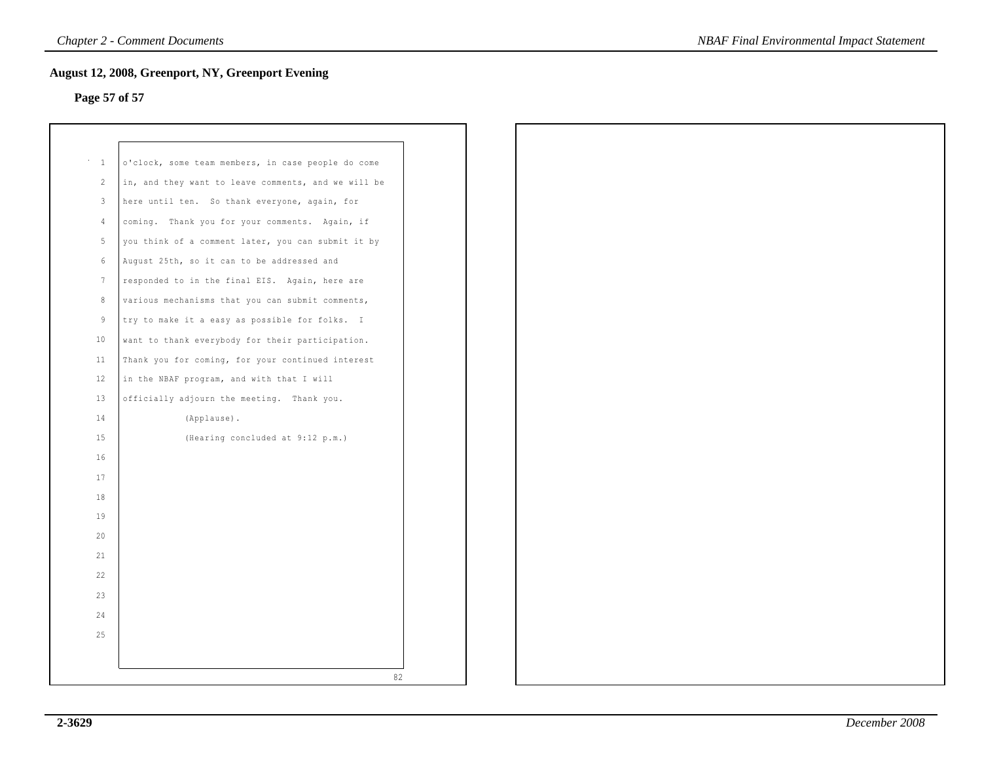# **Page 57 of 57**

| $\mathbf{1}$    | o'clock, some team members, in case people do come  |  |
|-----------------|-----------------------------------------------------|--|
| $\mathbf{2}$    | in, and they want to leave comments, and we will be |  |
| 3               | here until ten. So thank everyone, again, for       |  |
| $\overline{4}$  | coming. Thank you for your comments. Again, if      |  |
| 5               | you think of a comment later, you can submit it by  |  |
| $6\,$           | August 25th, so it can to be addressed and          |  |
| $7\phantom{.0}$ | responded to in the final EIS. Again, here are      |  |
| 8               | various mechanisms that you can submit comments,    |  |
| 9               | try to make it a easy as possible for folks. I      |  |
| 10              | want to thank everybody for their participation.    |  |
| 11              | Thank you for coming, for your continued interest   |  |
| 12              | in the NBAF program, and with that I will           |  |
| 13              | officially adjourn the meeting. Thank you.          |  |
| 14              | (Applause).                                         |  |
| 15              | (Hearing concluded at 9:12 p.m.)                    |  |
| 16              |                                                     |  |
| 17              |                                                     |  |
| 18              |                                                     |  |
| 19              |                                                     |  |
| 20              |                                                     |  |
| 21              |                                                     |  |
| 22              |                                                     |  |
| 23              |                                                     |  |
| 24              |                                                     |  |
| 25              |                                                     |  |
|                 |                                                     |  |
|                 |                                                     |  |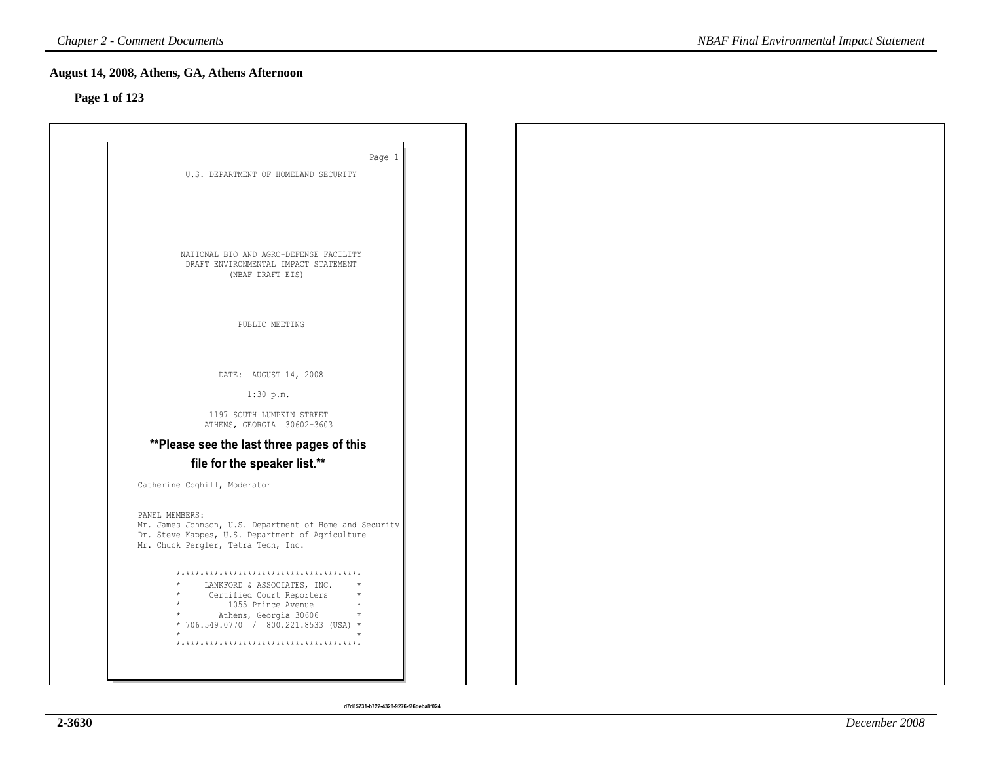## **Page 1 of 123**

| Page 1                                                                                  |  |  |
|-----------------------------------------------------------------------------------------|--|--|
| U.S. DEPARTMENT OF HOMELAND SECURITY                                                    |  |  |
|                                                                                         |  |  |
|                                                                                         |  |  |
|                                                                                         |  |  |
|                                                                                         |  |  |
| NATIONAL BIO AND AGRO-DEFENSE FACILITY<br>DRAFT ENVIRONMENTAL IMPACT STATEMENT          |  |  |
| (NBAF DRAFT EIS)                                                                        |  |  |
|                                                                                         |  |  |
|                                                                                         |  |  |
| PUBLIC MEETING                                                                          |  |  |
|                                                                                         |  |  |
| DATE: AUGUST 14, 2008                                                                   |  |  |
| 1:30 p.m.                                                                               |  |  |
|                                                                                         |  |  |
| 1197 SOUTH LUMPKIN STREET<br>ATHENS, GEORGIA 30602-3603                                 |  |  |
| ** Please see the last three pages of this                                              |  |  |
| file for the speaker list.**                                                            |  |  |
| Catherine Coghill, Moderator                                                            |  |  |
|                                                                                         |  |  |
| PANEL MEMBERS:<br>Mr. James Johnson, U.S. Department of Homeland Security               |  |  |
| Dr. Steve Kappes, U.S. Department of Agriculture<br>Mr. Chuck Pergler, Tetra Tech, Inc. |  |  |
|                                                                                         |  |  |
| **************************************                                                  |  |  |
| LANKFORD & ASSOCIATES, INC.<br>Certified Court Reporters                                |  |  |
| 1055 Prince Avenue<br>Athens, Georgia 30606                                             |  |  |
| * 706.549.0770 / 800.221.8533 (USA) *                                                   |  |  |
| **************************************                                                  |  |  |
|                                                                                         |  |  |
|                                                                                         |  |  |

*NBAF Final Environmental Impact Statement*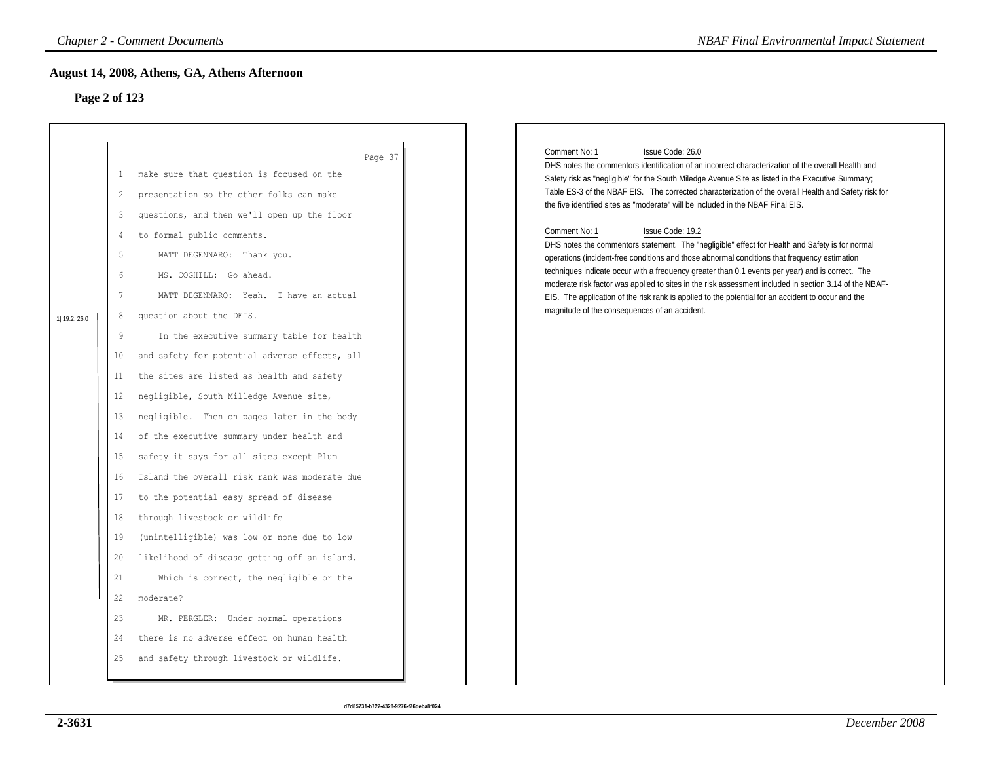# **Page 2 of 123**

|                                                                                                                                                                     | August 14, 2008, Athens, GA, Athens Afternoon                                                                                                                                                                                                                                                                                                                                                                                                                                                                                                                                                                                                                                                                                                                                                                                                                                                                                                                                                                                                                    |                                                                                                                                                                                                                                                                                                                                                                                                                                                                                                                                                                                                                                                                                                                                                                                                                                                                                                                                                                                                                                                      |
|---------------------------------------------------------------------------------------------------------------------------------------------------------------------|------------------------------------------------------------------------------------------------------------------------------------------------------------------------------------------------------------------------------------------------------------------------------------------------------------------------------------------------------------------------------------------------------------------------------------------------------------------------------------------------------------------------------------------------------------------------------------------------------------------------------------------------------------------------------------------------------------------------------------------------------------------------------------------------------------------------------------------------------------------------------------------------------------------------------------------------------------------------------------------------------------------------------------------------------------------|------------------------------------------------------------------------------------------------------------------------------------------------------------------------------------------------------------------------------------------------------------------------------------------------------------------------------------------------------------------------------------------------------------------------------------------------------------------------------------------------------------------------------------------------------------------------------------------------------------------------------------------------------------------------------------------------------------------------------------------------------------------------------------------------------------------------------------------------------------------------------------------------------------------------------------------------------------------------------------------------------------------------------------------------------|
| 1<br>$\overline{c}$<br>$\overline{3}$<br>4<br>5<br>6<br>7<br>8<br>9<br>10<br>11<br>12<br>13<br>14<br>15<br>16<br>17<br>18<br>19<br>20<br>21<br>22<br>23<br>24<br>25 | Page 37<br>make sure that question is focused on the<br>presentation so the other folks can make<br>questions, and then we'll open up the floor<br>to formal public comments.<br>MATT DEGENNARO: Thank you.<br>MS. COGHILL: Go ahead.<br>MATT DEGENNARO: Yeah. I have an actual<br>question about the DEIS.<br>In the executive summary table for health<br>and safety for potential adverse effects, all<br>the sites are listed as health and safety<br>negligible, South Milledge Avenue site,<br>negligible. Then on pages later in the body<br>of the executive summary under health and<br>safety it says for all sites except Plum<br>Island the overall risk rank was moderate due<br>to the potential easy spread of disease<br>through livestock or wildlife<br>(unintelligible) was low or none due to low<br>likelihood of disease getting off an island.<br>Which is correct, the negligible or the<br>moderate?<br>MR. PERGLER: Under normal operations<br>there is no adverse effect on human health<br>and safety through livestock or wildlife. | Comment No: 1<br>Issue Code: 26.0<br>DHS notes the commentors identification of an incorrect characterization of the overall Health and<br>Safety risk as "negligible" for the South Miledge Avenue Site as listed in the Executive Summary;<br>Table ES-3 of the NBAF EIS. The corrected characterization of the overall Health and Safety risk for<br>the five identified sites as "moderate" will be included in the NBAF Final EIS.<br>Comment No: 1<br>Issue Code: 19.2<br>DHS notes the commentors statement. The "negligible" effect for Health and Safety is for normal<br>operations (incident-free conditions and those abnormal conditions that frequency estimation<br>techniques indicate occur with a frequency greater than 0.1 events per year) and is correct. The<br>moderate risk factor was applied to sites in the risk assessment included in section 3.14 of the NBAF-<br>EIS. The application of the risk rank is applied to the potential for an accident to occur and the<br>magnitude of the consequences of an accident. |
|                                                                                                                                                                     |                                                                                                                                                                                                                                                                                                                                                                                                                                                                                                                                                                                                                                                                                                                                                                                                                                                                                                                                                                                                                                                                  | Page 2 of 123                                                                                                                                                                                                                                                                                                                                                                                                                                                                                                                                                                                                                                                                                                                                                                                                                                                                                                                                                                                                                                        |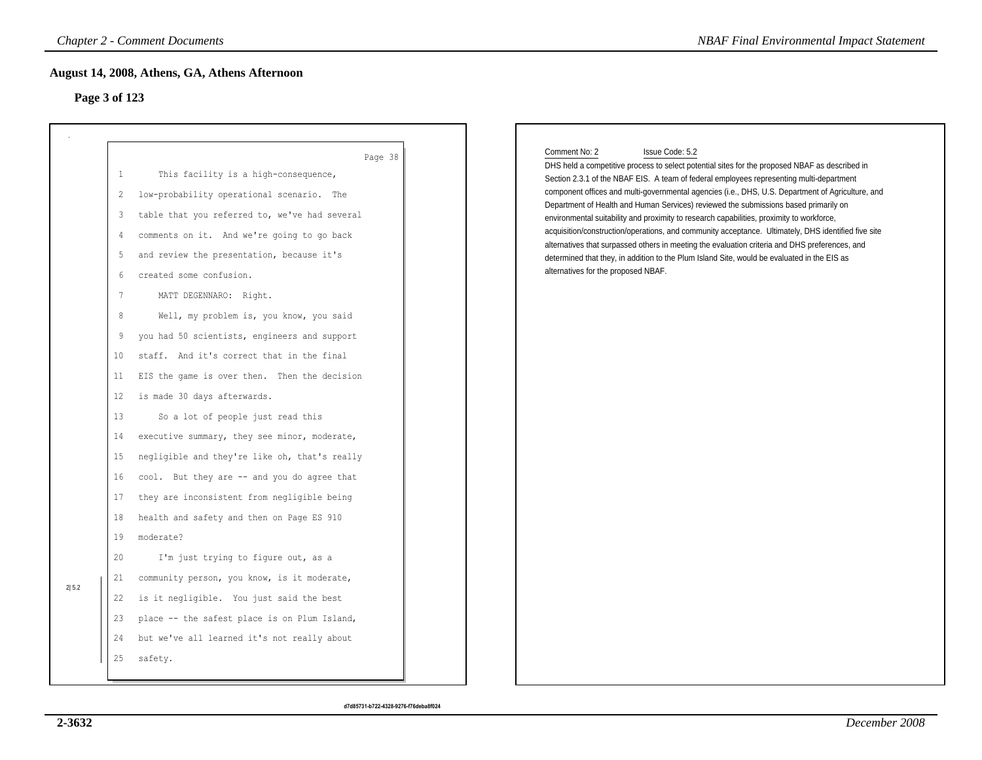# **Page 3 of 123**

|               | <b>Chapter 2 - Comment Documents</b>                                                                                                                                                                                                                                                                                                                                                                                                                                                                                                                                                                                                                                                                                                                                                                                                                                                                                              | <b>NBAF Final Environmental Impact Statement</b>                                                                                                                                                                                                                                                                                                                                                                                                                                                                                                                                                                                                                                                                                                                                                                                                                        |
|---------------|-----------------------------------------------------------------------------------------------------------------------------------------------------------------------------------------------------------------------------------------------------------------------------------------------------------------------------------------------------------------------------------------------------------------------------------------------------------------------------------------------------------------------------------------------------------------------------------------------------------------------------------------------------------------------------------------------------------------------------------------------------------------------------------------------------------------------------------------------------------------------------------------------------------------------------------|-------------------------------------------------------------------------------------------------------------------------------------------------------------------------------------------------------------------------------------------------------------------------------------------------------------------------------------------------------------------------------------------------------------------------------------------------------------------------------------------------------------------------------------------------------------------------------------------------------------------------------------------------------------------------------------------------------------------------------------------------------------------------------------------------------------------------------------------------------------------------|
| Page 3 of 123 | August 14, 2008, Athens, GA, Athens Afternoon                                                                                                                                                                                                                                                                                                                                                                                                                                                                                                                                                                                                                                                                                                                                                                                                                                                                                     |                                                                                                                                                                                                                                                                                                                                                                                                                                                                                                                                                                                                                                                                                                                                                                                                                                                                         |
|               | Page 38<br>This facility is a high-consequence,<br>$\mathbf{1}$<br>low-probability operational scenario. The<br>2<br>table that you referred to, we've had several<br>3<br>comments on it. And we're going to go back<br>4<br>and review the presentation, because it's<br>5<br>created some confusion.<br>6<br>$7\phantom{.0}$<br>MATT DEGENNARO: Right.<br>8<br>Well, my problem is, you know, you said<br>you had 50 scientists, engineers and support<br>9<br>staff. And it's correct that in the final<br>10<br>11<br>EIS the game is over then. Then the decision<br>is made 30 days afterwards.<br>12<br>13<br>So a lot of people just read this<br>executive summary, they see minor, moderate,<br>14<br>15<br>negligible and they're like oh, that's really<br>cool. But they are -- and you do agree that<br>16<br>they are inconsistent from negligible being<br>17<br>health and safety and then on Page ES 910<br>18 | Comment No: 2<br>Issue Code: 5.2<br>DHS held a competitive process to select potential sites for the proposed NBAF as described in<br>Section 2.3.1 of the NBAF EIS. A team of federal employees representing multi-department<br>component offices and multi-governmental agencies (i.e., DHS, U.S. Department of Agriculture, and<br>Department of Health and Human Services) reviewed the submissions based primarily on<br>environmental suitability and proximity to research capabilities, proximity to workforce,<br>acquisition/construction/operations, and community acceptance. Ultimately, DHS identified five site<br>alternatives that surpassed others in meeting the evaluation criteria and DHS preferences, and<br>determined that they, in addition to the Plum Island Site, would be evaluated in the EIS as<br>alternatives for the proposed NBAF. |
| 2 5.2         | 19<br>moderate?<br>20<br>I'm just trying to figure out, as a<br>community person, you know, is it moderate,<br>21<br>is it negligible. You just said the best<br>22<br>23<br>place -- the safest place is on Plum Island,<br>but we've all learned it's not really about<br>24<br>25<br>safety.                                                                                                                                                                                                                                                                                                                                                                                                                                                                                                                                                                                                                                   |                                                                                                                                                                                                                                                                                                                                                                                                                                                                                                                                                                                                                                                                                                                                                                                                                                                                         |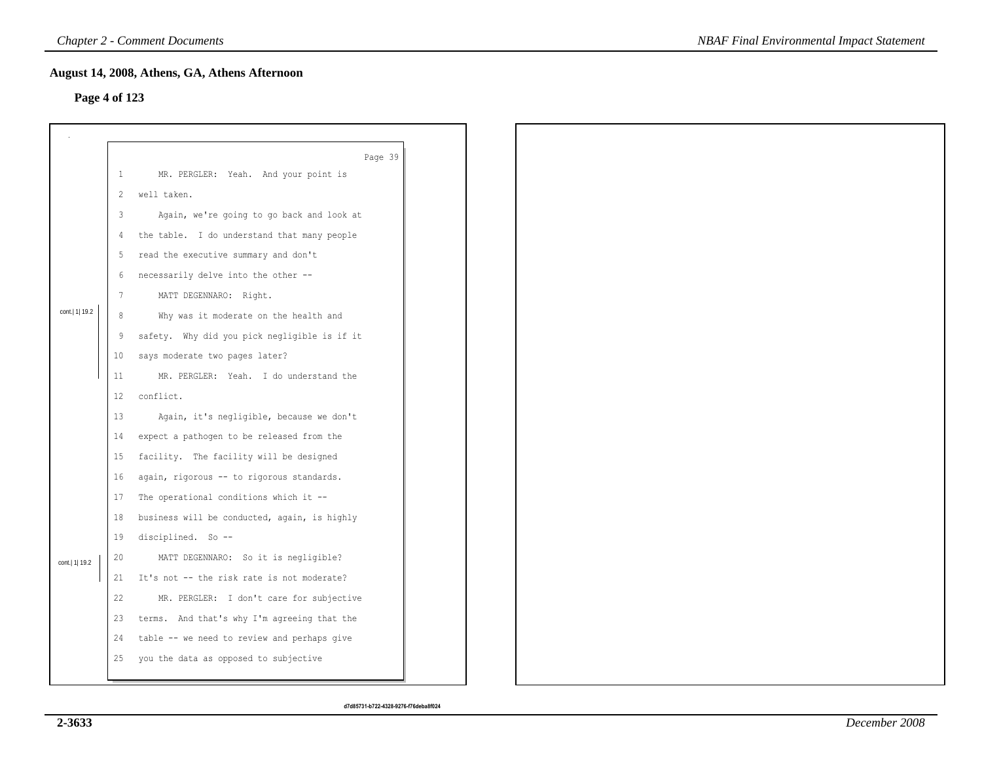# **Page 4 of 123**

|                  |                   | August 14, 2008, Athens, GA, Athens Afternoon |
|------------------|-------------------|-----------------------------------------------|
| Page 4 of 123    |                   |                                               |
|                  |                   |                                               |
|                  |                   | Page 39                                       |
|                  | $\mathbf{1}$      | MR. PERGLER: Yeah. And your point is          |
|                  | 2                 | well taken.                                   |
|                  | 3                 | Again, we're going to go back and look at     |
|                  | 4                 | the table. I do understand that many people   |
|                  | 5                 | read the executive summary and don't          |
|                  | 6                 | necessarily delve into the other --           |
|                  | $7\phantom{.0}$   | MATT DEGENNARO: Right.                        |
| cont.   1   19.2 | 8                 | Why was it moderate on the health and         |
|                  | 9                 | safety. Why did you pick negligible is if it  |
|                  | 10 <sub>1</sub>   | says moderate two pages later?                |
|                  | 11                | MR. PERGLER: Yeah. I do understand the        |
|                  | $12 \overline{ }$ | conflict.                                     |
|                  | 13                | Again, it's negligible, because we don't      |
|                  | 14                | expect a pathogen to be released from the     |
|                  | 15                | facility. The facility will be designed       |
|                  | 16                | again, rigorous -- to rigorous standards.     |
|                  | 17                | The operational conditions which it --        |
|                  | 18                | business will be conducted, again, is highly  |
|                  | 19                | disciplined. So --                            |
| cont.   1  19.2  | 20                | MATT DEGENNARO: So it is negligible?          |
|                  | 21                | It's not -- the risk rate is not moderate?    |
|                  | 22                | MR. PERGLER: I don't care for subjective      |
|                  | 23                | terms. And that's why I'm agreeing that the   |
|                  | 24                | table -- we need to review and perhaps give   |
|                  | 25                | you the data as opposed to subjective         |
|                  |                   |                                               |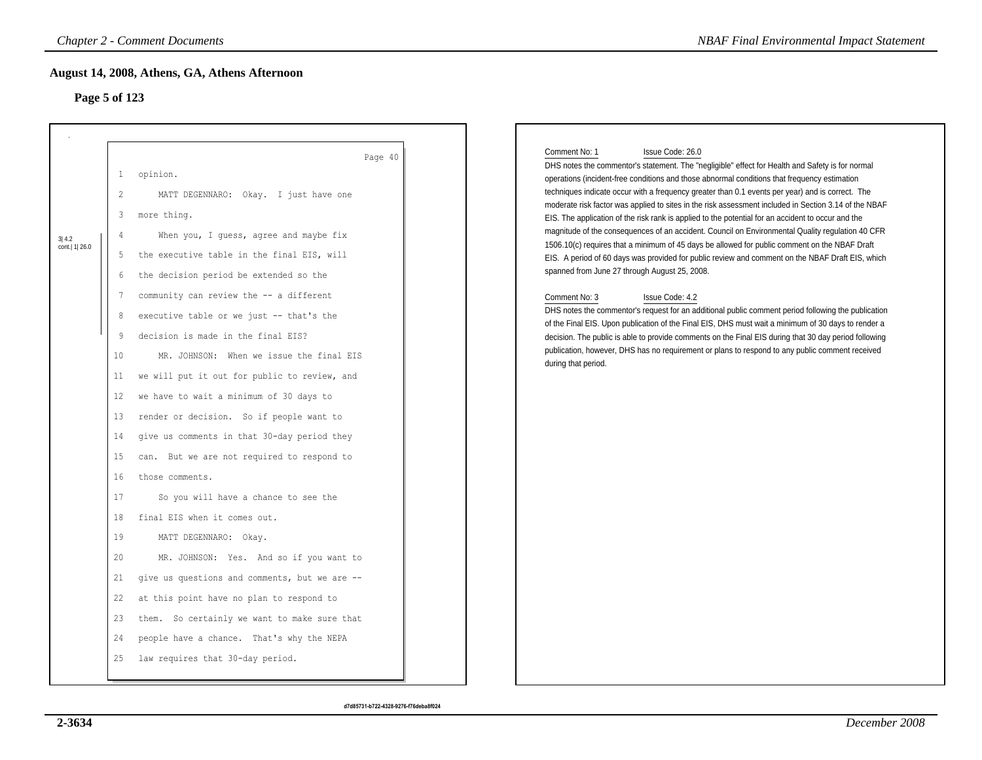# **Page 5 of 123**

|                         | August 14, 2008, Athens, GA, Athens Afternoon                                                                                                                                                                                                                                                                                                                                                                                                                                                                                                                                                                                                                                                                                                                                                                                                                                                                                                                                                                                  | <b>NBAF Final Environmental Impact Statement</b>                                                                                                                                                                                                                                                                                                                                                                                                                                                                                                                                                                                                                                                                                                                                                                                                                                                                                                                                                                                                                                                                                                                                                                                                                                                                                                                                                        |
|-------------------------|--------------------------------------------------------------------------------------------------------------------------------------------------------------------------------------------------------------------------------------------------------------------------------------------------------------------------------------------------------------------------------------------------------------------------------------------------------------------------------------------------------------------------------------------------------------------------------------------------------------------------------------------------------------------------------------------------------------------------------------------------------------------------------------------------------------------------------------------------------------------------------------------------------------------------------------------------------------------------------------------------------------------------------|---------------------------------------------------------------------------------------------------------------------------------------------------------------------------------------------------------------------------------------------------------------------------------------------------------------------------------------------------------------------------------------------------------------------------------------------------------------------------------------------------------------------------------------------------------------------------------------------------------------------------------------------------------------------------------------------------------------------------------------------------------------------------------------------------------------------------------------------------------------------------------------------------------------------------------------------------------------------------------------------------------------------------------------------------------------------------------------------------------------------------------------------------------------------------------------------------------------------------------------------------------------------------------------------------------------------------------------------------------------------------------------------------------|
|                         | Page 5 of 123                                                                                                                                                                                                                                                                                                                                                                                                                                                                                                                                                                                                                                                                                                                                                                                                                                                                                                                                                                                                                  |                                                                                                                                                                                                                                                                                                                                                                                                                                                                                                                                                                                                                                                                                                                                                                                                                                                                                                                                                                                                                                                                                                                                                                                                                                                                                                                                                                                                         |
| 3 4.2<br>cont.  1  26.0 | Page 40<br>opinion.<br>1<br>$\overline{c}$<br>MATT DEGENNARO: Okay. I just have one<br>3<br>more thing.<br>When you, I guess, agree and maybe fix<br>4<br>the executive table in the final EIS, will<br>5<br>the decision period be extended so the<br>6<br>community can review the -- a different<br>7<br>executive table or we just -- that's the<br>8<br>decision is made in the final EIS?<br>9<br>10<br>MR. JOHNSON: When we issue the final EIS<br>11<br>we will put it out for public to review, and<br>we have to wait a minimum of 30 days to<br>12<br>13<br>render or decision. So if people want to<br>give us comments in that 30-day period they<br>14<br>15<br>can. But we are not required to respond to<br>16<br>those comments.<br>17<br>So you will have a chance to see the<br>18<br>final EIS when it comes out.<br>19<br>MATT DEGENNARO: Okay.<br>20<br>MR. JOHNSON: Yes. And so if you want to<br>give us questions and comments, but we are --<br>21<br>22<br>at this point have no plan to respond to | Comment No: 1<br>Issue Code: 26.0<br>DHS notes the commentor's statement. The "negligible" effect for Health and Safety is for normal<br>operations (incident-free conditions and those abnormal conditions that frequency estimation<br>techniques indicate occur with a frequency greater than 0.1 events per year) and is correct. The<br>moderate risk factor was applied to sites in the risk assessment included in Section 3.14 of the NBAF<br>EIS. The application of the risk rank is applied to the potential for an accident to occur and the<br>magnitude of the consequences of an accident. Council on Environmental Quality regulation 40 CFR<br>1506.10(c) requires that a minimum of 45 days be allowed for public comment on the NBAF Draft<br>EIS. A period of 60 days was provided for public review and comment on the NBAF Draft EIS, which<br>spanned from June 27 through August 25, 2008.<br>Comment No: 3<br>Issue Code: 4.2<br>DHS notes the commentor's request for an additional public comment period following the publication<br>of the Final EIS. Upon publication of the Final EIS, DHS must wait a minimum of 30 days to render a<br>decision. The public is able to provide comments on the Final EIS during that 30 day period following<br>publication, however, DHS has no requirement or plans to respond to any public comment received<br>during that period. |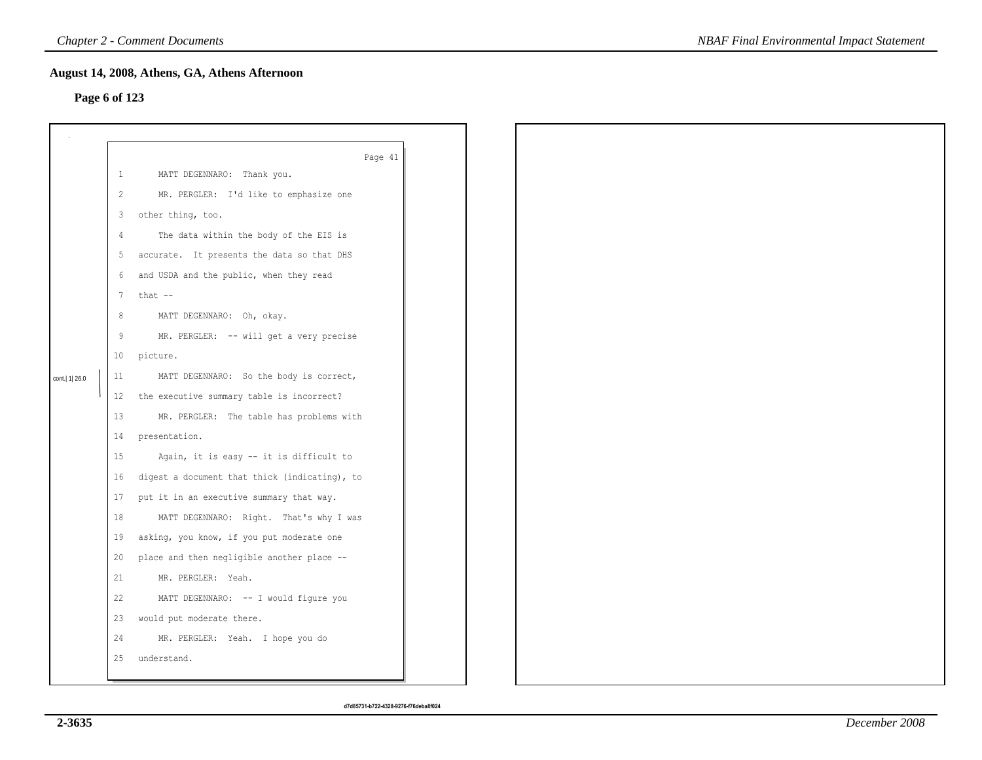## **Page 6 of 123**

|                  |                 | August 14, 2008, Athens, GA, Athens Afternoon |  |  |
|------------------|-----------------|-----------------------------------------------|--|--|
| Page 6 of 123    |                 |                                               |  |  |
|                  |                 |                                               |  |  |
|                  |                 |                                               |  |  |
|                  |                 | Page 41                                       |  |  |
|                  | $\mathbf{1}$    | MATT DEGENNARO: Thank you.                    |  |  |
|                  | $\mathbf{2}$    | MR. PERGLER: I'd like to emphasize one        |  |  |
|                  | $\mathbf{3}$    | other thing, too.                             |  |  |
|                  | 4               | The data within the body of the EIS is        |  |  |
|                  | 5               | accurate. It presents the data so that DHS    |  |  |
|                  | 6               | and USDA and the public, when they read       |  |  |
|                  | $7\overline{ }$ | that --                                       |  |  |
|                  | 8               | MATT DEGENNARO: Oh, okay.                     |  |  |
|                  | 9               | MR. PERGLER: -- will get a very precise       |  |  |
|                  |                 | 10 picture.                                   |  |  |
| cont.   1   26.0 | 11              | MATT DEGENNARO: So the body is correct,       |  |  |
|                  | $12 \,$         | the executive summary table is incorrect?     |  |  |
|                  | 13              | MR. PERGLER: The table has problems with      |  |  |
|                  | 14              | presentation.                                 |  |  |
|                  | 15              | Again, it is easy -- it is difficult to       |  |  |
|                  | 16              | digest a document that thick (indicating), to |  |  |
|                  | 17              | put it in an executive summary that way.      |  |  |
|                  | 18              | MATT DEGENNARO: Right. That's why I was       |  |  |
|                  | 19              | asking, you know, if you put moderate one     |  |  |
|                  | 20              | place and then negligible another place --    |  |  |
|                  | 21              | MR. PERGLER: Yeah.                            |  |  |
|                  | 22              | MATT DEGENNARO: -- I would figure you         |  |  |
|                  | 23              | would put moderate there.                     |  |  |
|                  | 24              | MR. PERGLER: Yeah. I hope you do              |  |  |
|                  | 25              | understand.                                   |  |  |
|                  |                 |                                               |  |  |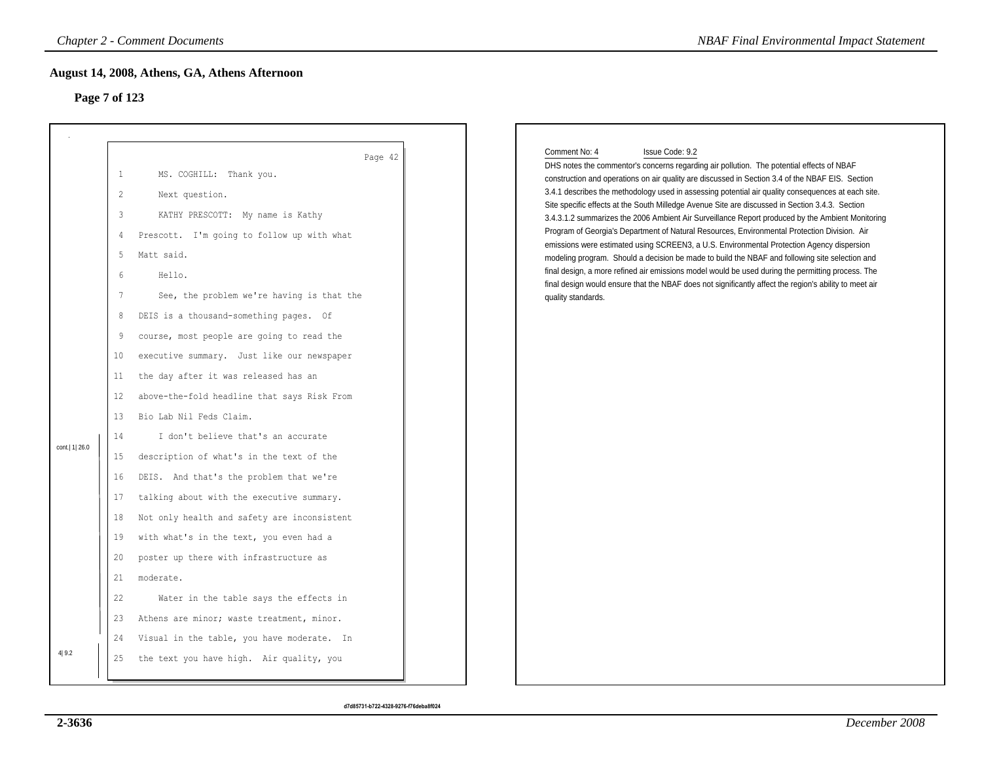# **Page 7 of 123**

|                  |                                                                                                                                                                            | <b>Chapter 2 - Comment Documents</b>                                                                                                                                                                                                                                                                                                                                                                                                                                                                                                                                                                                                                                                                                                                                                                                                    | <b>NBAF Final Environmental Impact Statement</b>                                                                                                                                                                                                                                                                                                                                                                                                                                                                                                                                                                                                                                                                                                                                                                                                                                                                                                                                                                                                                                   |
|------------------|----------------------------------------------------------------------------------------------------------------------------------------------------------------------------|-----------------------------------------------------------------------------------------------------------------------------------------------------------------------------------------------------------------------------------------------------------------------------------------------------------------------------------------------------------------------------------------------------------------------------------------------------------------------------------------------------------------------------------------------------------------------------------------------------------------------------------------------------------------------------------------------------------------------------------------------------------------------------------------------------------------------------------------|------------------------------------------------------------------------------------------------------------------------------------------------------------------------------------------------------------------------------------------------------------------------------------------------------------------------------------------------------------------------------------------------------------------------------------------------------------------------------------------------------------------------------------------------------------------------------------------------------------------------------------------------------------------------------------------------------------------------------------------------------------------------------------------------------------------------------------------------------------------------------------------------------------------------------------------------------------------------------------------------------------------------------------------------------------------------------------|
| Page 7 of 123    |                                                                                                                                                                            | August 14, 2008, Athens, GA, Athens Afternoon                                                                                                                                                                                                                                                                                                                                                                                                                                                                                                                                                                                                                                                                                                                                                                                           |                                                                                                                                                                                                                                                                                                                                                                                                                                                                                                                                                                                                                                                                                                                                                                                                                                                                                                                                                                                                                                                                                    |
| cont.   1   26.0 | $\mathbf{1}$<br>$\overline{c}$<br>3<br>$\overline{4}$<br>5<br>6<br>$7\phantom{.0}$<br>8<br>9<br>10<br>11<br>12<br>13<br>14<br>15<br>16<br>17<br>18<br>19<br>20<br>21<br>22 | Page 42<br>MS. COGHILL: Thank you.<br>Next question.<br>KATHY PRESCOTT: My name is Kathy<br>Prescott. I'm going to follow up with what<br>Matt said.<br>Hello.<br>See, the problem we're having is that the<br>DEIS is a thousand-something pages. Of<br>course, most people are going to read the<br>executive summary. Just like our newspaper<br>the day after it was released has an<br>above-the-fold headline that says Risk From<br>Bio Lab Nil Feds Claim.<br>I don't believe that's an accurate<br>description of what's in the text of the<br>DEIS. And that's the problem that we're<br>talking about with the executive summary.<br>Not only health and safety are inconsistent<br>with what's in the text, you even had a<br>poster up there with infrastructure as<br>moderate.<br>Water in the table says the effects in | Comment No: 4<br>Issue Code: 9.2<br>DHS notes the commentor's concerns regarding air pollution. The potential effects of NBAF<br>construction and operations on air quality are discussed in Section 3.4 of the NBAF EIS. Section<br>3.4.1 describes the methodology used in assessing potential air quality consequences at each site.<br>Site specific effects at the South Milledge Avenue Site are discussed in Section 3.4.3. Section<br>3.4.3.1.2 summarizes the 2006 Ambient Air Surveillance Report produced by the Ambient Monitoring<br>Program of Georgia's Department of Natural Resources, Environmental Protection Division. Air<br>emissions were estimated using SCREEN3, a U.S. Environmental Protection Agency dispersion<br>modeling program. Should a decision be made to build the NBAF and following site selection and<br>final design, a more refined air emissions model would be used during the permitting process. The<br>final design would ensure that the NBAF does not significantly affect the region's ability to meet air<br>quality standards. |
| 4 9.2            | 23<br>24<br>25                                                                                                                                                             | Athens are minor; waste treatment, minor.<br>Visual in the table, you have moderate. In<br>the text you have high. Air quality, you                                                                                                                                                                                                                                                                                                                                                                                                                                                                                                                                                                                                                                                                                                     |                                                                                                                                                                                                                                                                                                                                                                                                                                                                                                                                                                                                                                                                                                                                                                                                                                                                                                                                                                                                                                                                                    |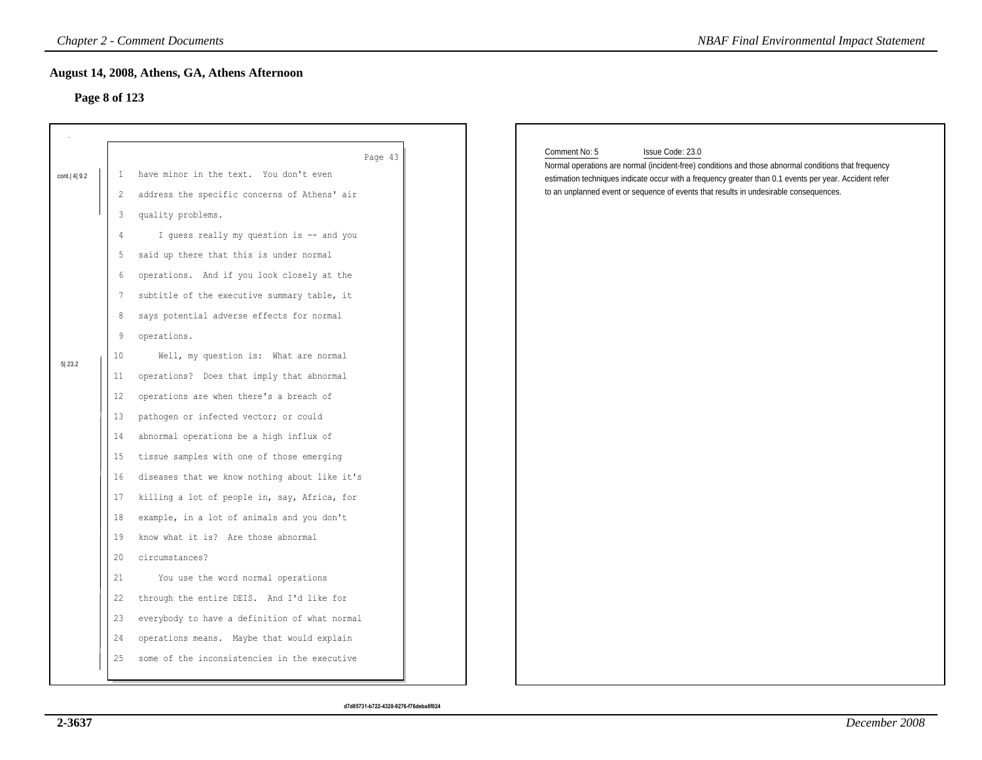# **Page 8 of 123**

| Page 8 of 123                                                                                                                                                                                                                                                                                                                                                                                                                                                                                                                                                                                                                                                                                                                                                                                                                                                                                                                                                                                               |                                                                                                                                                                                                                                                                                                                                              |
|-------------------------------------------------------------------------------------------------------------------------------------------------------------------------------------------------------------------------------------------------------------------------------------------------------------------------------------------------------------------------------------------------------------------------------------------------------------------------------------------------------------------------------------------------------------------------------------------------------------------------------------------------------------------------------------------------------------------------------------------------------------------------------------------------------------------------------------------------------------------------------------------------------------------------------------------------------------------------------------------------------------|----------------------------------------------------------------------------------------------------------------------------------------------------------------------------------------------------------------------------------------------------------------------------------------------------------------------------------------------|
| Page 43<br>have minor in the text. You don't even<br>cont.   4   9.2<br>-1<br>address the specific concerns of Athens' air<br>2<br>quality problems.<br>3<br>I guess really my question is -- and you<br>4                                                                                                                                                                                                                                                                                                                                                                                                                                                                                                                                                                                                                                                                                                                                                                                                  | Comment No: 5<br>Issue Code: 23.0<br>Normal operations are normal (incident-free) conditions and those abnormal conditions that frequency<br>estimation techniques indicate occur with a frequency greater than 0.1 events per year. Accident refer<br>to an unplanned event or sequence of events that results in undesirable consequences. |
| said up there that this is under normal<br>5<br>operations. And if you look closely at the<br>6<br>subtitle of the executive summary table, it<br>7<br>says potential adverse effects for normal<br>8<br>9<br>operations.<br>10 <sub>o</sub><br>Well, my question is: What are normal<br>5 23.2<br>operations? Does that imply that abnormal<br>11<br>operations are when there's a breach of<br>$12 \,$<br>pathogen or infected vector; or could<br>13<br>abnormal operations be a high influx of<br>14<br>tissue samples with one of those emerging<br>15<br>diseases that we know nothing about like it's<br>16<br>killing a lot of people in, say, Africa, for<br>17<br>example, in a lot of animals and you don't<br>18<br>know what it is? Are those abnormal<br>19<br>20<br>circumstances?<br>21<br>You use the word normal operations<br>through the entire DEIS. And I'd like for<br>22<br>everybody to have a definition of what normal<br>23<br>operations means. Maybe that would explain<br>24 |                                                                                                                                                                                                                                                                                                                                              |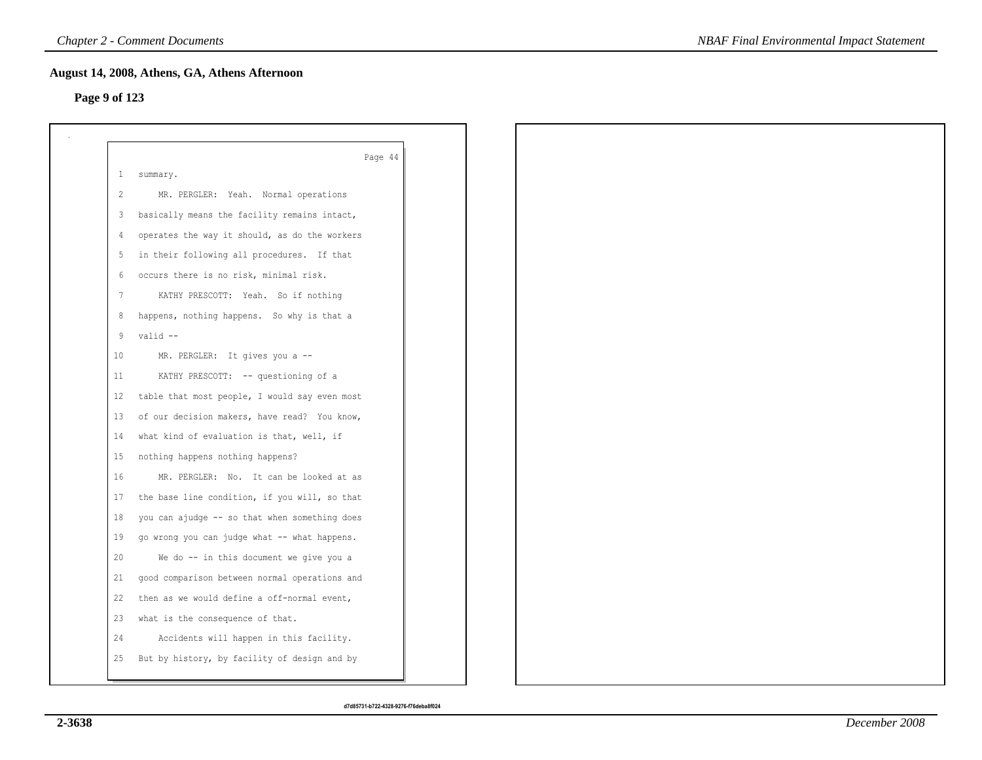# **Page 9 of 123**

|              | Page 44                                       |
|--------------|-----------------------------------------------|
| $\mathbf{1}$ | summary.                                      |
| 2            | MR. PERGLER: Yeah. Normal operations          |
| 3            | basically means the facility remains intact,  |
| 4            | operates the way it should, as do the workers |
| 5            | in their following all procedures. If that    |
| 6            | occurs there is no risk, minimal risk.        |
| 7            | KATHY PRESCOTT: Yeah. So if nothing           |
| 8            | happens, nothing happens. So why is that a    |
| 9            | valid --                                      |
| 10           | MR. PERGLER: It gives you a --                |
| 11           | KATHY PRESCOTT: -- questioning of a           |
| 12           | table that most people, I would say even most |
| 13           | of our decision makers, have read? You know,  |
| 14           | what kind of evaluation is that, well, if     |
| 15           | nothing happens nothing happens?              |
| 16           | MR. PERGLER: No. It can be looked at as       |
| 17           | the base line condition, if you will, so that |
| 18           | you can ajudge -- so that when something does |
| 19           | go wrong you can judge what -- what happens.  |
| 20           | We do -- in this document we give you a       |
| 21           | good comparison between normal operations and |
| 22           | then as we would define a off-normal event,   |
| 23           | what is the consequence of that.              |
| 24           | Accidents will happen in this facility.       |
| 25           | But by history, by facility of design and by  |
|              |                                               |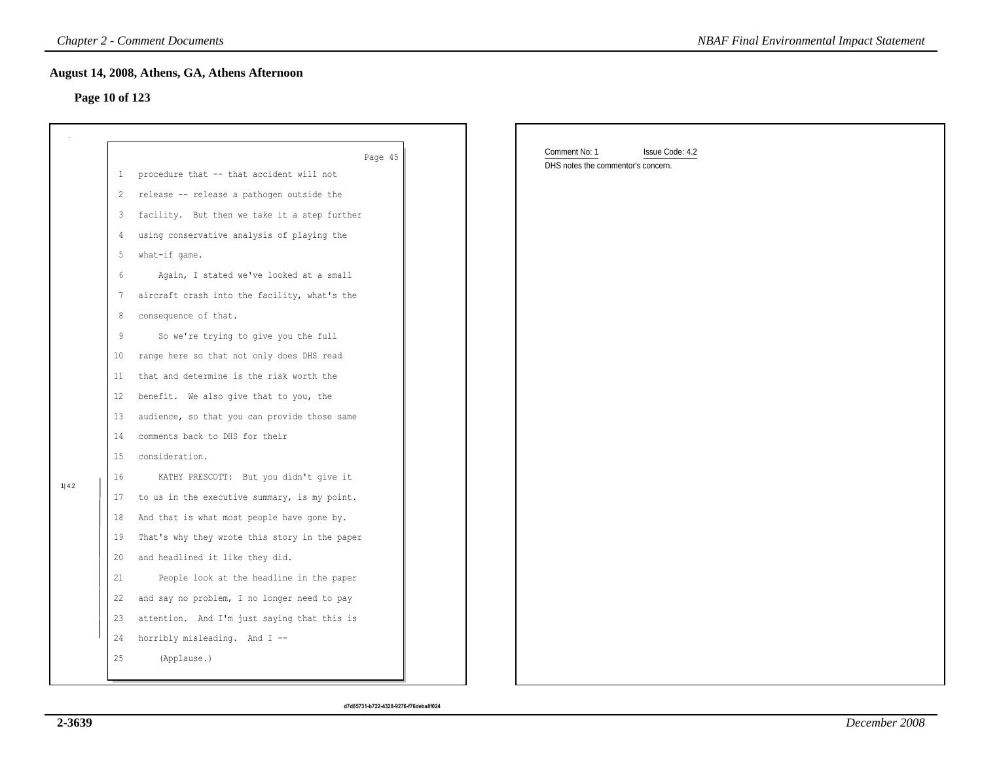## **Page 10 of 123**

|                |                                                                                                                        | <b>Chapter 2 - Comment Documents</b>                                                                                                                                                                                                                                                                                                                                                                                                                                                                                                                                                                                                                                                                                                                                                                                      | <b>NBAF Final Environmental Impact Statement</b>                       |
|----------------|------------------------------------------------------------------------------------------------------------------------|---------------------------------------------------------------------------------------------------------------------------------------------------------------------------------------------------------------------------------------------------------------------------------------------------------------------------------------------------------------------------------------------------------------------------------------------------------------------------------------------------------------------------------------------------------------------------------------------------------------------------------------------------------------------------------------------------------------------------------------------------------------------------------------------------------------------------|------------------------------------------------------------------------|
| Page 10 of 123 |                                                                                                                        | August 14, 2008, Athens, GA, Athens Afternoon                                                                                                                                                                                                                                                                                                                                                                                                                                                                                                                                                                                                                                                                                                                                                                             |                                                                        |
|                | $2^{\circ}$<br>3 <sup>7</sup><br>$\frac{4}{3}$                                                                         | Page 45<br>1 procedure that -- that accident will not<br>release -- release a pathogen outside the<br>facility. But then we take it a step further<br>using conservative analysis of playing the                                                                                                                                                                                                                                                                                                                                                                                                                                                                                                                                                                                                                          | Comment No: 1<br>Issue Code: 4.2<br>DHS notes the commentor's concern. |
| 1 4.2          | 5<br>6<br>7<br>8<br>9<br>10 <sup>°</sup><br>11<br>12<br>13<br>14<br>15<br>16<br>18<br>19<br>20<br>21<br>22<br>23<br>24 | what-if game.<br>Again, I stated we've looked at a small<br>aircraft crash into the facility, what's the<br>consequence of that.<br>So we're trying to give you the full<br>range here so that not only does DHS read<br>that and determine is the risk worth the<br>benefit. We also give that to you, the<br>audience, so that you can provide those same<br>comments back to DHS for their<br>consideration.<br>KATHY PRESCOTT: But you didn't give it<br>17 to us in the executive summary, is my point.<br>And that is what most people have gone by.<br>That's why they wrote this story in the paper<br>and headlined it like they did.<br>People look at the headline in the paper<br>and say no problem, I no longer need to pay<br>attention. And I'm just saying that this is<br>horribly misleading. And I -- |                                                                        |
|                | 25                                                                                                                     | (Applause.)                                                                                                                                                                                                                                                                                                                                                                                                                                                                                                                                                                                                                                                                                                                                                                                                               |                                                                        |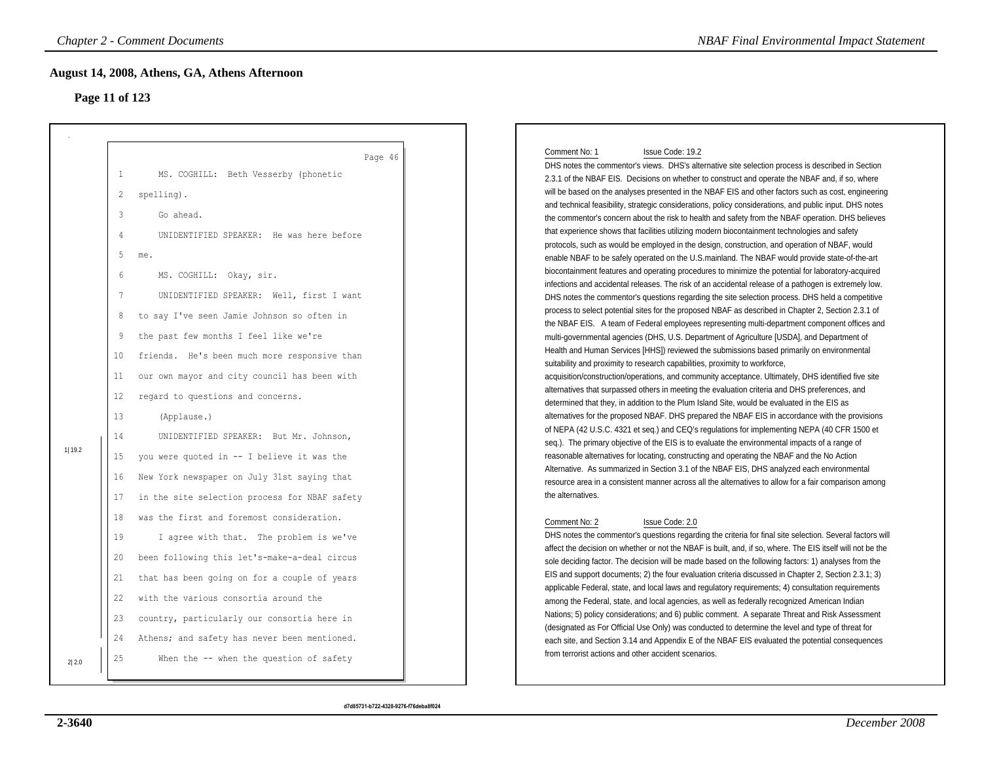## **Page 11 of 123**

|        | <b>Chapter 2 - Comment Documents</b>                                                                                                                                                                                                                                                                                                                                                                                                                                                                                                         | <b>NBAF Final Environmental Impact Statement</b>                                                                                                                                                                                                                                                                                                                                                                                                                                                                                                                                                                                                                                                                                                                                                                                                                                                                                                                                                                                                                                                                                                                                                                                                                                                                                                                                                                                                                                                                                                                                                                                                                                                                                                                                                                                                                                                                                               |
|--------|----------------------------------------------------------------------------------------------------------------------------------------------------------------------------------------------------------------------------------------------------------------------------------------------------------------------------------------------------------------------------------------------------------------------------------------------------------------------------------------------------------------------------------------------|------------------------------------------------------------------------------------------------------------------------------------------------------------------------------------------------------------------------------------------------------------------------------------------------------------------------------------------------------------------------------------------------------------------------------------------------------------------------------------------------------------------------------------------------------------------------------------------------------------------------------------------------------------------------------------------------------------------------------------------------------------------------------------------------------------------------------------------------------------------------------------------------------------------------------------------------------------------------------------------------------------------------------------------------------------------------------------------------------------------------------------------------------------------------------------------------------------------------------------------------------------------------------------------------------------------------------------------------------------------------------------------------------------------------------------------------------------------------------------------------------------------------------------------------------------------------------------------------------------------------------------------------------------------------------------------------------------------------------------------------------------------------------------------------------------------------------------------------------------------------------------------------------------------------------------------------|
|        | August 14, 2008, Athens, GA, Athens Afternoon<br>Page 11 of 123                                                                                                                                                                                                                                                                                                                                                                                                                                                                              |                                                                                                                                                                                                                                                                                                                                                                                                                                                                                                                                                                                                                                                                                                                                                                                                                                                                                                                                                                                                                                                                                                                                                                                                                                                                                                                                                                                                                                                                                                                                                                                                                                                                                                                                                                                                                                                                                                                                                |
|        | Page 46<br>$1\,$<br>MS. COGHILL: Beth Vesserby (phonetic<br>2<br>spelling).<br>$\overline{3}$<br>Go ahead.<br>$\overline{4}$<br>UNIDENTIFIED SPEAKER: He was here before                                                                                                                                                                                                                                                                                                                                                                     | Comment No: 1<br>Issue Code: 19.2<br>DHS notes the commentor's views. DHS's alternative site selection process is described in Section<br>2.3.1 of the NBAF EIS. Decisions on whether to construct and operate the NBAF and, if so, where<br>will be based on the analyses presented in the NBAF EIS and other factors such as cost, engineering<br>and technical feasibility, strategic considerations, policy considerations, and public input. DHS notes<br>the commentor's concern about the risk to health and safety from the NBAF operation. DHS believes<br>that experience shows that facilities utilizing modern biocontainment technologies and safety                                                                                                                                                                                                                                                                                                                                                                                                                                                                                                                                                                                                                                                                                                                                                                                                                                                                                                                                                                                                                                                                                                                                                                                                                                                                              |
| 1 19.2 | 5<br>me.<br>6<br>MS. COGHILL: Okay, sir.<br>$\overline{7}$<br>UNIDENTIFIED SPEAKER: Well, first I want<br>to say I've seen Jamie Johnson so often in<br>8<br>the past few months I feel like we're<br>9<br>friends. He's been much more responsive than<br>10<br>our own mayor and city council has been with<br>11<br>regard to questions and concerns.<br>12<br>13<br>(Applause.)<br>14<br>UNIDENTIFIED SPEAKER: But Mr. Johnson,<br>you were quoted in -- I believe it was the<br>15<br>New York newspaper on July 31st saying that<br>16 | protocols, such as would be employed in the design, construction, and operation of NBAF, would<br>enable NBAF to be safely operated on the U.S.mainland. The NBAF would provide state-of-the-art<br>biocontainment features and operating procedures to minimize the potential for laboratory-acquired<br>infections and accidental releases. The risk of an accidental release of a pathogen is extremely low.<br>DHS notes the commentor's questions regarding the site selection process. DHS held a competitive<br>process to select potential sites for the proposed NBAF as described in Chapter 2, Section 2.3.1 of<br>the NBAF EIS. A team of Federal employees representing multi-department component offices and<br>multi-governmental agencies (DHS, U.S. Department of Agriculture [USDA], and Department of<br>Health and Human Services [HHS]) reviewed the submissions based primarily on environmental<br>suitability and proximity to research capabilities, proximity to workforce,<br>acquisition/construction/operations, and community acceptance. Ultimately, DHS identified five site<br>alternatives that surpassed others in meeting the evaluation criteria and DHS preferences, and<br>determined that they, in addition to the Plum Island Site, would be evaluated in the EIS as<br>alternatives for the proposed NBAF. DHS prepared the NBAF EIS in accordance with the provisions<br>of NEPA (42 U.S.C. 4321 et seq.) and CEQ's regulations for implementing NEPA (40 CFR 1500 et<br>seq.). The primary objective of the EIS is to evaluate the environmental impacts of a range of<br>reasonable alternatives for locating, constructing and operating the NBAF and the No Action<br>Alternative. As summarized in Section 3.1 of the NBAF EIS, DHS analyzed each environmental<br>resource area in a consistent manner across all the alternatives to allow for a fair comparison among<br>the alternatives. |
| 2 2.0  | in the site selection process for NBAF safety<br>17<br>was the first and foremost consideration.<br>18<br>19<br>I agree with that. The problem is we've<br>been following this let's-make-a-deal circus<br>20<br>21<br>that has been going on for a couple of years<br>with the various consortia around the<br>22<br>country, particularly our consortia here in<br>23<br>Athens; and safety has never been mentioned.<br>24<br>25<br>When the -- when the question of safety                                                               | Comment No: 2<br>Issue Code: 2.0<br>DHS notes the commentor's questions regarding the criteria for final site selection. Several factors will<br>affect the decision on whether or not the NBAF is built, and, if so, where. The EIS itself will not be the<br>sole deciding factor. The decision will be made based on the following factors: 1) analyses from the<br>EIS and support documents; 2) the four evaluation criteria discussed in Chapter 2, Section 2.3.1; 3)<br>applicable Federal, state, and local laws and regulatory requirements; 4) consultation requirements<br>among the Federal, state, and local agencies, as well as federally recognized American Indian<br>Nations; 5) policy considerations; and 6) public comment. A separate Threat and Risk Assessment<br>(designated as For Official Use Only) was conducted to determine the level and type of threat for<br>each site, and Section 3.14 and Appendix E of the NBAF EIS evaluated the potential consequences<br>from terrorist actions and other accident scenarios.                                                                                                                                                                                                                                                                                                                                                                                                                                                                                                                                                                                                                                                                                                                                                                                                                                                                                         |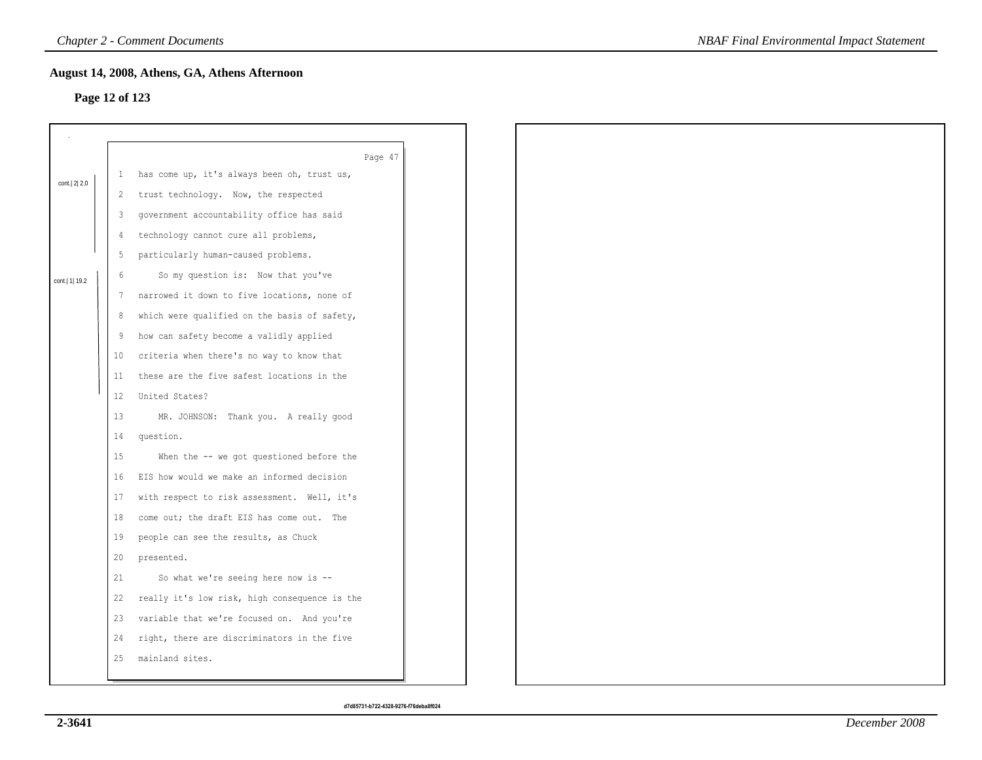## **Page 12 of 123**

|                 |                 | August 14, 2008, Athens, GA, Athens Afternoon |
|-----------------|-----------------|-----------------------------------------------|
| Page 12 of 123  |                 |                                               |
|                 |                 |                                               |
|                 |                 | Page 47                                       |
| cont. 2 2.0     |                 | 1 has come up, it's always been oh, trust us, |
|                 | 2               | trust technology. Now, the respected          |
|                 | 3               | government accountability office has said     |
|                 | $\frac{4}{3}$   | technology cannot cure all problems,          |
|                 | 5               | particularly human-caused problems.           |
| cont.   1  19.2 | $\epsilon$      | So my question is: Now that you've            |
|                 | 7               | narrowed it down to five locations, none of   |
|                 | 8               | which were qualified on the basis of safety,  |
|                 | 9               | how can safety become a validly applied       |
|                 | 10              | criteria when there's no way to know that     |
|                 | 11              | these are the five safest locations in the    |
|                 | 12 <sup>°</sup> | United States?                                |
|                 | 13              | MR. JOHNSON: Thank you. A really good         |
|                 | 14              | question.                                     |
|                 | 15              | When the -- we got questioned before the      |
|                 | 16              | EIS how would we make an informed decision    |
|                 | 17              | with respect to risk assessment. Well, it's   |
|                 | 18              | come out; the draft EIS has come out. The     |
|                 | 19              | people can see the results, as Chuck          |
|                 | 20              | presented.                                    |
|                 | 21              | So what we're seeing here now is --           |
|                 | 22              | really it's low risk, high consequence is the |
|                 | 23              | variable that we're focused on. And you're    |
|                 | 24              | right, there are discriminators in the five   |
|                 | 25              | mainland sites.                               |
|                 |                 |                                               |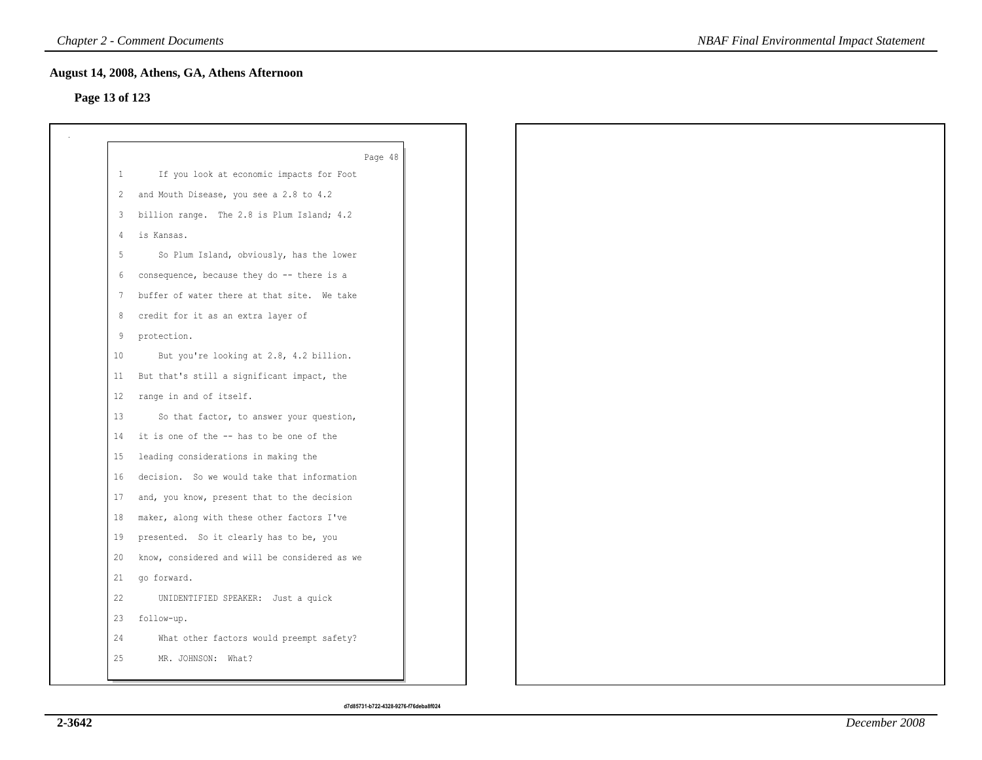# **Page 13 of 123**

|    | Page 48                                       |  |
|----|-----------------------------------------------|--|
| 1  | If you look at economic impacts for Foot      |  |
| 2  | and Mouth Disease, you see a 2.8 to 4.2       |  |
| 3  | billion range. The 2.8 is Plum Island; 4.2    |  |
| 4  | is Kansas.                                    |  |
|    | So Plum Island, obviously, has the lower      |  |
| 6  | consequence, because they do -- there is a    |  |
| 7  | buffer of water there at that site. We take   |  |
| 8  | credit for it as an extra layer of            |  |
| 9  | protection.                                   |  |
| 10 | But you're looking at 2.8, 4.2 billion.       |  |
| 11 | But that's still a significant impact, the    |  |
| 12 | range in and of itself.                       |  |
| 13 | So that factor, to answer your question,      |  |
| 14 | it is one of the -- has to be one of the      |  |
| 15 | leading considerations in making the          |  |
| 16 | decision. So we would take that information   |  |
| 17 | and, you know, present that to the decision   |  |
| 18 | maker, along with these other factors I've    |  |
| 19 | presented. So it clearly has to be, you       |  |
| 20 | know, considered and will be considered as we |  |
| 21 | go forward.                                   |  |
| 22 | UNIDENTIFIED SPEAKER: Just a quick            |  |
| 23 | follow-up.                                    |  |
| 24 | What other factors would preempt safety?      |  |
| 25 | MR. JOHNSON: What?                            |  |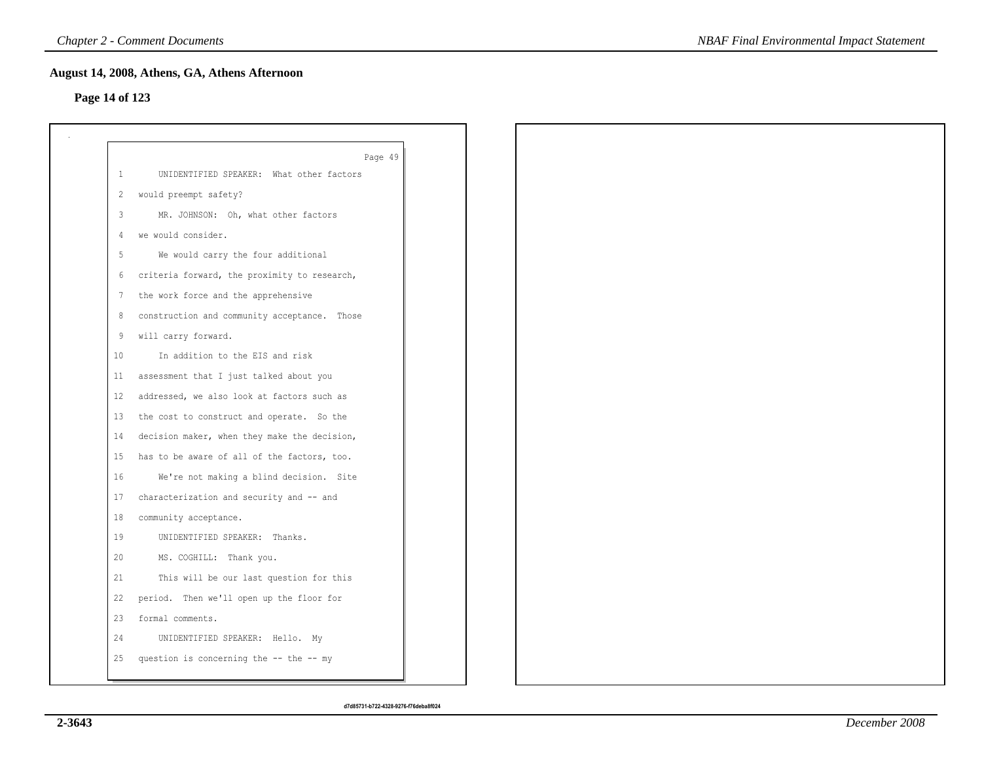## **Page 14 of 123**

|                | Page 49                                      |
|----------------|----------------------------------------------|
| -1             | UNIDENTIFIED SPEAKER: What other factors     |
| 2              | would preempt safety?                        |
| 3              | MR. JOHNSON: Oh, what other factors          |
| $\overline{4}$ | we would consider.                           |
| 5              | We would carry the four additional           |
| 6              | criteria forward, the proximity to research, |
| 7              | the work force and the apprehensive          |
| 8              | construction and community acceptance. Those |
| 9              | will carry forward.                          |
| 10             | In addition to the EIS and risk              |
| 11             | assessment that I just talked about you      |
| 12             | addressed, we also look at factors such as   |
| 13             | the cost to construct and operate. So the    |
| 14             | decision maker, when they make the decision, |
| 15             | has to be aware of all of the factors, too.  |
| 16             | We're not making a blind decision. Site      |
| 17             | characterization and security and -- and     |
| 18             | community acceptance.                        |
| 19             | UNIDENTIFIED SPEAKER: Thanks.                |
| 20             | MS. COGHILL: Thank you.                      |
| 21             | This will be our last question for this      |
| 22             | period. Then we'll open up the floor for     |
| 23             | formal comments.                             |
| 24             | UNIDENTIFIED SPEAKER: Hello. My              |
| 25             | question is concerning the -- the -- my      |
|                |                                              |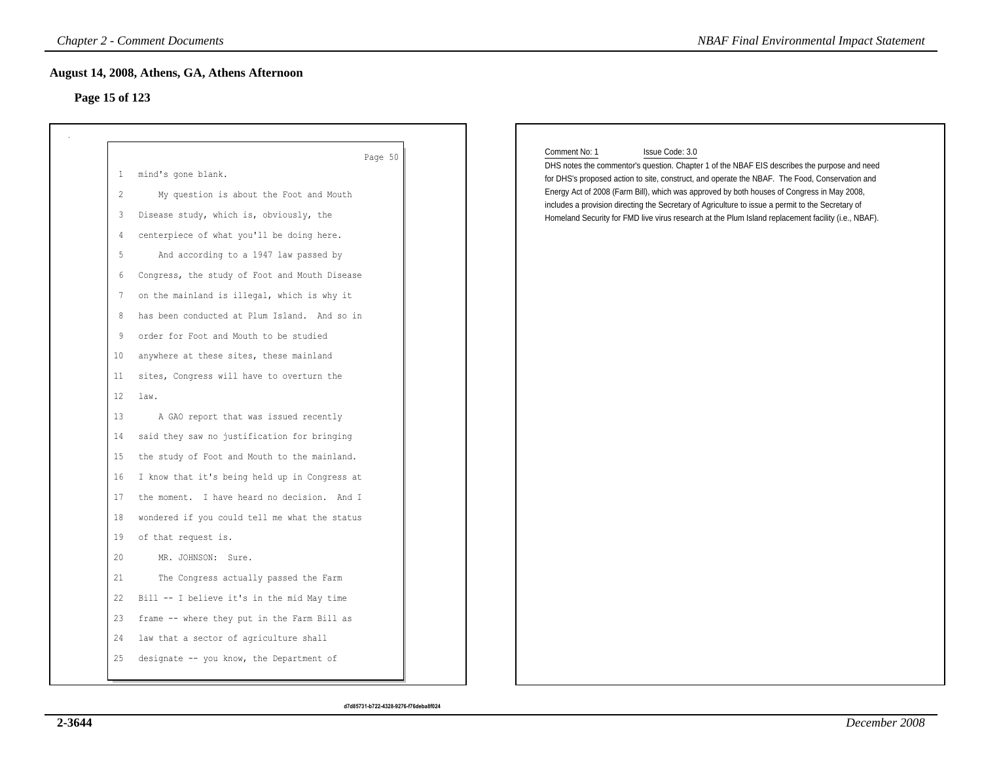# **Page 15 of 123**

| Page 15 of 123 |                                               |                                                                                                                                                                                                                                                                                                                                                                                                          |
|----------------|-----------------------------------------------|----------------------------------------------------------------------------------------------------------------------------------------------------------------------------------------------------------------------------------------------------------------------------------------------------------------------------------------------------------------------------------------------------------|
| $\mathbf{1}$   | Page 50<br>mind's gone blank.                 | Comment No: 1<br>Issue Code: 3.0<br>DHS notes the commentor's question. Chapter 1 of the NBAF EIS describes the purpose and need                                                                                                                                                                                                                                                                         |
| 2              | My question is about the Foot and Mouth       | for DHS's proposed action to site, construct, and operate the NBAF. The Food, Conservation and<br>Energy Act of 2008 (Farm Bill), which was approved by both houses of Congress in May 2008,<br>includes a provision directing the Secretary of Agriculture to issue a permit to the Secretary of<br>Homeland Security for FMD live virus research at the Plum Island replacement facility (i.e., NBAF). |
| $\overline{3}$ | Disease study, which is, obviously, the       |                                                                                                                                                                                                                                                                                                                                                                                                          |
| 4              | centerpiece of what you'll be doing here.     |                                                                                                                                                                                                                                                                                                                                                                                                          |
| 5              | And according to a 1947 law passed by         |                                                                                                                                                                                                                                                                                                                                                                                                          |
| 6              | Congress, the study of Foot and Mouth Disease |                                                                                                                                                                                                                                                                                                                                                                                                          |
| 7              | on the mainland is illegal, which is why it   |                                                                                                                                                                                                                                                                                                                                                                                                          |
| 8              | has been conducted at Plum Island. And so in  |                                                                                                                                                                                                                                                                                                                                                                                                          |
| 9              | order for Foot and Mouth to be studied        |                                                                                                                                                                                                                                                                                                                                                                                                          |
| $10\,$         | anywhere at these sites, these mainland       |                                                                                                                                                                                                                                                                                                                                                                                                          |
| 11             | sites, Congress will have to overturn the     |                                                                                                                                                                                                                                                                                                                                                                                                          |
| 12             | law.                                          |                                                                                                                                                                                                                                                                                                                                                                                                          |
| 13             | A GAO report that was issued recently         |                                                                                                                                                                                                                                                                                                                                                                                                          |
| 14             | said they saw no justification for bringing   |                                                                                                                                                                                                                                                                                                                                                                                                          |
| 15             | the study of Foot and Mouth to the mainland.  |                                                                                                                                                                                                                                                                                                                                                                                                          |
| 16             | I know that it's being held up in Congress at |                                                                                                                                                                                                                                                                                                                                                                                                          |
| 17             | the moment. I have heard no decision. And I   |                                                                                                                                                                                                                                                                                                                                                                                                          |
| 18             | wondered if you could tell me what the status |                                                                                                                                                                                                                                                                                                                                                                                                          |
| 19             | of that request is.                           |                                                                                                                                                                                                                                                                                                                                                                                                          |
| 20             | MR. JOHNSON: Sure.                            |                                                                                                                                                                                                                                                                                                                                                                                                          |
| 21             | The Congress actually passed the Farm         |                                                                                                                                                                                                                                                                                                                                                                                                          |
| 22             | Bill -- I believe it's in the mid May time    |                                                                                                                                                                                                                                                                                                                                                                                                          |
| 23             | frame -- where they put in the Farm Bill as   |                                                                                                                                                                                                                                                                                                                                                                                                          |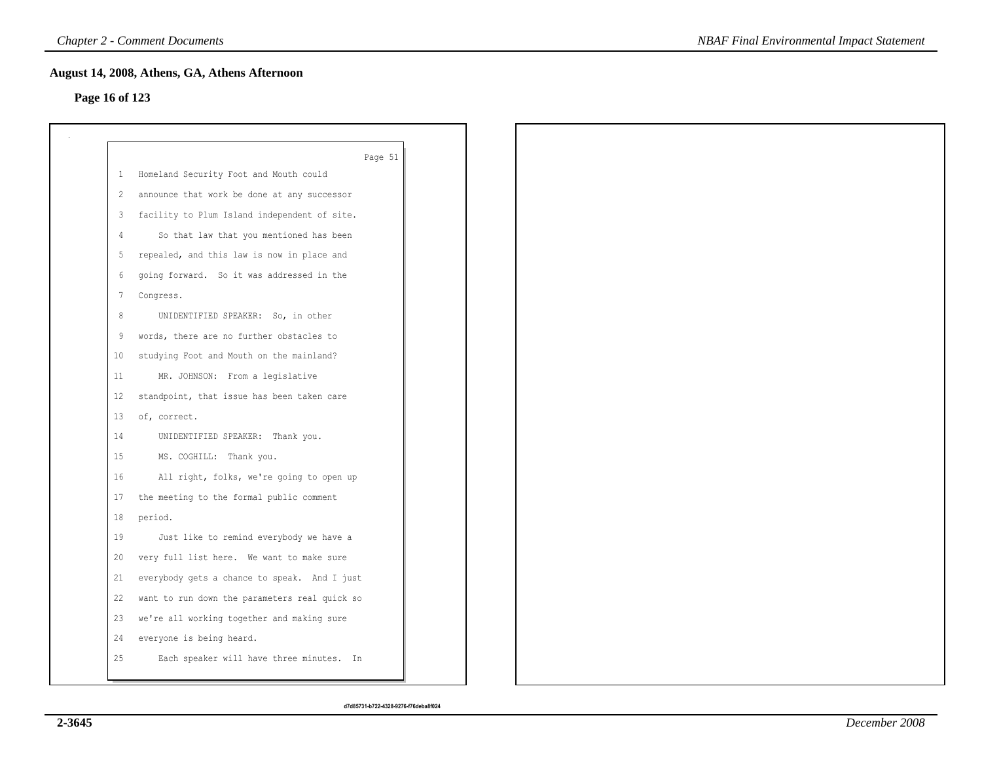## **Page 16 of 123**

|                 | Page 51                                       |
|-----------------|-----------------------------------------------|
| $\mathbf{1}$    | Homeland Security Foot and Mouth could        |
| 2               | announce that work be done at any successor   |
| 3               | facility to Plum Island independent of site.  |
| 4               | So that law that you mentioned has been       |
| -5              | repealed, and this law is now in place and    |
| 6               | going forward. So it was addressed in the     |
| $7\phantom{.0}$ | Congress.                                     |
| 8               | UNIDENTIFIED SPEAKER: So, in other            |
| 9               | words, there are no further obstacles to      |
| 10              | studying Foot and Mouth on the mainland?      |
| 11              | MR. JOHNSON: From a legislative               |
| 12              | standpoint, that issue has been taken care    |
| 13              | of, correct.                                  |
| 14              | UNIDENTIFIED SPEAKER: Thank you.              |
| 15              | MS. COGHILL: Thank you.                       |
| 16              | All right, folks, we're going to open up      |
| 17              | the meeting to the formal public comment      |
| 18              | period.                                       |
| 19              | Just like to remind everybody we have a       |
| 20              | very full list here. We want to make sure     |
| 21              | everybody gets a chance to speak. And I just  |
| 22              | want to run down the parameters real quick so |
| 23              | we're all working together and making sure    |
| 24              | everyone is being heard.                      |
| 25              | Each speaker will have three minutes. In      |
|                 |                                               |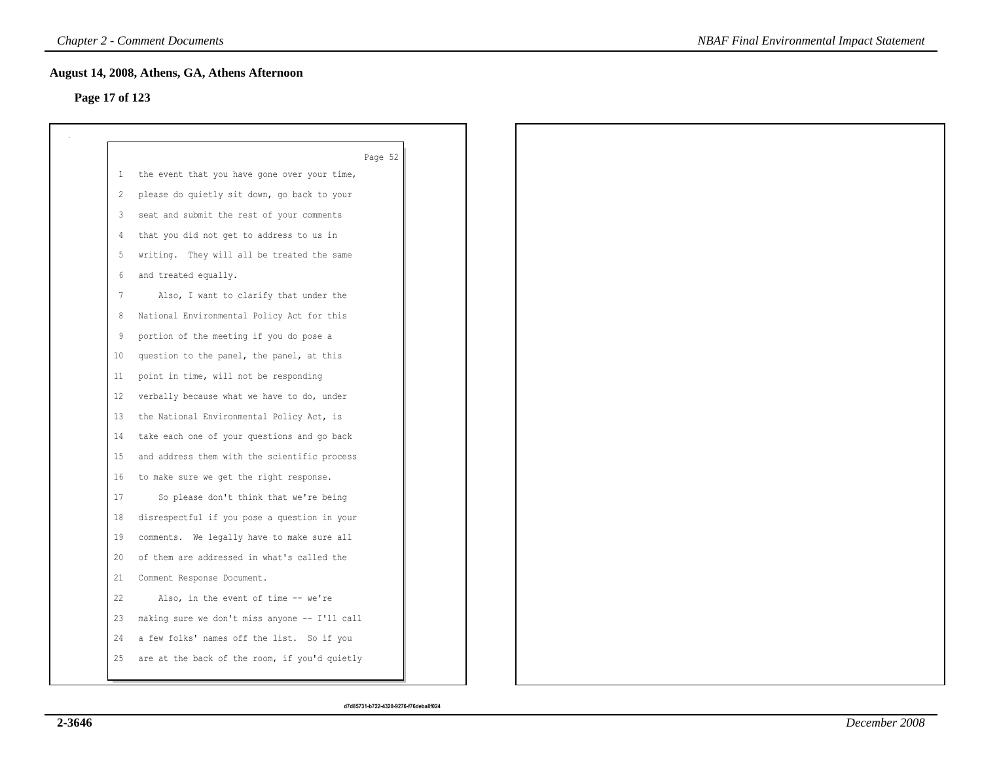## **Page 17 of 123**

|              | Page 52                                       |
|--------------|-----------------------------------------------|
| $\mathbf{1}$ | the event that you have gone over your time,  |
| 2            | please do quietly sit down, go back to your   |
| 3            | seat and submit the rest of your comments     |
| 4            | that you did not get to address to us in      |
| 5            | writing. They will all be treated the same    |
| -6           | and treated equally.                          |
| 7            | Also, I want to clarify that under the        |
| 8            | National Environmental Policy Act for this    |
| 9            | portion of the meeting if you do pose a       |
| 10           | question to the panel, the panel, at this     |
| 11           | point in time, will not be responding         |
| 12           | verbally because what we have to do, under    |
| 13           | the National Environmental Policy Act, is     |
| 14           | take each one of your questions and go back   |
| 15           | and address them with the scientific process  |
| 16           | to make sure we get the right response.       |
| 17           | So please don't think that we're being        |
| 18           | disrespectful if you pose a question in your  |
| 19           | comments. We legally have to make sure all    |
| 20           | of them are addressed in what's called the    |
| 21           | Comment Response Document.                    |
| 22           | Also, in the event of time -- we're           |
| 23           | making sure we don't miss anyone -- I'll call |
| 24           | a few folks' names off the list. So if you    |
| 25           | are at the back of the room, if you'd quietly |
|              |                                               |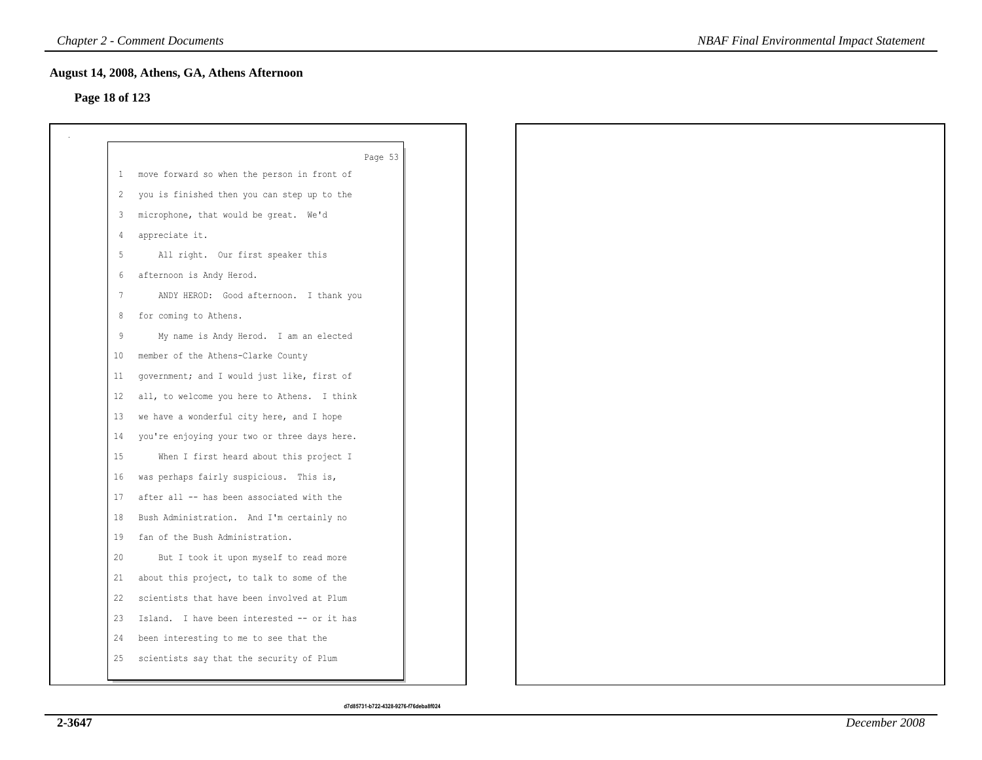## **Page 18 of 123**

|    | Page 53                                      |
|----|----------------------------------------------|
| 1  | move forward so when the person in front of  |
| 2  | you is finished then you can step up to the  |
| 3  | microphone, that would be great. We'd        |
| 4  | appreciate it.                               |
| 5  | All right. Our first speaker this            |
| 6  | afternoon is Andy Herod.                     |
| -7 | ANDY HEROD: Good afternoon. I thank you      |
| 8  | for coming to Athens.                        |
| 9  | My name is Andy Herod. I am an elected       |
| 10 | member of the Athens-Clarke County           |
| 11 | government; and I would just like, first of  |
| 12 | all, to welcome you here to Athens. I think  |
| 13 | we have a wonderful city here, and I hope    |
| 14 | you're enjoying your two or three days here. |
| 15 | When I first heard about this project I      |
| 16 | was perhaps fairly suspicious. This is,      |
| 17 | after all -- has been associated with the    |
| 18 | Bush Administration. And I'm certainly no    |
| 19 | fan of the Bush Administration.              |
| 20 | But I took it upon myself to read more       |
| 21 | about this project, to talk to some of the   |
| 22 | scientists that have been involved at Plum   |
| 23 | Island. I have been interested -- or it has  |
| 24 | been interesting to me to see that the       |
| 25 | scientists say that the security of Plum     |
|    |                                              |

*NBAF Final Environmental Impact Statement*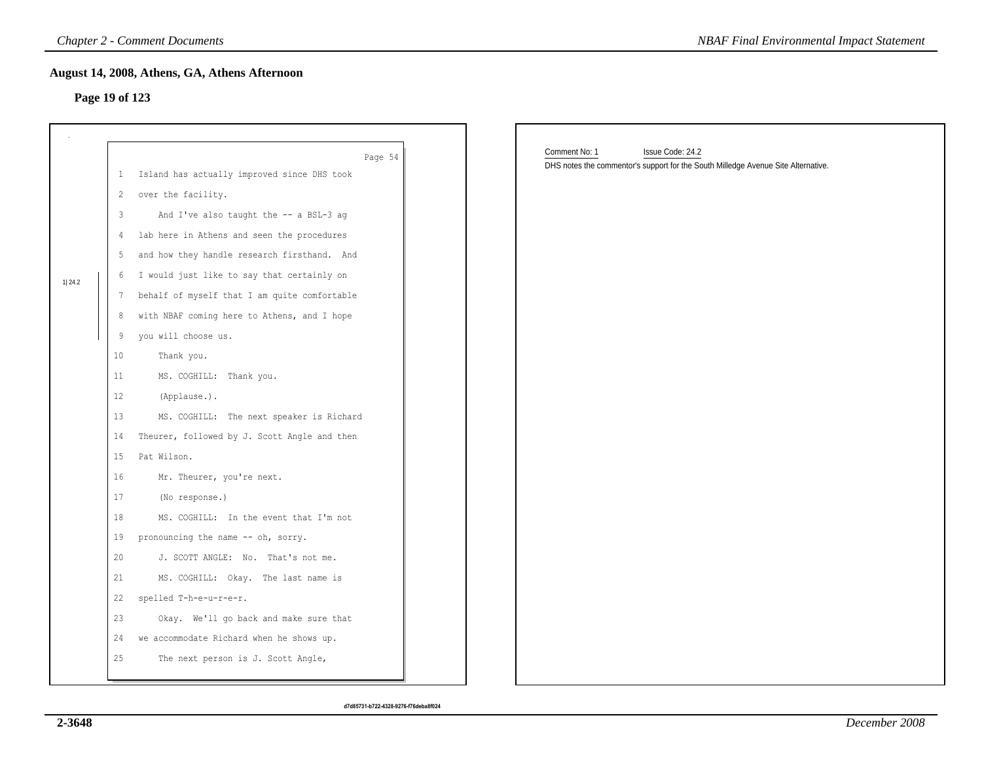## **Page 19 of 123**

|        |                | <b>Chapter 2 - Comment Documents</b>                   | <b>NBAF Final Environmental Impact Statement</b>                                  |
|--------|----------------|--------------------------------------------------------|-----------------------------------------------------------------------------------|
|        |                | August 14, 2008, Athens, GA, Athens Afternoon          |                                                                                   |
|        | Page 19 of 123 |                                                        |                                                                                   |
|        |                |                                                        |                                                                                   |
|        |                |                                                        | Comment No: 1<br>Issue Code: 24.2                                                 |
|        | $\mathbf{1}$   | Page 54<br>Island has actually improved since DHS took | DHS notes the commentor's support for the South Milledge Avenue Site Alternative. |
|        | $\overline{c}$ | over the facility.                                     |                                                                                   |
|        | 3              | And I've also taught the -- a BSL-3 ag                 |                                                                                   |
|        | $\overline{4}$ | lab here in Athens and seen the procedures             |                                                                                   |
|        | 5              | and how they handle research firsthand. And            |                                                                                   |
|        | 6              | I would just like to say that certainly on             |                                                                                   |
| 1 24.2 | 7              | behalf of myself that I am quite comfortable           |                                                                                   |
|        | 8              | with NBAF coming here to Athens, and I hope            |                                                                                   |
|        | 9              | you will choose us.                                    |                                                                                   |
|        | 10             | Thank you.                                             |                                                                                   |
|        | 11             | MS. COGHILL: Thank you.                                |                                                                                   |
|        | 12             | (Applause.).                                           |                                                                                   |
|        | 13             | MS. COGHILL: The next speaker is Richard               |                                                                                   |
|        | 14             | Theurer, followed by J. Scott Angle and then           |                                                                                   |
|        | 15             | Pat Wilson.                                            |                                                                                   |
|        | 16             | Mr. Theurer, you're next.                              |                                                                                   |
|        | 17             | (No response.)                                         |                                                                                   |
|        | 18             | MS. COGHILL: In the event that I'm not                 |                                                                                   |
|        | 19             | pronouncing the name -- oh, sorry.                     |                                                                                   |
|        | 20             | J. SCOTT ANGLE: No. That's not me.                     |                                                                                   |
|        | 21             | MS. COGHILL: Okay. The last name is                    |                                                                                   |
|        | 22             | spelled T-h-e-u-r-e-r.                                 |                                                                                   |
|        | 23             | Okay. We'll go back and make sure that                 |                                                                                   |
|        | 24             | we accommodate Richard when he shows up.               |                                                                                   |
|        | 25             | The next person is J. Scott Angle,                     |                                                                                   |
|        |                |                                                        |                                                                                   |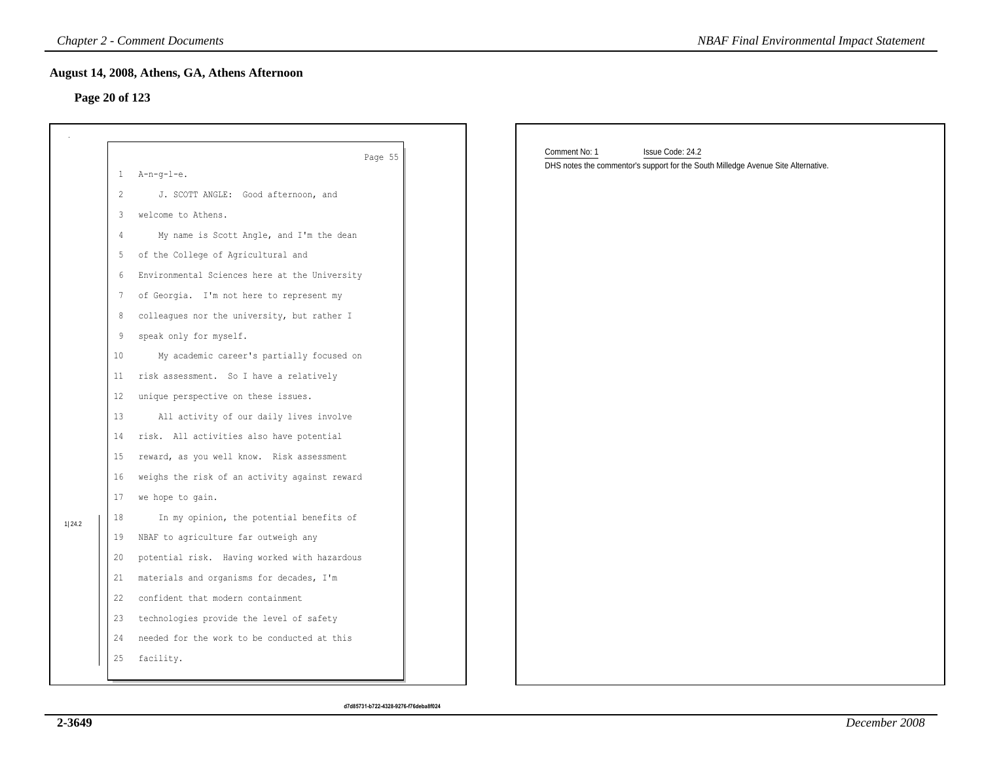## **Page 20 of 123**

|                |         | <b>Chapter 2 - Comment Documents</b>          | <b>NBAF Final Environmental Impact Statement</b>                                                                       |
|----------------|---------|-----------------------------------------------|------------------------------------------------------------------------------------------------------------------------|
| Page 20 of 123 |         | August 14, 2008, Athens, GA, Athens Afternoon |                                                                                                                        |
|                |         | Page 55                                       | Comment No: 1<br>Issue Code: 24.2<br>DHS notes the commentor's support for the South Milledge Avenue Site Alternative. |
|                |         | $1$ A-n-q-l-e.                                |                                                                                                                        |
|                | 2       | J. SCOTT ANGLE: Good afternoon, and           |                                                                                                                        |
|                | 3       | welcome to Athens.                            |                                                                                                                        |
|                | 4       | My name is Scott Angle, and I'm the dean      |                                                                                                                        |
|                | 5       | of the College of Agricultural and            |                                                                                                                        |
|                | 6       | Environmental Sciences here at the University |                                                                                                                        |
|                | 7       | of Georgia. I'm not here to represent my      |                                                                                                                        |
|                | 8       | colleagues nor the university, but rather I   |                                                                                                                        |
|                | 9       | speak only for myself.                        |                                                                                                                        |
|                | 10      | My academic career's partially focused on     |                                                                                                                        |
|                | 11      | risk assessment. So I have a relatively       |                                                                                                                        |
|                | $12 \,$ | unique perspective on these issues.           |                                                                                                                        |
|                | 13      | All activity of our daily lives involve       |                                                                                                                        |
|                | 14      | risk. All activities also have potential      |                                                                                                                        |
|                | 15      | reward, as you well know. Risk assessment     |                                                                                                                        |
|                | 16      | weighs the risk of an activity against reward |                                                                                                                        |
|                | 17      | we hope to gain.                              |                                                                                                                        |
| 1 24.2         | 18      | In my opinion, the potential benefits of      |                                                                                                                        |
|                | 19      | NBAF to agriculture far outweigh any          |                                                                                                                        |
|                | 20      | potential risk. Having worked with hazardous  |                                                                                                                        |
|                | 21      | materials and organisms for decades, I'm      |                                                                                                                        |
|                | 22      | confident that modern containment             |                                                                                                                        |
|                | 23      | technologies provide the level of safety      |                                                                                                                        |
|                | 24      | needed for the work to be conducted at this   |                                                                                                                        |
|                | 25      | facility.                                     |                                                                                                                        |
|                |         |                                               |                                                                                                                        |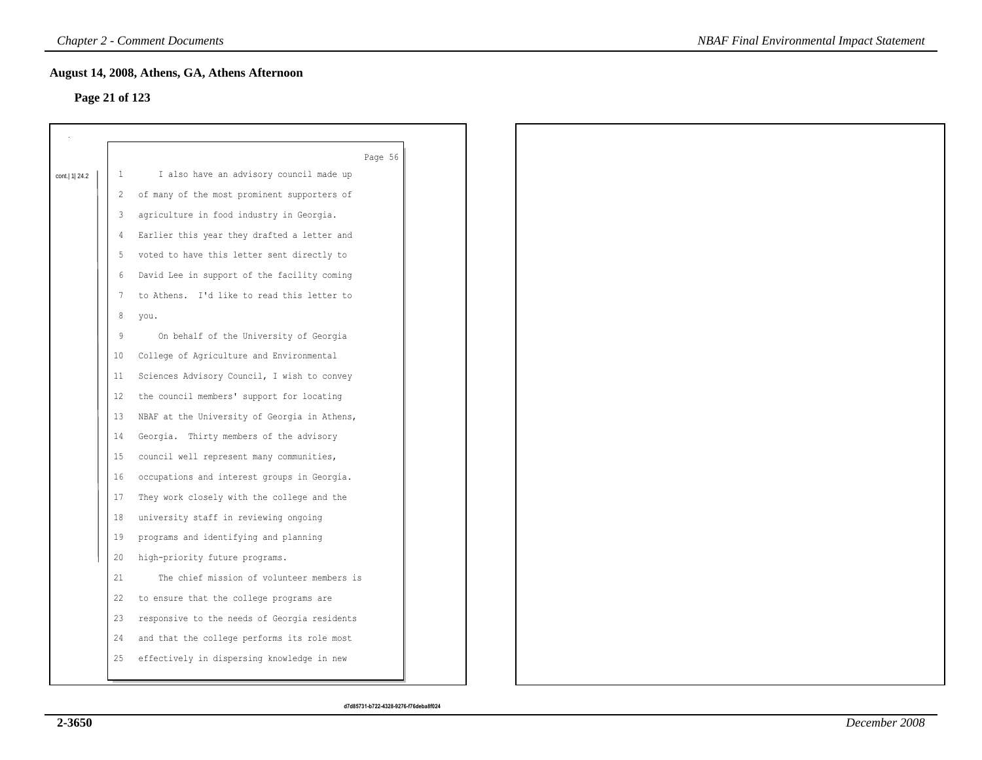## **Page 21 of 123**

|                  |                   | Page 56                                      |
|------------------|-------------------|----------------------------------------------|
| cont.   1   24.2 | -1                | I also have an advisory council made up      |
|                  | 2                 | of many of the most prominent supporters of  |
|                  | 3                 | agriculture in food industry in Georgia.     |
|                  |                   | Earlier this year they drafted a letter and  |
|                  | 5                 | voted to have this letter sent directly to   |
|                  | 6                 | David Lee in support of the facility coming  |
|                  | 7                 | to Athens. I'd like to read this letter to   |
|                  | 8                 | you.                                         |
|                  | 9                 | On behalf of the University of Georgia       |
|                  | 10                | College of Agriculture and Environmental     |
|                  | 11                | Sciences Advisory Council, I wish to convey  |
|                  | $12 \overline{ }$ | the council members' support for locating    |
|                  | 13                | NBAF at the University of Georgia in Athens, |
|                  | 14                | Georgia. Thirty members of the advisory      |
|                  | 15                | council well represent many communities,     |
|                  | 16                | occupations and interest groups in Georgia.  |
|                  | 17                | They work closely with the college and the   |
|                  | 18                | university staff in reviewing ongoing        |
|                  | 19                | programs and identifying and planning        |
|                  | 20                | high-priority future programs.               |
|                  | 21                | The chief mission of volunteer members is    |
|                  | 22                | to ensure that the college programs are      |
|                  | 23                | responsive to the needs of Georgia residents |
|                  | 24                | and that the college performs its role most  |
|                  | 25                | effectively in dispersing knowledge in new   |
|                  |                   |                                              |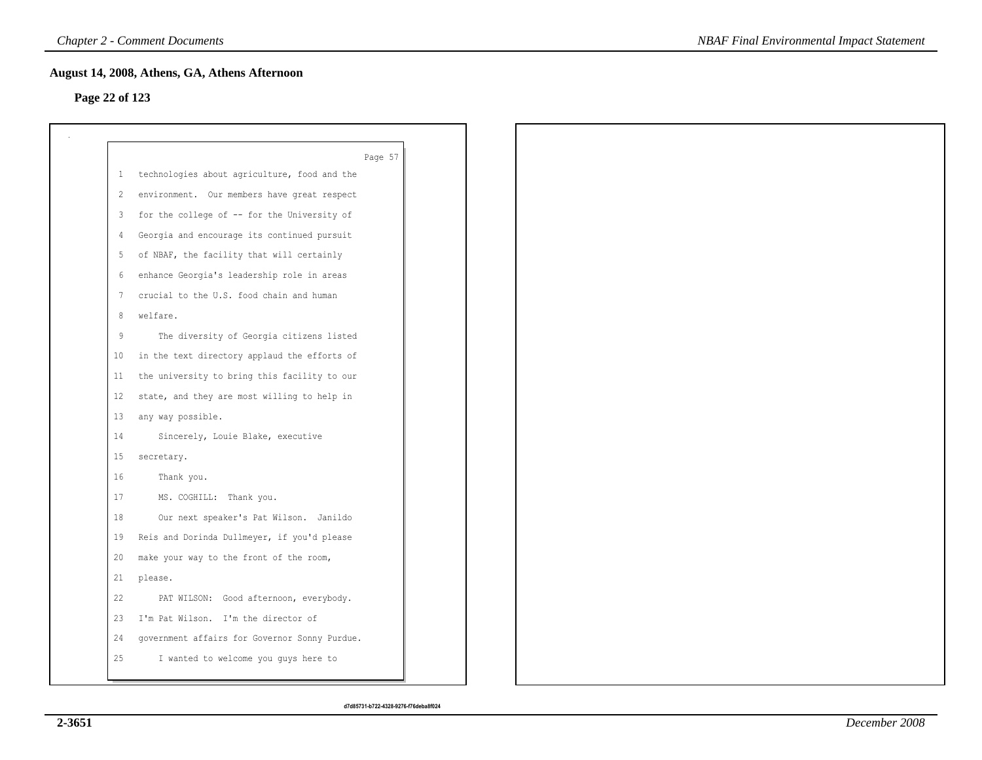## **Page 22 of 123**

|       | Page 57                                        |
|-------|------------------------------------------------|
|       | 1 technologies about agriculture, food and the |
| 2     | environment. Our members have great respect    |
| 3     | for the college of -- for the University of    |
| 4     | Georgia and encourage its continued pursuit    |
| 5     | of NBAF, the facility that will certainly      |
| 6     | enhance Georgia's leadership role in areas     |
| 7     | crucial to the U.S. food chain and human       |
| 8     | welfare.                                       |
| $\,9$ | The diversity of Georgia citizens listed       |
| 10    | in the text directory applaud the efforts of   |
| 11    | the university to bring this facility to our   |
| 12    | state, and they are most willing to help in    |
| 13    | any way possible.                              |
| 14    | Sincerely, Louie Blake, executive              |
| 15    | secretary.                                     |
| 16    | Thank you.                                     |
| 17    | MS. COGHILL: Thank you.                        |
| 18    | Our next speaker's Pat Wilson. Janildo         |
| 19    | Reis and Dorinda Dullmeyer, if you'd please    |
| 20    | make your way to the front of the room,        |
| 21    | please.                                        |
| 22    | PAT WILSON: Good afternoon, everybody.         |
| 23    | I'm Pat Wilson. I'm the director of            |
| 24    | government affairs for Governor Sonny Purdue.  |
| 25    | I wanted to welcome you guys here to           |
|       |                                                |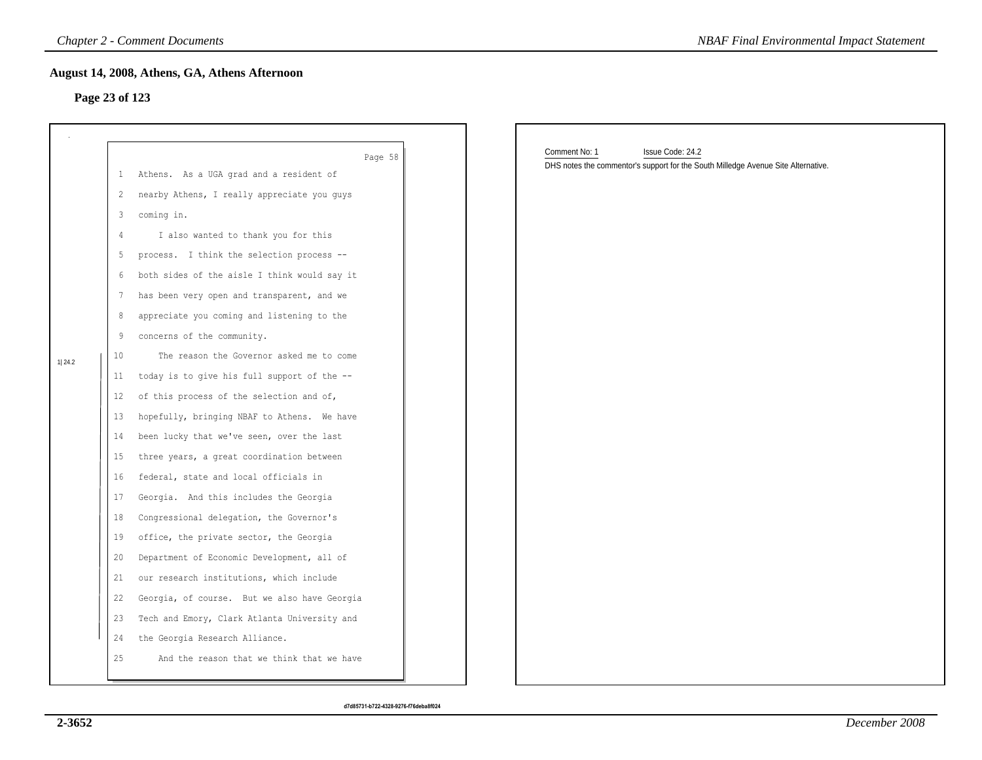## **Page 23 of 123**

|                |       | <b>Chapter 2 - Comment Documents</b>          | <b>NBAF Final Environmental Impact Statement</b>                                  |
|----------------|-------|-----------------------------------------------|-----------------------------------------------------------------------------------|
|                |       | August 14, 2008, Athens, GA, Athens Afternoon |                                                                                   |
| Page 23 of 123 |       |                                               |                                                                                   |
|                |       |                                               |                                                                                   |
|                |       | Page 58                                       | Comment No: 1<br>Issue Code: 24.2                                                 |
|                | $1 -$ | Athens. As a UGA grad and a resident of       | DHS notes the commentor's support for the South Milledge Avenue Site Alternative. |
|                | 2     | nearby Athens, I really appreciate you guys   |                                                                                   |
|                | 3     | coming in.                                    |                                                                                   |
|                | 4     | I also wanted to thank you for this           |                                                                                   |
|                | 5     | process. I think the selection process --     |                                                                                   |
|                | 6     | both sides of the aisle I think would say it  |                                                                                   |
|                | 7     | has been very open and transparent, and we    |                                                                                   |
|                | 8     | appreciate you coming and listening to the    |                                                                                   |
|                | 9     | concerns of the community.                    |                                                                                   |
| 1 24.2         | 10    | The reason the Governor asked me to come      |                                                                                   |
|                | 11    | today is to give his full support of the --   |                                                                                   |
|                | 12    | of this process of the selection and of,      |                                                                                   |
|                | 13    | hopefully, bringing NBAF to Athens. We have   |                                                                                   |
|                | 14    | been lucky that we've seen, over the last     |                                                                                   |
|                | 15    | three years, a great coordination between     |                                                                                   |
|                | 16    | federal, state and local officials in         |                                                                                   |
|                | 17    | Georgia. And this includes the Georgia        |                                                                                   |
|                | 18    | Congressional delegation, the Governor's      |                                                                                   |
|                | 19    | office, the private sector, the Georgia       |                                                                                   |
|                | 20    | Department of Economic Development, all of    |                                                                                   |
|                | 21    | our research institutions, which include      |                                                                                   |
|                | 22    | Georgia, of course. But we also have Georgia  |                                                                                   |
|                | 23    | Tech and Emory, Clark Atlanta University and  |                                                                                   |
|                | 24    | the Georgia Research Alliance.                |                                                                                   |
|                | 25    | And the reason that we think that we have     |                                                                                   |
|                |       |                                               |                                                                                   |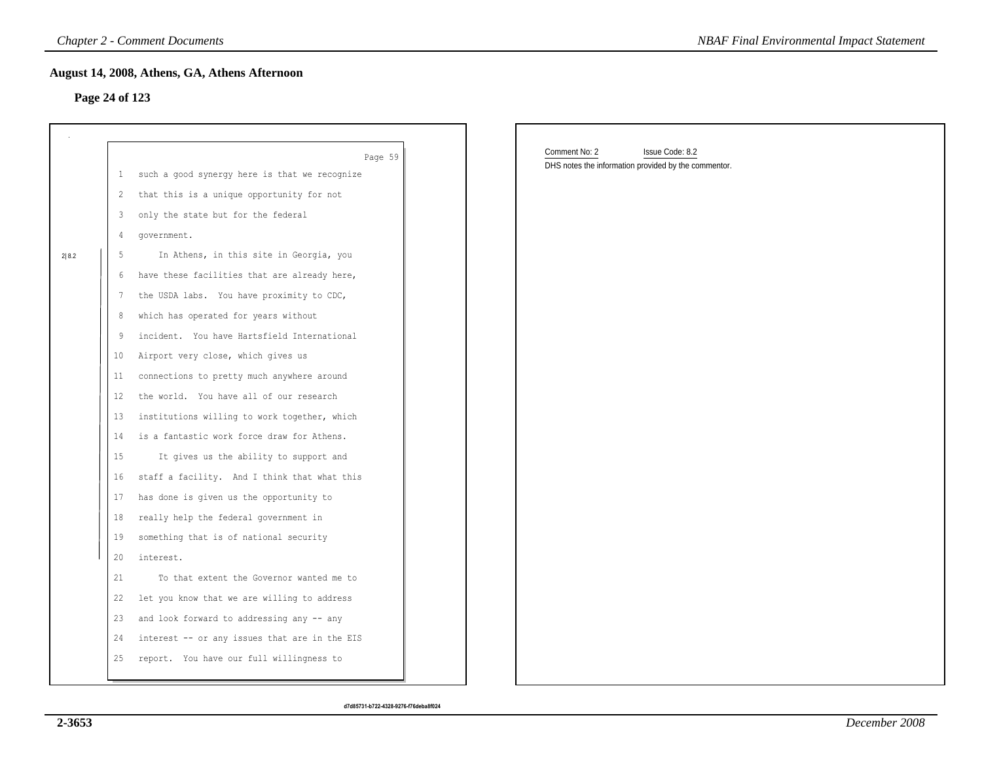## **Page 24 of 123**

|       |                | <b>Chapter 2 - Comment Documents</b>          | <b>NBAF Final Environmental Impact Statement</b>     |  |
|-------|----------------|-----------------------------------------------|------------------------------------------------------|--|
|       |                | August 14, 2008, Athens, GA, Athens Afternoon |                                                      |  |
|       | Page 24 of 123 |                                               |                                                      |  |
|       |                |                                               |                                                      |  |
|       |                |                                               |                                                      |  |
|       |                | Page 59                                       | Comment No: 2<br>Issue Code: 8.2                     |  |
|       | $\perp$        | such a good synergy here is that we recognize | DHS notes the information provided by the commentor. |  |
|       | 2              | that this is a unique opportunity for not     |                                                      |  |
|       | 3              | only the state but for the federal            |                                                      |  |
|       | 4              | government.                                   |                                                      |  |
| 2 8.2 | 5              | In Athens, in this site in Georgia, you       |                                                      |  |
|       | 6              | have these facilities that are already here,  |                                                      |  |
|       | 7              | the USDA labs. You have proximity to CDC,     |                                                      |  |
|       | 8              | which has operated for years without          |                                                      |  |
|       | 9              | incident. You have Hartsfield International   |                                                      |  |
|       | 10             | Airport very close, which gives us            |                                                      |  |
|       | 11             | connections to pretty much anywhere around    |                                                      |  |
|       | $12 \,$        | the world. You have all of our research       |                                                      |  |
|       | 13             | institutions willing to work together, which  |                                                      |  |
|       | 14             | is a fantastic work force draw for Athens.    |                                                      |  |
|       | 15             | It gives us the ability to support and        |                                                      |  |
|       | 16             | staff a facility. And I think that what this  |                                                      |  |
|       | 17             | has done is given us the opportunity to       |                                                      |  |
|       | 18             | really help the federal government in         |                                                      |  |
|       | 19             | something that is of national security        |                                                      |  |
|       | 20             | interest.                                     |                                                      |  |
|       | 21             | To that extent the Governor wanted me to      |                                                      |  |
|       | 22             | let you know that we are willing to address   |                                                      |  |
|       | 23             | and look forward to addressing any -- any     |                                                      |  |
|       | 24             | interest -- or any issues that are in the EIS |                                                      |  |
|       | 25             | report. You have our full willingness to      |                                                      |  |
|       |                |                                               |                                                      |  |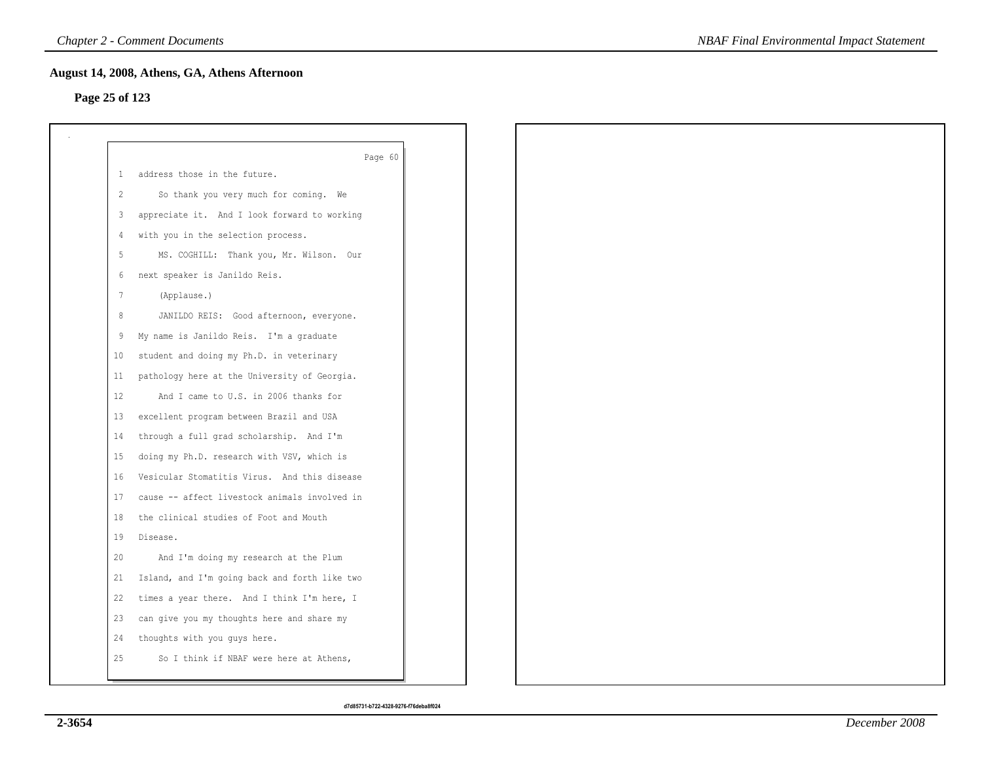## **Page 25 of 123**

|    | Page 60                                       |
|----|-----------------------------------------------|
| -1 | address those in the future.                  |
| 2  | So thank you very much for coming. We         |
| 3  | appreciate it. And I look forward to working  |
| 4  | with you in the selection process.            |
| 5  | MS. COGHILL: Thank you, Mr. Wilson. Our       |
| 6  | next speaker is Janildo Reis.                 |
| 7  | (Applause.)                                   |
| 8  | JANILDO REIS: Good afternoon, everyone.       |
| 9  | My name is Janildo Reis. I'm a graduate       |
| 10 | student and doing my Ph.D. in veterinary      |
| 11 | pathology here at the University of Georgia.  |
| 12 | And I came to U.S. in 2006 thanks for         |
| 13 | excellent program between Brazil and USA      |
| 14 | through a full grad scholarship. And I'm      |
| 15 | doing my Ph.D. research with VSV, which is    |
| 16 | Vesicular Stomatitis Virus. And this disease  |
| 17 | cause -- affect livestock animals involved in |
| 18 | the clinical studies of Foot and Mouth        |
| 19 | Disease.                                      |
| 20 | And I'm doing my research at the Plum         |
| 21 | Island, and I'm going back and forth like two |
| 22 | times a year there. And I think I'm here, I   |
| 23 | can give you my thoughts here and share my    |
| 24 | thoughts with you guys here.                  |
| 25 | So I think if NBAF were here at Athens,       |
|    |                                               |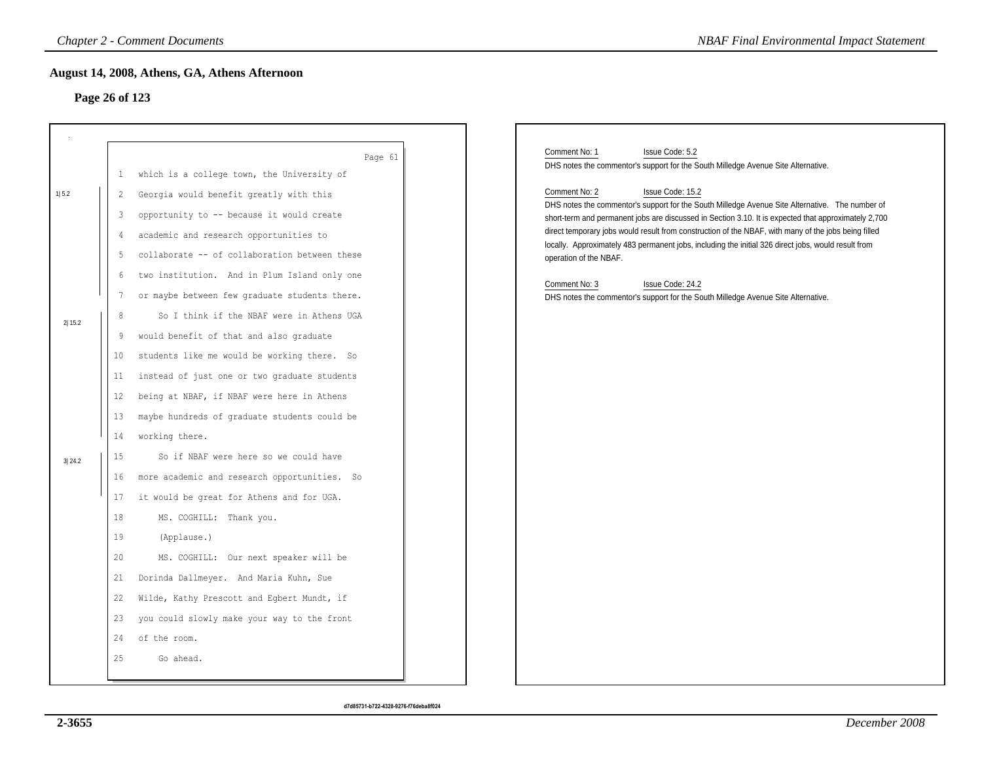## **Page 26 of 123**

|        |                | <b>Chapter 2 - Comment Documents</b>          | <b>NBAF Final Environmental Impact Statement</b>                                                                                                                                                            |
|--------|----------------|-----------------------------------------------|-------------------------------------------------------------------------------------------------------------------------------------------------------------------------------------------------------------|
|        |                | August 14, 2008, Athens, GA, Athens Afternoon |                                                                                                                                                                                                             |
|        | Page 26 of 123 |                                               |                                                                                                                                                                                                             |
|        |                |                                               |                                                                                                                                                                                                             |
|        |                |                                               |                                                                                                                                                                                                             |
|        |                | Page 61                                       | Comment No: 1<br>Issue Code: 5.2<br>DHS notes the commentor's support for the South Milledge Avenue Site Alternative.                                                                                       |
|        | $\mathbf{1}$   | which is a college town, the University of    |                                                                                                                                                                                                             |
| 1 5.2  | 2              | Georgia would benefit greatly with this       | Comment No: 2<br>Issue Code: 15.2<br>DHS notes the commentor's support for the South Milledge Avenue Site Alternative. The number of                                                                        |
|        | 3              | opportunity to -- because it would create     | short-term and permanent jobs are discussed in Section 3.10. It is expected that approximately 2,700                                                                                                        |
|        | 4              | academic and research opportunities to        | direct temporary jobs would result from construction of the NBAF, with many of the jobs being filled<br>locally. Approximately 483 permanent jobs, including the initial 326 direct jobs, would result from |
|        | 5              | collaborate -- of collaboration between these | operation of the NBAF.                                                                                                                                                                                      |
|        | 6              | two institution. And in Plum Island only one  | Comment No: 3<br>Issue Code: 24.2                                                                                                                                                                           |
|        | 7              | or maybe between few graduate students there. | DHS notes the commentor's support for the South Milledge Avenue Site Alternative.                                                                                                                           |
| 2 15.2 | 8              | So I think if the NBAF were in Athens UGA     |                                                                                                                                                                                                             |
|        | 9              | would benefit of that and also graduate       |                                                                                                                                                                                                             |
|        | 10             | students like me would be working there. So   |                                                                                                                                                                                                             |
|        | 11             | instead of just one or two graduate students  |                                                                                                                                                                                                             |
|        | 12             | being at NBAF, if NBAF were here in Athens    |                                                                                                                                                                                                             |
|        | 13             | maybe hundreds of graduate students could be  |                                                                                                                                                                                                             |
|        | 14             | working there.                                |                                                                                                                                                                                                             |
| 3 24.2 | 15             | So if NBAF were here so we could have         |                                                                                                                                                                                                             |
|        | 16             | more academic and research opportunities. So  |                                                                                                                                                                                                             |
|        | 17             | it would be great for Athens and for UGA.     |                                                                                                                                                                                                             |
|        | 18             | MS. COGHILL: Thank you.                       |                                                                                                                                                                                                             |
|        | 19             | (Applause.)                                   |                                                                                                                                                                                                             |
|        | 20             | MS. COGHILL: Our next speaker will be         |                                                                                                                                                                                                             |
|        | 21             | Dorinda Dallmeyer. And Maria Kuhn, Sue        |                                                                                                                                                                                                             |
|        | 22             | Wilde, Kathy Prescott and Egbert Mundt, if    |                                                                                                                                                                                                             |
|        | 23             | you could slowly make your way to the front   |                                                                                                                                                                                                             |
|        | 24             | of the room.                                  |                                                                                                                                                                                                             |
|        | 25             | Go ahead.                                     |                                                                                                                                                                                                             |
|        |                |                                               |                                                                                                                                                                                                             |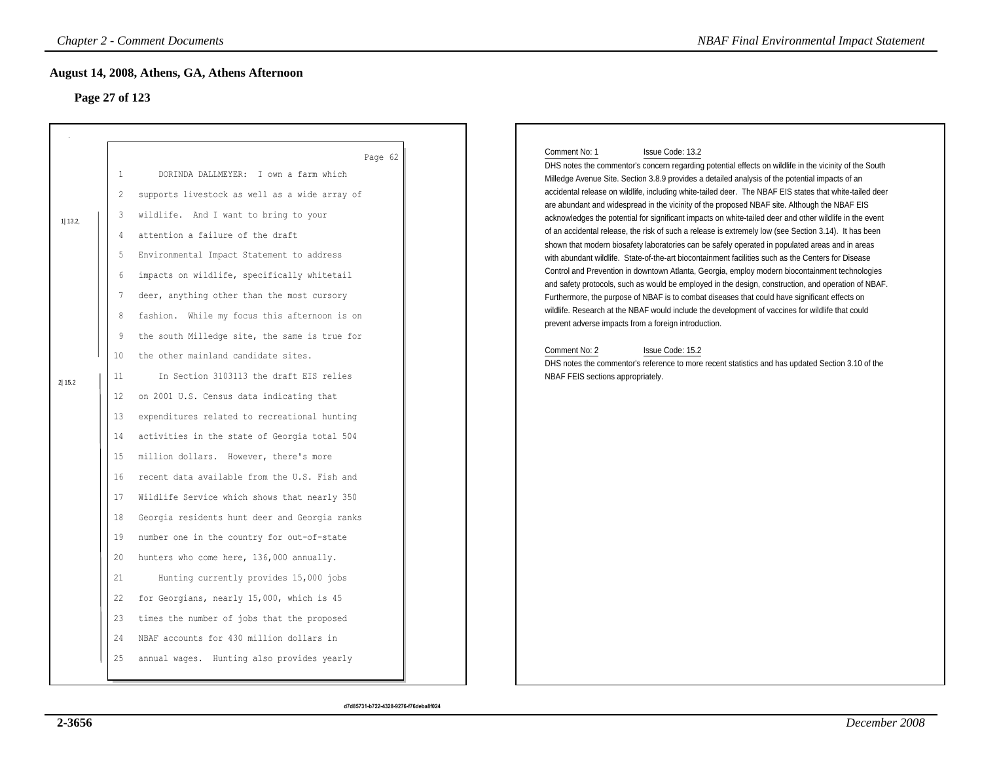# **Page 27 of 123**

|                       | Page 27 of 123                                                                                                                                        | August 14, 2008, Athens, GA, Athens Afternoon                                                                                                                                                                                                                                                                                                                                                                                                                                                                                                                                                                                                                                                                                                                                                                                                                                                                                                                                                                                                                                                                                                                               |
|-----------------------|-------------------------------------------------------------------------------------------------------------------------------------------------------|-----------------------------------------------------------------------------------------------------------------------------------------------------------------------------------------------------------------------------------------------------------------------------------------------------------------------------------------------------------------------------------------------------------------------------------------------------------------------------------------------------------------------------------------------------------------------------------------------------------------------------------------------------------------------------------------------------------------------------------------------------------------------------------------------------------------------------------------------------------------------------------------------------------------------------------------------------------------------------------------------------------------------------------------------------------------------------------------------------------------------------------------------------------------------------|
| $1$   13.2,<br>2 15.2 | $\mathbf{1}$<br>2<br>3<br>4<br>-5<br>6<br>7<br>8<br>9<br>10<br>11<br>12<br>13<br>14<br>15<br>16<br>17<br>18<br>19<br>20<br>21<br>22<br>23<br>24<br>25 | Page 62<br>DORINDA DALLMEYER: I own a farm which<br>supports livestock as well as a wide array of<br>wildlife. And I want to bring to your<br>attention a failure of the draft<br>Environmental Impact Statement to address<br>impacts on wildlife, specifically whitetail<br>deer, anything other than the most cursory<br>fashion. While my focus this afternoon is on<br>the south Milledge site, the same is true for<br>the other mainland candidate sites.<br>In Section 3103113 the draft EIS relies<br>on 2001 U.S. Census data indicating that<br>expenditures related to recreational hunting<br>activities in the state of Georgia total 504<br>million dollars. However, there's more<br>recent data available from the U.S. Fish and<br>Wildlife Service which shows that nearly 350<br>Georgia residents hunt deer and Georgia ranks<br>number one in the country for out-of-state<br>hunters who come here, 136,000 annually.<br>Hunting currently provides 15,000 jobs<br>for Georgians, nearly 15,000, which is 45<br>times the number of jobs that the proposed<br>NBAF accounts for 430 million dollars in<br>annual wages. Hunting also provides yearly |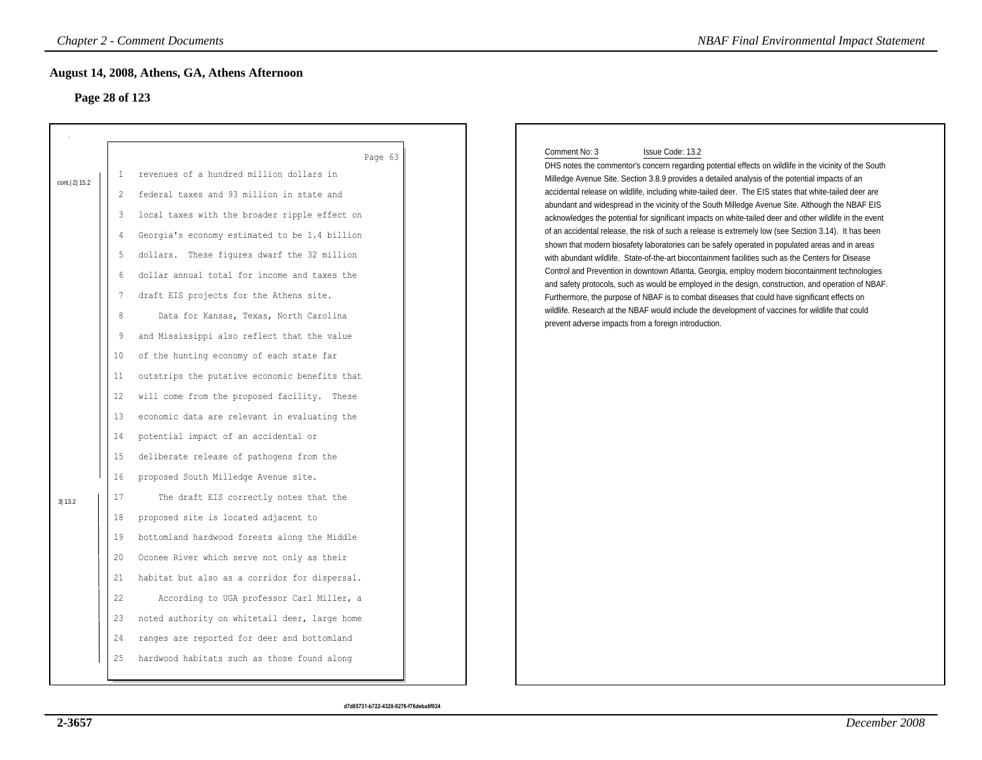# **Page 28 of 123**

|              |                | <b>Chapter 2 - Comment Documents</b>          | <b>NBAF Final Environmental Impact Statement</b>                                                                                                                                                           |
|--------------|----------------|-----------------------------------------------|------------------------------------------------------------------------------------------------------------------------------------------------------------------------------------------------------------|
|              |                | August 14, 2008, Athens, GA, Athens Afternoon |                                                                                                                                                                                                            |
|              | Page 28 of 123 |                                               |                                                                                                                                                                                                            |
|              |                |                                               |                                                                                                                                                                                                            |
|              |                |                                               |                                                                                                                                                                                                            |
|              |                | Page 63                                       | Comment No: 3<br>Issue Code: 13.2<br>DHS notes the commentor's concern regarding potential effects on wildlife in the vicinity of the South                                                                |
| cont. 2 15.2 | 1              | revenues of a hundred million dollars in      | Milledge Avenue Site. Section 3.8.9 provides a detailed analysis of the potential impacts of an                                                                                                            |
|              | 2              | federal taxes and 93 million in state and     | accidental release on wildlife, including white-tailed deer. The EIS states that white-tailed deer are<br>abundant and widespread in the vicinity of the South Milledge Avenue Site. Although the NBAF EIS |
|              | 3              | local taxes with the broader ripple effect on | acknowledges the potential for significant impacts on white-tailed deer and other wildlife in the event                                                                                                    |
|              | 4              | Georgia's economy estimated to be 1.4 billion | of an accidental release, the risk of such a release is extremely low (see Section 3.14). It has been                                                                                                      |
|              | 5              | dollars. These figures dwarf the 32 million   | shown that modern biosafety laboratories can be safely operated in populated areas and in areas<br>with abundant wildlife. State-of-the-art biocontainment facilities such as the Centers for Disease      |
|              | 6              | dollar annual total for income and taxes the  | Control and Prevention in downtown Atlanta, Georgia, employ modern biocontainment technologies<br>and safety protocols, such as would be employed in the design, construction, and operation of NBAF.      |
|              | -7             | draft EIS projects for the Athens site.       | Furthermore, the purpose of NBAF is to combat diseases that could have significant effects on                                                                                                              |
|              | $\,8\,$        | Data for Kansas, Texas, North Carolina        | wildlife. Research at the NBAF would include the development of vaccines for wildlife that could<br>prevent adverse impacts from a foreign introduction.                                                   |
|              | 9              | and Mississippi also reflect that the value   |                                                                                                                                                                                                            |
|              | 10             | of the hunting economy of each state far      |                                                                                                                                                                                                            |
|              | 11             | outstrips the putative economic benefits that |                                                                                                                                                                                                            |
|              | 12             | will come from the proposed facility. These   |                                                                                                                                                                                                            |
|              | 13             | economic data are relevant in evaluating the  |                                                                                                                                                                                                            |
|              | 14             | potential impact of an accidental or          |                                                                                                                                                                                                            |
|              | 15             | deliberate release of pathogens from the      |                                                                                                                                                                                                            |
|              | 16             | proposed South Milledge Avenue site.          |                                                                                                                                                                                                            |
| 3 13.2       | 17             | The draft EIS correctly notes that the        |                                                                                                                                                                                                            |
|              | 18             | proposed site is located adjacent to          |                                                                                                                                                                                                            |
|              | 19             | bottomland hardwood forests along the Middle  |                                                                                                                                                                                                            |
|              | 20             | Oconee River which serve not only as their    |                                                                                                                                                                                                            |
|              | 21             | habitat but also as a corridor for dispersal. |                                                                                                                                                                                                            |
|              | 22             | According to UGA professor Carl Miller, a     |                                                                                                                                                                                                            |
|              | 23             | noted authority on whitetail deer, large home |                                                                                                                                                                                                            |
|              | 24             | ranges are reported for deer and bottomland   |                                                                                                                                                                                                            |
|              | 25             | hardwood habitats such as those found along   |                                                                                                                                                                                                            |
|              |                |                                               |                                                                                                                                                                                                            |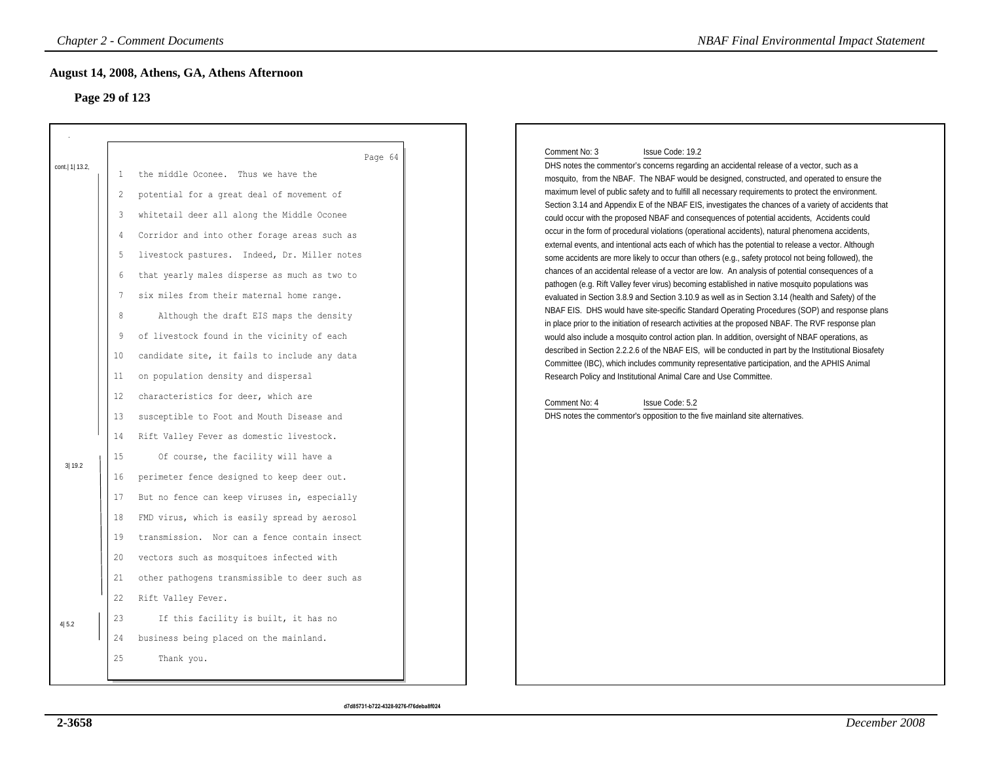# **Page 29 of 123**

| <b>Chapter 2 - Comment Documents</b> |                                                                                                                                                                                                                                                                                                                                                                                                                                                                                                                                                                                                                                                                                                                                                                                                                                                                                                                                                                                                                                                                                                                                                                                                                                                                             | <b>NBAF Final Environmental Impact Statement</b>                                                                                                                                                                                                                                                                                                                                                                                                                                                                                                                                                                                                                                                                                                                                                                                                                                                                                                                                                                                                                                                                                                                                                                                                                                                                                                                                                                                                                                                                                                                                                                                                                                                                                                                                                                                                                                            |
|--------------------------------------|-----------------------------------------------------------------------------------------------------------------------------------------------------------------------------------------------------------------------------------------------------------------------------------------------------------------------------------------------------------------------------------------------------------------------------------------------------------------------------------------------------------------------------------------------------------------------------------------------------------------------------------------------------------------------------------------------------------------------------------------------------------------------------------------------------------------------------------------------------------------------------------------------------------------------------------------------------------------------------------------------------------------------------------------------------------------------------------------------------------------------------------------------------------------------------------------------------------------------------------------------------------------------------|---------------------------------------------------------------------------------------------------------------------------------------------------------------------------------------------------------------------------------------------------------------------------------------------------------------------------------------------------------------------------------------------------------------------------------------------------------------------------------------------------------------------------------------------------------------------------------------------------------------------------------------------------------------------------------------------------------------------------------------------------------------------------------------------------------------------------------------------------------------------------------------------------------------------------------------------------------------------------------------------------------------------------------------------------------------------------------------------------------------------------------------------------------------------------------------------------------------------------------------------------------------------------------------------------------------------------------------------------------------------------------------------------------------------------------------------------------------------------------------------------------------------------------------------------------------------------------------------------------------------------------------------------------------------------------------------------------------------------------------------------------------------------------------------------------------------------------------------------------------------------------------------|
|                                      | August 14, 2008, Athens, GA, Athens Afternoon<br>Page 29 of 123                                                                                                                                                                                                                                                                                                                                                                                                                                                                                                                                                                                                                                                                                                                                                                                                                                                                                                                                                                                                                                                                                                                                                                                                             |                                                                                                                                                                                                                                                                                                                                                                                                                                                                                                                                                                                                                                                                                                                                                                                                                                                                                                                                                                                                                                                                                                                                                                                                                                                                                                                                                                                                                                                                                                                                                                                                                                                                                                                                                                                                                                                                                             |
| cont.   1  13.2,<br>3 19.2<br>4 5.2  | Page 64<br>the middle Oconee. Thus we have the<br>-1<br>potential for a great deal of movement of<br>$\overline{2}$<br>whitetail deer all along the Middle Oconee<br>3<br>Corridor and into other forage areas such as<br>4<br>livestock pastures. Indeed, Dr. Miller notes<br>-5<br>that yearly males disperse as much as two to<br>6<br>six miles from their maternal home range.<br>7<br>8<br>Although the draft EIS maps the density<br>of livestock found in the vicinity of each<br>-9<br>10<br>candidate site, it fails to include any data<br>on population density and dispersal<br>11<br>12<br>characteristics for deer, which are<br>susceptible to Foot and Mouth Disease and<br>13<br>Rift Valley Fever as domestic livestock.<br>14<br>15<br>Of course, the facility will have a<br>perimeter fence designed to keep deer out.<br>16<br>But no fence can keep viruses in, especially<br>17<br>FMD virus, which is easily spread by aerosol<br>18<br>transmission. Nor can a fence contain insect<br>19<br>vectors such as mosquitoes infected with<br>20<br>other pathogens transmissible to deer such as<br>21<br>22<br>Rift Valley Fever.<br>23<br>If this facility is built, it has no<br>24<br>business being placed on the mainland.<br>25<br>Thank you. | Comment No: 3<br>Issue Code: 19.2<br>DHS notes the commentor's concerns regarding an accidental release of a vector, such as a<br>mosquito, from the NBAF. The NBAF would be designed, constructed, and operated to ensure the<br>maximum level of public safety and to fulfill all necessary requirements to protect the environment.<br>Section 3.14 and Appendix E of the NBAF EIS, investigates the chances of a variety of accidents that<br>could occur with the proposed NBAF and consequences of potential accidents, Accidents could<br>occur in the form of procedural violations (operational accidents), natural phenomena accidents,<br>external events, and intentional acts each of which has the potential to release a vector. Although<br>some accidents are more likely to occur than others (e.g., safety protocol not being followed), the<br>chances of an accidental release of a vector are low. An analysis of potential consequences of a<br>pathogen (e.g. Rift Valley fever virus) becoming established in native mosquito populations was<br>evaluated in Section 3.8.9 and Section 3.10.9 as well as in Section 3.14 (health and Safety) of the<br>NBAF EIS. DHS would have site-specific Standard Operating Procedures (SOP) and response plans<br>in place prior to the initiation of research activities at the proposed NBAF. The RVF response plan<br>would also include a mosquito control action plan. In addition, oversight of NBAF operations, as<br>described in Section 2.2.2.6 of the NBAF EIS, will be conducted in part by the Institutional Biosafety<br>Committee (IBC), which includes community representative participation, and the APHIS Animal<br>Research Policy and Institutional Animal Care and Use Committee.<br>Comment No: 4<br>Issue Code: 5.2<br>DHS notes the commentor's opposition to the five mainland site alternatives. |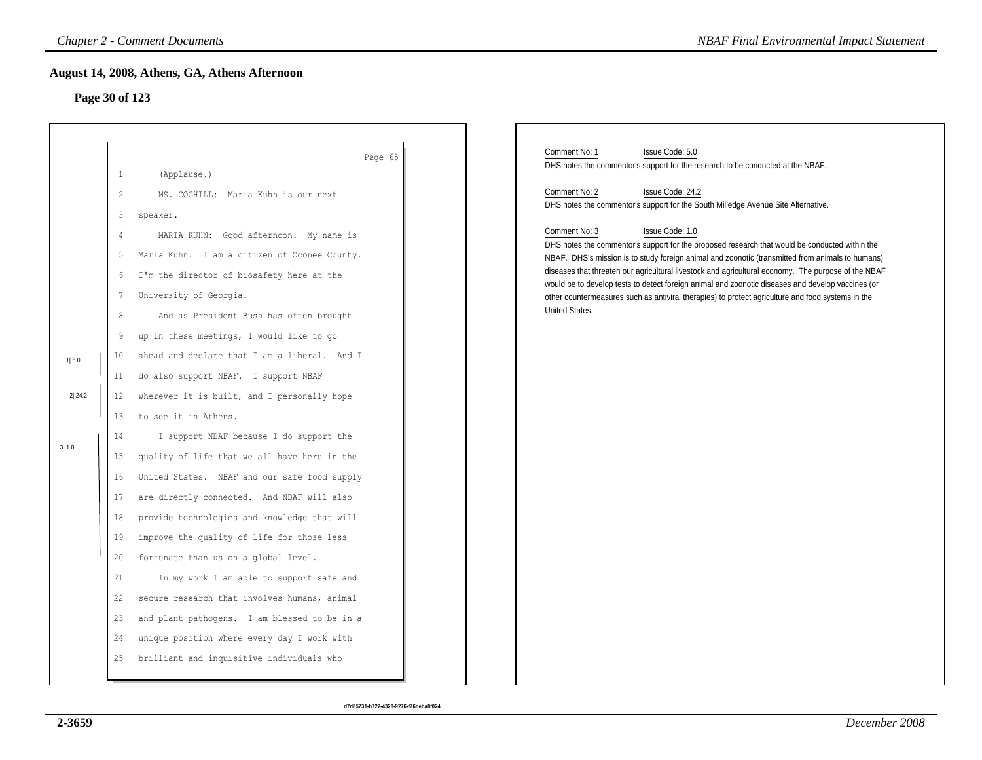## **Page 30 of 123**

|                |                     | <b>Chapter 2 - Comment Documents</b>               |                                                                                                                                                                                                          | <b>NBAF Final Environmental Impact Statement</b> |
|----------------|---------------------|----------------------------------------------------|----------------------------------------------------------------------------------------------------------------------------------------------------------------------------------------------------------|--------------------------------------------------|
|                |                     | August 14, 2008, Athens, GA, Athens Afternoon      |                                                                                                                                                                                                          |                                                  |
| Page 30 of 123 |                     |                                                    |                                                                                                                                                                                                          |                                                  |
|                |                     |                                                    |                                                                                                                                                                                                          |                                                  |
|                | $\mathbf{1}$        | Page 65<br>(Applause.)                             | Comment No: 1<br>Issue Code: 5.0<br>DHS notes the commentor's support for the research to be conducted at the NBAF.                                                                                      |                                                  |
|                | 2                   | MS. COGHILL: Maria Kuhn is our next                | Comment No: 2<br>Issue Code: 24.2<br>DHS notes the commentor's support for the South Milledge Avenue Site Alternative.                                                                                   |                                                  |
|                | 3<br>$\overline{4}$ | speaker.<br>MARIA KUHN: Good afternoon. My name is | Comment No: 3<br>Issue Code: 1.0<br>DHS notes the commentor's support for the proposed research that would be conducted within the                                                                       |                                                  |
|                | 5                   | Maria Kuhn. I am a citizen of Oconee County.       | NBAF. DHS's mission is to study foreign animal and zoonotic (transmitted from animals to humans)                                                                                                         |                                                  |
|                | 6                   | I'm the director of biosafety here at the          | diseases that threaten our agricultural livestock and agricultural economy. The purpose of the NBAF<br>would be to develop tests to detect foreign animal and zoonotic diseases and develop vaccines (or |                                                  |
|                | 7                   | University of Georgia.                             | other countermeasures such as antiviral therapies) to protect agriculture and food systems in the                                                                                                        |                                                  |
|                | $\,8\,$             | And as President Bush has often brought            | United States.                                                                                                                                                                                           |                                                  |
|                | 9                   | up in these meetings, I would like to go           |                                                                                                                                                                                                          |                                                  |
| 1 5.0          | 10                  | ahead and declare that I am a liberal. And I       |                                                                                                                                                                                                          |                                                  |
|                | 11                  | do also support NBAF. I support NBAF               |                                                                                                                                                                                                          |                                                  |
| 2 24.2         | 12                  | wherever it is built, and I personally hope        |                                                                                                                                                                                                          |                                                  |
|                | 13                  | to see it in Athens.                               |                                                                                                                                                                                                          |                                                  |
| 3 1.0          | 14                  | I support NBAF because I do support the            |                                                                                                                                                                                                          |                                                  |
|                | 15                  | quality of life that we all have here in the       |                                                                                                                                                                                                          |                                                  |
|                | 16                  | United States. NBAF and our safe food supply       |                                                                                                                                                                                                          |                                                  |
|                | 17                  | are directly connected. And NBAF will also         |                                                                                                                                                                                                          |                                                  |
|                | 18                  | provide technologies and knowledge that will       |                                                                                                                                                                                                          |                                                  |
|                | 19                  | improve the quality of life for those less         |                                                                                                                                                                                                          |                                                  |
|                | 20                  | fortunate than us on a global level.               |                                                                                                                                                                                                          |                                                  |
|                | 21                  | In my work I am able to support safe and           |                                                                                                                                                                                                          |                                                  |
|                | 22                  | secure research that involves humans, animal       |                                                                                                                                                                                                          |                                                  |
|                | 23                  | and plant pathogens. I am blessed to be in a       |                                                                                                                                                                                                          |                                                  |
|                | 24                  | unique position where every day I work with        |                                                                                                                                                                                                          |                                                  |
|                | 25                  | brilliant and inquisitive individuals who          |                                                                                                                                                                                                          |                                                  |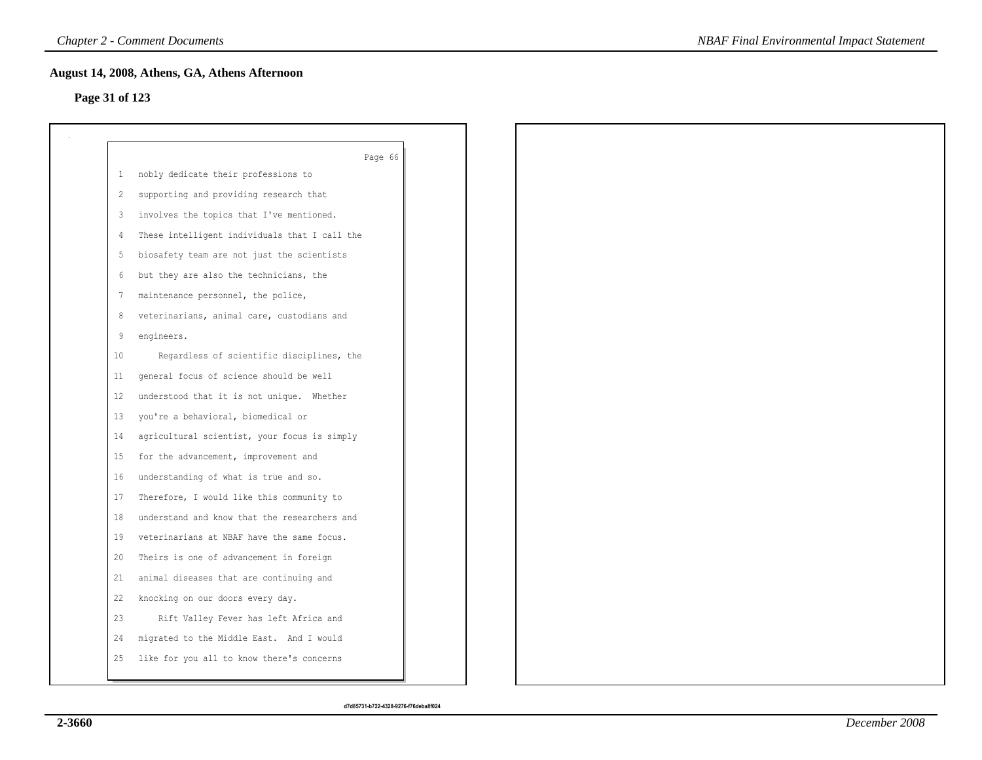## **Page 31 of 123**

|              | Page 66                                       |
|--------------|-----------------------------------------------|
| $\mathbf{1}$ | nobly dedicate their professions to           |
| 2            | supporting and providing research that        |
| 3            | involves the topics that I've mentioned.      |
| 4            | These intelligent individuals that I call the |
| -5           | biosafety team are not just the scientists    |
| 6            | but they are also the technicians, the        |
| 7            | maintenance personnel, the police,            |
| 8            | veterinarians, animal care, custodians and    |
| 9            | engineers.                                    |
| 10           | Regardless of scientific disciplines, the     |
| 11           | general focus of science should be well       |
| 12           | understood that it is not unique. Whether     |
| 13           | you're a behavioral, biomedical or            |
| 14           | agricultural scientist, your focus is simply  |
| 15           | for the advancement, improvement and          |
| 16           | understanding of what is true and so.         |
| 17           | Therefore, I would like this community to     |
| 18           | understand and know that the researchers and  |
| 19           | veterinarians at NBAF have the same focus.    |
| 20           | Theirs is one of advancement in foreign       |
| 21           | animal diseases that are continuing and       |
| 22           | knocking on our doors every day.              |
| 23           | Rift Valley Fever has left Africa and         |
| 24           | migrated to the Middle East. And I would      |
| 25           | like for you all to know there's concerns     |
|              |                                               |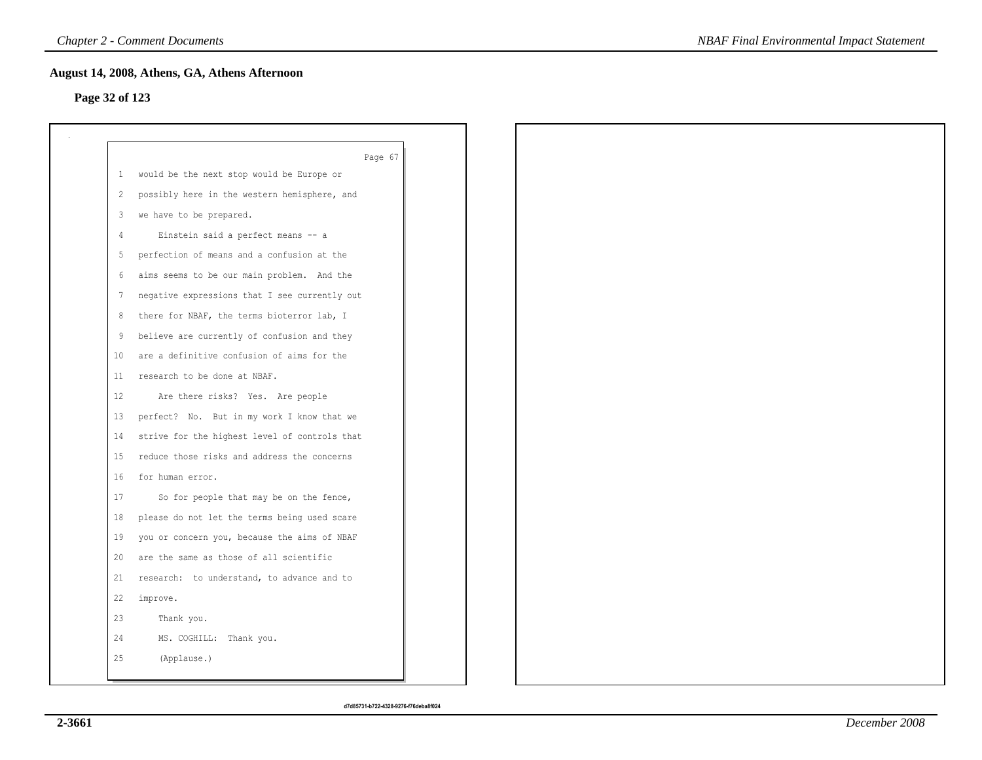## **Page 32 of 123**

|              | Page 67                                       |
|--------------|-----------------------------------------------|
| $\mathbf{1}$ | would be the next stop would be Europe or     |
| 2            | possibly here in the western hemisphere, and  |
| 3            | we have to be prepared.                       |
| -4           | Einstein said a perfect means -- a            |
| 5            | perfection of means and a confusion at the    |
| 6            | aims seems to be our main problem. And the    |
| 7            | negative expressions that I see currently out |
| 8            | there for NBAF, the terms bioterror lab, I    |
| 9            | believe are currently of confusion and they   |
| 10           | are a definitive confusion of aims for the    |
| 11           | research to be done at NBAF.                  |
| 12           | Are there risks? Yes. Are people              |
| 13           | perfect? No. But in my work I know that we    |
| 14           | strive for the highest level of controls that |
| 15           | reduce those risks and address the concerns   |
| 16           | for human error.                              |
| 17           | So for people that may be on the fence,       |
| 18           | please do not let the terms being used scare  |
| 19           | you or concern you, because the aims of NBAF  |
| 20           | are the same as those of all scientific       |
| 21           | research: to understand, to advance and to    |
| 22           | improve.                                      |
| 23           | Thank you.                                    |
| 24           | MS. COGHILL: Thank you.                       |
| 25           | (Applause.)                                   |
|              |                                               |

*NBAF Final Environmental Impact Statement*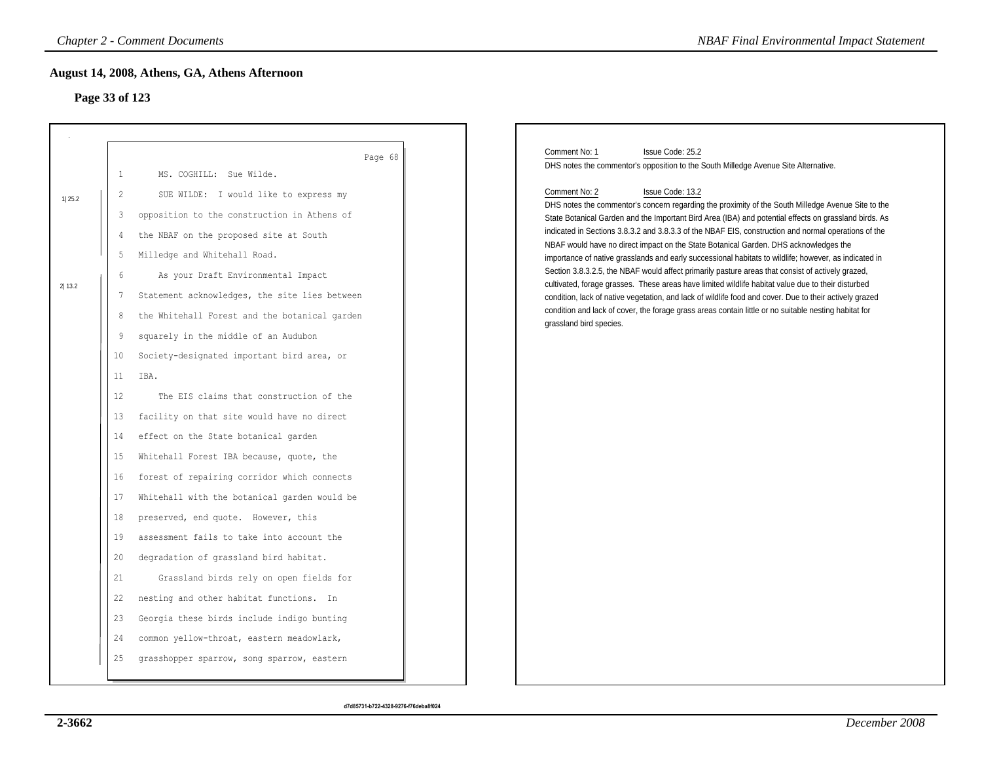# **Page 33 of 123**

|        |                                | <b>Chapter 2 - Comment Documents</b>                                                                                                                                                 | <b>NBAF Final Environmental Impact Statement</b>                                                                                                                                                                                                                                                                                                                                                                                                                                                                                                                                                                          |
|--------|--------------------------------|--------------------------------------------------------------------------------------------------------------------------------------------------------------------------------------|---------------------------------------------------------------------------------------------------------------------------------------------------------------------------------------------------------------------------------------------------------------------------------------------------------------------------------------------------------------------------------------------------------------------------------------------------------------------------------------------------------------------------------------------------------------------------------------------------------------------------|
|        | Page 33 of 123                 | August 14, 2008, Athens, GA, Athens Afternoon                                                                                                                                        |                                                                                                                                                                                                                                                                                                                                                                                                                                                                                                                                                                                                                           |
|        | $\mathbf{1}$<br>$\overline{2}$ | Page 68<br>MS. COGHILL: Sue Wilde.<br>SUE WILDE: I would like to express my                                                                                                          | Comment No: 1<br>Issue Code: 25.2<br>DHS notes the commentor's opposition to the South Milledge Avenue Site Alternative.<br>Comment No: 2<br>Issue Code: 13.2                                                                                                                                                                                                                                                                                                                                                                                                                                                             |
| 1 25.2 | $\mathfrak{Z}$<br>4<br>5<br>6  | opposition to the construction in Athens of<br>the NBAF on the proposed site at South<br>Milledge and Whitehall Road.<br>As your Draft Environmental Impact                          | DHS notes the commentor's concern regarding the proximity of the South Milledge Avenue Site to the<br>State Botanical Garden and the Important Bird Area (IBA) and potential effects on grassland birds. As<br>indicated in Sections 3.8.3.2 and 3.8.3.3 of the NBAF EIS, construction and normal operations of the<br>NBAF would have no direct impact on the State Botanical Garden. DHS acknowledges the<br>importance of native grasslands and early successional habitats to wildlife; however, as indicated in<br>Section 3.8.3.2.5, the NBAF would affect primarily pasture areas that consist of actively grazed, |
| 2 13.2 | $\overline{7}$<br>8<br>9<br>10 | Statement acknowledges, the site lies between<br>the Whitehall Forest and the botanical garden<br>squarely in the middle of an Audubon<br>Society-designated important bird area, or | cultivated, forage grasses. These areas have limited wildlife habitat value due to their disturbed<br>condition, lack of native vegetation, and lack of wildlife food and cover. Due to their actively grazed<br>condition and lack of cover, the forage grass areas contain little or no suitable nesting habitat for<br>grassland bird species.                                                                                                                                                                                                                                                                         |
|        | 11<br>12<br>13<br>14           | IBA.<br>The EIS claims that construction of the<br>facility on that site would have no direct<br>effect on the State botanical garden                                                |                                                                                                                                                                                                                                                                                                                                                                                                                                                                                                                                                                                                                           |
|        | 15<br>16<br>17                 | Whitehall Forest IBA because, quote, the<br>forest of repairing corridor which connects<br>Whitehall with the botanical garden would be                                              |                                                                                                                                                                                                                                                                                                                                                                                                                                                                                                                                                                                                                           |
|        | 18<br>19<br>20<br>21           | preserved, end quote. However, this<br>assessment fails to take into account the<br>degradation of grassland bird habitat.<br>Grassland birds rely on open fields for                |                                                                                                                                                                                                                                                                                                                                                                                                                                                                                                                                                                                                                           |
|        | 22<br>23<br>24<br>25           | nesting and other habitat functions. In<br>Georgia these birds include indigo bunting<br>common yellow-throat, eastern meadowlark,<br>grasshopper sparrow, song sparrow, eastern     |                                                                                                                                                                                                                                                                                                                                                                                                                                                                                                                                                                                                                           |
|        |                                |                                                                                                                                                                                      |                                                                                                                                                                                                                                                                                                                                                                                                                                                                                                                                                                                                                           |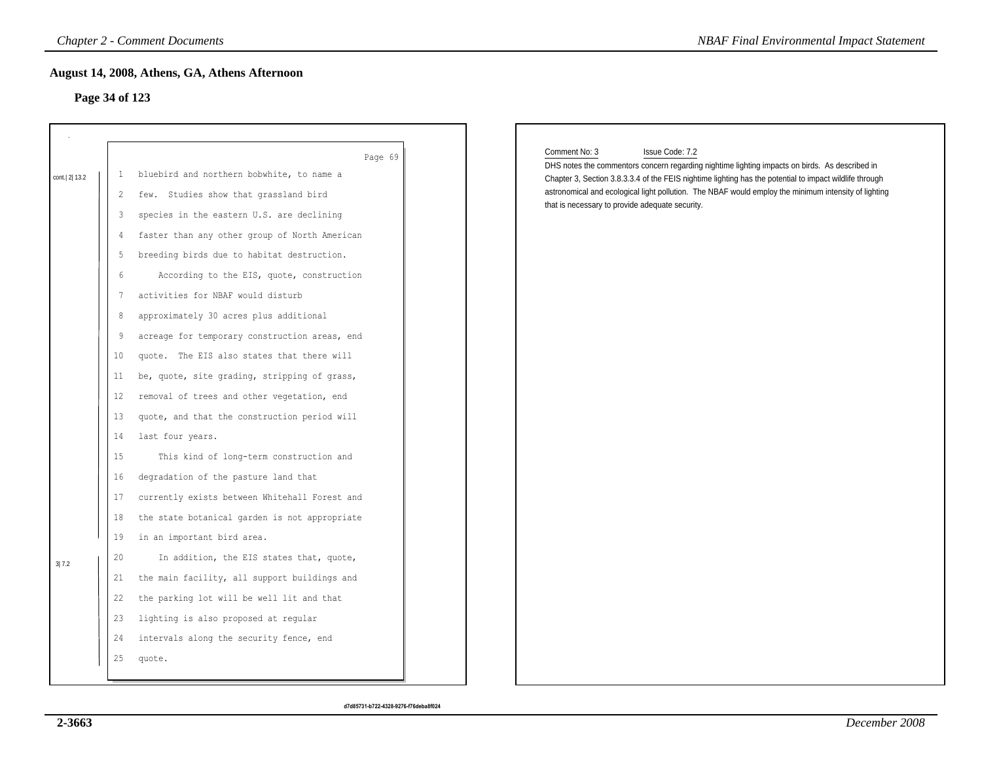# **Page 34 of 123**

|                |                   | <b>Chapter 2 - Comment Documents</b>                                            | <b>NBAF Final Environmental Impact Statement</b>                                                                                                                                                                |
|----------------|-------------------|---------------------------------------------------------------------------------|-----------------------------------------------------------------------------------------------------------------------------------------------------------------------------------------------------------------|
| Page 34 of 123 |                   | August 14, 2008, Athens, GA, Athens Afternoon                                   |                                                                                                                                                                                                                 |
|                |                   | Page 69                                                                         | Comment No: 3<br>Issue Code: 7.2<br>DHS notes the commentors concern regarding nightime lighting impacts on birds. As described in                                                                              |
| cont. 2 13.2   | $\mathbf{1}$      | bluebird and northern bobwhite, to name a                                       | Chapter 3, Section 3.8.3.3.4 of the FEIS nightime lighting has the potential to impact wildlife through<br>astronomical and ecological light pollution. The NBAF would employ the minimum intensity of lighting |
|                | 2                 | few. Studies show that grassland bird                                           | that is necessary to provide adequate security.                                                                                                                                                                 |
|                | 3                 | species in the eastern U.S. are declining                                       |                                                                                                                                                                                                                 |
|                | 4                 | faster than any other group of North American                                   |                                                                                                                                                                                                                 |
|                | 5                 | breeding birds due to habitat destruction.                                      |                                                                                                                                                                                                                 |
|                | 6                 | According to the EIS, quote, construction                                       |                                                                                                                                                                                                                 |
|                | $7\phantom{.0}$   | activities for NBAF would disturb                                               |                                                                                                                                                                                                                 |
|                | 8                 | approximately 30 acres plus additional                                          |                                                                                                                                                                                                                 |
|                | 9                 | acreage for temporary construction areas, end                                   |                                                                                                                                                                                                                 |
|                | 10                | quote. The EIS also states that there will                                      |                                                                                                                                                                                                                 |
|                | 11                | be, quote, site grading, stripping of grass,                                    |                                                                                                                                                                                                                 |
|                | $12 \overline{ }$ | removal of trees and other vegetation, end                                      |                                                                                                                                                                                                                 |
|                | 13                | quote, and that the construction period will                                    |                                                                                                                                                                                                                 |
|                | 14                | last four years.                                                                |                                                                                                                                                                                                                 |
|                | 15                | This kind of long-term construction and<br>degradation of the pasture land that |                                                                                                                                                                                                                 |
|                | 16                |                                                                                 |                                                                                                                                                                                                                 |
|                | 17                | currently exists between Whitehall Forest and                                   |                                                                                                                                                                                                                 |
|                | 18<br>19          | the state botanical garden is not appropriate                                   |                                                                                                                                                                                                                 |
|                |                   | in an important bird area.                                                      |                                                                                                                                                                                                                 |
| 3 7.2          | 20                | In addition, the EIS states that, quote,                                        |                                                                                                                                                                                                                 |
|                | 21                | the main facility, all support buildings and                                    |                                                                                                                                                                                                                 |
|                | 22                | the parking lot will be well lit and that                                       |                                                                                                                                                                                                                 |
|                | 23                | lighting is also proposed at regular                                            |                                                                                                                                                                                                                 |
|                | 24                | intervals along the security fence, end                                         |                                                                                                                                                                                                                 |
|                | 25                | quote.                                                                          |                                                                                                                                                                                                                 |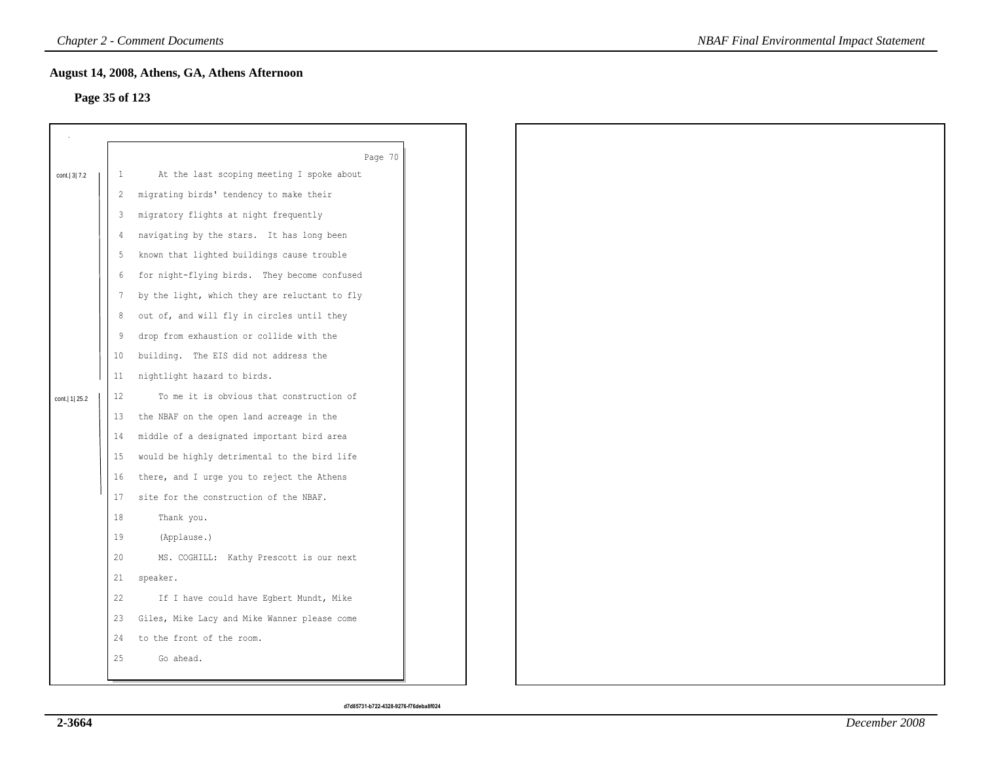## **Page 35 of 123**

| Page 35 of 123   |              | August 14, 2008, Athens, GA, Athens Afternoon |
|------------------|--------------|-----------------------------------------------|
|                  |              |                                               |
|                  |              | Page 70                                       |
| cont. 3 7.2      | $\mathbf{1}$ | At the last scoping meeting I spoke about     |
|                  | 2            | migrating birds' tendency to make their       |
|                  | 3            | migratory flights at night frequently         |
|                  | 4            | navigating by the stars. It has long been     |
|                  | 5            | known that lighted buildings cause trouble    |
|                  | 6            | for night-flying birds. They become confused  |
|                  | 7            | by the light, which they are reluctant to fly |
|                  | 8            | out of, and will fly in circles until they    |
|                  | 9            | drop from exhaustion or collide with the      |
|                  | 10           | building. The EIS did not address the         |
|                  | 11           | nightlight hazard to birds.                   |
| cont.   1   25.2 | 12           | To me it is obvious that construction of      |
|                  | 13           | the NBAF on the open land acreage in the      |
|                  | 14           | middle of a designated important bird area    |
|                  | 15           | would be highly detrimental to the bird life  |
|                  | 16           | there, and I urge you to reject the Athens    |
|                  | 17           | site for the construction of the NBAF.        |
|                  | 18           | Thank you.                                    |
|                  | 19           | (Applause.)                                   |
|                  | 20           | MS. COGHILL: Kathy Prescott is our next       |
|                  | 21           | speaker.                                      |
|                  | 22           | If I have could have Egbert Mundt, Mike       |
|                  | 23           | Giles, Mike Lacy and Mike Wanner please come  |
|                  | 24           | to the front of the room.                     |
|                  | 25           | Go ahead.                                     |
|                  |              |                                               |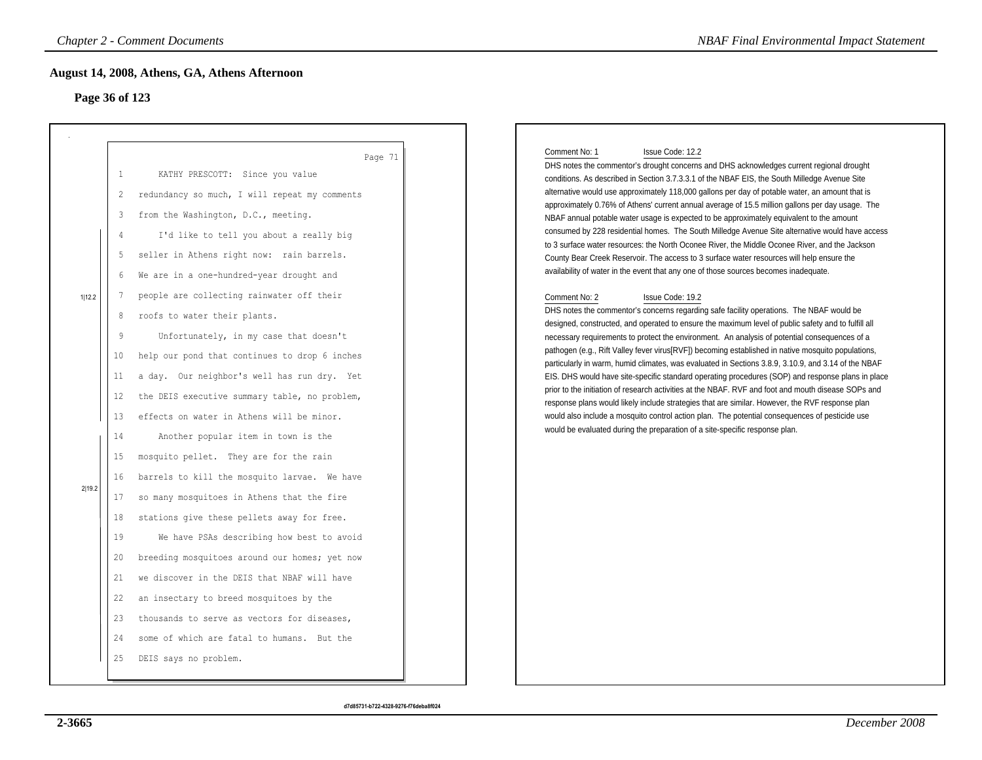# **Page 36 of 123**

|                  | <b>Chapter 2 - Comment Documents</b><br>August 14, 2008, Athens, GA, Athens Afternoon                                                                                                                                                                                                                                                                                                                                                                                                                                                                                                                                                                                                                                                                                                                                                                                                                                                                                                                                                                                                                                                                                      |         | <b>NBAF Final Environmental Impact Statement</b>                                                                                                                                                                                                                                                                                                                                                                                                                                                                                                                                                                                                                                                                                                                                                                                                                                                                                                                                                                                                                                                                                                                                                                                                                                                                                                                                                                                                                                                                                                                                                                                                                                                                                                                                                                                                                                                                                                                                  |
|------------------|----------------------------------------------------------------------------------------------------------------------------------------------------------------------------------------------------------------------------------------------------------------------------------------------------------------------------------------------------------------------------------------------------------------------------------------------------------------------------------------------------------------------------------------------------------------------------------------------------------------------------------------------------------------------------------------------------------------------------------------------------------------------------------------------------------------------------------------------------------------------------------------------------------------------------------------------------------------------------------------------------------------------------------------------------------------------------------------------------------------------------------------------------------------------------|---------|-----------------------------------------------------------------------------------------------------------------------------------------------------------------------------------------------------------------------------------------------------------------------------------------------------------------------------------------------------------------------------------------------------------------------------------------------------------------------------------------------------------------------------------------------------------------------------------------------------------------------------------------------------------------------------------------------------------------------------------------------------------------------------------------------------------------------------------------------------------------------------------------------------------------------------------------------------------------------------------------------------------------------------------------------------------------------------------------------------------------------------------------------------------------------------------------------------------------------------------------------------------------------------------------------------------------------------------------------------------------------------------------------------------------------------------------------------------------------------------------------------------------------------------------------------------------------------------------------------------------------------------------------------------------------------------------------------------------------------------------------------------------------------------------------------------------------------------------------------------------------------------------------------------------------------------------------------------------------------------|
| 1 12.2<br>2 19.2 | Page 36 of 123<br>$\mathbf{1}$<br>KATHY PRESCOTT: Since you value<br>$\overline{2}$<br>redundancy so much, I will repeat my comments<br>from the Washington, D.C., meeting.<br>3<br>I'd like to tell you about a really big<br>4<br>seller in Athens right now: rain barrels.<br>5<br>We are in a one-hundred-year drought and<br>6<br>people are collecting rainwater off their<br>7<br>roofs to water their plants.<br>8<br>9<br>Unfortunately, in my case that doesn't<br>help our pond that continues to drop 6 inches<br>10<br>a day. Our neighbor's well has run dry. Yet<br>11<br>the DEIS executive summary table, no problem,<br>12<br>effects on water in Athens will be minor.<br>13<br>14<br>Another popular item in town is the<br>mosquito pellet. They are for the rain<br>15<br>barrels to kill the mosquito larvae. We have<br>16<br>so many mosquitoes in Athens that the fire<br>17<br>stations give these pellets away for free.<br>18<br>19<br>We have PSAs describing how best to avoid<br>breeding mosquitoes around our homes; yet now<br>20<br>we discover in the DEIS that NBAF will have<br>21<br>an insectary to breed mosquitoes by the<br>22 | Page 71 | Comment No: 1<br>Issue Code: 12.2<br>DHS notes the commentor's drought concerns and DHS acknowledges current regional drought<br>conditions. As described in Section 3.7.3.3.1 of the NBAF EIS, the South Milledge Avenue Site<br>alternative would use approximately 118,000 gallons per day of potable water, an amount that is<br>approximately 0.76% of Athens' current annual average of 15.5 million gallons per day usage. The<br>NBAF annual potable water usage is expected to be approximately equivalent to the amount<br>consumed by 228 residential homes. The South Milledge Avenue Site alternative would have access<br>to 3 surface water resources: the North Oconee River, the Middle Oconee River, and the Jackson<br>County Bear Creek Reservoir. The access to 3 surface water resources will help ensure the<br>availability of water in the event that any one of those sources becomes inadequate.<br>Comment No: 2<br>Issue Code: 19.2<br>DHS notes the commentor's concerns regarding safe facility operations. The NBAF would be<br>designed, constructed, and operated to ensure the maximum level of public safety and to fulfill all<br>necessary requirements to protect the environment. An analysis of potential consequences of a<br>pathogen (e.g., Rift Valley fever virus[RVF]) becoming established in native mosquito populations,<br>particularly in warm, humid climates, was evaluated in Sections 3.8.9, 3.10.9, and 3.14 of the NBAF<br>EIS. DHS would have site-specific standard operating procedures (SOP) and response plans in place<br>prior to the initiation of research activities at the NBAF. RVF and foot and mouth disease SOPs and<br>response plans would likely include strategies that are similar. However, the RVF response plan<br>would also include a mosquito control action plan. The potential consequences of pesticide use<br>would be evaluated during the preparation of a site-specific response plan. |
|                  | thousands to serve as vectors for diseases,<br>23<br>some of which are fatal to humans. But the<br>24<br>DEIS says no problem.<br>25                                                                                                                                                                                                                                                                                                                                                                                                                                                                                                                                                                                                                                                                                                                                                                                                                                                                                                                                                                                                                                       |         |                                                                                                                                                                                                                                                                                                                                                                                                                                                                                                                                                                                                                                                                                                                                                                                                                                                                                                                                                                                                                                                                                                                                                                                                                                                                                                                                                                                                                                                                                                                                                                                                                                                                                                                                                                                                                                                                                                                                                                                   |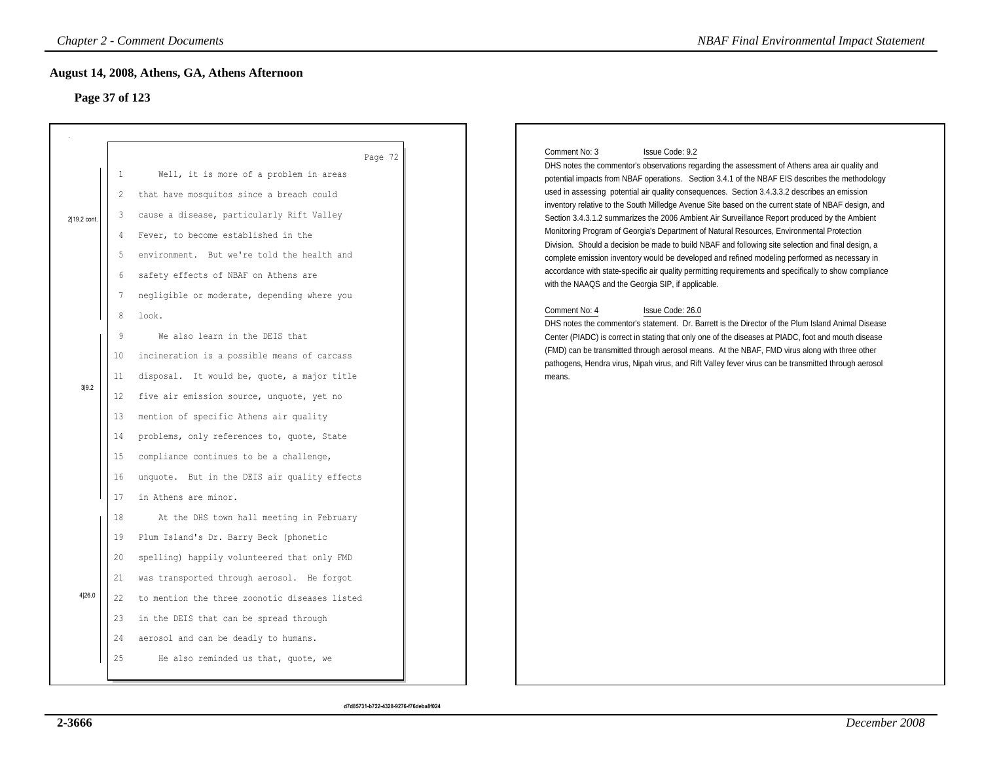# **Page 37 of 123**

|                |                                                       | <b>Chapter 2 - Comment Documents</b>                                                                                                                                                                                                                                                                                                                                              | <b>NBAF Final Environmental Impact Statement</b>                                                                                                                                                                                                                                                                                                                                                                                                                                                                                                                                                                                                                                                                                                                                                                                                                                                                                                                                                                   |
|----------------|-------------------------------------------------------|-----------------------------------------------------------------------------------------------------------------------------------------------------------------------------------------------------------------------------------------------------------------------------------------------------------------------------------------------------------------------------------|--------------------------------------------------------------------------------------------------------------------------------------------------------------------------------------------------------------------------------------------------------------------------------------------------------------------------------------------------------------------------------------------------------------------------------------------------------------------------------------------------------------------------------------------------------------------------------------------------------------------------------------------------------------------------------------------------------------------------------------------------------------------------------------------------------------------------------------------------------------------------------------------------------------------------------------------------------------------------------------------------------------------|
| Page 37 of 123 |                                                       | August 14, 2008, Athens, GA, Athens Afternoon                                                                                                                                                                                                                                                                                                                                     |                                                                                                                                                                                                                                                                                                                                                                                                                                                                                                                                                                                                                                                                                                                                                                                                                                                                                                                                                                                                                    |
| 2 19.2 cont.   | 1<br>2<br>3<br>4<br>5<br>6<br>7                       | Page 72<br>Well, it is more of a problem in areas<br>that have mosquitos since a breach could<br>cause a disease, particularly Rift Valley<br>Fever, to become established in the<br>environment. But we're told the health and<br>safety effects of NBAF on Athens are<br>negligible or moderate, depending where you                                                            | Comment No: 3<br>Issue Code: 9.2<br>DHS notes the commentor's observations regarding the assessment of Athens area air quality and<br>potential impacts from NBAF operations. Section 3.4.1 of the NBAF EIS describes the methodology<br>used in assessing potential air quality consequences. Section 3.4.3.3.2 describes an emission<br>inventory relative to the South Milledge Avenue Site based on the current state of NBAF design, and<br>Section 3.4.3.1.2 summarizes the 2006 Ambient Air Surveillance Report produced by the Ambient<br>Monitoring Program of Georgia's Department of Natural Resources, Environmental Protection<br>Division. Should a decision be made to build NBAF and following site selection and final design, a<br>complete emission inventory would be developed and refined modeling performed as necessary in<br>accordance with state-specific air quality permitting requirements and specifically to show compliance<br>with the NAAQS and the Georgia SIP, if applicable. |
| 3 9.2          | 8<br>9<br>10<br>11<br>$12 \,$<br>13<br>14<br>15<br>16 | look.<br>We also learn in the DEIS that<br>incineration is a possible means of carcass<br>disposal. It would be, quote, a major title<br>five air emission source, unquote, yet no<br>mention of specific Athens air quality<br>problems, only references to, quote, State<br>compliance continues to be a challenge,<br>unquote. But in the DEIS air quality effects             | Comment No: 4<br>Issue Code: 26.0<br>DHS notes the commentor's statement. Dr. Barrett is the Director of the Plum Island Animal Disease<br>Center (PIADC) is correct in stating that only one of the diseases at PIADC, foot and mouth disease<br>(FMD) can be transmitted through aerosol means. At the NBAF, FMD virus along with three other<br>pathogens, Hendra virus, Nipah virus, and Rift Valley fever virus can be transmitted through aerosol<br>means.                                                                                                                                                                                                                                                                                                                                                                                                                                                                                                                                                  |
| 4 26.0         | 17<br>18<br>19<br>20<br>21<br>22<br>23<br>24<br>25    | in Athens are minor.<br>At the DHS town hall meeting in February<br>Plum Island's Dr. Barry Beck (phonetic<br>spelling) happily volunteered that only FMD<br>was transported through aerosol. He forgot<br>to mention the three zoonotic diseases listed<br>in the DEIS that can be spread through<br>aerosol and can be deadly to humans.<br>He also reminded us that, quote, we |                                                                                                                                                                                                                                                                                                                                                                                                                                                                                                                                                                                                                                                                                                                                                                                                                                                                                                                                                                                                                    |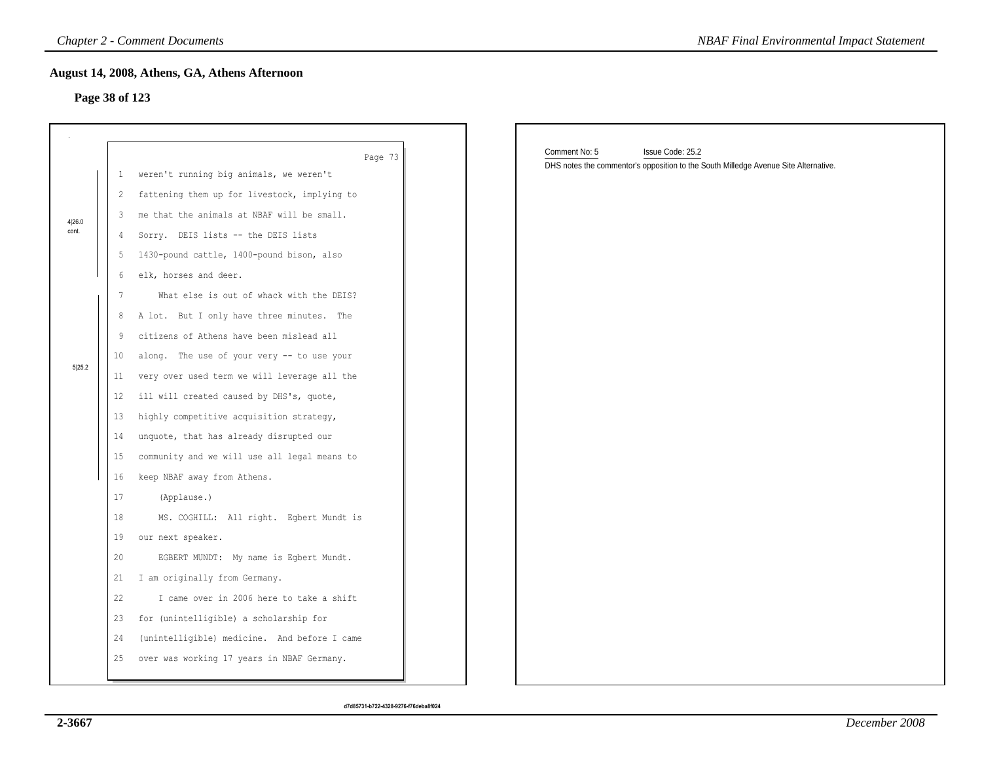## **Page 38 of 123**

|        |                 | <b>Chapter 2 - Comment Documents</b>          | <b>NBAF Final Environmental Impact Statement</b>                                                                         |
|--------|-----------------|-----------------------------------------------|--------------------------------------------------------------------------------------------------------------------------|
|        |                 | August 14, 2008, Athens, GA, Athens Afternoon |                                                                                                                          |
|        | Page 38 of 123  |                                               |                                                                                                                          |
|        |                 |                                               |                                                                                                                          |
|        |                 |                                               |                                                                                                                          |
|        |                 | Page 73                                       | Comment No: 5<br>Issue Code: 25.2<br>DHS notes the commentor's opposition to the South Milledge Avenue Site Alternative. |
|        | $\mathbf{1}$    | weren't running big animals, we weren't       |                                                                                                                          |
|        | $\overline{2}$  | fattening them up for livestock, implying to  |                                                                                                                          |
| 4 26.0 | 3               | me that the animals at NBAF will be small.    |                                                                                                                          |
| cont.  | 4               | Sorry. DEIS lists -- the DEIS lists           |                                                                                                                          |
|        | -5              | 1430-pound cattle, 1400-pound bison, also     |                                                                                                                          |
|        | 6               | elk, horses and deer.                         |                                                                                                                          |
|        | 7               | What else is out of whack with the DEIS?      |                                                                                                                          |
|        | 8               | A lot. But I only have three minutes. The     |                                                                                                                          |
|        | 9               | citizens of Athens have been mislead all      |                                                                                                                          |
| 5 25.2 | 10 <sub>1</sub> | along. The use of your very -- to use your    |                                                                                                                          |
|        | 11              | very over used term we will leverage all the  |                                                                                                                          |
|        | 12              | ill will created caused by DHS's, quote,      |                                                                                                                          |
|        | 13              | highly competitive acquisition strategy,      |                                                                                                                          |
|        | 14              | unquote, that has already disrupted our       |                                                                                                                          |
|        | 15              | community and we will use all legal means to  |                                                                                                                          |
|        | 16              | keep NBAF away from Athens.                   |                                                                                                                          |
|        | 17              | (Applause.)                                   |                                                                                                                          |
|        | 18              | MS. COGHILL: All right. Egbert Mundt is       |                                                                                                                          |
|        | 19              | our next speaker.                             |                                                                                                                          |
|        | 20              | EGBERT MUNDT: My name is Egbert Mundt.        |                                                                                                                          |
|        | 21              | I am originally from Germany.                 |                                                                                                                          |
|        | 22              | I came over in 2006 here to take a shift      |                                                                                                                          |
|        | 23              | for (unintelligible) a scholarship for        |                                                                                                                          |
|        | 24              | (unintelligible) medicine. And before I came  |                                                                                                                          |
|        | 25              | over was working 17 years in NBAF Germany.    |                                                                                                                          |
|        |                 |                                               |                                                                                                                          |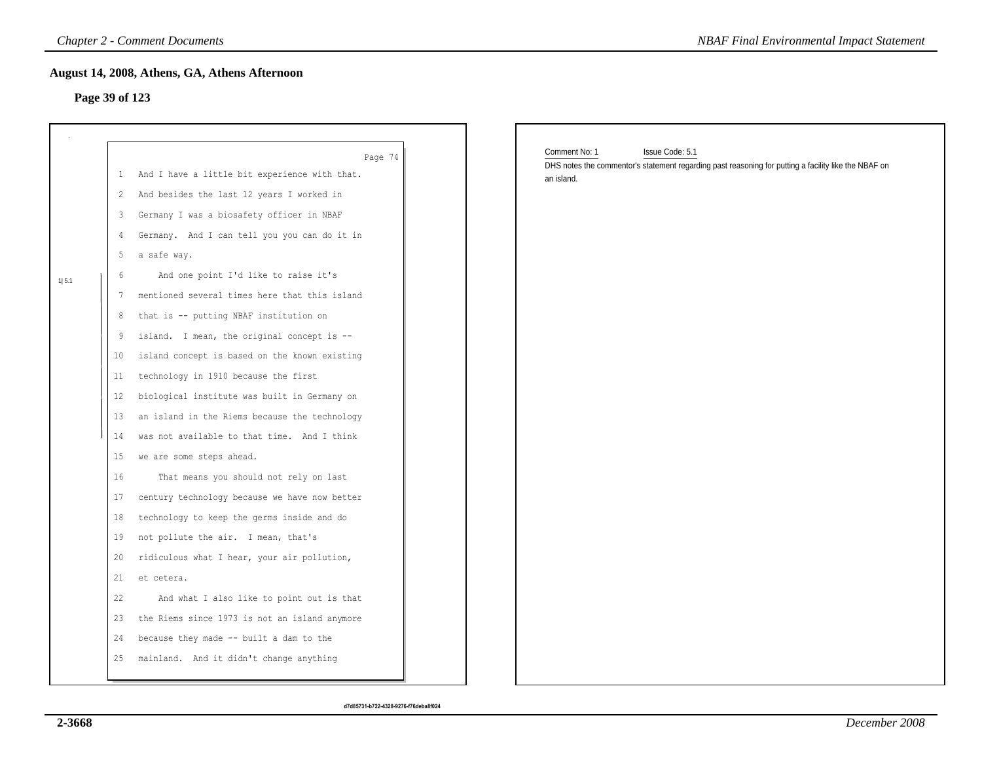## **Page 39 of 123**

| Page 39 of 123 |    | August 14, 2008, Athens, GA, Athens Afternoon              |                                                                                                                                          |
|----------------|----|------------------------------------------------------------|------------------------------------------------------------------------------------------------------------------------------------------|
|                |    |                                                            |                                                                                                                                          |
|                |    | Page 74<br>1 And I have a little bit experience with that. | Comment No: 1<br>Issue Code: 5.1<br>DHS notes the commentor's statement regarding past reasoning for putting a facility like the NBAF on |
|                | 2  | And besides the last 12 years I worked in                  | an island.                                                                                                                               |
|                | 3  | Germany I was a biosafety officer in NBAF                  |                                                                                                                                          |
|                | 4  | Germany. And I can tell you you can do it in               |                                                                                                                                          |
|                | 5  | a safe way.                                                |                                                                                                                                          |
|                | 6  | And one point I'd like to raise it's                       |                                                                                                                                          |
| 1 5.1          | 7  | mentioned several times here that this island              |                                                                                                                                          |
|                | 8  | that is -- putting NBAF institution on                     |                                                                                                                                          |
|                | 9  | island. I mean, the original concept is --                 |                                                                                                                                          |
|                | 10 | island concept is based on the known existing              |                                                                                                                                          |
|                | 11 | technology in 1910 because the first                       |                                                                                                                                          |
|                | 12 | biological institute was built in Germany on               |                                                                                                                                          |
|                | 13 | an island in the Riems because the technology              |                                                                                                                                          |
|                | 14 | was not available to that time. And I think                |                                                                                                                                          |
|                | 15 | we are some steps ahead.                                   |                                                                                                                                          |
|                | 16 | That means you should not rely on last                     |                                                                                                                                          |
|                | 17 | century technology because we have now better              |                                                                                                                                          |
|                | 18 | technology to keep the germs inside and do                 |                                                                                                                                          |
|                | 19 | not pollute the air. I mean, that's                        |                                                                                                                                          |
|                | 20 | ridiculous what I hear, your air pollution,                |                                                                                                                                          |
|                | 21 | et cetera.                                                 |                                                                                                                                          |
|                | 22 | And what I also like to point out is that                  |                                                                                                                                          |
|                | 23 | the Riems since 1973 is not an island anymore              |                                                                                                                                          |
|                | 24 | because they made -- built a dam to the                    |                                                                                                                                          |
|                | 25 | mainland. And it didn't change anything                    |                                                                                                                                          |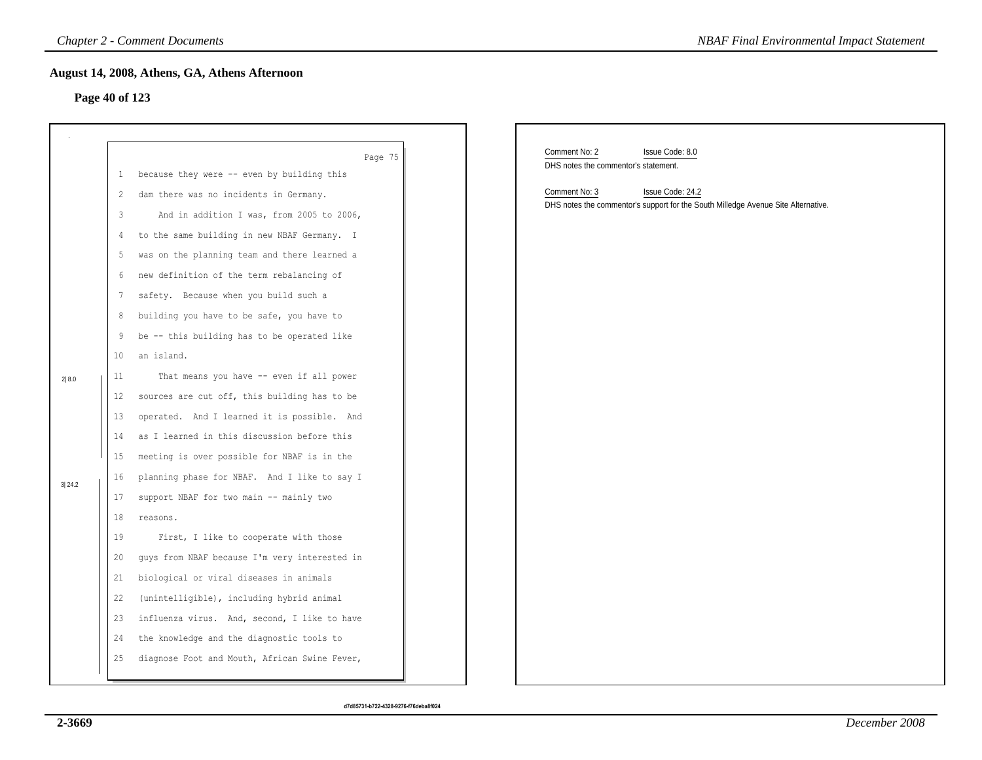## **Page 40 of 123**

|                |    | <b>Chapter 2 - Comment Documents</b>          | <b>NBAF Final Environmental Impact Statement</b>                                  |
|----------------|----|-----------------------------------------------|-----------------------------------------------------------------------------------|
|                |    | August 14, 2008, Athens, GA, Athens Afternoon |                                                                                   |
| Page 40 of 123 |    |                                               |                                                                                   |
|                |    |                                               |                                                                                   |
|                |    |                                               |                                                                                   |
|                |    | Page 75                                       | Comment No: 2<br>Issue Code: 8.0<br>DHS notes the commentor's statement.          |
|                | -1 | because they were -- even by building this    | Comment No: 3<br>Issue Code: 24.2                                                 |
|                | 2  | dam there was no incidents in Germany.        | DHS notes the commentor's support for the South Milledge Avenue Site Alternative. |
|                | 3  | And in addition I was, from 2005 to 2006,     |                                                                                   |
|                | 4  | to the same building in new NBAF Germany. I   |                                                                                   |
|                | 5  | was on the planning team and there learned a  |                                                                                   |
|                | 6  | new definition of the term rebalancing of     |                                                                                   |
|                | 7  | safety. Because when you build such a         |                                                                                   |
|                | 8  | building you have to be safe, you have to     |                                                                                   |
|                | 9  | be -- this building has to be operated like   |                                                                                   |
|                | 10 | an island.                                    |                                                                                   |
| 2 8.0          | 11 | That means you have -- even if all power      |                                                                                   |
|                | 12 | sources are cut off, this building has to be  |                                                                                   |
|                | 13 | operated. And I learned it is possible. And   |                                                                                   |
|                | 14 | as I learned in this discussion before this   |                                                                                   |
|                | 15 | meeting is over possible for NBAF is in the   |                                                                                   |
| 3 24.2         | 16 | planning phase for NBAF. And I like to say I  |                                                                                   |
|                | 17 | support NBAF for two main -- mainly two       |                                                                                   |
|                | 18 | reasons.                                      |                                                                                   |
|                | 19 | First, I like to cooperate with those         |                                                                                   |
|                | 20 | guys from NBAF because I'm very interested in |                                                                                   |
|                | 21 | biological or viral diseases in animals       |                                                                                   |
|                | 22 | (unintelligible), including hybrid animal     |                                                                                   |
|                | 23 | influenza virus. And, second, I like to have  |                                                                                   |
|                | 24 | the knowledge and the diagnostic tools to     |                                                                                   |
|                | 25 | diagnose Foot and Mouth, African Swine Fever, |                                                                                   |
|                |    |                                               |                                                                                   |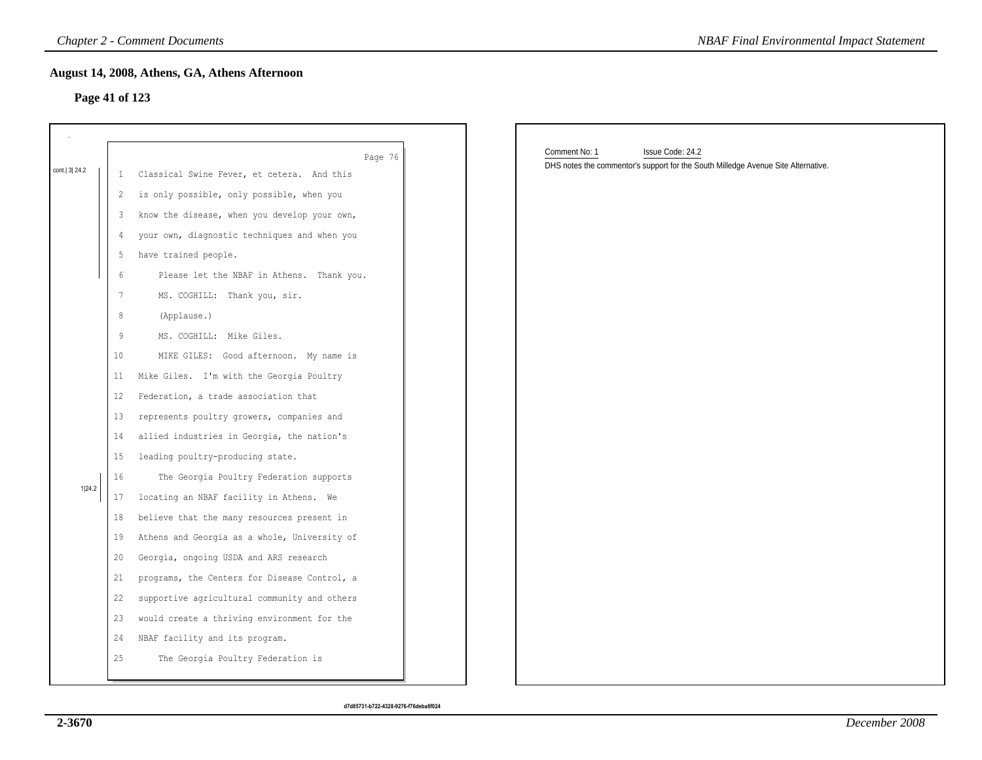## **Page 41 of 123**

|                |                   | <b>Chapter 2 - Comment Documents</b>          | <b>NBAF Final Environmental Impact Statement</b>                                                                       |
|----------------|-------------------|-----------------------------------------------|------------------------------------------------------------------------------------------------------------------------|
|                |                   | August 14, 2008, Athens, GA, Athens Afternoon |                                                                                                                        |
| Page 41 of 123 |                   |                                               |                                                                                                                        |
|                |                   |                                               |                                                                                                                        |
|                |                   |                                               |                                                                                                                        |
|                |                   | Page 76                                       | Comment No: 1<br>Issue Code: 24.2<br>DHS notes the commentor's support for the South Milledge Avenue Site Alternative. |
| cont. 3 24.2   | $\mathbf{1}$      | Classical Swine Fever, et cetera. And this    |                                                                                                                        |
|                | 2                 | is only possible, only possible, when you     |                                                                                                                        |
|                | 3                 | know the disease, when you develop your own,  |                                                                                                                        |
|                | 4                 | your own, diagnostic techniques and when you  |                                                                                                                        |
|                | 5                 | have trained people.                          |                                                                                                                        |
|                | 6                 | Please let the NBAF in Athens. Thank you.     |                                                                                                                        |
|                | $7\phantom{.0}$   | MS. COGHILL: Thank you, sir.                  |                                                                                                                        |
|                | $\,8\,$           | (Applause.)                                   |                                                                                                                        |
|                | 9                 | MS. COGHILL: Mike Giles.                      |                                                                                                                        |
|                | 10                | MIKE GILES: Good afternoon. My name is        |                                                                                                                        |
|                | 11                | Mike Giles. I'm with the Georgia Poultry      |                                                                                                                        |
|                | $12 \overline{ }$ | Federation, a trade association that          |                                                                                                                        |
|                | 13                | represents poultry growers, companies and     |                                                                                                                        |
|                | 14                | allied industries in Georgia, the nation's    |                                                                                                                        |
|                | 15                | leading poultry-producing state.              |                                                                                                                        |
|                | 16                | The Georgia Poultry Federation supports       |                                                                                                                        |
| 1 24.2         | 17                | locating an NBAF facility in Athens. We       |                                                                                                                        |
|                | 18                | believe that the many resources present in    |                                                                                                                        |
|                | 19                | Athens and Georgia as a whole, University of  |                                                                                                                        |
|                | 20                | Georgia, ongoing USDA and ARS research        |                                                                                                                        |
|                | 21                | programs, the Centers for Disease Control, a  |                                                                                                                        |
|                | 22                | supportive agricultural community and others  |                                                                                                                        |
|                | 23                | would create a thriving environment for the   |                                                                                                                        |
|                | 24                | NBAF facility and its program.                |                                                                                                                        |
|                | 25                | The Georgia Poultry Federation is             |                                                                                                                        |
|                |                   |                                               |                                                                                                                        |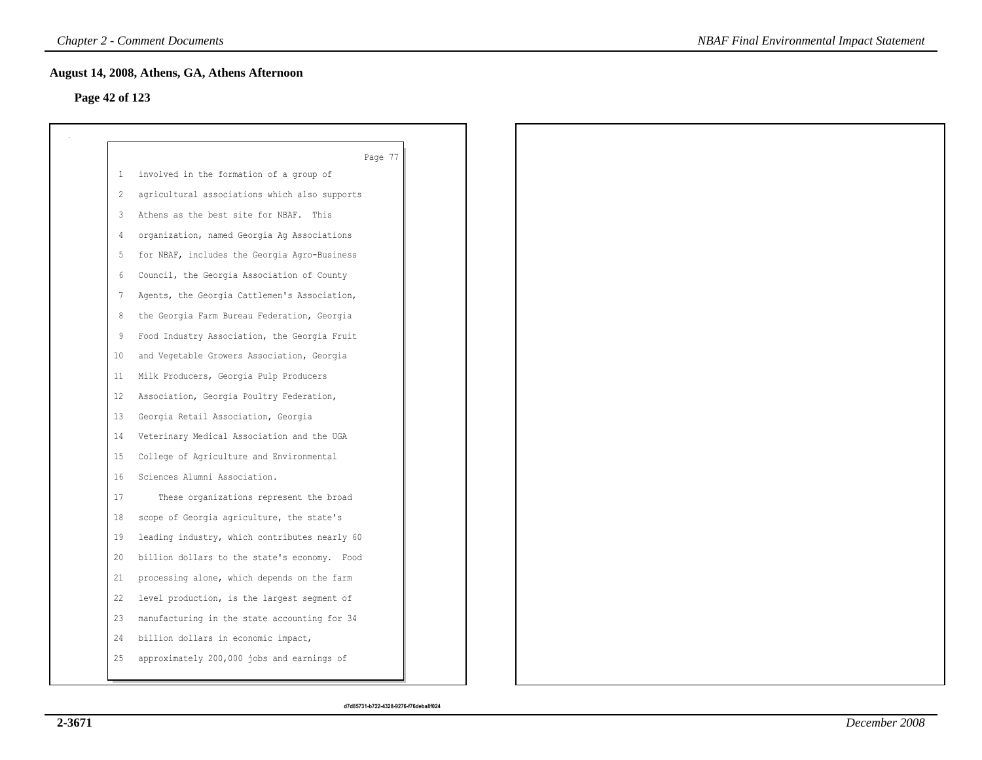## **Page 42 of 123**

|     | Page 77                                       |
|-----|-----------------------------------------------|
| -1. | involved in the formation of a group of       |
| 2   | agricultural associations which also supports |
| 3   | Athens as the best site for NBAF. This        |
| 4   | organization, named Georgia Ag Associations   |
| 5   | for NBAF, includes the Georgia Agro-Business  |
| 6   | Council, the Georgia Association of County    |
| 7   | Agents, the Georgia Cattlemen's Association,  |
| 8   | the Georgia Farm Bureau Federation, Georgia   |
| 9   | Food Industry Association, the Georgia Fruit  |
| 10  | and Vegetable Growers Association, Georgia    |
| 11  | Milk Producers, Georgia Pulp Producers        |
| 12  | Association, Georgia Poultry Federation,      |
| 13  | Georgia Retail Association, Georgia           |
| 14  | Veterinary Medical Association and the UGA    |
| 15  | College of Agriculture and Environmental      |
| 16  | Sciences Alumni Association.                  |
| 17  | These organizations represent the broad       |
| 18  | scope of Georgia agriculture, the state's     |
| 19  | leading industry, which contributes nearly 60 |
| 20  | billion dollars to the state's economy. Food  |
| 21  | processing alone, which depends on the farm   |
| 22  | level production, is the largest segment of   |
| 23  | manufacturing in the state accounting for 34  |
| 24  | billion dollars in economic impact,           |
| 25  | approximately 200,000 jobs and earnings of    |
|     |                                               |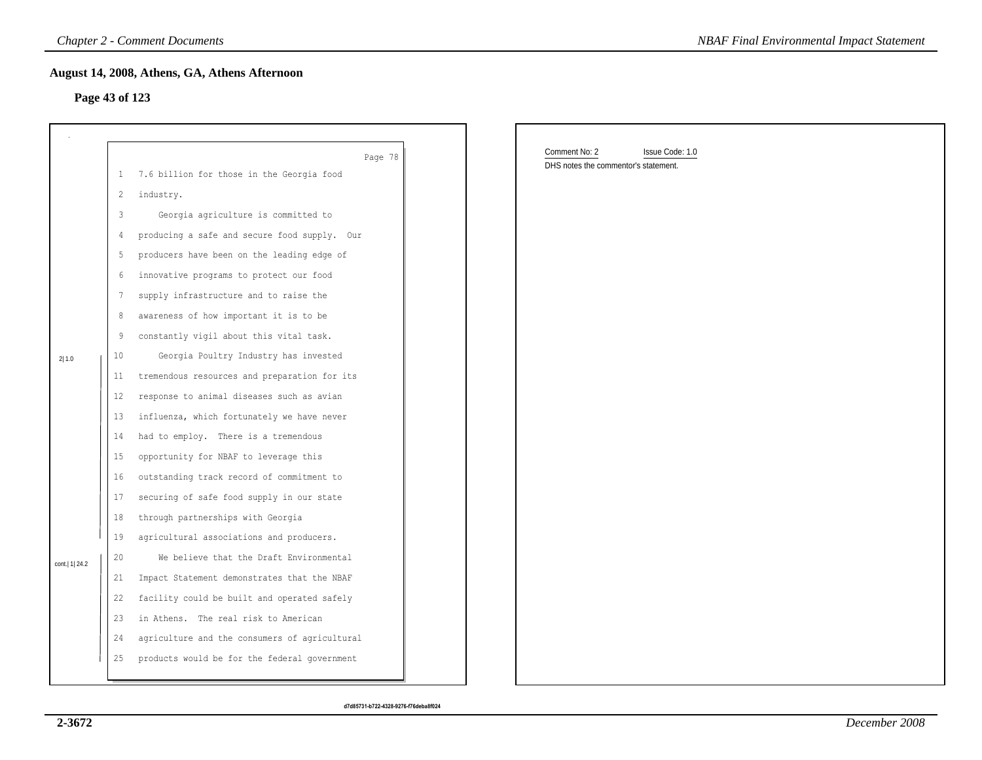## **Page 43 of 123**

|                  |              | <b>Chapter 2 - Comment Documents</b>          | <b>NBAF Final Environmental Impact Statement</b>                         |
|------------------|--------------|-----------------------------------------------|--------------------------------------------------------------------------|
| Page 43 of 123   |              | August 14, 2008, Athens, GA, Athens Afternoon |                                                                          |
|                  |              | Page 78                                       | Comment No: 2<br>Issue Code: 1.0<br>DHS notes the commentor's statement. |
|                  | $\mathbf{1}$ | 7.6 billion for those in the Georgia food     |                                                                          |
|                  | 2            | industry.                                     |                                                                          |
|                  | 3            | Georgia agriculture is committed to           |                                                                          |
|                  | 4            | producing a safe and secure food supply. Our  |                                                                          |
|                  | 5            | producers have been on the leading edge of    |                                                                          |
|                  | 6            | innovative programs to protect our food       |                                                                          |
|                  | 7            | supply infrastructure and to raise the        |                                                                          |
|                  | 8            | awareness of how important it is to be        |                                                                          |
|                  | 9            | constantly vigil about this vital task.       |                                                                          |
| 2 1.0            | 10           | Georgia Poultry Industry has invested         |                                                                          |
|                  | 11           | tremendous resources and preparation for its  |                                                                          |
|                  | $12 \,$      | response to animal diseases such as avian     |                                                                          |
|                  | 13           | influenza, which fortunately we have never    |                                                                          |
|                  | 14           | had to employ. There is a tremendous          |                                                                          |
|                  | 15           | opportunity for NBAF to leverage this         |                                                                          |
|                  | 16           | outstanding track record of commitment to     |                                                                          |
|                  | 17           | securing of safe food supply in our state     |                                                                          |
|                  | 18           | through partnerships with Georgia             |                                                                          |
|                  | 19           | agricultural associations and producers.      |                                                                          |
| cont.   1   24.2 | 20           | We believe that the Draft Environmental       |                                                                          |
|                  | 21           | Impact Statement demonstrates that the NBAF   |                                                                          |
|                  | 22           | facility could be built and operated safely   |                                                                          |
|                  | 23           | in Athens. The real risk to American          |                                                                          |
|                  | 24           | agriculture and the consumers of agricultural |                                                                          |
|                  | 25           | products would be for the federal government  |                                                                          |
|                  |              |                                               |                                                                          |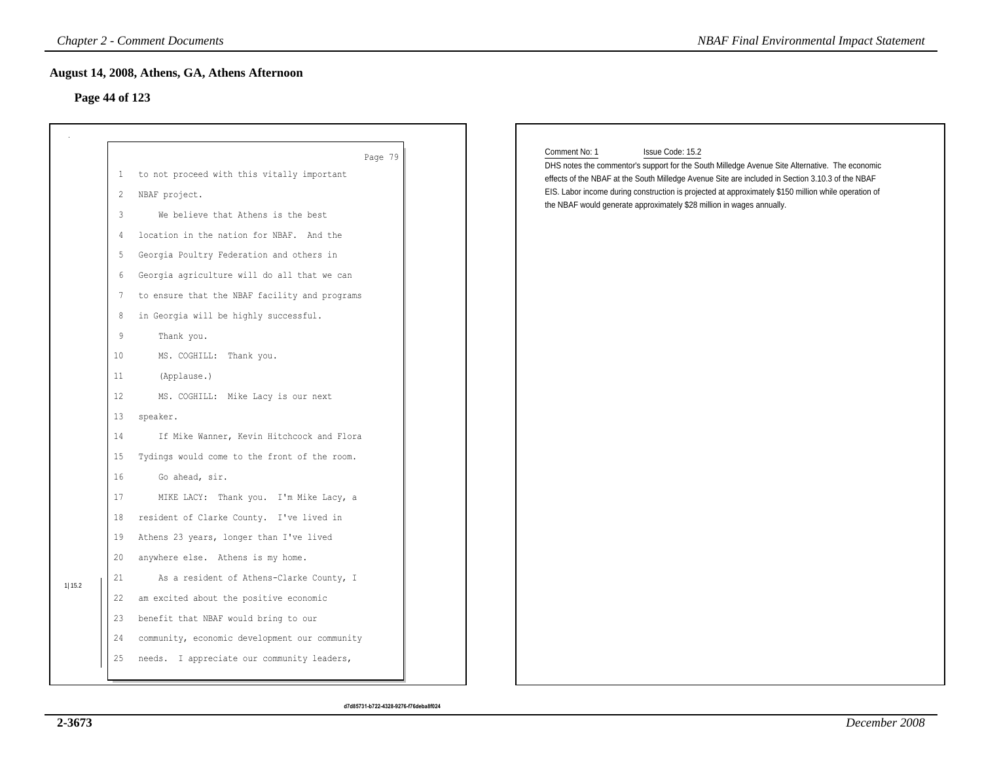## **Page 44 of 123**

|                |                   | <b>Chapter 2 - Comment Documents</b>          |                                                                       | <b>NBAF Final Environmental Impact Statement</b>                                                     |
|----------------|-------------------|-----------------------------------------------|-----------------------------------------------------------------------|------------------------------------------------------------------------------------------------------|
|                |                   | August 14, 2008, Athens, GA, Athens Afternoon |                                                                       |                                                                                                      |
| Page 44 of 123 |                   |                                               |                                                                       |                                                                                                      |
|                |                   |                                               |                                                                       |                                                                                                      |
|                |                   |                                               |                                                                       |                                                                                                      |
|                |                   | Page 79                                       | Comment No: 1<br>Issue Code: 15.2                                     | DHS notes the commentor's support for the South Milledge Avenue Site Alternative. The economic       |
|                | 1                 | to not proceed with this vitally important    |                                                                       | effects of the NBAF at the South Milledge Avenue Site are included in Section 3.10.3 of the NBAF     |
|                | 2                 | NBAF project.                                 | the NBAF would generate approximately \$28 million in wages annually. | EIS. Labor income during construction is projected at approximately \$150 million while operation of |
|                | 3                 | We believe that Athens is the best            |                                                                       |                                                                                                      |
|                | $\overline{4}$    | location in the nation for NBAF. And the      |                                                                       |                                                                                                      |
|                | 5                 | Georgia Poultry Federation and others in      |                                                                       |                                                                                                      |
|                | 6                 | Georgia agriculture will do all that we can   |                                                                       |                                                                                                      |
|                | 7                 | to ensure that the NBAF facility and programs |                                                                       |                                                                                                      |
|                | 8                 | in Georgia will be highly successful.         |                                                                       |                                                                                                      |
|                | 9                 | Thank you.                                    |                                                                       |                                                                                                      |
|                | 10 <sub>o</sub>   | MS. COGHILL: Thank you.                       |                                                                       |                                                                                                      |
|                | 11                | (Applause.)                                   |                                                                       |                                                                                                      |
|                | $12 \overline{ }$ | MS. COGHILL: Mike Lacy is our next            |                                                                       |                                                                                                      |
|                | 13                | speaker.                                      |                                                                       |                                                                                                      |
|                | 14                | If Mike Wanner, Kevin Hitchcock and Flora     |                                                                       |                                                                                                      |
|                | 15 <sub>1</sub>   | Tydings would come to the front of the room.  |                                                                       |                                                                                                      |
|                | 16                | Go ahead, sir.                                |                                                                       |                                                                                                      |
|                | 17                | MIKE LACY: Thank you. I'm Mike Lacy, a        |                                                                       |                                                                                                      |
|                | 18                | resident of Clarke County. I've lived in      |                                                                       |                                                                                                      |
|                | 19                | Athens 23 years, longer than I've lived       |                                                                       |                                                                                                      |
|                | 20                | anywhere else. Athens is my home.             |                                                                       |                                                                                                      |
|                | 21                | As a resident of Athens-Clarke County, I      |                                                                       |                                                                                                      |
| 1 15.2         | 22                | am excited about the positive economic        |                                                                       |                                                                                                      |
|                | 23                | benefit that NBAF would bring to our          |                                                                       |                                                                                                      |
|                | 24                | community, economic development our community |                                                                       |                                                                                                      |
|                | 25                | needs. I appreciate our community leaders,    |                                                                       |                                                                                                      |
|                |                   |                                               |                                                                       |                                                                                                      |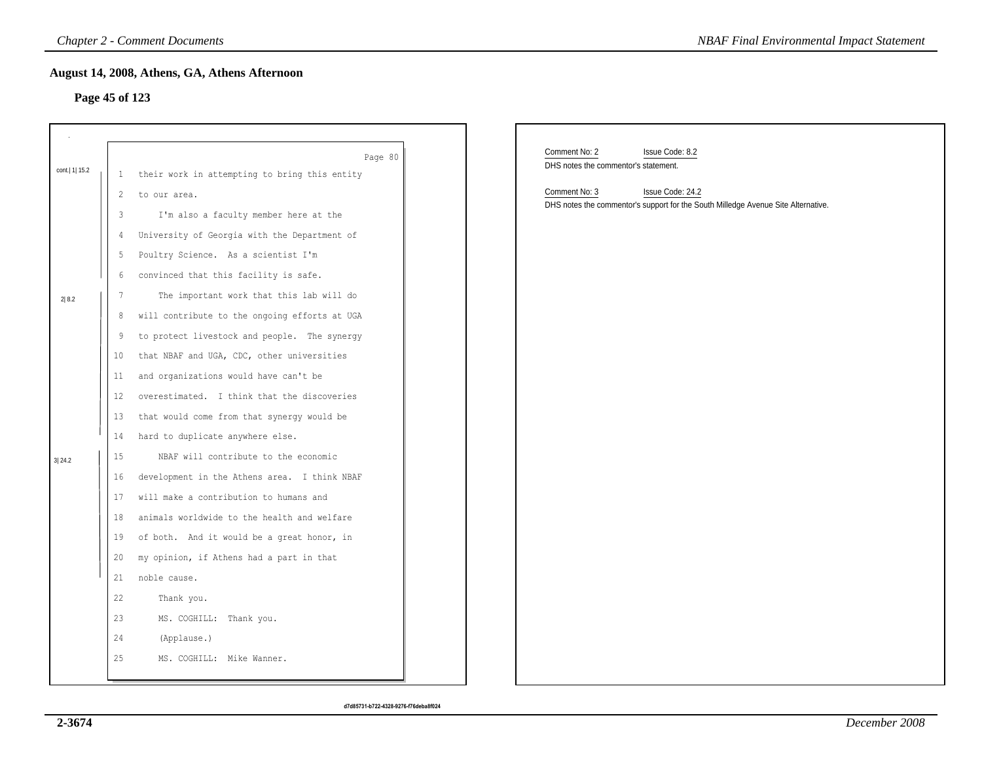## **Page 45 of 123**

|                 |                | <b>Chapter 2 - Comment Documents</b>          | <b>NBAF Final Environmental Impact Statement</b>                                  |
|-----------------|----------------|-----------------------------------------------|-----------------------------------------------------------------------------------|
|                 |                | August 14, 2008, Athens, GA, Athens Afternoon |                                                                                   |
|                 | Page 45 of 123 |                                               |                                                                                   |
|                 |                |                                               |                                                                                   |
|                 |                |                                               | Comment No: 2                                                                     |
| cont.   1  15.2 |                | Page 80                                       | Issue Code: 8.2<br>DHS notes the commentor's statement.                           |
|                 | 1              | their work in attempting to bring this entity | Comment No: 3<br>Issue Code: 24.2                                                 |
|                 | 2              | to our area.                                  | DHS notes the commentor's support for the South Milledge Avenue Site Alternative. |
|                 | $\mathbf{3}$   | I'm also a faculty member here at the         |                                                                                   |
|                 | 4              | University of Georgia with the Department of  |                                                                                   |
|                 | $\overline{5}$ | Poultry Science. As a scientist I'm           |                                                                                   |
|                 | 6              | convinced that this facility is safe.         |                                                                                   |
| 2 8.2           | 7              | The important work that this lab will do      |                                                                                   |
|                 | 8              | will contribute to the ongoing efforts at UGA |                                                                                   |
|                 | 9              | to protect livestock and people. The synergy  |                                                                                   |
|                 | 10             | that NBAF and UGA, CDC, other universities    |                                                                                   |
|                 | 11             | and organizations would have can't be         |                                                                                   |
|                 | 12             | overestimated. I think that the discoveries   |                                                                                   |
|                 | 13             | that would come from that synergy would be    |                                                                                   |
|                 | 14             | hard to duplicate anywhere else.              |                                                                                   |
| 3 24.2          | 15             | NBAF will contribute to the economic          |                                                                                   |
|                 | 16             | development in the Athens area. I think NBAF  |                                                                                   |
|                 | 17             | will make a contribution to humans and        |                                                                                   |
|                 | 18             | animals worldwide to the health and welfare   |                                                                                   |
|                 | 19             | of both. And it would be a great honor, in    |                                                                                   |
|                 | 20             | my opinion, if Athens had a part in that      |                                                                                   |
|                 | 21             | noble cause.                                  |                                                                                   |
|                 | 22             | Thank you.                                    |                                                                                   |
|                 | 23             | MS. COGHILL: Thank you.                       |                                                                                   |
|                 | 24             | (Applause.)                                   |                                                                                   |
|                 | 25             | MS. COGHILL: Mike Wanner.                     |                                                                                   |
|                 |                |                                               |                                                                                   |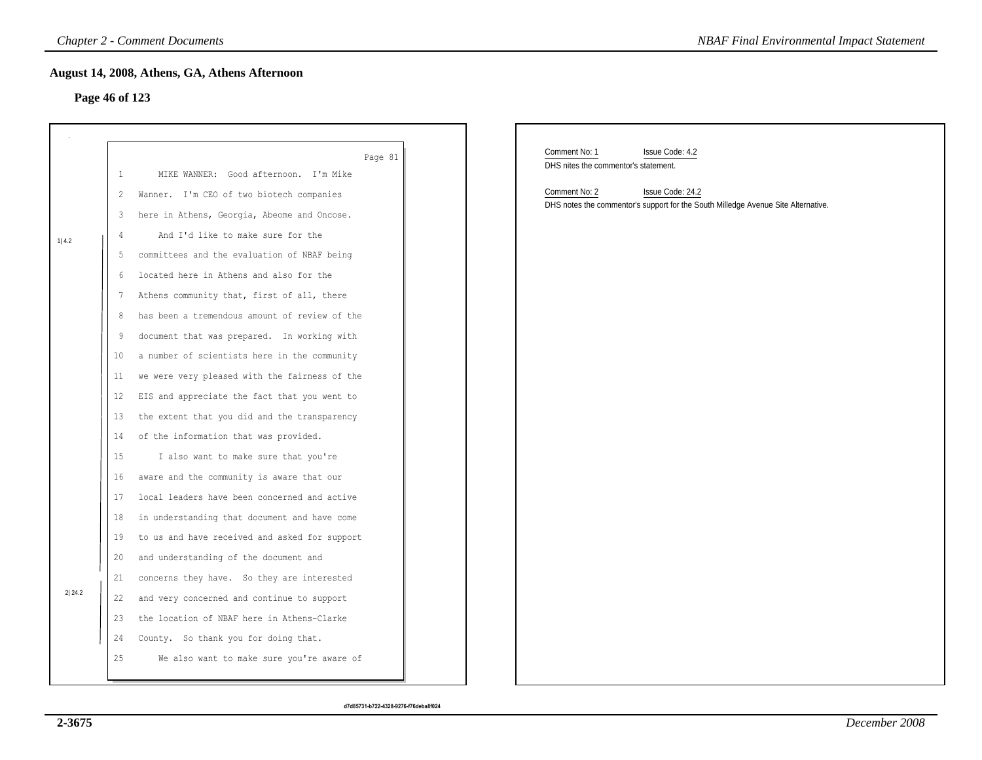## **Page 46 of 123**

|         |                   | <b>Chapter 2 - Comment Documents</b>          | <b>NBAF Final Environmental Impact Statement</b>                                                                       |
|---------|-------------------|-----------------------------------------------|------------------------------------------------------------------------------------------------------------------------|
|         | Page 46 of 123    | August 14, 2008, Athens, GA, Athens Afternoon |                                                                                                                        |
|         |                   | Page 81                                       | Comment No: 1<br>Issue Code: 4.2                                                                                       |
|         | $\mathbf{1}$      | MIKE WANNER: Good afternoon. I'm Mike         | DHS nites the commentor's statement.                                                                                   |
|         | 2                 | Wanner. I'm CEO of two biotech companies      | Comment No: 2<br>Issue Code: 24.2<br>DHS notes the commentor's support for the South Milledge Avenue Site Alternative. |
|         | 3                 | here in Athens, Georgia, Abeome and Oncose.   |                                                                                                                        |
| $1 4.2$ | $\frac{4}{3}$     | And I'd like to make sure for the             |                                                                                                                        |
|         | 5                 | committees and the evaluation of NBAF being   |                                                                                                                        |
|         | 6                 | located here in Athens and also for the       |                                                                                                                        |
|         | 7                 | Athens community that, first of all, there    |                                                                                                                        |
|         | 8                 | has been a tremendous amount of review of the |                                                                                                                        |
|         | 9                 | document that was prepared. In working with   |                                                                                                                        |
|         | 10                | a number of scientists here in the community  |                                                                                                                        |
|         | 11                | we were very pleased with the fairness of the |                                                                                                                        |
|         | $12 \overline{ }$ | EIS and appreciate the fact that you went to  |                                                                                                                        |
|         | 13                | the extent that you did and the transparency  |                                                                                                                        |
|         | 14                | of the information that was provided.         |                                                                                                                        |
|         | 15                | I also want to make sure that you're          |                                                                                                                        |
|         | 16                | aware and the community is aware that our     |                                                                                                                        |
|         | 17                | local leaders have been concerned and active  |                                                                                                                        |
|         | 18                | in understanding that document and have come  |                                                                                                                        |
|         | 19                | to us and have received and asked for support |                                                                                                                        |
|         | 20                | and understanding of the document and         |                                                                                                                        |
| 2 24.2  | 21                | concerns they have. So they are interested    |                                                                                                                        |
|         | 22                | and very concerned and continue to support    |                                                                                                                        |
|         | 23                | the location of NBAF here in Athens-Clarke    |                                                                                                                        |
|         | 24                | County. So thank you for doing that.          |                                                                                                                        |
|         | 25                | We also want to make sure you're aware of     |                                                                                                                        |
|         |                   |                                               |                                                                                                                        |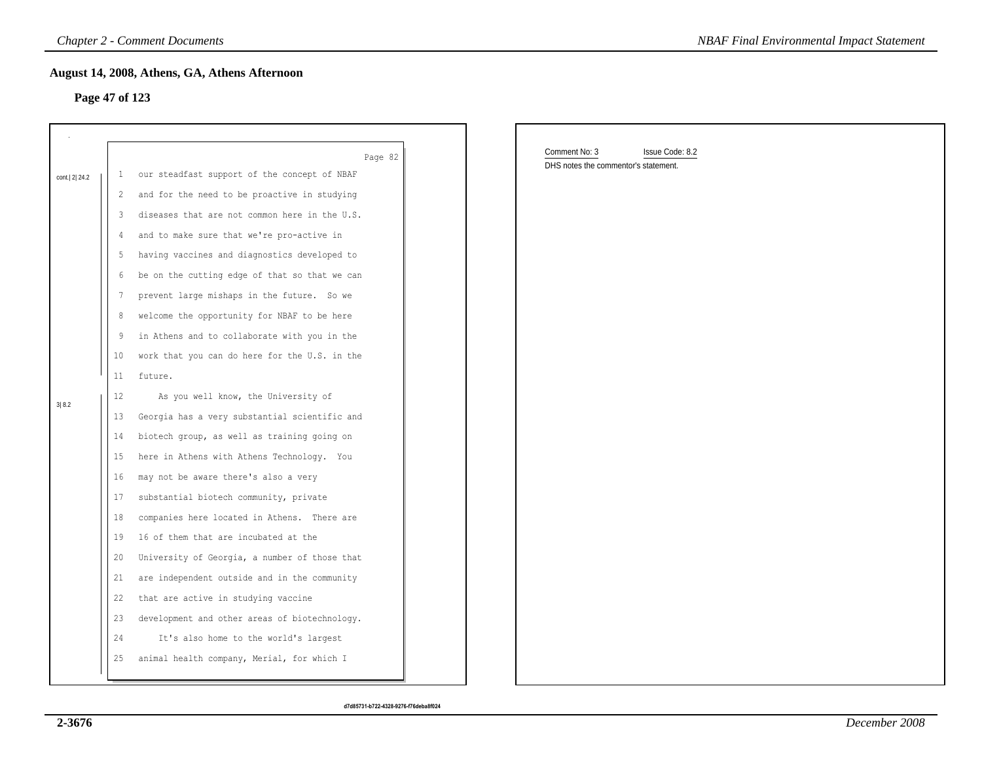## **Page 47 of 123**

|                |                 | <b>Chapter 2 - Comment Documents</b>          | <b>NBAF Final Environmental Impact Statement</b> |
|----------------|-----------------|-----------------------------------------------|--------------------------------------------------|
| Page 47 of 123 |                 | August 14, 2008, Athens, GA, Athens Afternoon |                                                  |
|                |                 |                                               |                                                  |
|                |                 | Page 82                                       | Comment No: 3<br>Issue Code: 8.2                 |
| cont. 2 24.2   | $\mathbf{1}$    | our steadfast support of the concept of NBAF  | DHS notes the commentor's statement.             |
|                | 2               | and for the need to be proactive in studying  |                                                  |
|                | 3               | diseases that are not common here in the U.S. |                                                  |
|                | 4               | and to make sure that we're pro-active in     |                                                  |
|                | 5               | having vaccines and diagnostics developed to  |                                                  |
|                | 6               | be on the cutting edge of that so that we can |                                                  |
|                | 7               | prevent large mishaps in the future. So we    |                                                  |
|                | 8               | welcome the opportunity for NBAF to be here   |                                                  |
|                | 9               | in Athens and to collaborate with you in the  |                                                  |
|                | 10 <sub>o</sub> | work that you can do here for the U.S. in the |                                                  |
|                | 11              | future.                                       |                                                  |
| 3 8.2          | 12              | As you well know, the University of           |                                                  |
|                | 13              | Georgia has a very substantial scientific and |                                                  |
|                | 14              | biotech group, as well as training going on   |                                                  |
|                | 15              | here in Athens with Athens Technology. You    |                                                  |
|                | 16              | may not be aware there's also a very          |                                                  |
|                | 17              | substantial biotech community, private        |                                                  |
|                | 18              | companies here located in Athens. There are   |                                                  |
|                | 19              | 16 of them that are incubated at the          |                                                  |
|                | 20              | University of Georgia, a number of those that |                                                  |
|                | 21              | are independent outside and in the community  |                                                  |
|                | 22              | that are active in studying vaccine           |                                                  |
|                | 23              | development and other areas of biotechnology. |                                                  |
|                | 24              | It's also home to the world's largest         |                                                  |
|                | 25              | animal health company, Merial, for which I    |                                                  |
|                |                 |                                               |                                                  |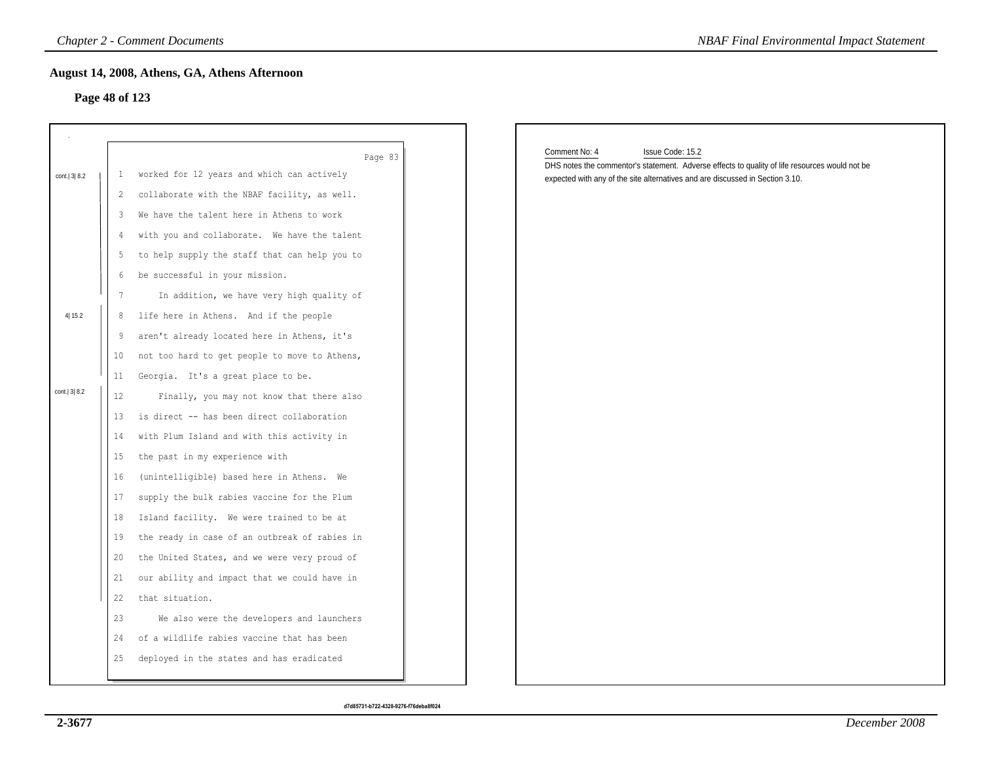## **Page 48 of 123**

|                |                      | <b>Chapter 2 - Comment Documents</b>                                                                                                                                                | <b>NBAF Final Environmental Impact Statement</b>                                                                                                                                                                     |
|----------------|----------------------|-------------------------------------------------------------------------------------------------------------------------------------------------------------------------------------|----------------------------------------------------------------------------------------------------------------------------------------------------------------------------------------------------------------------|
|                |                      | August 14, 2008, Athens, GA, Athens Afternoon<br>Page 48 of 123                                                                                                                     |                                                                                                                                                                                                                      |
| cont. 3 8.2    | 1<br>2               | Page 83<br>worked for 12 years and which can actively<br>collaborate with the NBAF facility, as well.                                                                               | Comment No: 4<br>Issue Code: 15.2<br>DHS notes the commentor's statement. Adverse effects to quality of life resources would not be<br>expected with any of the site alternatives and are discussed in Section 3.10. |
|                | 3<br>4<br>5<br>6     | We have the talent here in Athens to work<br>with you and collaborate. We have the talent<br>to help supply the staff that can help you to<br>be successful in your mission.        |                                                                                                                                                                                                                      |
| 4 15.2         | 7<br>8<br>9<br>10    | In addition, we have very high quality of<br>life here in Athens. And if the people<br>aren't already located here in Athens, it's<br>not too hard to get people to move to Athens, |                                                                                                                                                                                                                      |
| cont.   3  8.2 | 11<br>12<br>13<br>14 | Georgia. It's a great place to be.<br>Finally, you may not know that there also<br>is direct -- has been direct collaboration<br>with Plum Island and with this activity in         |                                                                                                                                                                                                                      |
|                | 15<br>16<br>17<br>18 | the past in my experience with<br>(unintelligible) based here in Athens. We<br>supply the bulk rabies vaccine for the Plum<br>Island facility. We were trained to be at             |                                                                                                                                                                                                                      |
|                | 19<br>20<br>21<br>22 | the ready in case of an outbreak of rabies in<br>the United States, and we were very proud of<br>our ability and impact that we could have in<br>that situation.                    |                                                                                                                                                                                                                      |
|                | 23<br>24<br>25       | We also were the developers and launchers<br>of a wildlife rabies vaccine that has been<br>deployed in the states and has eradicated                                                |                                                                                                                                                                                                                      |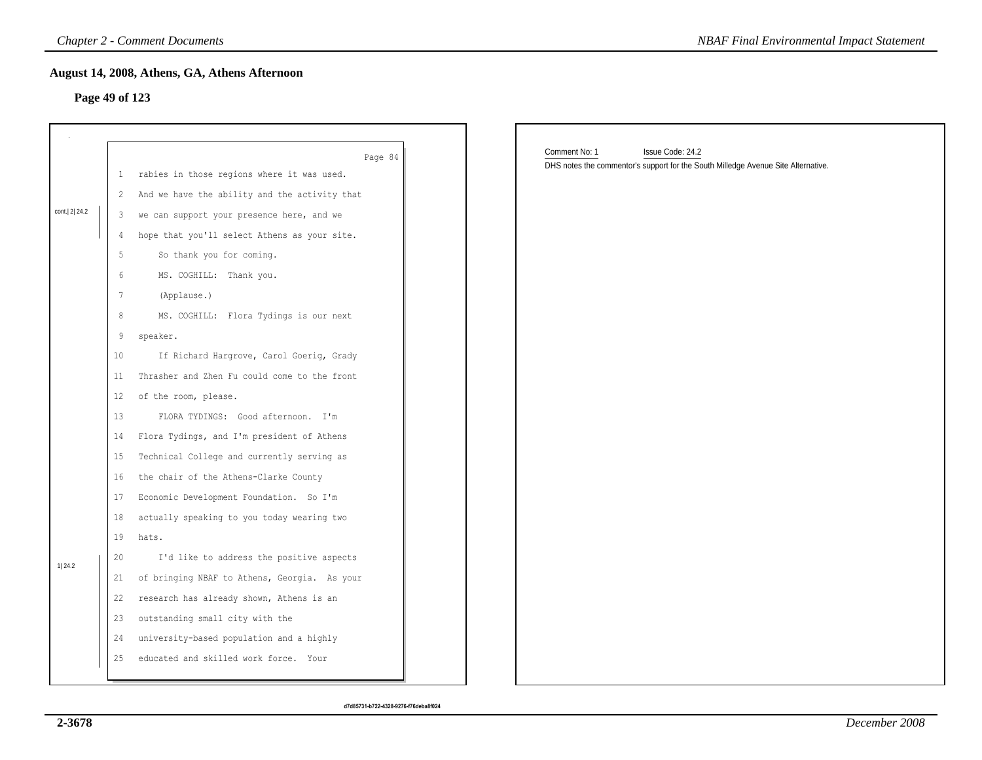## **Page 49 of 123**

|                |                 | <b>Chapter 2 - Comment Documents</b>          | <b>NBAF Final Environmental Impact Statement</b>                                  |
|----------------|-----------------|-----------------------------------------------|-----------------------------------------------------------------------------------|
| Page 49 of 123 |                 | August 14, 2008, Athens, GA, Athens Afternoon |                                                                                   |
|                |                 |                                               |                                                                                   |
|                |                 |                                               |                                                                                   |
|                |                 | Page 84                                       | Comment No: 1<br>Issue Code: 24.2                                                 |
|                | $\mathbf{1}$    | rabies in those regions where it was used.    | DHS notes the commentor's support for the South Milledge Avenue Site Alternative. |
|                | 2               | And we have the ability and the activity that |                                                                                   |
| cont. 2 24.2   | 3               | we can support your presence here, and we     |                                                                                   |
|                | 4               | hope that you'll select Athens as your site.  |                                                                                   |
|                | 5               | So thank you for coming.                      |                                                                                   |
|                | 6               | MS. COGHILL: Thank you.                       |                                                                                   |
|                | $\overline{7}$  | (Applause.)                                   |                                                                                   |
|                | 8               | MS. COGHILL: Flora Tydings is our next        |                                                                                   |
|                | 9               | speaker.                                      |                                                                                   |
|                | 10 <sub>o</sub> | If Richard Hargrove, Carol Goerig, Grady      |                                                                                   |
|                | 11              | Thrasher and Zhen Fu could come to the front  |                                                                                   |
|                | 12              | of the room, please.                          |                                                                                   |
|                | 13              | FLORA TYDINGS: Good afternoon. I'm            |                                                                                   |
|                | 14              | Flora Tydings, and I'm president of Athens    |                                                                                   |
|                | 15              | Technical College and currently serving as    |                                                                                   |
|                | 16              | the chair of the Athens-Clarke County         |                                                                                   |
|                | 17              | Economic Development Foundation. So I'm       |                                                                                   |
|                | 18              | actually speaking to you today wearing two    |                                                                                   |
|                | 19              | hats.                                         |                                                                                   |
| 1 24.2         | 20              | I'd like to address the positive aspects      |                                                                                   |
|                | 21              | of bringing NBAF to Athens, Georgia. As your  |                                                                                   |
|                | 22              | research has already shown, Athens is an      |                                                                                   |
|                | 23              | outstanding small city with the               |                                                                                   |
|                | 24              | university-based population and a highly      |                                                                                   |
|                | 25              | educated and skilled work force. Your         |                                                                                   |
|                |                 |                                               |                                                                                   |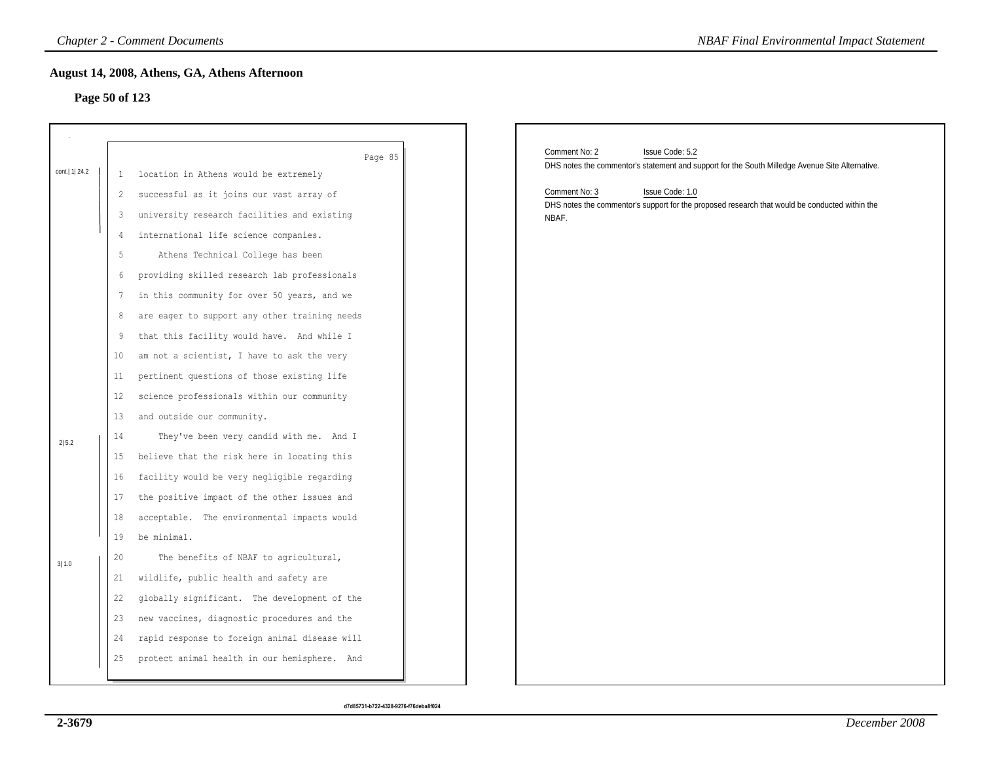## **Page 50 of 123**

|                  |                   | <b>Chapter 2 - Comment Documents</b>             | <b>NBAF Final Environmental Impact Statement</b>                                                |
|------------------|-------------------|--------------------------------------------------|-------------------------------------------------------------------------------------------------|
|                  |                   | August 14, 2008, Athens, GA, Athens Afternoon    |                                                                                                 |
| Page 50 of 123   |                   |                                                  |                                                                                                 |
|                  |                   |                                                  |                                                                                                 |
|                  |                   |                                                  | Comment No: 2<br>Issue Code: 5.2                                                                |
| cont.   1   24.2 | -1                | Page 85<br>location in Athens would be extremely | DHS notes the commentor's statement and support for the South Milledge Avenue Site Alternative. |
|                  | 2                 | successful as it joins our vast array of         | Comment No: 3<br>Issue Code: 1.0                                                                |
|                  | 3                 | university research facilities and existing      | DHS notes the commentor's support for the proposed research that would be conducted within the  |
|                  | 4                 | international life science companies.            | NBAF.                                                                                           |
|                  | 5                 | Athens Technical College has been                |                                                                                                 |
|                  | 6                 | providing skilled research lab professionals     |                                                                                                 |
|                  | 7                 | in this community for over 50 years, and we      |                                                                                                 |
|                  | 8                 | are eager to support any other training needs    |                                                                                                 |
|                  | 9                 | that this facility would have. And while I       |                                                                                                 |
|                  | 10                | am not a scientist, I have to ask the very       |                                                                                                 |
|                  | 11 <sub>1</sub>   | pertinent questions of those existing life       |                                                                                                 |
|                  | $12 \overline{ }$ | science professionals within our community       |                                                                                                 |
|                  | 13                | and outside our community.                       |                                                                                                 |
|                  | 14                | They've been very candid with me. And I          |                                                                                                 |
| 2 5.2            | 15                | believe that the risk here in locating this      |                                                                                                 |
|                  | 16                | facility would be very negligible regarding      |                                                                                                 |
|                  | 17                | the positive impact of the other issues and      |                                                                                                 |
|                  | 18                | acceptable. The environmental impacts would      |                                                                                                 |
|                  | 19                | be minimal.                                      |                                                                                                 |
| 3 1.0            | 20                | The benefits of NBAF to agricultural,            |                                                                                                 |
|                  | 21                | wildlife, public health and safety are           |                                                                                                 |
|                  | 22                | globally significant. The development of the     |                                                                                                 |
|                  | 23                | new vaccines, diagnostic procedures and the      |                                                                                                 |
|                  | 24                | rapid response to foreign animal disease will    |                                                                                                 |
|                  | 25                | protect animal health in our hemisphere. And     |                                                                                                 |
|                  |                   |                                                  |                                                                                                 |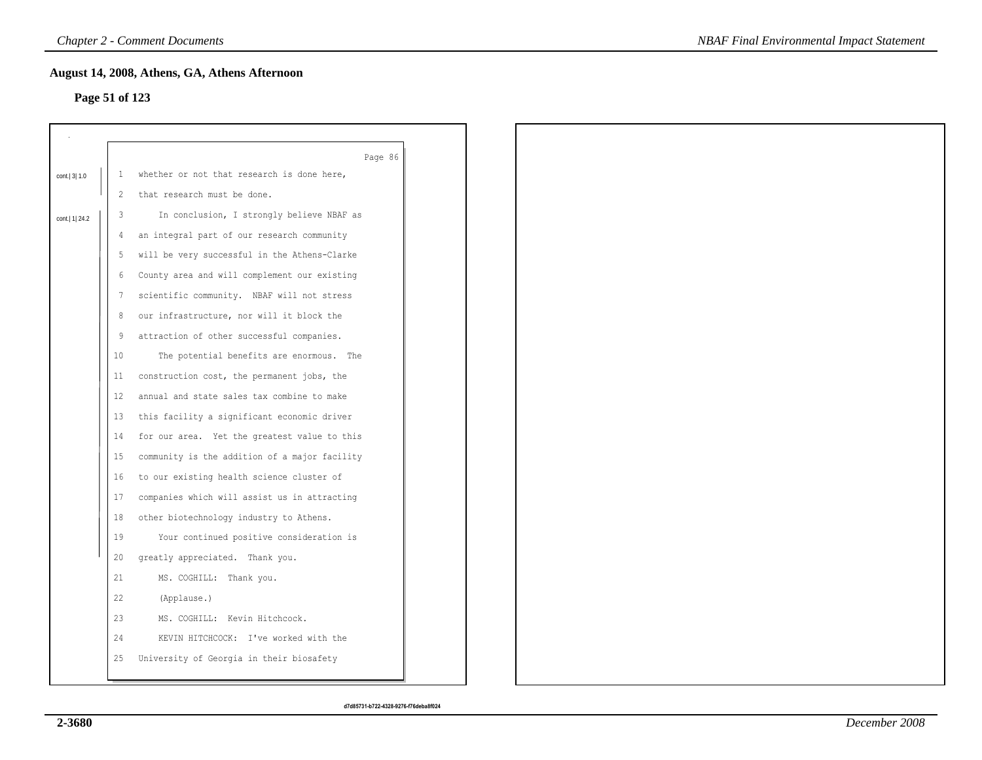## **Page 51 of 123**

| Page 51 of 123   |                   | August 14, 2008, Athens, GA, Athens Afternoon         |
|------------------|-------------------|-------------------------------------------------------|
|                  |                   |                                                       |
|                  |                   |                                                       |
| cont. 3 1.0      | $\mathbf{1}$      | Page 86<br>whether or not that research is done here, |
|                  | 2                 | that research must be done.                           |
|                  | 3                 | In conclusion, I strongly believe NBAF as             |
| cont.   1   24.2 | 4                 | an integral part of our research community            |
|                  | 5                 | will be very successful in the Athens-Clarke          |
|                  | 6                 | County area and will complement our existing          |
|                  | 7                 | scientific community. NBAF will not stress            |
|                  | 8                 | our infrastructure, nor will it block the             |
|                  | 9                 | attraction of other successful companies.             |
|                  | 10                | The potential benefits are enormous. The              |
|                  | 11                | construction cost, the permanent jobs, the            |
|                  | $12 \overline{ }$ | annual and state sales tax combine to make            |
|                  | 13                | this facility a significant economic driver           |
|                  |                   |                                                       |
|                  | 14                | for our area. Yet the greatest value to this          |
|                  | 15                | community is the addition of a major facility         |
|                  | 16                | to our existing health science cluster of             |
|                  | 17                | companies which will assist us in attracting          |
|                  | 18                | other biotechnology industry to Athens.               |
|                  | 19                | Your continued positive consideration is              |
|                  | 20                | greatly appreciated. Thank you.                       |
|                  | 21                | MS. COGHILL: Thank you.                               |
|                  | 22                | (Applause.)                                           |
|                  | 23                | MS. COGHILL: Kevin Hitchcock.                         |
|                  | 24                | KEVIN HITCHCOCK: I've worked with the                 |
|                  | 25                | University of Georgia in their biosafety              |
|                  |                   |                                                       |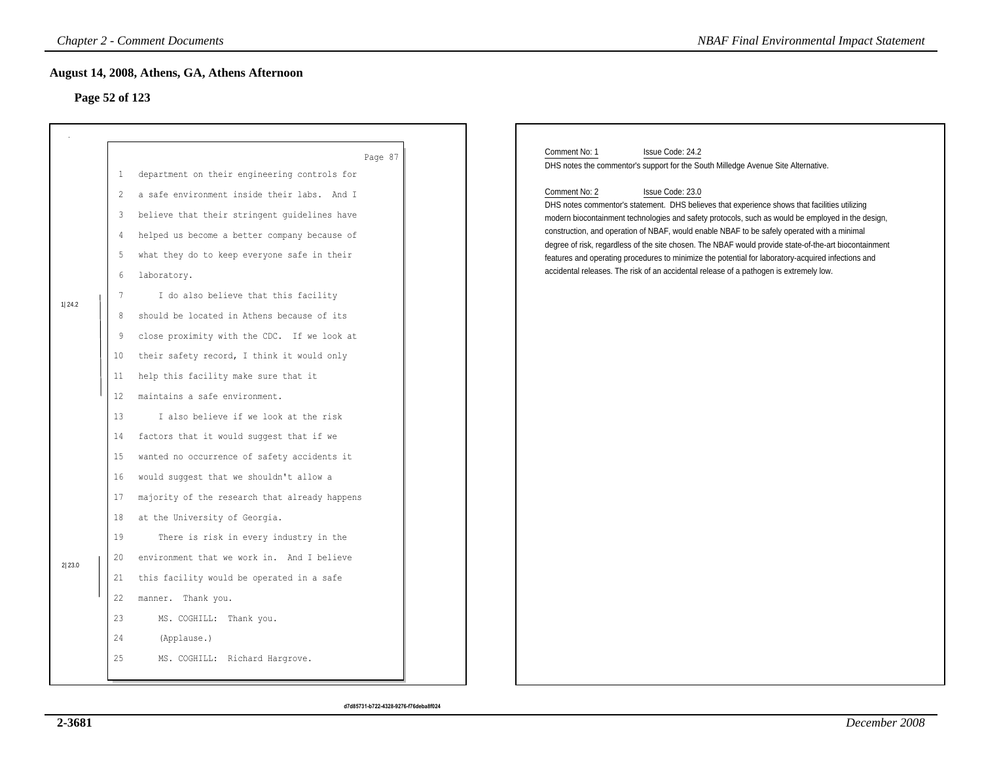## **Page 52 of 123**

|        |                   | <b>Chapter 2 - Comment Documents</b>                    | <b>NBAF Final Environmental Impact Statement</b>                                                                                                                                                 |
|--------|-------------------|---------------------------------------------------------|--------------------------------------------------------------------------------------------------------------------------------------------------------------------------------------------------|
|        |                   | August 14, 2008, Athens, GA, Athens Afternoon           |                                                                                                                                                                                                  |
|        | Page 52 of 123    |                                                         |                                                                                                                                                                                                  |
|        |                   |                                                         |                                                                                                                                                                                                  |
|        |                   |                                                         | Comment No: 1<br>Issue Code: 24.2                                                                                                                                                                |
|        | $\mathbf{1}$      | Page 87<br>department on their engineering controls for | DHS notes the commentor's support for the South Milledge Avenue Site Alternative.                                                                                                                |
|        | 2                 | a safe environment inside their labs. And I             | Comment No: 2<br>Issue Code: 23.0                                                                                                                                                                |
|        | 3                 | believe that their stringent guidelines have            | DHS notes commentor's statement. DHS believes that experience shows that facilities utilizing                                                                                                    |
|        | 4                 | helped us become a better company because of            | modern biocontainment technologies and safety protocols, such as would be employed in the design,<br>construction, and operation of NBAF, would enable NBAF to be safely operated with a minimal |
|        | 5                 | what they do to keep everyone safe in their             | degree of risk, regardless of the site chosen. The NBAF would provide state-of-the-art biocontainment                                                                                            |
|        | 6                 | laboratory.                                             | features and operating procedures to minimize the potential for laboratory-acquired infections and<br>accidental releases. The risk of an accidental release of a pathogen is extremely low.     |
|        | 7                 | I do also believe that this facility                    |                                                                                                                                                                                                  |
| 1 24.2 | 8                 | should be located in Athens because of its              |                                                                                                                                                                                                  |
|        | 9                 | close proximity with the CDC. If we look at             |                                                                                                                                                                                                  |
|        | 10 <sub>o</sub>   | their safety record, I think it would only              |                                                                                                                                                                                                  |
|        | 11                | help this facility make sure that it                    |                                                                                                                                                                                                  |
|        | $12 \overline{ }$ | maintains a safe environment.                           |                                                                                                                                                                                                  |
|        | 13                | I also believe if we look at the risk                   |                                                                                                                                                                                                  |
|        | 14                | factors that it would suggest that if we                |                                                                                                                                                                                                  |
|        | 15                | wanted no occurrence of safety accidents it             |                                                                                                                                                                                                  |
|        | 16                | would suggest that we shouldn't allow a                 |                                                                                                                                                                                                  |
|        | 17                | majority of the research that already happens           |                                                                                                                                                                                                  |
|        | 18                | at the University of Georgia.                           |                                                                                                                                                                                                  |
|        | 19                | There is risk in every industry in the                  |                                                                                                                                                                                                  |
|        | 20                | environment that we work in. And I believe              |                                                                                                                                                                                                  |
| 2 23.0 | 21                | this facility would be operated in a safe               |                                                                                                                                                                                                  |
|        | 22                | manner. Thank you.                                      |                                                                                                                                                                                                  |
|        | 23                | MS. COGHILL: Thank you.                                 |                                                                                                                                                                                                  |
|        | 24                | (Applause.)                                             |                                                                                                                                                                                                  |
|        | 25                | MS. COGHILL: Richard Hargrove.                          |                                                                                                                                                                                                  |
|        |                   |                                                         |                                                                                                                                                                                                  |
|        |                   |                                                         |                                                                                                                                                                                                  |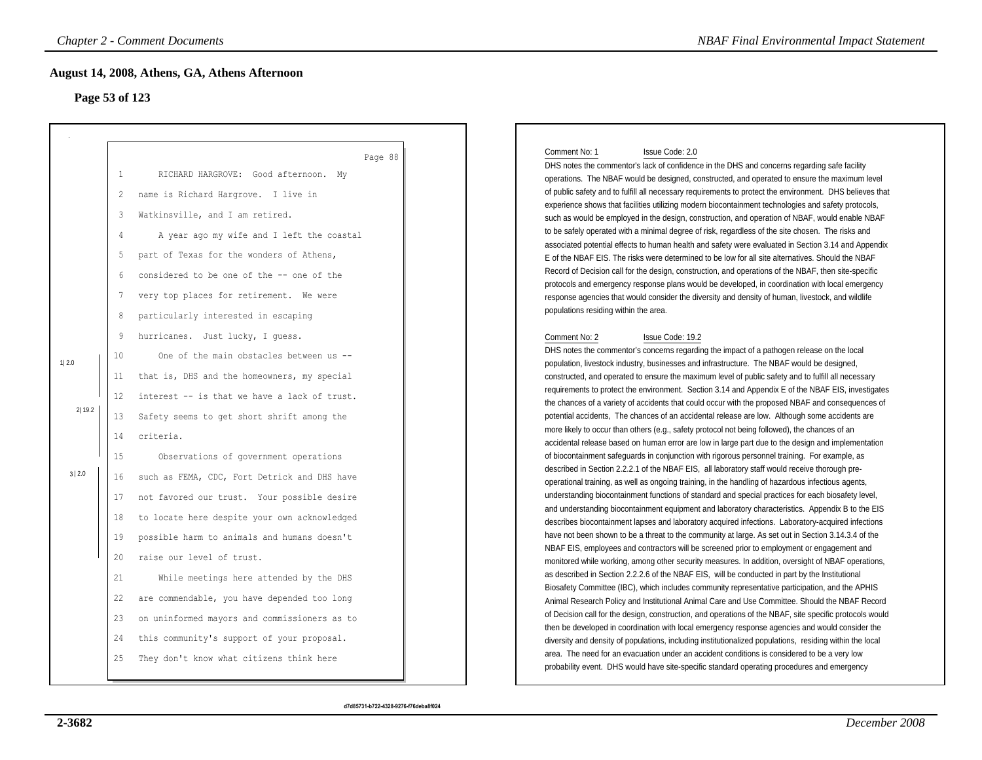## **Page 53 of 123**

|                |                | <b>Chapter 2 - Comment Documents</b>          | <b>NBAF Final Environmental Impact Statement</b>                                                                                                                                                            |
|----------------|----------------|-----------------------------------------------|-------------------------------------------------------------------------------------------------------------------------------------------------------------------------------------------------------------|
| Page 53 of 123 |                | August 14, 2008, Athens, GA, Athens Afternoon |                                                                                                                                                                                                             |
|                |                | Page 88                                       | Comment No: 1<br>Issue Code: 2.0                                                                                                                                                                            |
|                | $\mathbf{1}$   | RICHARD HARGROVE: Good afternoon. My          | DHS notes the commentor's lack of confidence in the DHS and concerns regarding safe facility<br>operations. The NBAF would be designed, constructed, and operated to ensure the maximum level               |
|                | 2              | name is Richard Hargrove. I live in           | of public safety and to fulfill all necessary requirements to protect the environment. DHS believes that                                                                                                    |
|                |                |                                               | experience shows that facilities utilizing modern biocontainment technologies and safety protocols,                                                                                                         |
|                | $\overline{3}$ | Watkinsville, and I am retired.               | such as would be employed in the design, construction, and operation of NBAF, would enable NBAF                                                                                                             |
|                | $\overline{4}$ | A year ago my wife and I left the coastal     | to be safely operated with a minimal degree of risk, regardless of the site chosen. The risks and<br>associated potential effects to human health and safety were evaluated in Section 3.14 and Appendix    |
|                | 5              | part of Texas for the wonders of Athens,      | E of the NBAF EIS. The risks were determined to be low for all site alternatives. Should the NBAF                                                                                                           |
|                | 6              | considered to be one of the -- one of the     | Record of Decision call for the design, construction, and operations of the NBAF, then site-specific                                                                                                        |
|                | 7              |                                               | protocols and emergency response plans would be developed, in coordination with local emergency                                                                                                             |
|                |                | very top places for retirement. We were       | response agencies that would consider the diversity and density of human, livestock, and wildlife<br>populations residing within the area.                                                                  |
|                | 8              | particularly interested in escaping           |                                                                                                                                                                                                             |
|                | 9              | hurricanes. Just lucky, I quess.              | Comment No: 2<br>Issue Code: 19.2                                                                                                                                                                           |
|                | 10             | One of the main obstacles between us --       | DHS notes the commentor's concerns regarding the impact of a pathogen release on the local                                                                                                                  |
| 1 2.0          | 11             | that is, DHS and the homeowners, my special   | population, livestock industry, businesses and infrastructure. The NBAF would be designed,<br>constructed, and operated to ensure the maximum level of public safety and to fulfill all necessary           |
|                |                |                                               | requirements to protect the environment. Section 3.14 and Appendix E of the NBAF EIS, investigates                                                                                                          |
| 2 19.2         | 12             | interest -- is that we have a lack of trust.  | the chances of a variety of accidents that could occur with the proposed NBAF and consequences of                                                                                                           |
|                | 13             | Safety seems to get short shrift among the    | potential accidents, The chances of an accidental release are low. Although some accidents are                                                                                                              |
|                | 14             | criteria.                                     | more likely to occur than others (e.g., safety protocol not being followed), the chances of an<br>accidental release based on human error are low in large part due to the design and implementation        |
|                | 15             | Observations of government operations         | of biocontainment safeguards in conjunction with rigorous personnel training. For example, as                                                                                                               |
| 3   2.0        |                |                                               | described in Section 2.2.2.1 of the NBAF EIS, all laboratory staff would receive thorough pre-                                                                                                              |
|                | 16             | such as FEMA, CDC, Fort Detrick and DHS have  | operational training, as well as ongoing training, in the handling of hazardous infectious agents,                                                                                                          |
|                | 17             | not favored our trust. Your possible desire   | understanding biocontainment functions of standard and special practices for each biosafety level,<br>and understanding biocontainment equipment and laboratory characteristics. Appendix B to the EIS      |
|                | 18             | to locate here despite your own acknowledged  | describes biocontainment lapses and laboratory acquired infections. Laboratory-acquired infections                                                                                                          |
|                | 19             | possible harm to animals and humans doesn't   | have not been shown to be a threat to the community at large. As set out in Section 3.14.3.4 of the                                                                                                         |
|                | 20             | raise our level of trust.                     | NBAF EIS, employees and contractors will be screened prior to employment or engagement and<br>monitored while working, among other security measures. In addition, oversight of NBAF operations,            |
|                | 21             | While meetings here attended by the DHS       | as described in Section 2.2.2.6 of the NBAF EIS, will be conducted in part by the Institutional                                                                                                             |
|                | 22             | are commendable, you have depended too long   | Biosafety Committee (IBC), which includes community representative participation, and the APHIS<br>Animal Research Policy and Institutional Animal Care and Use Committee. Should the NBAF Record           |
|                | 23             | on uninformed mayors and commissioners as to  | of Decision call for the design, construction, and operations of the NBAF, site specific protocols would                                                                                                    |
|                | 24             | this community's support of your proposal.    | then be developed in coordination with local emergency response agencies and would consider the<br>diversity and density of populations, including institutionalized populations, residing within the local |
|                | 25             | They don't know what citizens think here      | area. The need for an evacuation under an accident conditions is considered to be a very low<br>probability event. DHS would have site-specific standard operating procedures and emergency                 |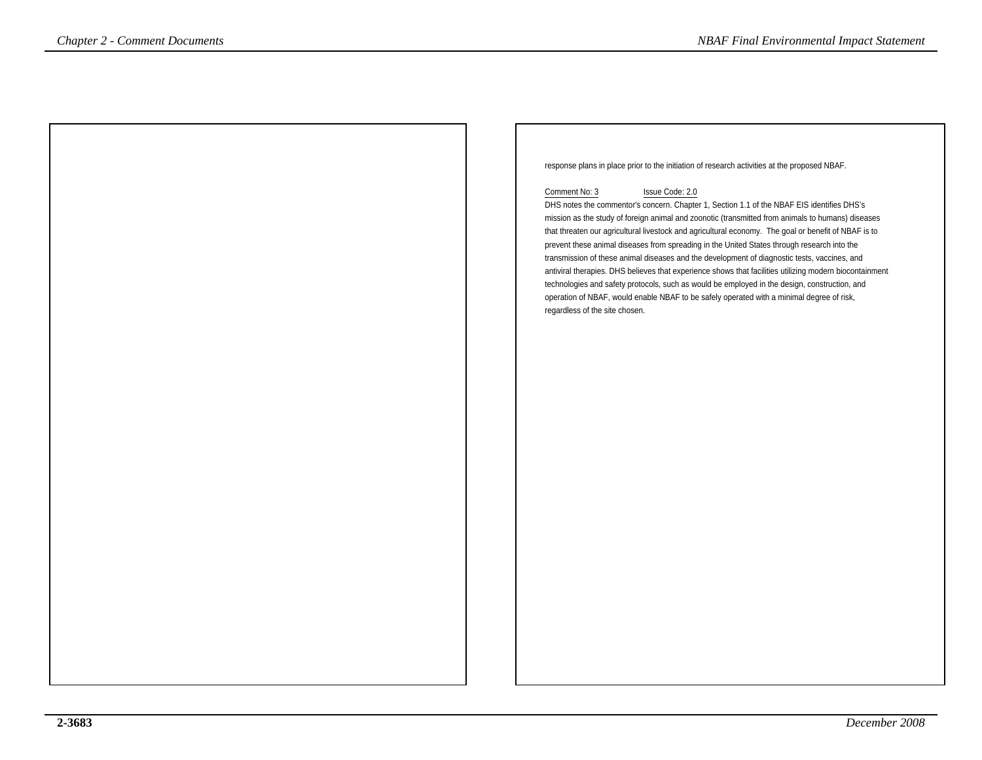response plans in place prior to the initiation of research activities at the proposed NBAF. Comment No: 3 Issue Code: 2.0 DHS notes the commentor's concern. Chapter 1, Section 1.1 of the NBAF EIS identifies DHS's mission as the study of foreign animal and zoonotic (transmitted from animals to humans) diseases that threaten our agricultural livestock and agricultural economy. The goal or benefit of NBAF is toprevent these animal diseases from spreading in the United States through research into the transmission of these animal diseases and the development of diagnostic tests, vaccines, and antiviral therapies. DHS believes that experience shows that facilities utilizing modern biocontainmenttechnologies and safety protocols, such as would be employed in the design, construction, andoperation of NBAF, would enable NBAF to be safely operated with a minimal degree of risk,regardless of the site chosen.*NBAF Final Environmental Impact Statement*<br> **Chapter 2** - Comments **ABAF Final Environmental Impact Statement**<br> **Channel Was 3**<br>
DHS rows the commentary allows from Chapter 1, Section 1.1 of the NBAF EIS identifies DHS's<br>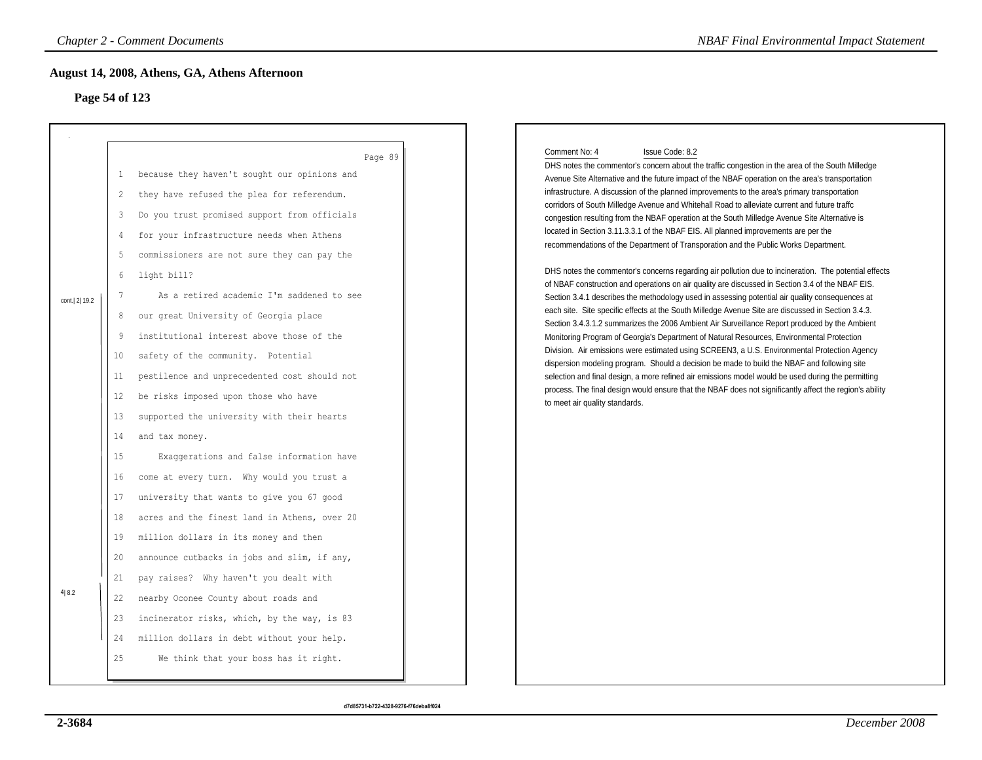## **Page 54 of 123**

|                |                                                                                                           | <b>Chapter 2 - Comment Documents</b>                                                                                                                                                                                                                                                                                                                                                                                                                                                                                                                                                                                                                                                       | <b>NBAF Final Environmental Impact Statement</b>                                                                                                                                                                                                                                                                                                                                                                                                                                                                                                                                                                                                                                                                                                                                                                                                                                                                                                                                                                                                                                                                                                                                                                                                                                                                                                                                                                                                                                                                                                                                                                                                                                                                                                                                               |
|----------------|-----------------------------------------------------------------------------------------------------------|--------------------------------------------------------------------------------------------------------------------------------------------------------------------------------------------------------------------------------------------------------------------------------------------------------------------------------------------------------------------------------------------------------------------------------------------------------------------------------------------------------------------------------------------------------------------------------------------------------------------------------------------------------------------------------------------|------------------------------------------------------------------------------------------------------------------------------------------------------------------------------------------------------------------------------------------------------------------------------------------------------------------------------------------------------------------------------------------------------------------------------------------------------------------------------------------------------------------------------------------------------------------------------------------------------------------------------------------------------------------------------------------------------------------------------------------------------------------------------------------------------------------------------------------------------------------------------------------------------------------------------------------------------------------------------------------------------------------------------------------------------------------------------------------------------------------------------------------------------------------------------------------------------------------------------------------------------------------------------------------------------------------------------------------------------------------------------------------------------------------------------------------------------------------------------------------------------------------------------------------------------------------------------------------------------------------------------------------------------------------------------------------------------------------------------------------------------------------------------------------------|
| Page 54 of 123 |                                                                                                           | August 14, 2008, Athens, GA, Athens Afternoon                                                                                                                                                                                                                                                                                                                                                                                                                                                                                                                                                                                                                                              |                                                                                                                                                                                                                                                                                                                                                                                                                                                                                                                                                                                                                                                                                                                                                                                                                                                                                                                                                                                                                                                                                                                                                                                                                                                                                                                                                                                                                                                                                                                                                                                                                                                                                                                                                                                                |
| cont.  2  19.2 | $\mathbf{1}$<br>$\mathbf{2}$<br>3<br>4<br>5<br>6<br>7<br>8<br>9<br>10<br>11<br>12<br>13<br>14<br>15<br>16 | Page 89<br>because they haven't sought our opinions and<br>they have refused the plea for referendum.<br>Do you trust promised support from officials<br>for your infrastructure needs when Athens<br>commissioners are not sure they can pay the<br>light bill?<br>As a retired academic I'm saddened to see<br>our great University of Georgia place<br>institutional interest above those of the<br>safety of the community. Potential<br>pestilence and unprecedented cost should not<br>be risks imposed upon those who have<br>supported the university with their hearts<br>and tax money.<br>Exaggerations and false information have<br>come at every turn. Why would you trust a | Comment No: 4<br>Issue Code: 8.2<br>DHS notes the commentor's concern about the traffic congestion in the area of the South Milledge<br>Avenue Site Alternative and the future impact of the NBAF operation on the area's transportation<br>infrastructure. A discussion of the planned improvements to the area's primary transportation<br>corridors of South Milledge Avenue and Whitehall Road to alleviate current and future traffc<br>congestion resulting from the NBAF operation at the South Milledge Avenue Site Alternative is<br>located in Section 3.11.3.3.1 of the NBAF EIS. All planned improvements are per the<br>recommendations of the Department of Transporation and the Public Works Department.<br>DHS notes the commentor's concerns regarding air pollution due to incineration. The potential effects<br>of NBAF construction and operations on air quality are discussed in Section 3.4 of the NBAF EIS.<br>Section 3.4.1 describes the methodology used in assessing potential air quality consequences at<br>each site. Site specific effects at the South Milledge Avenue Site are discussed in Section 3.4.3.<br>Section 3.4.3.1.2 summarizes the 2006 Ambient Air Surveillance Report produced by the Ambient<br>Monitoring Program of Georgia's Department of Natural Resources, Environmental Protection<br>Division. Air emissions were estimated using SCREEN3, a U.S. Environmental Protection Agency<br>dispersion modeling program. Should a decision be made to build the NBAF and following site<br>selection and final design, a more refined air emissions model would be used during the permitting<br>process. The final design would ensure that the NBAF does not significantly affect the region's ability<br>to meet air quality standards. |
| 4 8.2          | 17<br>18<br>19<br>20<br>21<br>22<br>23<br>24<br>25                                                        | university that wants to give you 67 good<br>acres and the finest land in Athens, over 20<br>million dollars in its money and then<br>announce cutbacks in jobs and slim, if any,<br>pay raises? Why haven't you dealt with<br>nearby Oconee County about roads and<br>incinerator risks, which, by the way, is 83<br>million dollars in debt without your help.<br>We think that your boss has it right.                                                                                                                                                                                                                                                                                  |                                                                                                                                                                                                                                                                                                                                                                                                                                                                                                                                                                                                                                                                                                                                                                                                                                                                                                                                                                                                                                                                                                                                                                                                                                                                                                                                                                                                                                                                                                                                                                                                                                                                                                                                                                                                |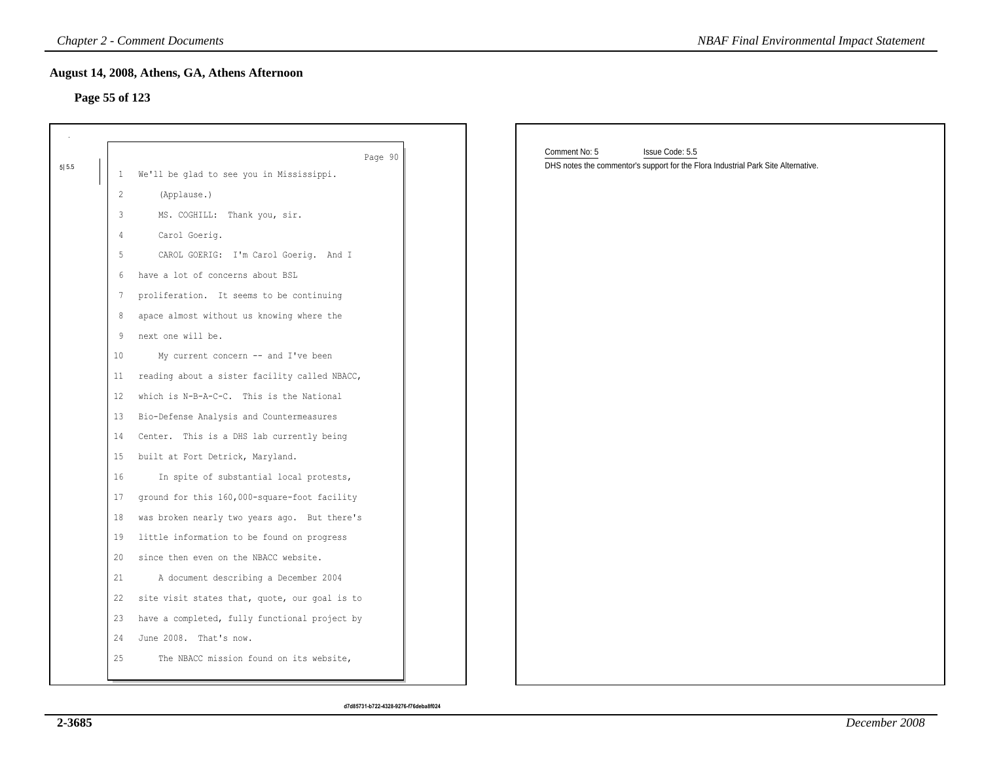### **Page 55 of 123**

|         |                   | <b>Chapter 2 - Comment Documents</b>          | <b>NBAF Final Environmental Impact Statement</b>                                                                      |
|---------|-------------------|-----------------------------------------------|-----------------------------------------------------------------------------------------------------------------------|
|         | Page 55 of 123    | August 14, 2008, Athens, GA, Athens Afternoon |                                                                                                                       |
|         |                   |                                               |                                                                                                                       |
|         |                   | Page 90                                       | Comment No: 5<br>Issue Code: 5.5<br>DHS notes the commentor's support for the Flora Industrial Park Site Alternative. |
| $5 5.5$ | $\mathbf{1}$      | We'll be glad to see you in Mississippi.      |                                                                                                                       |
|         | 2                 | (Applause.)                                   |                                                                                                                       |
|         | 3                 | MS. COGHILL: Thank you, sir.                  |                                                                                                                       |
|         | 4                 | Carol Goerig.                                 |                                                                                                                       |
|         | 5                 | CAROL GOERIG: I'm Carol Goerig. And I         |                                                                                                                       |
|         | 6                 | have a lot of concerns about BSL              |                                                                                                                       |
|         | 7                 | proliferation. It seems to be continuing      |                                                                                                                       |
|         | 8                 | apace almost without us knowing where the     |                                                                                                                       |
|         | 9                 | next one will be.                             |                                                                                                                       |
|         | 10 <sub>o</sub>   | My current concern -- and I've been           |                                                                                                                       |
|         | 11 <sub>1</sub>   | reading about a sister facility called NBACC, |                                                                                                                       |
|         | $12 \overline{ }$ | which is N-B-A-C-C. This is the National      |                                                                                                                       |
|         | 13                | Bio-Defense Analysis and Countermeasures      |                                                                                                                       |
|         | 14                | Center. This is a DHS lab currently being     |                                                                                                                       |
|         | 15                | built at Fort Detrick, Maryland.              |                                                                                                                       |
|         | 16                | In spite of substantial local protests,       |                                                                                                                       |
|         | 17                | ground for this 160,000-square-foot facility  |                                                                                                                       |
|         | 18                | was broken nearly two years ago. But there's  |                                                                                                                       |
|         | 19                | little information to be found on progress    |                                                                                                                       |
|         | 20                | since then even on the NBACC website.         |                                                                                                                       |
|         | 21                | A document describing a December 2004         |                                                                                                                       |
|         | 22                | site visit states that, quote, our goal is to |                                                                                                                       |
|         | 23                | have a completed, fully functional project by |                                                                                                                       |
|         | 24                | June 2008. That's now.                        |                                                                                                                       |
|         | 25                | The NBACC mission found on its website,       |                                                                                                                       |
|         |                   |                                               |                                                                                                                       |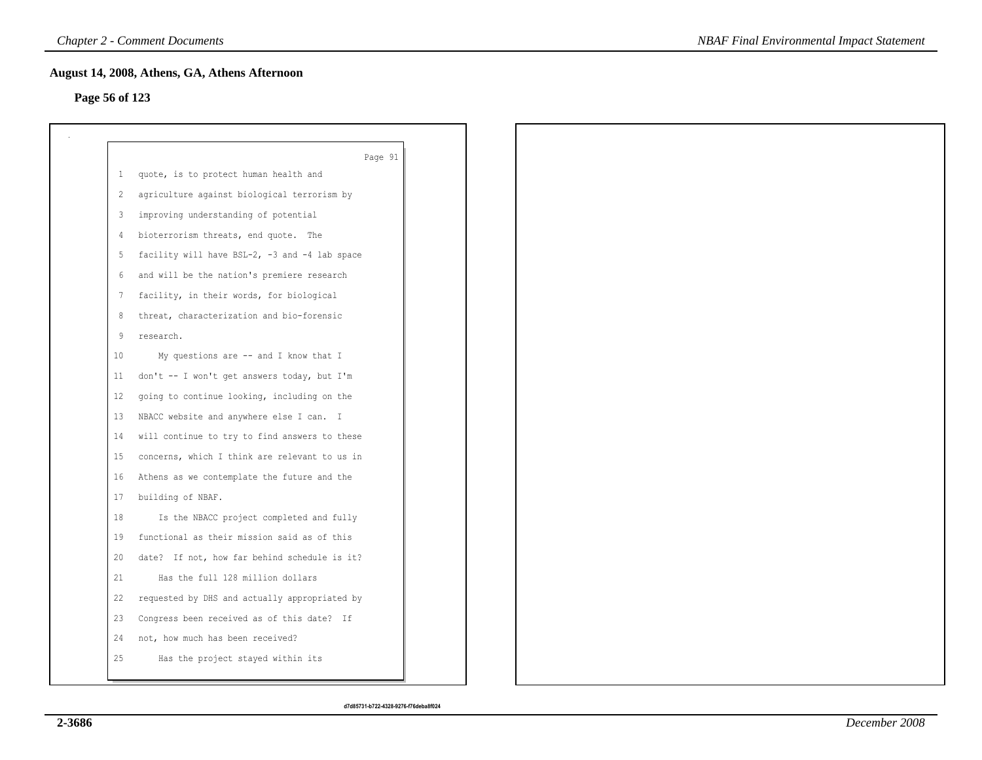## **Page 56 of 123**

|              | Page 91                                       |
|--------------|-----------------------------------------------|
| $\mathbf{1}$ | quote, is to protect human health and         |
| 2            | agriculture against biological terrorism by   |
| 3            | improving understanding of potential          |
| 4            | bioterrorism threats, end quote. The          |
| 5            | facility will have BSL-2, -3 and -4 lab space |
| 6            | and will be the nation's premiere research    |
| 7            | facility, in their words, for biological      |
| 8            | threat, characterization and bio-forensic     |
| 9            | research.                                     |
| 10           | My questions are -- and I know that I         |
| 11           | don't -- I won't get answers today, but I'm   |
| 12           | going to continue looking, including on the   |
| 13           | NBACC website and anywhere else I can. I      |
| 14           | will continue to try to find answers to these |
| 15           | concerns, which I think are relevant to us in |
| 16           | Athens as we contemplate the future and the   |
| 17           | building of NBAF.                             |
| 18           | Is the NBACC project completed and fully      |
| 19           | functional as their mission said as of this   |
| 20           | date? If not, how far behind schedule is it?  |
| 21           | Has the full 128 million dollars              |
| 22           | requested by DHS and actually appropriated by |
| 23           | Congress been received as of this date? If    |
| 24           | not, how much has been received?              |
| 25           | Has the project stayed within its             |
|              |                                               |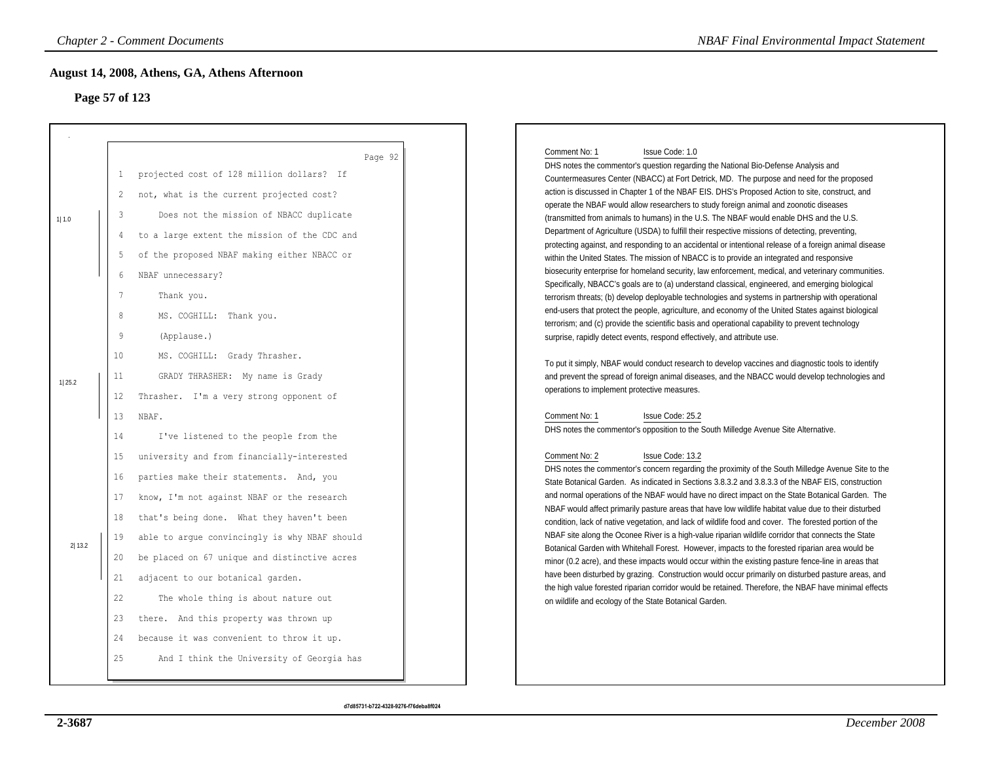## **Page 57 of 123**

|                         |                                               | <b>Chapter 2 - Comment Documents</b><br>August 14, 2008, Athens, GA, Athens Afternoon                                                                                                                                                                                             | <b>NBAF Final Environmental Impact Statement</b>                                                                                                                                                                                                                                                                                                                                                                                                                                                                                                                                                                                                                                                                                                                                                                                                                                       |
|-------------------------|-----------------------------------------------|-----------------------------------------------------------------------------------------------------------------------------------------------------------------------------------------------------------------------------------------------------------------------------------|----------------------------------------------------------------------------------------------------------------------------------------------------------------------------------------------------------------------------------------------------------------------------------------------------------------------------------------------------------------------------------------------------------------------------------------------------------------------------------------------------------------------------------------------------------------------------------------------------------------------------------------------------------------------------------------------------------------------------------------------------------------------------------------------------------------------------------------------------------------------------------------|
| Page 57 of 123<br>1 1.0 | $\mathbf{1}$<br>2<br>3<br>$\overline{4}$<br>5 | Page 92<br>projected cost of 128 million dollars? If<br>not, what is the current projected cost?<br>Does not the mission of NBACC duplicate<br>to a large extent the mission of the CDC and<br>of the proposed NBAF making either NBACC or                                        | Comment No: 1<br>Issue Code: 1.0<br>DHS notes the commentor's question regarding the National Bio-Defense Analysis and<br>Countermeasures Center (NBACC) at Fort Detrick, MD. The purpose and need for the proposed<br>action is discussed in Chapter 1 of the NBAF EIS. DHS's Proposed Action to site, construct, and<br>operate the NBAF would allow researchers to study foreign animal and zoonotic diseases<br>(transmitted from animals to humans) in the U.S. The NBAF would enable DHS and the U.S.<br>Department of Agriculture (USDA) to fulfill their respective missions of detecting, preventing,<br>protecting against, and responding to an accidental or intentional release of a foreign animal disease<br>within the United States. The mission of NBACC is to provide an integrated and responsive                                                                  |
|                         | 6<br>7<br>8<br>9<br>10                        | NBAF unnecessary?<br>Thank you.<br>MS. COGHILL: Thank you.<br>(Applause.)<br>MS. COGHILL: Grady Thrasher.                                                                                                                                                                         | biosecurity enterprise for homeland security, law enforcement, medical, and veterinary communities.<br>Specifically, NBACC's goals are to (a) understand classical, engineered, and emerging biological<br>terrorism threats; (b) develop deployable technologies and systems in partnership with operational<br>end-users that protect the people, agriculture, and economy of the United States against biological<br>terrorism; and (c) provide the scientific basis and operational capability to prevent technology<br>surprise, rapidly detect events, respond effectively, and attribute use.<br>To put it simply, NBAF would conduct research to develop vaccines and diagnostic tools to identify                                                                                                                                                                             |
| 1 25.2                  | 11<br>$12 \,$<br>13<br>14                     | GRADY THRASHER: My name is Grady<br>Thrasher. I'm a very strong opponent of<br>NBAF.<br>I've listened to the people from the                                                                                                                                                      | and prevent the spread of foreign animal diseases, and the NBACC would develop technologies and<br>operations to implement protective measures.<br>Comment No: 1<br>Issue Code: 25.2<br>DHS notes the commentor's opposition to the South Milledge Avenue Site Alternative.                                                                                                                                                                                                                                                                                                                                                                                                                                                                                                                                                                                                            |
| 2 13.2                  | 15<br>16<br>17<br>18<br>19<br>20              | university and from financially-interested<br>parties make their statements. And, you<br>know, I'm not against NBAF or the research<br>that's being done. What they haven't been<br>able to argue convincingly is why NBAF should<br>be placed on 67 unique and distinctive acres | Comment No: 2<br>Issue Code: 13.2<br>DHS notes the commentor's concern regarding the proximity of the South Milledge Avenue Site to the<br>State Botanical Garden. As indicated in Sections 3.8.3.2 and 3.8.3.3 of the NBAF EIS, construction<br>and normal operations of the NBAF would have no direct impact on the State Botanical Garden. The<br>NBAF would affect primarily pasture areas that have low wildlife habitat value due to their disturbed<br>condition, lack of native vegetation, and lack of wildlife food and cover. The forested portion of the<br>NBAF site along the Oconee River is a high-value riparian wildlife corridor that connects the State<br>Botanical Garden with Whitehall Forest. However, impacts to the forested riparian area would be<br>minor (0.2 acre), and these impacts would occur within the existing pasture fence-line in areas that |
|                         | 21<br>22<br>23<br>24<br>25                    | adjacent to our botanical garden.<br>The whole thing is about nature out<br>there. And this property was thrown up<br>because it was convenient to throw it up.<br>And I think the University of Georgia has                                                                      | have been disturbed by grazing. Construction would occur primarily on disturbed pasture areas, and<br>the high value forested riparian corridor would be retained. Therefore, the NBAF have minimal effects<br>on wildlife and ecology of the State Botanical Garden.                                                                                                                                                                                                                                                                                                                                                                                                                                                                                                                                                                                                                  |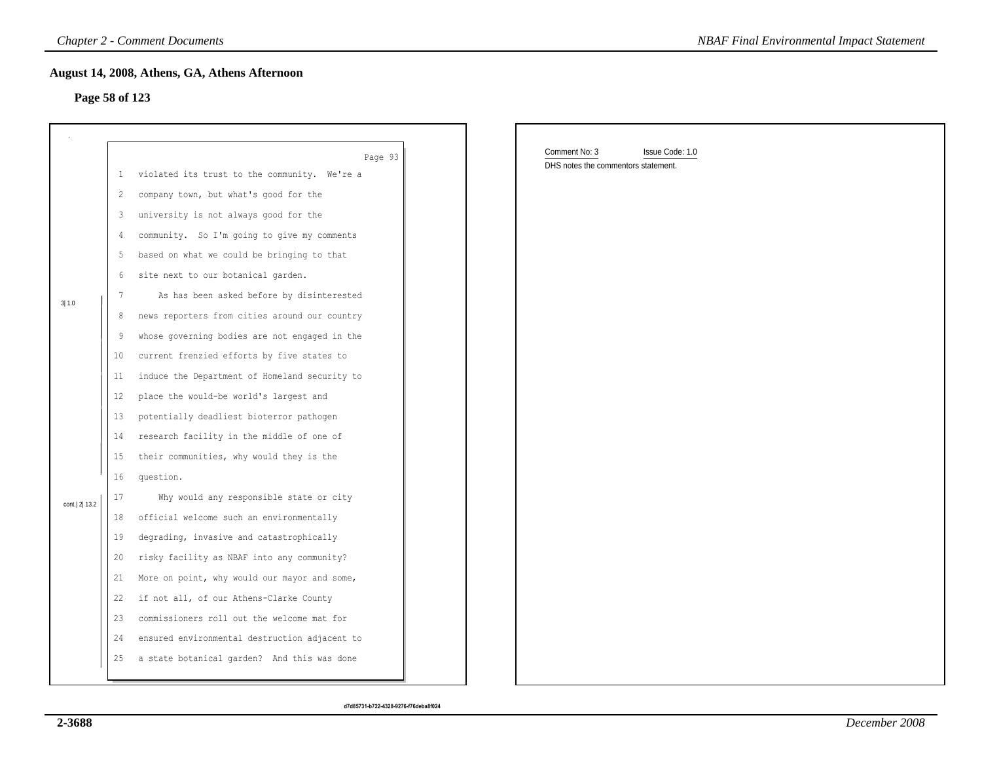### **Page 58 of 123**

|                |                 | <b>Chapter 2 - Comment Documents</b>          | <b>NBAF Final Environmental Impact Statement</b> |
|----------------|-----------------|-----------------------------------------------|--------------------------------------------------|
| Page 58 of 123 |                 | August 14, 2008, Athens, GA, Athens Afternoon |                                                  |
|                |                 |                                               |                                                  |
|                |                 | Page 93                                       | Comment No: 3<br>Issue Code: 1.0                 |
|                | $\mathbf{1}$    | violated its trust to the community. We're a  | DHS notes the commentors statement.              |
|                | 2               | company town, but what's good for the         |                                                  |
|                | 3               | university is not always good for the         |                                                  |
|                | 4               | community. So I'm going to give my comments   |                                                  |
|                | 5               | based on what we could be bringing to that    |                                                  |
|                | 6               | site next to our botanical garden.            |                                                  |
| 3 1.0          | 7               | As has been asked before by disinterested     |                                                  |
|                | 8               | news reporters from cities around our country |                                                  |
|                | 9               | whose governing bodies are not engaged in the |                                                  |
|                | 10 <sub>2</sub> | current frenzied efforts by five states to    |                                                  |
|                | 11              | induce the Department of Homeland security to |                                                  |
|                | $12 \,$         | place the would-be world's largest and        |                                                  |
|                | 13              | potentially deadliest bioterror pathogen      |                                                  |
|                | 14              | research facility in the middle of one of     |                                                  |
|                | 15 <sub>1</sub> | their communities, why would they is the      |                                                  |
|                | 16              | question.                                     |                                                  |
| cont. 2 13.2   | 17              | Why would any responsible state or city       |                                                  |
|                | 18              | official welcome such an environmentally      |                                                  |
|                | 19              | degrading, invasive and catastrophically      |                                                  |
|                | 20              | risky facility as NBAF into any community?    |                                                  |
|                | 21              | More on point, why would our mayor and some,  |                                                  |
|                | 22              | if not all, of our Athens-Clarke County       |                                                  |
|                | 23              | commissioners roll out the welcome mat for    |                                                  |
|                | 24              | ensured environmental destruction adjacent to |                                                  |
|                | 25              | a state botanical garden? And this was done   |                                                  |
|                |                 |                                               |                                                  |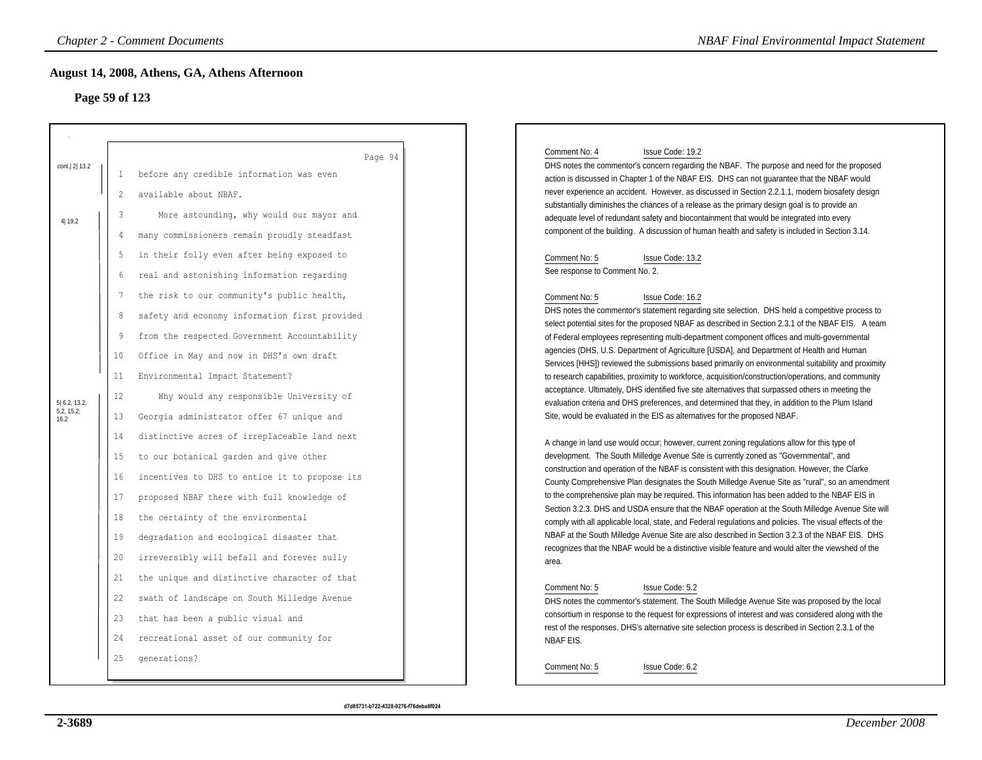# **Page 59 of 123**

|                                 |    | <b>Chapter 2 - Comment Documents</b>                | <b>NBAF Final Environmental Impact Statement</b>                                                                                                                                                            |
|---------------------------------|----|-----------------------------------------------------|-------------------------------------------------------------------------------------------------------------------------------------------------------------------------------------------------------------|
| Page 59 of 123                  |    | August 14, 2008, Athens, GA, Athens Afternoon       |                                                                                                                                                                                                             |
|                                 |    |                                                     | Comment No: 4<br>Issue Code: 19.2                                                                                                                                                                           |
| cont. 2 13.2                    | -1 | Page 94<br>before any credible information was even | DHS notes the commentor's concern regarding the NBAF. The purpose and need for the proposed<br>action is discussed in Chapter 1 of the NBAF EIS. DHS can not guarantee that the NBAF would                  |
|                                 | 2  | available about NBAF.                               | never experience an accident. However, as discussed in Section 2.2.1.1, modern biosafety design                                                                                                             |
| 4 19.2                          | 3  | More astounding, why would our mayor and            | substantially diminishes the chances of a release as the primary design goal is to provide an<br>adequate level of redundant safety and biocontainment that would be integrated into every                  |
|                                 | 4  | many commissioners remain proudly steadfast         | component of the building. A discussion of human health and safety is included in Section 3.14.                                                                                                             |
|                                 | -5 | in their folly even after being exposed to          | Comment No: 5<br>Issue Code: 13.2                                                                                                                                                                           |
|                                 | 6  | real and astonishing information regarding          | See response to Comment No. 2.                                                                                                                                                                              |
|                                 | 7  | the risk to our community's public health,          | Comment No: 5<br>Issue Code: 16.2                                                                                                                                                                           |
|                                 | 8  | safety and economy information first provided       | DHS notes the commentor's statement regarding site selection. DHS held a competitive process to<br>select potential sites for the proposed NBAF as described in Section 2.3.1 of the NBAF EIS. A team       |
|                                 | 9  | from the respected Government Accountability        | of Federal employees representing multi-department component offices and multi-governmental                                                                                                                 |
|                                 | 10 | Office in May and now in DHS's own draft            | agencies (DHS, U.S. Department of Agriculture [USDA], and Department of Health and Human                                                                                                                    |
|                                 | 11 | Environmental Impact Statement?                     | Services [HHS]) reviewed the submissions based primarily on environmental suitability and proximity<br>to research capabilities, proximity to workforce, acquisition/construction/operations, and community |
|                                 | 12 | Why would any responsible University of             | acceptance. Ultimately, DHS identified five site alternatives that surpassed others in meeting the                                                                                                          |
| 5 6.2, 13.2,<br>5.2, 15.2, 16.2 | 13 | Georgia administrator offer 67 unique and           | evaluation criteria and DHS preferences, and determined that they, in addition to the Plum Island<br>Site, would be evaluated in the EIS as alternatives for the proposed NBAF.                             |
|                                 | 14 | distinctive acres of irreplaceable land next        |                                                                                                                                                                                                             |
|                                 | 15 | to our botanical garden and give other              | A change in land use would occur; however, current zoning regulations allow for this type of<br>development. The South Milledge Avenue Site is currently zoned as "Governmental", and                       |
|                                 | 16 | incentives to DHS to entice it to propose its       | construction and operation of the NBAF is consistent with this designation. However, the Clarke                                                                                                             |
|                                 | 17 | proposed NBAF there with full knowledge of          | County Comprehensive Plan designates the South Milledge Avenue Site as "rural", so an amendment<br>to the comprehensive plan may be required. This information has been added to the NBAF EIS in            |
|                                 | 18 | the certainty of the environmental                  | Section 3.2.3. DHS and USDA ensure that the NBAF operation at the South Milledge Avenue Site will                                                                                                           |
|                                 | 19 | degradation and ecological disaster that            | comply with all applicable local, state, and Federal regulations and policies. The visual effects of the<br>NBAF at the South Milledge Avenue Site are also described in Section 3.2.3 of the NBAF EIS. DHS |
|                                 | 20 | irreversibly will befall and forever sully          | recognizes that the NBAF would be a distinctive visible feature and would alter the viewshed of the                                                                                                         |
|                                 | 21 | the unique and distinctive character of that        | area.                                                                                                                                                                                                       |
|                                 | 22 | swath of landscape on South Milledge Avenue         | Comment No: 5<br>Issue Code: 5.2                                                                                                                                                                            |
|                                 | 23 | that has been a public visual and                   | DHS notes the commentor's statement. The South Milledge Avenue Site was proposed by the local<br>consortium in response to the request for expressions of interest and was considered along with the        |
|                                 | 24 | recreational asset of our community for             | rest of the responses. DHS's alternative site selection process is described in Section 2.3.1 of the                                                                                                        |
|                                 |    |                                                     | NBAF EIS.                                                                                                                                                                                                   |
|                                 | 25 | qenerations?                                        | Comment No: 5<br>Issue Code: 6.2                                                                                                                                                                            |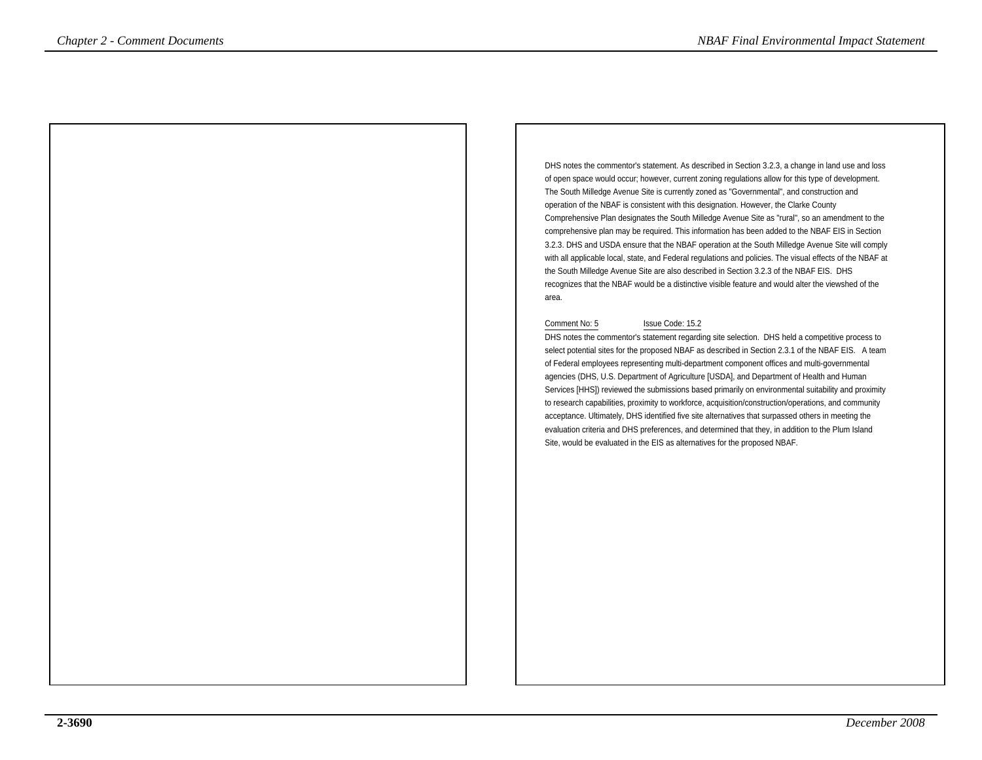DHS notes the commentor's statement. As described in Section 3.2.3, a change in land use and lossof open space would occur; however, current zoning regulations allow for this type of development.The South Milledge Avenue Site is currently zoned as "Governmental", and construction andoperation of the NBAF is consistent with this designation. However, the Clarke County Comprehensive Plan designates the South Milledge Avenue Site as "rural", so an amendment to the comprehensive plan may be required. This information has been added to the NBAF EIS in Section 3.2.3. DHS and USDA ensure that the NBAF operation at the South Milledge Avenue Site will comply with all applicable local, state, and Federal regulations and policies. The visual effects of the NBAF atthe South Milledge Avenue Site are also described in Section 3.2.3 of the NBAF EIS. DHS recognizes that the NBAF would be a distinctive visible feature and would alter the viewshed of thearea. *Chapter 2 - Comments Documents*<br>
Definition *Chapter 2 - Comments*  $\alpha$  *NBAF Final Environmental American Chapter 2 - Chapter 2 - Chapter 2 - Chapter 2 - Chapter 2 - Chapter 2 - Chapter 2 - Chapter 2 - Chapter 2 - Ch* 

#### Comment No: 5 Issue Code: 15.2

 DHS notes the commentor's statement regarding site selection. DHS held a competitive process to select potential sites for the proposed NBAF as described in Section 2.3.1 of the NBAF EIS. A teamof Federal employees representing multi-department component offices and multi-governmentalagencies (DHS, U.S. Department of Agriculture [USDA], and Department of Health and Human Services [HHS]) reviewed the submissions based primarily on environmental suitability and proximityto research capabilities, proximity to workforce, acquisition/construction/operations, and communityacceptance. Ultimately, DHS identified five site alternatives that surpassed others in meeting the evaluation criteria and DHS preferences, and determined that they, in addition to the Plum IslandSite, would be evaluated in the EIS as alternatives for the proposed NBAF.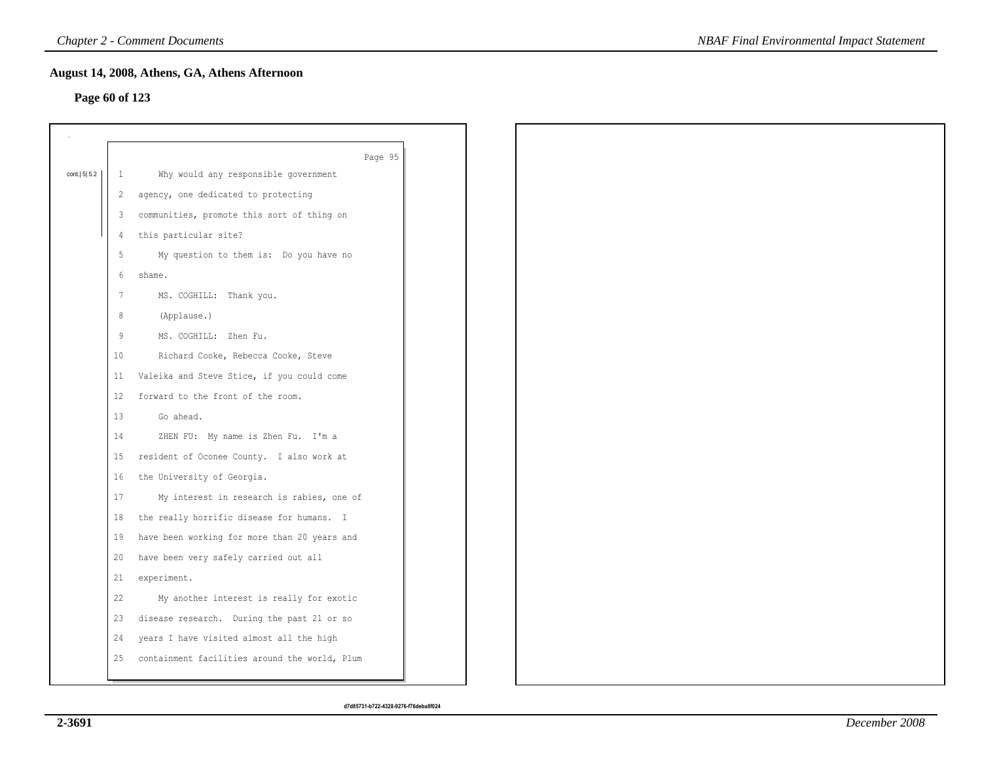## **Page 60 of 123**

|                |    | Page 95                                       |
|----------------|----|-----------------------------------------------|
| cont.   5  5.2 | -1 | Why would any responsible government          |
|                | 2  | agency, one dedicated to protecting           |
|                | 3  | communities, promote this sort of thing on    |
|                | 4  | this particular site?                         |
|                | 5  | My question to them is: Do you have no        |
|                | 6  | shame.                                        |
|                | 7  | MS. COGHILL: Thank you.                       |
|                | 8  | (Applause.)                                   |
|                | 9  | MS. COGHILL: Zhen Fu.                         |
|                | 10 | Richard Cooke, Rebecca Cooke, Steve           |
|                | 11 | Valeika and Steve Stice, if you could come    |
|                | 12 | forward to the front of the room.             |
|                | 13 | Go ahead.                                     |
|                | 14 | ZHEN FU: My name is Zhen Fu. I'm a            |
|                | 15 | resident of Oconee County. I also work at     |
|                | 16 | the University of Georgia.                    |
|                | 17 | My interest in research is rabies, one of     |
|                | 18 | the really horrific disease for humans. I     |
|                | 19 | have been working for more than 20 years and  |
|                | 20 | have been very safely carried out all         |
|                | 21 | experiment.                                   |
|                | 22 | My another interest is really for exotic      |
|                | 23 | disease research. During the past 21 or so    |
|                | 24 | years I have visited almost all the high      |
|                | 25 | containment facilities around the world, Plum |
|                |    |                                               |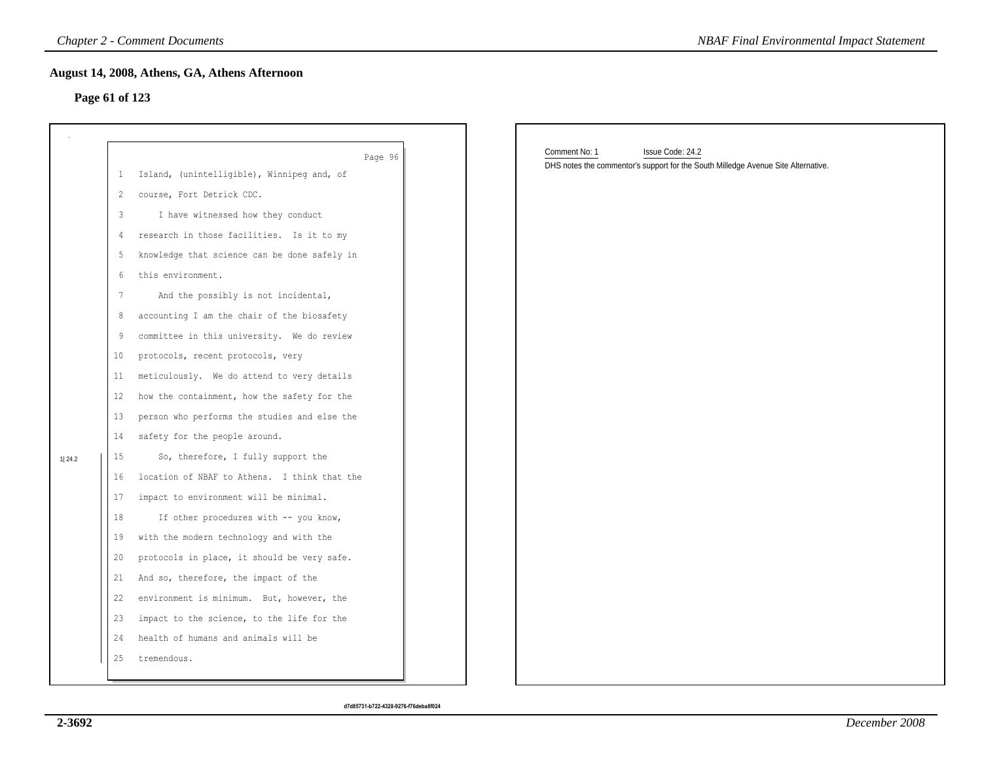### **Page 61 of 123**

|                |                 | <b>Chapter 2 - Comment Documents</b>          | <b>NBAF Final Environmental Impact Statement</b>                                                                       |  |
|----------------|-----------------|-----------------------------------------------|------------------------------------------------------------------------------------------------------------------------|--|
| Page 61 of 123 |                 | August 14, 2008, Athens, GA, Athens Afternoon |                                                                                                                        |  |
|                |                 | Page 96                                       | Comment No: 1<br>Issue Code: 24.2<br>DHS notes the commentor's support for the South Milledge Avenue Site Alternative. |  |
|                | $\mathbf{1}$    | Island, (unintelligible), Winnipeg and, of    |                                                                                                                        |  |
|                | 2               | course, Fort Detrick CDC.                     |                                                                                                                        |  |
|                | 3               | I have witnessed how they conduct             |                                                                                                                        |  |
|                | 4               | research in those facilities. Is it to my     |                                                                                                                        |  |
|                | 5               | knowledge that science can be done safely in  |                                                                                                                        |  |
|                | 6               | this environment.                             |                                                                                                                        |  |
|                | $7\phantom{.0}$ | And the possibly is not incidental,           |                                                                                                                        |  |
|                | 8               | accounting I am the chair of the biosafety    |                                                                                                                        |  |
|                | 9               | committee in this university. We do review    |                                                                                                                        |  |
|                | 10              | protocols, recent protocols, very             |                                                                                                                        |  |
|                | 11              | meticulously. We do attend to very details    |                                                                                                                        |  |
|                | 12              | how the containment, how the safety for the   |                                                                                                                        |  |
|                | 13              | person who performs the studies and else the  |                                                                                                                        |  |
|                | 14              | safety for the people around.                 |                                                                                                                        |  |
| 1 24.2         | 15              | So, therefore, I fully support the            |                                                                                                                        |  |
|                | 16              | location of NBAF to Athens. I think that the  |                                                                                                                        |  |
|                | 17              | impact to environment will be minimal.        |                                                                                                                        |  |
|                | 18              | If other procedures with -- you know,         |                                                                                                                        |  |
|                | 19              | with the modern technology and with the       |                                                                                                                        |  |
|                | 20              | protocols in place, it should be very safe.   |                                                                                                                        |  |
|                | 21              | And so, therefore, the impact of the          |                                                                                                                        |  |
|                | 22              | environment is minimum. But, however, the     |                                                                                                                        |  |
|                | 23              | impact to the science, to the life for the    |                                                                                                                        |  |
|                | 24              | health of humans and animals will be          |                                                                                                                        |  |
|                | 25              | tremendous.                                   |                                                                                                                        |  |
|                |                 |                                               |                                                                                                                        |  |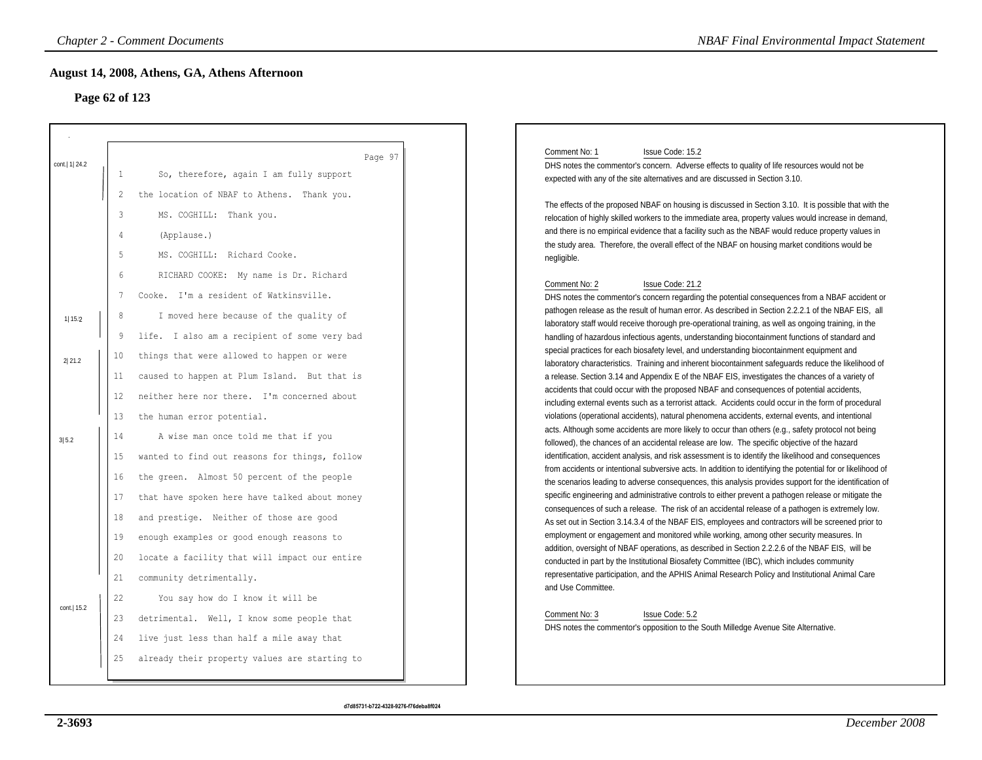# **Page 62 of 123**

|                  | <b>Chapter 2 - Comment Documents</b>                                                                                                                                                                                                                                                                                                                                       | <b>NBAF Final Environmental Impact Statement</b>                                                                                                                                                                                                                                                                                                                                                                                                                                                                                                                                                                                                                                                                                                                                                                                                                                                                                                                                                                                                                                                                                                                  |
|------------------|----------------------------------------------------------------------------------------------------------------------------------------------------------------------------------------------------------------------------------------------------------------------------------------------------------------------------------------------------------------------------|-------------------------------------------------------------------------------------------------------------------------------------------------------------------------------------------------------------------------------------------------------------------------------------------------------------------------------------------------------------------------------------------------------------------------------------------------------------------------------------------------------------------------------------------------------------------------------------------------------------------------------------------------------------------------------------------------------------------------------------------------------------------------------------------------------------------------------------------------------------------------------------------------------------------------------------------------------------------------------------------------------------------------------------------------------------------------------------------------------------------------------------------------------------------|
|                  | August 14, 2008, Athens, GA, Athens Afternoon<br>Page 62 of 123                                                                                                                                                                                                                                                                                                            |                                                                                                                                                                                                                                                                                                                                                                                                                                                                                                                                                                                                                                                                                                                                                                                                                                                                                                                                                                                                                                                                                                                                                                   |
| cont.   1   24.2 | Page 97<br>$\mathbf{1}$<br>So, therefore, again I am fully support<br>the location of NBAF to Athens. Thank you.<br>2                                                                                                                                                                                                                                                      | Comment No: 1<br>Issue Code: 15.2<br>DHS notes the commentor's concern. Adverse effects to quality of life resources would not be<br>expected with any of the site alternatives and are discussed in Section 3.10.<br>The effects of the proposed NBAF on housing is discussed in Section 3.10. It is possible that with the                                                                                                                                                                                                                                                                                                                                                                                                                                                                                                                                                                                                                                                                                                                                                                                                                                      |
|                  | 3<br>MS. COGHILL: Thank you.<br>4<br>(Applause.)<br>5<br>MS. COGHILL: Richard Cooke.                                                                                                                                                                                                                                                                                       | relocation of highly skilled workers to the immediate area, property values would increase in demand,<br>and there is no empirical evidence that a facility such as the NBAF would reduce property values in<br>the study area. Therefore, the overall effect of the NBAF on housing market conditions would be<br>negligible.                                                                                                                                                                                                                                                                                                                                                                                                                                                                                                                                                                                                                                                                                                                                                                                                                                    |
| 1 15.2<br>2 21.2 | 6<br>RICHARD COOKE: My name is Dr. Richard<br>Cooke. I'm a resident of Watkinsville.<br>$7\phantom{.0}$<br>I moved here because of the quality of<br>8<br>life. I also am a recipient of some very bad<br>9<br>things that were allowed to happen or were<br>10<br>caused to happen at Plum Island. But that is<br>11<br>neither here nor there. I'm concerned about<br>12 | Comment No: 2<br>Issue Code: 21.2<br>DHS notes the commentor's concern regarding the potential consequences from a NBAF accident or<br>pathogen release as the result of human error. As described in Section 2.2.2.1 of the NBAF EIS, all<br>laboratory staff would receive thorough pre-operational training, as well as ongoing training, in the<br>handling of hazardous infectious agents, understanding biocontainment functions of standard and<br>special practices for each biosafety level, and understanding biocontainment equipment and<br>laboratory characteristics. Training and inherent biocontainment safeguards reduce the likelihood of<br>a release. Section 3.14 and Appendix E of the NBAF EIS, investigates the chances of a variety of<br>accidents that could occur with the proposed NBAF and consequences of potential accidents,<br>including external events such as a terrorist attack. Accidents could occur in the form of procedural                                                                                                                                                                                           |
| 3 5.2            | 13<br>the human error potential.<br>14<br>A wise man once told me that if you<br>15<br>wanted to find out reasons for things, follow<br>the green. Almost 50 percent of the people<br>16<br>17<br>that have spoken here have talked about money<br>and prestige. Neither of those are good<br>18<br>19<br>enough examples or good enough reasons to                        | violations (operational accidents), natural phenomena accidents, external events, and intentional<br>acts. Although some accidents are more likely to occur than others (e.g., safety protocol not being<br>followed), the chances of an accidental release are low. The specific objective of the hazard<br>identification, accident analysis, and risk assessment is to identify the likelihood and consequences<br>from accidents or intentional subversive acts. In addition to identifying the potential for or likelihood of<br>the scenarios leading to adverse consequences, this analysis provides support for the identification of<br>specific engineering and administrative controls to either prevent a pathogen release or mitigate the<br>consequences of such a release. The risk of an accidental release of a pathogen is extremely low.<br>As set out in Section 3.14.3.4 of the NBAF EIS, employees and contractors will be screened prior to<br>employment or engagement and monitored while working, among other security measures. In<br>addition, oversight of NBAF operations, as described in Section 2.2.2.6 of the NBAF EIS, will be |
| cont.  15.2      | 20<br>locate a facility that will impact our entire<br>21<br>community detrimentally.<br>22<br>You say how do I know it will be<br>detrimental. Well, I know some people that<br>23<br>live just less than half a mile away that<br>24<br>already their property values are starting to<br>25                                                                              | conducted in part by the Institutional Biosafety Committee (IBC), which includes community<br>representative participation, and the APHIS Animal Research Policy and Institutional Animal Care<br>and Use Committee.<br>Comment No: 3<br>Issue Code: 5.2<br>DHS notes the commentor's opposition to the South Milledge Avenue Site Alternative.                                                                                                                                                                                                                                                                                                                                                                                                                                                                                                                                                                                                                                                                                                                                                                                                                   |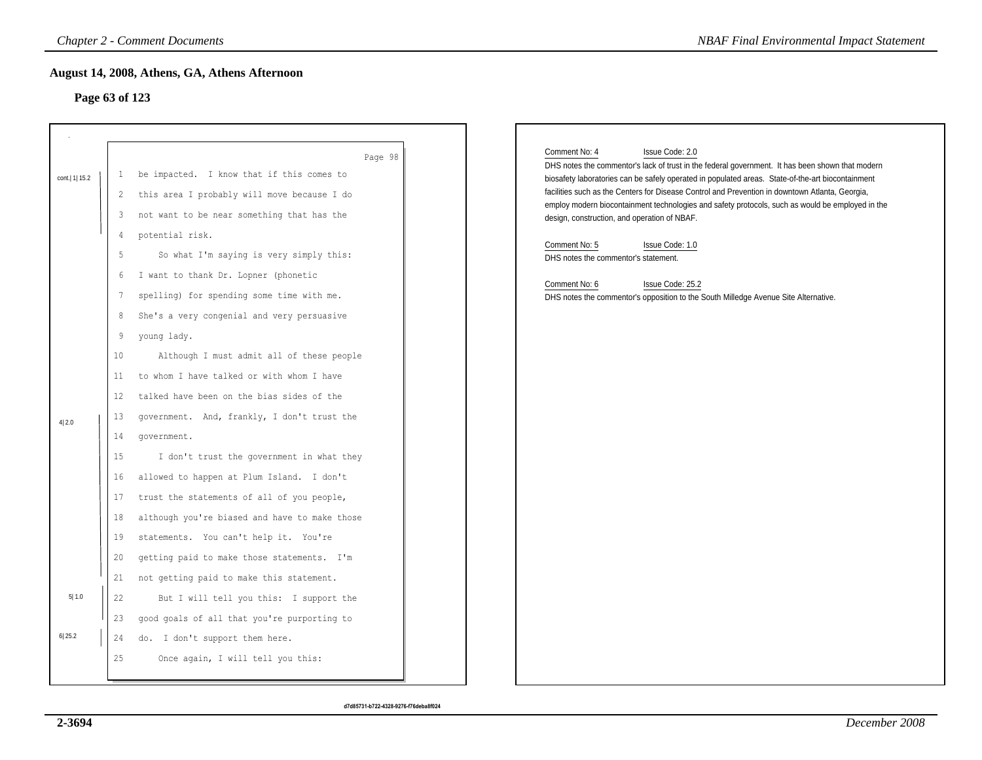### **Page 63 of 123**

|                 |                | <b>Chapter 2 - Comment Documents</b>          |                                      | <b>NBAF Final Environmental Impact Statement</b>                                                                                                                                                    |
|-----------------|----------------|-----------------------------------------------|--------------------------------------|-----------------------------------------------------------------------------------------------------------------------------------------------------------------------------------------------------|
| Page 63 of 123  |                | August 14, 2008, Athens, GA, Athens Afternoon |                                      |                                                                                                                                                                                                     |
|                 |                |                                               |                                      |                                                                                                                                                                                                     |
|                 |                | Page 98                                       |                                      | Comment No: 4<br>Issue Code: 2.0<br>DHS notes the commentor's lack of trust in the federal government. It has been shown that modern                                                                |
| cont.   1  15.2 | 1              | be impacted. I know that if this comes to     |                                      | biosafety laboratories can be safely operated in populated areas. State-of-the-art biocontainment                                                                                                   |
|                 | 2              | this area I probably will move because I do   |                                      | facilities such as the Centers for Disease Control and Prevention in downtown Atlanta, Georgia,<br>employ modern biocontainment technologies and safety protocols, such as would be employed in the |
|                 | 3              | not want to be near something that has the    |                                      | design, construction, and operation of NBAF.                                                                                                                                                        |
|                 | $\overline{4}$ | potential risk.                               |                                      | Comment No: 5<br>Issue Code: 1.0                                                                                                                                                                    |
|                 | 5              | So what I'm saying is very simply this:       | DHS notes the commentor's statement. |                                                                                                                                                                                                     |
|                 | 6              | I want to thank Dr. Lopner (phonetic          |                                      | Comment No: 6<br>Issue Code: 25.2                                                                                                                                                                   |
|                 | 7              | spelling) for spending some time with me.     |                                      | DHS notes the commentor's opposition to the South Milledge Avenue Site Alternative.                                                                                                                 |
|                 | 8              | She's a very congenial and very persuasive    |                                      |                                                                                                                                                                                                     |
|                 | 9              | young lady.                                   |                                      |                                                                                                                                                                                                     |
|                 | 10             | Although I must admit all of these people     |                                      |                                                                                                                                                                                                     |
|                 | 11             | to whom I have talked or with whom I have     |                                      |                                                                                                                                                                                                     |
|                 | 12             | talked have been on the bias sides of the     |                                      |                                                                                                                                                                                                     |
| 4 2.0           | 13             | government. And, frankly, I don't trust the   |                                      |                                                                                                                                                                                                     |
|                 | 14             | government.                                   |                                      |                                                                                                                                                                                                     |
|                 | 15             | I don't trust the government in what they     |                                      |                                                                                                                                                                                                     |
|                 | 16             | allowed to happen at Plum Island. I don't     |                                      |                                                                                                                                                                                                     |
|                 | 17             | trust the statements of all of you people,    |                                      |                                                                                                                                                                                                     |
|                 | 18             | although you're biased and have to make those |                                      |                                                                                                                                                                                                     |
|                 | 19             | statements. You can't help it. You're         |                                      |                                                                                                                                                                                                     |
|                 | 20             | getting paid to make those statements. I'm    |                                      |                                                                                                                                                                                                     |
|                 | 21             | not getting paid to make this statement.      |                                      |                                                                                                                                                                                                     |
| 5 1.0           | 22             | But I will tell you this: I support the       |                                      |                                                                                                                                                                                                     |
|                 | 23             | good goals of all that you're purporting to   |                                      |                                                                                                                                                                                                     |
| 6 25.2          | 24             | do. I don't support them here.                |                                      |                                                                                                                                                                                                     |
|                 | 25             | Once again, I will tell you this:             |                                      |                                                                                                                                                                                                     |
|                 |                |                                               |                                      |                                                                                                                                                                                                     |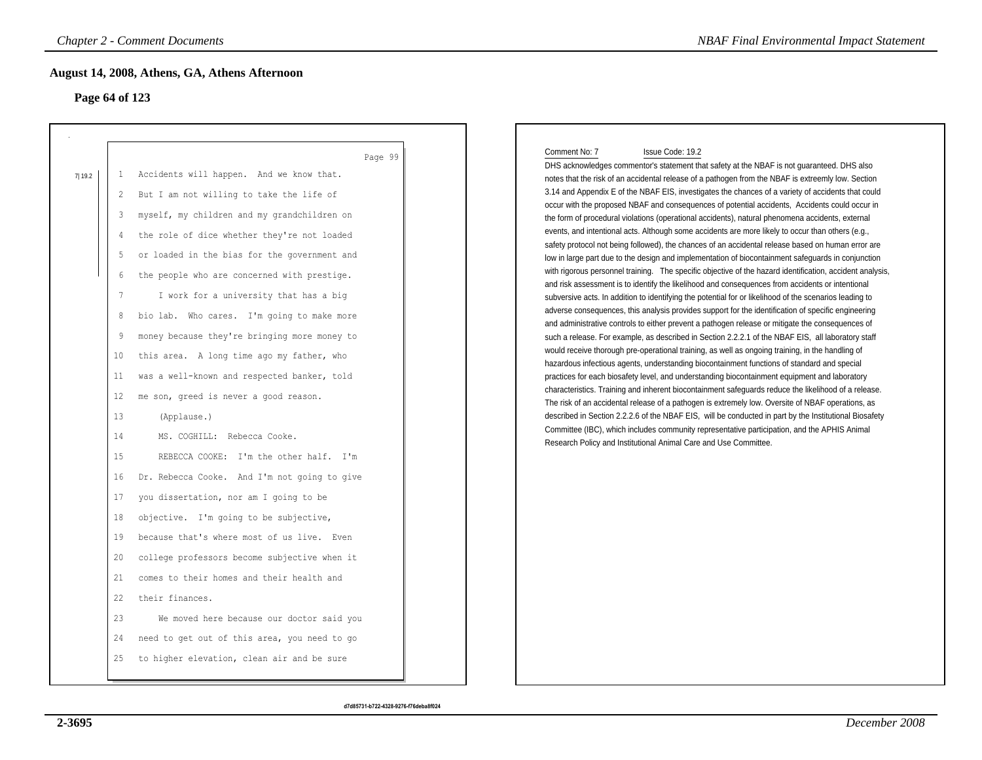## **Page 64 of 123**

| Page 64 of 123 | August 14, 2008, Athens, GA, Athens Afternoon |
|----------------|-----------------------------------------------|
| 1              | Page 99                                       |
| 7 19.2         | Accidents will happen. And we know that.      |
| 2              | But I am not willing to take the life of      |
| 3              | myself, my children and my grandchildren on   |
| 4              | the role of dice whether they're not loaded   |
| 5              | or loaded in the bias for the government and  |
| 6              | the people who are concerned with prestige.   |
| 7              | I work for a university that has a big        |
| 8              | bio lab. Who cares. I'm going to make more    |
| 9              | money because they're bringing more money to  |
| 10             | this area. A long time ago my father, who     |
| 11             | was a well-known and respected banker, told   |
| 12             | me son, greed is never a good reason.         |
| 13             | (Applause.)                                   |
| 14             | MS. COGHILL: Rebecca Cooke.                   |
| 15             | REBECCA COOKE: I'm the other half. I'm        |
| 16             | Dr. Rebecca Cooke. And I'm not going to give  |
| 17             | you dissertation, nor am I going to be        |
| 18             | objective. I'm going to be subjective,        |
| 19             | because that's where most of us live. Even    |
| 20             | college professors become subjective when it  |
| 21             | comes to their homes and their health and     |
| 22             | their finances.                               |
| 23             | We moved here because our doctor said you     |
| 24             | need to get out of this area, you need to go  |
| 25             | to higher elevation, clean air and be sure    |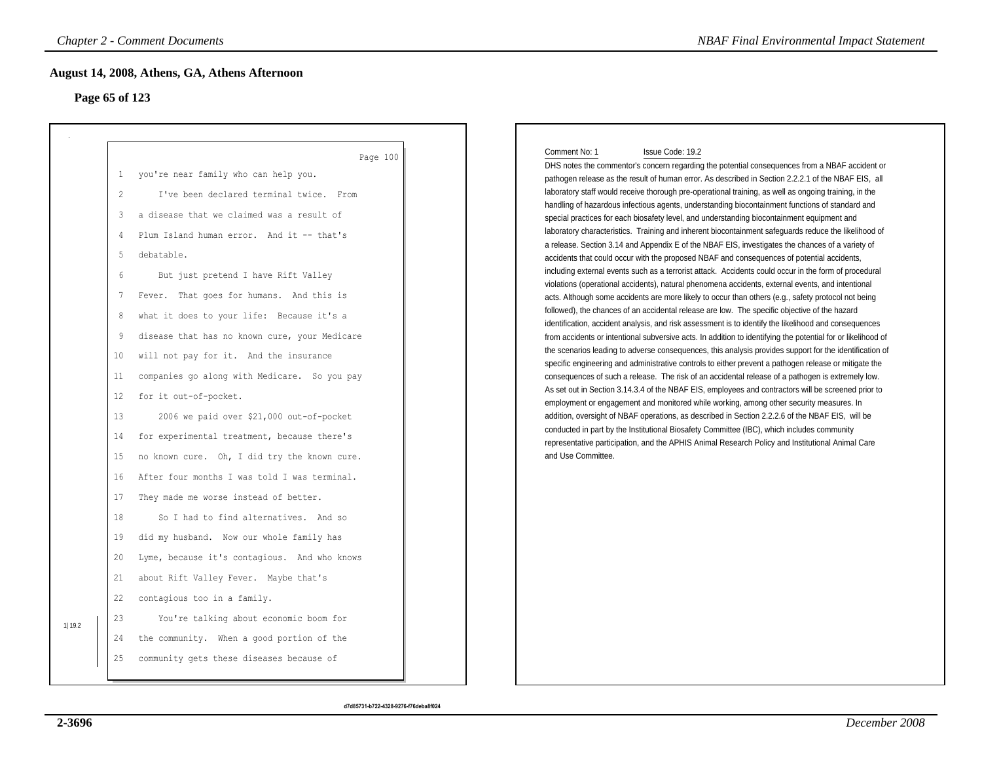## **Page 65 of 123**

| Page 65 of 123 | August 14, 2008, Athens, GA, Athens Afternoon |
|----------------|-----------------------------------------------|
| $\mathbf{1}$   | Page 100                                      |
| 2              | you're near family who can help you.          |
| 3              | I've been declared terminal twice. From       |
| 4              | a disease that we claimed was a result of     |
| 5              | Plum Island human error. And it -- that's     |
| 6              | debatable.                                    |
| 7              | But just pretend I have Rift Valley           |
| 8              | Fever. That goes for humans. And this is      |
| 9              | what it does to your life: Because it's a     |
| 10             | disease that has no known cure, your Medicare |
| 11             | will not pay for it. And the insurance        |
| 12             | companies go along with Medicare. So you pay  |
| 13             | for it out-of-pocket.                         |
| 14             | 2006 we paid over \$21,000 out-of-pocket      |
| 15             | for experimental treatment, because there's   |
| 16             | no known cure. Oh, I did try the known cure.  |
| 17             | After four months I was told I was terminal.  |
| 18             | They made me worse instead of better.         |
| 19             | So I had to find alternatives. And so         |
| 20             | did my husband. Now our whole family has      |
| 21             | Lyme, because it's contagious. And who knows  |
| 22             | about Rift Valley Fever. Maybe that's         |
| 23             | contagious too in a family.                   |
| 1 19.2         | You're talking about economic boom for        |
| 24             | the community. When a good portion of the     |
| 25             | community gets these diseases because of      |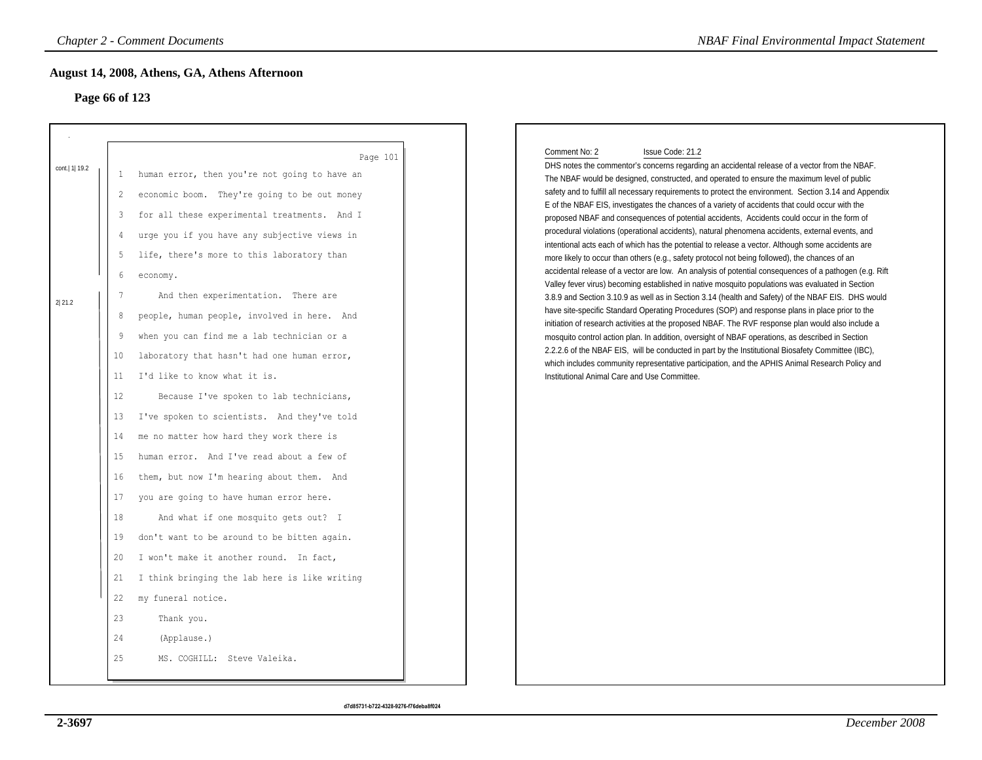# **Page 66 of 123**

| Page 66 of 123 |                                                          | August 14, 2008, Athens, GA, Athens Afternoon                                                                                                                                                                                                                                                                                                                                                                                                              |                                                                                                                                                                                                                                                                                                                                                                                                                                                                                                                                                                                                                                                                                                                                                                                                                                                                                                                                                                                                                                                                                               |
|----------------|----------------------------------------------------------|------------------------------------------------------------------------------------------------------------------------------------------------------------------------------------------------------------------------------------------------------------------------------------------------------------------------------------------------------------------------------------------------------------------------------------------------------------|-----------------------------------------------------------------------------------------------------------------------------------------------------------------------------------------------------------------------------------------------------------------------------------------------------------------------------------------------------------------------------------------------------------------------------------------------------------------------------------------------------------------------------------------------------------------------------------------------------------------------------------------------------------------------------------------------------------------------------------------------------------------------------------------------------------------------------------------------------------------------------------------------------------------------------------------------------------------------------------------------------------------------------------------------------------------------------------------------|
| cont.  1  19.2 | 1<br>2<br>3<br>4                                         | Page 101<br>human error, then you're not going to have an<br>economic boom. They're going to be out money<br>for all these experimental treatments. And I<br>urge you if you have any subjective views in                                                                                                                                                                                                                                                  | Comment No: 2<br>Issue Code: 21.2<br>DHS notes the commentor's concerns regarding an accidental release of a vector from the NBAF.<br>The NBAF would be designed, constructed, and operated to ensure the maximum level of public<br>safety and to fulfill all necessary requirements to protect the environment. Section 3.14 and Appendix<br>E of the NBAF EIS, investigates the chances of a variety of accidents that could occur with the<br>proposed NBAF and consequences of potential accidents, Accidents could occur in the form of<br>procedural violations (operational accidents), natural phenomena accidents, external events, and                                                                                                                                                                                                                                                                                                                                                                                                                                             |
| 2 21.2         | 5<br>6<br>7<br>8<br>9<br>10<br>11                        | life, there's more to this laboratory than<br>economy.<br>And then experimentation. There are<br>people, human people, involved in here. And<br>when you can find me a lab technician or a<br>laboratory that hasn't had one human error,<br>I'd like to know what it is.                                                                                                                                                                                  | intentional acts each of which has the potential to release a vector. Although some accidents are<br>more likely to occur than others (e.g., safety protocol not being followed), the chances of an<br>accidental release of a vector are low. An analysis of potential consequences of a pathogen (e.g. Rift<br>Valley fever virus) becoming established in native mosquito populations was evaluated in Section<br>3.8.9 and Section 3.10.9 as well as in Section 3.14 (health and Safety) of the NBAF EIS. DHS would<br>have site-specific Standard Operating Procedures (SOP) and response plans in place prior to the<br>initiation of research activities at the proposed NBAF. The RVF response plan would also include a<br>mosquito control action plan. In addition, oversight of NBAF operations, as described in Section<br>2.2.2.6 of the NBAF EIS, will be conducted in part by the Institutional Biosafety Committee (IBC),<br>which includes community representative participation, and the APHIS Animal Research Policy and<br>Institutional Animal Care and Use Committee. |
|                | 12<br>13<br>14<br>15<br>16<br>17<br>18<br>19<br>20<br>21 | Because I've spoken to lab technicians,<br>I've spoken to scientists. And they've told<br>me no matter how hard they work there is<br>human error. And I've read about a few of<br>them, but now I'm hearing about them. And<br>you are going to have human error here.<br>And what if one mosquito gets out? I<br>don't want to be around to be bitten again.<br>I won't make it another round. In fact,<br>I think bringing the lab here is like writing |                                                                                                                                                                                                                                                                                                                                                                                                                                                                                                                                                                                                                                                                                                                                                                                                                                                                                                                                                                                                                                                                                               |
|                | 22<br>23<br>24<br>25                                     | my funeral notice.<br>Thank you.<br>(Applause.)<br>MS. COGHILL: Steve Valeika.                                                                                                                                                                                                                                                                                                                                                                             |                                                                                                                                                                                                                                                                                                                                                                                                                                                                                                                                                                                                                                                                                                                                                                                                                                                                                                                                                                                                                                                                                               |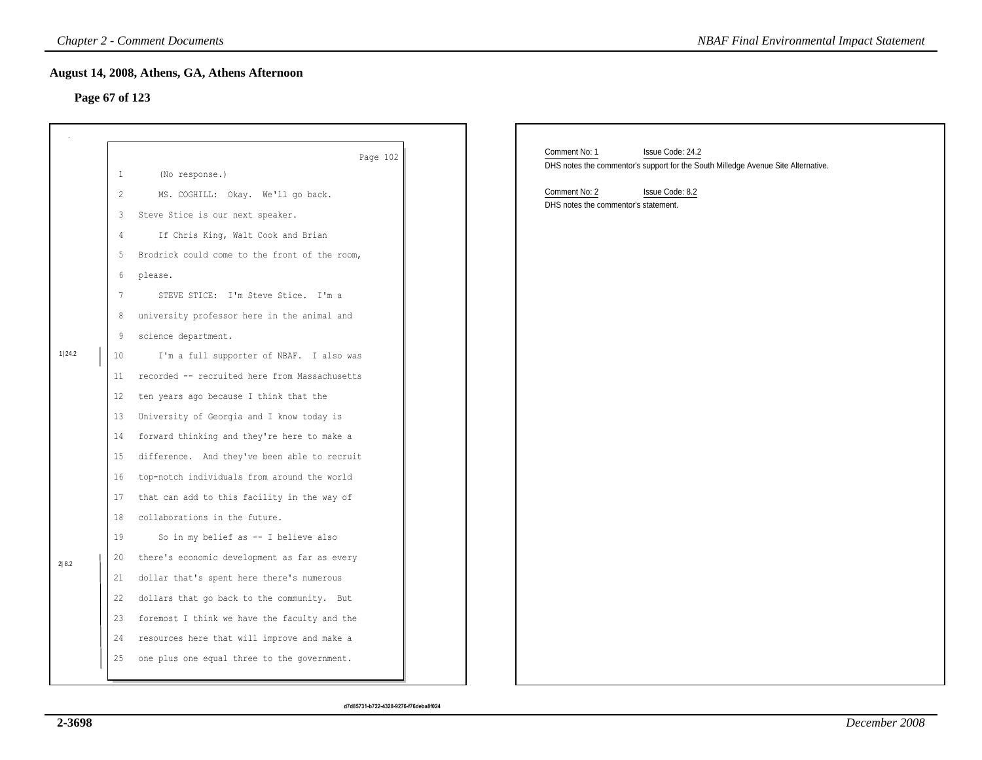## **Page 67 of 123**

|                |                                                                                                                                    | <b>Chapter 2 - Comment Documents</b>                                                                                                                                                                                                                                                                                                                                                                                                                                                                                                                                                                                                                                                                   | <b>NBAF Final Environmental Impact Statement</b>                                                                       |
|----------------|------------------------------------------------------------------------------------------------------------------------------------|--------------------------------------------------------------------------------------------------------------------------------------------------------------------------------------------------------------------------------------------------------------------------------------------------------------------------------------------------------------------------------------------------------------------------------------------------------------------------------------------------------------------------------------------------------------------------------------------------------------------------------------------------------------------------------------------------------|------------------------------------------------------------------------------------------------------------------------|
| Page 67 of 123 |                                                                                                                                    | August 14, 2008, Athens, GA, Athens Afternoon                                                                                                                                                                                                                                                                                                                                                                                                                                                                                                                                                                                                                                                          |                                                                                                                        |
|                | $\mathbf{1}$                                                                                                                       | Page 102<br>(No response.)                                                                                                                                                                                                                                                                                                                                                                                                                                                                                                                                                                                                                                                                             | Comment No: 1<br>Issue Code: 24.2<br>DHS notes the commentor's support for the South Milledge Avenue Site Alternative. |
| 1 24.2         | $\overline{c}$<br>3<br>$\overline{4}$<br>5<br>6<br>$7\phantom{.0}$<br>8<br>9<br>10<br>11<br>12<br>13<br>14<br>15<br>16<br>17<br>18 | MS. COGHILL: Okay. We'll go back.<br>Steve Stice is our next speaker.<br>If Chris King, Walt Cook and Brian<br>Brodrick could come to the front of the room,<br>please.<br>STEVE STICE: I'm Steve Stice. I'm a<br>university professor here in the animal and<br>science department.<br>I'm a full supporter of NBAF. I also was<br>recorded -- recruited here from Massachusetts<br>ten years ago because I think that the<br>University of Georgia and I know today is<br>forward thinking and they're here to make a<br>difference. And they've been able to recruit<br>top-notch individuals from around the world<br>that can add to this facility in the way of<br>collaborations in the future. | Comment No: 2<br>Issue Code: 8.2<br>DHS notes the commentor's statement.                                               |
| 2 8.2          | 19<br>20<br>21<br>22<br>23<br>24<br>25                                                                                             | So in my belief as -- I believe also<br>there's economic development as far as every<br>dollar that's spent here there's numerous<br>dollars that go back to the community. But<br>foremost I think we have the faculty and the<br>resources here that will improve and make a<br>one plus one equal three to the government.                                                                                                                                                                                                                                                                                                                                                                          |                                                                                                                        |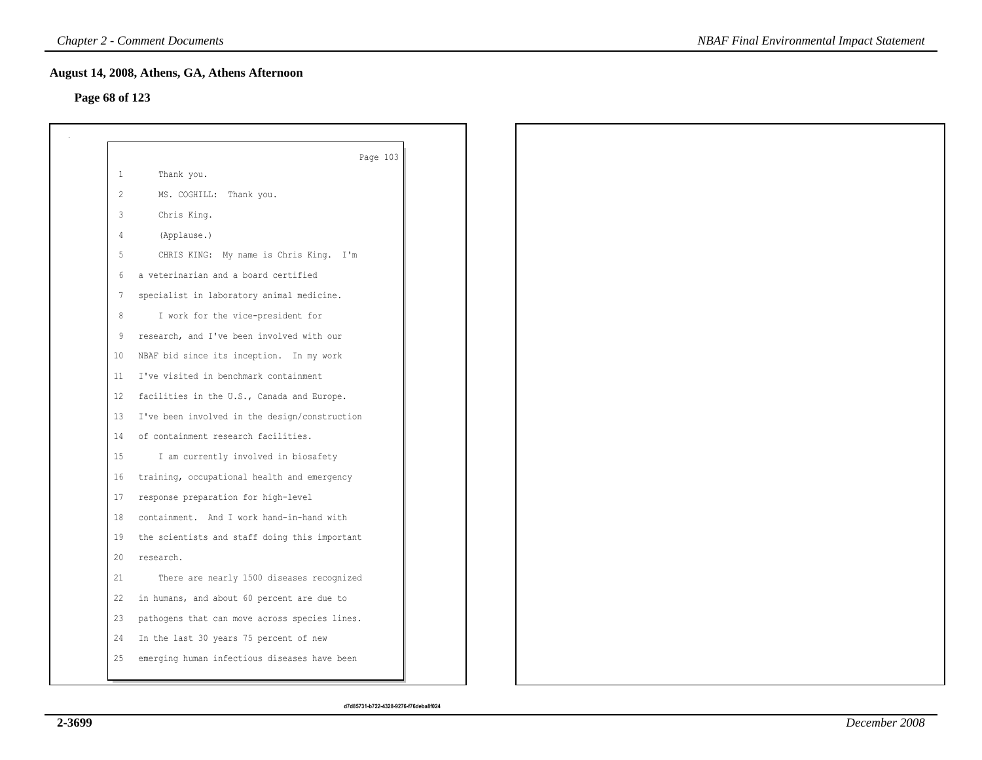## **Page 68 of 123**

| $\mathbf{1}$   | Page 103<br>Thank you.                        |
|----------------|-----------------------------------------------|
| 2              | MS. COGHILL: Thank you.                       |
|                |                                               |
| $\overline{3}$ | Chris King.                                   |
| $\overline{4}$ | (Applause.)                                   |
| 5              | CHRIS KING: My name is Chris King. I'm        |
| 6              | a veterinarian and a board certified          |
| 7              | specialist in laboratory animal medicine.     |
| 8              | I work for the vice-president for             |
| 9              | research, and I've been involved with our     |
| 10             | NBAF bid since its inception. In my work      |
| 11             | I've visited in benchmark containment         |
| 12             | facilities in the U.S., Canada and Europe.    |
| 13             | I've been involved in the design/construction |
| 14             | of containment research facilities.           |
| 15             | I am currently involved in biosafety          |
| 16             | training, occupational health and emergency   |
| 17             | response preparation for high-level           |
| 18             | containment. And I work hand-in-hand with     |
| 19             | the scientists and staff doing this important |
| 20             | research.                                     |
| 21             | There are nearly 1500 diseases recognized     |
| 22             | in humans, and about 60 percent are due to    |
| 23             | pathogens that can move across species lines. |
| 24             | In the last 30 years 75 percent of new        |
| 25             | emerging human infectious diseases have been  |
|                |                                               |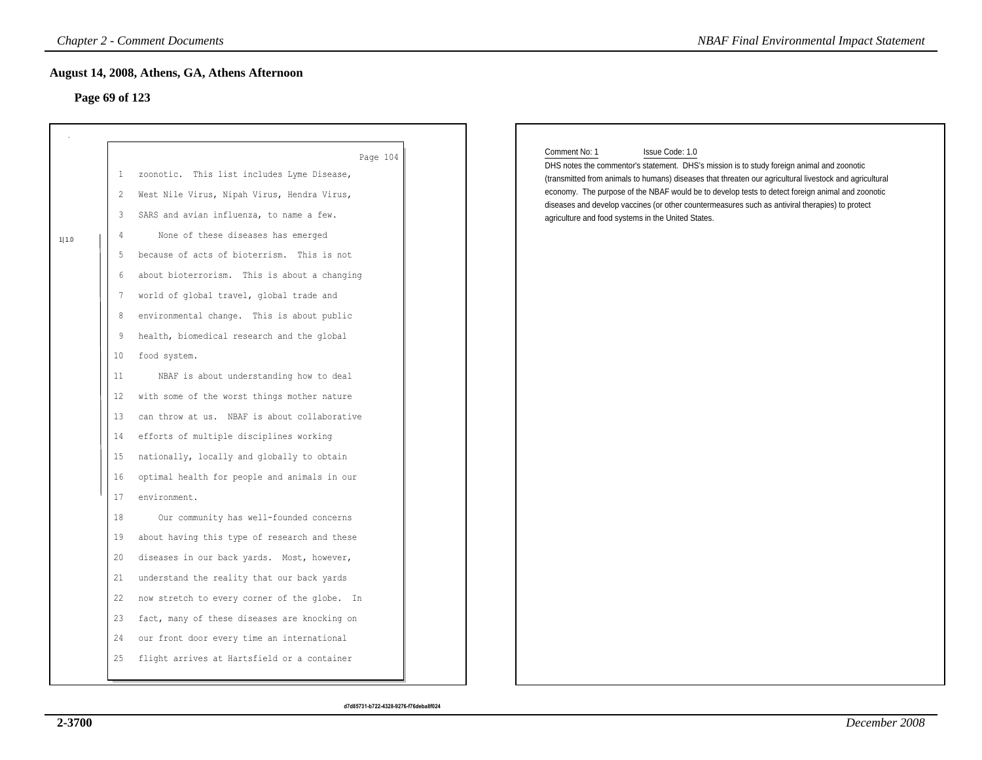## **Page 69 of 123**

|       | Page 69 of 123                                                                                                                         |                                                                                                                                                                                                                                                                                                                                                                                                                                                                                                                                                                                                                                                                                                                                                                                                                                                                                                                                                                                         |                                                                                                                                                                                                                                                                                                                                                                                                                                                                                                        |
|-------|----------------------------------------------------------------------------------------------------------------------------------------|-----------------------------------------------------------------------------------------------------------------------------------------------------------------------------------------------------------------------------------------------------------------------------------------------------------------------------------------------------------------------------------------------------------------------------------------------------------------------------------------------------------------------------------------------------------------------------------------------------------------------------------------------------------------------------------------------------------------------------------------------------------------------------------------------------------------------------------------------------------------------------------------------------------------------------------------------------------------------------------------|--------------------------------------------------------------------------------------------------------------------------------------------------------------------------------------------------------------------------------------------------------------------------------------------------------------------------------------------------------------------------------------------------------------------------------------------------------------------------------------------------------|
| 1 1.0 | 1<br>2<br>3<br>4<br>5<br>6<br>7<br>8<br>9<br>10<br>11<br>$12 \overline{ }$<br>13<br>14<br>15<br>16<br>17<br>18<br>19<br>20<br>21<br>22 | Page 104<br>zoonotic. This list includes Lyme Disease,<br>West Nile Virus, Nipah Virus, Hendra Virus,<br>SARS and avian influenza, to name a few.<br>None of these diseases has emerged<br>because of acts of bioterrism. This is not<br>about bioterrorism. This is about a changing<br>world of global travel, global trade and<br>environmental change. This is about public<br>health, biomedical research and the global<br>food system.<br>NBAF is about understanding how to deal<br>with some of the worst things mother nature<br>can throw at us. NBAF is about collaborative<br>efforts of multiple disciplines working<br>nationally, locally and globally to obtain<br>optimal health for people and animals in our<br>environment.<br>Our community has well-founded concerns<br>about having this type of research and these<br>diseases in our back yards. Most, however,<br>understand the reality that our back yards<br>now stretch to every corner of the globe. In | Comment No: 1<br>Issue Code: 1.0<br>DHS notes the commentor's statement. DHS's mission is to study foreign animal and zoonotic<br>(transmitted from animals to humans) diseases that threaten our agricultural livestock and agricultural<br>economy. The purpose of the NBAF would be to develop tests to detect foreign animal and zoonotic<br>diseases and develop vaccines (or other countermeasures such as antiviral therapies) to protect<br>agriculture and food systems in the United States. |
|       | 23                                                                                                                                     | fact, many of these diseases are knocking on                                                                                                                                                                                                                                                                                                                                                                                                                                                                                                                                                                                                                                                                                                                                                                                                                                                                                                                                            |                                                                                                                                                                                                                                                                                                                                                                                                                                                                                                        |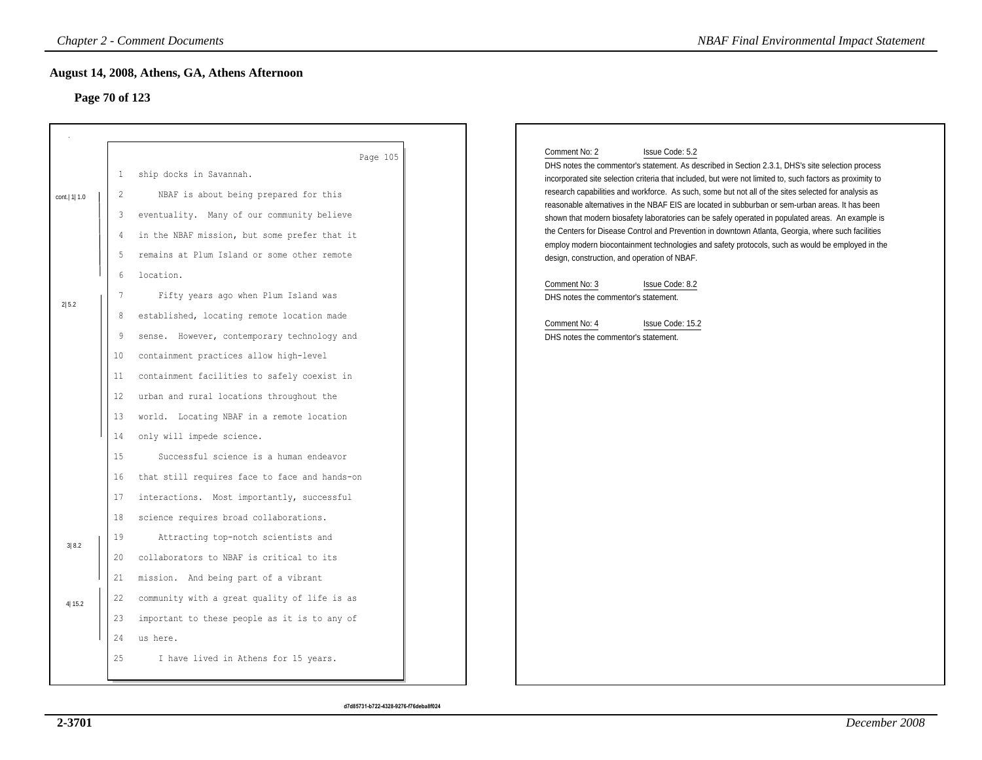## **Page 70 of 123**

| Comment No: 2<br>Issue Code: 5.2<br>DHS notes the commentor's statement. As described in Section 2.3.1, DHS's site selection process<br>incorporated site selection criteria that included, but were not limited to, such factors as proximity to<br>research capabilities and workforce. As such, some but not all of the sites selected for analysis as<br>reasonable alternatives in the NBAF EIS are located in subburban or sem-urban areas. It has been<br>shown that modern biosafety laboratories can be safely operated in populated areas. An example is<br>the Centers for Disease Control and Prevention in downtown Atlanta, Georgia, where such facilities<br>employ modern biocontainment technologies and safety protocols, such as would be employed in the<br>design, construction, and operation of NBAF.<br>Comment No: 3<br>Issue Code: 8.2<br>DHS notes the commentor's statement.<br>Comment No: 4<br>Issue Code: 15.2<br>DHS notes the commentor's statement. |
|---------------------------------------------------------------------------------------------------------------------------------------------------------------------------------------------------------------------------------------------------------------------------------------------------------------------------------------------------------------------------------------------------------------------------------------------------------------------------------------------------------------------------------------------------------------------------------------------------------------------------------------------------------------------------------------------------------------------------------------------------------------------------------------------------------------------------------------------------------------------------------------------------------------------------------------------------------------------------------------|
|                                                                                                                                                                                                                                                                                                                                                                                                                                                                                                                                                                                                                                                                                                                                                                                                                                                                                                                                                                                       |
|                                                                                                                                                                                                                                                                                                                                                                                                                                                                                                                                                                                                                                                                                                                                                                                                                                                                                                                                                                                       |
|                                                                                                                                                                                                                                                                                                                                                                                                                                                                                                                                                                                                                                                                                                                                                                                                                                                                                                                                                                                       |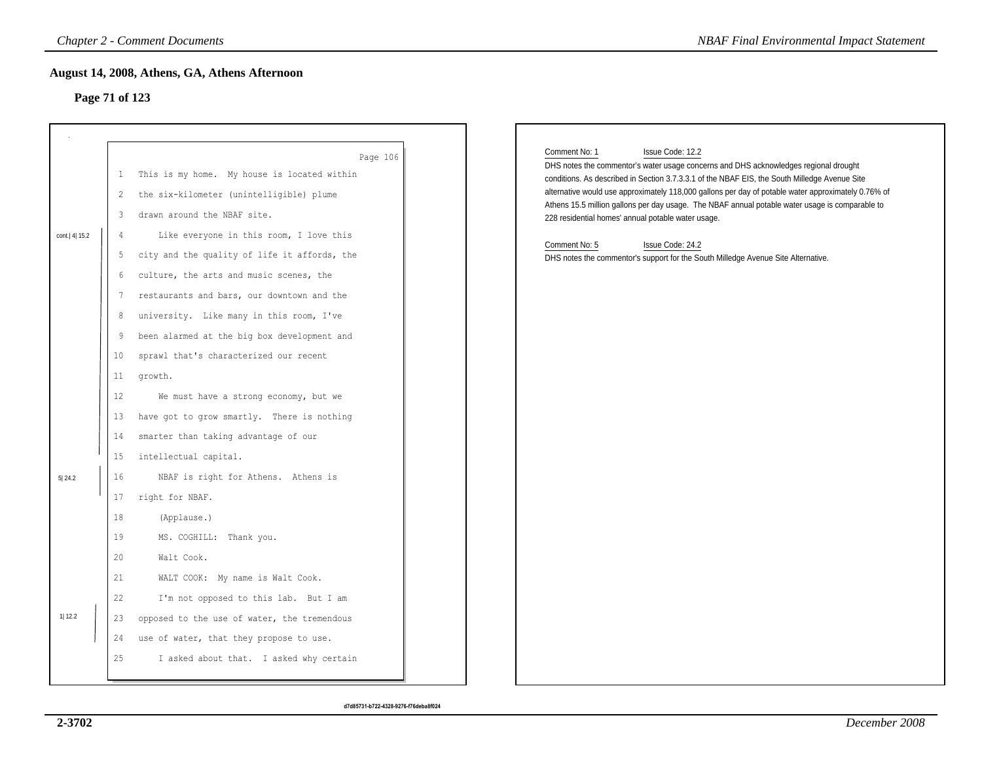## **Page 71 of 123**

|                |                                                                  | <b>Chapter 2 - Comment Documents</b>                                                                                                                                                                                                                                                                                                                                                                                                                                   | <b>NBAF Final Environmental Impact Statement</b>                                                                                                                                                                                                                                                                                                                                                                                                                                                                                                                                                                     |
|----------------|------------------------------------------------------------------|------------------------------------------------------------------------------------------------------------------------------------------------------------------------------------------------------------------------------------------------------------------------------------------------------------------------------------------------------------------------------------------------------------------------------------------------------------------------|----------------------------------------------------------------------------------------------------------------------------------------------------------------------------------------------------------------------------------------------------------------------------------------------------------------------------------------------------------------------------------------------------------------------------------------------------------------------------------------------------------------------------------------------------------------------------------------------------------------------|
| Page 71 of 123 |                                                                  | August 14, 2008, Athens, GA, Athens Afternoon                                                                                                                                                                                                                                                                                                                                                                                                                          |                                                                                                                                                                                                                                                                                                                                                                                                                                                                                                                                                                                                                      |
| cont. 4 15.2   | $\mathbf{1}$<br>2<br>3<br>4<br>5<br>6<br>7<br>8<br>9<br>10<br>11 | Page 106<br>This is my home. My house is located within<br>the six-kilometer (unintelligible) plume<br>drawn around the NBAF site.<br>Like everyone in this room, I love this<br>city and the quality of life it affords, the<br>culture, the arts and music scenes, the<br>restaurants and bars, our downtown and the<br>university. Like many in this room, I've<br>been alarmed at the big box development and<br>sprawl that's characterized our recent<br>growth. | Comment No: 1<br>Issue Code: 12.2<br>DHS notes the commentor's water usage concerns and DHS acknowledges regional drought<br>conditions. As described in Section 3.7.3.3.1 of the NBAF EIS, the South Milledge Avenue Site<br>alternative would use approximately 118,000 gallons per day of potable water approximately 0.76% of<br>Athens 15.5 million gallons per day usage. The NBAF annual potable water usage is comparable to<br>228 residential homes' annual potable water usage.<br>Comment No: 5<br>Issue Code: 24.2<br>DHS notes the commentor's support for the South Milledge Avenue Site Alternative. |
| 5 24.2         | 12<br>13<br>14<br>15<br>16<br>17<br>18<br>19<br>20<br>21<br>22   | We must have a strong economy, but we<br>have got to grow smartly. There is nothing<br>smarter than taking advantage of our<br>intellectual capital.<br>NBAF is right for Athens. Athens is<br>right for NBAF.<br>(Applause.)<br>MS. COGHILL: Thank you.<br>Walt Cook.<br>WALT COOK: My name is Walt Cook.<br>I'm not opposed to this lab. But I am                                                                                                                    |                                                                                                                                                                                                                                                                                                                                                                                                                                                                                                                                                                                                                      |
| $1$   12.2     | 23<br>24<br>25                                                   | opposed to the use of water, the tremendous<br>use of water, that they propose to use.<br>I asked about that. I asked why certain                                                                                                                                                                                                                                                                                                                                      |                                                                                                                                                                                                                                                                                                                                                                                                                                                                                                                                                                                                                      |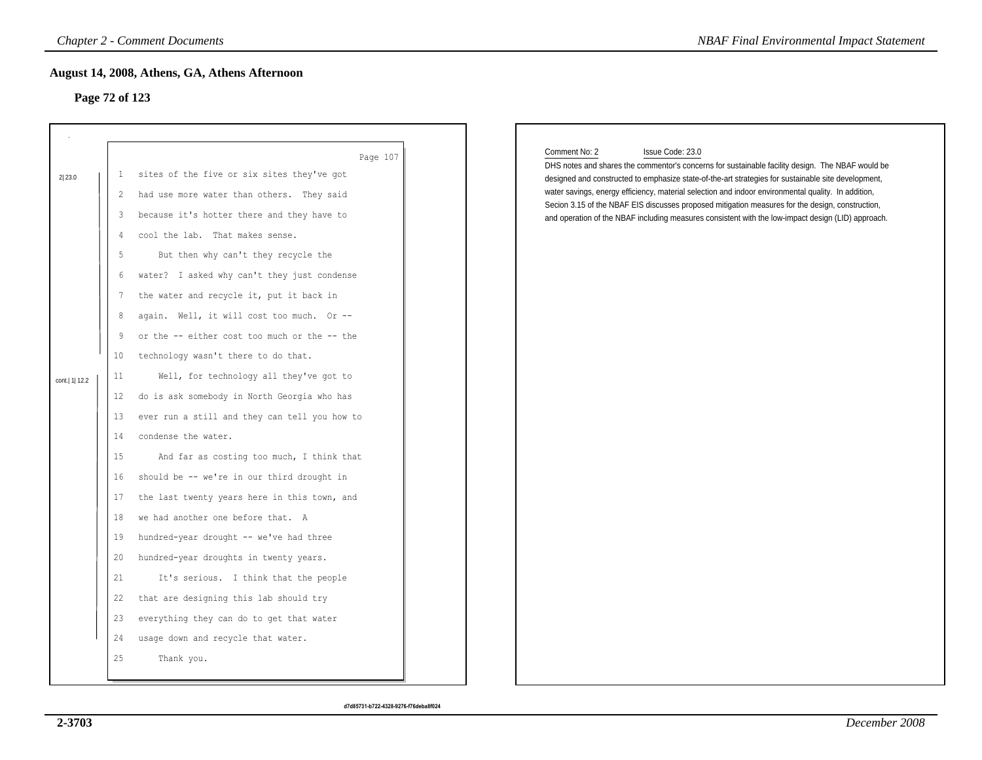## **Page 72 of 123**

|                 |                 | <b>Chapter 2 - Comment Documents</b>          | <b>NBAF Final Environmental Impact Statement</b>                                                                                                                                                        |
|-----------------|-----------------|-----------------------------------------------|---------------------------------------------------------------------------------------------------------------------------------------------------------------------------------------------------------|
| Page 72 of 123  |                 | August 14, 2008, Athens, GA, Athens Afternoon |                                                                                                                                                                                                         |
|                 |                 | Page 107                                      | Comment No: 2<br>Issue Code: 23.0<br>DHS notes and shares the commentor's concerns for sustainable facility design. The NBAF would be                                                                   |
| 2 23.0          | $\mathbf{1}$    | sites of the five or six sites they've got    | designed and constructed to emphasize state-of-the-art strategies for sustainable site development,                                                                                                     |
|                 | 2               | had use more water than others. They said     | water savings, energy efficiency, material selection and indoor environmental quality. In addition,<br>Secion 3.15 of the NBAF EIS discusses proposed mitigation measures for the design, construction, |
|                 | 3               | because it's hotter there and they have to    | and operation of the NBAF including measures consistent with the low-impact design (LID) approach.                                                                                                      |
|                 | 4               | cool the lab. That makes sense.               |                                                                                                                                                                                                         |
|                 | 5               | But then why can't they recycle the           |                                                                                                                                                                                                         |
|                 | 6               | water? I asked why can't they just condense   |                                                                                                                                                                                                         |
|                 | 7               | the water and recycle it, put it back in      |                                                                                                                                                                                                         |
|                 | 8               | again. Well, it will cost too much. Or --     |                                                                                                                                                                                                         |
|                 | 9               | or the -- either cost too much or the -- the  |                                                                                                                                                                                                         |
|                 | 10 <sup>°</sup> | technology wasn't there to do that.           |                                                                                                                                                                                                         |
| cont.   1  12.2 | 11              | Well, for technology all they've got to       |                                                                                                                                                                                                         |
|                 | 12              | do is ask somebody in North Georgia who has   |                                                                                                                                                                                                         |
|                 | 13              | ever run a still and they can tell you how to |                                                                                                                                                                                                         |
|                 | 14              | condense the water.                           |                                                                                                                                                                                                         |
|                 | 15              | And far as costing too much, I think that     |                                                                                                                                                                                                         |
|                 | 16              | should be -- we're in our third drought in    |                                                                                                                                                                                                         |
|                 | 17              | the last twenty years here in this town, and  |                                                                                                                                                                                                         |
|                 | 18              | we had another one before that. A             |                                                                                                                                                                                                         |
|                 | 19              | hundred-year drought -- we've had three       |                                                                                                                                                                                                         |
|                 | 20              | hundred-year droughts in twenty years.        |                                                                                                                                                                                                         |
|                 | 21              | It's serious. I think that the people         |                                                                                                                                                                                                         |
|                 | 22              | that are designing this lab should try        |                                                                                                                                                                                                         |
|                 | 23              | everything they can do to get that water      |                                                                                                                                                                                                         |
|                 | 24              | usage down and recycle that water.            |                                                                                                                                                                                                         |
|                 | 25              | Thank you.                                    |                                                                                                                                                                                                         |
|                 |                 |                                               |                                                                                                                                                                                                         |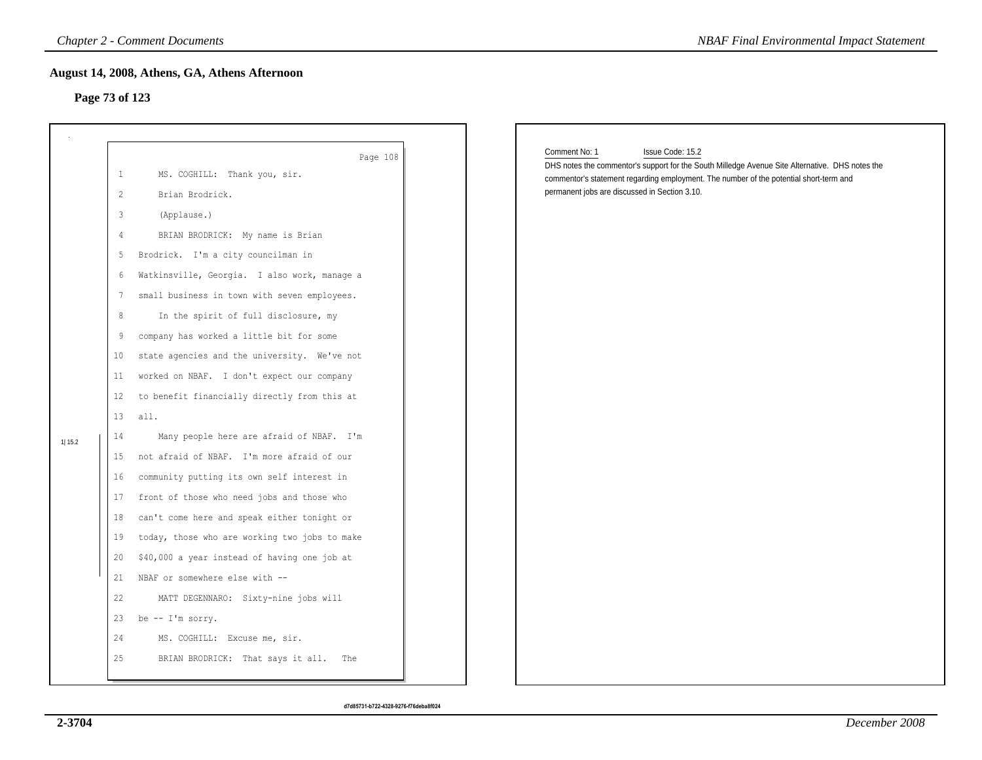### **Page 73 of 123**

|                |                                                                                                                                                                                        | <b>Chapter 2 - Comment Documents</b>                                                                                                                                                                                                                                                                                                                                                                                                                                                                                                                                                                                                                                                                                                                                                                                                                                                                                                                               | <b>NBAF Final Environmental Impact Statement</b>                                                                                                                                                                                                                                |
|----------------|----------------------------------------------------------------------------------------------------------------------------------------------------------------------------------------|--------------------------------------------------------------------------------------------------------------------------------------------------------------------------------------------------------------------------------------------------------------------------------------------------------------------------------------------------------------------------------------------------------------------------------------------------------------------------------------------------------------------------------------------------------------------------------------------------------------------------------------------------------------------------------------------------------------------------------------------------------------------------------------------------------------------------------------------------------------------------------------------------------------------------------------------------------------------|---------------------------------------------------------------------------------------------------------------------------------------------------------------------------------------------------------------------------------------------------------------------------------|
| Page 73 of 123 |                                                                                                                                                                                        | August 14, 2008, Athens, GA, Athens Afternoon                                                                                                                                                                                                                                                                                                                                                                                                                                                                                                                                                                                                                                                                                                                                                                                                                                                                                                                      |                                                                                                                                                                                                                                                                                 |
| 11 15.2        | $\mathbf{1}$<br>2<br>$\mathfrak{Z}$<br>$\frac{4}{3}$<br>5<br>6<br>7<br>8<br>9<br>10<br>11<br>$12 \overline{ }$<br>13<br>14<br>15<br>16<br>17<br>18<br>19<br>20<br>21<br>22<br>23<br>24 | Page 108<br>MS. COGHILL: Thank you, sir.<br>Brian Brodrick.<br>(Applause.)<br>BRIAN BRODRICK: My name is Brian<br>Brodrick. I'm a city councilman in<br>Watkinsville, Georgia. I also work, manage a<br>small business in town with seven employees.<br>In the spirit of full disclosure, my<br>company has worked a little bit for some<br>state agencies and the university. We've not<br>worked on NBAF. I don't expect our company<br>to benefit financially directly from this at<br>all.<br>Many people here are afraid of NBAF. I'm<br>not afraid of NBAF. I'm more afraid of our<br>community putting its own self interest in<br>front of those who need jobs and those who<br>can't come here and speak either tonight or<br>today, those who are working two jobs to make<br>\$40,000 a year instead of having one job at<br>NBAF or somewhere else with --<br>MATT DEGENNARO: Sixty-nine jobs will<br>be -- I'm sorry.<br>MS. COGHILL: Excuse me, sir. | Comment No: 1<br>Issue Code: 15.2<br>DHS notes the commentor's support for the South Milledge Avenue Site Alternative. DHS notes the<br>commentor's statement regarding employment. The number of the potential short-term and<br>permanent jobs are discussed in Section 3.10. |
|                | 25                                                                                                                                                                                     | BRIAN BRODRICK: That says it all. The                                                                                                                                                                                                                                                                                                                                                                                                                                                                                                                                                                                                                                                                                                                                                                                                                                                                                                                              |                                                                                                                                                                                                                                                                                 |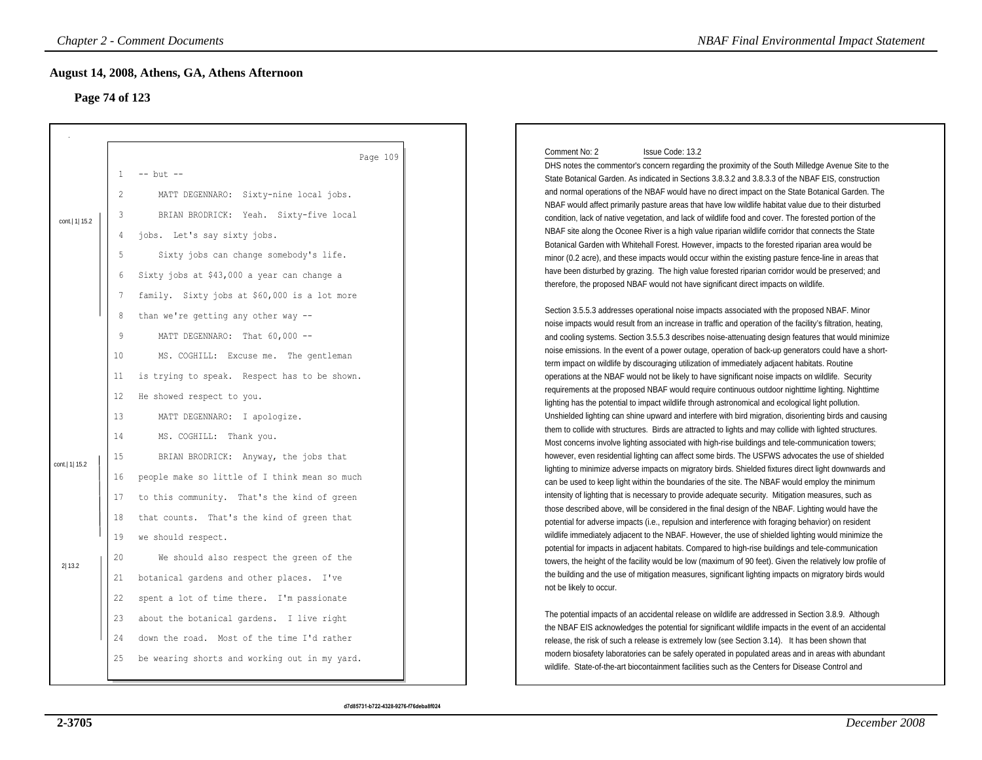## **Page 74 of 123**

|                 |                   | <b>Chapter 2 - Comment Documents</b>          | <b>NBAF Final Environmental Impact Statement</b>                                                                                                                                                                |
|-----------------|-------------------|-----------------------------------------------|-----------------------------------------------------------------------------------------------------------------------------------------------------------------------------------------------------------------|
|                 |                   | August 14, 2008, Athens, GA, Athens Afternoon |                                                                                                                                                                                                                 |
| Page 74 of 123  |                   |                                               |                                                                                                                                                                                                                 |
|                 |                   |                                               |                                                                                                                                                                                                                 |
|                 |                   | Page 109                                      | Comment No: 2<br>Issue Code: 13.2<br>DHS notes the commentor's concern regarding the proximity of the South Milledge Avenue Site to the                                                                         |
|                 | 1                 | $--$ but $--$                                 | State Botanical Garden. As indicated in Sections 3.8.3.2 and 3.8.3.3 of the NBAF EIS, construction                                                                                                              |
|                 | 2                 | MATT DEGENNARO: Sixty-nine local jobs.        | and normal operations of the NBAF would have no direct impact on the State Botanical Garden. The                                                                                                                |
|                 | $\overline{3}$    | BRIAN BRODRICK: Yeah. Sixty-five local        | NBAF would affect primarily pasture areas that have low wildlife habitat value due to their disturbed<br>condition, lack of native vegetation, and lack of wildlife food and cover. The forested portion of the |
| cont.   1  15.2 | 4                 | jobs. Let's say sixty jobs.                   | NBAF site along the Oconee River is a high value riparian wildlife corridor that connects the State                                                                                                             |
|                 |                   |                                               | Botanical Garden with Whitehall Forest. However, impacts to the forested riparian area would be                                                                                                                 |
|                 | 5                 | Sixty jobs can change somebody's life.        | minor (0.2 acre), and these impacts would occur within the existing pasture fence-line in areas that                                                                                                            |
|                 | 6                 | Sixty jobs at \$43,000 a year can change a    | have been disturbed by grazing. The high value forested riparian corridor would be preserved; and                                                                                                               |
|                 | $7\phantom{.0}$   | family. Sixty jobs at \$60,000 is a lot more  | therefore, the proposed NBAF would not have significant direct impacts on wildlife.                                                                                                                             |
|                 | 8                 | than we're getting any other way --           | Section 3.5.5.3 addresses operational noise impacts associated with the proposed NBAF. Minor                                                                                                                    |
|                 |                   |                                               | noise impacts would result from an increase in traffic and operation of the facility's filtration, heating,                                                                                                     |
|                 | 9                 | MATT DEGENNARO: That 60,000 --                | and cooling systems. Section 3.5.5.3 describes noise-attenuating design features that would minimize                                                                                                            |
|                 | 10                | MS. COGHILL: Excuse me. The gentleman         | noise emissions. In the event of a power outage, operation of back-up generators could have a short-<br>term impact on wildlife by discouraging utilization of immediately adjacent habitats. Routine           |
|                 | 11                | is trying to speak. Respect has to be shown.  | operations at the NBAF would not be likely to have significant noise impacts on wildlife. Security                                                                                                              |
|                 |                   |                                               | requirements at the proposed NBAF would require continuous outdoor nighttime lighting. Nighttime                                                                                                                |
|                 | $12 \overline{ }$ | He showed respect to you.                     | lighting has the potential to impact wildlife through astronomical and ecological light pollution.                                                                                                              |
|                 | 13                | MATT DEGENNARO: I apologize.                  | Unshielded lighting can shine upward and interfere with bird migration, disorienting birds and causing                                                                                                          |
|                 | 14                | MS. COGHILL: Thank you.                       | them to collide with structures. Birds are attracted to lights and may collide with lighted structures.                                                                                                         |
|                 |                   |                                               | Most concerns involve lighting associated with high-rise buildings and tele-communication towers;                                                                                                               |
| cont.  1  15.2  | 15                | BRIAN BRODRICK: Anyway, the jobs that         | however, even residential lighting can affect some birds. The USFWS advocates the use of shielded                                                                                                               |
|                 | 16                | people make so little of I think mean so much | lighting to minimize adverse impacts on migratory birds. Shielded fixtures direct light downwards and                                                                                                           |
|                 |                   |                                               | can be used to keep light within the boundaries of the site. The NBAF would employ the minimum<br>intensity of lighting that is necessary to provide adequate security. Mitigation measures, such as            |
|                 | 17                | to this community. That's the kind of green   | those described above, will be considered in the final design of the NBAF. Lighting would have the                                                                                                              |
|                 | 18                | that counts. That's the kind of green that    | potential for adverse impacts (i.e., repulsion and interference with foraging behavior) on resident                                                                                                             |
|                 | 19                | we should respect.                            | wildlife immediately adjacent to the NBAF. However, the use of shielded lighting would minimize the                                                                                                             |
| 2 13.2          | 20                | We should also respect the green of the       | potential for impacts in adjacent habitats. Compared to high-rise buildings and tele-communication<br>towers, the height of the facility would be low (maximum of 90 feet). Given the relatively low profile of |
|                 | 21                | botanical gardens and other places. I've      | the building and the use of mitigation measures, significant lighting impacts on migratory birds would                                                                                                          |
|                 | 22                | spent a lot of time there. I'm passionate     | not be likely to occur.                                                                                                                                                                                         |
|                 | 23                | about the botanical gardens. I live right     | The potential impacts of an accidental release on wildlife are addressed in Section 3.8.9. Although                                                                                                             |
|                 | 24                | down the road. Most of the time I'd rather    | the NBAF EIS acknowledges the potential for significant wildlife impacts in the event of an accidental<br>release, the risk of such a release is extremely low (see Section 3.14). It has been shown that       |
|                 | 25                | be wearing shorts and working out in my yard. | modern biosafety laboratories can be safely operated in populated areas and in areas with abundant<br>wildlife. State-of-the-art biocontainment facilities such as the Centers for Disease Control and          |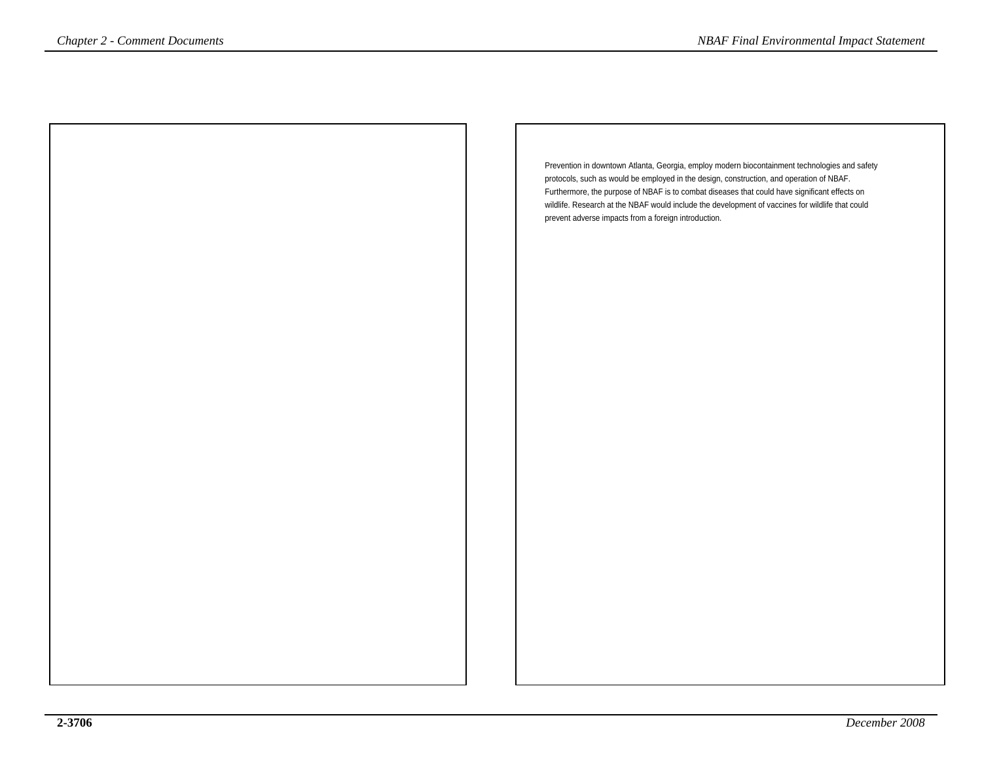Prevention in downtown Atlanta, Georgia, employ modern biocontainment technologies and safetyprotocols, such as would be employed in the design, construction, and operation of NBAF. Furthermore, the purpose of NBAF is to combat diseases that could have significant effects on wildlife. Research at the NBAF would include the development of vaccines for wildlife that couldprevent adverse impacts from a foreign introduction.*NBAF Final Environmental Impact Statement*<br> *Prevention in downtown Allanta, Georgia, employ modern biocontainment technologies and safety<br>
protocols, such a second at the NBAF is to community and containment technologies*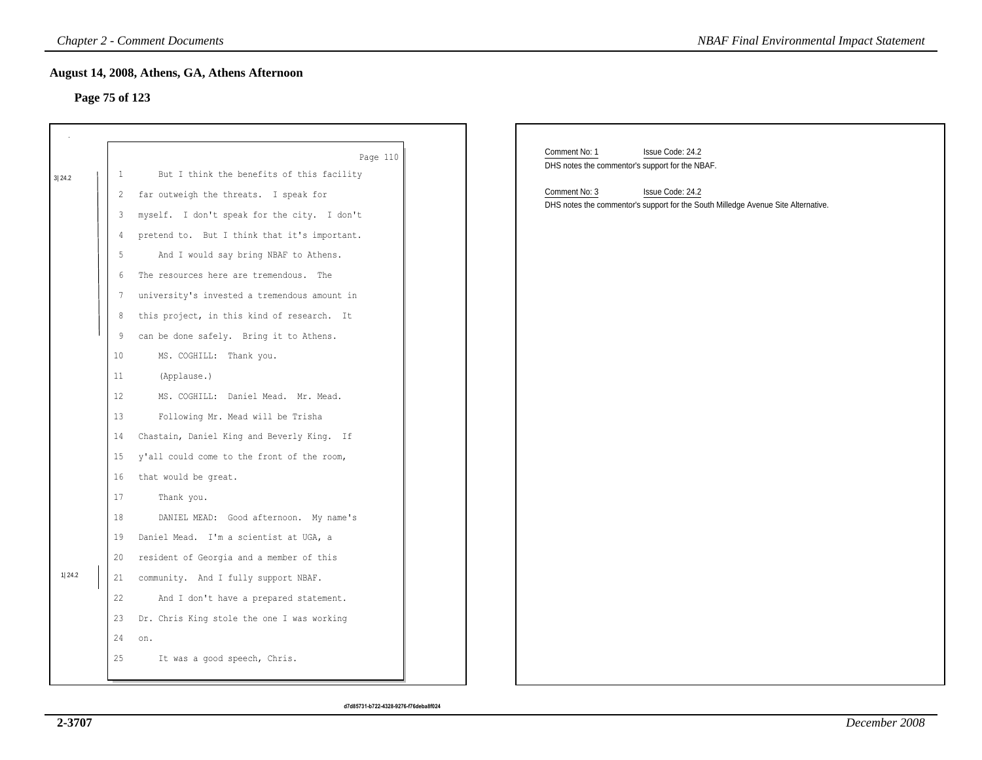## **Page 75 of 123**

|        |                                    | <b>Chapter 2 - Comment Documents</b>                                                                                                                                     | <b>NBAF Final Environmental Impact Statement</b>                                                                          |
|--------|------------------------------------|--------------------------------------------------------------------------------------------------------------------------------------------------------------------------|---------------------------------------------------------------------------------------------------------------------------|
|        | Page 75 of 123                     | August 14, 2008, Athens, GA, Athens Afternoon                                                                                                                            |                                                                                                                           |
| 3 24.2 | $\mathbf{1}$<br>$\overline{c}$     | Page 110<br>But I think the benefits of this facility<br>far outweigh the threats. I speak for                                                                           | Comment No: 1<br>Issue Code: 24.2<br>DHS notes the commentor's support for the NBAF.<br>Comment No: 3<br>Issue Code: 24.2 |
|        | 3<br>4<br>5                        | myself. I don't speak for the city. I don't<br>pretend to. But I think that it's important.<br>And I would say bring NBAF to Athens.                                     | DHS notes the commentor's support for the South Milledge Avenue Site Alternative.                                         |
|        | 6<br>7<br>8                        | The resources here are tremendous. The<br>university's invested a tremendous amount in<br>this project, in this kind of research. It                                     |                                                                                                                           |
|        | 9<br>10<br>11<br>$12 \overline{ }$ | can be done safely. Bring it to Athens.<br>MS. COGHILL: Thank you.<br>(Applause.)<br>MS. COGHILL: Daniel Mead. Mr. Mead.                                                 |                                                                                                                           |
|        | 13<br>14<br>15                     | Following Mr. Mead will be Trisha<br>Chastain, Daniel King and Beverly King. If<br>y'all could come to the front of the room,                                            |                                                                                                                           |
|        | 16<br>17<br>18<br>19               | that would be great.<br>Thank you.<br>DANIEL MEAD: Good afternoon. My name's<br>Daniel Mead. I'm a scientist at UGA, a                                                   |                                                                                                                           |
| 1 24.2 | 20<br>21<br>22<br>23               | resident of Georgia and a member of this<br>community. And I fully support NBAF.<br>And I don't have a prepared statement.<br>Dr. Chris King stole the one I was working |                                                                                                                           |
|        | 24<br>25                           | on.<br>It was a good speech, Chris.                                                                                                                                      |                                                                                                                           |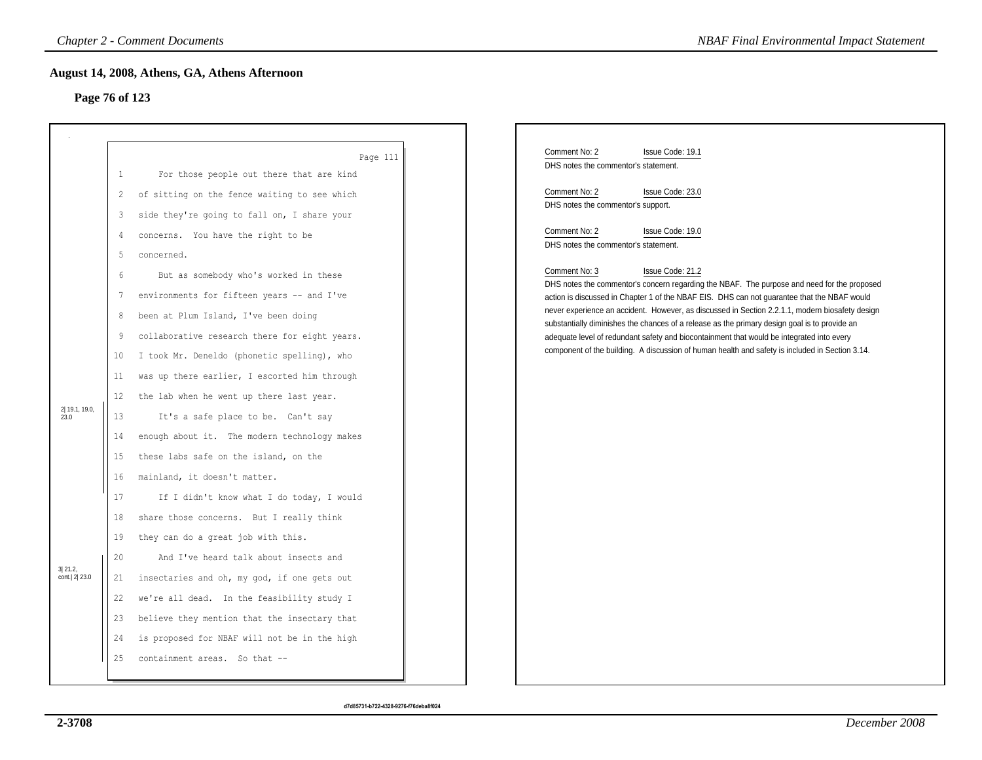## **Page 76 of 123**

|                         |                 | <b>Chapter 2 - Comment Documents</b>          | <b>NBAF Final Environmental Impact Statement</b>                                                                                                                                                 |
|-------------------------|-----------------|-----------------------------------------------|--------------------------------------------------------------------------------------------------------------------------------------------------------------------------------------------------|
|                         |                 | August 14, 2008, Athens, GA, Athens Afternoon |                                                                                                                                                                                                  |
| Page 76 of 123          |                 |                                               |                                                                                                                                                                                                  |
|                         |                 |                                               |                                                                                                                                                                                                  |
|                         |                 |                                               | Comment No: 2                                                                                                                                                                                    |
|                         |                 | Page 111                                      | Issue Code: 19.1<br>DHS notes the commentor's statement.                                                                                                                                         |
|                         | $\mathbf{1}$    | For those people out there that are kind      | Comment No: 2<br>Issue Code: 23.0                                                                                                                                                                |
|                         | 2               | of sitting on the fence waiting to see which  | DHS notes the commentor's support.                                                                                                                                                               |
|                         | 3               | side they're going to fall on, I share your   | Comment No: 2<br>Issue Code: 19.0                                                                                                                                                                |
|                         | 4               | concerns. You have the right to be            | DHS notes the commentor's statement.                                                                                                                                                             |
|                         | 5               | concerned.                                    | Comment No: 3<br>Issue Code: 21.2                                                                                                                                                                |
|                         | $6\overline{6}$ | But as somebody who's worked in these         | DHS notes the commentor's concern regarding the NBAF. The purpose and need for the proposed                                                                                                      |
|                         | 7               | environments for fifteen years -- and I've    | action is discussed in Chapter 1 of the NBAF EIS. DHS can not guarantee that the NBAF would                                                                                                      |
|                         | 8               | been at Plum Island, I've been doing          | never experience an accident. However, as discussed in Section 2.2.1.1, modern biosafety design<br>substantially diminishes the chances of a release as the primary design goal is to provide an |
|                         | 9               | collaborative research there for eight years. | adequate level of redundant safety and biocontainment that would be integrated into every                                                                                                        |
|                         | 10              | I took Mr. Deneldo (phonetic spelling), who   | component of the building. A discussion of human health and safety is included in Section 3.14.                                                                                                  |
|                         | 11              | was up there earlier, I escorted him through  |                                                                                                                                                                                                  |
|                         | 12              | the lab when he went up there last year.      |                                                                                                                                                                                                  |
| 2 19.1, 19.0,<br>23.0   | 13              | It's a safe place to be. Can't say            |                                                                                                                                                                                                  |
|                         | 14              | enough about it. The modern technology makes  |                                                                                                                                                                                                  |
|                         | 15              | these labs safe on the island, on the         |                                                                                                                                                                                                  |
|                         | 16              | mainland, it doesn't matter.                  |                                                                                                                                                                                                  |
|                         | 17              | If I didn't know what I do today, I would     |                                                                                                                                                                                                  |
|                         | 18              | share those concerns. But I really think      |                                                                                                                                                                                                  |
|                         | 19              | they can do a great job with this.            |                                                                                                                                                                                                  |
|                         | 20              | And I've heard talk about insects and         |                                                                                                                                                                                                  |
| 3 21.2,<br>cont. 2 23.0 | 21              | insectaries and oh, my god, if one gets out   |                                                                                                                                                                                                  |
|                         | 22              | we're all dead. In the feasibility study I    |                                                                                                                                                                                                  |
|                         | 23              | believe they mention that the insectary that  |                                                                                                                                                                                                  |
|                         | 24              | is proposed for NBAF will not be in the high  |                                                                                                                                                                                                  |
|                         | 25              | containment areas. So that --                 |                                                                                                                                                                                                  |
|                         |                 |                                               |                                                                                                                                                                                                  |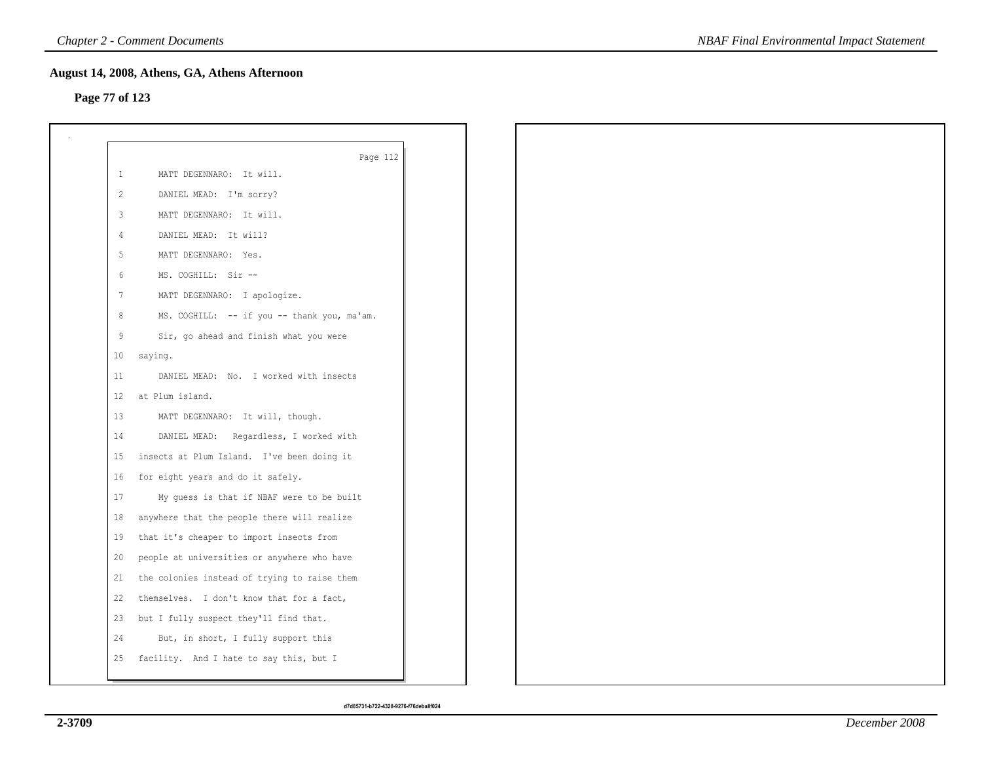## **Page 77 of 123**

|                | Page 112                                     |
|----------------|----------------------------------------------|
| $\mathbf{1}$   | MATT DEGENNARO: It will.                     |
| $\overline{2}$ | DANIEL MEAD: I'm sorry?                      |
| $\mathbf{3}$   | MATT DEGENNARO: It will.                     |
| 4              | DANIEL MEAD: It will?                        |
| 5              | MATT DEGENNARO: Yes.                         |
| 6              | MS. COGHILL: Sir --                          |
| 7              | MATT DEGENNARO: I apologize.                 |
| 8              | MS. COGHILL: -- if you -- thank you, ma'am.  |
| 9              | Sir, go ahead and finish what you were       |
| 10             | saying.                                      |
| 11             | DANIEL MEAD: No. I worked with insects       |
| 12             | at Plum island.                              |
| 13             | MATT DEGENNARO: It will, though.             |
| 14             | DANIEL MEAD: Regardless, I worked with       |
| 15             | insects at Plum Island. I've been doing it   |
| 16             | for eight years and do it safely.            |
| 17             | My guess is that if NBAF were to be built    |
| 18             | anywhere that the people there will realize  |
| 19             | that it's cheaper to import insects from     |
| 20             | people at universities or anywhere who have  |
| 21             | the colonies instead of trying to raise them |
| 22             | themselves. I don't know that for a fact,    |
| 23             | but I fully suspect they'll find that.       |
| 24             | But, in short, I fully support this          |
| 25             | facility. And I hate to say this, but I      |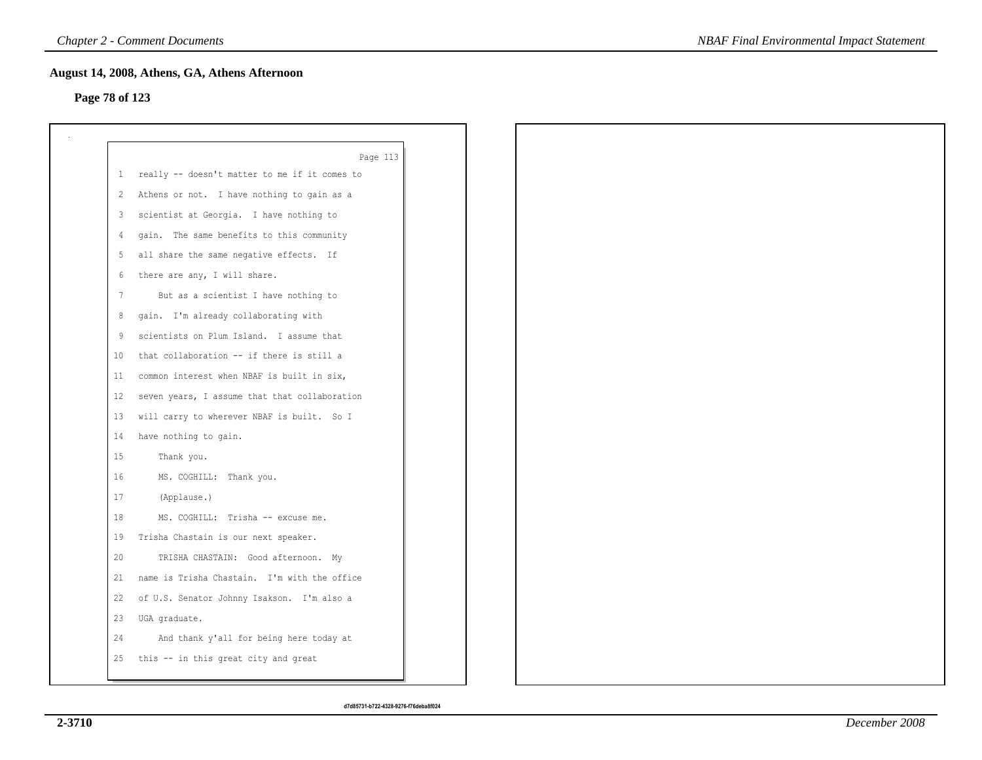## **Page 78 of 123**

| Page 113<br>really -- doesn't matter to me if it comes to<br>Athens or not. I have nothing to gain as a<br>scientist at Georgia. I have nothing to<br>gain. The same benefits to this community<br>all share the same negative effects. If<br>there are any, I will share.<br>But as a scientist I have nothing to<br>gain. I'm already collaborating with<br>scientists on Plum Island. I assume that<br>that collaboration -- if there is still a<br>common interest when NBAF is built in six,<br>seven years, I assume that that collaboration<br>will carry to wherever NBAF is built. So I<br>have nothing to gain.<br>Thank you. |
|-----------------------------------------------------------------------------------------------------------------------------------------------------------------------------------------------------------------------------------------------------------------------------------------------------------------------------------------------------------------------------------------------------------------------------------------------------------------------------------------------------------------------------------------------------------------------------------------------------------------------------------------|
|                                                                                                                                                                                                                                                                                                                                                                                                                                                                                                                                                                                                                                         |
|                                                                                                                                                                                                                                                                                                                                                                                                                                                                                                                                                                                                                                         |
|                                                                                                                                                                                                                                                                                                                                                                                                                                                                                                                                                                                                                                         |
|                                                                                                                                                                                                                                                                                                                                                                                                                                                                                                                                                                                                                                         |
|                                                                                                                                                                                                                                                                                                                                                                                                                                                                                                                                                                                                                                         |
|                                                                                                                                                                                                                                                                                                                                                                                                                                                                                                                                                                                                                                         |
|                                                                                                                                                                                                                                                                                                                                                                                                                                                                                                                                                                                                                                         |
|                                                                                                                                                                                                                                                                                                                                                                                                                                                                                                                                                                                                                                         |
|                                                                                                                                                                                                                                                                                                                                                                                                                                                                                                                                                                                                                                         |
|                                                                                                                                                                                                                                                                                                                                                                                                                                                                                                                                                                                                                                         |
|                                                                                                                                                                                                                                                                                                                                                                                                                                                                                                                                                                                                                                         |
|                                                                                                                                                                                                                                                                                                                                                                                                                                                                                                                                                                                                                                         |
|                                                                                                                                                                                                                                                                                                                                                                                                                                                                                                                                                                                                                                         |
|                                                                                                                                                                                                                                                                                                                                                                                                                                                                                                                                                                                                                                         |
|                                                                                                                                                                                                                                                                                                                                                                                                                                                                                                                                                                                                                                         |
|                                                                                                                                                                                                                                                                                                                                                                                                                                                                                                                                                                                                                                         |
| MS. COGHILL: Thank you.                                                                                                                                                                                                                                                                                                                                                                                                                                                                                                                                                                                                                 |
| (Applause.)                                                                                                                                                                                                                                                                                                                                                                                                                                                                                                                                                                                                                             |
| MS. COGHILL: Trisha -- excuse me.                                                                                                                                                                                                                                                                                                                                                                                                                                                                                                                                                                                                       |
| Trisha Chastain is our next speaker.                                                                                                                                                                                                                                                                                                                                                                                                                                                                                                                                                                                                    |
| TRISHA CHASTAIN: Good afternoon. My                                                                                                                                                                                                                                                                                                                                                                                                                                                                                                                                                                                                     |
| name is Trisha Chastain. I'm with the office                                                                                                                                                                                                                                                                                                                                                                                                                                                                                                                                                                                            |
| of U.S. Senator Johnny Isakson. I'm also a                                                                                                                                                                                                                                                                                                                                                                                                                                                                                                                                                                                              |
| UGA graduate.                                                                                                                                                                                                                                                                                                                                                                                                                                                                                                                                                                                                                           |
| And thank y'all for being here today at                                                                                                                                                                                                                                                                                                                                                                                                                                                                                                                                                                                                 |
| this -- in this great city and great                                                                                                                                                                                                                                                                                                                                                                                                                                                                                                                                                                                                    |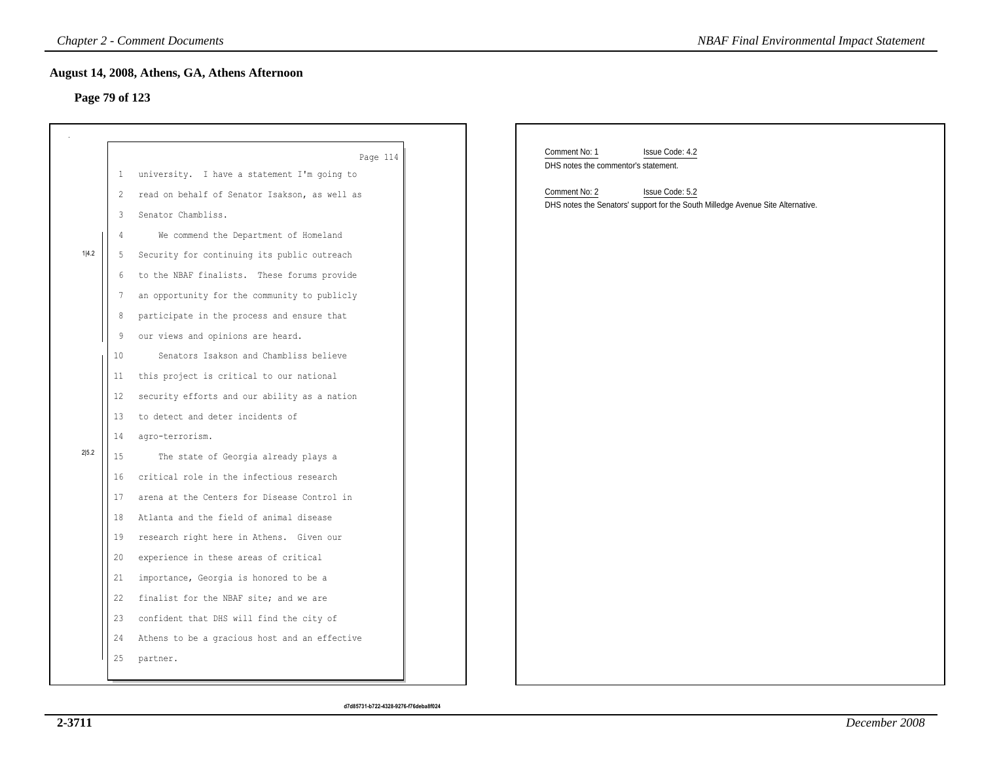## **Page 79 of 123**

|                |                | <b>Chapter 2 - Comment Documents</b>          | <b>NBAF Final Environmental Impact Statement</b>                                                                    |
|----------------|----------------|-----------------------------------------------|---------------------------------------------------------------------------------------------------------------------|
| Page 79 of 123 |                | August 14, 2008, Athens, GA, Athens Afternoon |                                                                                                                     |
|                |                | Page 114                                      | Comment No: 1<br>Issue Code: 4.2<br>DHS notes the commentor's statement.                                            |
|                | $\mathbf{1}$   | university. I have a statement I'm going to   |                                                                                                                     |
|                | $\mathbf{2}$   | read on behalf of Senator Isakson, as well as | Comment No: 2<br>Issue Code: 5.2<br>DHS notes the Senators' support for the South Milledge Avenue Site Alternative. |
|                | 3              | Senator Chambliss.                            |                                                                                                                     |
|                | $\overline{4}$ | We commend the Department of Homeland         |                                                                                                                     |
| 1 4.2          | 5              | Security for continuing its public outreach   |                                                                                                                     |
|                | 6              | to the NBAF finalists. These forums provide   |                                                                                                                     |
|                | 7              | an opportunity for the community to publicly  |                                                                                                                     |
|                | 8              | participate in the process and ensure that    |                                                                                                                     |
|                | 9              | our views and opinions are heard.             |                                                                                                                     |
|                | 10             | Senators Isakson and Chambliss believe        |                                                                                                                     |
|                | 11             | this project is critical to our national      |                                                                                                                     |
|                | 12             | security efforts and our ability as a nation  |                                                                                                                     |
|                | 13             | to detect and deter incidents of              |                                                                                                                     |
|                | 14             | agro-terrorism.                               |                                                                                                                     |
| 2 5.2          | 15             | The state of Georgia already plays a          |                                                                                                                     |
|                | 16             | critical role in the infectious research      |                                                                                                                     |
|                | 17             | arena at the Centers for Disease Control in   |                                                                                                                     |
|                |                | 18 Atlanta and the field of animal disease    |                                                                                                                     |
|                | 19             | research right here in Athens. Given our      |                                                                                                                     |
|                | 20             | experience in these areas of critical         |                                                                                                                     |
|                | 21             | importance, Georgia is honored to be a        |                                                                                                                     |
|                | 22             | finalist for the NBAF site; and we are        |                                                                                                                     |
|                |                | 23 confident that DHS will find the city of   |                                                                                                                     |
|                | 24             | Athens to be a gracious host and an effective |                                                                                                                     |
|                | 25             | partner.                                      |                                                                                                                     |
|                |                |                                               |                                                                                                                     |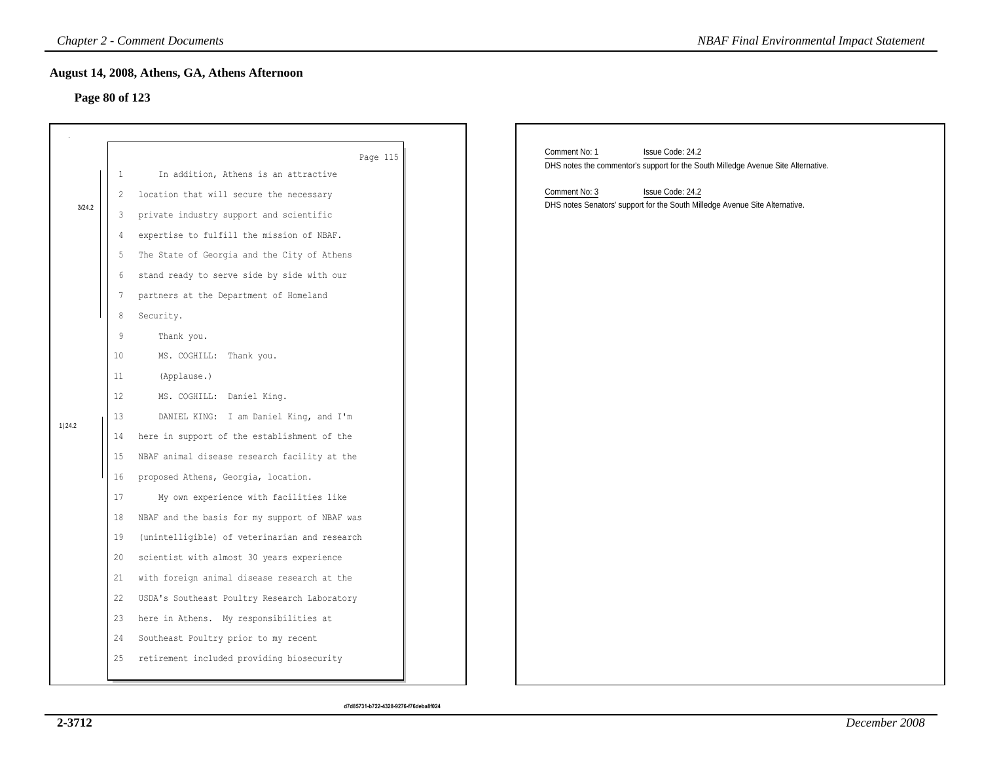## **Page 80 of 123**

| <b>Chapter 2 - Comment Documents</b><br><b>NBAF Final Environmental Impact Statement</b> |                   |                                                  |                                                                                   |  |  |  |
|------------------------------------------------------------------------------------------|-------------------|--------------------------------------------------|-----------------------------------------------------------------------------------|--|--|--|
| August 14, 2008, Athens, GA, Athens Afternoon                                            |                   |                                                  |                                                                                   |  |  |  |
| Page 80 of 123                                                                           |                   |                                                  |                                                                                   |  |  |  |
|                                                                                          |                   |                                                  |                                                                                   |  |  |  |
|                                                                                          |                   |                                                  | Comment No: 1<br>Issue Code: 24.2                                                 |  |  |  |
|                                                                                          | $\mathbf{1}$      | Page 115<br>In addition, Athens is an attractive | DHS notes the commentor's support for the South Milledge Avenue Site Alternative. |  |  |  |
|                                                                                          | 2                 | location that will secure the necessary          | Comment No: 3<br>Issue Code: 24.2                                                 |  |  |  |
| 3/24.2                                                                                   | 3                 | private industry support and scientific          | DHS notes Senators' support for the South Milledge Avenue Site Alternative.       |  |  |  |
|                                                                                          | 4                 | expertise to fulfill the mission of NBAF.        |                                                                                   |  |  |  |
|                                                                                          | 5                 | The State of Georgia and the City of Athens      |                                                                                   |  |  |  |
|                                                                                          | 6                 | stand ready to serve side by side with our       |                                                                                   |  |  |  |
|                                                                                          | 7                 | partners at the Department of Homeland           |                                                                                   |  |  |  |
|                                                                                          | 8                 | Security.                                        |                                                                                   |  |  |  |
|                                                                                          | 9                 | Thank you.                                       |                                                                                   |  |  |  |
|                                                                                          | 10                | MS. COGHILL: Thank you.                          |                                                                                   |  |  |  |
|                                                                                          | 11                | (Applause.)                                      |                                                                                   |  |  |  |
|                                                                                          | $12 \overline{ }$ | MS. COGHILL: Daniel King.                        |                                                                                   |  |  |  |
|                                                                                          | 13                | DANIEL KING: I am Daniel King, and I'm           |                                                                                   |  |  |  |
| 1 24.2                                                                                   | 14                | here in support of the establishment of the      |                                                                                   |  |  |  |
|                                                                                          | 15                | NBAF animal disease research facility at the     |                                                                                   |  |  |  |
|                                                                                          | 16                | proposed Athens, Georgia, location.              |                                                                                   |  |  |  |
|                                                                                          | 17                | My own experience with facilities like           |                                                                                   |  |  |  |
|                                                                                          | 18                | NBAF and the basis for my support of NBAF was    |                                                                                   |  |  |  |
|                                                                                          | 19                | (unintelligible) of veterinarian and research    |                                                                                   |  |  |  |
|                                                                                          | 20                | scientist with almost 30 years experience        |                                                                                   |  |  |  |
|                                                                                          | 21                | with foreign animal disease research at the      |                                                                                   |  |  |  |
|                                                                                          | 22                | USDA's Southeast Poultry Research Laboratory     |                                                                                   |  |  |  |
|                                                                                          | 23                | here in Athens. My responsibilities at           |                                                                                   |  |  |  |
|                                                                                          | 24                | Southeast Poultry prior to my recent             |                                                                                   |  |  |  |
|                                                                                          | 25                | retirement included providing biosecurity        |                                                                                   |  |  |  |
|                                                                                          |                   |                                                  |                                                                                   |  |  |  |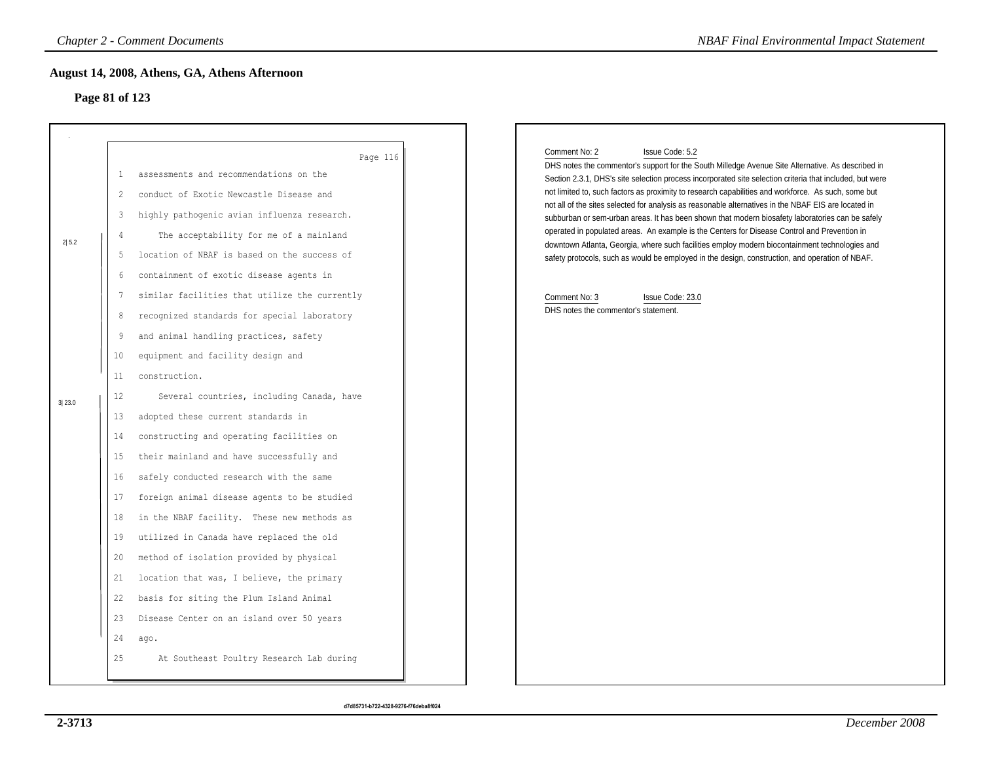# **Page 81 of 123**

|        |                                              | <b>Chapter 2 - Comment Documents</b>                                                                                                                                                                                                                                                                                                                        | <b>NBAF Final Environmental Impact Statement</b>                                                                                                                                                                                                                                                                                                                                                                                                                                                                                                                                                                                                                                                                                                                       |
|--------|----------------------------------------------|-------------------------------------------------------------------------------------------------------------------------------------------------------------------------------------------------------------------------------------------------------------------------------------------------------------------------------------------------------------|------------------------------------------------------------------------------------------------------------------------------------------------------------------------------------------------------------------------------------------------------------------------------------------------------------------------------------------------------------------------------------------------------------------------------------------------------------------------------------------------------------------------------------------------------------------------------------------------------------------------------------------------------------------------------------------------------------------------------------------------------------------------|
|        | Page 81 of 123                               | August 14, 2008, Athens, GA, Athens Afternoon                                                                                                                                                                                                                                                                                                               |                                                                                                                                                                                                                                                                                                                                                                                                                                                                                                                                                                                                                                                                                                                                                                        |
| 2 5.2  | 1<br>$\overline{2}$<br>3<br>$\overline{4}$   | Page 116<br>assessments and recommendations on the<br>conduct of Exotic Newcastle Disease and<br>highly pathogenic avian influenza research.<br>The acceptability for me of a mainland                                                                                                                                                                      | Comment No: 2<br>Issue Code: 5.2<br>DHS notes the commentor's support for the South Milledge Avenue Site Alternative. As described in<br>Section 2.3.1, DHS's site selection process incorporated site selection criteria that included, but were<br>not limited to, such factors as proximity to research capabilities and workforce. As such, some but<br>not all of the sites selected for analysis as reasonable alternatives in the NBAF EIS are located in<br>subburban or sem-urban areas. It has been shown that modern biosafety laboratories can be safely<br>operated in populated areas. An example is the Centers for Disease Control and Prevention in<br>downtown Atlanta, Georgia, where such facilities employ modern biocontainment technologies and |
|        | 5<br>6<br>7<br>8<br>9<br>10<br>11            | location of NBAF is based on the success of<br>containment of exotic disease agents in<br>similar facilities that utilize the currently<br>recognized standards for special laboratory<br>and animal handling practices, safety<br>equipment and facility design and<br>construction.                                                                       | safety protocols, such as would be employed in the design, construction, and operation of NBAF.<br>Comment No: 3<br>Issue Code: 23.0<br>DHS notes the commentor's statement.                                                                                                                                                                                                                                                                                                                                                                                                                                                                                                                                                                                           |
| 3 23.0 | 12<br>13<br>14<br>15<br>16<br>17<br>18<br>19 | Several countries, including Canada, have<br>adopted these current standards in<br>constructing and operating facilities on<br>their mainland and have successfully and<br>safely conducted research with the same<br>foreign animal disease agents to be studied<br>in the NBAF facility. These new methods as<br>utilized in Canada have replaced the old |                                                                                                                                                                                                                                                                                                                                                                                                                                                                                                                                                                                                                                                                                                                                                                        |
|        | 20<br>21<br>22<br>23<br>24<br>25             | method of isolation provided by physical<br>location that was, I believe, the primary<br>basis for siting the Plum Island Animal<br>Disease Center on an island over 50 years<br>ago.<br>At Southeast Poultry Research Lab during                                                                                                                           |                                                                                                                                                                                                                                                                                                                                                                                                                                                                                                                                                                                                                                                                                                                                                                        |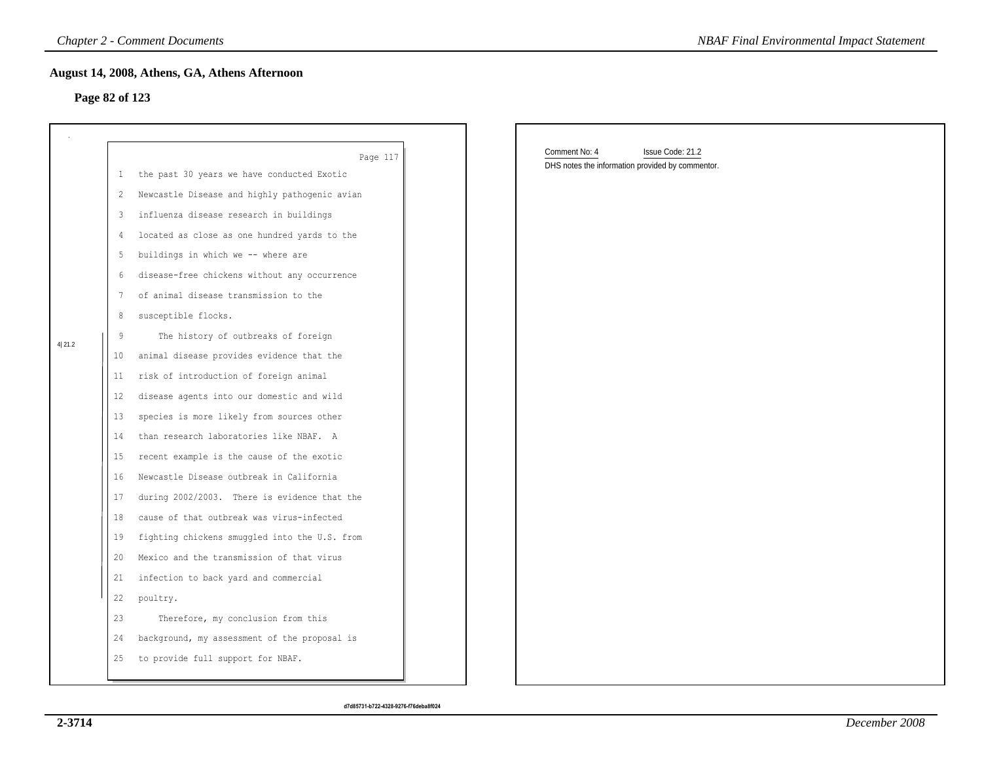### **Page 82 of 123**

| <b>Chapter 2 - Comment Documents</b> |                                               |                                               |  | <b>NBAF Final Environmental Impact Statement</b>                                      |  |  |  |  |
|--------------------------------------|-----------------------------------------------|-----------------------------------------------|--|---------------------------------------------------------------------------------------|--|--|--|--|
|                                      | August 14, 2008, Athens, GA, Athens Afternoon |                                               |  |                                                                                       |  |  |  |  |
| Page 82 of 123                       |                                               |                                               |  |                                                                                       |  |  |  |  |
|                                      |                                               |                                               |  |                                                                                       |  |  |  |  |
|                                      |                                               | Page 117                                      |  | Comment No: 4<br>Issue Code: 21.2<br>DHS notes the information provided by commentor. |  |  |  |  |
|                                      | $\mathbf{1}$                                  | the past 30 years we have conducted Exotic    |  |                                                                                       |  |  |  |  |
|                                      | 2                                             | Newcastle Disease and highly pathogenic avian |  |                                                                                       |  |  |  |  |
|                                      | 3                                             | influenza disease research in buildings       |  |                                                                                       |  |  |  |  |
|                                      | 4                                             | located as close as one hundred yards to the  |  |                                                                                       |  |  |  |  |
|                                      | 5                                             | buildings in which we -- where are            |  |                                                                                       |  |  |  |  |
|                                      | 6                                             | disease-free chickens without any occurrence  |  |                                                                                       |  |  |  |  |
|                                      | 7                                             | of animal disease transmission to the         |  |                                                                                       |  |  |  |  |
|                                      | 8                                             | susceptible flocks.                           |  |                                                                                       |  |  |  |  |
| 4 21.2                               | 9                                             | The history of outbreaks of foreign           |  |                                                                                       |  |  |  |  |
|                                      | 10 <sup>°</sup>                               | animal disease provides evidence that the     |  |                                                                                       |  |  |  |  |
|                                      | 11                                            | risk of introduction of foreign animal        |  |                                                                                       |  |  |  |  |
|                                      | $12 \overline{ }$                             | disease agents into our domestic and wild     |  |                                                                                       |  |  |  |  |
|                                      | 13                                            | species is more likely from sources other     |  |                                                                                       |  |  |  |  |
|                                      | 14                                            | than research laboratories like NBAF. A       |  |                                                                                       |  |  |  |  |
|                                      | 15                                            | recent example is the cause of the exotic     |  |                                                                                       |  |  |  |  |
|                                      | 16                                            | Newcastle Disease outbreak in California      |  |                                                                                       |  |  |  |  |
|                                      | 17                                            | during 2002/2003. There is evidence that the  |  |                                                                                       |  |  |  |  |
|                                      | 18                                            | cause of that outbreak was virus-infected     |  |                                                                                       |  |  |  |  |
|                                      | 19                                            | fighting chickens smuggled into the U.S. from |  |                                                                                       |  |  |  |  |
|                                      | 20                                            | Mexico and the transmission of that virus     |  |                                                                                       |  |  |  |  |
|                                      | 21                                            | infection to back yard and commercial         |  |                                                                                       |  |  |  |  |
|                                      | 22                                            | poultry.                                      |  |                                                                                       |  |  |  |  |
|                                      | 23                                            | Therefore, my conclusion from this            |  |                                                                                       |  |  |  |  |
|                                      | 24                                            | background, my assessment of the proposal is  |  |                                                                                       |  |  |  |  |
|                                      | 25                                            | to provide full support for NBAF.             |  |                                                                                       |  |  |  |  |
|                                      |                                               |                                               |  |                                                                                       |  |  |  |  |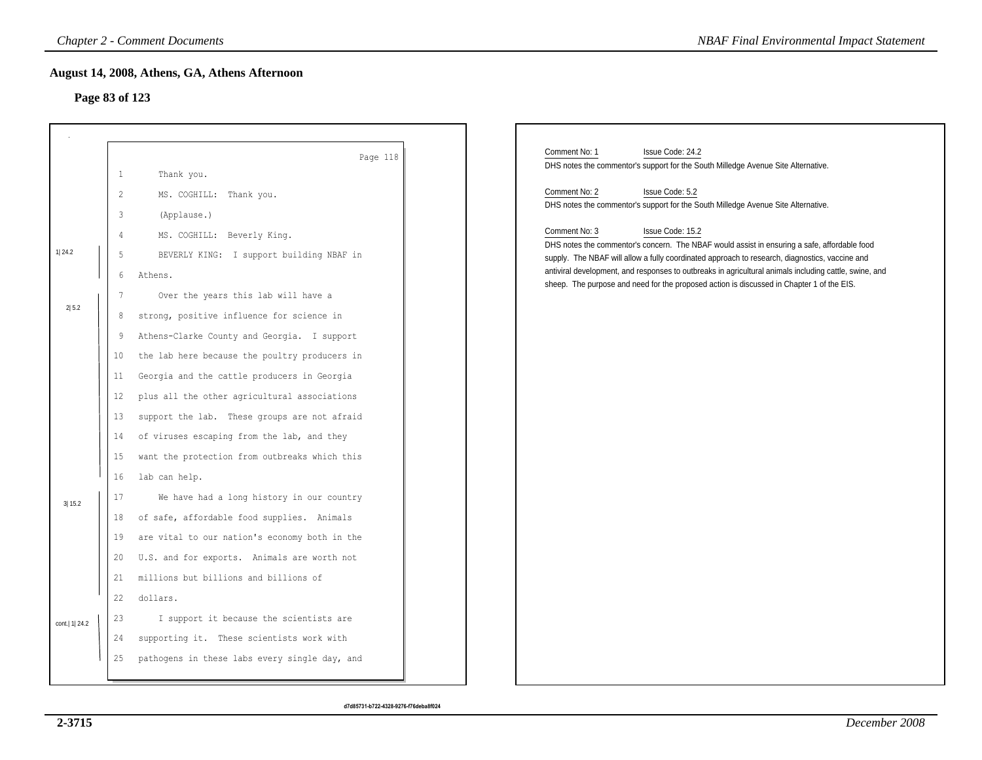### **Page 83 of 123**

|                  |                 | <b>Chapter 2 - Comment Documents</b>          | <b>NBAF Final Environmental Impact Statement</b>                                                                                                                                                    |
|------------------|-----------------|-----------------------------------------------|-----------------------------------------------------------------------------------------------------------------------------------------------------------------------------------------------------|
|                  |                 | August 14, 2008, Athens, GA, Athens Afternoon |                                                                                                                                                                                                     |
| Page 83 of 123   |                 |                                               |                                                                                                                                                                                                     |
|                  |                 |                                               |                                                                                                                                                                                                     |
|                  |                 | Page 118                                      | Comment No: 1<br>Issue Code: 24.2<br>DHS notes the commentor's support for the South Milledge Avenue Site Alternative.                                                                              |
|                  | $\mathbf{1}$    | Thank you.                                    | Comment No: 2<br>Issue Code: 5.2                                                                                                                                                                    |
|                  | 2               | MS. COGHILL: Thank you.                       | DHS notes the commentor's support for the South Milledge Avenue Site Alternative.                                                                                                                   |
|                  | 3               | (Applause.)                                   |                                                                                                                                                                                                     |
|                  | $\overline{4}$  | MS. COGHILL: Beverly King.                    | Comment No: 3<br>Issue Code: 15.2<br>DHS notes the commentor's concern. The NBAF would assist in ensuring a safe, affordable food                                                                   |
| 1 24.2           | 5               | BEVERLY KING: I support building NBAF in      | supply. The NBAF will allow a fully coordinated approach to research, diagnostics, vaccine and                                                                                                      |
|                  | 6               | Athens.                                       | antiviral development, and responses to outbreaks in agricultural animals including cattle, swine, and<br>sheep. The purpose and need for the proposed action is discussed in Chapter 1 of the EIS. |
|                  | $7\phantom{.0}$ | Over the years this lab will have a           |                                                                                                                                                                                                     |
| 2 5.2            | 8               | strong, positive influence for science in     |                                                                                                                                                                                                     |
|                  | 9               | Athens-Clarke County and Georgia. I support   |                                                                                                                                                                                                     |
|                  | 10              | the lab here because the poultry producers in |                                                                                                                                                                                                     |
|                  | 11              | Georgia and the cattle producers in Georgia   |                                                                                                                                                                                                     |
|                  | 12              | plus all the other agricultural associations  |                                                                                                                                                                                                     |
|                  | 13              | support the lab. These groups are not afraid  |                                                                                                                                                                                                     |
|                  | 14              | of viruses escaping from the lab, and they    |                                                                                                                                                                                                     |
|                  | 15              | want the protection from outbreaks which this |                                                                                                                                                                                                     |
|                  | 16              | lab can help.                                 |                                                                                                                                                                                                     |
| 3 15.2           | 17              | We have had a long history in our country     |                                                                                                                                                                                                     |
|                  | 18              | of safe, affordable food supplies. Animals    |                                                                                                                                                                                                     |
|                  | 19              | are vital to our nation's economy both in the |                                                                                                                                                                                                     |
|                  | 20              | U.S. and for exports. Animals are worth not   |                                                                                                                                                                                                     |
|                  | 21              | millions but billions and billions of         |                                                                                                                                                                                                     |
|                  | 22              | dollars.                                      |                                                                                                                                                                                                     |
| cont.   1   24.2 | 23              | I support it because the scientists are       |                                                                                                                                                                                                     |
|                  | 24              | supporting it. These scientists work with     |                                                                                                                                                                                                     |
|                  | 25              | pathogens in these labs every single day, and |                                                                                                                                                                                                     |
|                  |                 |                                               |                                                                                                                                                                                                     |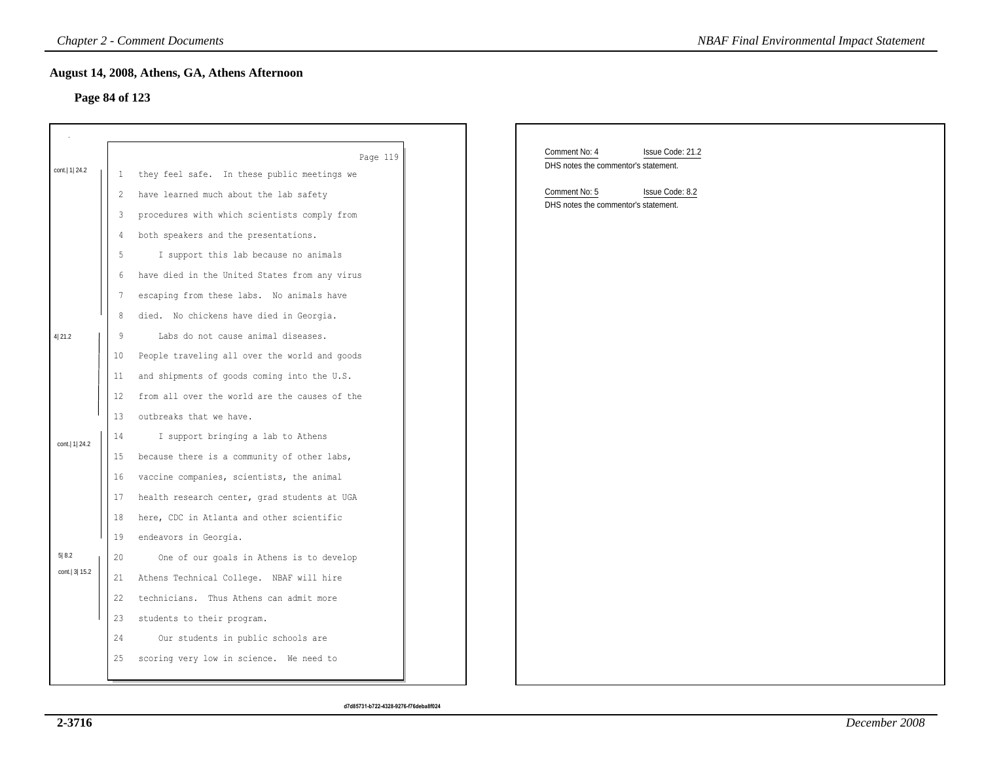### **Page 84 of 123**

|                  |                   | <b>Chapter 2 - Comment Documents</b>          | <b>NBAF Final Environmental Impact Statement</b>                          |
|------------------|-------------------|-----------------------------------------------|---------------------------------------------------------------------------|
|                  |                   | August 14, 2008, Athens, GA, Athens Afternoon |                                                                           |
| Page 84 of 123   |                   |                                               |                                                                           |
|                  |                   |                                               |                                                                           |
|                  |                   |                                               |                                                                           |
|                  |                   | Page 119                                      | Comment No: 4<br>Issue Code: 21.2<br>DHS notes the commentor's statement. |
| cont.   1   24.2 | 1                 | they feel safe. In these public meetings we   |                                                                           |
|                  | $\overline{c}$    | have learned much about the lab safety        | Comment No: 5<br>Issue Code: 8.2<br>DHS notes the commentor's statement.  |
|                  | 3                 | procedures with which scientists comply from  |                                                                           |
|                  | 4                 | both speakers and the presentations.          |                                                                           |
|                  | $\mathsf S$       | I support this lab because no animals         |                                                                           |
|                  | 6                 | have died in the United States from any virus |                                                                           |
|                  | 7                 | escaping from these labs. No animals have     |                                                                           |
|                  | 8                 | died. No chickens have died in Georgia.       |                                                                           |
| 4 21.2           | 9                 | Labs do not cause animal diseases.            |                                                                           |
|                  | 10 <sub>o</sub>   | People traveling all over the world and goods |                                                                           |
|                  | 11                | and shipments of goods coming into the U.S.   |                                                                           |
|                  | $12 \overline{ }$ | from all over the world are the causes of the |                                                                           |
|                  | 13                | outbreaks that we have.                       |                                                                           |
| cont.   1   24.2 | 14                | I support bringing a lab to Athens            |                                                                           |
|                  | 15                | because there is a community of other labs,   |                                                                           |
|                  | 16 <sup>°</sup>   | vaccine companies, scientists, the animal     |                                                                           |
|                  | 17                | health research center, grad students at UGA  |                                                                           |
|                  | 18                | here, CDC in Atlanta and other scientific     |                                                                           |
|                  | 19                | endeavors in Georgia.                         |                                                                           |
| 5 8.2            | 20                | One of our goals in Athens is to develop      |                                                                           |
| cont. 3 15.2     | 21                | Athens Technical College. NBAF will hire      |                                                                           |
|                  | 22                | technicians. Thus Athens can admit more       |                                                                           |
|                  | 23                | students to their program.                    |                                                                           |
|                  | 24                | Our students in public schools are            |                                                                           |
|                  | 25                | scoring very low in science. We need to       |                                                                           |
|                  |                   |                                               |                                                                           |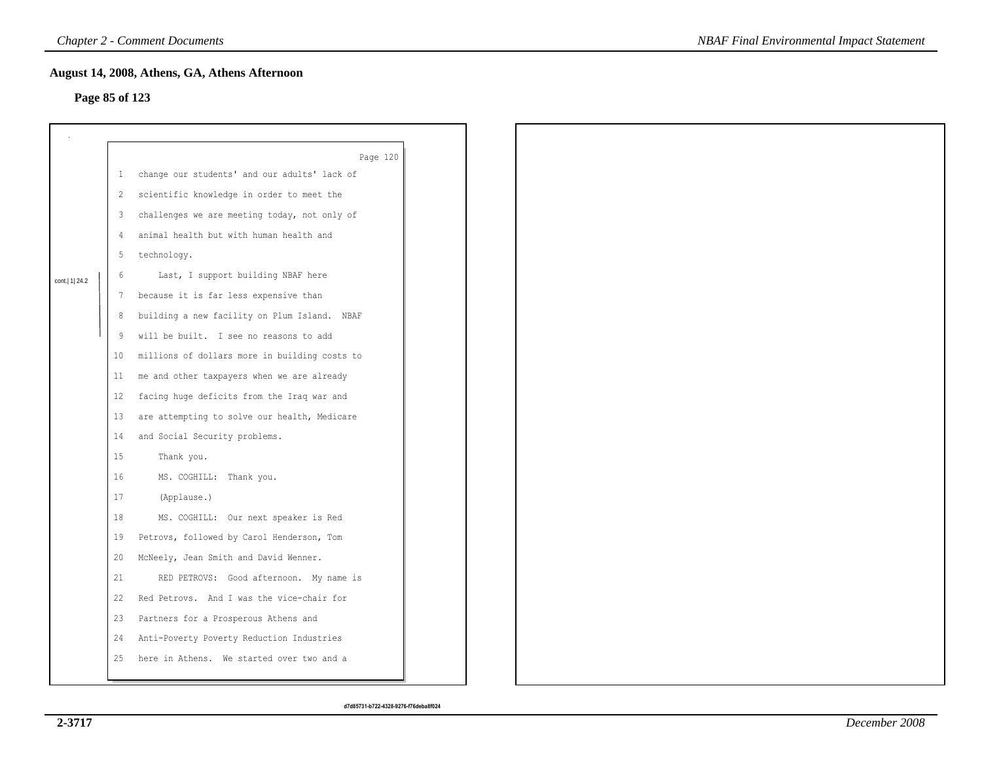## **Page 85 of 123**

|                  |                 | August 14, 2008, Athens, GA, Athens Afternoon                                          |
|------------------|-----------------|----------------------------------------------------------------------------------------|
| Page 85 of 123   |                 |                                                                                        |
|                  |                 |                                                                                        |
|                  |                 |                                                                                        |
|                  | $\mathbf{1}$    | Page 120<br>change our students' and our adults' lack of                               |
|                  |                 | scientific knowledge in order to meet the                                              |
|                  | $\overline{c}$  | challenges we are meeting today, not only of                                           |
|                  | 3<br>4          | animal health but with human health and                                                |
|                  |                 |                                                                                        |
|                  | 5               | technology.                                                                            |
| cont.   1   24.2 | 6               | Last, I support building NBAF here                                                     |
|                  | 7               | because it is far less expensive than                                                  |
|                  | 8               | building a new facility on Plum Island. NBAF<br>will be built. I see no reasons to add |
|                  | 9               |                                                                                        |
|                  | 10 <sup>°</sup> | millions of dollars more in building costs to                                          |
|                  | 11              | me and other taxpayers when we are already                                             |
|                  | 12              | facing huge deficits from the Iraq war and                                             |
|                  | 13              | are attempting to solve our health, Medicare                                           |
|                  | 14              | and Social Security problems.                                                          |
|                  | 15              | Thank you.                                                                             |
|                  | 16              | MS. COGHILL: Thank you.                                                                |
|                  | 17              | (Applause.)                                                                            |
|                  | 18              | MS. COGHILL: Our next speaker is Red                                                   |
|                  | 19              | Petrovs, followed by Carol Henderson, Tom                                              |
|                  | 20              | McNeely, Jean Smith and David Wenner.                                                  |
|                  | 21              | RED PETROVS: Good afternoon. My name is                                                |
|                  | 22              | Red Petrovs. And I was the vice-chair for                                              |
|                  | 23              | Partners for a Prosperous Athens and                                                   |
|                  | 24              | Anti-Poverty Poverty Reduction Industries                                              |
|                  | 25              | here in Athens. We started over two and a                                              |
|                  |                 |                                                                                        |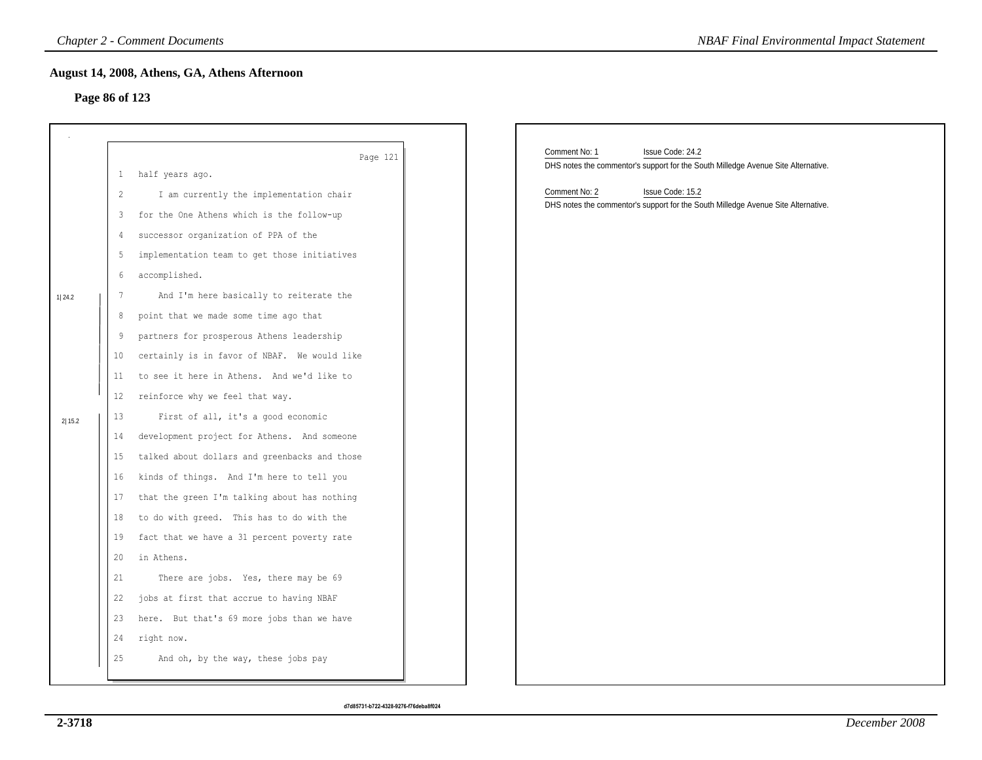## **Page 86 of 123**

|        | <b>Chapter 2 - Comment Documents</b>                                                           | <b>NBAF Final Environmental Impact Statement</b>                                  |
|--------|------------------------------------------------------------------------------------------------|-----------------------------------------------------------------------------------|
|        | August 14, 2008, Athens, GA, Athens Afternoon                                                  |                                                                                   |
|        | Page 86 of 123                                                                                 |                                                                                   |
|        |                                                                                                |                                                                                   |
|        |                                                                                                | Comment No: 1<br>Issue Code: 24.2                                                 |
|        | Page 121<br>half years ago.<br>$\perp$                                                         | DHS notes the commentor's support for the South Milledge Avenue Site Alternative. |
|        | I am currently the implementation chair<br>$\overline{c}$                                      | Comment No: 2<br>Issue Code: 15.2                                                 |
|        | for the One Athens which is the follow-up<br>3                                                 | DHS notes the commentor's support for the South Milledge Avenue Site Alternative. |
|        | successor organization of PPA of the<br>4                                                      |                                                                                   |
|        | 5<br>implementation team to get those initiatives                                              |                                                                                   |
|        | accomplished.<br>6                                                                             |                                                                                   |
|        | $7\phantom{.0}$<br>And I'm here basically to reiterate the                                     |                                                                                   |
| 1 24.2 | point that we made some time ago that<br>8                                                     |                                                                                   |
|        |                                                                                                |                                                                                   |
|        | partners for prosperous Athens leadership<br>9<br>certainly is in favor of NBAF. We would like |                                                                                   |
|        | 10<br>to see it here in Athens. And we'd like to                                               |                                                                                   |
|        | 11                                                                                             |                                                                                   |
|        | reinforce why we feel that way.<br>12                                                          |                                                                                   |
| 2 15.2 | 13<br>First of all, it's a good economic                                                       |                                                                                   |
|        | development project for Athens. And someone<br>14                                              |                                                                                   |
|        | talked about dollars and greenbacks and those<br>15                                            |                                                                                   |
|        | kinds of things. And I'm here to tell you<br>16                                                |                                                                                   |
|        | that the green I'm talking about has nothing<br>17                                             |                                                                                   |
|        | to do with greed. This has to do with the<br>18                                                |                                                                                   |
|        | fact that we have a 31 percent poverty rate<br>19                                              |                                                                                   |
|        | in Athens.<br>20                                                                               |                                                                                   |
|        | 21<br>There are jobs. Yes, there may be 69                                                     |                                                                                   |
|        | 22<br>jobs at first that accrue to having NBAF                                                 |                                                                                   |
|        | here. But that's 69 more jobs than we have<br>23                                               |                                                                                   |
|        | right now.<br>24                                                                               |                                                                                   |
|        | And oh, by the way, these jobs pay<br>25                                                       |                                                                                   |
|        |                                                                                                |                                                                                   |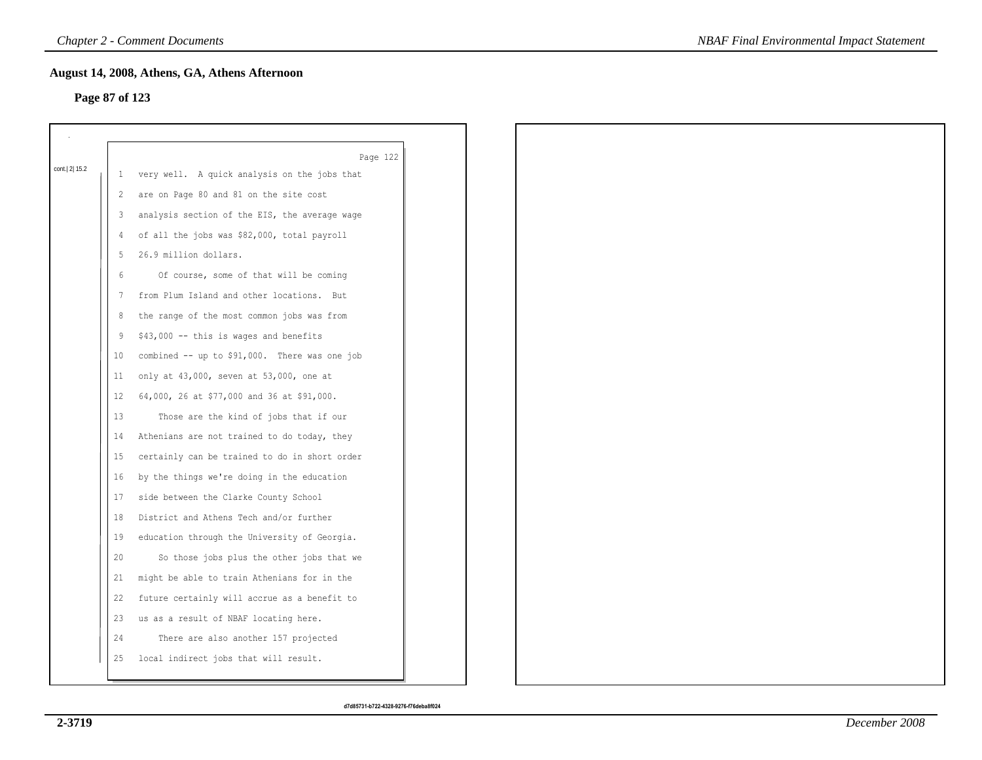## **Page 87 of 123**

|              |              | Page 122                                      |
|--------------|--------------|-----------------------------------------------|
| cont. 2 15.2 | $\mathbf{1}$ | very well. A quick analysis on the jobs that  |
|              | 2            | are on Page 80 and 81 on the site cost        |
|              | 3            | analysis section of the EIS, the average wage |
|              | 4            | of all the jobs was \$82,000, total payroll   |
|              | 5            | 26.9 million dollars.                         |
|              | 6            | Of course, some of that will be coming        |
|              | 7            | from Plum Island and other locations. But     |
|              | 8            | the range of the most common jobs was from    |
|              | 9            | \$43,000 -- this is wages and benefits        |
|              | 10           | combined -- up to \$91,000. There was one job |
|              | 11           | only at 43,000, seven at 53,000, one at       |
|              | 12           | 64,000, 26 at \$77,000 and 36 at \$91,000.    |
|              | 13           | Those are the kind of jobs that if our        |
|              | 14           | Athenians are not trained to do today, they   |
|              | 15           | certainly can be trained to do in short order |
|              | 16           | by the things we're doing in the education    |
|              | 17           | side between the Clarke County School         |
|              | 18           | District and Athens Tech and/or further       |
|              | 19           | education through the University of Georgia.  |
|              | 20           | So those jobs plus the other jobs that we     |
|              | 21           | might be able to train Athenians for in the   |
|              | 22           | future certainly will accrue as a benefit to  |
|              | 23           | us as a result of NBAF locating here.         |
|              | 24           | There are also another 157 projected          |
|              | 25           | local indirect jobs that will result.         |
|              |              |                                               |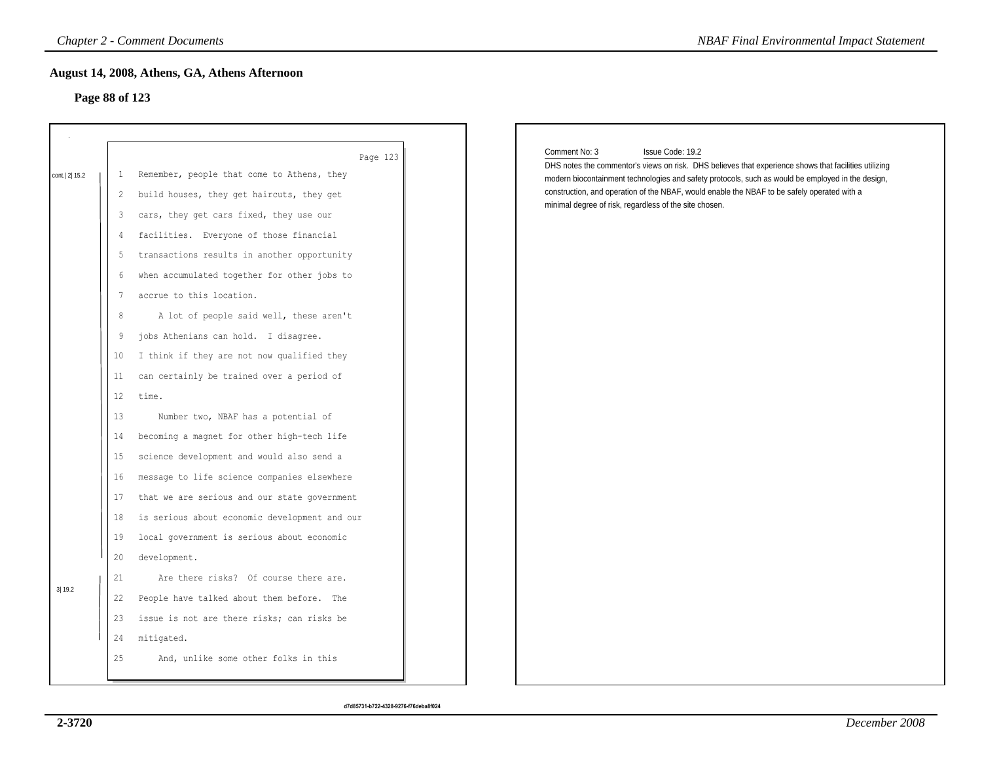## **Page 88 of 123**

|                |                                               | <b>Chapter 2 - Comment Documents</b>                                                                                                                                                                                                                                                    | <b>NBAF Final Environmental Impact Statement</b>                                                                                                                                                                                                                                                                                                                                                         |
|----------------|-----------------------------------------------|-----------------------------------------------------------------------------------------------------------------------------------------------------------------------------------------------------------------------------------------------------------------------------------------|----------------------------------------------------------------------------------------------------------------------------------------------------------------------------------------------------------------------------------------------------------------------------------------------------------------------------------------------------------------------------------------------------------|
| Page 88 of 123 |                                               | August 14, 2008, Athens, GA, Athens Afternoon                                                                                                                                                                                                                                           |                                                                                                                                                                                                                                                                                                                                                                                                          |
| cont. 2 15.2   | $\perp$<br>$\overline{2}$<br>3<br>4<br>5<br>6 | Page 123<br>Remember, people that come to Athens, they<br>build houses, they get haircuts, they get<br>cars, they get cars fixed, they use our<br>facilities. Everyone of those financial<br>transactions results in another opportunity<br>when accumulated together for other jobs to | Comment No: 3<br>Issue Code: 19.2<br>DHS notes the commentor's views on risk. DHS believes that experience shows that facilities utilizing<br>modern biocontainment technologies and safety protocols, such as would be employed in the design,<br>construction, and operation of the NBAF, would enable the NBAF to be safely operated with a<br>minimal degree of risk, regardless of the site chosen. |
|                | 7<br>8<br>9<br>10 <sup>°</sup><br>11<br>12    | accrue to this location.<br>A lot of people said well, these aren't<br>jobs Athenians can hold. I disagree.<br>I think if they are not now qualified they<br>can certainly be trained over a period of<br>time.                                                                         |                                                                                                                                                                                                                                                                                                                                                                                                          |
|                | 13<br>14<br>15<br>16<br>17                    | Number two, NBAF has a potential of<br>becoming a magnet for other high-tech life<br>science development and would also send a<br>message to life science companies elsewhere<br>that we are serious and our state government                                                           |                                                                                                                                                                                                                                                                                                                                                                                                          |
| 3 19.2         | 18<br>19<br>20<br>21<br>22                    | is serious about economic development and our<br>local government is serious about economic<br>development.<br>Are there risks? Of course there are.<br>People have talked about them before. The                                                                                       |                                                                                                                                                                                                                                                                                                                                                                                                          |
|                | 23<br>24<br>25                                | issue is not are there risks; can risks be<br>mitigated.<br>And, unlike some other folks in this                                                                                                                                                                                        |                                                                                                                                                                                                                                                                                                                                                                                                          |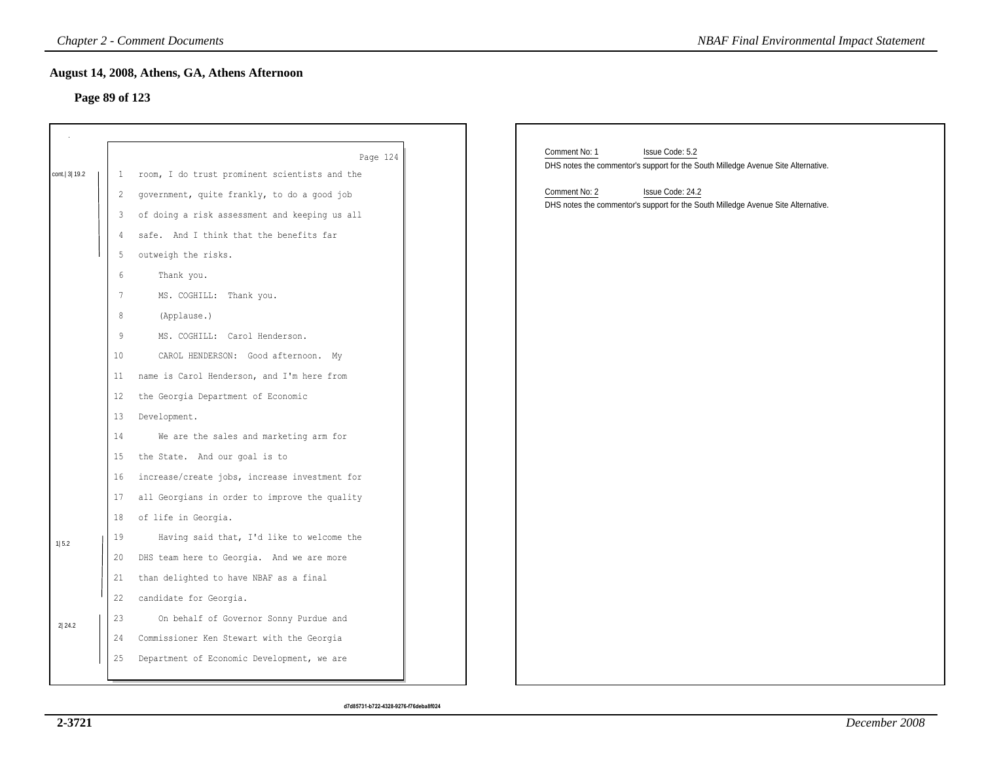## **Page 89 of 123**

|                |                 | <b>Chapter 2 - Comment Documents</b>          | <b>NBAF Final Environmental Impact Statement</b>                                  |
|----------------|-----------------|-----------------------------------------------|-----------------------------------------------------------------------------------|
| Page 89 of 123 |                 | August 14, 2008, Athens, GA, Athens Afternoon |                                                                                   |
|                |                 |                                               |                                                                                   |
|                |                 |                                               |                                                                                   |
|                |                 | Page 124                                      | Comment No: 1<br>Issue Code: 5.2                                                  |
| cont. 3 19.2   | 1               | room, I do trust prominent scientists and the | DHS notes the commentor's support for the South Milledge Avenue Site Alternative. |
|                | 2               | government, quite frankly, to do a good job   | Comment No: 2<br>Issue Code: 24.2                                                 |
|                | 3               | of doing a risk assessment and keeping us all | DHS notes the commentor's support for the South Milledge Avenue Site Alternative. |
|                | 4               | safe. And I think that the benefits far       |                                                                                   |
|                | 5               | outweigh the risks.                           |                                                                                   |
|                | 6               | Thank you.                                    |                                                                                   |
|                | 7               | MS. COGHILL: Thank you.                       |                                                                                   |
|                | 8               | (Applause.)                                   |                                                                                   |
|                | 9               | MS. COGHILL: Carol Henderson.                 |                                                                                   |
|                | 10 <sub>1</sub> | CAROL HENDERSON: Good afternoon. My           |                                                                                   |
|                | 11              | name is Carol Henderson, and I'm here from    |                                                                                   |
|                | 12              | the Georgia Department of Economic            |                                                                                   |
|                | 13              | Development.                                  |                                                                                   |
|                | 14              | We are the sales and marketing arm for        |                                                                                   |
|                | 15              | the State. And our goal is to                 |                                                                                   |
|                | 16              | increase/create jobs, increase investment for |                                                                                   |
|                | 17              | all Georgians in order to improve the quality |                                                                                   |
|                | 18              | of life in Georgia.                           |                                                                                   |
| 1 5.2          | 19              | Having said that, I'd like to welcome the     |                                                                                   |
|                | 20              | DHS team here to Georgia. And we are more     |                                                                                   |
|                | 21              | than delighted to have NBAF as a final        |                                                                                   |
|                | 22              | candidate for Georgia.                        |                                                                                   |
| 2 24.2         | 23              | On behalf of Governor Sonny Purdue and        |                                                                                   |
|                | 24              | Commissioner Ken Stewart with the Georgia     |                                                                                   |
|                | 25              | Department of Economic Development, we are    |                                                                                   |
|                |                 |                                               |                                                                                   |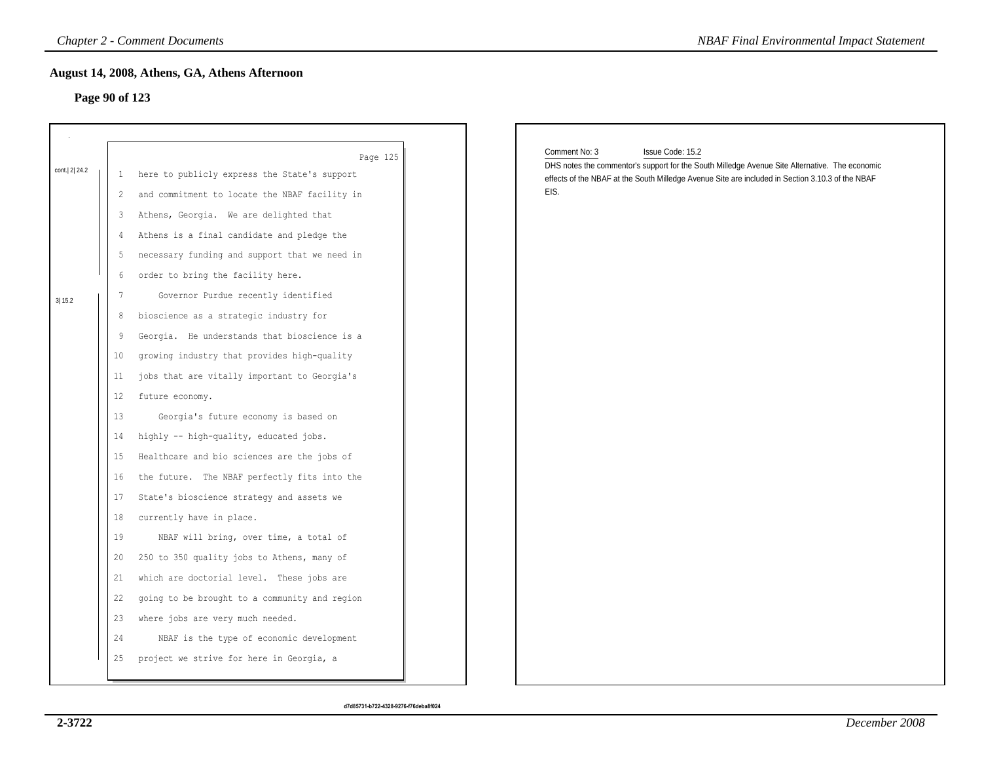## **Page 90 of 123**

|                |         | <b>Chapter 2 - Comment Documents</b>          | <b>NBAF Final Environmental Impact Statement</b>                                                                                    |
|----------------|---------|-----------------------------------------------|-------------------------------------------------------------------------------------------------------------------------------------|
| Page 90 of 123 |         | August 14, 2008, Athens, GA, Athens Afternoon |                                                                                                                                     |
| cont. 2 24.2   |         | Page 125                                      | Comment No: 3<br>Issue Code: 15.2<br>DHS notes the commentor's support for the South Milledge Avenue Site Alternative. The economic |
|                | 1       | here to publicly express the State's support  | effects of the NBAF at the South Milledge Avenue Site are included in Section 3.10.3 of the NBAF                                    |
|                | 2       | and commitment to locate the NBAF facility in | EIS.                                                                                                                                |
|                | 3       | Athens, Georgia. We are delighted that        |                                                                                                                                     |
|                | 4       | Athens is a final candidate and pledge the    |                                                                                                                                     |
|                | 5       | necessary funding and support that we need in |                                                                                                                                     |
|                | 6       | order to bring the facility here.             |                                                                                                                                     |
| 3 15.2         | 7       | Governor Purdue recently identified           |                                                                                                                                     |
|                | 8       | bioscience as a strategic industry for        |                                                                                                                                     |
|                | 9       | Georgia. He understands that bioscience is a  |                                                                                                                                     |
|                | $10 \,$ | growing industry that provides high-quality   |                                                                                                                                     |
|                | 11      | jobs that are vitally important to Georgia's  |                                                                                                                                     |
|                | 12      | future economy.                               |                                                                                                                                     |
|                | 13      | Georgia's future economy is based on          |                                                                                                                                     |
|                | 14      | highly -- high-quality, educated jobs.        |                                                                                                                                     |
|                | 15      | Healthcare and bio sciences are the jobs of   |                                                                                                                                     |
|                | 16      | the future. The NBAF perfectly fits into the  |                                                                                                                                     |
|                | 17      | State's bioscience strategy and assets we     |                                                                                                                                     |
|                | 18      | currently have in place.                      |                                                                                                                                     |
|                | 19      | NBAF will bring, over time, a total of        |                                                                                                                                     |
|                | 20      | 250 to 350 quality jobs to Athens, many of    |                                                                                                                                     |
|                | 21      | which are doctorial level. These jobs are     |                                                                                                                                     |
|                | 22      | going to be brought to a community and region |                                                                                                                                     |
|                | 23      | where jobs are very much needed.              |                                                                                                                                     |
|                | 24      | NBAF is the type of economic development      |                                                                                                                                     |
|                | 25      | project we strive for here in Georgia, a      |                                                                                                                                     |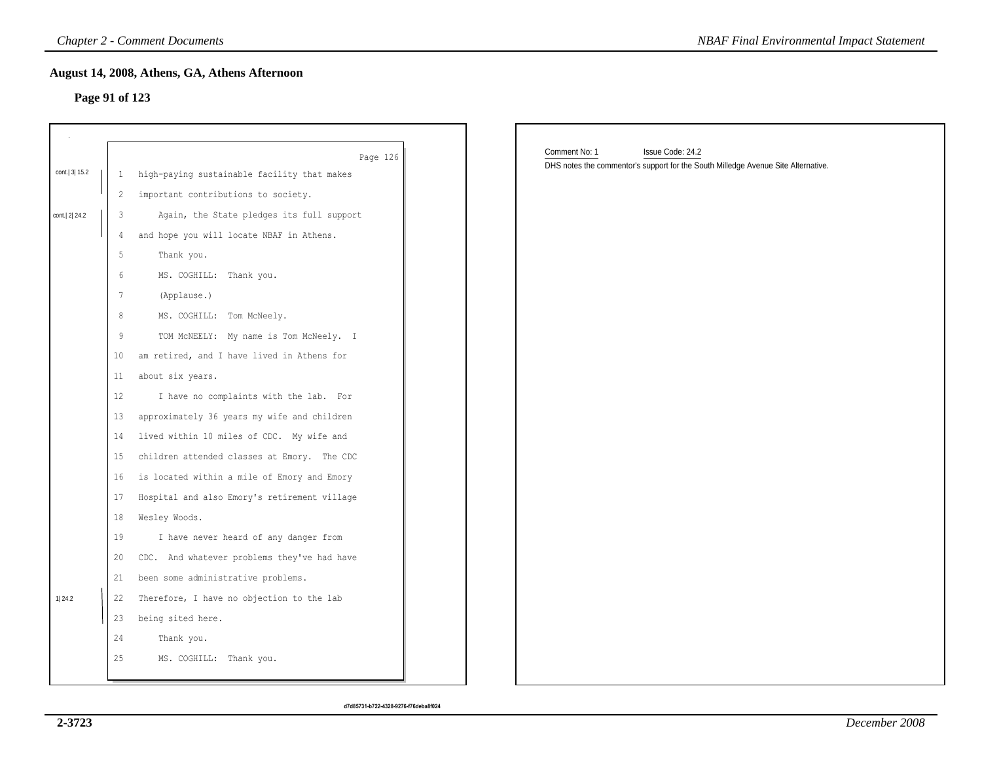## **Page 91 of 123**

|              |                 | <b>Chapter 2 - Comment Documents</b>          | <b>NBAF Final Environmental Impact Statement</b>                                  |
|--------------|-----------------|-----------------------------------------------|-----------------------------------------------------------------------------------|
|              |                 | August 14, 2008, Athens, GA, Athens Afternoon |                                                                                   |
|              | Page 91 of 123  |                                               |                                                                                   |
|              |                 |                                               |                                                                                   |
|              |                 | Page 126                                      | Comment No: 1<br>Issue Code: 24.2                                                 |
| cont. 3 15.2 | $\mathbf{1}$    | high-paying sustainable facility that makes   | DHS notes the commentor's support for the South Milledge Avenue Site Alternative. |
|              | $\overline{2}$  | important contributions to society.           |                                                                                   |
| cont. 2 24.2 | 3               | Again, the State pledges its full support     |                                                                                   |
|              | $\frac{4}{3}$   | and hope you will locate NBAF in Athens.      |                                                                                   |
|              | 5               | Thank you.                                    |                                                                                   |
|              | 6               | MS. COGHILL: Thank you.                       |                                                                                   |
|              | $7\phantom{.0}$ | (Applause.)                                   |                                                                                   |
|              | $\,8\,$         | MS. COGHILL: Tom McNeely.                     |                                                                                   |
|              | 9               | TOM MCNEELY: My name is Tom McNeely. I        |                                                                                   |
|              | 10              | am retired, and I have lived in Athens for    |                                                                                   |
|              | 11              | about six years.                              |                                                                                   |
|              | 12              | I have no complaints with the lab. For        |                                                                                   |
|              | 13              | approximately 36 years my wife and children   |                                                                                   |
|              | 14              | lived within 10 miles of CDC. My wife and     |                                                                                   |
|              | 15              | children attended classes at Emory. The CDC   |                                                                                   |
|              | 16 <sup>°</sup> | is located within a mile of Emory and Emory   |                                                                                   |
|              | 17              | Hospital and also Emory's retirement village  |                                                                                   |
|              | 18              | Wesley Woods.                                 |                                                                                   |
|              | 19              | I have never heard of any danger from         |                                                                                   |
|              | 20              | CDC. And whatever problems they've had have   |                                                                                   |
|              | 21              | been some administrative problems.            |                                                                                   |
| 1 24.2       | 22              | Therefore, I have no objection to the lab     |                                                                                   |
|              | 23              | being sited here.                             |                                                                                   |
|              | 24              | Thank you.                                    |                                                                                   |
|              | 25              | MS. COGHILL: Thank you.                       |                                                                                   |
|              |                 |                                               |                                                                                   |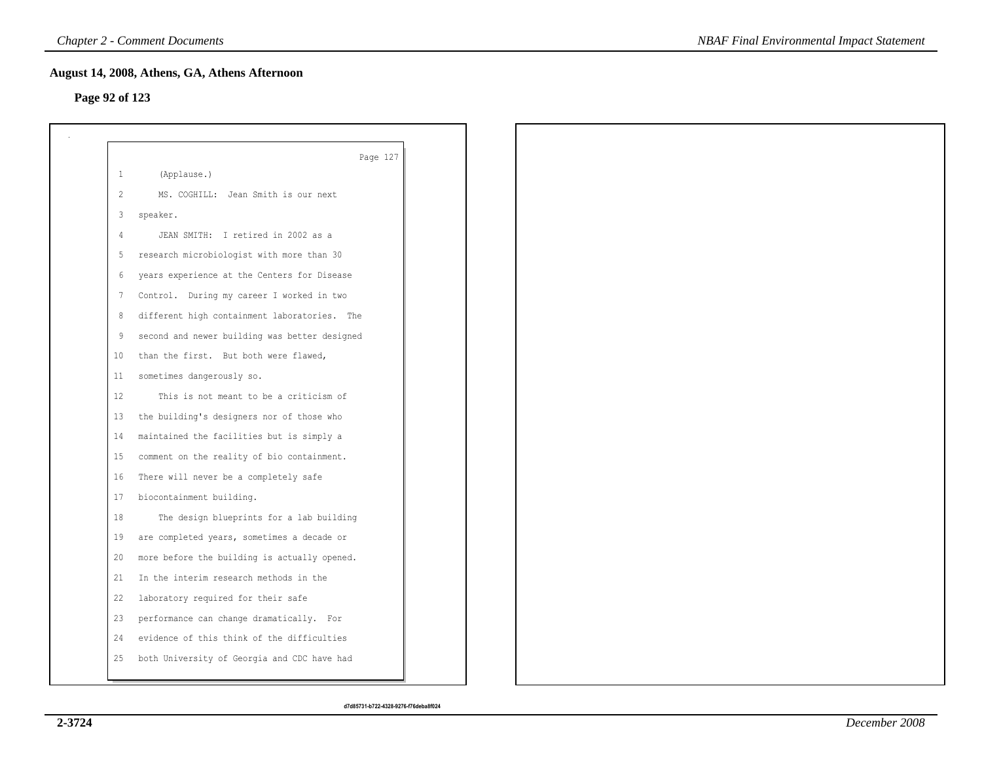## **Page 92 of 123**

| -1 | Page 127<br>(Applause.)                       |
|----|-----------------------------------------------|
| 2  | MS. COGHILL: Jean Smith is our next           |
| 3  |                                               |
|    | speaker.                                      |
| -4 | JEAN SMITH: I retired in 2002 as a            |
| 5  | research microbiologist with more than 30     |
| 6  | years experience at the Centers for Disease   |
| 7  | Control. During my career I worked in two     |
| 8  | different high containment laboratories. The  |
| 9  | second and newer building was better designed |
| 10 | than the first. But both were flawed,         |
| 11 | sometimes dangerously so.                     |
| 12 | This is not meant to be a criticism of        |
| 13 | the building's designers nor of those who     |
| 14 | maintained the facilities but is simply a     |
| 15 | comment on the reality of bio containment.    |
| 16 | There will never be a completely safe         |
| 17 | biocontainment building.                      |
| 18 | The design blueprints for a lab building      |
| 19 | are completed years, sometimes a decade or    |
| 20 | more before the building is actually opened.  |
| 21 | In the interim research methods in the        |
| 22 | laboratory required for their safe            |
| 23 | performance can change dramatically. For      |
| 24 | evidence of this think of the difficulties    |
| 25 | both University of Georgia and CDC have had   |
|    |                                               |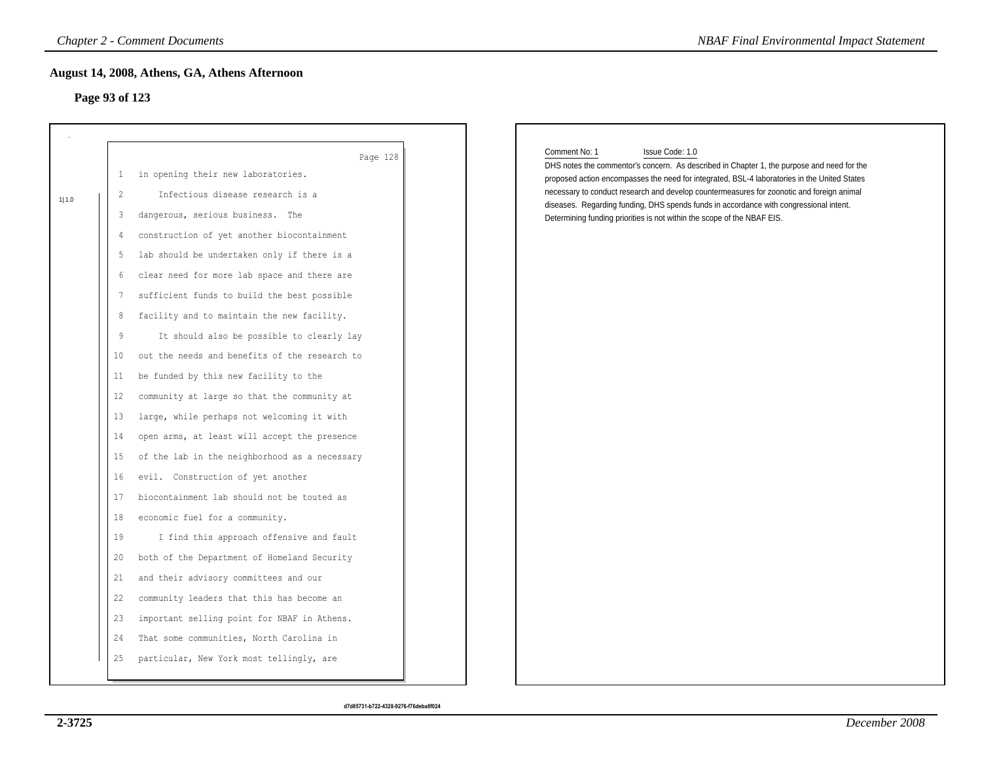## **Page 93 of 123**

|       | <b>Chapter 2 - Comment Documents</b>                            | <b>NBAF Final Environmental Impact Statement</b>                                                                                                                                           |
|-------|-----------------------------------------------------------------|--------------------------------------------------------------------------------------------------------------------------------------------------------------------------------------------|
|       | August 14, 2008, Athens, GA, Athens Afternoon<br>Page 93 of 123 |                                                                                                                                                                                            |
|       |                                                                 |                                                                                                                                                                                            |
|       | Page 128                                                        | Comment No: 1<br>Issue Code: 1.0                                                                                                                                                           |
|       | in opening their new laboratories.<br>1                         | DHS notes the commentor's concern. As described in Chapter 1, the purpose and need for the<br>proposed action encompasses the need for integrated, BSL-4 laboratories in the United States |
| 1 1.0 | $\overline{\mathcal{L}}$<br>Infectious disease research is a    | necessary to conduct research and develop countermeasures for zoonotic and foreign animal                                                                                                  |
|       | dangerous, serious business. The<br>3                           | diseases. Regarding funding, DHS spends funds in accordance with congressional intent.<br>Determining funding priorities is not within the scope of the NBAF EIS.                          |
|       | construction of yet another biocontainment<br>4                 |                                                                                                                                                                                            |
|       | lab should be undertaken only if there is a<br>5                |                                                                                                                                                                                            |
|       | clear need for more lab space and there are<br>6                |                                                                                                                                                                                            |
|       | sufficient funds to build the best possible<br>7                |                                                                                                                                                                                            |
|       | facility and to maintain the new facility.<br>8                 |                                                                                                                                                                                            |
|       | 9<br>It should also be possible to clearly lay                  |                                                                                                                                                                                            |
|       | out the needs and benefits of the research to<br>10             |                                                                                                                                                                                            |
|       | be funded by this new facility to the<br>11                     |                                                                                                                                                                                            |
|       | community at large so that the community at<br>12               |                                                                                                                                                                                            |
|       | large, while perhaps not welcoming it with<br>13                |                                                                                                                                                                                            |
|       | open arms, at least will accept the presence<br>14              |                                                                                                                                                                                            |
|       | of the lab in the neighborhood as a necessary<br>15             |                                                                                                                                                                                            |
|       | evil. Construction of yet another<br>16                         |                                                                                                                                                                                            |
|       | biocontainment lab should not be touted as<br>17                |                                                                                                                                                                                            |
|       | economic fuel for a community.<br>18                            |                                                                                                                                                                                            |
|       | 19<br>I find this approach offensive and fault                  |                                                                                                                                                                                            |
|       | both of the Department of Homeland Security<br>20               |                                                                                                                                                                                            |
|       | and their advisory committees and our<br>21                     |                                                                                                                                                                                            |
|       | community leaders that this has become an<br>22                 |                                                                                                                                                                                            |
|       | important selling point for NBAF in Athens.<br>23               |                                                                                                                                                                                            |
|       | That some communities, North Carolina in<br>24                  |                                                                                                                                                                                            |
|       | particular, New York most tellingly, are<br>25                  |                                                                                                                                                                                            |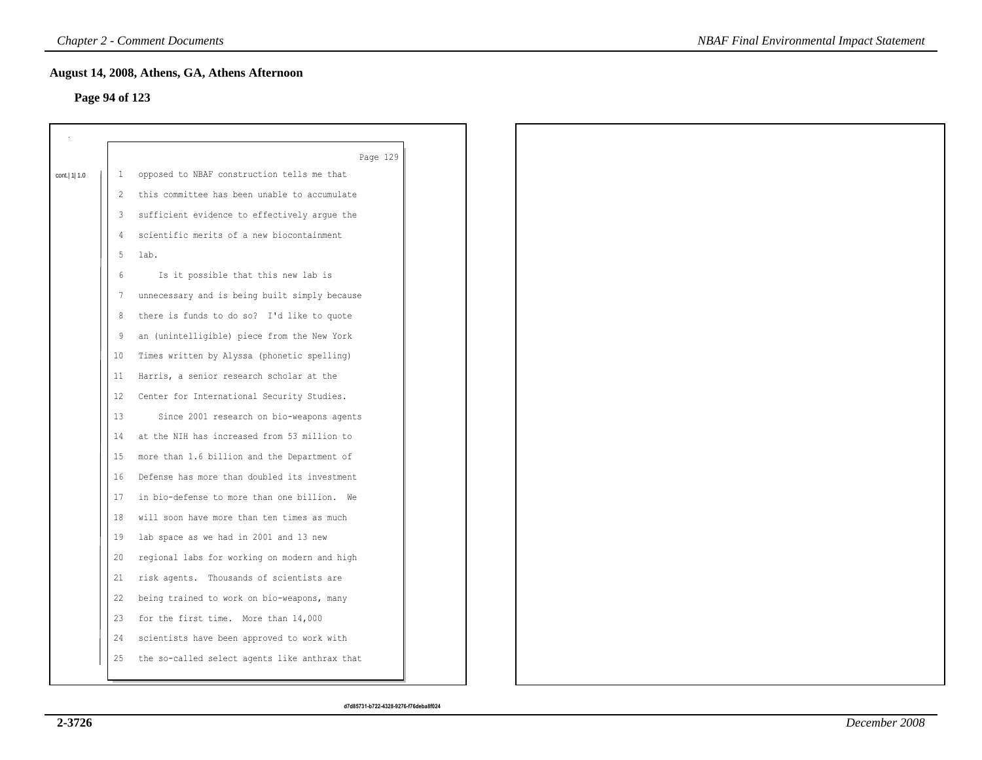## **Page 94 of 123**

|                |               | Page 129                                      |
|----------------|---------------|-----------------------------------------------|
| cont.   1  1.0 | $\mathbf{1}$  | opposed to NBAF construction tells me that    |
|                | $\mathcal{L}$ | this committee has been unable to accumulate  |
|                | 3             | sufficient evidence to effectively argue the  |
|                | 4             | scientific merits of a new biocontainment     |
|                | 5             | lab.                                          |
|                | 6             | Is it possible that this new lab is           |
|                | 7             | unnecessary and is being built simply because |
|                | 8             | there is funds to do so? I'd like to quote    |
|                | 9             | an (unintelligible) piece from the New York   |
|                | 10            | Times written by Alyssa (phonetic spelling)   |
|                | 11            | Harris, a senior research scholar at the      |
|                | 12            | Center for International Security Studies.    |
|                | 13            | Since 2001 research on bio-weapons agents     |
|                | 14            | at the NIH has increased from 53 million to   |
|                | 15            | more than 1.6 billion and the Department of   |
|                | 16            | Defense has more than doubled its investment  |
|                | 17            | in bio-defense to more than one billion. We   |
|                | 18            | will soon have more than ten times as much    |
|                | 19            | lab space as we had in 2001 and 13 new        |
|                | 20            | regional labs for working on modern and high  |
|                | 21            | risk agents. Thousands of scientists are      |
|                | 22            | being trained to work on bio-weapons, many    |
|                | 23            | for the first time. More than 14,000          |
|                | 24            | scientists have been approved to work with    |
|                | 25            | the so-called select agents like anthrax that |
|                |               |                                               |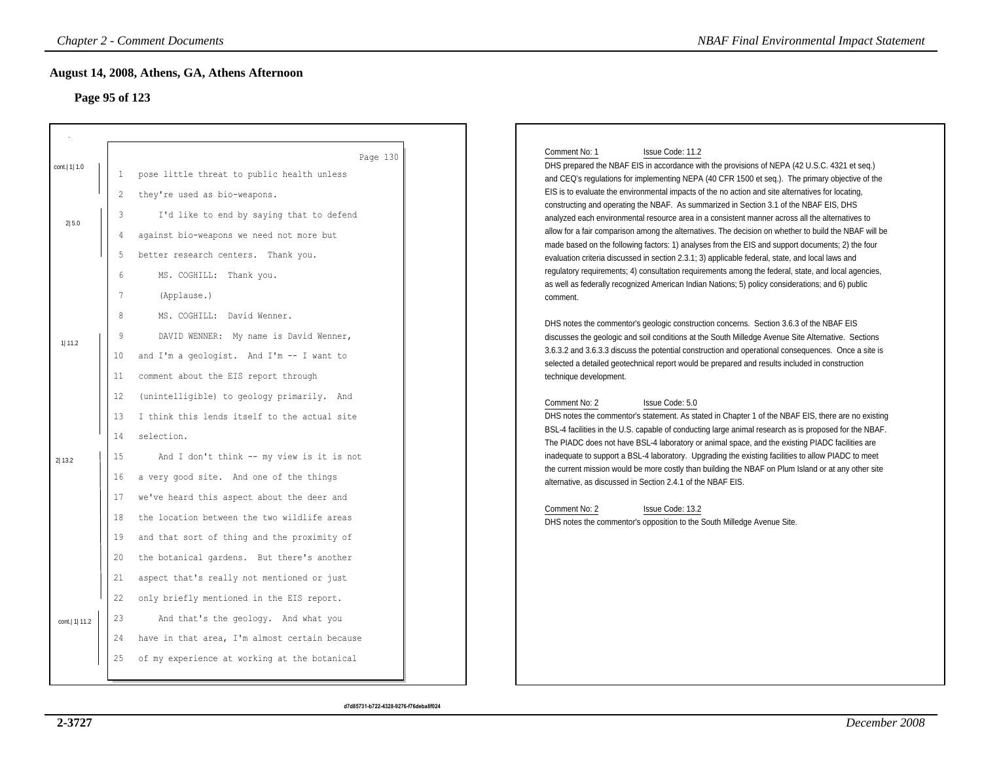# **Page 95 of 123**

|                 |                                                       | <b>Chapter 2 - Comment Documents</b>                                                                                                                                                                  | <b>NBAF Final Environmental Impact Statement</b>                                                                                                                                                                                                                                                                                                                                                                                                                                                                                                                                                                                                                                                                                                                                                                                       |
|-----------------|-------------------------------------------------------|-------------------------------------------------------------------------------------------------------------------------------------------------------------------------------------------------------|----------------------------------------------------------------------------------------------------------------------------------------------------------------------------------------------------------------------------------------------------------------------------------------------------------------------------------------------------------------------------------------------------------------------------------------------------------------------------------------------------------------------------------------------------------------------------------------------------------------------------------------------------------------------------------------------------------------------------------------------------------------------------------------------------------------------------------------|
| Page 95 of 123  |                                                       | August 14, 2008, Athens, GA, Athens Afternoon                                                                                                                                                         |                                                                                                                                                                                                                                                                                                                                                                                                                                                                                                                                                                                                                                                                                                                                                                                                                                        |
|                 |                                                       |                                                                                                                                                                                                       |                                                                                                                                                                                                                                                                                                                                                                                                                                                                                                                                                                                                                                                                                                                                                                                                                                        |
| cont.   1  1.0  | -1                                                    | Page 130<br>pose little threat to public health unless                                                                                                                                                | Comment No: 1<br>Issue Code: 11.2<br>DHS prepared the NBAF EIS in accordance with the provisions of NEPA (42 U.S.C. 4321 et seq.)<br>and CEQ's regulations for implementing NEPA (40 CFR 1500 et seq.). The primary objective of the                                                                                                                                                                                                                                                                                                                                                                                                                                                                                                                                                                                                   |
| 2 5.0           | $\overline{c}$<br>3<br>4<br>5<br>6<br>$7\phantom{.0}$ | they're used as bio-weapons.<br>I'd like to end by saying that to defend<br>against bio-weapons we need not more but<br>better research centers. Thank you.<br>MS. COGHILL: Thank you.<br>(Applause.) | EIS is to evaluate the environmental impacts of the no action and site alternatives for locating,<br>constructing and operating the NBAF. As summarized in Section 3.1 of the NBAF EIS, DHS<br>analyzed each environmental resource area in a consistent manner across all the alternatives to<br>allow for a fair comparison among the alternatives. The decision on whether to build the NBAF will be<br>made based on the following factors: 1) analyses from the EIS and support documents; 2) the four<br>evaluation criteria discussed in section 2.3.1; 3) applicable federal, state, and local laws and<br>regulatory requirements; 4) consultation requirements among the federal, state, and local agencies,<br>as well as federally recognized American Indian Nations; 5) policy considerations; and 6) public<br>comment. |
| 1 11.2          | $\,8\,$<br>9<br>10<br>11                              | MS. COGHILL: David Wenner.<br>DAVID WENNER: My name is David Wenner,<br>and I'm a geologist. And I'm -- I want to<br>comment about the EIS report through                                             | DHS notes the commentor's geologic construction concerns. Section 3.6.3 of the NBAF EIS<br>discusses the geologic and soil conditions at the South Milledge Avenue Site Alternative. Sections<br>3.6.3.2 and 3.6.3.3 discuss the potential construction and operational consequences. Once a site is<br>selected a detailed geotechnical report would be prepared and results included in construction<br>technique development.                                                                                                                                                                                                                                                                                                                                                                                                       |
| 2 13.2          | 12<br>13<br>14<br>15<br>16                            | (unintelligible) to geology primarily. And<br>I think this lends itself to the actual site<br>selection.<br>And I don't think -- my view is it is not<br>a very good site. And one of the things      | Comment No: 2<br>Issue Code: 5.0<br>DHS notes the commentor's statement. As stated in Chapter 1 of the NBAF EIS, there are no existing<br>BSL-4 facilities in the U.S. capable of conducting large animal research as is proposed for the NBAF.<br>The PIADC does not have BSL-4 laboratory or animal space, and the existing PIADC facilities are<br>inadequate to support a BSL-4 laboratory. Upgrading the existing facilities to allow PIADC to meet<br>the current mission would be more costly than building the NBAF on Plum Island or at any other site<br>alternative, as discussed in Section 2.4.1 of the NBAF EIS.                                                                                                                                                                                                         |
|                 | 17<br>18<br>19<br>20                                  | we've heard this aspect about the deer and<br>the location between the two wildlife areas<br>and that sort of thing and the proximity of<br>the botanical gardens. But there's another                | Comment No: 2<br>Issue Code: 13.2<br>DHS notes the commentor's opposition to the South Milledge Avenue Site.                                                                                                                                                                                                                                                                                                                                                                                                                                                                                                                                                                                                                                                                                                                           |
| cont.   1  11.2 | 21<br>22<br>23<br>24                                  | aspect that's really not mentioned or just<br>only briefly mentioned in the EIS report.<br>And that's the geology. And what you<br>have in that area, I'm almost certain because                      |                                                                                                                                                                                                                                                                                                                                                                                                                                                                                                                                                                                                                                                                                                                                                                                                                                        |
|                 | 25                                                    | of my experience at working at the botanical                                                                                                                                                          |                                                                                                                                                                                                                                                                                                                                                                                                                                                                                                                                                                                                                                                                                                                                                                                                                                        |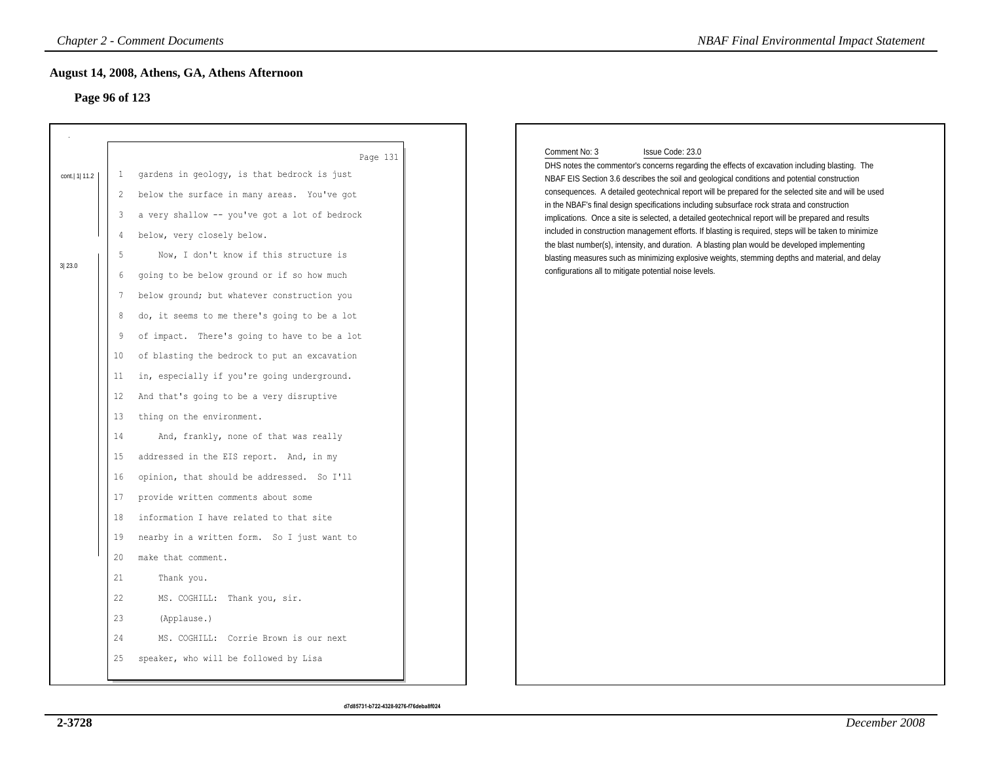# **Page 96 of 123**

|                           | <b>Chapter 2 - Comment Documents</b>                                                                                                                                                                                                                                                                                                                                                                                                                                                                                                                                                                                                                                                                                                                                                                                                                                                                                                                                              | <b>NBAF Final Environmental Impact Statement</b>                                                                                                                                                                                                                                                                                                                                                                                                                                                                                                                                                                                                                                                                                                                                                                                                                                                                        |
|---------------------------|-----------------------------------------------------------------------------------------------------------------------------------------------------------------------------------------------------------------------------------------------------------------------------------------------------------------------------------------------------------------------------------------------------------------------------------------------------------------------------------------------------------------------------------------------------------------------------------------------------------------------------------------------------------------------------------------------------------------------------------------------------------------------------------------------------------------------------------------------------------------------------------------------------------------------------------------------------------------------------------|-------------------------------------------------------------------------------------------------------------------------------------------------------------------------------------------------------------------------------------------------------------------------------------------------------------------------------------------------------------------------------------------------------------------------------------------------------------------------------------------------------------------------------------------------------------------------------------------------------------------------------------------------------------------------------------------------------------------------------------------------------------------------------------------------------------------------------------------------------------------------------------------------------------------------|
|                           | August 14, 2008, Athens, GA, Athens Afternoon<br>Page 96 of 123                                                                                                                                                                                                                                                                                                                                                                                                                                                                                                                                                                                                                                                                                                                                                                                                                                                                                                                   |                                                                                                                                                                                                                                                                                                                                                                                                                                                                                                                                                                                                                                                                                                                                                                                                                                                                                                                         |
| cont.   1  11.2<br>3 23.0 | Page 131<br>gardens in geology, is that bedrock is just<br>-1<br>below the surface in many areas. You've got<br>2<br>a very shallow -- you've got a lot of bedrock<br>3<br>below, very closely below.<br>4<br>Now, I don't know if this structure is<br>5<br>going to be below ground or if so how much<br>6<br>below ground; but whatever construction you<br>7<br>do, it seems to me there's going to be a lot<br>8<br>9<br>of impact. There's going to have to be a lot<br>10<br>of blasting the bedrock to put an excavation<br>in, especially if you're going underground.<br>11<br>And that's going to be a very disruptive<br>12<br>13<br>thing on the environment.<br>And, frankly, none of that was really<br>14<br>15<br>addressed in the EIS report. And, in my<br>16<br>opinion, that should be addressed. So I'll<br>17<br>provide written comments about some<br>18<br>information I have related to that site<br>19<br>nearby in a written form. So I just want to | Comment No: 3<br>Issue Code: 23.0<br>DHS notes the commentor's concerns regarding the effects of excavation including blasting. The<br>NBAF EIS Section 3.6 describes the soil and geological conditions and potential construction<br>consequences. A detailed geotechnical report will be prepared for the selected site and will be used<br>in the NBAF's final design specifications including subsurface rock strata and construction<br>implications. Once a site is selected, a detailed geotechnical report will be prepared and results<br>included in construction management efforts. If blasting is required, steps will be taken to minimize<br>the blast number(s), intensity, and duration. A blasting plan would be developed implementing<br>blasting measures such as minimizing explosive weights, stemming depths and material, and delay<br>configurations all to mitigate potential noise levels. |
|                           | make that comment.<br>20<br>21<br>Thank you.<br>22<br>MS. COGHILL: Thank you, sir.<br>23<br>(Applause.)<br>24<br>MS. COGHILL: Corrie Brown is our next<br>speaker, who will be followed by Lisa<br>25                                                                                                                                                                                                                                                                                                                                                                                                                                                                                                                                                                                                                                                                                                                                                                             |                                                                                                                                                                                                                                                                                                                                                                                                                                                                                                                                                                                                                                                                                                                                                                                                                                                                                                                         |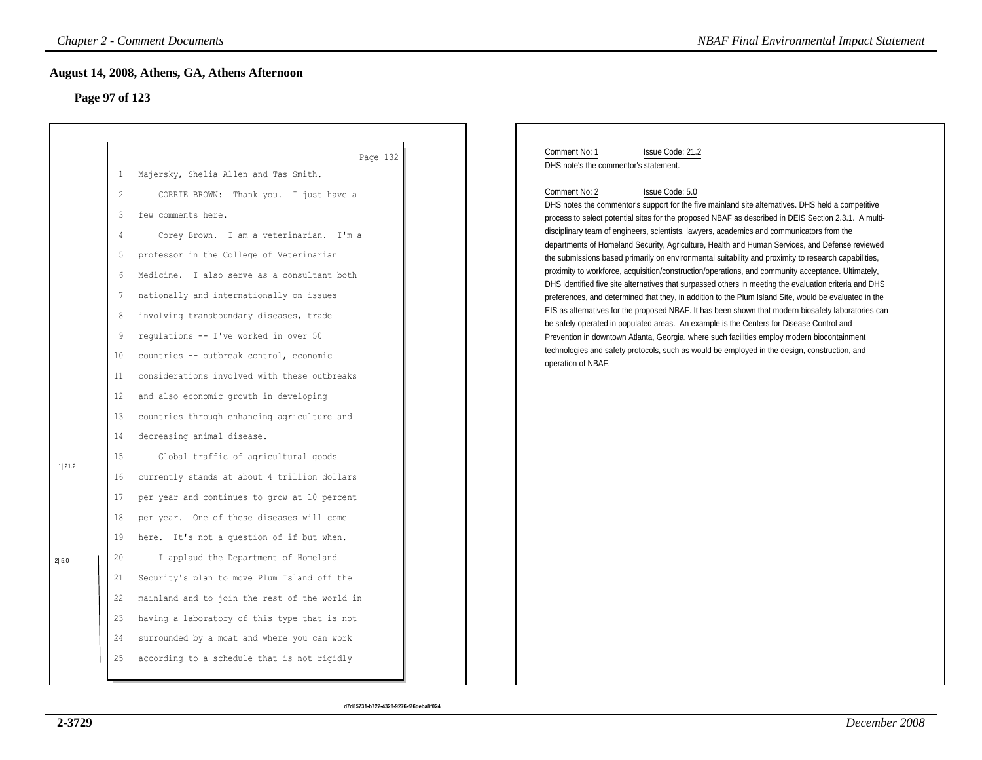# **Page 97 of 123**

| Comment No: 1<br>Issue Code: 21.2                                                                                                                                                                                                                                                                                                                                                                                                                                                                                                                                                                                                                                                                                                                                                                                                                                                                                                                                                                                                                                                                                                                                                                                                                                                                                                               |
|-------------------------------------------------------------------------------------------------------------------------------------------------------------------------------------------------------------------------------------------------------------------------------------------------------------------------------------------------------------------------------------------------------------------------------------------------------------------------------------------------------------------------------------------------------------------------------------------------------------------------------------------------------------------------------------------------------------------------------------------------------------------------------------------------------------------------------------------------------------------------------------------------------------------------------------------------------------------------------------------------------------------------------------------------------------------------------------------------------------------------------------------------------------------------------------------------------------------------------------------------------------------------------------------------------------------------------------------------|
|                                                                                                                                                                                                                                                                                                                                                                                                                                                                                                                                                                                                                                                                                                                                                                                                                                                                                                                                                                                                                                                                                                                                                                                                                                                                                                                                                 |
| DHS note's the commentor's statement.<br>Comment No: 2<br>Issue Code: 5.0<br>DHS notes the commentor's support for the five mainland site alternatives. DHS held a competitive<br>process to select potential sites for the proposed NBAF as described in DEIS Section 2.3.1. A multi-<br>disciplinary team of engineers, scientists, lawyers, academics and communicators from the<br>departments of Homeland Security, Agriculture, Health and Human Services, and Defense reviewed<br>the submissions based primarily on environmental suitability and proximity to research capabilities,<br>proximity to workforce, acquisition/construction/operations, and community acceptance. Ultimately,<br>DHS identified five site alternatives that surpassed others in meeting the evaluation criteria and DHS<br>preferences, and determined that they, in addition to the Plum Island Site, would be evaluated in the<br>EIS as alternatives for the proposed NBAF. It has been shown that modern biosafety laboratories can<br>be safely operated in populated areas. An example is the Centers for Disease Control and<br>Prevention in downtown Atlanta, Georgia, where such facilities employ modern biocontainment<br>technologies and safety protocols, such as would be employed in the design, construction, and<br>operation of NBAF. |
|                                                                                                                                                                                                                                                                                                                                                                                                                                                                                                                                                                                                                                                                                                                                                                                                                                                                                                                                                                                                                                                                                                                                                                                                                                                                                                                                                 |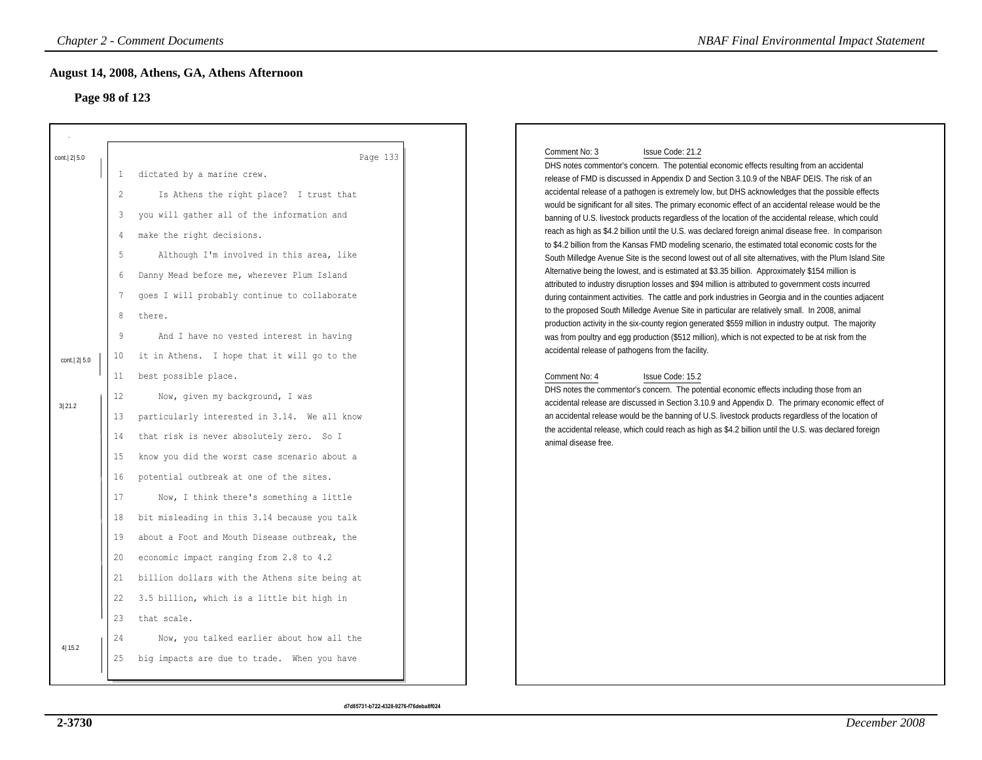# **Page 98 of 123**

|                |                                | <b>Chapter 2 - Comment Documents</b>                                                                                                                                                                | <b>NBAF Final Environmental Impact Statement</b>                                                                                                                                                                                                                                                                                                                                                                                                                                                                                                                                                                                           |
|----------------|--------------------------------|-----------------------------------------------------------------------------------------------------------------------------------------------------------------------------------------------------|--------------------------------------------------------------------------------------------------------------------------------------------------------------------------------------------------------------------------------------------------------------------------------------------------------------------------------------------------------------------------------------------------------------------------------------------------------------------------------------------------------------------------------------------------------------------------------------------------------------------------------------------|
| Page 98 of 123 |                                | August 14, 2008, Athens, GA, Athens Afternoon                                                                                                                                                       |                                                                                                                                                                                                                                                                                                                                                                                                                                                                                                                                                                                                                                            |
| cont.   2  5.0 | $\mathbf{1}$<br>$\overline{2}$ | Page 133<br>dictated by a marine crew.<br>Is Athens the right place? I trust that                                                                                                                   | Comment No: 3<br>Issue Code: 21.2<br>DHS notes commentor's concern. The potential economic effects resulting from an accidental<br>release of FMD is discussed in Appendix D and Section 3.10.9 of the NBAF DEIS. The risk of an<br>accidental release of a pathogen is extremely low, but DHS acknowledges that the possible effects<br>would be significant for all sites. The primary economic effect of an accidental release would be the                                                                                                                                                                                             |
|                | 3<br>$\overline{4}$<br>5<br>6  | you will gather all of the information and<br>make the right decisions.<br>Although I'm involved in this area, like<br>Danny Mead before me, wherever Plum Island                                   | banning of U.S. livestock products regardless of the location of the accidental release, which could<br>reach as high as \$4.2 billion until the U.S. was declared foreign animal disease free. In comparison<br>to \$4.2 billion from the Kansas FMD modeling scenario, the estimated total economic costs for the<br>South Milledge Avenue Site is the second lowest out of all site alternatives, with the Plum Island Site<br>Alternative being the lowest, and is estimated at \$3.35 billion. Approximately \$154 million is<br>attributed to industry disruption losses and \$94 million is attributed to government costs incurred |
| cont.   2  5.0 | $\overline{7}$<br>8<br>9<br>10 | goes I will probably continue to collaborate<br>there.<br>And I have no vested interest in having<br>it in Athens. I hope that it will go to the                                                    | during containment activities. The cattle and pork industries in Georgia and in the counties adjacent<br>to the proposed South Milledge Avenue Site in particular are relatively small. In 2008, animal<br>production activity in the six-county region generated \$559 million in industry output. The majority<br>was from poultry and egg production (\$512 million), which is not expected to be at risk from the<br>accidental release of pathogens from the facility.                                                                                                                                                                |
| 3 21.2         | 11<br>12<br>13<br>14<br>15     | best possible place.<br>Now, given my background, I was<br>particularly interested in 3.14. We all know<br>that risk is never absolutely zero. So I<br>know you did the worst case scenario about a | Comment No: 4<br>Issue Code: 15.2<br>DHS notes the commentor's concern. The potential economic effects including those from an<br>accidental release are discussed in Section 3.10.9 and Appendix D. The primary economic effect of<br>an accidental release would be the banning of U.S. livestock products regardless of the location of<br>the accidental release, which could reach as high as \$4.2 billion until the U.S. was declared foreign<br>animal disease free.                                                                                                                                                               |
|                | 16<br>17<br>18<br>19           | potential outbreak at one of the sites.<br>Now, I think there's something a little<br>bit misleading in this 3.14 because you talk<br>about a Foot and Mouth Disease outbreak, the                  |                                                                                                                                                                                                                                                                                                                                                                                                                                                                                                                                                                                                                                            |
|                | 20<br>21<br>22<br>23           | economic impact ranging from 2.8 to 4.2<br>billion dollars with the Athens site being at<br>3.5 billion, which is a little bit high in<br>that scale.                                               |                                                                                                                                                                                                                                                                                                                                                                                                                                                                                                                                                                                                                                            |
| 4 15.2         | 24<br>25                       | Now, you talked earlier about how all the<br>big impacts are due to trade. When you have                                                                                                            |                                                                                                                                                                                                                                                                                                                                                                                                                                                                                                                                                                                                                                            |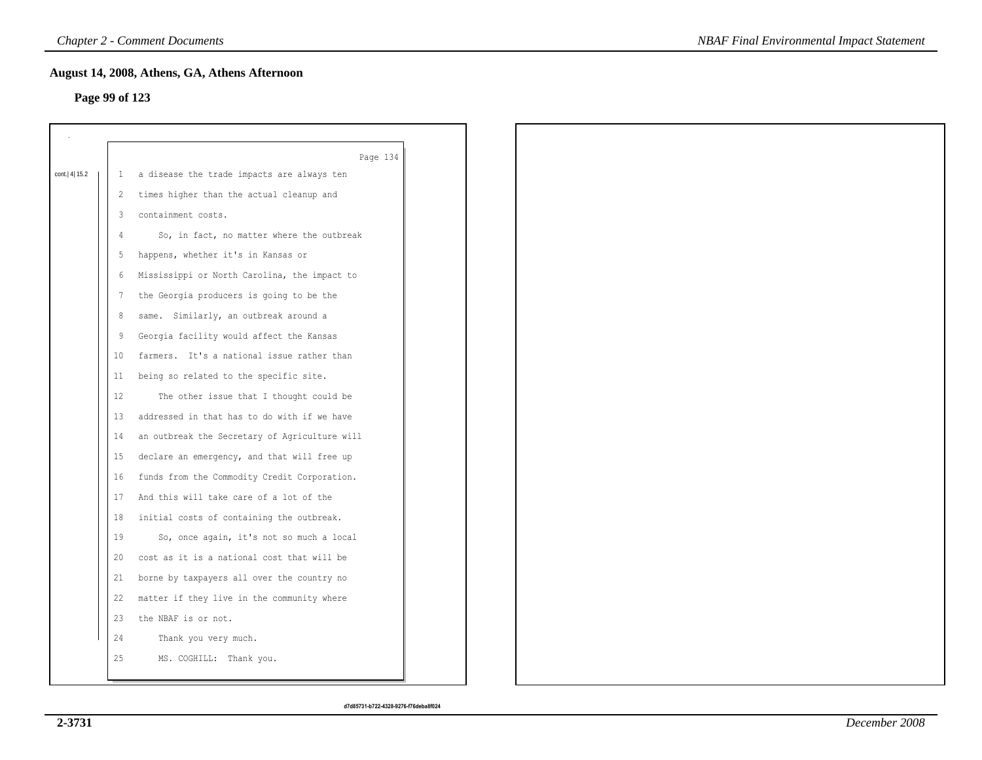## **Page 99 of 123**

|              |              | Page 134                                      |
|--------------|--------------|-----------------------------------------------|
| cont. 4 15.2 | $\mathbf{1}$ | a disease the trade impacts are always ten    |
|              | 2            | times higher than the actual cleanup and      |
|              | 3            | containment costs.                            |
|              | 4            | So, in fact, no matter where the outbreak     |
|              | 5            | happens, whether it's in Kansas or            |
|              | 6            | Mississippi or North Carolina, the impact to  |
|              | 7            | the Georgia producers is going to be the      |
|              | 8            | same. Similarly, an outbreak around a         |
|              | 9            | Georgia facility would affect the Kansas      |
|              | 10           | farmers. It's a national issue rather than    |
|              | 11           | being so related to the specific site.        |
|              | 12           | The other issue that I thought could be       |
|              | 13           | addressed in that has to do with if we have   |
|              | 14           | an outbreak the Secretary of Agriculture will |
|              | 15           | declare an emergency, and that will free up   |
|              | 16           | funds from the Commodity Credit Corporation.  |
|              | 17           | And this will take care of a lot of the       |
|              | 18           | initial costs of containing the outbreak.     |
|              | 19           | So, once again, it's not so much a local      |
|              | 20           | cost as it is a national cost that will be    |
|              | 21           | borne by taxpayers all over the country no    |
|              | 22           | matter if they live in the community where    |
|              | 23           | the NBAF is or not.                           |
|              | 24           | Thank you very much.                          |
|              | 25           | MS. COGHILL: Thank you.                       |
|              |              |                                               |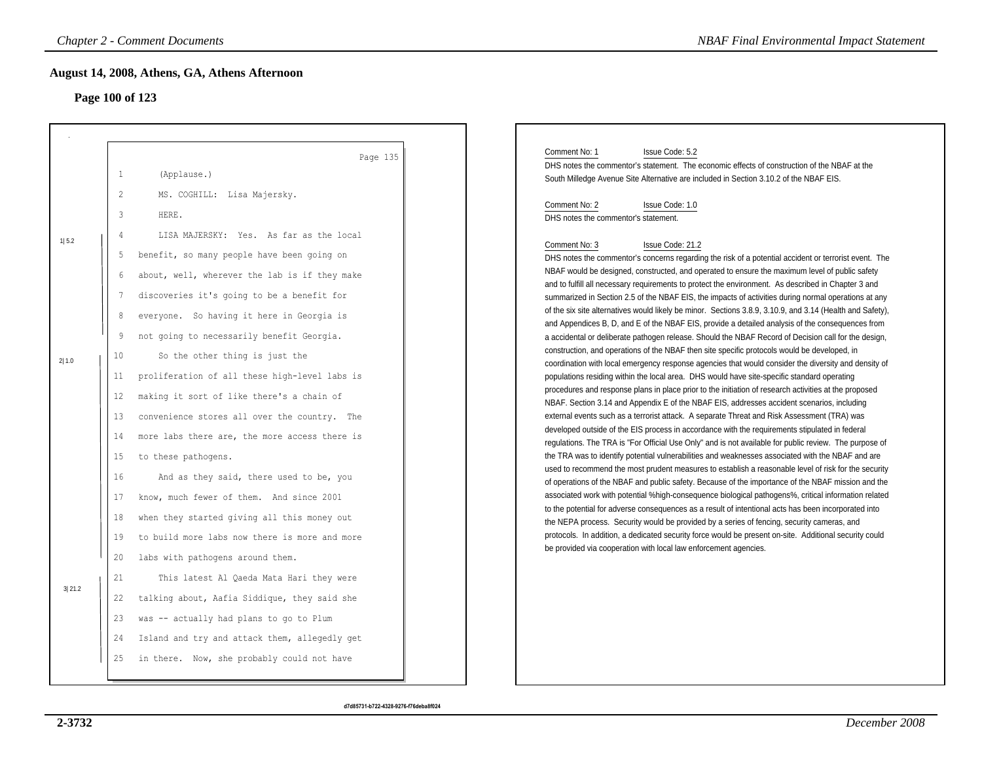# **Page 100 of 123**

|        |                 | <b>Chapter 2 - Comment Documents</b><br>August 14, 2008, Athens, GA, Athens Afternoon        | <b>NBAF Final Environmental Impact Statement</b>                                                                                                                                                                                                                                                                                                                                                     |
|--------|-----------------|----------------------------------------------------------------------------------------------|------------------------------------------------------------------------------------------------------------------------------------------------------------------------------------------------------------------------------------------------------------------------------------------------------------------------------------------------------------------------------------------------------|
|        | Page 100 of 123 |                                                                                              |                                                                                                                                                                                                                                                                                                                                                                                                      |
|        | $\mathbf{1}$    | Page 135<br>(Applause.)                                                                      | Comment No: 1<br>Issue Code: 5.2<br>DHS notes the commentor's statement. The economic effects of construction of the NBAF at the                                                                                                                                                                                                                                                                     |
|        | 2<br>3          | MS. COGHILL: Lisa Majersky.<br>HERE.                                                         | South Milledge Avenue Site Alternative are included in Section 3.10.2 of the NBAF EIS.<br>Comment No: 2<br>Issue Code: 1.0<br>DHS notes the commentor's statement.                                                                                                                                                                                                                                   |
| 1 5.2  | 4<br>5          | LISA MAJERSKY: Yes. As far as the local<br>benefit, so many people have been going on        | Comment No: 3<br>Issue Code: 21.2<br>DHS notes the commentor's concerns regarding the risk of a potential accident or terrorist event. The                                                                                                                                                                                                                                                           |
|        | 6               | about, well, wherever the lab is if they make<br>discoveries it's going to be a benefit for  | NBAF would be designed, constructed, and operated to ensure the maximum level of public safety<br>and to fulfill all necessary requirements to protect the environment. As described in Chapter 3 and<br>summarized in Section 2.5 of the NBAF EIS, the impacts of activities during normal operations at any                                                                                        |
|        | 8<br>9          | everyone. So having it here in Georgia is<br>not going to necessarily benefit Georgia.       | of the six site alternatives would likely be minor. Sections 3.8.9, 3.10.9, and 3.14 (Health and Safety),<br>and Appendices B, D, and E of the NBAF EIS, provide a detailed analysis of the consequences from<br>a accidental or deliberate pathogen release. Should the NBAF Record of Decision call for the design,                                                                                |
| 2 1.0  | 10<br>11        | So the other thing is just the<br>proliferation of all these high-level labs is              | construction, and operations of the NBAF then site specific protocols would be developed, in<br>coordination with local emergency response agencies that would consider the diversity and density of<br>populations residing within the local area. DHS would have site-specific standard operating                                                                                                  |
|        | 12<br>13        | making it sort of like there's a chain of<br>convenience stores all over the country. The    | procedures and response plans in place prior to the initiation of research activities at the proposed<br>NBAF. Section 3.14 and Appendix E of the NBAF EIS, addresses accident scenarios, including<br>external events such as a terrorist attack. A separate Threat and Risk Assessment (TRA) was<br>developed outside of the EIS process in accordance with the requirements stipulated in federal |
|        | 14<br>15        | more labs there are, the more access there is<br>to these pathogens.                         | regulations. The TRA is "For Official Use Only" and is not available for public review. The purpose of<br>the TRA was to identify potential vulnerabilities and weaknesses associated with the NBAF and are<br>used to recommend the most prudent measures to establish a reasonable level of risk for the security                                                                                  |
|        | 16<br>17        | And as they said, there used to be, you<br>know, much fewer of them. And since 2001          | of operations of the NBAF and public safety. Because of the importance of the NBAF mission and the<br>associated work with potential %high-consequence biological pathogens%, critical information related<br>to the potential for adverse consequences as a result of intentional acts has been incorporated into                                                                                   |
|        | 18<br>19        | when they started giving all this money out<br>to build more labs now there is more and more | the NEPA process. Security would be provided by a series of fencing, security cameras, and<br>protocols. In addition, a dedicated security force would be present on-site. Additional security could<br>be provided via cooperation with local law enforcement agencies.                                                                                                                             |
| 3 21.2 | 20<br>21        | labs with pathogens around them.<br>This latest Al Qaeda Mata Hari they were                 |                                                                                                                                                                                                                                                                                                                                                                                                      |
|        | 22<br>23        | talking about, Aafia Siddique, they said she<br>was -- actually had plans to go to Plum      |                                                                                                                                                                                                                                                                                                                                                                                                      |
|        | 24<br>25        | Island and try and attack them, allegedly get<br>in there. Now, she probably could not have  |                                                                                                                                                                                                                                                                                                                                                                                                      |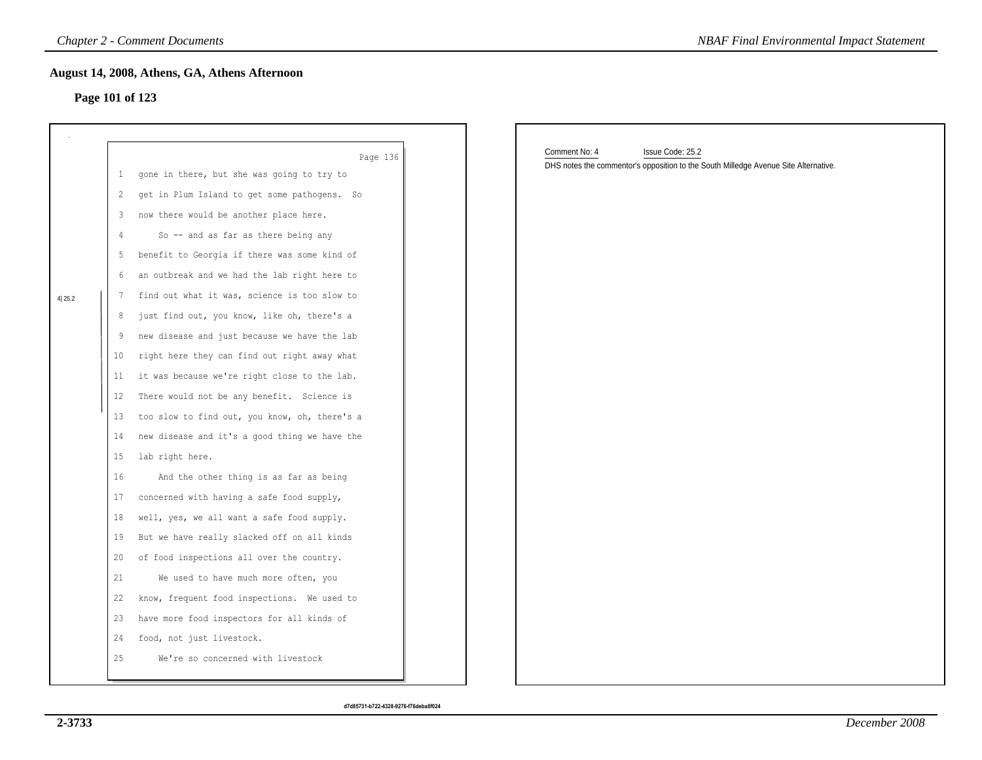## **Page 101 of 123**

|        |                 | <b>Chapter 2 - Comment Documents</b>                   | <b>NBAF Final Environmental Impact Statement</b>                                    |
|--------|-----------------|--------------------------------------------------------|-------------------------------------------------------------------------------------|
|        |                 | August 14, 2008, Athens, GA, Athens Afternoon          |                                                                                     |
|        | Page 101 of 123 |                                                        |                                                                                     |
|        |                 |                                                        |                                                                                     |
|        |                 |                                                        | Comment No: 4<br>Issue Code: 25.2                                                   |
|        | $\mathbf{1}$    | Page 136<br>gone in there, but she was going to try to | DHS notes the commentor's opposition to the South Milledge Avenue Site Alternative. |
|        | 2               | get in Plum Island to get some pathogens. So           |                                                                                     |
|        | 3               | now there would be another place here.                 |                                                                                     |
|        | 4               | So -- and as far as there being any                    |                                                                                     |
|        | 5               | benefit to Georgia if there was some kind of           |                                                                                     |
|        | 6               | an outbreak and we had the lab right here to           |                                                                                     |
| 4 25.2 | 7               | find out what it was, science is too slow to           |                                                                                     |
|        | 8               | just find out, you know, like oh, there's a            |                                                                                     |
|        | 9               | new disease and just because we have the lab           |                                                                                     |
|        | 10              | right here they can find out right away what           |                                                                                     |
|        | 11              | it was because we're right close to the lab.           |                                                                                     |
|        | 12              | There would not be any benefit. Science is             |                                                                                     |
|        | 13              | too slow to find out, you know, oh, there's a          |                                                                                     |
|        | 14              | new disease and it's a good thing we have the          |                                                                                     |
|        | 15              | lab right here.                                        |                                                                                     |
|        | 16              | And the other thing is as far as being                 |                                                                                     |
|        | 17              | concerned with having a safe food supply,              |                                                                                     |
|        | 18              | well, yes, we all want a safe food supply.             |                                                                                     |
|        | 19              | But we have really slacked off on all kinds            |                                                                                     |
|        | 20              | of food inspections all over the country.              |                                                                                     |
|        | 21              | We used to have much more often, you                   |                                                                                     |
|        | 22              | know, frequent food inspections. We used to            |                                                                                     |
|        | 23              | have more food inspectors for all kinds of             |                                                                                     |
|        | 24              | food, not just livestock.                              |                                                                                     |
|        | 25              | We're so concerned with livestock                      |                                                                                     |
|        |                 |                                                        |                                                                                     |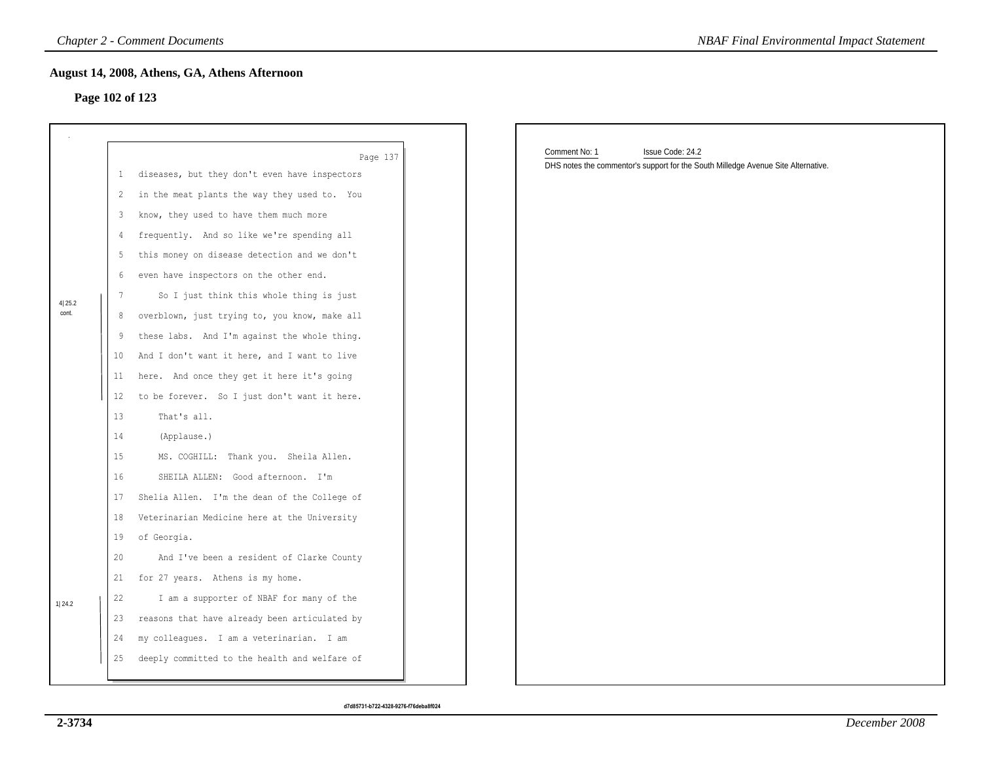## **Page 102 of 123**

|                 |                 | <b>Chapter 2 - Comment Documents</b>                                                         | <b>NBAF Final Environmental Impact Statement</b>                                  |
|-----------------|-----------------|----------------------------------------------------------------------------------------------|-----------------------------------------------------------------------------------|
|                 |                 | August 14, 2008, Athens, GA, Athens Afternoon                                                |                                                                                   |
|                 |                 | Page 102 of 123                                                                              |                                                                                   |
|                 |                 |                                                                                              |                                                                                   |
|                 |                 |                                                                                              | Comment No: 1<br>Issue Code: 24.2                                                 |
|                 | $\mathbf{1}$    | Page 137<br>diseases, but they don't even have inspectors                                    | DHS notes the commentor's support for the South Milledge Avenue Site Alternative. |
|                 | 2               | in the meat plants the way they used to. You                                                 |                                                                                   |
|                 | 3               | know, they used to have them much more                                                       |                                                                                   |
|                 | 4               | frequently. And so like we're spending all                                                   |                                                                                   |
|                 | 5               | this money on disease detection and we don't                                                 |                                                                                   |
|                 | 6               | even have inspectors on the other end.                                                       |                                                                                   |
|                 | $7\phantom{.0}$ | So I just think this whole thing is just                                                     |                                                                                   |
| 4 25.2<br>cont. | 8               | overblown, just trying to, you know, make all                                                |                                                                                   |
|                 | 9               | these labs. And I'm against the whole thing.                                                 |                                                                                   |
|                 | 10              | And I don't want it here, and I want to live                                                 |                                                                                   |
|                 |                 | here. And once they get it here it's going                                                   |                                                                                   |
|                 | 11<br>12        | to be forever. So I just don't want it here.                                                 |                                                                                   |
|                 | 13              | That's all.                                                                                  |                                                                                   |
|                 |                 |                                                                                              |                                                                                   |
|                 | 14<br>15        | (Applause.)<br>MS. COGHILL: Thank you. Sheila Allen.                                         |                                                                                   |
|                 | 16              | SHEILA ALLEN: Good afternoon. I'm                                                            |                                                                                   |
|                 |                 |                                                                                              |                                                                                   |
|                 | 17<br>18        | Shelia Allen. I'm the dean of the College of<br>Veterinarian Medicine here at the University |                                                                                   |
|                 | 19              | of Georgia.                                                                                  |                                                                                   |
|                 | 20              | And I've been a resident of Clarke County                                                    |                                                                                   |
|                 | 21              | for 27 years. Athens is my home.                                                             |                                                                                   |
|                 | 22              | I am a supporter of NBAF for many of the                                                     |                                                                                   |
| 1 24.2          | 23              | reasons that have already been articulated by                                                |                                                                                   |
|                 |                 | my colleagues. I am a veterinarian. I am                                                     |                                                                                   |
|                 | 24              |                                                                                              |                                                                                   |
|                 | 25              | deeply committed to the health and welfare of                                                |                                                                                   |
|                 |                 |                                                                                              |                                                                                   |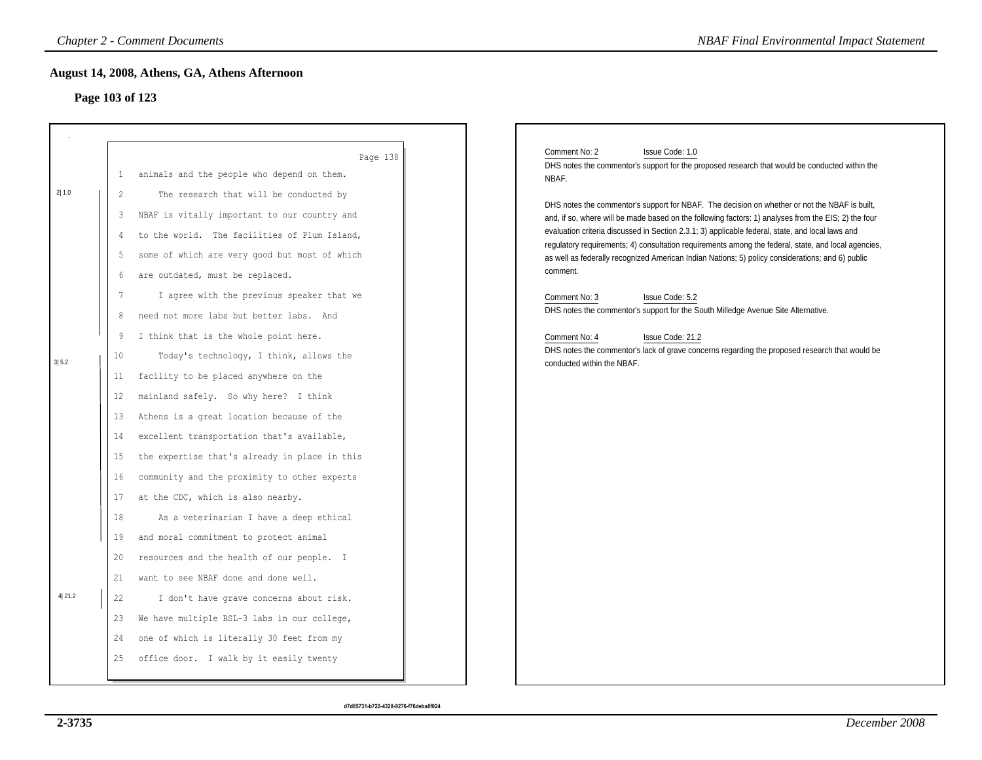## **Page 103 of 123**

|        |                 | <b>Chapter 2 - Comment Documents</b>          | <b>NBAF Final Environmental Impact Statement</b>                                                                                                                                                        |
|--------|-----------------|-----------------------------------------------|---------------------------------------------------------------------------------------------------------------------------------------------------------------------------------------------------------|
|        |                 | August 14, 2008, Athens, GA, Athens Afternoon |                                                                                                                                                                                                         |
|        | Page 103 of 123 |                                               |                                                                                                                                                                                                         |
|        |                 |                                               |                                                                                                                                                                                                         |
|        |                 | Page 138                                      | Issue Code: 1.0<br>Comment No: 2<br>DHS notes the commentor's support for the proposed research that would be conducted within the                                                                      |
|        | 1               | animals and the people who depend on them.    | NBAF.                                                                                                                                                                                                   |
| 2 1.0  | 2               | The research that will be conducted by        | DHS notes the commentor's support for NBAF. The decision on whether or not the NBAF is built,                                                                                                           |
|        | 3               | NBAF is vitally important to our country and  | and, if so, where will be made based on the following factors: 1) analyses from the EIS; 2) the four                                                                                                    |
|        | 4               | to the world. The facilities of Plum Island,  | evaluation criteria discussed in Section 2.3.1; 3) applicable federal, state, and local laws and<br>regulatory requirements; 4) consultation requirements among the federal, state, and local agencies, |
|        | 5               | some of which are very good but most of which | as well as federally recognized American Indian Nations; 5) policy considerations; and 6) public                                                                                                        |
|        | 6               | are outdated, must be replaced.               | comment.                                                                                                                                                                                                |
|        | 7               | I agree with the previous speaker that we     | Comment No: 3<br>Issue Code: 5.2                                                                                                                                                                        |
|        | 8               | need not more labs but better labs. And       | DHS notes the commentor's support for the South Milledge Avenue Site Alternative.                                                                                                                       |
|        | 9               | I think that is the whole point here.         | Issue Code: 21.2<br>Comment No: 4                                                                                                                                                                       |
| 3 5.2  | 10              | Today's technology, I think, allows the       | DHS notes the commentor's lack of grave concerns regarding the proposed research that would be                                                                                                          |
|        | 11              | facility to be placed anywhere on the         | conducted within the NBAF.                                                                                                                                                                              |
|        | 12              | mainland safely. So why here? I think         |                                                                                                                                                                                                         |
|        | 13              | Athens is a great location because of the     |                                                                                                                                                                                                         |
|        | 14              | excellent transportation that's available,    |                                                                                                                                                                                                         |
|        | 15              | the expertise that's already in place in this |                                                                                                                                                                                                         |
|        | 16              | community and the proximity to other experts  |                                                                                                                                                                                                         |
|        | 17              | at the CDC, which is also nearby.             |                                                                                                                                                                                                         |
|        | $18\,$          | As a veterinarian I have a deep ethical       |                                                                                                                                                                                                         |
|        | 19              | and moral commitment to protect animal        |                                                                                                                                                                                                         |
|        | 20              | resources and the health of our people. I     |                                                                                                                                                                                                         |
|        | 21              | want to see NBAF done and done well.          |                                                                                                                                                                                                         |
| 4 21.2 | 22              | I don't have grave concerns about risk.       |                                                                                                                                                                                                         |
|        | 23              | We have multiple BSL-3 labs in our college,   |                                                                                                                                                                                                         |
|        | 24              | one of which is literally 30 feet from my     |                                                                                                                                                                                                         |
|        |                 | office door. I walk by it easily twenty       |                                                                                                                                                                                                         |
|        | 25              |                                               |                                                                                                                                                                                                         |
|        |                 |                                               |                                                                                                                                                                                                         |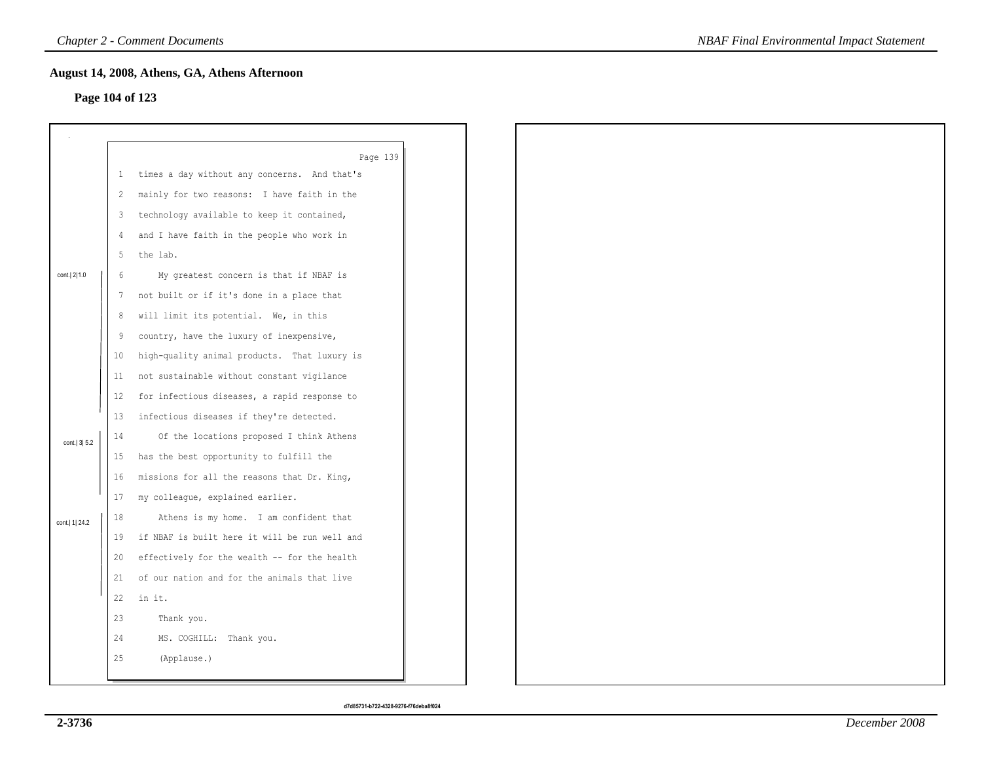## **Page 104 of 123**

| Page 104 of 123  |                | August 14, 2008, Athens, GA, Athens Afternoon |
|------------------|----------------|-----------------------------------------------|
|                  |                |                                               |
|                  |                |                                               |
|                  |                | Page 139                                      |
|                  | $\mathbf{1}$   | times a day without any concerns. And that's  |
|                  | $\overline{c}$ | mainly for two reasons: I have faith in the   |
|                  | 3              | technology available to keep it contained,    |
|                  | 4              | and I have faith in the people who work in    |
|                  | 5              | the lab.                                      |
| cont. 2 1.0      | 6              | My greatest concern is that if NBAF is        |
|                  | 7              | not built or if it's done in a place that     |
|                  | 8              | will limit its potential. We, in this         |
|                  | 9              | country, have the luxury of inexpensive,      |
|                  | 10             | high-quality animal products. That luxury is  |
|                  | 11             | not sustainable without constant vigilance    |
|                  | 12             | for infectious diseases, a rapid response to  |
|                  |                | 13 infectious diseases if they're detected.   |
| cont.   3  5.2   | 14             | Of the locations proposed I think Athens      |
|                  | 15             | has the best opportunity to fulfill the       |
|                  | 16             | missions for all the reasons that Dr. King,   |
|                  | 17             | my colleague, explained earlier.              |
| cont.   1   24.2 | 18             | Athens is my home. I am confident that        |
|                  | 19             | if NBAF is built here it will be run well and |
|                  | 20             | effectively for the wealth -- for the health  |
|                  | 21             | of our nation and for the animals that live   |
|                  | 22             | in it.                                        |
|                  | 23             | Thank you.                                    |
|                  | 24             | MS. COGHILL: Thank you.                       |
|                  | 25             | (Applause.)                                   |
|                  |                |                                               |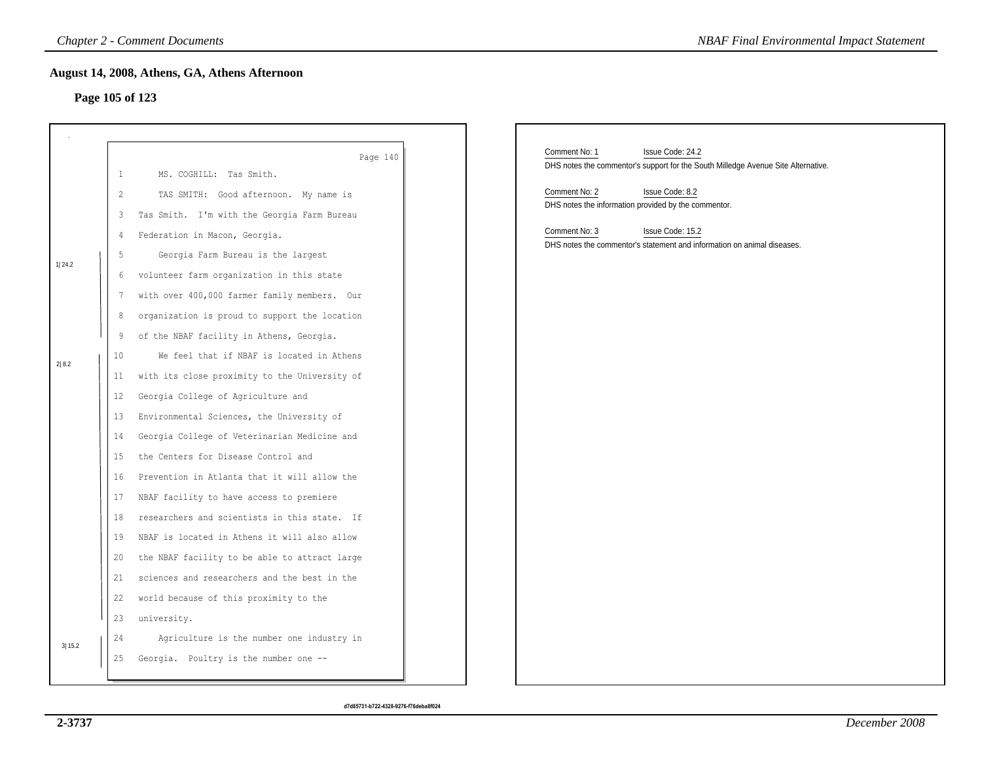## **Page 105 of 123**

|                 |                                                                                                               | <b>Chapter 2 - Comment Documents</b>                                                                                                                                                                                                                                                                                                                                                                                                                                                                                                                                                                                                                                                                                                                                                                                                                                                                                        | <b>NBAF Final Environmental Impact Statement</b>                                                                                                                                                                   |
|-----------------|---------------------------------------------------------------------------------------------------------------|-----------------------------------------------------------------------------------------------------------------------------------------------------------------------------------------------------------------------------------------------------------------------------------------------------------------------------------------------------------------------------------------------------------------------------------------------------------------------------------------------------------------------------------------------------------------------------------------------------------------------------------------------------------------------------------------------------------------------------------------------------------------------------------------------------------------------------------------------------------------------------------------------------------------------------|--------------------------------------------------------------------------------------------------------------------------------------------------------------------------------------------------------------------|
| Page 105 of 123 |                                                                                                               | August 14, 2008, Athens, GA, Athens Afternoon                                                                                                                                                                                                                                                                                                                                                                                                                                                                                                                                                                                                                                                                                                                                                                                                                                                                               |                                                                                                                                                                                                                    |
|                 | $\mathbf{1}$<br>2                                                                                             | Page 140<br>MS. COGHILL: Tas Smith.<br>TAS SMITH: Good afternoon. My name is                                                                                                                                                                                                                                                                                                                                                                                                                                                                                                                                                                                                                                                                                                                                                                                                                                                | Comment No: 1<br>Issue Code: 24.2<br>DHS notes the commentor's support for the South Milledge Avenue Site Alternative.<br>Comment No: 2<br>Issue Code: 8.2<br>DHS notes the information provided by the commentor. |
| 1 24.2<br>2 8.2 | 3<br>4<br>5<br>6<br>7<br>8<br>9<br>10<br>11<br>12<br>13<br>14<br>15<br>16<br>17<br>18<br>19<br>20<br>21<br>22 | Tas Smith. I'm with the Georgia Farm Bureau<br>Federation in Macon, Georgia.<br>Georgia Farm Bureau is the largest<br>volunteer farm organization in this state<br>with over 400,000 farmer family members. Our<br>organization is proud to support the location<br>of the NBAF facility in Athens, Georgia.<br>We feel that if NBAF is located in Athens<br>with its close proximity to the University of<br>Georgia College of Agriculture and<br>Environmental Sciences, the University of<br>Georgia College of Veterinarian Medicine and<br>the Centers for Disease Control and<br>Prevention in Atlanta that it will allow the<br>NBAF facility to have access to premiere<br>researchers and scientists in this state. If<br>NBAF is located in Athens it will also allow<br>the NBAF facility to be able to attract large<br>sciences and researchers and the best in the<br>world because of this proximity to the | Comment No: 3<br>Issue Code: 15.2<br>DHS notes the commentor's statement and information on animal diseases.                                                                                                       |
| 3 15.2          | 23<br>24                                                                                                      | university.<br>Agriculture is the number one industry in<br>25 Georgia. Poultry is the number one --                                                                                                                                                                                                                                                                                                                                                                                                                                                                                                                                                                                                                                                                                                                                                                                                                        |                                                                                                                                                                                                                    |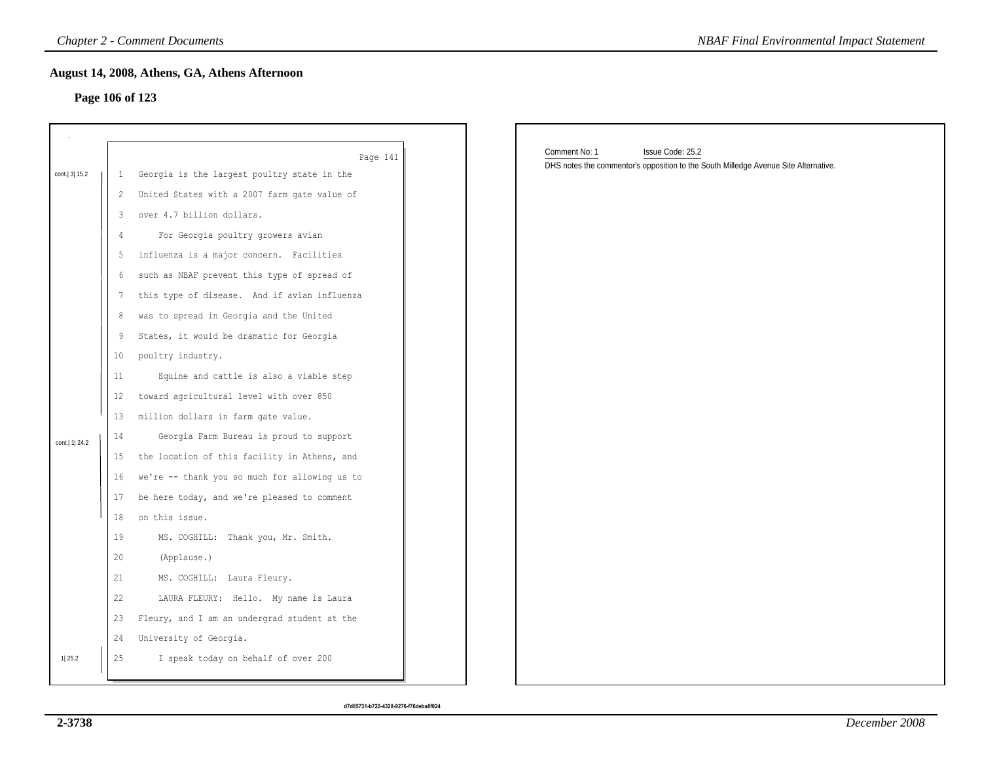## **Page 106 of 123**

|                  |                 | <b>Chapter 2 - Comment Documents</b>          | <b>NBAF Final Environmental Impact Statement</b>                                                                         |
|------------------|-----------------|-----------------------------------------------|--------------------------------------------------------------------------------------------------------------------------|
|                  |                 | August 14, 2008, Athens, GA, Athens Afternoon |                                                                                                                          |
|                  |                 | Page 106 of 123                               |                                                                                                                          |
|                  |                 |                                               |                                                                                                                          |
|                  |                 |                                               |                                                                                                                          |
|                  |                 | Page 141                                      | Comment No: 1<br>Issue Code: 25.2<br>DHS notes the commentor's opposition to the South Milledge Avenue Site Alternative. |
| cont. 3 15.2     | 1               | Georgia is the largest poultry state in the   |                                                                                                                          |
|                  | $\overline{2}$  | United States with a 2007 farm gate value of  |                                                                                                                          |
|                  | 3               | over 4.7 billion dollars.                     |                                                                                                                          |
|                  | $\frac{4}{3}$   | For Georgia poultry growers avian             |                                                                                                                          |
|                  | 5               | influenza is a major concern. Facilities      |                                                                                                                          |
|                  | 6               | such as NBAF prevent this type of spread of   |                                                                                                                          |
|                  | 7               | this type of disease. And if avian influenza  |                                                                                                                          |
|                  | 8               | was to spread in Georgia and the United       |                                                                                                                          |
|                  | 9               | States, it would be dramatic for Georgia      |                                                                                                                          |
|                  | 10 <sup>°</sup> | poultry industry.                             |                                                                                                                          |
|                  | 11              | Equine and cattle is also a viable step       |                                                                                                                          |
|                  | 12              | toward agricultural level with over 850       |                                                                                                                          |
|                  | 13              | million dollars in farm gate value.           |                                                                                                                          |
| cont.   1   24.2 | 14              | Georgia Farm Bureau is proud to support       |                                                                                                                          |
|                  | 15              | the location of this facility in Athens, and  |                                                                                                                          |
|                  | 16              | we're -- thank you so much for allowing us to |                                                                                                                          |
|                  | 17              | be here today, and we're pleased to comment   |                                                                                                                          |
|                  | 18              | on this issue.                                |                                                                                                                          |
|                  | 19              | MS. COGHILL: Thank you, Mr. Smith.            |                                                                                                                          |
|                  | 20              | (Applause.)                                   |                                                                                                                          |
|                  | 21              | MS. COGHILL: Laura Fleury.                    |                                                                                                                          |
|                  | 22              | LAURA FLEURY: Hello. My name is Laura         |                                                                                                                          |
|                  | 23              | Fleury, and I am an undergrad student at the  |                                                                                                                          |
|                  | 24              | University of Georgia.                        |                                                                                                                          |
| 1 25.2           | 25              | I speak today on behalf of over 200           |                                                                                                                          |
|                  |                 |                                               |                                                                                                                          |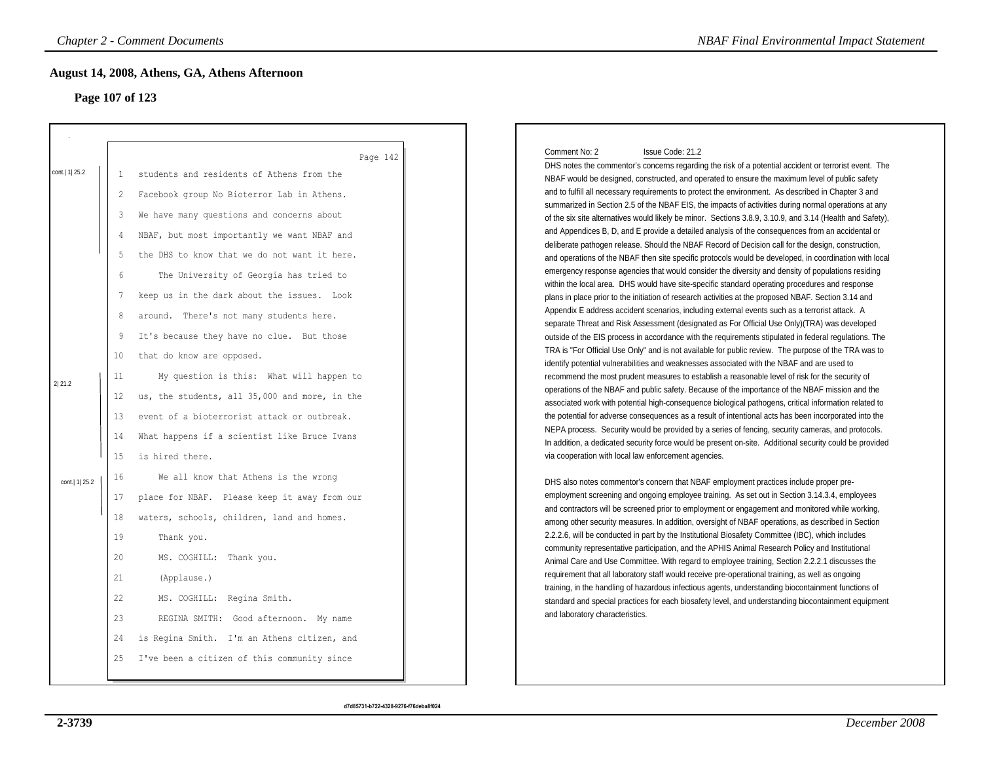# **Page 107 of 123**

| <b>Chapter 2 - Comment Documents</b><br>Page 107 of 123 |                                                                                                         | August 14, 2008, Athens, GA, Athens Afternoon                                                                                                                                                                                                                                                                                                                                                                                                                                                                                                                                                                                                                                                                                                                                                                     |                                                                                                                                                                                                                                                                                                                                                                                                                                                                                                                                                                                                                                                                                                                                                                                                                                                                                                                                                                                                                                                                                                                                                                                                                                                                                                                                                                                                                                                                                                                                                                                                                                                                                                                                                                                                                                                                                                                                                                                                                                                                                                                                                                                                                                                                                                                                                                                                                                                                                                                                                                                                                                                                                                                           |
|---------------------------------------------------------|---------------------------------------------------------------------------------------------------------|-------------------------------------------------------------------------------------------------------------------------------------------------------------------------------------------------------------------------------------------------------------------------------------------------------------------------------------------------------------------------------------------------------------------------------------------------------------------------------------------------------------------------------------------------------------------------------------------------------------------------------------------------------------------------------------------------------------------------------------------------------------------------------------------------------------------|---------------------------------------------------------------------------------------------------------------------------------------------------------------------------------------------------------------------------------------------------------------------------------------------------------------------------------------------------------------------------------------------------------------------------------------------------------------------------------------------------------------------------------------------------------------------------------------------------------------------------------------------------------------------------------------------------------------------------------------------------------------------------------------------------------------------------------------------------------------------------------------------------------------------------------------------------------------------------------------------------------------------------------------------------------------------------------------------------------------------------------------------------------------------------------------------------------------------------------------------------------------------------------------------------------------------------------------------------------------------------------------------------------------------------------------------------------------------------------------------------------------------------------------------------------------------------------------------------------------------------------------------------------------------------------------------------------------------------------------------------------------------------------------------------------------------------------------------------------------------------------------------------------------------------------------------------------------------------------------------------------------------------------------------------------------------------------------------------------------------------------------------------------------------------------------------------------------------------------------------------------------------------------------------------------------------------------------------------------------------------------------------------------------------------------------------------------------------------------------------------------------------------------------------------------------------------------------------------------------------------------------------------------------------------------------------------------------------------|
| cont.   1   25.2<br>2 21.2<br>cont.   1   25.2          | 2<br>3<br>$\overline{4}$<br>5<br>6<br>7<br>8<br>9<br>10<br>11<br>12<br>13<br>14<br>15<br>16<br>17<br>18 | Page 142<br>students and residents of Athens from the<br>Facebook group No Bioterror Lab in Athens.<br>We have many questions and concerns about<br>NBAF, but most importantly we want NBAF and<br>the DHS to know that we do not want it here.<br>The University of Georgia has tried to<br>keep us in the dark about the issues. Look<br>around. There's not many students here.<br>It's because they have no clue. But those<br>that do know are opposed.<br>My question is this: What will happen to<br>us, the students, all 35,000 and more, in the<br>event of a bioterrorist attack or outbreak.<br>What happens if a scientist like Bruce Ivans<br>is hired there.<br>We all know that Athens is the wrong<br>place for NBAF. Please keep it away from our<br>waters, schools, children, land and homes. | Comment No: 2<br>Issue Code: 21.2<br>DHS notes the commentor's concerns regarding the risk of a potential accident or terrorist event. The<br>NBAF would be designed, constructed, and operated to ensure the maximum level of public safety<br>and to fulfill all necessary requirements to protect the environment. As described in Chapter 3 and<br>summarized in Section 2.5 of the NBAF EIS, the impacts of activities during normal operations at any<br>of the six site alternatives would likely be minor. Sections 3.8.9, 3.10.9, and 3.14 (Health and Safety),<br>and Appendices B, D, and E provide a detailed analysis of the consequences from an accidental or<br>deliberate pathogen release. Should the NBAF Record of Decision call for the design, construction,<br>and operations of the NBAF then site specific protocols would be developed, in coordination with local<br>emergency response agencies that would consider the diversity and density of populations residing<br>within the local area. DHS would have site-specific standard operating procedures and response<br>plans in place prior to the initiation of research activities at the proposed NBAF. Section 3.14 and<br>Appendix E address accident scenarios, including external events such as a terrorist attack. A<br>separate Threat and Risk Assessment (designated as For Official Use Only)(TRA) was developed<br>outside of the EIS process in accordance with the requirements stipulated in federal regulations. The<br>TRA is "For Official Use Only" and is not available for public review. The purpose of the TRA was to<br>identify potential vulnerabilities and weaknesses associated with the NBAF and are used to<br>recommend the most prudent measures to establish a reasonable level of risk for the security of<br>operations of the NBAF and public safety. Because of the importance of the NBAF mission and the<br>associated work with potential high-consequence biological pathogens, critical information related to<br>the potential for adverse consequences as a result of intentional acts has been incorporated into the<br>NEPA process. Security would be provided by a series of fencing, security cameras, and protocols.<br>In addition, a dedicated security force would be present on-site. Additional security could be provided<br>via cooperation with local law enforcement agencies.<br>DHS also notes commentor's concern that NBAF employment practices include proper pre-<br>employment screening and ongoing employee training. As set out in Section 3.14.3.4, employees<br>and contractors will be screened prior to employment or engagement and monitored while working, |
|                                                         | 19<br>20<br>21<br>22<br>23<br>24<br>25                                                                  | Thank you.<br>MS. COGHILL: Thank you.<br>(Applause.)<br>MS. COGHILL: Regina Smith.<br>REGINA SMITH: Good afternoon. My name<br>is Regina Smith. I'm an Athens citizen, and<br>I've been a citizen of this community since                                                                                                                                                                                                                                                                                                                                                                                                                                                                                                                                                                                         | among other security measures. In addition, oversight of NBAF operations, as described in Section<br>2.2.2.6, will be conducted in part by the Institutional Biosafety Committee (IBC), which includes<br>community representative participation, and the APHIS Animal Research Policy and Institutional<br>Animal Care and Use Committee. With regard to employee training, Section 2.2.2.1 discusses the<br>requirement that all laboratory staff would receive pre-operational training, as well as ongoing<br>training, in the handling of hazardous infectious agents, understanding biocontainment functions of<br>standard and special practices for each biosafety level, and understanding biocontainment equipment<br>and laboratory characteristics.                                                                                                                                                                                                                                                                                                                                                                                                                                                                                                                                                                                                                                                                                                                                                                                                                                                                                                                                                                                                                                                                                                                                                                                                                                                                                                                                                                                                                                                                                                                                                                                                                                                                                                                                                                                                                                                                                                                                                           |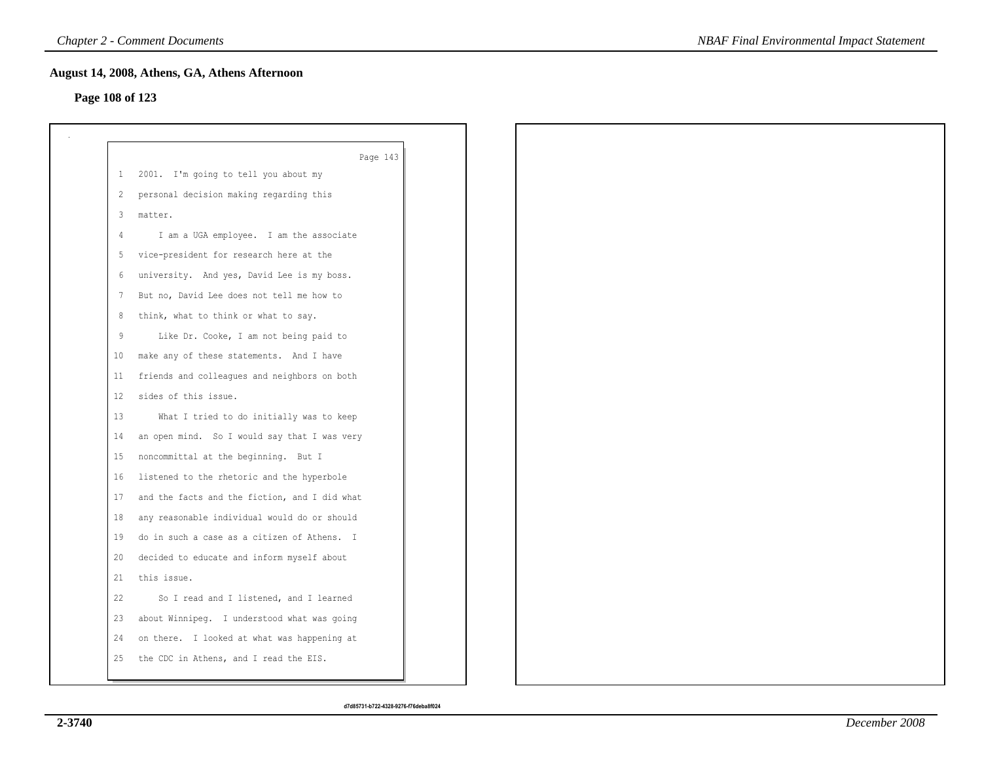## **Page 108 of 123**

|              | Page 143                                      |
|--------------|-----------------------------------------------|
| $\mathbf{1}$ | 2001. I'm going to tell you about my          |
| 2            | personal decision making regarding this       |
| $\mathbf{3}$ | matter.                                       |
| -4           | I am a UGA employee. I am the associate       |
| 5            | vice-president for research here at the       |
| 6            | university. And yes, David Lee is my boss.    |
| 7            | But no, David Lee does not tell me how to     |
| 8            | think, what to think or what to say.          |
| 9            | Like Dr. Cooke, I am not being paid to        |
| 10           | make any of these statements. And I have      |
| 11           | friends and colleagues and neighbors on both  |
| 12           | sides of this issue.                          |
| 13           | What I tried to do initially was to keep      |
| 14           | an open mind. So I would say that I was very  |
| 15           | noncommittal at the beginning. But I          |
| 16           | listened to the rhetoric and the hyperbole    |
| 17           | and the facts and the fiction, and I did what |
| 18           | any reasonable individual would do or should  |
| 19           | do in such a case as a citizen of Athens. I   |
| 20           | decided to educate and inform myself about    |
| 21           | this issue.                                   |
| 22           | So I read and I listened, and I learned       |
| 23           | about Winnipeg. I understood what was going   |
| 24           | on there. I looked at what was happening at   |
| 25           | the CDC in Athens, and I read the EIS.        |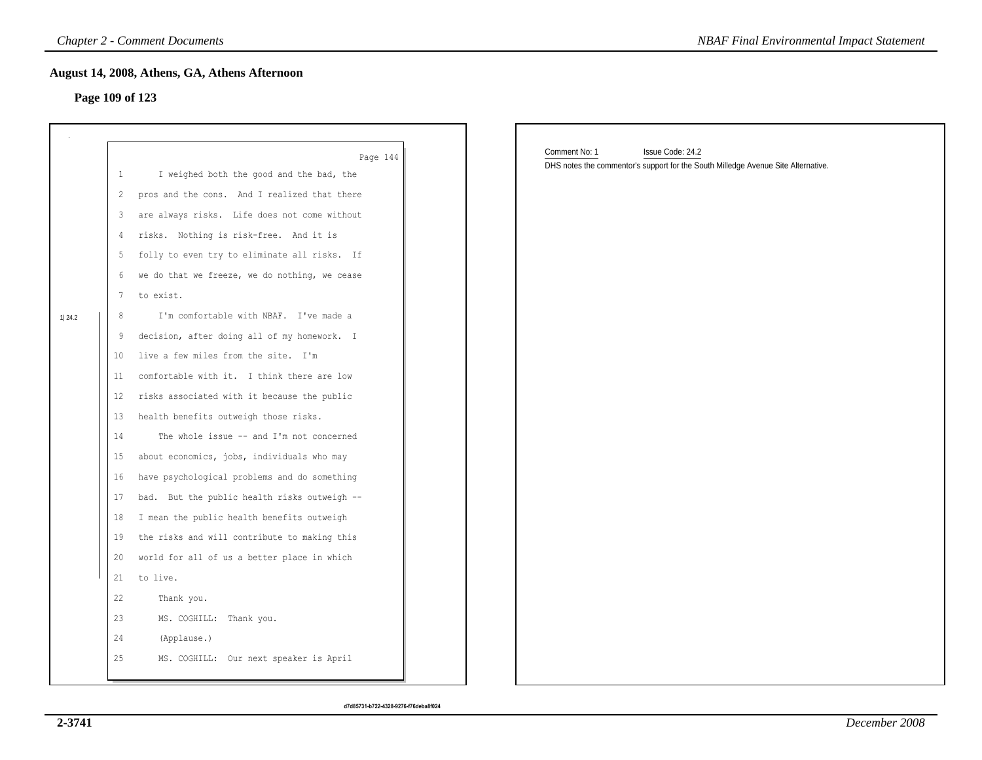## **Page 109 of 123**

|        |                   | <b>Chapter 2 - Comment Documents</b>          | <b>NBAF Final Environmental Impact Statement</b>                                  |
|--------|-------------------|-----------------------------------------------|-----------------------------------------------------------------------------------|
|        |                   | August 14, 2008, Athens, GA, Athens Afternoon |                                                                                   |
|        | Page 109 of 123   |                                               |                                                                                   |
|        |                   |                                               |                                                                                   |
|        |                   | Page 144                                      | Comment No: 1<br>Issue Code: 24.2                                                 |
|        | $\mathbf{1}$      | I weighed both the good and the bad, the      | DHS notes the commentor's support for the South Milledge Avenue Site Alternative. |
|        | 2                 | pros and the cons. And I realized that there  |                                                                                   |
|        | 3                 | are always risks. Life does not come without  |                                                                                   |
|        | 4                 | risks. Nothing is risk-free. And it is        |                                                                                   |
|        | 5                 | folly to even try to eliminate all risks. If  |                                                                                   |
|        | 6                 | we do that we freeze, we do nothing, we cease |                                                                                   |
|        | 7                 | to exist.                                     |                                                                                   |
| 1 24.2 | 8                 | I'm comfortable with NBAF. I've made a        |                                                                                   |
|        | 9                 | decision, after doing all of my homework. I   |                                                                                   |
|        | 10                | live a few miles from the site. I'm           |                                                                                   |
|        | 11                | comfortable with it. I think there are low    |                                                                                   |
|        | $12 \overline{ }$ | risks associated with it because the public   |                                                                                   |
|        | 13                | health benefits outweigh those risks.         |                                                                                   |
|        | 14                | The whole issue -- and I'm not concerned      |                                                                                   |
|        | 15                | about economics, jobs, individuals who may    |                                                                                   |
|        | 16                | have psychological problems and do something  |                                                                                   |
|        | 17                | bad. But the public health risks outweigh --  |                                                                                   |
|        | 18                | I mean the public health benefits outweigh    |                                                                                   |
|        | 19                | the risks and will contribute to making this  |                                                                                   |
|        | 20                | world for all of us a better place in which   |                                                                                   |
|        | 21                | to live.                                      |                                                                                   |
|        | 22                | Thank you.                                    |                                                                                   |
|        | 23                | MS. COGHILL: Thank you.                       |                                                                                   |
|        | 24                | (Applause.)                                   |                                                                                   |
|        | 25                | MS. COGHILL: Our next speaker is April        |                                                                                   |
|        |                   |                                               |                                                                                   |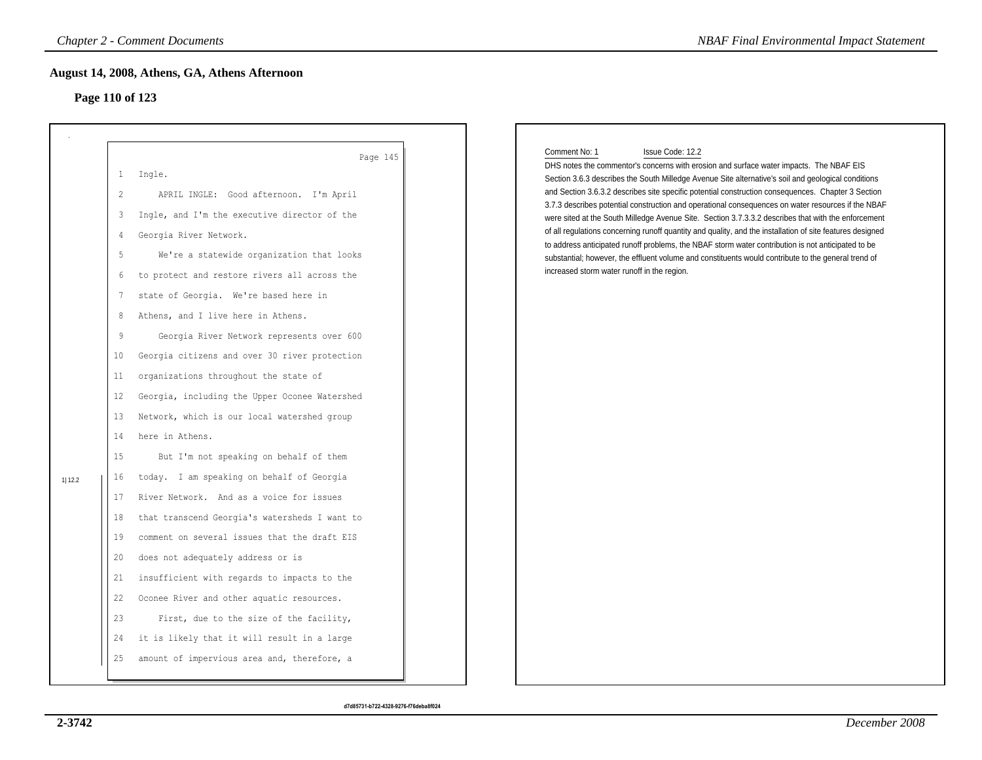# **Page 110 of 123**

|        |                 | <b>Chapter 2 - Comment Documents</b>          | <b>NBAF Final Environmental Impact Statement</b>                                                                                                                                                          |
|--------|-----------------|-----------------------------------------------|-----------------------------------------------------------------------------------------------------------------------------------------------------------------------------------------------------------|
|        |                 | August 14, 2008, Athens, GA, Athens Afternoon |                                                                                                                                                                                                           |
|        |                 | Page 110 of 123                               |                                                                                                                                                                                                           |
|        |                 |                                               |                                                                                                                                                                                                           |
|        |                 | Page 145                                      | Comment No: 1<br>Issue Code: 12.2                                                                                                                                                                         |
|        | $\mathbf{1}$    | Ingle.                                        | DHS notes the commentor's concerns with erosion and surface water impacts. The NBAF EIS<br>Section 3.6.3 describes the South Milledge Avenue Site alternative's soil and geological conditions            |
|        | 2               | APRIL INGLE: Good afternoon. I'm April        | and Section 3.6.3.2 describes site specific potential construction consequences. Chapter 3 Section                                                                                                        |
|        | 3               | Ingle, and I'm the executive director of the  | 3.7.3 describes potential construction and operational consequences on water resources if the NBAF<br>were sited at the South Milledge Avenue Site. Section 3.7.3.3.2 describes that with the enforcement |
|        | 4               | Georgia River Network.                        | of all regulations concerning runoff quantity and quality, and the installation of site features designed                                                                                                 |
|        | -5              | We're a statewide organization that looks     | to address anticipated runoff problems, the NBAF storm water contribution is not anticipated to be<br>substantial; however, the effluent volume and constituents would contribute to the general trend of |
|        | 6               | to protect and restore rivers all across the  | increased storm water runoff in the region.                                                                                                                                                               |
|        | 7               | state of Georgia. We're based here in         |                                                                                                                                                                                                           |
|        | 8               | Athens, and I live here in Athens.            |                                                                                                                                                                                                           |
|        | 9               | Georgia River Network represents over 600     |                                                                                                                                                                                                           |
|        | 10 <sub>o</sub> | Georgia citizens and over 30 river protection |                                                                                                                                                                                                           |
|        | 11              | organizations throughout the state of         |                                                                                                                                                                                                           |
|        | $12 \,$         | Georgia, including the Upper Oconee Watershed |                                                                                                                                                                                                           |
|        | 13              | Network, which is our local watershed group   |                                                                                                                                                                                                           |
|        | 14              | here in Athens.                               |                                                                                                                                                                                                           |
|        | 15              | But I'm not speaking on behalf of them        |                                                                                                                                                                                                           |
| 1 12.2 | 16              | today. I am speaking on behalf of Georgia     |                                                                                                                                                                                                           |
|        | 17              | River Network. And as a voice for issues      |                                                                                                                                                                                                           |
|        | 18              | that transcend Georgia's watersheds I want to |                                                                                                                                                                                                           |
|        | 19              | comment on several issues that the draft EIS  |                                                                                                                                                                                                           |
|        | 20              | does not adequately address or is             |                                                                                                                                                                                                           |
|        | 21              | insufficient with regards to impacts to the   |                                                                                                                                                                                                           |
|        | 22              | Oconee River and other aquatic resources.     |                                                                                                                                                                                                           |
|        | 23              | First, due to the size of the facility,       |                                                                                                                                                                                                           |
|        | 24              | it is likely that it will result in a large   |                                                                                                                                                                                                           |
|        | 25              | amount of impervious area and, therefore, a   |                                                                                                                                                                                                           |
|        |                 |                                               |                                                                                                                                                                                                           |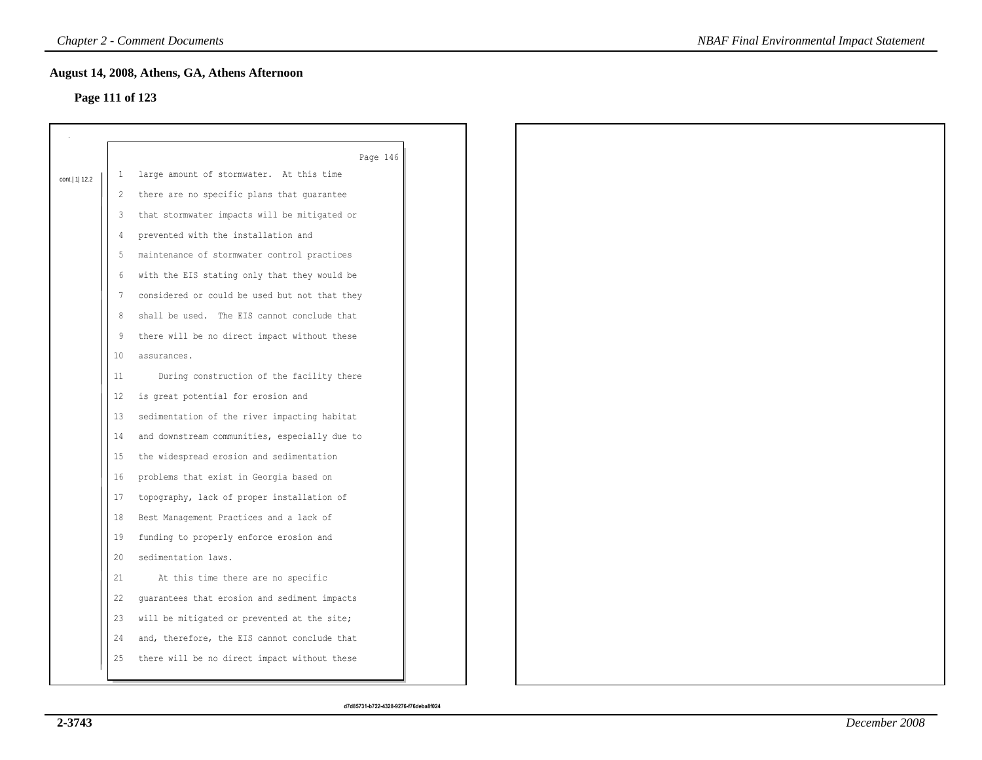## **Page 111 of 123**

|                |              | Page 146                                      |
|----------------|--------------|-----------------------------------------------|
| cont.  1  12.2 | $\mathbf{1}$ | large amount of stormwater. At this time      |
|                | 2            | there are no specific plans that guarantee    |
|                | 3            | that stormwater impacts will be mitigated or  |
|                | 4            | prevented with the installation and           |
|                | 5            | maintenance of stormwater control practices   |
|                | 6            | with the EIS stating only that they would be  |
|                | -7           | considered or could be used but not that they |
|                | 8            | shall be used. The EIS cannot conclude that   |
|                | -9           | there will be no direct impact without these  |
|                | 10           | assurances.                                   |
|                | 11           | During construction of the facility there     |
|                | 12           | is great potential for erosion and            |
|                | 13           | sedimentation of the river impacting habitat  |
|                | 14           | and downstream communities, especially due to |
|                | 15           | the widespread erosion and sedimentation      |
|                | 16           | problems that exist in Georgia based on       |
|                | 17           | topography, lack of proper installation of    |
|                | 18           | Best Management Practices and a lack of       |
|                | 19           | funding to properly enforce erosion and       |
|                | 20           | sedimentation laws.                           |
|                | 21           | At this time there are no specific            |
|                | 22           | guarantees that erosion and sediment impacts  |
|                | 23           | will be mitigated or prevented at the site;   |
|                | 24           | and, therefore, the EIS cannot conclude that  |
|                | 25           | there will be no direct impact without these  |
|                |              |                                               |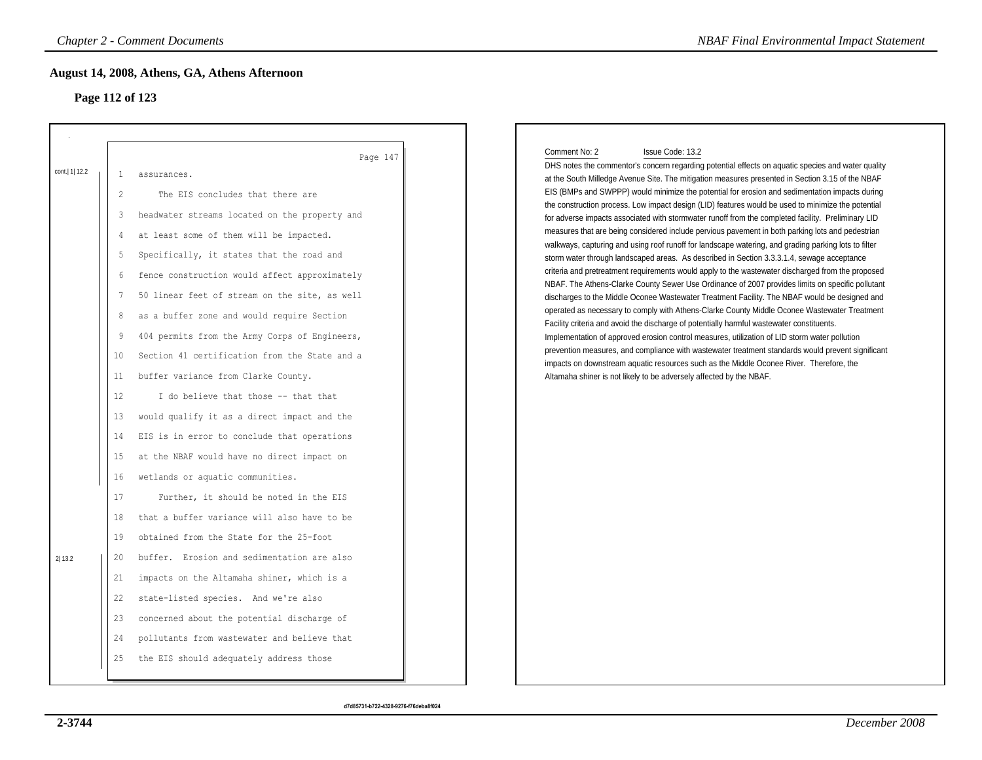# **Page 112 of 123**

|                           |                                                                                                                           | <b>Chapter 2 - Comment Documents</b>                                                                                                                                                                                                                                                                                                                                                                                                                                                                                                                                                                                                                                                                                                                                                                                                                                                                                                                                                          | <b>NBAF Final Environmental Impact Statement</b>                                                                                                                                                                                                                                                                                                                                                                                                                                                                                                                                                                                                                                                                                                                                                                                                                                                                                                                                                                                                                                                                                                                                                                                                                                                                                                                                                                                                                                                                                                                                                                                                                                                                                                   |
|---------------------------|---------------------------------------------------------------------------------------------------------------------------|-----------------------------------------------------------------------------------------------------------------------------------------------------------------------------------------------------------------------------------------------------------------------------------------------------------------------------------------------------------------------------------------------------------------------------------------------------------------------------------------------------------------------------------------------------------------------------------------------------------------------------------------------------------------------------------------------------------------------------------------------------------------------------------------------------------------------------------------------------------------------------------------------------------------------------------------------------------------------------------------------|----------------------------------------------------------------------------------------------------------------------------------------------------------------------------------------------------------------------------------------------------------------------------------------------------------------------------------------------------------------------------------------------------------------------------------------------------------------------------------------------------------------------------------------------------------------------------------------------------------------------------------------------------------------------------------------------------------------------------------------------------------------------------------------------------------------------------------------------------------------------------------------------------------------------------------------------------------------------------------------------------------------------------------------------------------------------------------------------------------------------------------------------------------------------------------------------------------------------------------------------------------------------------------------------------------------------------------------------------------------------------------------------------------------------------------------------------------------------------------------------------------------------------------------------------------------------------------------------------------------------------------------------------------------------------------------------------------------------------------------------------|
|                           |                                                                                                                           | August 14, 2008, Athens, GA, Athens Afternoon<br>Page 112 of 123                                                                                                                                                                                                                                                                                                                                                                                                                                                                                                                                                                                                                                                                                                                                                                                                                                                                                                                              |                                                                                                                                                                                                                                                                                                                                                                                                                                                                                                                                                                                                                                                                                                                                                                                                                                                                                                                                                                                                                                                                                                                                                                                                                                                                                                                                                                                                                                                                                                                                                                                                                                                                                                                                                    |
| cont.   1  12.2<br>2 13.2 | 1<br>2<br>3<br>4<br>-5<br>6<br>-7<br>8<br>9<br>10<br>11<br>12<br>13<br>14<br>15<br>16<br>17<br>18<br>19<br>20<br>21<br>22 | Page 147<br>assurances.<br>The EIS concludes that there are<br>headwater streams located on the property and<br>at least some of them will be impacted.<br>Specifically, it states that the road and<br>fence construction would affect approximately<br>50 linear feet of stream on the site, as well<br>as a buffer zone and would require Section<br>404 permits from the Army Corps of Engineers,<br>Section 41 certification from the State and a<br>buffer variance from Clarke County.<br>I do believe that those -- that that<br>would qualify it as a direct impact and the<br>EIS is in error to conclude that operations<br>at the NBAF would have no direct impact on<br>wetlands or aquatic communities.<br>Further, it should be noted in the EIS<br>that a buffer variance will also have to be<br>obtained from the State for the 25-foot<br>buffer. Erosion and sedimentation are also<br>impacts on the Altamaha shiner, which is a<br>state-listed species. And we're also | Comment No: 2<br>Issue Code: 13.2<br>DHS notes the commentor's concern regarding potential effects on aquatic species and water quality<br>at the South Milledge Avenue Site. The mitigation measures presented in Section 3.15 of the NBAF<br>EIS (BMPs and SWPPP) would minimize the potential for erosion and sedimentation impacts during<br>the construction process. Low impact design (LID) features would be used to minimize the potential<br>for adverse impacts associated with stormwater runoff from the completed facility. Preliminary LID<br>measures that are being considered include pervious pavement in both parking lots and pedestrian<br>walkways, capturing and using roof runoff for landscape watering, and grading parking lots to filter<br>storm water through landscaped areas. As described in Section 3.3.3.1.4, sewage acceptance<br>criteria and pretreatment requirements would apply to the wastewater discharged from the proposed<br>NBAF. The Athens-Clarke County Sewer Use Ordinance of 2007 provides limits on specific pollutant<br>discharges to the Middle Oconee Wastewater Treatment Facility. The NBAF would be designed and<br>operated as necessary to comply with Athens-Clarke County Middle Oconee Wastewater Treatment<br>Facility criteria and avoid the discharge of potentially harmful wastewater constituents.<br>Implementation of approved erosion control measures, utilization of LID storm water pollution<br>prevention measures, and compliance with wastewater treatment standards would prevent significant<br>impacts on downstream aquatic resources such as the Middle Oconee River. Therefore, the<br>Altamaha shiner is not likely to be adversely affected by the NBAF. |
|                           | 23<br>24<br>25                                                                                                            | concerned about the potential discharge of<br>pollutants from wastewater and believe that<br>the EIS should adequately address those                                                                                                                                                                                                                                                                                                                                                                                                                                                                                                                                                                                                                                                                                                                                                                                                                                                          |                                                                                                                                                                                                                                                                                                                                                                                                                                                                                                                                                                                                                                                                                                                                                                                                                                                                                                                                                                                                                                                                                                                                                                                                                                                                                                                                                                                                                                                                                                                                                                                                                                                                                                                                                    |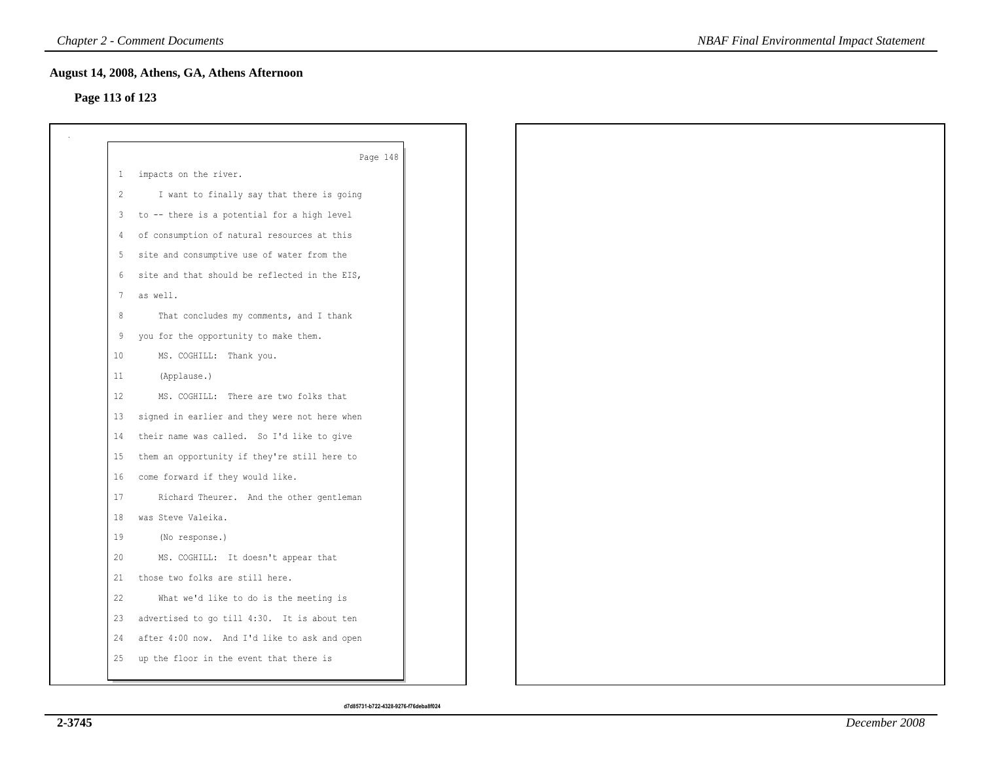## **Page 113 of 123**

|                      | Page 148                                      |
|----------------------|-----------------------------------------------|
|                      | 1 impacts on the river.                       |
| $\mathbf{2}^{\circ}$ | I want to finally say that there is going     |
| $\mathbf{3}$         | to -- there is a potential for a high level   |
| 4                    | of consumption of natural resources at this   |
| 5                    | site and consumptive use of water from the    |
| 6                    | site and that should be reflected in the EIS, |
| 7                    | as well.                                      |
| 8                    | That concludes my comments, and I thank       |
| 9                    | you for the opportunity to make them.         |
| 10                   | MS. COGHILL: Thank you.                       |
| 11                   | (Applause.)                                   |
| 12 <sup>°</sup>      | MS. COGHILL: There are two folks that         |
| 13                   | signed in earlier and they were not here when |
| 14                   | their name was called. So I'd like to give    |
| 15                   | them an opportunity if they're still here to  |
| 16                   | come forward if they would like.              |
| 17                   | Richard Theurer. And the other gentleman      |
| 18                   | was Steve Valeika.                            |
| 19                   | (No response.)                                |
| 20                   | MS. COGHILL: It doesn't appear that           |
| 21                   | those two folks are still here.               |
| 22                   | What we'd like to do is the meeting is        |
| 23                   | advertised to go till 4:30. It is about ten   |
| 24                   | after 4:00 now. And I'd like to ask and open  |
| 25                   | up the floor in the event that there is       |
|                      |                                               |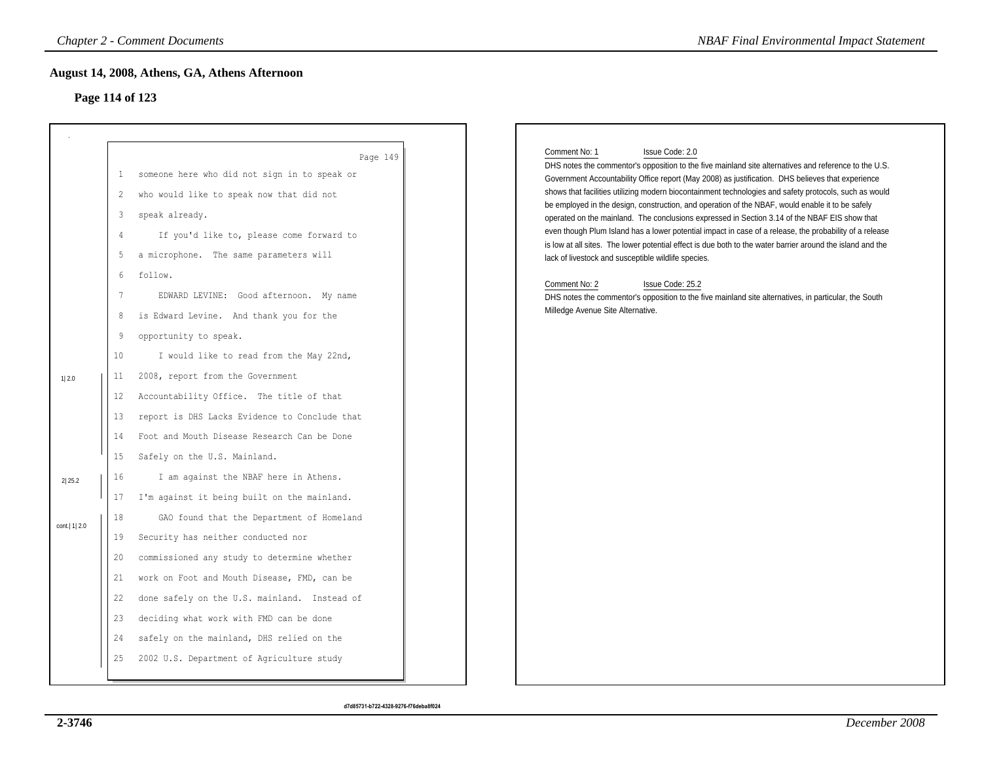# **Page 114 of 123**

|                                    |                                                                                                                                                             | <b>Chapter 2 - Comment Documents</b>                                                                                                                                                                                                                                                                                                                                                                                                                                                                                                                                                                                                                                                                                                                                                                                                                                                                                                                                                                                                                           | <b>NBAF Final Environmental Impact Statement</b>                                                                                                                                                                                                                                                                                                                                                                                                                                                                                                                                                                                                                                                                                                                                                                                                                                                                                                                                                                                 |
|------------------------------------|-------------------------------------------------------------------------------------------------------------------------------------------------------------|----------------------------------------------------------------------------------------------------------------------------------------------------------------------------------------------------------------------------------------------------------------------------------------------------------------------------------------------------------------------------------------------------------------------------------------------------------------------------------------------------------------------------------------------------------------------------------------------------------------------------------------------------------------------------------------------------------------------------------------------------------------------------------------------------------------------------------------------------------------------------------------------------------------------------------------------------------------------------------------------------------------------------------------------------------------|----------------------------------------------------------------------------------------------------------------------------------------------------------------------------------------------------------------------------------------------------------------------------------------------------------------------------------------------------------------------------------------------------------------------------------------------------------------------------------------------------------------------------------------------------------------------------------------------------------------------------------------------------------------------------------------------------------------------------------------------------------------------------------------------------------------------------------------------------------------------------------------------------------------------------------------------------------------------------------------------------------------------------------|
|                                    |                                                                                                                                                             | August 14, 2008, Athens, GA, Athens Afternoon<br>Page 114 of 123                                                                                                                                                                                                                                                                                                                                                                                                                                                                                                                                                                                                                                                                                                                                                                                                                                                                                                                                                                                               |                                                                                                                                                                                                                                                                                                                                                                                                                                                                                                                                                                                                                                                                                                                                                                                                                                                                                                                                                                                                                                  |
| 1 2.0<br>2 25.2<br>cont.   1   2.0 | 1<br>2<br>3<br>$\overline{4}$<br>5<br>6<br>7<br>8<br>9<br>10<br>11<br>$12 \,$<br>13<br>14<br>15<br>16<br>17<br>18<br>19<br>20<br>21<br>22<br>23<br>24<br>25 | Page 149<br>someone here who did not sign in to speak or<br>who would like to speak now that did not<br>speak already.<br>If you'd like to, please come forward to<br>a microphone. The same parameters will<br>follow.<br>EDWARD LEVINE: Good afternoon. My name<br>is Edward Levine. And thank you for the<br>opportunity to speak.<br>I would like to read from the May 22nd,<br>2008, report from the Government<br>Accountability Office. The title of that<br>report is DHS Lacks Evidence to Conclude that<br>Foot and Mouth Disease Research Can be Done<br>Safely on the U.S. Mainland.<br>I am against the NBAF here in Athens.<br>I'm against it being built on the mainland.<br>GAO found that the Department of Homeland<br>Security has neither conducted nor<br>commissioned any study to determine whether<br>work on Foot and Mouth Disease, FMD, can be<br>done safely on the U.S. mainland. Instead of<br>deciding what work with FMD can be done<br>safely on the mainland, DHS relied on the<br>2002 U.S. Department of Agriculture study | Comment No: 1<br>Issue Code: 2.0<br>DHS notes the commentor's opposition to the five mainland site alternatives and reference to the U.S.<br>Government Accountability Office report (May 2008) as justification. DHS believes that experience<br>shows that facilities utilizing modern biocontainment technologies and safety protocols, such as would<br>be employed in the design, construction, and operation of the NBAF, would enable it to be safely<br>operated on the mainland. The conclusions expressed in Section 3.14 of the NBAF EIS show that<br>even though Plum Island has a lower potential impact in case of a release, the probability of a release<br>is low at all sites. The lower potential effect is due both to the water barrier around the island and the<br>lack of livestock and susceptible wildlife species.<br>Comment No: 2<br>Issue Code: 25.2<br>DHS notes the commentor's opposition to the five mainland site alternatives, in particular, the South<br>Milledge Avenue Site Alternative. |
|                                    |                                                                                                                                                             |                                                                                                                                                                                                                                                                                                                                                                                                                                                                                                                                                                                                                                                                                                                                                                                                                                                                                                                                                                                                                                                                |                                                                                                                                                                                                                                                                                                                                                                                                                                                                                                                                                                                                                                                                                                                                                                                                                                                                                                                                                                                                                                  |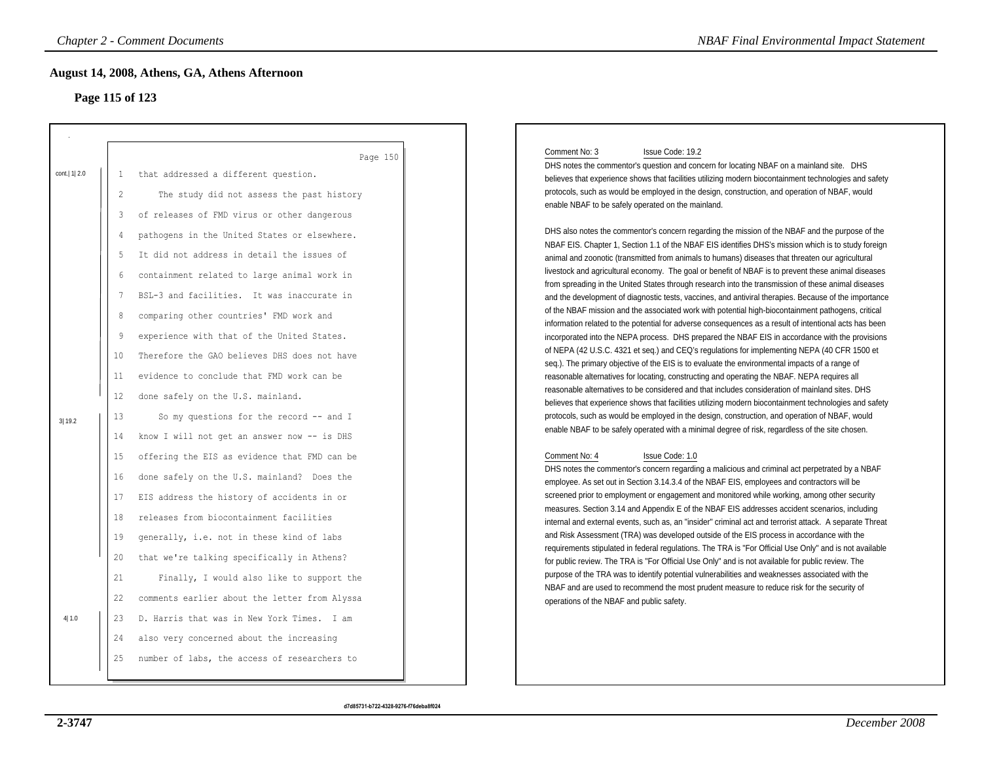# **Page 115 of 123**

|                         | <b>Chapter 2 - Comment Documents</b>                                                                                                                                                                                                                                                                                                                                                                                                                                                                                                                                                                                                                                                                                                                                                                                             | <b>NBAF Final Environmental Impact Statement</b>                                                                                                                                                                                                                                                                                                                                                                                                                                                                                                                                                                                                                                                                                                                                                                                                                                                                                                                                                                                                                                                                                                                                                                                                                                                                                                                                                                                                                                                                                                                                                                                                                                                                                                                                                                                                                                                                                                                                                                                                                                                                                                                                                                  |
|-------------------------|----------------------------------------------------------------------------------------------------------------------------------------------------------------------------------------------------------------------------------------------------------------------------------------------------------------------------------------------------------------------------------------------------------------------------------------------------------------------------------------------------------------------------------------------------------------------------------------------------------------------------------------------------------------------------------------------------------------------------------------------------------------------------------------------------------------------------------|-------------------------------------------------------------------------------------------------------------------------------------------------------------------------------------------------------------------------------------------------------------------------------------------------------------------------------------------------------------------------------------------------------------------------------------------------------------------------------------------------------------------------------------------------------------------------------------------------------------------------------------------------------------------------------------------------------------------------------------------------------------------------------------------------------------------------------------------------------------------------------------------------------------------------------------------------------------------------------------------------------------------------------------------------------------------------------------------------------------------------------------------------------------------------------------------------------------------------------------------------------------------------------------------------------------------------------------------------------------------------------------------------------------------------------------------------------------------------------------------------------------------------------------------------------------------------------------------------------------------------------------------------------------------------------------------------------------------------------------------------------------------------------------------------------------------------------------------------------------------------------------------------------------------------------------------------------------------------------------------------------------------------------------------------------------------------------------------------------------------------------------------------------------------------------------------------------------------|
|                         | August 14, 2008, Athens, GA, Athens Afternoon<br>Page 115 of 123                                                                                                                                                                                                                                                                                                                                                                                                                                                                                                                                                                                                                                                                                                                                                                 |                                                                                                                                                                                                                                                                                                                                                                                                                                                                                                                                                                                                                                                                                                                                                                                                                                                                                                                                                                                                                                                                                                                                                                                                                                                                                                                                                                                                                                                                                                                                                                                                                                                                                                                                                                                                                                                                                                                                                                                                                                                                                                                                                                                                                   |
| cont.  1  2.0<br>3 19.2 | Page 150<br>that addressed a different question.<br>$\mathbf{1}$<br>$\mathbf{2}$<br>The study did not assess the past history<br>of releases of FMD virus or other dangerous<br>3<br>pathogens in the United States or elsewhere.<br>$\overline{4}$<br>It did not address in detail the issues of<br>5<br>containment related to large animal work in<br>6<br>BSL-3 and facilities. It was inaccurate in<br>7<br>comparing other countries' FMD work and<br>8<br>experience with that of the United States.<br>9<br>Therefore the GAO believes DHS does not have<br>10<br>evidence to conclude that FMD work can be<br>11<br>12<br>done safely on the U.S. mainland.<br>13<br>So my questions for the record -- and I<br>know I will not get an answer now -- is DHS<br>14<br>offering the EIS as evidence that FMD can be<br>15 | Issue Code: 19.2<br>Comment No: 3<br>DHS notes the commentor's question and concern for locating NBAF on a mainland site. DHS<br>believes that experience shows that facilities utilizing modern biocontainment technologies and safety<br>protocols, such as would be employed in the design, construction, and operation of NBAF, would<br>enable NBAF to be safely operated on the mainland.<br>DHS also notes the commentor's concern regarding the mission of the NBAF and the purpose of the<br>NBAF EIS. Chapter 1, Section 1.1 of the NBAF EIS identifies DHS's mission which is to study foreign<br>animal and zoonotic (transmitted from animals to humans) diseases that threaten our agricultural<br>livestock and agricultural economy. The goal or benefit of NBAF is to prevent these animal diseases<br>from spreading in the United States through research into the transmission of these animal diseases<br>and the development of diagnostic tests, vaccines, and antiviral therapies. Because of the importance<br>of the NBAF mission and the associated work with potential high-biocontainment pathogens, critical<br>information related to the potential for adverse consequences as a result of intentional acts has been<br>incorporated into the NEPA process. DHS prepared the NBAF EIS in accordance with the provisions<br>of NEPA (42 U.S.C. 4321 et seq.) and CEQ's regulations for implementing NEPA (40 CFR 1500 et<br>seq.). The primary objective of the EIS is to evaluate the environmental impacts of a range of<br>reasonable alternatives for locating, constructing and operating the NBAF. NEPA requires all<br>reasonable alternatives to be considered and that includes consideration of mainland sites. DHS<br>believes that experience shows that facilities utilizing modern biocontainment technologies and safety<br>protocols, such as would be employed in the design, construction, and operation of NBAF, would<br>enable NBAF to be safely operated with a minimal degree of risk, regardless of the site chosen.<br>Comment No: 4<br>Issue Code: 1.0<br>DHS notes the commentor's concern regarding a malicious and criminal act perpetrated by a NBAF |
| 4 1.0                   | done safely on the U.S. mainland? Does the<br>16<br>EIS address the history of accidents in or<br>17<br>releases from biocontainment facilities<br>18<br>generally, i.e. not in these kind of labs<br>19<br>that we're talking specifically in Athens?<br>20<br>21<br>Finally, I would also like to support the<br>comments earlier about the letter from Alyssa<br>22<br>D. Harris that was in New York Times. I am<br>23<br>24<br>also very concerned about the increasing<br>number of labs, the access of researchers to<br>25                                                                                                                                                                                                                                                                                               | employee. As set out in Section 3.14.3.4 of the NBAF EIS, employees and contractors will be<br>screened prior to employment or engagement and monitored while working, among other security<br>measures. Section 3.14 and Appendix E of the NBAF EIS addresses accident scenarios, including<br>internal and external events, such as, an "insider" criminal act and terrorist attack. A separate Threat<br>and Risk Assessment (TRA) was developed outside of the EIS process in accordance with the<br>requirements stipulated in federal regulations. The TRA is "For Official Use Only" and is not available<br>for public review. The TRA is "For Official Use Only" and is not available for public review. The<br>purpose of the TRA was to identify potential vulnerabilities and weaknesses associated with the<br>NBAF and are used to recommend the most prudent measure to reduce risk for the security of<br>operations of the NBAF and public safety.                                                                                                                                                                                                                                                                                                                                                                                                                                                                                                                                                                                                                                                                                                                                                                                                                                                                                                                                                                                                                                                                                                                                                                                                                                               |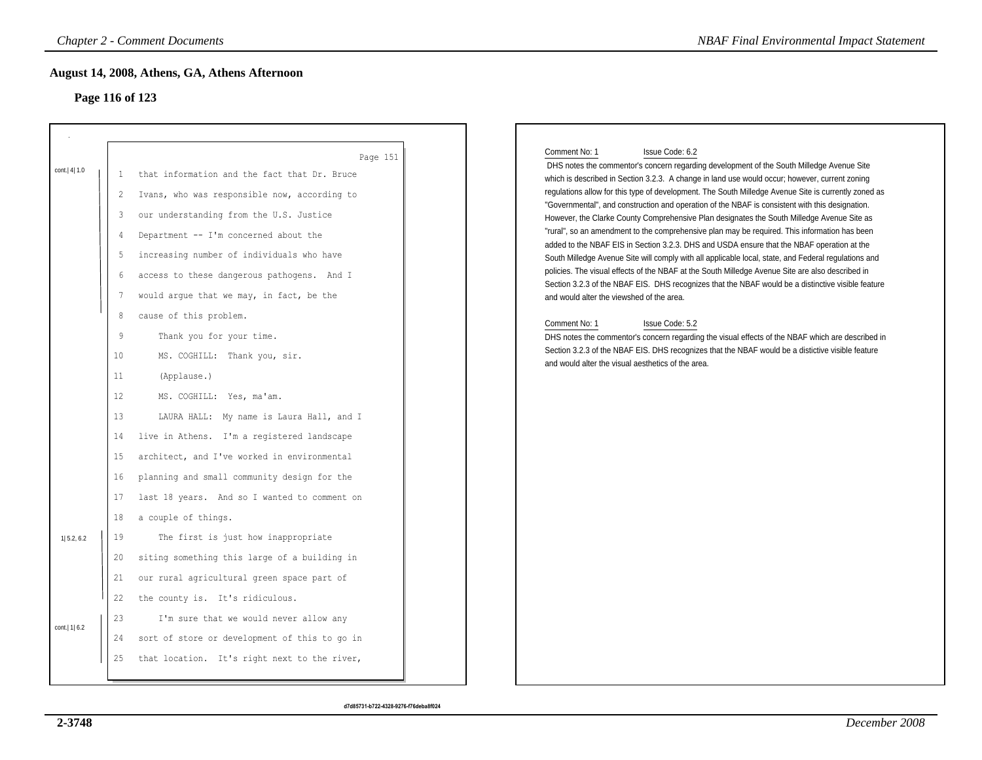# **Page 116 of 123**

|                              | <b>Chapter 2 - Comment Documents</b>                                                                                                                                                                                                                                                                                                                                                                                                                                                                                                                                                                                                                                                                                                                                                                                                                             | <b>NBAF Final Environmental Impact Statement</b>                                                                                                                                                                                                                                                                                                                                                                                                                                                                                                                                                                                                                                                                                                                                                                                                                                                                                                                                                                                                                                                                                                                                                                                                                                                                                                                                                           |
|------------------------------|------------------------------------------------------------------------------------------------------------------------------------------------------------------------------------------------------------------------------------------------------------------------------------------------------------------------------------------------------------------------------------------------------------------------------------------------------------------------------------------------------------------------------------------------------------------------------------------------------------------------------------------------------------------------------------------------------------------------------------------------------------------------------------------------------------------------------------------------------------------|------------------------------------------------------------------------------------------------------------------------------------------------------------------------------------------------------------------------------------------------------------------------------------------------------------------------------------------------------------------------------------------------------------------------------------------------------------------------------------------------------------------------------------------------------------------------------------------------------------------------------------------------------------------------------------------------------------------------------------------------------------------------------------------------------------------------------------------------------------------------------------------------------------------------------------------------------------------------------------------------------------------------------------------------------------------------------------------------------------------------------------------------------------------------------------------------------------------------------------------------------------------------------------------------------------------------------------------------------------------------------------------------------------|
|                              | August 14, 2008, Athens, GA, Athens Afternoon<br>Page 116 of 123                                                                                                                                                                                                                                                                                                                                                                                                                                                                                                                                                                                                                                                                                                                                                                                                 |                                                                                                                                                                                                                                                                                                                                                                                                                                                                                                                                                                                                                                                                                                                                                                                                                                                                                                                                                                                                                                                                                                                                                                                                                                                                                                                                                                                                            |
| cont. 4 1.0                  | Page 151<br>that information and the fact that Dr. Bruce<br>1<br>Ivans, who was responsible now, according to<br>$\overline{c}$<br>our understanding from the U.S. Justice<br>3<br>Department -- I'm concerned about the<br>$\overline{4}$<br>increasing number of individuals who have<br>5<br>access to these dangerous pathogens. And I<br>6<br>would argue that we may, in fact, be the<br>7<br>8<br>cause of this problem.<br>9<br>Thank you for your time.<br>10<br>MS. COGHILL: Thank you, sir.<br>11<br>(Applause.)<br>12<br>MS. COGHILL: Yes, ma'am.<br>13<br>LAURA HALL: My name is Laura Hall, and I<br>14<br>live in Athens. I'm a registered landscape<br>architect, and I've worked in environmental<br>15<br>planning and small community design for the<br>16<br>last 18 years. And so I wanted to comment on<br>17<br>18<br>a couple of things. | Comment No: 1<br>Issue Code: 6.2<br>DHS notes the commentor's concern regarding development of the South Milledge Avenue Site<br>which is described in Section 3.2.3. A change in land use would occur; however, current zoning<br>regulations allow for this type of development. The South Milledge Avenue Site is currently zoned as<br>"Governmental", and construction and operation of the NBAF is consistent with this designation.<br>However, the Clarke County Comprehensive Plan designates the South Milledge Avenue Site as<br>"rural", so an amendment to the comprehensive plan may be required. This information has been<br>added to the NBAF EIS in Section 3.2.3. DHS and USDA ensure that the NBAF operation at the<br>South Milledge Avenue Site will comply with all applicable local, state, and Federal regulations and<br>policies. The visual effects of the NBAF at the South Milledge Avenue Site are also described in<br>Section 3.2.3 of the NBAF EIS. DHS recognizes that the NBAF would be a distinctive visible feature<br>and would alter the viewshed of the area.<br>Comment No: 1<br>Issue Code: 5.2<br>DHS notes the commentor's concern regarding the visual effects of the NBAF which are described in<br>Section 3.2.3 of the NBAF EIS. DHS recognizes that the NBAF would be a distictive visible feature<br>and would alter the visual aesthetics of the area. |
| 1  5.2, 6.2<br>cont.  1  6.2 | 19<br>The first is just how inappropriate<br>siting something this large of a building in<br>20<br>our rural agricultural green space part of<br>21<br>22<br>the county is. It's ridiculous.<br>23<br>I'm sure that we would never allow any<br>sort of store or development of this to go in<br>24                                                                                                                                                                                                                                                                                                                                                                                                                                                                                                                                                              |                                                                                                                                                                                                                                                                                                                                                                                                                                                                                                                                                                                                                                                                                                                                                                                                                                                                                                                                                                                                                                                                                                                                                                                                                                                                                                                                                                                                            |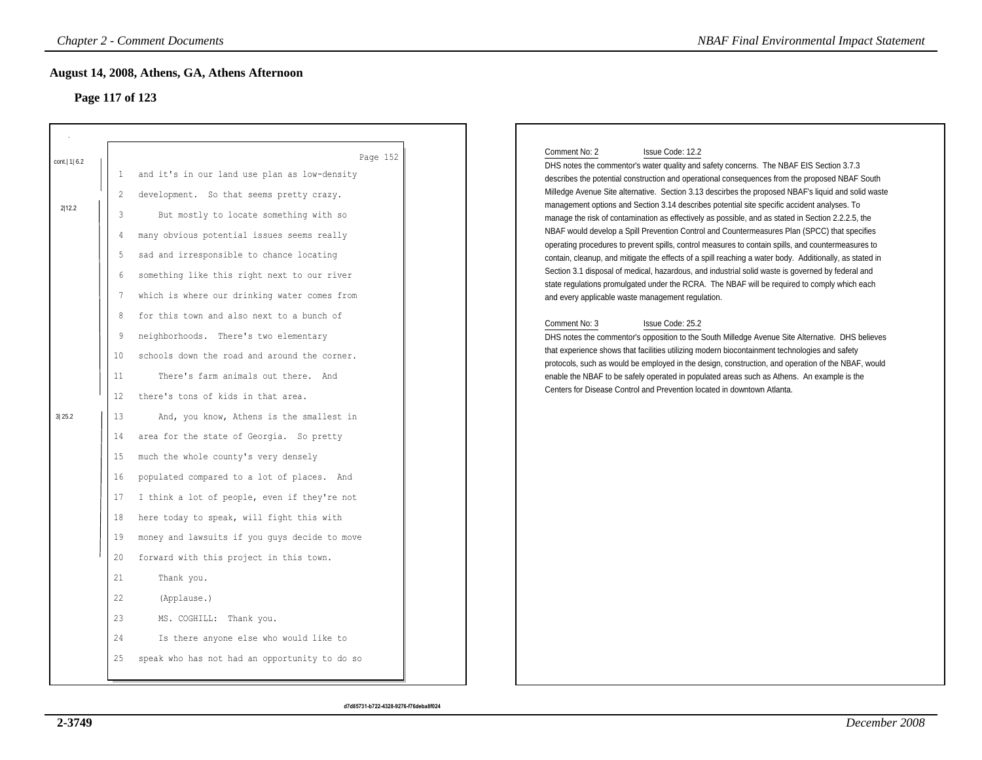## **Page 117 of 123**

|                           |                                                          | August 14, 2008, Athens, GA, Athens Afternoon<br>Page 117 of 123                                                                                                                                                                                                                                                                                                                                       |
|---------------------------|----------------------------------------------------------|--------------------------------------------------------------------------------------------------------------------------------------------------------------------------------------------------------------------------------------------------------------------------------------------------------------------------------------------------------------------------------------------------------|
| cont.   1   6.2<br>2 12.2 | $\mathbf{1}$<br>2<br>3<br>4<br>.5                        | Page 152<br>and it's in our land use plan as low-density<br>development. So that seems pretty crazy.<br>But mostly to locate something with so<br>many obvious potential issues seems really<br>sad and irresponsible to chance locating                                                                                                                                                               |
| 3 25.2                    | 6<br>7<br>8<br>9<br>10<br>11<br>12<br>13<br>14           | something like this right next to our river<br>which is where our drinking water comes from<br>for this town and also next to a bunch of<br>neighborhoods. There's two elementary<br>schools down the road and around the corner.<br>There's farm animals out there. And<br>there's tons of kids in that area.<br>And, you know, Athens is the smallest in<br>area for the state of Georgia. So pretty |
|                           | 15<br>16<br>17<br>18<br>19<br>20<br>21<br>22<br>23<br>24 | much the whole county's very densely<br>populated compared to a lot of places. And<br>I think a lot of people, even if they're not<br>here today to speak, will fight this with<br>money and lawsuits if you guys decide to move<br>forward with this project in this town.<br>Thank you.<br>(Applause.)<br>MS. COGHILL: Thank you.<br>Is there anyone else who would like to                          |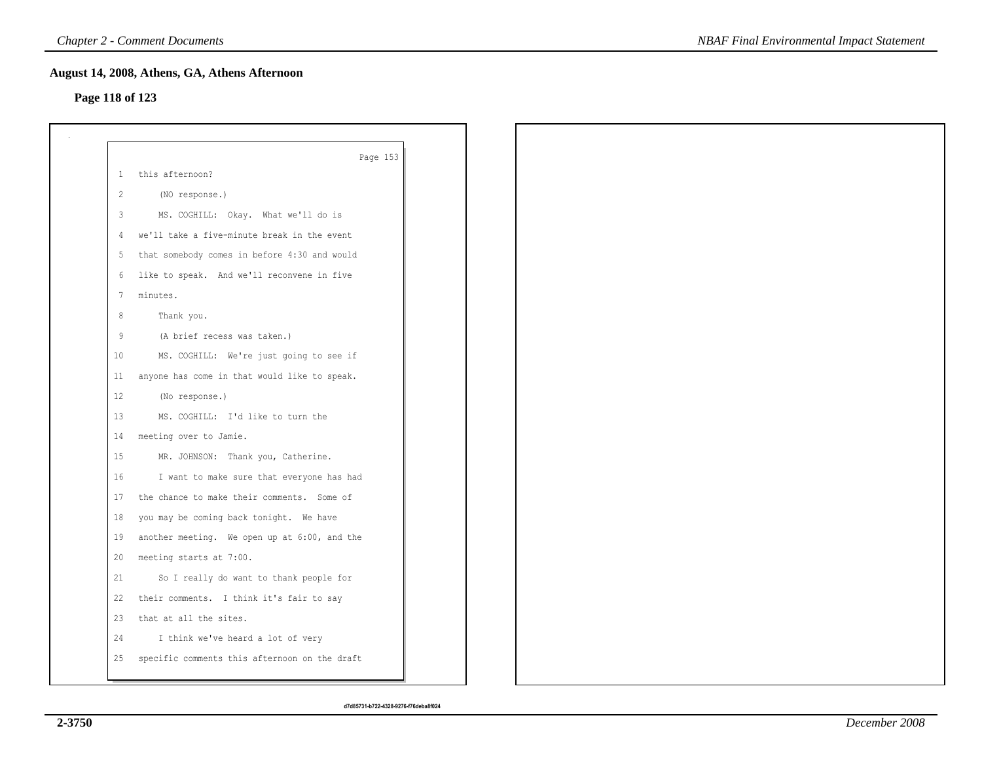## **Page 118 of 123**

|                   | Page 153                                      |
|-------------------|-----------------------------------------------|
|                   | 1 this afternoon?                             |
| 2                 | (NO response.)                                |
| $\mathbf{3}$      | MS. COGHILL: Okay. What we'll do is           |
|                   | 4 we'll take a five-minute break in the event |
| 5                 | that somebody comes in before 4:30 and would  |
|                   | 6 like to speak. And we'll reconvene in five  |
| 7                 | minutes.                                      |
| 8                 | Thank you.                                    |
| 9                 | (A brief recess was taken.)                   |
| 10                | MS. COGHILL: We're just going to see if       |
| 11                | anyone has come in that would like to speak.  |
| $12 \overline{ }$ | (No response.)                                |
| 13                | MS. COGHILL: I'd like to turn the             |
| 14                | meeting over to Jamie.                        |
| 15                | MR. JOHNSON: Thank you, Catherine.            |
| 16                | I want to make sure that everyone has had     |
| 17                | the chance to make their comments. Some of    |
| 18                | you may be coming back tonight. We have       |
| 19                | another meeting. We open up at 6:00, and the  |
| 20                | meeting starts at 7:00.                       |
| 21                | So I really do want to thank people for       |
| 22                | their comments. I think it's fair to say      |
| 23                | that at all the sites.                        |
| 24                | I think we've heard a lot of very             |
| 25                | specific comments this afternoon on the draft |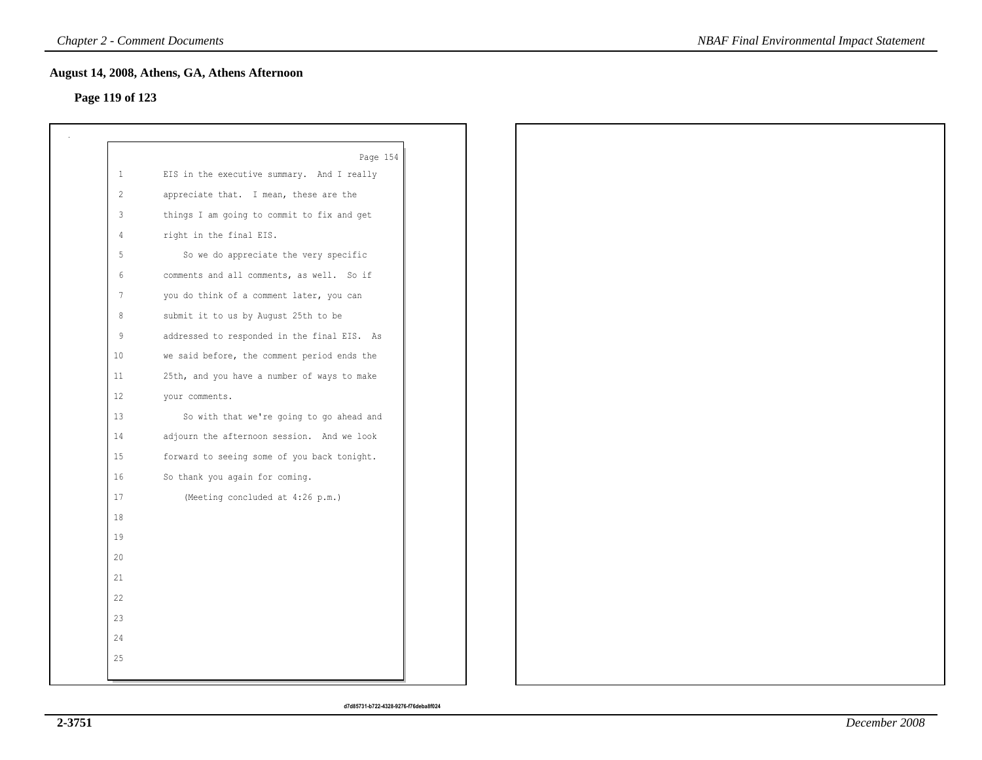## **Page 119 of 123**

| $\mathbf{1}$   | Page 154<br>EIS in the executive summary. And I really |
|----------------|--------------------------------------------------------|
| 2              | appreciate that. I mean, these are the                 |
| 3              | things I am going to commit to fix and get             |
| $\overline{4}$ | right in the final EIS.                                |
| 5              | So we do appreciate the very specific                  |
| 6              | comments and all comments, as well. So if              |
| 7              | you do think of a comment later, you can               |
| 8              | submit it to us by August 25th to be                   |
| $\overline{9}$ | addressed to responded in the final EIS. As            |
| 10             | we said before, the comment period ends the            |
| 11             | 25th, and you have a number of ways to make            |
| 12             | your comments.                                         |
| 13             | So with that we're going to go ahead and               |
| 14             | adjourn the afternoon session. And we look             |
| 15             | forward to seeing some of you back tonight.            |
| 16             | So thank you again for coming.                         |
| 17             | (Meeting concluded at 4:26 p.m.)                       |
| 18             |                                                        |
| 19             |                                                        |
| 20             |                                                        |
| 21             |                                                        |
| 22             |                                                        |
| 23             |                                                        |
| 24             |                                                        |
| 25             |                                                        |
|                |                                                        |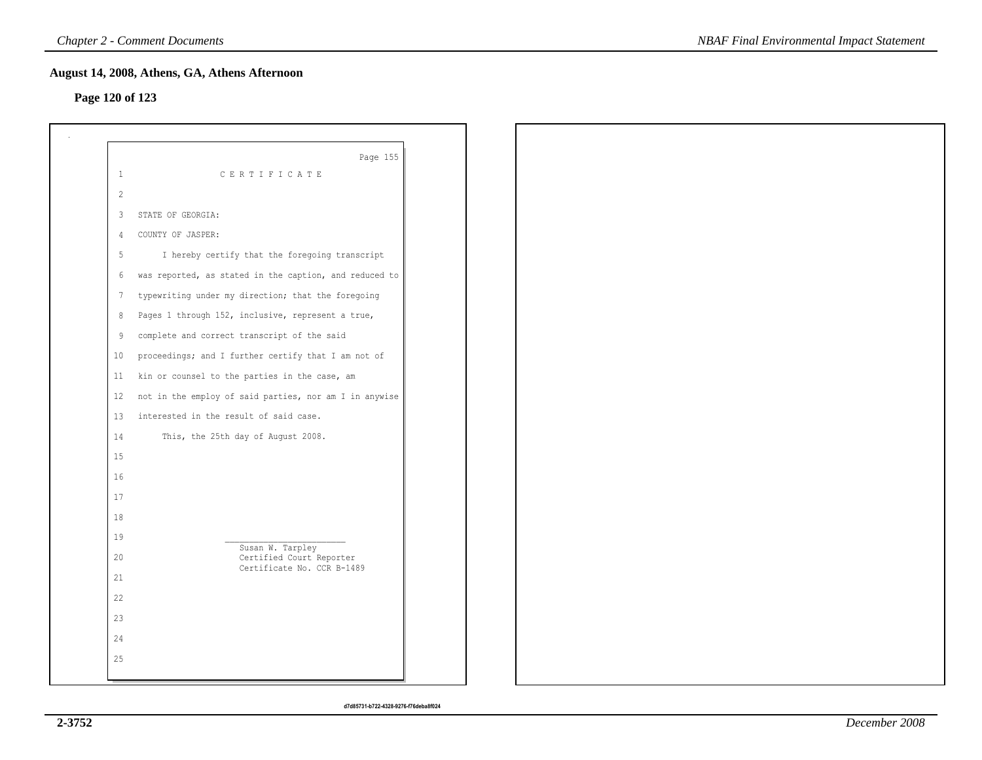## **Page 120 of 123**

|                 | Page 155                                               |
|-----------------|--------------------------------------------------------|
| $\mathbf{1}$    | CERTIFICATE                                            |
| 2               |                                                        |
| 3               | STATE OF GEORGIA:                                      |
| $\overline{4}$  | COUNTY OF JASPER:                                      |
| 5               | I hereby certify that the foregoing transcript         |
| 6               | was reported, as stated in the caption, and reduced to |
| $7\phantom{.0}$ | typewriting under my direction; that the foregoing     |
| 8               | Pages 1 through 152, inclusive, represent a true,      |
| 9               | complete and correct transcript of the said            |
| 10              | proceedings; and I further certify that I am not of    |
| 11              | kin or counsel to the parties in the case, am          |
| 12              | not in the employ of said parties, nor am I in anywise |
| 13              | interested in the result of said case.                 |
| 14              | This, the 25th day of August 2008.                     |
| 15              |                                                        |
| 16              |                                                        |
| $17$            |                                                        |
| 18              |                                                        |
| 19              | Susan W. Tarpley                                       |
| 20              | Certified Court Reporter<br>Certificate No. CCR B-1489 |
| 21              |                                                        |
| 22              |                                                        |
| 23              |                                                        |
| 24              |                                                        |
| 25              |                                                        |
|                 |                                                        |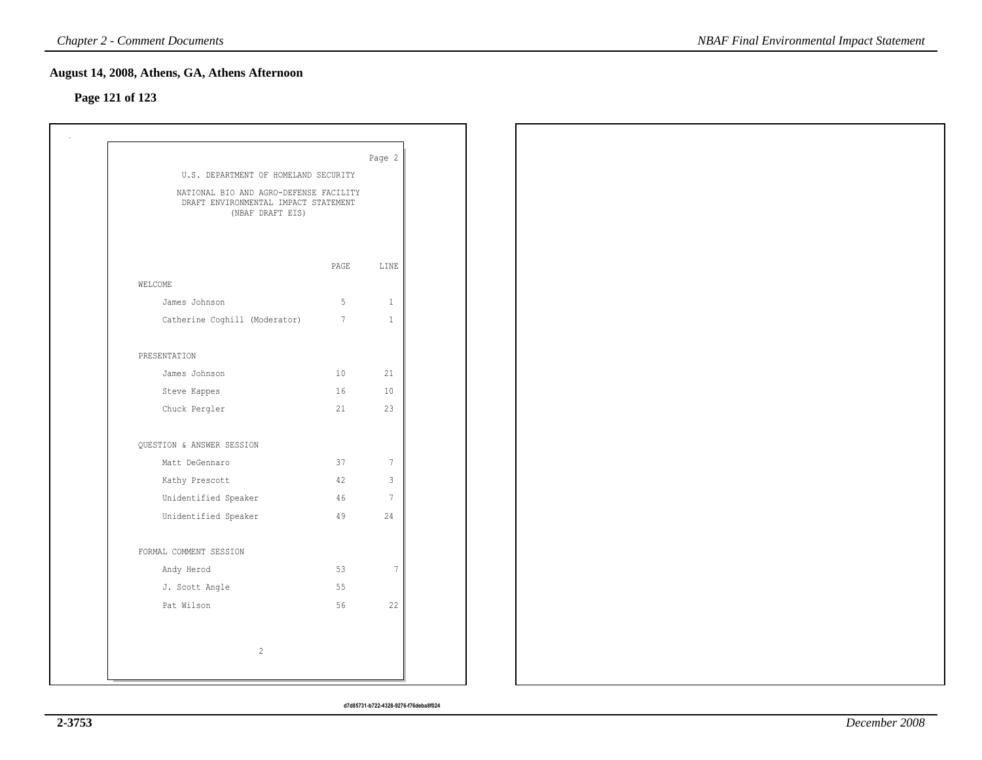### **August 14, 2008, Athens, GA, Athens Afternoon**

# **Page 121 of 123**

| U.S. DEPARTMENT OF HOMELAND SECURITY                                                               |                 | Page 2          |  |  |  |
|----------------------------------------------------------------------------------------------------|-----------------|-----------------|--|--|--|
| NATIONAL BIO AND AGRO-DEFENSE FACILITY<br>DRAFT ENVIRONMENTAL IMPACT STATEMENT<br>(NBAF DRAFT EIS) |                 |                 |  |  |  |
|                                                                                                    | PAGE            | LINE            |  |  |  |
| WELCOME                                                                                            |                 |                 |  |  |  |
| James Johnson                                                                                      | 5 <sub>1</sub>  | $\mathbf{1}$    |  |  |  |
| Catherine Coghill (Moderator)                                                                      | $7\phantom{.0}$ | $1\,$           |  |  |  |
| PRESENTATION                                                                                       |                 |                 |  |  |  |
| James Johnson                                                                                      | 10              | 21              |  |  |  |
| Steve Kappes                                                                                       | 16              | 10              |  |  |  |
| Chuck Pergler                                                                                      | 21              | 23              |  |  |  |
| QUESTION & ANSWER SESSION                                                                          |                 |                 |  |  |  |
| Matt DeGennaro                                                                                     | 37              | $7\phantom{.0}$ |  |  |  |
| Kathy Prescott                                                                                     | 42              | $\mathbf{3}$    |  |  |  |
| Unidentified Speaker                                                                               | 46              | $7\phantom{.0}$ |  |  |  |
| Unidentified Speaker                                                                               | 49              | 24              |  |  |  |
| FORMAL COMMENT SESSION                                                                             |                 |                 |  |  |  |
| Andy Herod                                                                                         | 53              | $7\phantom{.0}$ |  |  |  |
| J. Scott Angle                                                                                     | 55              |                 |  |  |  |
| Pat Wilson                                                                                         | 56              | 22              |  |  |  |
| $\sqrt{2}$                                                                                         |                 |                 |  |  |  |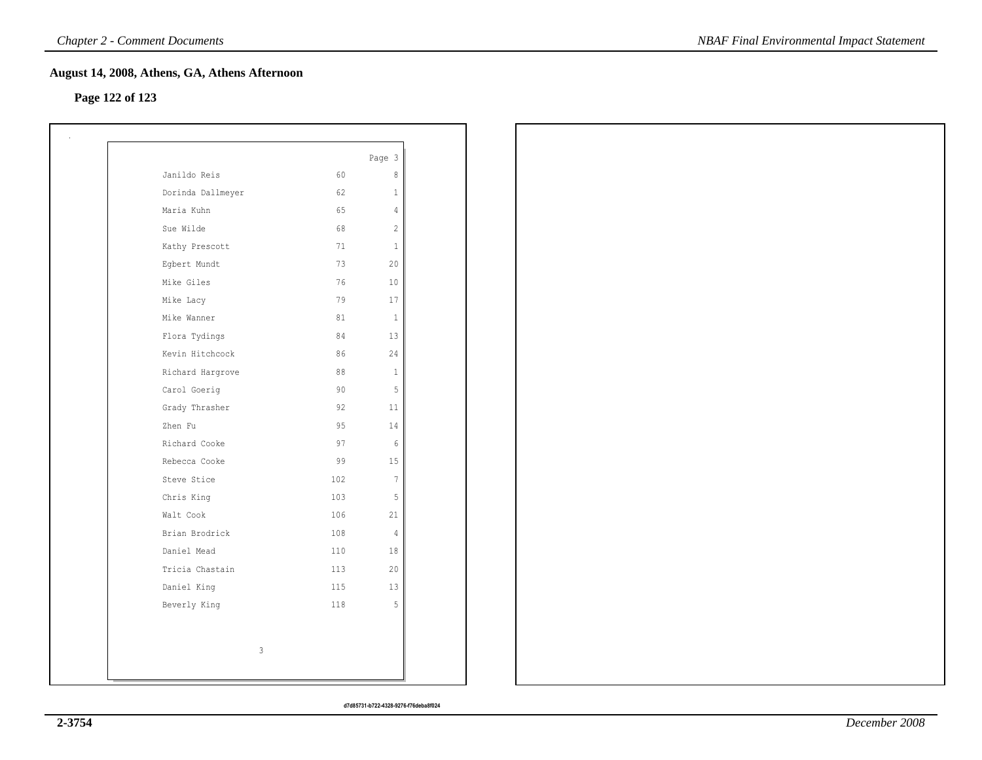### **August 14, 2008, Athens, GA, Athens Afternoon**

### **Page 122 of 123**

|                   |     | Page 3          |
|-------------------|-----|-----------------|
| Janildo Reis      | 60  | 8               |
| Dorinda Dallmeyer | 62  | $\mathbf{1}$    |
| Maria Kuhn        | 65  | $\overline{4}$  |
| Sue Wilde         | 68  | $\overline{2}$  |
| Kathy Prescott    | 71  | $\mathbf{1}$    |
| Egbert Mundt      | 73  | 20              |
| Mike Giles        | 76  | 10 <sup>°</sup> |
| Mike Lacy         | 79  | 17              |
| Mike Wanner       | 81  | <sup>1</sup>    |
| Flora Tydings     | 84  | 13              |
| Kevin Hitchcock   | 86  | 24              |
| Richard Hargrove  | 88  | $\mathbf{1}$    |
| Carol Goerig      | 90  | 5               |
| Grady Thrasher    | 92  | 11              |
| Zhen Fu           | 95  | 14              |
| Richard Cooke     | 97  | - 6             |
| Rebecca Cooke     | 99  | 15              |
| Steve Stice       | 102 | $\overline{7}$  |
| Chris King        | 103 | 5               |
| Walt Cook         | 106 | 21              |
| Brian Brodrick    | 108 | $\overline{4}$  |
| Daniel Mead       | 110 | 18              |
| Tricia Chastain   | 113 | 20              |
| Daniel King       | 115 | 13              |
| Beverly King      | 118 | 5               |
|                   |     |                 |
| 3                 |     |                 |